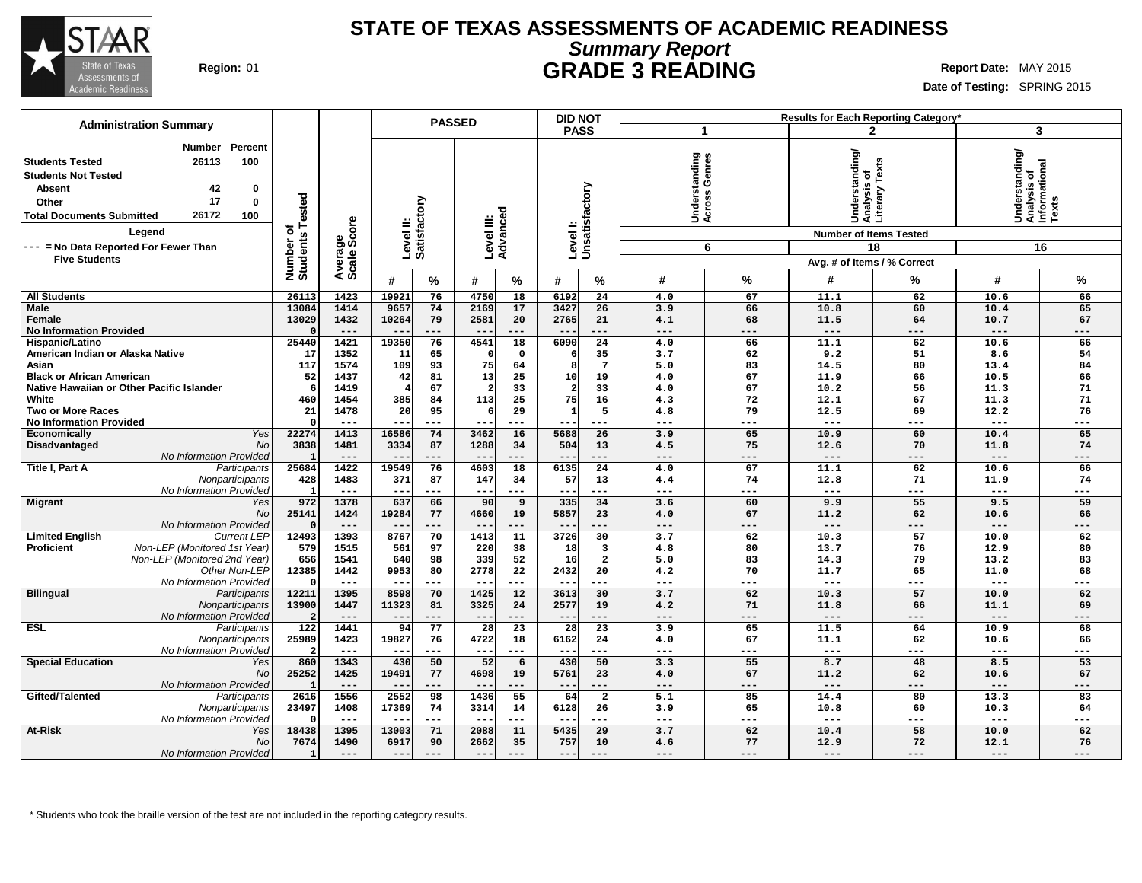

### **STATE OF TEXAS ASSESSMENTS OF ACADEMIC READINESS Summary Report Region:** 01 **GRADE 3 READING Report Date:** MAY 2015

**Date of Testing:** SPRING 2015

| <b>Administration Summary</b>                                                                                                                                                                                                                              |                                      | <b>PASSED</b>         |                           |                 |                           |                         | <b>DID NOT</b>        |                             |                                          |                   |                                                                                    | Results for Each Reporting Category' |                                                               |                     |
|------------------------------------------------------------------------------------------------------------------------------------------------------------------------------------------------------------------------------------------------------------|--------------------------------------|-----------------------|---------------------------|-----------------|---------------------------|-------------------------|-----------------------|-----------------------------|------------------------------------------|-------------------|------------------------------------------------------------------------------------|--------------------------------------|---------------------------------------------------------------|---------------------|
|                                                                                                                                                                                                                                                            |                                      |                       |                           |                 |                           |                         | <b>PASS</b>           |                             | -1                                       |                   |                                                                                    | $\mathbf{2}$                         | 3                                                             |                     |
| Percent<br>Number<br>26113<br>100<br><b>Students Tested</b><br><b>Students Not Tested</b><br>42<br><b>Absent</b><br>0<br>17<br>$\mathbf 0$<br>Other<br>26172<br><b>Total Documents Submitted</b><br>100<br>Leaend<br>--- = No Data Reported For Fewer Than | Tested<br>৳<br>Number o'<br>Students | ige<br>Score          | Level II:<br>Satisfactory |                 | Level III:<br>Advanced    |                         |                       | Level I:<br>Unsatisfactory  | tanding<br>Genres<br>Underst<br>Across ( | 6                 | Understanding/<br> Analysis of<br> Literary Texts<br><b>Number of Items Tested</b> | 18                                   | Understanding/<br>Analysis of<br>Informational<br>Texts<br>16 |                     |
| <b>Five Students</b>                                                                                                                                                                                                                                       |                                      |                       |                           |                 |                           |                         |                       |                             |                                          |                   | Avg. # of Items / % Correct                                                        |                                      |                                                               |                     |
|                                                                                                                                                                                                                                                            |                                      | Avera<br>Scale        | #                         | %               | #                         | %                       | #                     | %                           | #                                        | %                 | #                                                                                  | ℅                                    | #                                                             | %                   |
| <b>All Students</b>                                                                                                                                                                                                                                        | 2611                                 | 1423                  | 19921                     | 76              | 4750                      | 18                      | 6192                  | 24                          | 4.0                                      | 67                | 11.1                                                                               | 62                                   | 10.6                                                          | 66                  |
| <b>Male</b><br>Female<br><b>No Information Provided</b>                                                                                                                                                                                                    | 13084<br>13029                       | 1414<br>1432<br>$---$ | 9657<br>10264<br>$-$      | 74<br>79<br>--- | 2169<br>2581<br>$- -$     | 17<br>20<br>$---$       | 3427<br>2765<br>$- -$ | 26<br>21<br>---             | 3.9<br>4.1<br>$---$                      | 66<br>68<br>$---$ | 10.8<br>11.5<br>$\cdots$                                                           | 60<br>64<br>$---$                    | 10.4<br>10.7<br>$---$                                         | 65<br>67<br>$---$   |
| Hispanic/Latino                                                                                                                                                                                                                                            | 25440                                | 1421                  | 19350                     | 76              | 4541                      | 18                      | 6090                  | $\overline{24}$             | 4.0                                      | 66                | 11.1                                                                               | 62                                   | 10.6                                                          | 66                  |
| American Indian or Alaska Native<br>Asian<br><b>Black or African American</b>                                                                                                                                                                              | 17<br>117<br>52                      | 1352<br>1574<br>1437  | 11<br>109<br>42           | 65<br>93<br>81  | $\Omega$<br>75<br>13<br>2 | $\mathbf 0$<br>64<br>25 | 6<br>8<br>10          | 35<br>$7\phantom{.0}$<br>19 | 3.7<br>5.0<br>4.0                        | 62<br>83<br>67    | 9.2<br>14.5<br>11.9                                                                | 51<br>80<br>66                       | 8.6<br>13.4<br>10.5                                           | 54<br>84<br>66      |
| Native Hawaiian or Other Pacific Islander<br>White                                                                                                                                                                                                         | 460                                  | 1419<br>1454          | 385                       | 67<br>84        | 113                       | 33<br>25                | $\overline{2}$<br>75  | 33<br>16                    | 4.0<br>4.3                               | 67<br>72          | 10.2<br>12.1                                                                       | 56<br>67                             | 11.3<br>11.3                                                  | 71<br>71            |
| <b>Two or More Races</b>                                                                                                                                                                                                                                   | 21                                   | 1478                  | 20                        | 95              | 6                         | 29                      | 1                     | 5                           | 4.8                                      | 79                | 12.5                                                                               | 69                                   | 12.2                                                          | 76                  |
| <b>No Information Provided</b>                                                                                                                                                                                                                             |                                      | $---$                 | $- -$                     | $---$           | $- -$                     | $---$                   | $- -$                 | ---                         | $---$                                    | ---               | $\qquad \qquad - -$                                                                | $---$                                | $---$                                                         | $---$               |
| Yes<br>Economically                                                                                                                                                                                                                                        | 22274                                | 1413                  | 16586                     | 74              | 3462                      | 16                      | 5688                  | 26                          | 3.9                                      | 65                | 10.9                                                                               | 60                                   | 10.4                                                          | 65                  |
| <b>No</b><br>Disadvantaged                                                                                                                                                                                                                                 | 3838                                 | 1481                  | 3334                      | 87              | 1288                      | 34                      | 504                   | 13                          | 4.5                                      | 75                | 12.6                                                                               | 70                                   | 11.8                                                          | 74                  |
| No Information Provided                                                                                                                                                                                                                                    |                                      | $---$                 | $- -$                     | ---             | $- -$                     | $---$                   | $- -$                 | ---                         | $---$                                    | $---$             | $---$                                                                              | $---$                                | $---$                                                         | $---$               |
| Title I, Part A<br>Participants<br>Nonparticipants                                                                                                                                                                                                         | 25684<br>428                         | 1422<br>1483          | 19549<br>371              | 76<br>87        | 4603                      | 18                      | 6135<br>57            | 24<br>13                    | 4.0<br>4.4                               | 67<br>74          | 11.1<br>12.8                                                                       | 62<br>71                             | 10.6<br>11.9                                                  | 66<br>74            |
| No Information Provided                                                                                                                                                                                                                                    |                                      | $---$                 |                           | ---             | 147<br>$- -$              | 34<br>$---$             | --                    | ---                         | $---$                                    | ---               | $---$                                                                              | ---                                  | $---$                                                         | ---                 |
| <b>Migrant</b><br>Yes                                                                                                                                                                                                                                      | 972                                  | 1378                  | 637                       | 66              | 90                        | 9                       | 335                   | 34                          | 3.6                                      | 60                | 9.9                                                                                | 55                                   | 9.5                                                           | 59                  |
| No                                                                                                                                                                                                                                                         | 25141                                | 1424                  | 19284                     | 77              | 4660                      | 19                      | 5857                  | 23                          | 4.0                                      | 67                | 11.2                                                                               | 62                                   | 10.6                                                          | 66                  |
| No Information Provided<br><b>Limited English</b><br><b>Current LEP</b>                                                                                                                                                                                    | 12493                                | $---$<br>1393         | 8767                      | ---<br>70       | 1413                      | $---$<br>11             | 3726                  | ---<br>30                   | $---$<br>3.7                             | ---<br>62         | $---$<br>10.3                                                                      | ---<br>57                            | $---$<br>10.0                                                 | ---<br>62           |
| Proficient<br>Non-LEP (Monitored 1st Year)                                                                                                                                                                                                                 | 579                                  | 1515                  | 561                       | 97              | 220                       | 38                      | 18                    | $\overline{\mathbf{3}}$     | 4.8                                      | 80                | 13.7                                                                               | 76                                   | 12.9                                                          | 80                  |
| Non-LEP (Monitored 2nd Year)                                                                                                                                                                                                                               | 656                                  | 1541                  | 640                       | 98              | 339                       | 52                      | 16                    | $\overline{a}$              | 5.0                                      | 83                | 14.3                                                                               | 79                                   | 13.2                                                          | 83                  |
| Other Non-LEP                                                                                                                                                                                                                                              | 12385                                | 1442                  | 9953                      | 80              | 2778                      | 22                      | 2432                  | 20                          | 4.2                                      | 70                | 11.7                                                                               | 65                                   | 11.0                                                          | 68                  |
| No Information Provided                                                                                                                                                                                                                                    |                                      | $---$                 | $- -$                     | ---             | $- -$                     | $---$                   | $- -$                 | ---                         | $---$                                    | ---               | $\qquad \qquad - -$                                                                | $---$                                | $---$                                                         | $\qquad \qquad - -$ |
| <b>Bilingual</b><br>Participants<br>Nonparticipants<br>No Information Provided                                                                                                                                                                             | 12211<br>13900                       | 1395<br>1447<br>$---$ | 8598<br>11323<br>$-$      | 70<br>81<br>--- | 1425<br>3325<br>$---$     | 12<br>24<br>$---$       | 3613<br>2577<br>$---$ | 30<br>19<br>---             | 3.7<br>4.2<br>$---$                      | 62<br>71<br>---   | 10.3<br>11.8<br>$\frac{1}{2}$                                                      | 57<br>66<br>$---$                    | 10.0<br>11.1<br>---                                           | 62<br>69<br>---     |
| <b>ESL</b><br>Participants                                                                                                                                                                                                                                 | $\overline{122}$                     | 1441                  | 94                        | 77              | $\overline{28}$           | $\overline{23}$         | $\overline{28}$       | $\overline{23}$             | 3.9                                      | 65                | 11.5                                                                               | 64                                   | 10.9                                                          | 68                  |
| Nonparticipants                                                                                                                                                                                                                                            | 25989                                | 1423                  | 19827                     | 76              | 4722                      | 18                      | 6162                  | 24                          | 4.0                                      | 67                | 11.1                                                                               | 62                                   | 10.6                                                          | 66                  |
| No Information Provided                                                                                                                                                                                                                                    |                                      | $---$                 | --                        | ---             | $--$                      | $---$                   | $--$                  | ---                         | $---$                                    | ---               | $\qquad \qquad - -$                                                                | $---$                                | ---                                                           | ---                 |
| <b>Special Education</b><br>Yes                                                                                                                                                                                                                            | 860                                  | 1343                  | 430                       | 50              | 52                        | 6                       | 430                   | 50                          | 3.3                                      | 55                | 8.7                                                                                | 48                                   | 8.5                                                           | 53                  |
| No<br>No Information Provided                                                                                                                                                                                                                              | 25252                                | 1425<br>$---$         | 19491<br>$ -$             | 77<br>---       | 4698<br>$- -$             | 19<br>$---$             | 5761<br>$- -$         | 23<br>---                   | 4.0<br>$---$                             | 67<br>$---$       | 11.2<br>$---$                                                                      | 62<br>$---$                          | 10.6<br>$---$                                                 | 67<br>---           |
| Gifted/Talented<br>Participants                                                                                                                                                                                                                            | 2616                                 | 1556                  | 2552                      | 98              | 1436                      | 55                      | 64                    | $\overline{a}$              | 5.1                                      | 85                | 14.4                                                                               | 80                                   | 13.3                                                          | 83                  |
| Nonparticipants                                                                                                                                                                                                                                            | 23497                                | 1408                  | 17369                     | 74              | 3314                      | 14                      | 6128                  | 26                          | 3.9                                      | 65                | 10.8                                                                               | 60                                   | 10.3                                                          | 64                  |
| No Information Provided                                                                                                                                                                                                                                    |                                      | $---$                 | $-$                       | ---             | $-$                       | ---                     | $- -$                 | ---                         | $---$                                    | ---               | $---$                                                                              | $---$                                | $---$                                                         | ---                 |
| At-Risk<br>Yes                                                                                                                                                                                                                                             | 18438                                | 1395                  | 13003                     | 71              | 2088                      | 11                      | 5435                  | 29                          | 3.7                                      | 62                | 10.4                                                                               | 58                                   | 10.0                                                          | 62                  |
| <b>No</b>                                                                                                                                                                                                                                                  | 7674                                 | 1490                  | 6917                      | 90              | 2662                      | 35                      | 757                   | 10                          | 4.6                                      | 77                | 12.9                                                                               | 72                                   | 12.1                                                          | 76                  |
| No Information Provided                                                                                                                                                                                                                                    | $\mathbf{1}$                         | $---$                 | $- -$                     | ---             | $- -$                     | ---                     | $- -$                 | $---$                       | $---$                                    | ---               | $---$                                                                              | $---$                                | $---$                                                         | $---$               |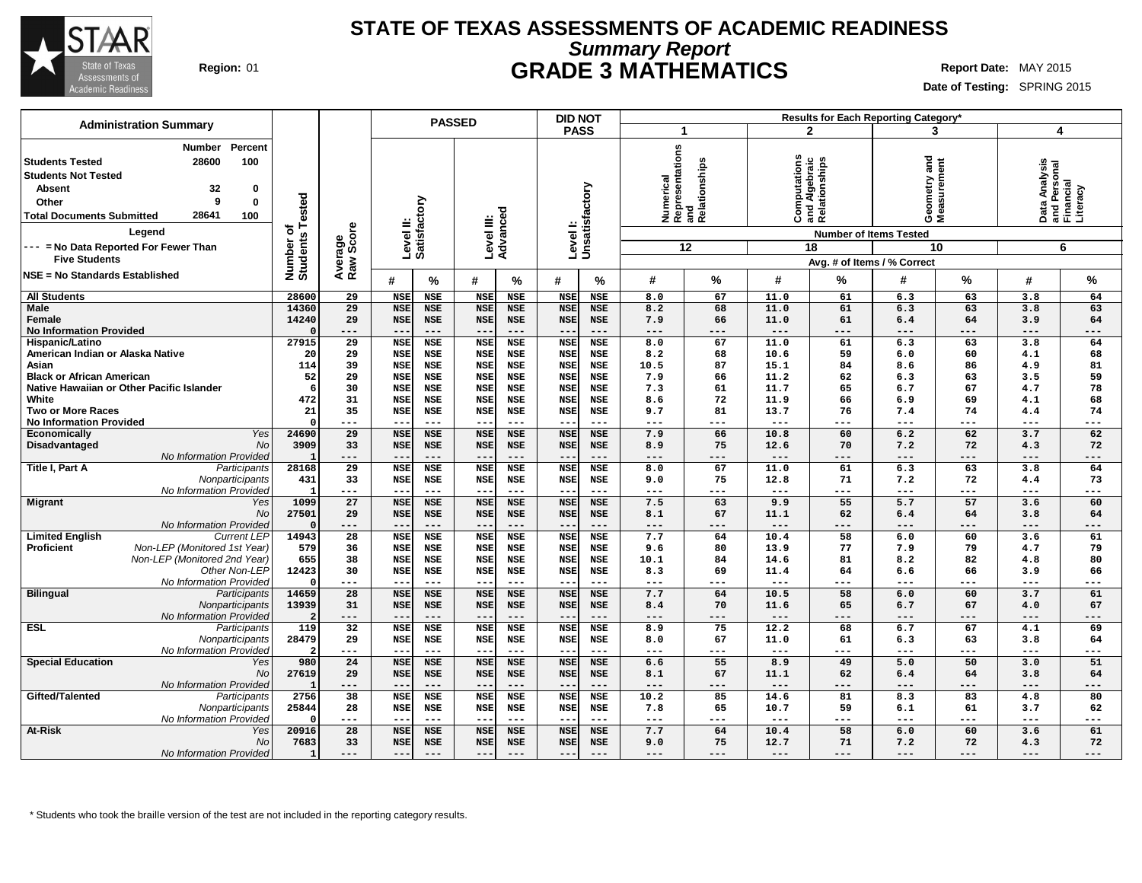

# **STATE OF TEXAS ASSESSMENTS OF ACADEMIC READINESS Summary Report Region:** 01 **GRADE 3 MATHEMATICS Report Date:** MAY 2015

**Date of Testing:** SPRING 2015

| <b>Administration Summary</b>                     |                              |                        |                          | <b>PASSED</b>            |                          |                     | <b>DID NOT</b>             |                          |            |                                                         |                     | <b>Results for Each Reporting Category*</b>    |                             |             |                     |                                                        |
|---------------------------------------------------|------------------------------|------------------------|--------------------------|--------------------------|--------------------------|---------------------|----------------------------|--------------------------|------------|---------------------------------------------------------|---------------------|------------------------------------------------|-----------------------------|-------------|---------------------|--------------------------------------------------------|
|                                                   |                              |                        |                          |                          |                          |                     | <b>PASS</b>                |                          | -1         |                                                         |                     | $\mathbf{2}$                                   | 3                           |             | 4                   |                                                        |
| Percent<br>Number                                 |                              |                        |                          |                          |                          |                     |                            |                          |            |                                                         |                     |                                                |                             |             |                     |                                                        |
| 28600<br>100<br><b>Students Tested</b>            |                              |                        |                          |                          |                          |                     |                            |                          |            |                                                         |                     |                                                |                             |             |                     |                                                        |
|                                                   |                              |                        |                          |                          |                          |                     |                            |                          |            |                                                         |                     |                                                | and                         |             |                     |                                                        |
| <b>Students Not Tested</b>                        |                              |                        |                          |                          |                          |                     |                            |                          |            |                                                         |                     |                                                |                             |             |                     |                                                        |
| 32<br>Absent<br>0                                 |                              |                        |                          |                          |                          |                     |                            |                          |            |                                                         |                     |                                                |                             |             |                     |                                                        |
| 9<br>Other<br>0                                   |                              |                        |                          |                          |                          |                     |                            |                          |            |                                                         |                     |                                                |                             |             |                     |                                                        |
| 28641<br><b>Total Documents Submitted</b><br>100  |                              |                        |                          |                          |                          |                     |                            |                          |            | Numerical<br> Representations<br> and<br> Relationships | Ö                   | Computations<br>and Algebraic<br>Relationships | Geometry and<br>Measurement |             |                     | Data Analysis<br>and Personal<br>Financial<br>Literacy |
| Legend                                            | Number of<br>Students Tested | Average<br>Raw Score   | Level II:                | Satisfactory             | Level III:<br>Advanced   |                     | Level I:<br>Unsatisfactory |                          |            |                                                         |                     | <b>Number of Items Tested</b>                  |                             |             |                     |                                                        |
| --- = No Data Reported For Fewer Than             |                              |                        |                          |                          |                          |                     |                            |                          |            | 12                                                      |                     | 18                                             |                             | 10          |                     | 6                                                      |
| <b>Five Students</b>                              |                              |                        |                          |                          |                          |                     |                            |                          |            |                                                         |                     | Avg. # of Items / % Correct                    |                             |             |                     |                                                        |
| NSE = No Standards Established                    |                              |                        |                          |                          |                          |                     |                            |                          |            |                                                         |                     |                                                |                             |             |                     |                                                        |
|                                                   |                              |                        | #                        | ℅                        | #                        | $\%$                | #                          | %                        | #          | %                                                       | #                   | %                                              | #                           | %           | #                   | $\%$                                                   |
| <b>All Students</b>                               | 28600                        | 29                     | <b>NSE</b>               | <b>NSE</b>               | <b>NSE</b>               | <b>NSE</b>          | <b>NSE</b>                 | <b>NSE</b>               | 8.0        | 67                                                      | 11.0                | 61                                             | 6.3                         | 63          | 3.8                 | 64                                                     |
| <b>Male</b>                                       | 14360                        | 29                     | <b>NSE</b>               | <b>NSE</b>               | <b>NSE</b>               | <b>NSE</b>          | <b>NSE</b>                 | <b>NSE</b>               | 8.2        | 68                                                      | 11.0                | 61                                             | 6.3                         | 63          | 3.8                 | 63                                                     |
| Female                                            | 14240                        | 29                     | <b>NSE</b>               | <b>NSE</b>               | <b>NSE</b>               | <b>NSE</b>          | <b>NSE</b>                 | <b>NSE</b>               | 7.9        | 66                                                      | 11.0                | 61                                             | 6.4                         | 64          | 3.9                 | 64                                                     |
| <b>No Information Provided</b>                    |                              | ---                    | $-$                      | $---$                    | $--$                     | $---$               | $- -$                      | ---                      | $---$      | ---                                                     | $---$               | $---$                                          | $---$                       | ---         | ---                 | $---$                                                  |
| Hispanic/Latino                                   | 27915                        | $\overline{29}$        | <b>NSE</b>               | <b>NSE</b>               | <b>NSE</b>               | <b>NSE</b>          | <b>NSE</b>                 | <b>NSE</b>               | 8.0        | 67                                                      | 11.0                | 61                                             | 6.3                         | 63          | 3.8                 | 64                                                     |
| American Indian or Alaska Native                  | 20                           | 29                     | <b>NSE</b>               | NSE                      | <b>NSE</b>               | <b>NSE</b>          | <b>NSE</b>                 | <b>NSE</b>               | 8.2        | 68                                                      | 10.6                | 59                                             | 6.0                         | 60          | 4.1                 | 68                                                     |
| Asian                                             | 114                          | 39                     | <b>NSE</b>               | NSE                      | <b>NSE</b>               | <b>NSE</b>          | <b>NSE</b>                 | <b>NSE</b>               | 10.5       | 87                                                      | 15.1                | 84                                             | 8.6                         | 86          | 4.9                 | 81                                                     |
| <b>Black or African American</b>                  | 52                           | 29                     | <b>NSE</b>               | <b>NSE</b>               | <b>NSE</b>               | <b>NSE</b>          | <b>NSE</b>                 | <b>NSE</b>               | 7.9        | 66                                                      | 11.2                | 62                                             | 6.3                         | 63          | 3.5                 | 59                                                     |
| Native Hawaiian or Other Pacific Islander         | 6                            | 30                     | <b>NSE</b>               | <b>NSE</b>               | <b>NSE</b>               | <b>NSE</b>          | <b>NSE</b>                 | <b>NSE</b>               | 7.3        | 61                                                      | 11.7                | 65                                             | 6.7                         | 67          | 4.7                 | 78                                                     |
| White                                             | 472                          | 31                     | <b>NSE</b>               | <b>NSE</b>               | <b>NSE</b>               | <b>NSE</b>          | <b>NSE</b>                 | <b>NSE</b>               | 8.6        | 72                                                      | 11.9                | 66                                             | 6.9                         | 69          | 4.1                 | 68                                                     |
| <b>Two or More Races</b>                          | 21                           | 35                     | <b>NSE</b>               | <b>NSE</b>               | <b>NSE</b>               | <b>NSE</b>          | <b>NSE</b>                 | <b>NSE</b>               | 9.7        | 81                                                      | 13.7                | 76                                             | 7.4                         | 74          | 4.4                 | 74                                                     |
| <b>No Information Provided</b>                    | $\Omega$<br>24690            | ---<br>$\overline{29}$ | $- -$                    | $---$                    | $---$                    | $---$<br><b>NSE</b> | $\sim$ $\sim$              | ---                      | ---        | ---<br>66                                               | $---$<br>10.8       | ---<br>60                                      | $\qquad \qquad - -$<br>6.2  | $---$<br>62 | ---<br>3.7          | $---$<br>62                                            |
| Yes<br>Economically<br>No                         | 3909                         | 33                     | <b>NSE</b><br><b>NSE</b> | <b>NSE</b><br><b>NSE</b> | <b>NSE</b><br><b>NSE</b> | <b>NSE</b>          | <b>NSE</b><br><b>NSE</b>   | <b>NSE</b><br><b>NSE</b> | 7.9<br>8.9 | 75                                                      | 12.6                | 70                                             | 7.2                         | 72          | 4.3                 | 72                                                     |
| Disadvantaged<br>No Information Provided          |                              | ---                    | $-$                      | ---                      | $- -$                    | $---$               |                            | ---                      | ---        | ---                                                     | $---$               | ---                                            | ---                         | ---         | ---                 | ---                                                    |
| Title I, Part A<br>Participants                   | 28168                        | 29                     | <b>NSE</b>               | <b>NSE</b>               | <b>NSE</b>               | <b>NSE</b>          | <b>NSE</b>                 | <b>NSE</b>               | 8.0        | 67                                                      | 11.0                | 61                                             | 6.3                         | 63          | 3.8                 | 64                                                     |
| Nonparticipants                                   | 431                          | 33                     | <b>NSE</b>               | NSE                      | <b>NSE</b>               | <b>NSE</b>          | <b>NSE</b>                 | NSE                      | 9.0        | 75                                                      | 12.8                | 71                                             | 7.2                         | 72          | 4.4                 | 73                                                     |
| No Information Provided                           |                              | ---                    | $-$                      | $---$                    | $---$                    | $---$               | $- -$                      | ---                      | $---$      | ---                                                     | $\qquad \qquad - -$ | $---$                                          | $\qquad \qquad - -$         | $---$       | ---                 | $---$                                                  |
| <b>Migrant</b><br>Yes                             | 1099                         | 27                     | <b>NSE</b>               | <b>NSE</b>               | <b>NSE</b>               | <b>NSE</b>          | <b>NSE</b>                 | <b>NSE</b>               | 7.5        | 63                                                      | 9.9                 | 55                                             | 5.7                         | 57          | 3.6                 | 60                                                     |
| No                                                | 27501                        | 29                     | <b>NSE</b>               | <b>NSE</b>               | <b>NSE</b>               | <b>NSE</b>          | <b>NSE</b>                 | <b>NSE</b>               | 8.1        | 67                                                      | 11.1                | 62                                             | 6.4                         | 64          | 3.8                 | 64                                                     |
| No Information Provided                           | $\Omega$                     | $---$                  | $- -$                    | $---$                    | $---$                    | $---$               | $- -$                      | $---$                    | $---$      | ---                                                     | $---$               | $---$                                          | $---$                       | $---$       | $\qquad \qquad - -$ | $---$                                                  |
| <b>Current LEP</b><br><b>Limited English</b>      | 14943                        | $\overline{28}$        | <b>NSE</b>               | <b>NSE</b>               | <b>NSE</b>               | <b>NSE</b>          | <b>NSE</b>                 | <b>NSE</b>               | 7.7        | 64                                                      | 10.4                | 58                                             | 6.0                         | 60          | 3.6                 | 61                                                     |
| Non-LEP (Monitored 1st Year)<br><b>Proficient</b> | 579                          | 36                     | <b>NSE</b>               | <b>NSE</b>               | <b>NSE</b>               | <b>NSE</b>          | <b>NSE</b>                 | <b>NSE</b>               | 9.6        | 80                                                      | 13.9                | 77                                             | 7.9                         | 79          | 4.7                 | 79                                                     |
| Non-LEP (Monitored 2nd Year)                      | 655                          | 38                     | <b>NSE</b>               | <b>NSE</b>               | <b>NSE</b>               | <b>NSE</b>          | <b>NSE</b>                 | <b>NSE</b>               | 10.1       | 84                                                      | 14.6                | 81                                             | 8.2                         | 82          | 4.8                 | 80                                                     |
| Other Non-LEP                                     | 12423                        | 30                     | <b>NSE</b>               | <b>NSE</b>               | <b>NSE</b>               | <b>NSE</b>          | <b>NSE</b>                 | <b>NSE</b>               | 8.3        | 69                                                      | 11.4                | 64                                             | 6.6                         | 66          | 3.9                 | 66                                                     |
| No Information Provideo                           | $\Omega$                     | ---                    | $-$                      | $- - -$                  | $- -$                    | $---$               |                            | ---                      | $---$      | ---                                                     | $---$               | ---                                            | $\qquad \qquad - -$         | ---         | ---                 | $---$                                                  |
| <b>Bilingual</b><br>Participants                  | 14659                        | 28                     | <b>NSE</b>               | <b>NSE</b>               | <b>NSE</b>               | <b>NSE</b>          | <b>NSE</b>                 | <b>NSE</b>               | 7.7        | 64                                                      | 10.5                | 58                                             | 6.0                         | 60          | 3.7                 | 61                                                     |
| Nonparticipants                                   | 13939                        | 31                     | <b>NSE</b>               | <b>NSE</b>               | <b>NSE</b>               | <b>NSE</b>          | <b>NSE</b>                 | <b>NSE</b>               | 8.4        | 70                                                      | 11.6                | 65                                             | 6.7                         | 67          | 4.0                 | 67                                                     |
| No Information Provideo                           |                              | $---$                  | $ -$                     | $- - -$                  | $- -$                    | $---$               | $ -$                       | ---                      | $---$      | ---                                                     | $---$               | $---$                                          | $---$                       | $- - -$     | ---                 | $---$                                                  |
| <b>ESL</b><br>Participants                        | 119                          | 32                     | <b>NSE</b>               | <b>NSE</b>               | <b>NSE</b>               | <b>NSE</b>          | <b>NSE</b>                 | <b>NSE</b>               | 8.9        | 75                                                      | 12.2                | 68                                             | 6.7                         | 67          | 4.1                 | 69                                                     |
| Nonparticipants                                   | 28479                        | 29                     | <b>NSE</b>               | <b>NSE</b>               | <b>NSE</b>               | <b>NSE</b>          | <b>NSE</b>                 | <b>NSE</b>               | 8.0        | 67                                                      | 11.0                | 61                                             | 6.3                         | 63          | 3.8                 | 64                                                     |
| No Information Provideo                           |                              | $\qquad \qquad - -$    | $ -$                     | $- - -$                  | $- -$                    | $---$               | $ -$                       | ---                      | $---$      | ---                                                     | $- - -$             | $- - -$                                        | $---$                       | $---$       | $---$               | $---$                                                  |
| <b>Special Education</b><br>Yes                   | 980                          | 24                     | <b>NSE</b>               | <b>NSE</b>               | <b>NSE</b>               | <b>NSE</b>          | <b>NSE</b>                 | <b>NSE</b>               | 6.6        | 55                                                      | 8.9                 | 49                                             | 5.0                         | 50          | 3.0                 | 51                                                     |
| <b>No</b>                                         | 27619                        | 29                     | <b>NSE</b>               | <b>NSE</b>               | <b>NSE</b>               | <b>NSE</b>          | <b>NSE</b>                 | <b>NSE</b>               | 8.1        | 67                                                      | 11.1                | 62                                             | 6.4                         | 64          | 3.8                 | 64                                                     |
| No Information Provideo                           | -1                           | $---$                  | $-$                      | $- - -$                  | $- -$                    | $---$               | $- -$                      | ---                      | $---$      | ---                                                     | $---$               | $---$                                          | $---$                       | $---$       | $---$               | $---$                                                  |
| Gifted/Talented<br>Participants                   | 2756                         | 38                     | <b>NSE</b>               | <b>NSE</b>               | <b>NSE</b>               | <b>NSE</b>          | <b>NSE</b>                 | <b>NSE</b>               | 10.2       | 85                                                      | 14.6                | 81                                             | 8.3                         | 83          | 4.8                 | 80                                                     |
| Nonparticipants                                   | 25844                        | 28                     | <b>NSE</b>               | <b>NSE</b>               | <b>NSE</b>               | <b>NSE</b>          | <b>NSE</b>                 | <b>NSE</b>               | 7.8        | 65                                                      | 10.7                | 59                                             | 6.1                         | 61          | 3.7                 | 62                                                     |
| No Information Provided                           |                              | $\qquad \qquad - -$    | $-$                      | $- - -$                  | $- -$                    | $---$               | $- -$                      | ---                      | ---        | ---                                                     | $---$               | ---                                            | $---$                       | $---$       | $\qquad \qquad - -$ | $---$                                                  |
| At-Risk<br>Yes                                    | 20916                        | $\overline{28}$        | <b>NSE</b>               | <b>NSE</b>               | <b>NSE</b>               | <b>NSE</b>          | <b>NSE</b>                 | <b>NSE</b>               | 7.7        | 64                                                      | 10.4                | 58                                             | 6.0                         | 60          | 3.6                 | 61                                                     |
| <b>No</b>                                         | 7683                         | 33                     | <b>NSE</b>               | <b>NSE</b>               | <b>NSE</b>               | <b>NSE</b>          | <b>NSE</b>                 | <b>NSE</b>               | 9.0        | 75                                                      | 12.7                | 71                                             | 7.2                         | 72          | 4.3                 | 72                                                     |
| No Information Provided                           |                              | $---$                  | $---$                    |                          | $---$                    | $---$               | $- -$                      | ---                      | ---        | ---                                                     | $---$               | ---                                            | $---$                       | $---$       | ---                 | ---                                                    |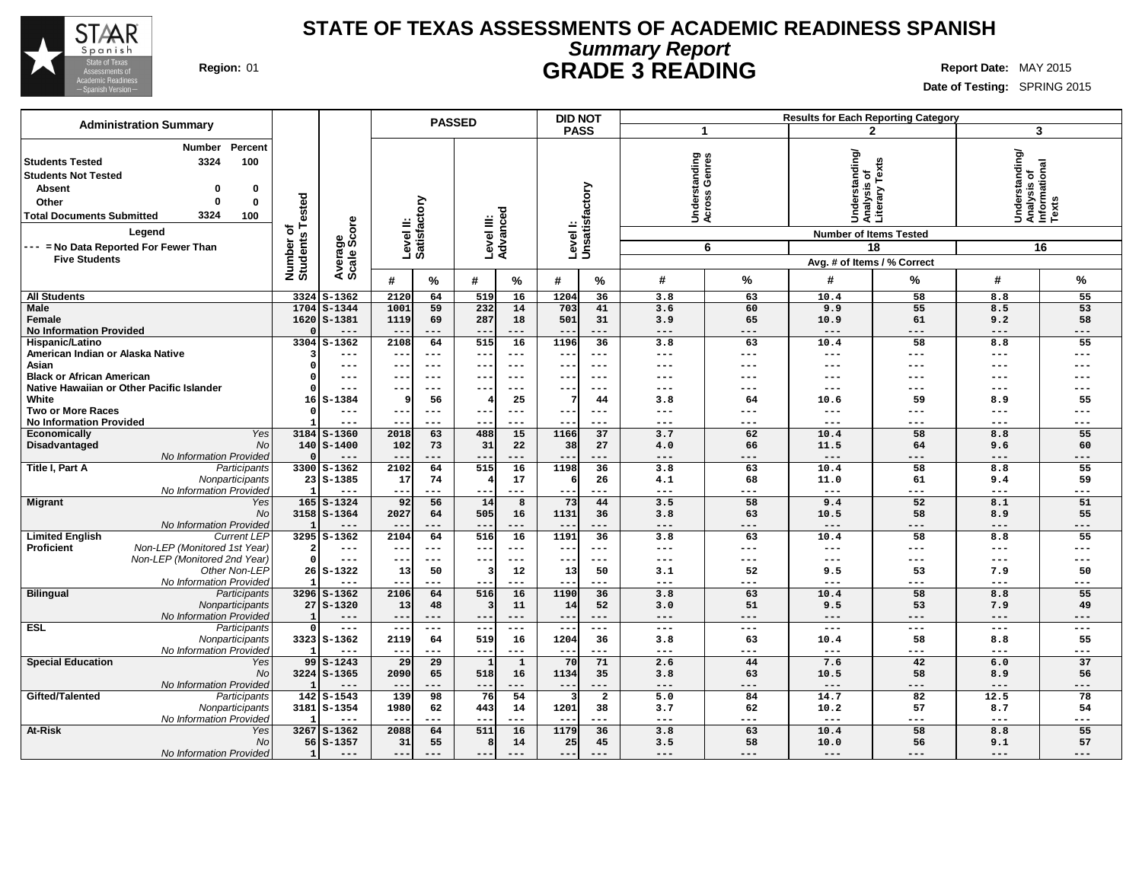

## **STATE OF TEXAS ASSESSMENTS OF ACADEMIC READINESS SPANISH Summary Report Region:** 01 **GRADE 3 READING Report Date:** MAY 2015

٦

|                                                                                                                                                                                                                |                       |                             |                                        | <b>PASSED</b>       |                         |                        | <b>DID NOT</b>            |                           |                                        |                  |                                                 | <b>Results for Each Reporting Category</b> |                                                         |            |
|----------------------------------------------------------------------------------------------------------------------------------------------------------------------------------------------------------------|-----------------------|-----------------------------|----------------------------------------|---------------------|-------------------------|------------------------|---------------------------|---------------------------|----------------------------------------|------------------|-------------------------------------------------|--------------------------------------------|---------------------------------------------------------|------------|
| <b>Administration Summary</b>                                                                                                                                                                                  |                       |                             |                                        |                     |                         |                        | <b>PASS</b>               |                           | $\blacktriangleleft$                   |                  |                                                 | $\mathbf{2}$                               | $\mathbf{3}$                                            |            |
| Percent<br><b>Number</b><br>100<br><b>Students Tested</b><br>3324<br><b>Students Not Tested</b><br><b>Absent</b><br>0<br>$\Omega$<br>Other<br>0<br>$\Omega$<br>3324<br><b>Total Documents Submitted</b><br>100 | Tested                |                             | Level II:<br>Satisfactory              |                     |                         | Level III:<br>Advanced |                           | Levell:<br>Unsatisfactory | tanding<br>Genres<br>Underst<br>Across |                  | Understanding/<br>Analysis of<br>Literary Texts |                                            | Understanding/<br>Analysis of<br>Informational<br>Texts |            |
| Legend                                                                                                                                                                                                         | đ                     | Average<br>Scale Score      |                                        |                     |                         |                        |                           |                           |                                        |                  | <b>Number of Items Tested</b>                   |                                            |                                                         |            |
| --- = No Data Reported For Fewer Than                                                                                                                                                                          | Number of<br>Students |                             |                                        |                     |                         |                        |                           |                           |                                        | 6                |                                                 | 18                                         |                                                         | 16         |
| <b>Five Students</b>                                                                                                                                                                                           |                       |                             |                                        |                     |                         |                        |                           |                           |                                        |                  | Avg. # of Items / % Correct                     |                                            |                                                         |            |
|                                                                                                                                                                                                                |                       |                             | #                                      | %                   | #                       | $\%$                   | #                         | %                         | #                                      | %                | #                                               | %                                          | #                                                       | %          |
| <b>All Students</b>                                                                                                                                                                                            | 3324                  | $S-1362$                    | 2120                                   | 64                  | 519                     | 16                     | 1204                      | 36                        | 3.8                                    | 63               | 10.4                                            | 58                                         | 8.8                                                     | 55         |
| <b>Male</b><br>Female                                                                                                                                                                                          | 1704                  | $S - 1344$<br>$1620$ S-1381 | 1001<br>1119                           | 59<br>69            | 232<br>287              | 14<br>18               | 703<br>501                | 41<br>31                  | 3.6<br>3.9                             | 60<br>65         | 9.9<br>10.9                                     | 55<br>61                                   | 8.5<br>9.2                                              | 53<br>58   |
| <b>No Information Provided</b>                                                                                                                                                                                 |                       | $---$                       | $--$                                   | $---$               | $--$                    | $---$                  | $- -$                     | ---                       | $---$                                  | $---$            | $---$                                           | ---                                        | $---$                                                   | ---        |
| Hispanic/Latino                                                                                                                                                                                                | 3304                  | $S-1362$                    | 2108                                   | 64                  | 515                     | 16                     | 1196                      | 36                        | 3.8                                    | 63               | 10.4                                            | 58                                         | 8.8                                                     | 55         |
| American Indian or Alaska Native                                                                                                                                                                               |                       | ---                         |                                        | ---                 | --                      | ---                    |                           | $---$                     | $--$                                   | ---              |                                                 | ---                                        | $---$                                                   | ---        |
| Asian<br><b>Black or African American</b>                                                                                                                                                                      |                       | $---$                       | $- -$                                  | $---$<br>$---$      | $- -$                   | $- - -$<br>$- - -$     | $- -$<br>$- -$            | $- - -$<br>$- - -$        | $- - -$<br>---                         | $---$<br>$- - -$ | ---<br>---                                      | ---<br>---                                 | $---$<br>$- - -$                                        | ---        |
| Native Hawaiian or Other Pacific Islander                                                                                                                                                                      |                       | ---<br>$---$                | $\qquad \qquad -$<br>$\qquad \qquad -$ | $--$                | $- -$<br>--             | ---                    |                           | $---$                     | $---$                                  | $---$            | ---                                             | ---                                        | $-- -$                                                  |            |
| White                                                                                                                                                                                                          | 16                    | $S-1384$                    | ç                                      | 56                  |                         | 25                     |                           | 44                        | 3.8                                    | 64               | 10.6                                            | 59                                         | 8.9                                                     | 55         |
| Two or More Races                                                                                                                                                                                              |                       | $---$                       | $- -$                                  | $---$               | $- -$                   | $--$                   | $- -$                     | $---$                     | $---$                                  | $---$            | ---                                             | ---                                        | $---$                                                   | ---        |
| <b>No Information Provided</b>                                                                                                                                                                                 |                       | $---$                       | $- -$                                  | $---$               | $- -$                   | $---$                  | $- -$                     | $---$                     | $\frac{1}{2}$                          | $---$            | $\frac{1}{2}$                                   | $---$                                      | $---$                                                   | ---        |
| <b>Yes</b><br>Economically<br>Disadvantaged<br>No                                                                                                                                                              |                       | 3184 S-1360<br>$140$ S-1400 | 2018<br>102                            | 63<br>73            | 480<br>31               | 15<br>22               | 1166<br>38                | 37<br>27                  | 3.7<br>4.0                             | 62<br>66         | 10.4<br>11.5                                    | 58<br>64                                   | 8.8<br>9.6                                              | 55<br>60   |
| No Information Provided                                                                                                                                                                                        |                       | $---$                       | $- -$                                  | ---                 | $- -$                   | ---                    | $- -$                     | ---                       | $\qquad \qquad - -$                    | $---$            | $---$                                           | ---                                        | $---$                                                   | ---        |
| Title I, Part A<br>Participants                                                                                                                                                                                |                       | 3300 S-1362                 | 2102                                   | 64                  | 515                     | 16                     | 1198                      | 36                        | 3.8                                    | 63               | 10.4                                            | 58                                         | 8.8                                                     | 55         |
| Nonparticipants<br>No Information Provided                                                                                                                                                                     | ÷,                    | $23$ $S-1385$               | 17                                     | 74                  |                         | 17                     | 6                         | 26<br>---                 | 4.1                                    | 68               | 11.0                                            | 61                                         | 9.4                                                     | 59         |
| <b>Migrant</b><br>Yes                                                                                                                                                                                          |                       | $165$ $S-1324$              | $\overline{\phantom{m}}$<br>92         | .<br>56             | $- -$<br>14             | ---<br>8               | $- -$<br>73               | 44                        | $- - -$<br>3.5                         | ---<br>58        | $---$<br>9.4                                    | ---<br>52                                  | $---$<br>8.1                                            | ---<br>51  |
| No                                                                                                                                                                                                             |                       | 3158 S-1364                 | 2027                                   | 64                  | 505                     | 16                     | 1131                      | 36                        | 3.8                                    | 63               | 10.5                                            | 58                                         | 8.9                                                     | 55         |
| No Information Provided                                                                                                                                                                                        | ×,                    | $- - -$                     | $- -$                                  | ---                 | $- -$                   | ---                    | $ -$                      | ---                       | $---$                                  | $---$            | $---$                                           | ---                                        | $---$                                                   | ---        |
| <b>Current LEP</b><br><b>Limited English</b><br>Proficient<br>Non-LEP (Monitored 1st Year)                                                                                                                     |                       | $3295$ $S-1362$             | 2104                                   | 64                  | 516                     | 16                     | 1191                      | $\overline{36}$           | 3.8                                    | 63               | 10.4                                            | $\overline{58}$                            | 8.8                                                     | 55         |
| Non-LEP (Monitored 2nd Year)                                                                                                                                                                                   | $\Omega$              | ---<br>$---$                | ---<br>$\overline{\phantom{a}}$        | $---$<br>$---$      | $\qquad \qquad -$<br>-- | $---$<br>---           | $- -$<br>$- -$            | $---$<br>$---$            | $- - -$<br>$- - -$                     | $---$<br>$---$   | ---<br>---                                      | ---<br>---                                 | $---$<br>$---$                                          | ---<br>--- |
| Other Non-LEP                                                                                                                                                                                                  |                       | $26$ S-1322                 | 13                                     | 50                  | 3                       | 12                     | 13                        | 50                        | 3.1                                    | 52               | 9.5                                             | 53                                         | 7.9                                                     | 50         |
| No Information Provided                                                                                                                                                                                        |                       | $- - -$                     | $- -$                                  | $- - -$             | $- -$                   | ---                    | $- -$                     | $- - -$                   | $---$                                  | $---$            | ---                                             | ---                                        | $---$                                                   | ---        |
| <b>Bilingual</b><br>Participants                                                                                                                                                                               |                       | 3296 S-1362                 | 2106                                   | 64                  | 516                     | 16                     | 1190                      | 36                        | 3.8                                    | 63<br>51         | 10.4                                            | 58                                         | 8.8                                                     | 55         |
| Nonparticipants<br>No Information Provided                                                                                                                                                                     | 27                    | $S - 1320$<br>---           | 13<br>$--$                             | 48<br>$---$         | $- -$                   | 11<br>---              | 14<br>$- -$               | 52<br>$---$               | 3.0<br>$- - -$                         | $---$            | 9.5<br>$---$                                    | 53<br>---                                  | 7.9<br>$---$                                            | 49<br>---  |
| <b>ESL</b><br>Participants                                                                                                                                                                                     | $\Omega$              | $\frac{1}{2}$               | $---$                                  | $\qquad \qquad - -$ | $- -$                   | $\cdots$               | $- -$                     | $\frac{1}{2}$             | $\frac{1}{2}$                          | $---$            | $\frac{1}{2}$                                   | $---$                                      | $\qquad \qquad - -$                                     | ---        |
| Nonparticipants                                                                                                                                                                                                |                       | 3323 S-1362                 | 2119                                   | 64                  | 519                     | 16                     | 1204                      | 36                        | 3.8                                    | 63               | 10.4                                            | 58                                         | 8.8                                                     | 55         |
| No Information Provided                                                                                                                                                                                        |                       | $---$                       | $- -$                                  | ---                 | $\qquad \qquad -$       | ---                    |                           | ---                       | $\frac{1}{2}$                          | $---$            | $---$                                           | ---                                        | $--$                                                    | ---        |
| <b>Special Education</b><br>Yes<br>No                                                                                                                                                                          |                       | $99S - 1243$<br>3224 S-1365 | 29<br>2090                             | 29<br>65            | $\mathbf{1}$<br>518     | $\mathbf{1}$<br>16     | 70<br>1134                | 71<br>35                  | 2.6<br>3.8                             | 44<br>63         | 7.6<br>10.5                                     | 42<br>58                                   | 6.0<br>8.9                                              | 37<br>56   |
| No Information Provided                                                                                                                                                                                        | - 1                   | $---$                       | $- -$                                  | $- -$               | $\qquad \qquad -$       | ---                    | $- -$                     | ---                       | $\qquad \qquad - -$                    | $---$            | $---$                                           | ---                                        | $---$                                                   | ---        |
| Gifted/Talented<br>Participants                                                                                                                                                                                |                       | 142 S-1543                  | 139                                    | 98                  | 76                      | 54                     | -3                        | $\overline{2}$            | 5.0                                    | 84               | 14.7                                            | 82                                         | 12.5                                                    | 78         |
| Nonparticipants                                                                                                                                                                                                |                       | 3181 S-1354                 | 1980                                   | 62                  | 443                     | 14                     | 1201                      | 38                        | 3.7                                    | 62               | 10.2                                            | 57                                         | 8.7                                                     | 54         |
| No Information Provided<br><b>At-Risk</b><br>Yes                                                                                                                                                               |                       | $---$<br>$3267$ S-1362      | $- -$<br>2088                          | $---$<br>64         | $- -$<br>511            | ---<br>16              | $\qquad \qquad -$<br>1179 | $---$<br>36               | $\qquad \qquad - -$<br>3.8             | $---$<br>63      | $\qquad \qquad - -$<br>10.4                     | ---<br>58                                  | $\qquad \qquad - -$<br>8.8                              | ---<br>55  |
| <b>No</b>                                                                                                                                                                                                      |                       | $56$ $S-1357$               | 31                                     | 55                  | 8                       | 14                     | 25                        | 45                        | 3.5                                    | 58               | 10.0                                            | 56                                         | 9.1                                                     | 57         |
| No Information Provided                                                                                                                                                                                        | $\mathbf{1}$          | $---$                       | $---$                                  |                     | $- -$                   | ---                    | $- -$                     | $---$                     | $---$                                  | $---$            | $---$                                           | ---                                        | $---$                                                   | ---        |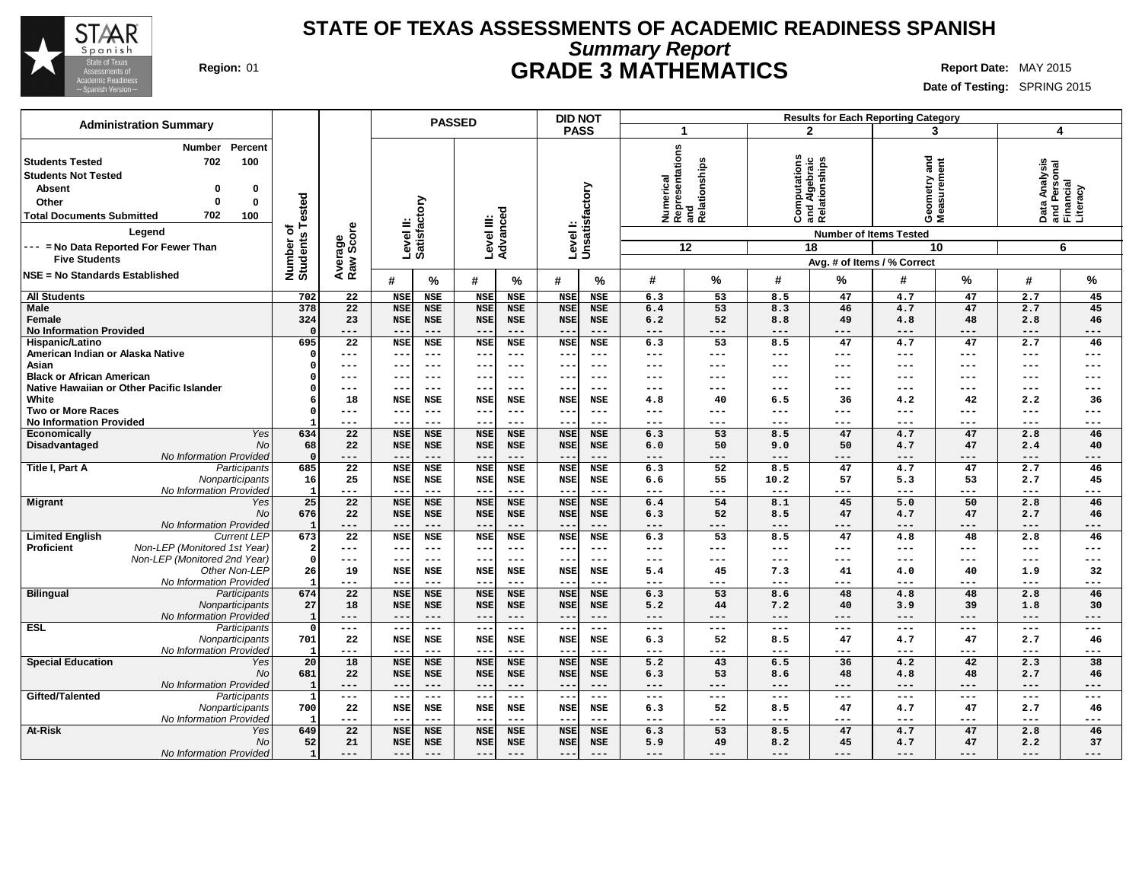

## **STATE OF TEXAS ASSESSMENTS OF ACADEMIC READINESS SPANISH Summary Report Region:** 01 **GRADE 3 MATHEMATICS Report Date:** MAY 2015

| <b>Administration Summary</b>                                         |                    |                       |                        |                          | <b>PASSED</b>              |                        |                     |                             | <b>DID NOT</b>             |              |                                                   |               |                                                | <b>Results for Each Reporting Category</b> |                     |                            |                                                        |
|-----------------------------------------------------------------------|--------------------|-----------------------|------------------------|--------------------------|----------------------------|------------------------|---------------------|-----------------------------|----------------------------|--------------|---------------------------------------------------|---------------|------------------------------------------------|--------------------------------------------|---------------------|----------------------------|--------------------------------------------------------|
|                                                                       |                    |                       |                        |                          |                            |                        |                     | <b>PASS</b>                 |                            | 1            |                                                   |               | $\mathbf{2}$                                   |                                            | 3                   | $\overline{\mathbf{4}}$    |                                                        |
| Number<br>702<br><b>Students Tested</b><br><b>Students Not Tested</b> | Percent<br>100     |                       |                        |                          |                            |                        |                     |                             |                            |              | <br>  Representations<br>  and<br>  Relationships |               | Computations<br>and Algebraic<br>Relationships | and<br>Geometry and<br>Measurement         |                     |                            | Data Analysis<br>and Personal<br>Financial<br>Literacy |
| <b>Absent</b><br>0                                                    | 0                  |                       |                        |                          |                            |                        |                     |                             |                            |              |                                                   |               |                                                |                                            |                     |                            |                                                        |
| Other<br>0                                                            | 0                  |                       |                        |                          |                            |                        |                     |                             |                            |              |                                                   |               |                                                |                                            |                     |                            |                                                        |
| 702<br><b>Total Documents Submitted</b>                               | 100                | Tested                |                        |                          |                            |                        |                     |                             |                            |              |                                                   |               |                                                |                                            |                     |                            |                                                        |
| Legend                                                                |                    | ৳                     | Score                  | Levelll:                 | Satisfactory               | Level III:<br>Advanced |                     | Level I:<br>Unsatisfactory  |                            |              |                                                   |               |                                                | <b>Number of Items Tested</b>              |                     |                            |                                                        |
| --- = No Data Reported For Fewer Than                                 |                    |                       |                        |                          |                            |                        |                     |                             |                            |              | 12                                                |               | 18                                             |                                            | 10                  |                            | 6                                                      |
| <b>Five Students</b>                                                  |                    |                       |                        |                          |                            |                        |                     |                             |                            |              |                                                   |               |                                                | Avg. # of Items / % Correct                |                     |                            |                                                        |
| NSE = No Standards Established                                        |                    | Number of<br>Students | Average<br>Raw Sco     | #                        | %                          | #                      | %                   | #                           | %                          | #            | %                                                 | #             | %                                              | #                                          | %                   | #                          | $\%$                                                   |
| <b>All Students</b>                                                   |                    | 702                   | 22                     | <b>NSE</b>               | <b>NSE</b>                 | <b>NSE</b>             | <b>NSE</b>          | <b>NSE</b>                  | <b>NSE</b>                 | 6.3          | 53                                                | 8.5           | 47                                             | 4.7                                        | 47                  | 2.7                        | 45                                                     |
| Male                                                                  |                    | 378                   | 22                     | <b>NSE</b>               | <b>NSE</b>                 | <b>NSE</b>             | <b>NSE</b>          | <b>NSE</b>                  | <b>NSE</b>                 | 6.4          | 53                                                | 8.3           | 46                                             | 4.7                                        | 47                  | 2.7                        | 45                                                     |
| Female                                                                |                    | 324<br>$\Omega$       | 23                     | <b>NSE</b><br>$- -$      | <b>NSE</b><br>$---$        | <b>NSE</b><br>$--$     | <b>NSE</b>          | <b>NSE</b>                  | <b>NSE</b><br>---          | 6.2          | 52                                                | 8.8           | 49                                             | 4.8                                        | 48<br>$---$         | 2.8                        | 46                                                     |
| <b>No Information Provided</b><br>Hispanic/Latino                     |                    | 695                   | ---<br>$\overline{22}$ | <b>NSE</b>               | <b>NSE</b>                 | <b>NSE</b>             | $---$<br><b>NSE</b> | $ -$<br><b>NSE</b>          | <b>NSE</b>                 | $---$<br>6.3 | ---<br>53                                         | ---<br>8.5    | ---<br>47                                      | $---$<br>4.7                               | 47                  | $---$<br>2.7               | $---$<br>46                                            |
| American Indian or Alaska Native                                      |                    | $\Omega$              | $---$                  | $\qquad \qquad -$        | $---$                      | $- -$                  | $---$               | $- -$                       | ---                        | ---          | ---                                               | ---           | $---$                                          | $---$                                      | $---$               | $---$                      | $---$                                                  |
| Asian                                                                 |                    |                       | ---                    | --                       | $---$                      | $--$                   | $--$                |                             | ---                        | ---          | ---                                               | ---           | ---                                            | ---                                        | $---$               | ---                        | ---                                                    |
| <b>Black or African American</b>                                      |                    |                       | $---$                  | ---                      | $---$                      | $--$                   | $--$                | $\overline{\phantom{m}}$    | $- - -$                    | ---          | ---                                               | ---           | $---$                                          | $---$                                      | $---$               | $---$                      | $---$                                                  |
| Native Hawaiian or Other Pacific Islander                             |                    |                       | $---$                  | $- -$                    | $---$                      | $--$                   | $--$                | $\overline{\phantom{m}}$    | ---                        | ---          | ---                                               | ---           | $---$                                          | $---$                                      | $---$               | $---$                      | $---$                                                  |
| White                                                                 |                    |                       | 18                     | <b>NSE</b>               | NSE                        | NSE                    | <b>NSE</b>          | <b>NSE</b>                  | NSE                        | 4.8          | 40                                                | 6.5           | 36                                             | 4.2                                        | 42                  | 2.2                        | 36                                                     |
| <b>Two or More Races</b>                                              |                    |                       | $---$                  | $- -$                    | $---$                      | $--$                   | $---$               | $\qquad \qquad -$           | ---                        | ---          | ---                                               | ---           | ---                                            | ---                                        | $---$               | $---$                      | $---$                                                  |
| <b>No Information Provided</b><br>Economically                        | Yes                | 634                   | $---$<br>22            | --<br><b>NSE</b>         | $---$<br><b>NSE</b>        | $--$<br><b>NSE</b>     | $--$<br><b>NSE</b>  | $- -$<br><b>NSE</b>         | ---<br><b>NSE</b>          | ---<br>6.3   | ---<br>53                                         | ---<br>8.5    | $---$<br>47                                    | $---$<br>4.7                               | $---$<br>47         | $---$<br>2.8               | $---$<br>46                                            |
| Disadvantaged                                                         | No                 | 68                    | 22                     | <b>NSE</b>               | <b>NSE</b>                 | <b>NSE</b>             | <b>NSE</b>          | <b>NSE</b>                  | <b>NSE</b>                 | 6.0          | 50                                                | 9.0           | 50                                             | 4.7                                        | 47                  | 2.4                        | 40                                                     |
| No Information Provided                                               |                    | $\mathbf 0$           | ---                    | $- -$                    | $---$                      | $---$                  | $---$               |                             | ---                        | ---          | ---                                               | ---           | ---                                            | $---$                                      | $---$               | $---$                      | $---$                                                  |
| Title I, Part A                                                       | Participants       | 685                   | 22                     | <b>NSE</b>               | <b>NSE</b>                 | <b>NSE</b>             | <b>NSE</b>          | <b>NSE</b>                  | NSE                        | 6.3          | 52                                                | 8.5           | 47                                             | 4.7                                        | 47                  | 2.7                        | 46                                                     |
|                                                                       | Nonparticipants    | 16                    | 25                     | <b>NSE</b>               | <b>NSE</b>                 | <b>NSE</b>             | NSE                 | <b>NSE</b>                  | NSE                        | 6.6          | 55                                                | 10.2          | 57                                             | 5.3                                        | 53                  | 2.7                        | 45                                                     |
| No Information Provided                                               |                    | $\mathbf{I}$          | ---                    | $--$                     | $---$                      | $---$                  | $---$               | $- -$                       | ---                        | ---          | ---                                               | ---           | ---                                            | $---$                                      | $---$               | $---$                      | $---$                                                  |
| Migrant                                                               | Yes                | 25                    | 22                     | <b>NSE</b>               | <b>NSE</b>                 | <b>NSE</b>             | <b>NSE</b>          | <b>NSE</b>                  | <b>NSE</b>                 | 6.4          | 54                                                | 8.1           | 45                                             | 5.0                                        | 50                  | 2.8                        | 46                                                     |
| No Information Provided                                               | No                 | 676<br>- 1            | 22<br>$---$            | <b>NSE</b><br>$- -$      | <b>NSE</b><br>$---$        | <b>NSE</b><br>$- -$    | <b>NSE</b><br>$---$ | <b>NSE</b><br>$- -$         | NSE<br>---                 | 6.3<br>---   | 52<br>---                                         | 8.5<br>---    | 47<br>$---$                                    | 4.7<br>$---$                               | 47<br>$---$         | 2.7<br>$- - -$             | 46<br>$---$                                            |
| <b>Limited English</b>                                                | <b>Current LEP</b> | 673                   | 22                     | <b>NSE</b>               | <b>NSE</b>                 | <b>NSE</b>             | <b>NSE</b>          | <b>NSE</b>                  | <b>NSE</b>                 | 6.3          | 53                                                | 8.5           | 47                                             | 4.8                                        | 48                  | 2.8                        | 46                                                     |
| Non-LEP (Monitored 1st Year)<br><b>Proficient</b>                     |                    | 2                     | ---                    | $- -$                    | $---$                      | $--$                   | $---$               | $- -$                       | $--$                       | ---          | ---                                               | $---$         | $---$                                          | $---$                                      | $\frac{1}{2}$       | $---$                      | $--$                                                   |
| Non-LEP (Monitored 2nd Year)                                          |                    | $\mathbf 0$           | $---$                  | $--$                     | $---$                      | $--$                   | $--$                | $\overline{\phantom{m}}$    | $--$                       | $---$        | ---                                               | ---           | $---$                                          | $---$                                      | $---$               | $---$                      | $---$                                                  |
|                                                                       | Other Non-LEP      | 26                    | 19                     | <b>NSE</b>               | NSE                        | <b>NSE</b>             | NSE                 | <b>NSE</b>                  | NSE                        | 5.4          | 45                                                | 7.3           | 41                                             | 4.0                                        | 40                  | 1.9                        | 32                                                     |
| No Information Provided                                               |                    | - 1                   | ---                    | $-$                      | $---$                      | $- -$                  | $---$               | $ -$                        | ---                        | ---          | ---                                               | $---$         | ---                                            | $---$                                      | $--$                | $--$                       | $---$                                                  |
| <b>Bilingual</b>                                                      | Participants       | 674                   | 22                     | <b>NSE</b>               | <b>NSE</b>                 | <b>NSE</b>             | <b>NSE</b>          | <b>NSE</b>                  | <b>NSE</b>                 | 6.3          | 53                                                | 8.6           | 48                                             | 4.8                                        | 48                  | 2.8                        | 46                                                     |
| No Information Provided                                               | Nonparticipants    | 27<br>- 1             | 18<br>$---$            | <b>NSE</b><br>$-\,-$     | <b>NSE</b><br>$---$        | <b>NSE</b><br>$--$     | <b>NSE</b><br>$---$ | <b>NSE</b><br>$ -$          | <b>NSE</b><br>---          | 5.2<br>---   | 44<br>---                                         | 7.2<br>---    | 40<br>$---$                                    | 3.9<br>$---$                               | 39<br>$---$         | 1.8<br>$---$               | 30<br>$---$                                            |
| <b>ESL</b>                                                            | Participants       | $\Omega$              | $\!--$                 | $--$                     | $\frac{1}{2}$              | $---$                  | $\frac{1}{2}$       | $\frac{1}{2}$ .             | $\frac{1}{2}$              | $---$        | $---$                                             | $\frac{1}{2}$ | $---$                                          | $\frac{1}{2}$                              | $\qquad \qquad - -$ | $\frac{1}{2}$              | $---$                                                  |
|                                                                       | Nonparticipants    | 701                   | 22                     | <b>NSE</b>               | NSE                        | <b>NSE</b>             | <b>NSE</b>          | <b>NSE</b>                  | NSE                        | 6.3          | 52                                                | 8.5           | 47                                             | 4.7                                        | 47                  | 2.7                        | 46                                                     |
| No Information Provided                                               |                    | -1                    | ---                    | $-$                      | $---$                      | $- -$                  | $--$                | $-$                         | ---                        | $---$        | ---                                               | $---$         | $---$                                          | $---$                                      | $---$               | $---$                      | $---$                                                  |
| <b>Special Education</b>                                              | Yes                | 20                    | 18                     | <b>NSE</b>               | <b>NSE</b>                 | <b>NSE</b>             | <b>NSE</b>          | <b>NSE</b>                  | <b>NSE</b>                 | 5.2          | 43                                                | 6.5           | 36                                             | 4.2                                        | 42                  | 2.3                        | 38                                                     |
|                                                                       | No                 | 681                   | 22                     | <b>NSE</b>               | <b>NSE</b>                 | <b>NSE</b>             | <b>NSE</b>          | <b>NSE</b>                  | NSE                        | 6.3          | 53                                                | 8.6           | 48                                             | 4.8                                        | 48                  | 2.7                        | 46                                                     |
| No Information Provided                                               |                    | - 1                   | $---$                  | $- -$                    | $---$                      | $--$                   | $---$               | $\overline{\phantom{m}}$    | ---                        | $---$        | ---                                               | $---$         | $---$                                          | $---$                                      | $---$               | $- - -$                    | $---$                                                  |
| Gifted/Talented                                                       | Participants       | - 1<br>700            | $\!--$<br>22           | $--$<br>NSE              | $\qquad \qquad - -$<br>NSE | $- - -$<br>NSE         | $---$<br>NSE        | $\sim$ $\sim$<br><b>NSE</b> | $\qquad \qquad - -$<br>NSE | $---$<br>6.3 | ---<br>52                                         | $---$<br>8.5  | $---$<br>47                                    | $\qquad \qquad - -$<br>4.7                 | $- -$<br>47         | $\qquad \qquad - -$<br>2.7 | $---$<br>46                                            |
| No Information Provided                                               | Nonparticipants    | - 1                   | $---$                  | $\overline{\phantom{a}}$ | $---$                      | $- -$                  | $---$               | $- -$                       | ---                        | $---$        | ---                                               | ---           | $---$                                          | $---$                                      | $---$               | $- - -$                    | $--$                                                   |
| <b>At-Risk</b>                                                        | Yes                | 649                   | 22                     | <b>NSE</b>               | <b>NSE</b>                 | <b>NSE</b>             | <b>NSE</b>          | <b>NSE</b>                  | <b>NSE</b>                 | 6.3          | 53                                                | 8.5           | 47                                             | 4.7                                        | 47                  | 2.8                        | 46                                                     |
|                                                                       | No                 | 52                    | 21                     | <b>NSE</b>               | <b>NSE</b>                 | <b>NSE</b>             | <b>NSE</b>          | <b>NSE</b>                  | NSE                        | 5.9          | 49                                                | 8.2           | 45                                             | 4.7                                        | 47                  | 2.2                        | 37                                                     |
| No Information Provided                                               |                    | $\mathbf{1}$          | $---$                  | $--$                     | $---$                      | $--$                   | $---$               | $- -$                       | $---$                      | $---$        | ---                                               | $---$         | $---$                                          | $---$                                      | $---$               | $---$                      | ---                                                    |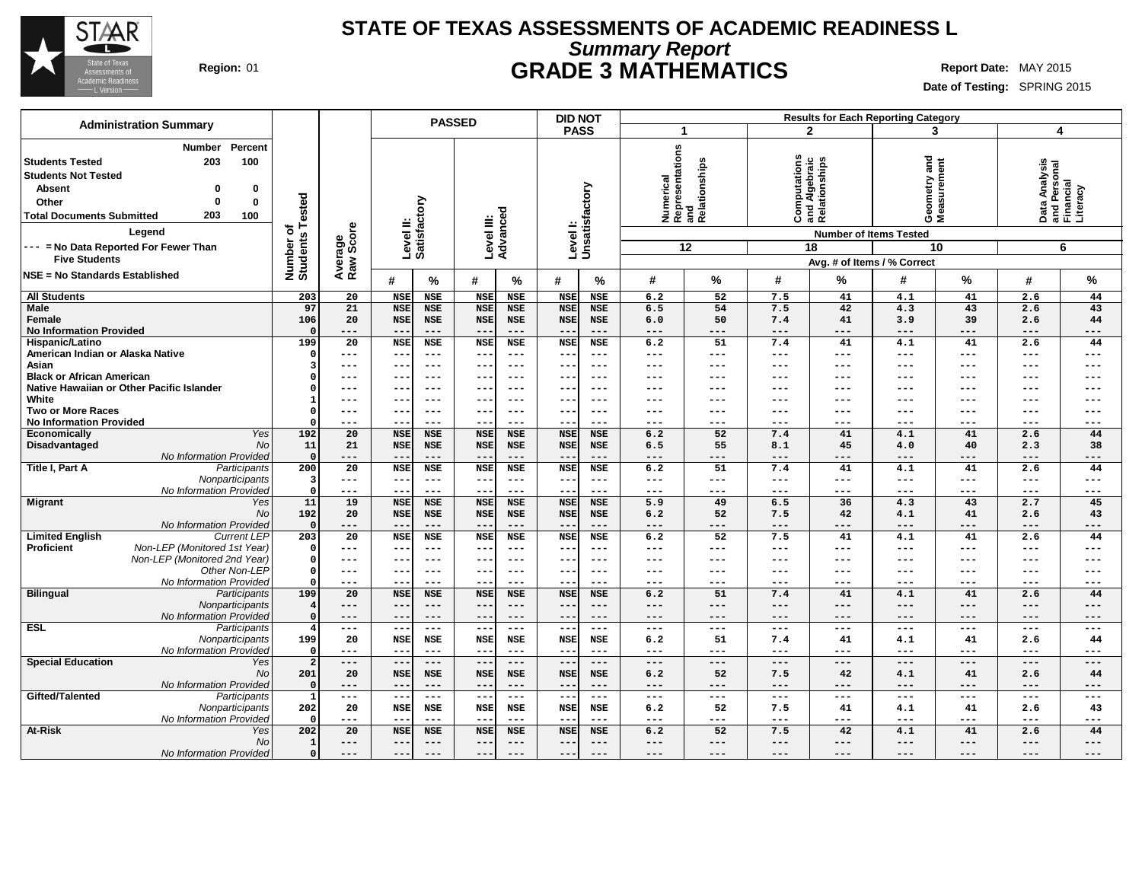

### **STATE OF TEXAS ASSESSMENTS OF ACADEMIC READINESS L Summary Report Region:** 01 **GRADE 3 MATHEMATICS Report Date:** MAY 2015

| <b>Administration Summary</b>                                                                                                                                                                                                                                             |                                     |                      |                                     | <b>PASSED</b>                     |                                   |                                   | <b>DID NOT</b>                   |                                   |                   |                                               |                   | <b>Results for Each Reporting Category</b>                                                                           |                                    |                     |                            |                                                             |
|---------------------------------------------------------------------------------------------------------------------------------------------------------------------------------------------------------------------------------------------------------------------------|-------------------------------------|----------------------|-------------------------------------|-----------------------------------|-----------------------------------|-----------------------------------|----------------------------------|-----------------------------------|-------------------|-----------------------------------------------|-------------------|----------------------------------------------------------------------------------------------------------------------|------------------------------------|---------------------|----------------------------|-------------------------------------------------------------|
|                                                                                                                                                                                                                                                                           |                                     |                      |                                     |                                   |                                   |                                   | <b>PASS</b>                      |                                   |                   | 1                                             |                   | $\mathbf{2}$                                                                                                         | 3                                  |                     | $\overline{4}$             |                                                             |
| Percent<br><b>Number</b><br><b>Students Tested</b><br>203<br>100<br><b>Students Not Tested</b><br><b>Absent</b><br>0<br>0<br>0<br>Other<br>0<br>203<br>100<br><b>Total Documents Submitted</b><br>Legend<br>--- = No Data Reported For Fewer Than<br><b>Five Students</b> | Tested<br>৳<br>Number o<br>Students | Average<br>Raw Score | Level II:                           | Satisfactory                      | Level III:                        | Advanced                          | Levell:<br>Unsatisfactory        |                                   | Numerical         | Representations<br>and<br>Relationships<br>12 |                   | Computations<br>and Algebraic<br>Relationships<br><b>Number of Items Tested</b><br>18<br>Avg. # of Items / % Correct | and<br>Geometry and<br>Measurement | 10                  |                            | Data Analysis<br>and Personal<br>Financial<br>Literacy<br>6 |
| <b>NSE = No Standards Established</b>                                                                                                                                                                                                                                     |                                     |                      | #                                   | $\%$                              | #                                 | $\%$                              | #                                | %                                 | #                 | %                                             | #                 | %                                                                                                                    | #                                  | %                   | #                          | $\%$                                                        |
| <b>All Students</b>                                                                                                                                                                                                                                                       | 203                                 | 20                   | <b>NSE</b>                          | NSE                               | <b>NSE</b>                        | <b>NSE</b>                        | <b>NSE</b>                       | <b>NSE</b>                        | 6.2               | 52                                            | 7.5               | 41                                                                                                                   | 4.1                                | 41                  | 2.6                        | 44                                                          |
| Male<br>Female<br><b>No Information Provided</b>                                                                                                                                                                                                                          | 97<br>106                           | 21<br>20<br>---      | <b>NSE</b><br><b>NSE</b><br>$-\, -$ | <b>NSE</b><br><b>NSE</b><br>$---$ | <b>NSE</b><br><b>NSE</b><br>$- -$ | <b>NSE</b><br><b>NSE</b><br>$---$ | <b>NSE</b><br><b>NSE</b><br>$ -$ | <b>NSE</b><br><b>NSE</b><br>$---$ | 6.5<br>6.0<br>--- | 54<br>50<br>---                               | 7.5<br>7.4<br>--- | 42<br>41<br>---                                                                                                      | 4.3<br>3.9<br>$---$                | 43<br>39<br>$---$   | 2.6<br>2.6<br>$---$        | 43<br>44<br>$---$                                           |
| Hispanic/Latino                                                                                                                                                                                                                                                           | 199                                 | $\overline{20}$      | <b>NSE</b>                          | <b>NSE</b>                        | <b>NSE</b>                        | <b>NSE</b>                        | <b>NSE</b>                       | <b>NSE</b>                        | 6.2               | 51                                            | 7.4               | 41                                                                                                                   | 4.1                                | 41                  | 2.6                        | 44                                                          |
| American Indian or Alaska Native                                                                                                                                                                                                                                          |                                     | ---                  | $---$                               | $---$                             | $---$                             | $---$                             | $- -$                            | ---                               | ---               | ---                                           | ---               | ---                                                                                                                  | $---$                              | $---$               | $---$                      | $--$                                                        |
| Asian                                                                                                                                                                                                                                                                     |                                     | ---                  | --                                  | $---$                             | $- -$                             | $--$                              |                                  | ---                               | ---               | ---                                           | ---               | ---                                                                                                                  | ---                                | $---$               | ---                        | ---                                                         |
| <b>Black or African American</b><br>Native Hawaiian or Other Pacific Islander                                                                                                                                                                                             |                                     | $---$<br>$---$       | --<br>--                            | $---$<br>$---$                    | $--$<br>$- -$                     | $--$<br>$- - -$                   | $- -$<br>$- -$                   | $--$<br>---                       | ---<br>---        | ---<br>---                                    | ---<br>---        | $---$<br>---                                                                                                         | $---$<br>---                       | $---$<br>$-- -$     | $---$<br>$---$             | $---$<br>---                                                |
| White                                                                                                                                                                                                                                                                     |                                     | $---$                | --                                  | $---$                             | $- -$                             | $- - -$                           | $- -$                            | ---                               | ---               | ---                                           | ---               | $---$                                                                                                                | ---                                | $---$               | $---$                      | $---$                                                       |
| <b>Two or More Races</b>                                                                                                                                                                                                                                                  |                                     | $---$                | --                                  | $---$                             | ---                               | $---$                             | --                               | ---                               | ---               | ---                                           | ---               | ---                                                                                                                  | ---                                | $---$               | $---$                      | $---$                                                       |
| <b>No Information Provided</b>                                                                                                                                                                                                                                            |                                     | ---                  | --                                  | $--$                              | $- -$                             | $--$                              | $- -$                            | $--$                              | ---               | ---                                           | ---               | ---                                                                                                                  | ---                                | $---$               | $---$                      | $---$                                                       |
| Economically<br>Yes                                                                                                                                                                                                                                                       | 192                                 | 20                   | <b>NSE</b>                          | <b>NSE</b>                        | <b>NSE</b>                        | <b>NSE</b>                        | <b>NSE</b>                       | <b>NSE</b>                        | 6.2               | 52                                            | 7.4               | 41                                                                                                                   | 4.1                                | 41                  | 2.6                        | 44                                                          |
| Disadvantaged<br>No                                                                                                                                                                                                                                                       | 11                                  | 21                   | <b>NSE</b>                          | <b>NSE</b>                        | <b>NSE</b>                        | <b>NSE</b>                        | <b>NSE</b>                       | <b>NSE</b>                        | 6.5               | 55                                            | 8.1               | 45                                                                                                                   | 4.0                                | 40                  | 2.3                        | 38                                                          |
| No Information Provided                                                                                                                                                                                                                                                   | $\Omega$                            | ---                  | $- -$                               | $---$                             | $---$                             | $---$                             |                                  | $---$                             | ---               | ---                                           | ---               | ---                                                                                                                  | ---                                | $---$               | $---$                      | $---$                                                       |
| Title I, Part A<br>Participants                                                                                                                                                                                                                                           | 200                                 | 20                   | <b>NSE</b>                          | NSE                               | <b>NSE</b>                        | NSE                               | <b>NSE</b>                       | NSE                               | 6.2               | 51                                            | 7.4               | 41                                                                                                                   | 4.1                                | 41                  | 2.6                        | 44                                                          |
| Nonparticipants                                                                                                                                                                                                                                                           |                                     | $---$                | $- -$                               | $---$                             | $--$                              | $---$                             | $- -$                            | $---$                             | ---               | ---                                           | $---$             | $---$                                                                                                                | $---$                              | $- -$               | $---$                      | $---$                                                       |
| No Information Provided                                                                                                                                                                                                                                                   | $\Omega$<br>11                      | ---<br>19            | --<br><b>NSE</b>                    | $---$<br><b>NSE</b>               | $--$<br><b>NSE</b>                | $---$<br><b>NSE</b>               | $-\,-$<br><b>NSE</b>             | $---$<br><b>NSE</b>               | ---<br>5.9        | ---<br>49                                     | ---<br>6.5        | ---<br>36                                                                                                            | ---<br>4.3                         | $---$<br>43         | $\qquad \qquad - -$<br>2.7 | $---$<br>45                                                 |
| Yes<br><b>Migrant</b><br>No                                                                                                                                                                                                                                               | 192                                 | 20                   | <b>NSE</b>                          | NSE                               | <b>NSE</b>                        | NSE                               | <b>NSE</b>                       | <b>NSE</b>                        | 6.2               | 52                                            | 7.5               | 42                                                                                                                   | 4.1                                | 41                  | 2.6                        | 43                                                          |
| No Information Provided                                                                                                                                                                                                                                                   | $\Omega$                            | ---                  | --                                  | $---$                             | $- -$                             | $---$                             | $ -$                             | $---$                             | ---               | ---                                           | ---               | $---$                                                                                                                | $---$                              | $---$               | $- - -$                    | $---$                                                       |
| <b>Limited English</b><br><b>Current LEP</b>                                                                                                                                                                                                                              | 203                                 | 20                   | <b>NSE</b>                          | <b>NSE</b>                        | <b>NSE</b>                        | <b>NSE</b>                        | <b>NSE</b>                       | NSE                               | 6.2               | 52                                            | 7.5               | 41                                                                                                                   | 4.1                                | 41                  | 2.6                        | 44                                                          |
| Proficient<br>Non-LEP (Monitored 1st Year)                                                                                                                                                                                                                                | - 0                                 | ---                  | $\overline{\phantom{m}}$            | $---$                             | $\sim$ $\sim$                     | $---$                             | $ -$                             | $--$                              | ---               | ---                                           | ---               | $---$                                                                                                                | $---$                              | $---$               | $---$                      | $---$                                                       |
| Non-LEP (Monitored 2nd Year)                                                                                                                                                                                                                                              | $\Omega$                            | $---$                | --                                  | $---$                             | $---$                             | $- - -$                           | $\overline{\phantom{m}}$         | $--$                              | ---               | ---                                           | ---               | $---$                                                                                                                | $---$                              | $---$               | $---$                      | $---$                                                       |
| Other Non-LEP                                                                                                                                                                                                                                                             |                                     | $---$                | --                                  | $---$                             | $---$                             | $---$                             | $ -$                             | $---$                             | ---               | ---                                           | ---               | ---                                                                                                                  | ---                                | $---$               | $---$                      | $---$                                                       |
| No Information Provideo                                                                                                                                                                                                                                                   |                                     | ---                  |                                     | $--$                              |                                   | $--$                              |                                  | $--$                              | ---               |                                               | ---               | ---                                                                                                                  | ---                                | $- -$               | $--$                       | $---$                                                       |
| <b>Bilingual</b><br>Participants                                                                                                                                                                                                                                          | 199                                 | 20                   | <b>NSE</b>                          | <b>NSE</b>                        | <b>NSE</b>                        | <b>NSE</b>                        | <b>NSE</b>                       | <b>NSE</b>                        | 6.2               | 51                                            | 7.4               | 41                                                                                                                   | 4.1                                | 41                  | 2.6                        | 44                                                          |
| Nonparticipants<br>No Information Provideo                                                                                                                                                                                                                                | $\Omega$                            | ---<br>$---$         | --<br>--                            | $---$<br>$---$                    | $\qquad \qquad -$<br>$---$        | $---$<br>$---$                    | $- -$<br>$- -$                   | $---$<br>---                      | ---<br>---        | ---<br>---                                    | ---<br>---        | $---$<br>$---$                                                                                                       | $---$<br>$---$                     | $---$<br>$---$      | $---$<br>$---$             | $---$<br>---                                                |
| <b>ESL</b><br>Participants                                                                                                                                                                                                                                                | $\overline{\bf{4}}$                 | $\qquad \qquad - -$  | $\frac{1}{2}$                       | $\qquad \qquad - -$               | $- -$                             | $---$                             | $--$                             | $  -$                             | $---$             | $---$                                         | $---$             | $---$                                                                                                                | $---$                              | $\qquad \qquad - -$ | $\frac{1}{2}$              | $---$                                                       |
| Nonparticipants                                                                                                                                                                                                                                                           | 199                                 | 20                   | <b>NSE</b>                          | NSE                               | <b>NSE</b>                        | <b>NSE</b>                        | <b>NSE</b>                       | NSE                               | 6.2               | 51                                            | 7.4               | 41                                                                                                                   | 4.1                                | 41                  | 2.6                        | 44                                                          |
| No Information Provided                                                                                                                                                                                                                                                   | $\Omega$                            | $---$                | $\overline{\phantom{m}}$            | $---$                             | $- -$                             | $---$                             | $-$                              | $--$                              | ---               | ---                                           | ---               | $---$                                                                                                                | $---$                              | $---$               | $- - -$                    | $---$                                                       |
| <b>Special Education</b><br>Yes                                                                                                                                                                                                                                           | $\overline{a}$                      | $---$                | $-\,-$                              | $---$                             | $---$                             | $---$                             | $\overline{\phantom{m}}$ .       | $- - -$                           | $-- -$            | ---                                           | $---$             | $---$                                                                                                                | $---$                              | $---$               | $---$                      | $---$                                                       |
| No                                                                                                                                                                                                                                                                        | 201                                 | 20                   | <b>NSE</b>                          | <b>NSE</b>                        | <b>NSE</b>                        | NSE                               | <b>NSE</b>                       | NSE                               | 6.2               | 52                                            | 7.5               | 42                                                                                                                   | 4.1                                | 41                  | 2.6                        | 44                                                          |
| No Information Provided                                                                                                                                                                                                                                                   | $\Omega$                            | $---$                | $\qquad \qquad -$                   | $---$                             | $--$                              | $---$                             | $ -$                             | $---$                             | ---               | ---                                           | ---               | $---$                                                                                                                | $---$                              | $\qquad \qquad - -$ | $---$                      | $---$                                                       |
| Gifted/Talented<br>Participants                                                                                                                                                                                                                                           | $\mathbf{1}$                        | $\qquad \qquad - -$  | $\overline{\phantom{a}}$            | $---$                             | $---$                             | $---$                             | $--$                             | $\frac{1}{2}$                     | ---               | ---                                           | $---$             | $---$                                                                                                                | $\qquad \qquad - -$                | $- -$               | $\qquad \qquad - -$        | $---$                                                       |
| Nonparticipants                                                                                                                                                                                                                                                           | 202                                 | 20                   | <b>NSE</b>                          | NSE                               | NSE                               | NSE                               | NSE                              | NSE                               | 6.2               | 52                                            | 7.5               | 41                                                                                                                   | 4.1                                | 41                  | 2.6                        | 43                                                          |
| No Information Provided                                                                                                                                                                                                                                                   |                                     | $---$                | --                                  | $---$                             | $- -$                             | $---$                             | $- -$                            | $--$                              | ---               | ---                                           | ---               | $---$                                                                                                                | $---$                              | $---$               | $- - -$                    | $--$                                                        |
| At-Risk<br>Yes<br>No                                                                                                                                                                                                                                                      | 202                                 | 20                   | <b>NSE</b>                          | <b>NSE</b><br>$---$               | <b>NSE</b>                        | <b>NSE</b><br>$---$               | <b>NSE</b>                       | <b>NSE</b><br>$---$               | 6.2<br>---        | 52<br>---                                     | 7.5               | 42                                                                                                                   | 4.1                                | 41<br>$---$         | 2.6                        | 44                                                          |
| No Information Provided                                                                                                                                                                                                                                                   | 0                                   | ---<br>$---$         | --<br>$--$                          | $---$                             | $-\,-$<br>$--$                    | $---$                             | $\overline{\phantom{m}}$         | $---$                             | ---               | $---$                                         | ---<br>---        | $---$<br>$---$                                                                                                       | $---$<br>$---$                     | $---$               | ---<br>$---$               | $---$<br>---                                                |
|                                                                                                                                                                                                                                                                           |                                     |                      |                                     |                                   |                                   |                                   |                                  |                                   |                   |                                               |                   |                                                                                                                      |                                    |                     |                            |                                                             |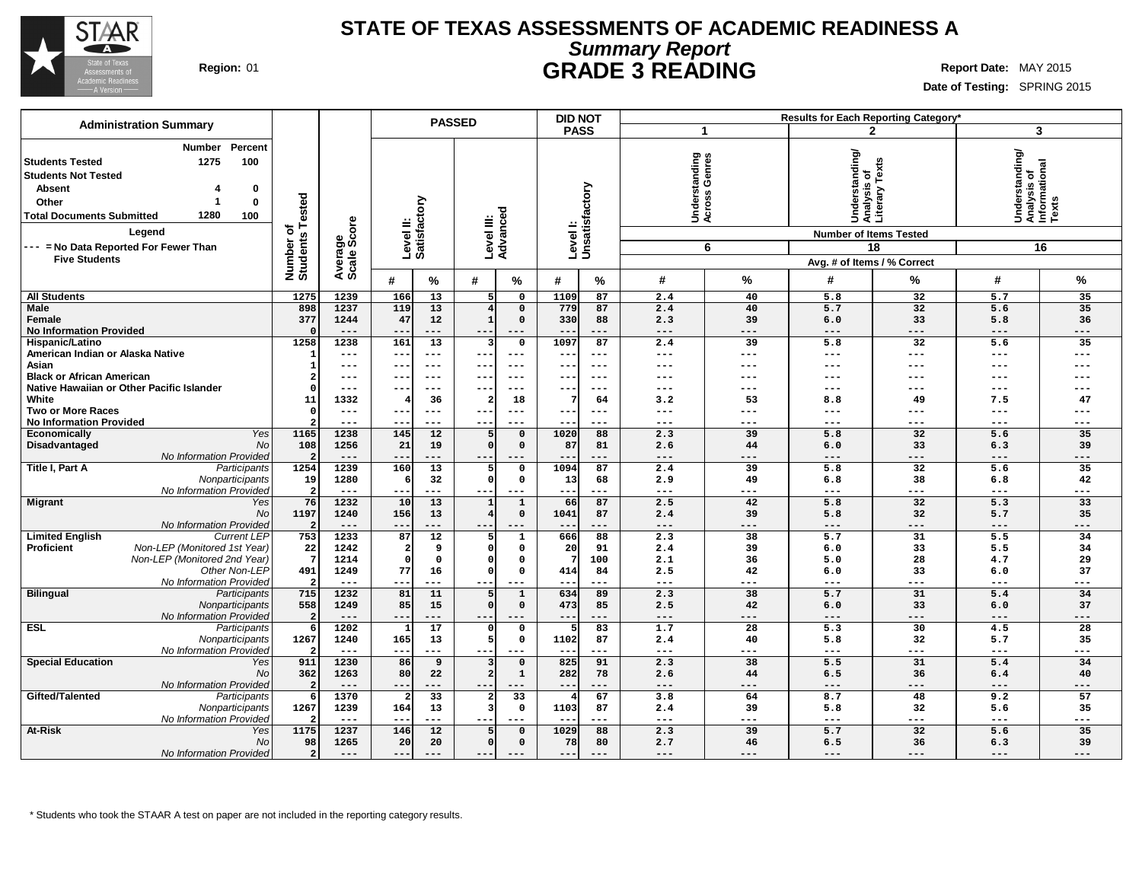

### **STATE OF TEXAS ASSESSMENTS OF ACADEMIC READINESS A Summary Report Region:** 01 **GRADE 3 READING Report Date:** MAY 2015

**Date of Testing:** SPRING 2015

| <b>Administration Summary</b>                                                                                                                                                                                                                              |                                           |                        |                                               | <b>PASSED</b>                           |                                    | <b>DID NOT</b> |                                           |              |                                                                                                                 | <b>Results for Each Reporting Category'</b> |                                                            |             |
|------------------------------------------------------------------------------------------------------------------------------------------------------------------------------------------------------------------------------------------------------------|-------------------------------------------|------------------------|-----------------------------------------------|-----------------------------------------|------------------------------------|----------------|-------------------------------------------|--------------|-----------------------------------------------------------------------------------------------------------------|---------------------------------------------|------------------------------------------------------------|-------------|
|                                                                                                                                                                                                                                                            |                                           |                        |                                               |                                         |                                    | <b>PASS</b>    | -1                                        |              |                                                                                                                 | $\mathbf{2}$                                |                                                            | 3           |
| Percent<br><b>Number</b><br>1275<br>100<br>Students Tested<br><b>Students Not Tested</b><br><b>Absent</b><br>0<br>0<br>Other<br>1280<br>100<br><b>Total Documents Submitted</b><br>Legend<br>--- = No Data Reported For Fewer Than<br><b>Five Students</b> | ested<br>፝፝፝፝፝፝፝፝<br>Number o<br>Students | Average<br>Scale Score | ξ<br>Levelll:<br>Satisfact                    | Level III:<br>Advanced                  | Level I:                           | Unsatisfactory | tanding<br>Genres<br>derst<br>ross<br>š ই | ق<br>6       | Understanding/<br>Analysis of<br>Literary Texts<br><b>Number of Items Tested</b><br>Avg. # of Items / % Correct | 18                                          | Understanding/<br> Analysis of<br> Informational<br> Texts | 16          |
|                                                                                                                                                                                                                                                            |                                           |                        | #<br>%                                        | %<br>#                                  | #                                  | %              | #                                         | %            | #                                                                                                               | %                                           | #                                                          | %           |
| <b>All Students</b>                                                                                                                                                                                                                                        | 1275                                      | 1239                   | 166<br>13                                     | 5                                       | 1109<br>$\mathbf 0$                | 87             | 2.4                                       | 40           | 5.8                                                                                                             | 32                                          | 5.7                                                        | 35          |
| <b>Male</b>                                                                                                                                                                                                                                                | 898                                       | 1237                   | 119<br>13                                     | $\overline{4}$                          | 779<br>$\mathbf 0$                 | 87             | 2.4                                       | 40           | 5.7                                                                                                             | 32                                          | 5.6                                                        | 35          |
| Female                                                                                                                                                                                                                                                     | 377                                       | 1244                   | 47<br>12                                      | $\mathbf{1}$                            | $\mathbf 0$<br>330                 | 88             | 2.3                                       | 39           | 6.0                                                                                                             | 33                                          | 5.8                                                        | 36          |
| <b>No Information Provided</b>                                                                                                                                                                                                                             |                                           | ---                    | ---<br>$- -$                                  | --                                      | $- -$                              | ---            | $---$                                     | $---$        | $---$                                                                                                           | $---$                                       | $---$                                                      | ---         |
| Hispanic/Latino                                                                                                                                                                                                                                            | 1258                                      | 1238                   | 161<br>13                                     | 3                                       | 1097<br>$\mathbf 0$                | 87             | 2.4                                       | 39           | 5.8                                                                                                             | 32                                          | 5.6                                                        | 35          |
| American Indian or Alaska Native                                                                                                                                                                                                                           | $\mathbf{1}$                              | ---                    | $ -$<br>$- - -$                               | $\frac{1}{2}$<br>$- -$                  | $- -$                              | $- - -$        | $- - -$                                   | $- - -$      | $---$                                                                                                           | $- - -$                                     | $- - -$                                                    | ---         |
| Asian                                                                                                                                                                                                                                                      | 1                                         | ---                    | $\qquad \qquad -$<br>---                      | $---$<br>--                             | $- - -$                            | $---$          | ---                                       | ---          | ---                                                                                                             |                                             | ---                                                        | ---         |
| <b>Black or African American</b>                                                                                                                                                                                                                           | 2                                         | ---                    | $ -$<br>---                                   | $- - -$                                 | --                                 | $--$           | ---                                       | ---          | ---                                                                                                             | ---                                         |                                                            |             |
| Native Hawaiian or Other Pacific Islander                                                                                                                                                                                                                  | $\Omega$                                  | $---$                  | $- -$<br>---                                  | ---                                     | $- -$                              | $- - -$        | ---                                       | $---$        | $---$                                                                                                           | $--$                                        | ---                                                        |             |
| White                                                                                                                                                                                                                                                      | 11                                        | 1332                   | 36                                            | $\overline{2}$                          | 18<br>7                            | 64             | 3.2                                       | 53           | 8.8                                                                                                             | 49                                          | 7.5                                                        | 47          |
| <b>Two or More Races</b><br><b>No Information Provided</b>                                                                                                                                                                                                 | $^{\circ}$<br>$\overline{a}$              | ---<br>---             | $-$<br>---<br>$\overline{\phantom{m}}$<br>--- | $- - -$<br>$\qquad \qquad - -$<br>$- -$ | $- - -$                            | ---<br>---     | $---$<br>$---$                            | ---<br>$---$ | $---$<br>$\qquad \qquad - -$                                                                                    | ---<br>$---$                                | ---<br>$---$                                               | ---         |
| Economically<br>Yes                                                                                                                                                                                                                                        | 1165                                      | 1238                   | 145<br>12                                     | 5                                       | 1020<br>$\mathbf 0$                | 88             | 2.3                                       | 39           | 5.8                                                                                                             | 32                                          | 5.6                                                        | 35          |
| Disadvantaged<br>No                                                                                                                                                                                                                                        | 108                                       | 1256                   | 21<br>19                                      | $\Omega$                                | $\mathbf 0$<br>87                  | 81             | 2.6                                       | 44           | 6.0                                                                                                             | 33                                          | 6.3                                                        | 39          |
| No Information Provided                                                                                                                                                                                                                                    | $\overline{2}$                            | ---                    | ---<br>$\qquad \qquad -$                      |                                         |                                    | ---            |                                           | ---          | $---$                                                                                                           | ---                                         | ---                                                        | ---         |
| Title I, Part A<br>Participants                                                                                                                                                                                                                            | 1254                                      | 1239                   | 160<br>13                                     | 5                                       | $\mathsf{o}\,$<br>1094             | 87             | 2.4                                       | 39           | 5.8                                                                                                             | 32                                          | 5.6                                                        | 35          |
| Nonparticipants                                                                                                                                                                                                                                            | 19                                        | 1280                   | 32                                            | $\Omega$                                | $\mathbf 0$<br>13                  | 68             | 2.9                                       | 49           | 6.8                                                                                                             | 38                                          | 6.8                                                        | 42          |
| No Information Provided                                                                                                                                                                                                                                    | $\overline{2}$                            | $- - -$                | ---                                           | $- - -$<br>--                           | $- -$                              | ---            | $- - -$                                   | $- - -$      | $---$                                                                                                           | $- - -$                                     | $---$                                                      | ---         |
| <b>Migrant</b><br>Yes                                                                                                                                                                                                                                      | 76                                        | 1232                   | 10<br>13                                      |                                         | $\mathbf{1}$<br>66                 | 87             | 2.5                                       | 42           | 5.8                                                                                                             | 32                                          | 5.3                                                        | 33          |
| <b>No</b>                                                                                                                                                                                                                                                  | 1197                                      | 1240                   | 156<br>13                                     | 4                                       | $\mathbf 0$<br>1041                | 87             | 2.4                                       | 39           | 5.8                                                                                                             | 32                                          | 5.7                                                        | 35          |
| No Information Provided                                                                                                                                                                                                                                    | $\overline{2}$                            | $---$                  | ---<br>$- -$                                  | $---$                                   | $- -$                              | ---            | $---$                                     | ---          | $--$                                                                                                            | $---$                                       | $---$                                                      | ---         |
| <b>Limited English</b><br><b>Current LEF</b>                                                                                                                                                                                                               | 753                                       | 1233                   | 87<br>12                                      | 5                                       | 666<br>$\mathbf 1$                 | 88             | 2.3                                       | 38           | 5.7                                                                                                             | 31                                          | 5.5                                                        | 34          |
| <b>Proficient</b><br>Non-LEP (Monitored 1st Year)<br>Non-LEP (Monitored 2nd Year)                                                                                                                                                                          | 22<br>-7                                  | 1242                   | 9                                             | O<br>O                                  | $\mathbf 0$<br>20<br>$\Omega$<br>7 | 91             | 2.4                                       | 39           | 6.0                                                                                                             | 33                                          | 5.5                                                        | 34          |
| Other Non-LEP                                                                                                                                                                                                                                              | 491                                       | 1214<br>1249           | $\mathbf 0$<br>77<br>16                       | $\Omega$                                | $\Omega$<br>414                    | 100<br>84      | 2.1<br>2.5                                | 36<br>42     | 5.0<br>6.0                                                                                                      | 28<br>33                                    | 4.7<br>6.0                                                 | 29<br>37    |
| No Information Provided                                                                                                                                                                                                                                    | $\overline{a}$                            | ---                    | $\qquad \qquad -$<br>---                      | $- - -$                                 | --                                 | ---            | $---$                                     | ---          | $\qquad \qquad - -$                                                                                             | $- - -$                                     | $- - -$                                                    | ---         |
| <b>Bilingual</b><br>Participants                                                                                                                                                                                                                           | 715                                       | 1232                   | 81<br>11                                      | 5                                       | 634<br>$\mathbf{1}$                | 89             | 2.3                                       | 38           | 5.7                                                                                                             | 31                                          | 5.4                                                        | 34          |
| Nonparticipants                                                                                                                                                                                                                                            | 558                                       | 1249                   | 85<br>15                                      | $\Omega$                                | $\mathsf{o}\,$<br>473              | 85             | 2.5                                       | 42           | 6.0                                                                                                             | 33                                          | 6.0                                                        | 37          |
| No Information Provided                                                                                                                                                                                                                                    | $\overline{2}$                            | $---$                  | $\overline{\phantom{m}}$<br>---               | $---$<br>$- -$                          | $--$                               | ---            | $---$                                     | $---$        | $---$                                                                                                           | $---$                                       | $---$                                                      | ---         |
| ESL<br>Participants                                                                                                                                                                                                                                        | 6                                         | 1202                   | 17<br>-1                                      | $\Omega$                                | $\mathsf{o}\,$<br>5                | 83             | 1.7                                       | 28           | 5.3                                                                                                             | 30                                          | 4.5                                                        | 28          |
| Nonparticipants                                                                                                                                                                                                                                            | 1267                                      | 1240                   | 165<br>13                                     | 5                                       | $\mathbf 0$<br>1102                | 87             | 2.4                                       | 40           | 5.8                                                                                                             | 32                                          | 5.7                                                        | 35          |
| No Information Provided                                                                                                                                                                                                                                    | $\overline{2}$                            | $- - -$                | ---<br>$- -$                                  | $---$                                   | $-$                                | ---            | $---$                                     | $---$        | $---$                                                                                                           | $---$                                       | ---                                                        | ---         |
| <b>Special Education</b><br>Yes                                                                                                                                                                                                                            | 911                                       | 1230                   | 86<br>9                                       | 3                                       | 825<br>$\mathbf 0$                 | 91             | 2.3                                       | 38           | 5.5                                                                                                             | 31                                          | 5.4                                                        | 34          |
| <b>No</b>                                                                                                                                                                                                                                                  | 362                                       | 1263                   | 80<br>22                                      | $\overline{a}$                          | $\mathbf 1$<br>282                 | 78             | 2.6                                       | 44           | 6.5                                                                                                             | 36                                          | 6.4                                                        | 40          |
| No Information Provided                                                                                                                                                                                                                                    | $\overline{2}$                            | ---                    | ---<br>$--$                                   | $---$<br>--                             | ---                                | ---            | $---$                                     | ---          | $---$                                                                                                           | $---$                                       | ---                                                        | ---         |
| Gifted/Talented<br>Participants                                                                                                                                                                                                                            | 6                                         | 1370                   | 33                                            | 2<br>3                                  | 33<br>4<br>1103                    | 67             | 3.8                                       | 64<br>39     | 8.7                                                                                                             | 48                                          | 9.2                                                        | 57          |
| Nonparticipants<br>No Information Provided                                                                                                                                                                                                                 | 1267<br>2                                 | 1239<br>$---$          | 164<br>13<br>---<br>$- -$                     | ---<br>$- - -$                          | 0<br>$- -$                         | 87<br>---      | 2.4<br>$---$                              | $---$        | 5.8<br>$---$                                                                                                    | 32<br>$---$                                 | 5.6<br>$- - -$                                             | 35<br>$---$ |
| <b>At-Risk</b><br>Yes                                                                                                                                                                                                                                      | 1175                                      | 1237                   | 146<br>12                                     | 5                                       | 1029<br>$\Omega$                   | 88             | 2.3                                       | 39           | 5.7                                                                                                             | 32                                          | 5.6                                                        | 35          |
| <b>No</b>                                                                                                                                                                                                                                                  | 98                                        | 1265                   | 20<br>20                                      | $\Omega$                                | 78<br>$\mathbf 0$                  | 80             | 2.7                                       | 46           | 6.5                                                                                                             | 36                                          | 6.3                                                        | 39          |
| No Information Provided                                                                                                                                                                                                                                    | $\overline{2}$                            | $---$                  | $- -$<br>$---$                                | $---$<br>$---$                          | $---$                              | $---$          | $---$                                     | $---$        | $---$                                                                                                           | $---$                                       | $---$                                                      | $---$       |
|                                                                                                                                                                                                                                                            |                                           |                        |                                               |                                         |                                    |                |                                           |              |                                                                                                                 |                                             |                                                            |             |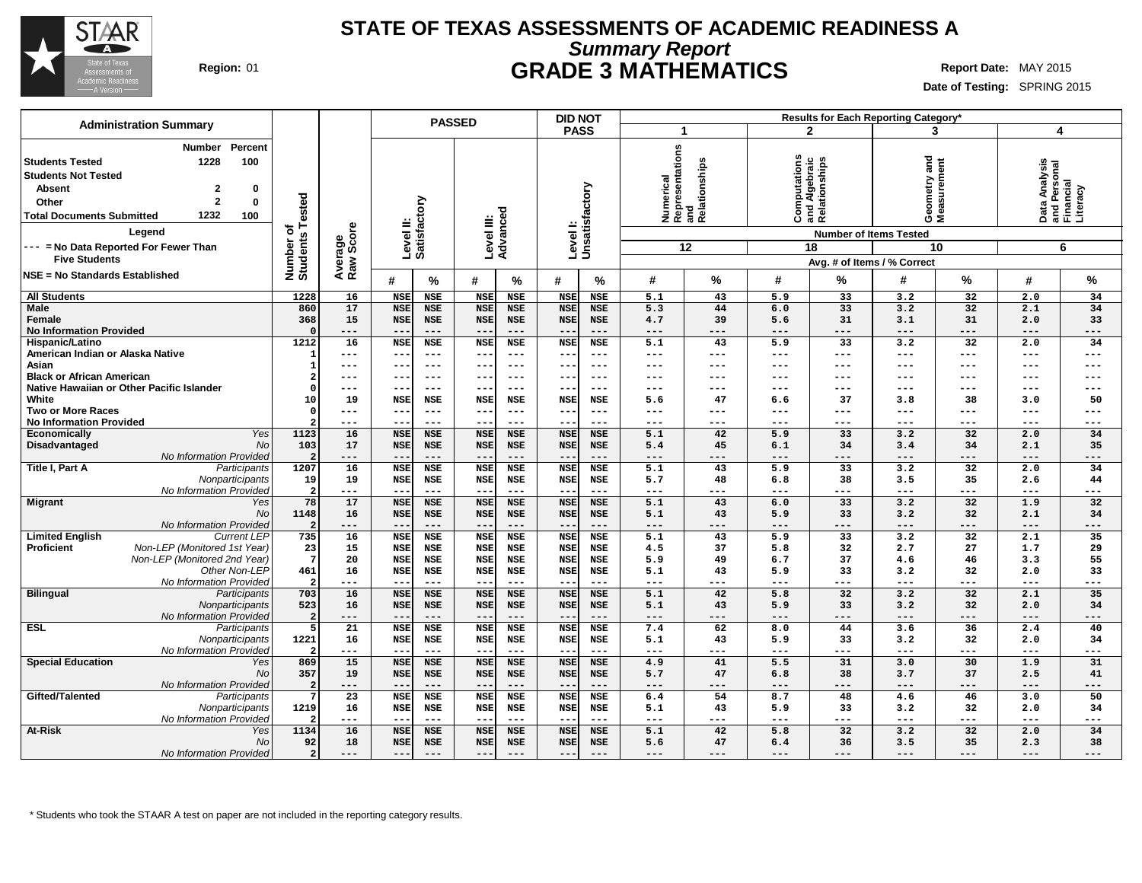

### **STATE OF TEXAS ASSESSMENTS OF ACADEMIC READINESS A Summary Report Region:** 01 **GRADE 3 MATHEMATICS Report Date:** MAY 2015

**Date of Testing:** SPRING 2015

| <b>Administration Summary</b>                                                                                                                                                                                                                                                                     |                                   |                      |                     | <b>PASSED</b>       |                     |                     | <b>DID NOT</b>             |                     |            |                                                                            |                  |                                                                                                                      | Results for Each Reporting Category* |                           |                            |                                                             |
|---------------------------------------------------------------------------------------------------------------------------------------------------------------------------------------------------------------------------------------------------------------------------------------------------|-----------------------------------|----------------------|---------------------|---------------------|---------------------|---------------------|----------------------------|---------------------|------------|----------------------------------------------------------------------------|------------------|----------------------------------------------------------------------------------------------------------------------|--------------------------------------|---------------------------|----------------------------|-------------------------------------------------------------|
|                                                                                                                                                                                                                                                                                                   |                                   |                      |                     |                     |                     |                     | <b>PASS</b>                |                     | -1         |                                                                            |                  | $\mathbf{2}$                                                                                                         | 3                                    |                           | 4                          |                                                             |
| Percent<br><b>Number</b><br><b>Students Tested</b><br>1228<br>100<br><b>Students Not Tested</b><br><b>Absent</b><br>$\mathbf{2}$<br>0<br>$\mathbf{2}$<br>0<br>Other<br>1232<br>100<br><b>Total Documents Submitted</b><br>Legend<br>--- = No Data Reported For Fewer Than<br><b>Five Students</b> | Tested<br>৳<br>Students<br>Number | Average<br>Raw Score | Level II:           | Satisfactory        | Level III:          | Advanced            | Level I:<br>Unsatisfactory |                     | Numerical  | i <sup>co</sup><br>Representations<br>Aelationships<br>Relationships<br>12 |                  | Computations<br>and Algebraic<br>Relationships<br><b>Number of Items Tested</b><br>18<br>Avg. # of Items / % Correct | and<br>Geometry and<br>Measurement   | 10                        |                            | Data Analysis<br>and Personal<br>Financial<br>Literacy<br>6 |
| <b>NSE = No Standards Established</b>                                                                                                                                                                                                                                                             |                                   |                      | #                   | $\%$                | #                   | %                   | #                          | %                   | #          | %                                                                          | #                | %                                                                                                                    | #                                    | %                         | #                          | $\%$                                                        |
| <b>All Students</b>                                                                                                                                                                                                                                                                               | 1228                              | 16                   | <b>NSE</b>          | NSE                 | <b>NSE</b>          | <b>NSE</b>          | <b>NSE</b>                 | <b>NSE</b>          | 5.1        | 43                                                                         | 5.9              | 33                                                                                                                   | 3.2                                  | 32                        | 2.0                        | 34                                                          |
| Male                                                                                                                                                                                                                                                                                              | 860                               | 17                   | <b>NSE</b>          | <b>NSE</b>          | <b>NSE</b>          | <b>NSE</b>          | <b>NSE</b>                 | <b>NSE</b>          | 5.3        | 44                                                                         | 6.0              | 33                                                                                                                   | 3.2                                  | 32                        | 2.1                        | 34                                                          |
| Female                                                                                                                                                                                                                                                                                            | 368                               | 15                   | <b>NSE</b>          | <b>NSE</b>          | <b>NSE</b>          | <b>NSE</b>          | <b>NSE</b>                 | <b>NSE</b>          | 4.7        | 39                                                                         | 5.6              | 31                                                                                                                   | 3.1                                  | 31                        | 2.0                        | 33                                                          |
| <b>No Information Provided</b>                                                                                                                                                                                                                                                                    |                                   | ---                  | $- -$               | $---$               | $\sim$ $\sim$       | $---$               |                            | $---$               | ---        | ---                                                                        | ---              | ---                                                                                                                  | $---$                                | $---$                     | $---$                      | $---$                                                       |
| Hispanic/Latino                                                                                                                                                                                                                                                                                   | 1212                              | 16                   | <b>NSE</b>          | <b>NSE</b>          | <b>NSE</b>          | <b>NSE</b>          | <b>NSE</b>                 | <b>NSE</b>          | 5.1        | 43                                                                         | 5.9              | 33                                                                                                                   | 3.2                                  | $\overline{32}$           | 2.0                        | 34                                                          |
| American Indian or Alaska Native                                                                                                                                                                                                                                                                  |                                   | ---                  | $---$               | $---$               | $---$               | $---$               | $\overline{\phantom{m}}$   | $--$                | ---        | ---                                                                        | $---$            | ---                                                                                                                  | $\qquad \qquad - -$                  | $\frac{1}{2}$             | $---$                      | $---$                                                       |
| Asian                                                                                                                                                                                                                                                                                             |                                   | ---                  | --                  | $---$               | $---$               | $- - -$             |                            | ---                 | ---        | ---                                                                        | ---              | ---                                                                                                                  | ---                                  | $---$                     | ---                        | $---$                                                       |
| <b>Black or African American</b>                                                                                                                                                                                                                                                                  |                                   | ---                  | $- -$               | $---$               | $- -$               | $---$               | $\qquad \qquad -$          | $--$                | ---        | ---                                                                        | ---              | ---                                                                                                                  | ---                                  | $---$                     | $--$                       | $---$                                                       |
| Native Hawaiian or Other Pacific Islander                                                                                                                                                                                                                                                         |                                   | ---                  | --                  | $---$               | $\sim$ $\sim$       | $- - -$             | $- -$                      | $--$                | ---        | ---                                                                        | ---              | ---                                                                                                                  | ---                                  | $---$                     | $---$                      | $---$                                                       |
| White                                                                                                                                                                                                                                                                                             | 10                                | 19                   | <b>NSE</b>          | <b>NSE</b>          | <b>NSE</b>          | <b>NSE</b>          | <b>NSE</b>                 | <b>NSE</b>          | 5.6        | 47                                                                         | 6.6              | 37                                                                                                                   | 3.8                                  | 38                        | 3.0                        | 50                                                          |
| <b>Two or More Races</b>                                                                                                                                                                                                                                                                          |                                   | ---                  | --                  | $---$               | $--$                | $---$               |                            | $---$               | ---        | ---                                                                        | ---              | ---                                                                                                                  | ---                                  | $---$                     | $---$                      | $---$                                                       |
| <b>No Information Provided</b>                                                                                                                                                                                                                                                                    |                                   | ---                  | $- -$               | $---$               | $---$               | $---$               | $\overline{\phantom{a}}$ . | $---$               | ---        | ---                                                                        | ---              | ---                                                                                                                  | ---                                  | $---$                     | $- - -$                    | $---$                                                       |
| Yes<br>Economically                                                                                                                                                                                                                                                                               | 1123                              | 16                   | <b>NSE</b>          | <b>NSE</b>          | <b>NSE</b>          | <b>NSE</b>          | <b>NSE</b>                 | <b>NSE</b>          | 5.1        | 42                                                                         | $\overline{5.9}$ | $\overline{33}$                                                                                                      | 3.2                                  | $\overline{32}$           | 2.0                        | 34                                                          |
| Disadvantaged<br>No                                                                                                                                                                                                                                                                               | 103                               | 17                   | <b>NSE</b>          | <b>NSE</b>          | <b>NSE</b>          | <b>NSE</b>          | <b>NSE</b>                 | <b>NSE</b>          | 5.4        | 45                                                                         | 6.1              | 34                                                                                                                   | 3.4                                  | 34                        | 2.1                        | 35                                                          |
| No Information Provided                                                                                                                                                                                                                                                                           |                                   | ---                  | --                  | $---$               | $---$               | $---$               |                            | $---$               | ---        | ---                                                                        | ---              | ---                                                                                                                  | ---                                  | ---                       | ---                        | ---                                                         |
| Title I, Part A<br>Participants                                                                                                                                                                                                                                                                   | 1207                              | 16                   | <b>NSE</b>          | <b>NSE</b>          | <b>NSE</b>          | <b>NSE</b>          | <b>NSE</b>                 | <b>NSE</b>          | 5.1        | 43                                                                         | 5.9              | 33                                                                                                                   | 3.2                                  | 32                        | 2.0                        | 34                                                          |
| Nonparticipants                                                                                                                                                                                                                                                                                   | 19                                | 19                   | <b>NSE</b>          | NSE                 | <b>NSE</b>          | <b>NSE</b>          | <b>NSE</b>                 | NSE                 | 5.7        | 48                                                                         | 6.8              | 38                                                                                                                   | 3.5                                  | 35                        | 2.6                        | 44                                                          |
| No Information Provided                                                                                                                                                                                                                                                                           | 78                                | ---                  | --                  | $\qquad \qquad - -$ | $---$               | $---$               | $- -$                      | $---$               | ---        | ---<br>43                                                                  | ---              | ---<br>33                                                                                                            | $---$                                | $\qquad \qquad - -$<br>32 | $- - -$                    | $---$<br>32                                                 |
| <b>Migrant</b><br>Yes                                                                                                                                                                                                                                                                             |                                   | 17                   | <b>NSE</b>          | <b>NSE</b>          | <b>NSE</b>          | <b>NSE</b>          | <b>NSE</b>                 | <b>NSE</b>          | 5.1        |                                                                            | 6.0              |                                                                                                                      | 3.2                                  |                           | 1.9                        |                                                             |
| <b>No</b>                                                                                                                                                                                                                                                                                         | 1148                              | 16<br>---            | <b>NSE</b><br>$- -$ | <b>NSE</b><br>$---$ | <b>NSE</b><br>$---$ | <b>NSE</b><br>$---$ | <b>NSE</b><br>$-$          | <b>NSE</b><br>$---$ | 5.1<br>--- | 43<br>---                                                                  | 5.9<br>$---$     | 33<br>---                                                                                                            | 3.2<br>$---$                         | 32<br>$---$               | 2.1<br>$\qquad \qquad - -$ | 34<br>$---$                                                 |
| No Information Provided<br><b>Limited English</b><br><b>Current LEP</b>                                                                                                                                                                                                                           | 735                               | 16                   | <b>NSE</b>          | <b>NSE</b>          | <b>NSE</b>          | <b>NSE</b>          | <b>NSE</b>                 | <b>NSE</b>          | 5.1        | 43                                                                         | 5.9              | $\overline{33}$                                                                                                      | 3.2                                  | $\overline{32}$           | 2.1                        | 35                                                          |
| <b>Proficient</b><br>Non-LEP (Monitored 1st Year)                                                                                                                                                                                                                                                 | 23                                | 15                   | <b>NSE</b>          | NSE                 | <b>NSE</b>          | <b>NSE</b>          | <b>NSE</b>                 | <b>NSE</b>          | 4.5        | 37                                                                         | 5.8              | 32                                                                                                                   | 2.7                                  | 27                        | 1.7                        | 29                                                          |
| Non-LEP (Monitored 2nd Year)                                                                                                                                                                                                                                                                      | $7\phantom{.0}$                   | 20                   | <b>NSE</b>          | <b>NSE</b>          | <b>NSE</b>          | <b>NSE</b>          | <b>NSE</b>                 | <b>NSE</b>          | 5.9        | 49                                                                         | 6.7              | 37                                                                                                                   | 4.6                                  | 46                        | 3.3                        | 55                                                          |
| Other Non-LEP                                                                                                                                                                                                                                                                                     | 461                               | 16                   | <b>NSE</b>          | <b>NSE</b>          | <b>NSE</b>          | <b>NSE</b>          | <b>NSE</b>                 | <b>NSE</b>          | 5.1        | 43                                                                         | 5.9              | 33                                                                                                                   | 3.2                                  | 32                        | 2.0                        | 33                                                          |
| No Information Provideo                                                                                                                                                                                                                                                                           |                                   | ---                  | $-$                 | $\qquad \qquad - -$ | $--$                | $---$               |                            | $---$               | ---        | ---                                                                        | $---$            | ---                                                                                                                  | $---$                                | ---                       | $- - -$                    | $---$                                                       |
| <b>Bilingual</b><br>Participants                                                                                                                                                                                                                                                                  | 703                               | 16                   | <b>NSE</b>          | <b>NSE</b>          | <b>NSE</b>          | <b>NSE</b>          | <b>NSE</b>                 | <b>NSE</b>          | 5.1        | 42                                                                         | 5.8              | $\overline{32}$                                                                                                      | 3.2                                  | 32                        | 2.1                        | 35                                                          |
| Nonparticipants                                                                                                                                                                                                                                                                                   | 523                               | 16                   | <b>NSE</b>          | <b>NSE</b>          | <b>NSE</b>          | <b>NSE</b>          | <b>NSE</b>                 | <b>NSE</b>          | 5.1        | 43                                                                         | 5.9              | 33                                                                                                                   | 3.2                                  | 32                        | 2.0                        | 34                                                          |
| No Information Provideo                                                                                                                                                                                                                                                                           |                                   | ---                  | $ -$                | $- - -$             | $- -$               | $---$               | $ -$                       | $- - -$             | ---        | ---                                                                        | $---$            | $- - -$                                                                                                              | $---$                                | $- - -$                   | $---$                      | $---$                                                       |
| <b>ESL</b><br>Participants                                                                                                                                                                                                                                                                        | 5                                 | $\overline{21}$      | <b>NSE</b>          | <b>NSE</b>          | <b>NSE</b>          | <b>NSE</b>          | <b>NSE</b>                 | <b>NSE</b>          | 7.4        | 62                                                                         | 8.0              | 44                                                                                                                   | 3.6                                  | 36                        | 2.4                        | 40                                                          |
| Nonparticipants                                                                                                                                                                                                                                                                                   | 1221                              | 16                   | <b>NSE</b>          | <b>NSE</b>          | <b>NSE</b>          | <b>NSE</b>          | <b>NSE</b>                 | <b>NSE</b>          | 5.1        | 43                                                                         | 5.9              | 33                                                                                                                   | 3.2                                  | 32                        | 2.0                        | 34                                                          |
| No Information Provideo                                                                                                                                                                                                                                                                           |                                   | $---$                | $ -$                | $- - -$             | $- -$               | $---$               | $-$                        | $- - -$             | $---$      | ---                                                                        | $---$            | $- - -$                                                                                                              | $\frac{1}{2}$                        | $---$                     | $---$                      | $---$                                                       |
| <b>Special Education</b><br>Yes                                                                                                                                                                                                                                                                   | 869                               | 15                   | <b>NSE</b>          | <b>NSE</b>          | <b>NSE</b>          | <b>NSE</b>          | <b>NSE</b>                 | <b>NSE</b>          | 4.9        | 41                                                                         | 5.5              | 31                                                                                                                   | 3.0                                  | 30                        | 1.9                        | 31                                                          |
| <b>No</b>                                                                                                                                                                                                                                                                                         | 357                               | 19                   | <b>NSE</b>          | <b>NSE</b>          | <b>NSE</b>          | <b>NSE</b>          | <b>NSE</b>                 | <b>NSE</b>          | 5.7        | 47                                                                         | 6.8              | 38                                                                                                                   | 3.7                                  | 37                        | 2.5                        | 41                                                          |
| No Information Provided                                                                                                                                                                                                                                                                           |                                   | ---                  | $- -$               | $- - -$             | $- -$               | $---$               | $ -$                       | $---$               | $---$      | ---                                                                        | $---$            | ---                                                                                                                  | $---$                                | $---$                     | $\cdots$                   | $---$                                                       |
| Gifted/Talented<br>Participants                                                                                                                                                                                                                                                                   |                                   | 23                   | <b>NSE</b>          | <b>NSE</b>          | <b>NSE</b>          | <b>NSE</b>          | <b>NSE</b>                 | <b>NSE</b>          | 6.4        | 54                                                                         | 8.7              | 48                                                                                                                   | 4.6                                  | 46                        | 3.0                        | 50                                                          |
| Nonparticipants                                                                                                                                                                                                                                                                                   | 1219                              | 16                   | <b>NSE</b>          | <b>NSE</b>          | <b>NSE</b>          | <b>NSE</b>          | <b>NSE</b>                 | <b>NSE</b>          | 5.1        | 43                                                                         | 5.9              | 33                                                                                                                   | 3.2                                  | 32                        | 2.0                        | 34                                                          |
| No Information Provided                                                                                                                                                                                                                                                                           |                                   | ---                  | $- -$               | $---$               | $- -$               | $---$               | $-$                        | $---$               | ---        | ---                                                                        | ---              | ---                                                                                                                  | $\frac{1}{2}$                        | $---$                     | $---$                      | $---$                                                       |
| At-Risk<br>Yes                                                                                                                                                                                                                                                                                    | 1134                              | 16                   | <b>NSE</b>          | <b>NSE</b>          | <b>NSE</b>          | <b>NSE</b>          | <b>NSE</b>                 | <b>NSE</b>          | 5.1        | 42                                                                         | 5.8              | 32                                                                                                                   | 3.2                                  | 32                        | 2.0                        | 34                                                          |
| <b>No</b>                                                                                                                                                                                                                                                                                         | 92                                | 18                   | <b>NSE</b>          | <b>NSE</b>          | <b>NSE</b>          | <b>NSE</b>          | <b>NSE</b>                 | <b>NSE</b>          | 5.6        | 47                                                                         | 6.4              | 36                                                                                                                   | 3.5                                  | 35                        | 2.3                        | 38                                                          |
| No Information Provided                                                                                                                                                                                                                                                                           | $\overline{2}$                    | ---                  | $- -$               | $---$               | $---$               | $---$               |                            | $---$               | ---        | ---                                                                        | ---              | ---                                                                                                                  | ---                                  | $---$                     | $---$                      | ---                                                         |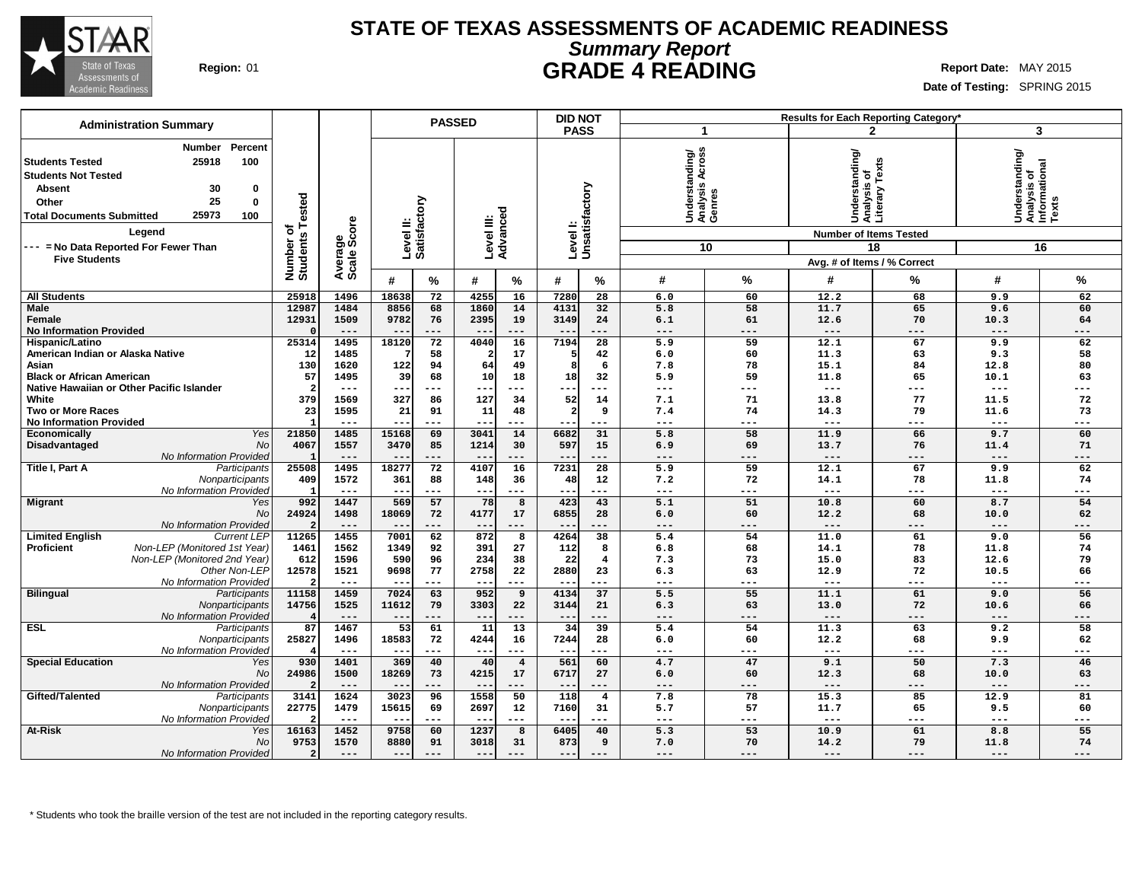

### **STATE OF TEXAS ASSESSMENTS OF ACADEMIC READINESS Summary Report Region:** 01 **GRADE 4 READING Report** Date: MAY 2015

**Date of Testing:** SPRING 2015

| <b>Administration Summary</b>                                                                                                                                                                                                                              |                                      |                |                           |           | <b>PASSED</b>          |                         | <b>DID NOT</b>          |                            |                                               |           |                                                                                    | Results for Each Reporting Category' |                                                         |                     |
|------------------------------------------------------------------------------------------------------------------------------------------------------------------------------------------------------------------------------------------------------------|--------------------------------------|----------------|---------------------------|-----------|------------------------|-------------------------|-------------------------|----------------------------|-----------------------------------------------|-----------|------------------------------------------------------------------------------------|--------------------------------------|---------------------------------------------------------|---------------------|
|                                                                                                                                                                                                                                                            |                                      |                |                           |           |                        |                         | <b>PASS</b>             |                            | -1                                            |           |                                                                                    | $\mathbf{2}$                         | 3                                                       |                     |
| Percent<br>Number<br>25918<br>100<br><b>Students Tested</b><br><b>Students Not Tested</b><br>30<br><b>Absent</b><br>0<br>25<br>$\mathbf 0$<br>Other<br>25973<br><b>Total Documents Submitted</b><br>100<br>Leaend<br>--- = No Data Reported For Fewer Than | Tested<br>৳<br>Number o'<br>Students | ige<br>Score   | Level II:<br>Satisfactory |           | Level III:<br>Advanced |                         |                         | Level I:<br>Unsatisfactory | Understanding/<br> Analysis Across<br> Genres | 10        | Understanding/<br> Analysis of<br> Literary Texts<br><b>Number of Items Tested</b> | 18                                   | Understanding/<br>Analysis of<br>Informational<br>Texts | 16                  |
| <b>Five Students</b>                                                                                                                                                                                                                                       |                                      | Avera<br>Scale |                           |           |                        |                         |                         |                            |                                               |           | Avg. # of Items / % Correct                                                        |                                      |                                                         |                     |
|                                                                                                                                                                                                                                                            |                                      |                | #                         | %         | #                      | %                       | #                       | %                          | #                                             | %         | #                                                                                  | ℅                                    | #                                                       | %                   |
| <b>All Students</b>                                                                                                                                                                                                                                        | 25918                                | 1496           | 18638                     | 72        | 4255                   | 16                      | 7280                    | 28                         | 6.0                                           | 60        | 12.2                                                                               | 68                                   | 9.9                                                     | 62                  |
| <b>Male</b>                                                                                                                                                                                                                                                | 12987                                | 1484           | 8856                      | 68        | 1860                   | 14                      | 4131                    | 32                         | 5.8                                           | 58        | 11.7                                                                               | 65                                   | 9.6                                                     | 60                  |
| Female                                                                                                                                                                                                                                                     | 12931                                | 1509           | 9782                      | 76        | 2395                   | 19                      | 3149                    | 24                         | 6.1                                           | 61        | 12.6                                                                               | 70                                   | 10.3                                                    | 64                  |
| <b>No Information Provided</b>                                                                                                                                                                                                                             |                                      | $---$          | $- -$                     | ---       | $- -$                  | $---$                   | $- -$                   | ---                        | $---$                                         | $---$     | $---$                                                                              | $---$                                | $---$                                                   | $---$               |
| Hispanic/Latino                                                                                                                                                                                                                                            | 25314                                | 1495           | 18120                     | 72        | 4040                   | 16                      | 7194                    | $\overline{28}$            | 5.9                                           | 59        | 12.1                                                                               | 67                                   | 9.9                                                     | 62                  |
| American Indian or Alaska Native                                                                                                                                                                                                                           | 12                                   | 1485           |                           | 58        | 2                      | 17                      | 5                       | 42                         | 6.0                                           | 60        | 11.3                                                                               | 63                                   | 9.3                                                     | 58                  |
| Asian                                                                                                                                                                                                                                                      | 130                                  | 1620           | 122                       | 94        | 64                     | 49                      | 8                       | 6                          | 7.8                                           | 78        | 15.1                                                                               | 84                                   | 12.8                                                    | 80                  |
| <b>Black or African American</b>                                                                                                                                                                                                                           | 57                                   | 1495           | 39                        | 68        | 10                     | 18                      | 18                      | 32                         | 5.9                                           | 59        | 11.8                                                                               | 65                                   | 10.1                                                    | 63                  |
| Native Hawaiian or Other Pacific Islander                                                                                                                                                                                                                  |                                      | $---$          | $- -$                     | ---       | --                     | ---                     | ---                     | ---                        | $---$                                         | ---       | $\qquad \qquad - -$                                                                | $---$                                | $---$                                                   | ---                 |
| White                                                                                                                                                                                                                                                      | 379                                  | 1569           | 327                       | 86        | 127                    | 34                      | 52                      | 14                         | 7.1                                           | 71        | 13.8                                                                               | 77                                   | 11.5                                                    | 72                  |
| <b>Two or More Races</b>                                                                                                                                                                                                                                   | 23                                   | 1595           | 21                        | 91        | 11                     | 48                      | $\overline{\mathbf{2}}$ | 9                          | 7.4                                           | 74        | 14.3                                                                               | 79                                   | 11.6                                                    | 73                  |
| <b>No Information Provided</b>                                                                                                                                                                                                                             |                                      | $---$          | $- -$                     | $---$     | $\sim$ $\sim$          | $---$                   | $- -$                   | ---                        | $---$                                         | $---$     | $\qquad \qquad - -$                                                                | $---$                                | $---$                                                   | $---$               |
| Yes<br>Economically                                                                                                                                                                                                                                        | 21850                                | 1485           | 15168                     | 69        | 3041                   | 14                      | 6682                    | 31                         | 5.8                                           | 58        | 11.9                                                                               | 66                                   | 9.7                                                     | 60                  |
| <b>No</b><br>Disadvantaged                                                                                                                                                                                                                                 | 4067                                 | 1557           | 3470                      | 85        | 1214                   | 30                      | 597                     | 15                         | 6.9                                           | 69        | 13.7                                                                               | 76                                   | 11.4                                                    | 71                  |
| No Information Provided                                                                                                                                                                                                                                    |                                      | $---$          | $- -$                     | ---       | $- -$                  | $---$                   | $- -$                   | ---                        | $---$                                         | $---$     | $---$                                                                              | $---$                                | $---$                                                   | $---$               |
| Title I, Part A<br>Participants                                                                                                                                                                                                                            | 25508                                | 1495           | 1827                      | 72        | 4107                   | 16                      | 7231                    | 28                         | 5.9                                           | 59        | 12.1                                                                               | 67                                   | 9.9                                                     | 62                  |
| Nonparticipants                                                                                                                                                                                                                                            | 409                                  | 1572           | 361                       | 88        | 148                    | 36                      | 48                      | 12                         | 7.2                                           | 72        | 14.1                                                                               | 78                                   | 11.8                                                    | 74                  |
| No Information Provided                                                                                                                                                                                                                                    |                                      | $---$          | $-$                       | ---       | $- -$                  | $---$                   | --                      | ---                        | $---$                                         | ---       | $---$                                                                              | ---                                  | $---$                                                   | ---                 |
| <b>Migrant</b><br>Yes                                                                                                                                                                                                                                      | 992                                  | 1447           | 569                       | 57        | 78                     | 8                       | 423                     | 43                         | 5.1                                           | 51        | 10.8                                                                               | 60                                   | 8.7                                                     | 54                  |
| No                                                                                                                                                                                                                                                         | 24924                                | 1498           | 18069                     | 72        | 4177                   | 17                      | 6855                    | 28                         | 6.0                                           | 60        | 12.2                                                                               | 68                                   | 10.0                                                    | 62                  |
| No Information Provided                                                                                                                                                                                                                                    | 11265                                | $---$<br>1455  | $--$                      | ---<br>62 | $- -$                  | $---$                   | 4264                    | ---                        | $---$<br>5.4                                  | ---<br>54 | $---$<br>11.0                                                                      | ---<br>61                            | ---                                                     | ---                 |
| <b>Limited English</b><br><b>Current LEP</b><br>Proficient<br>Non-LEP (Monitored 1st Year)                                                                                                                                                                 |                                      | 1562           | 7001                      |           | 872                    | 8<br>27                 |                         | 38                         |                                               | 68        |                                                                                    | 78                                   | 9.0                                                     | 56                  |
| Non-LEP (Monitored 2nd Year)                                                                                                                                                                                                                               | 1461                                 |                | 1349                      | 92        | 391                    |                         | 112                     | 8                          | 6.8                                           |           | 14.1                                                                               |                                      | 11.8                                                    | 74                  |
| Other Non-LEP                                                                                                                                                                                                                                              | 612<br>12578                         | 1596<br>1521   | 590<br>9698               | 96<br>77  | 234<br>2758            | 38<br>22                | 22<br>2880              | $\overline{4}$<br>23       | 7.3<br>6.3                                    | 73<br>63  | 15.0<br>12.9                                                                       | 83<br>72                             | 12.6<br>10.5                                            | 79<br>66            |
| No Information Provided                                                                                                                                                                                                                                    |                                      | $---$          | $- -$                     | ---       | $---$                  | $---$                   | $- -$                   | ---                        | $---$                                         | ---       | $\qquad \qquad - -$                                                                | $---$                                | $---$                                                   | $\qquad \qquad - -$ |
| <b>Bilingual</b><br>Participants                                                                                                                                                                                                                           | 11158                                | 1459           | 7024                      | 63        | 952                    | 9                       | 4134                    | 37                         | 5.5                                           | 55        | 11.1                                                                               | 61                                   | 9.0                                                     | 56                  |
| Nonparticipants                                                                                                                                                                                                                                            | 14756                                | 1525           | 11612                     | 79        | 3303                   | 22                      | 3144                    | 21                         | 6.3                                           | 63        | 13.0                                                                               | 72                                   | 10.6                                                    | 66                  |
| No Information Provided                                                                                                                                                                                                                                    |                                      | $---$          | $\qquad \qquad -$         | ---       | $---$                  | $---$                   | $---$                   | ---                        | $---$                                         | ---       | $---$                                                                              | $---$                                | ---                                                     | ---                 |
| <b>ESL</b><br>Participants                                                                                                                                                                                                                                 | 87                                   | 1467           | $\overline{53}$           | 61        | $\overline{11}$        | 13                      | $\overline{34}$         | $\overline{39}$            | 5.4                                           | 54        | 11.3                                                                               | 63                                   | 9.2                                                     | 58                  |
| Nonparticipants                                                                                                                                                                                                                                            | 25827                                | 1496           | 18583                     | 72        | 4244                   | 16                      | 7244                    | 28                         | 6.0                                           | 60        | 12.2                                                                               | 68                                   | 9.9                                                     | 62                  |
| No Information Provided                                                                                                                                                                                                                                    |                                      | $---$          | $- -$                     | ---       | $--$                   | $---$                   | $ -$                    | ---                        | $---$                                         | ---       | $\qquad \qquad - -$                                                                | $---$                                | ---                                                     | ---                 |
| <b>Special Education</b><br>Yes                                                                                                                                                                                                                            | 930                                  | 1401           | 369                       | 40        | 40                     | $\overline{\mathbf{4}}$ | 561                     | 60                         | 4.7                                           | 47        | 9.1                                                                                | 50                                   | 7.3                                                     | 46                  |
| No                                                                                                                                                                                                                                                         | 24986                                | 1500           | 18269                     | 73        | 4215                   | 17                      | 6717                    | 27                         | 6.0                                           | 60        | 12.3                                                                               | 68                                   | 10.0                                                    | 63                  |
| No Information Provided                                                                                                                                                                                                                                    |                                      | $---$          | $ -$                      | ---       | $- -$                  | $---$                   | $- -$                   | ---                        | $---$                                         | $---$     | $---$                                                                              | $---$                                | $---$                                                   | ---                 |
| Gifted/Talented<br>Participants                                                                                                                                                                                                                            | 3141                                 | 1624           | 3023                      | 96        | 1558                   | 50                      | 118                     | $\overline{4}$             | 7.8                                           | 78        | 15.3                                                                               | 85                                   | 12.9                                                    | 81                  |
| Nonparticipants                                                                                                                                                                                                                                            | 22775                                | 1479           | 15615                     | 69        | 2697                   | 12                      | 7160                    | 31                         | 5.7                                           | 57        | 11.7                                                                               | 65                                   | 9.5                                                     | 60                  |
| No Information Provided                                                                                                                                                                                                                                    |                                      | $---$          | $- -$                     | ---       | $-$                    | ---                     | $- -$                   | ---                        | $---$                                         | ---       | $---$                                                                              | $---$                                | ---                                                     | ---                 |
| At-Risk<br>Yes                                                                                                                                                                                                                                             | 16163                                | 1452           | 9758                      | 60        | 1237                   | 8                       | 6405                    | 40                         | 5.3                                           | 53        | 10.9                                                                               | 61                                   | 8.8                                                     | 55                  |
| <b>No</b>                                                                                                                                                                                                                                                  | 9753                                 | 1570           | 8880                      | 91        | 3018                   | 31                      | 873                     | 9                          | 7.0                                           | 70        | 14.2                                                                               | 79                                   | 11.8                                                    | 74                  |
| No Information Provided                                                                                                                                                                                                                                    | $\overline{2}$                       | $---$          | $- -$                     | ---       | $- -$                  | ---                     | $- -$                   | $---$                      | $---$                                         | ---       | $---$                                                                              | $---$                                | $---$                                                   | $---$               |
|                                                                                                                                                                                                                                                            |                                      |                |                           |           |                        |                         |                         |                            |                                               |           |                                                                                    |                                      |                                                         |                     |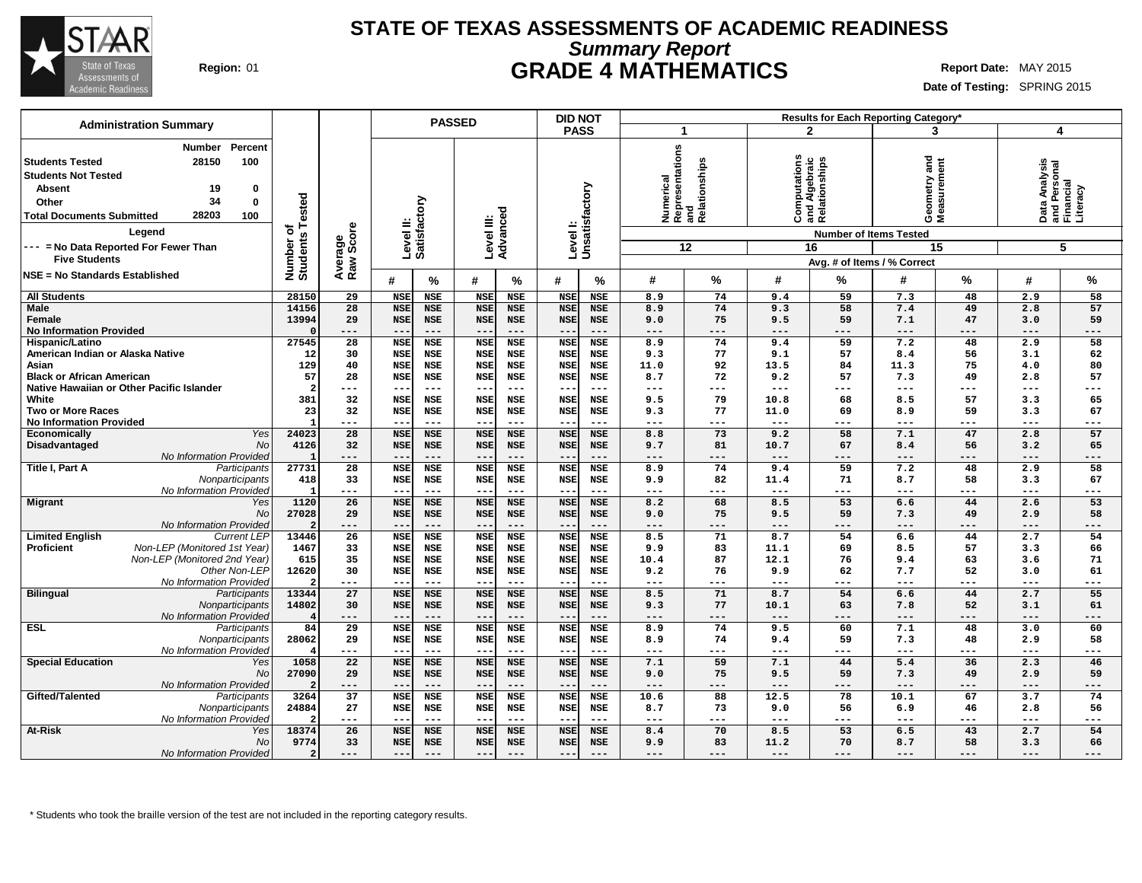

## **STATE OF TEXAS ASSESSMENTS OF ACADEMIC READINESS Summary Report Region:** 01 **GRADE 4 MATHEMATICS Report Date:** MAY 2015

**Date of Testing:** SPRING 2015

| <b>Administration Summary</b>                     |                              |                        |                    | <b>PASSED</b>       |                        |                     |                           | <b>DID NOT</b> |                     |                                                         |                |                                                | <b>Results for Each Reporting Category*</b> |             |                     |                                                        |
|---------------------------------------------------|------------------------------|------------------------|--------------------|---------------------|------------------------|---------------------|---------------------------|----------------|---------------------|---------------------------------------------------------|----------------|------------------------------------------------|---------------------------------------------|-------------|---------------------|--------------------------------------------------------|
|                                                   |                              |                        |                    |                     |                        |                     | <b>PASS</b>               |                | 1                   |                                                         |                | $\mathbf{2}$                                   | 3                                           |             | 4                   |                                                        |
| Percent<br>Number                                 |                              |                        |                    |                     |                        |                     |                           |                |                     |                                                         |                |                                                |                                             |             |                     |                                                        |
| 28150<br>100<br><b>Students Tested</b>            |                              |                        |                    |                     |                        |                     |                           |                |                     |                                                         |                |                                                |                                             |             |                     |                                                        |
|                                                   |                              |                        |                    |                     |                        |                     |                           |                |                     |                                                         |                |                                                | and                                         |             |                     |                                                        |
| <b>Students Not Tested</b>                        |                              |                        |                    |                     |                        |                     |                           |                |                     |                                                         |                |                                                |                                             |             |                     |                                                        |
| <b>Absent</b><br>19<br>0                          |                              |                        |                    |                     |                        |                     |                           |                |                     |                                                         |                |                                                |                                             |             |                     |                                                        |
| 34<br>0<br>Other                                  |                              |                        |                    |                     |                        |                     |                           |                |                     |                                                         |                |                                                |                                             |             |                     |                                                        |
| 28203<br>100<br><b>Total Documents Submitted</b>  |                              |                        |                    |                     |                        |                     |                           |                |                     | Numerical<br> Representations<br> and<br> Relationships | Ö              | Computations<br>and Algebraic<br>Relationships | Geometry and<br>Measurement                 |             |                     | Data Analysis<br>and Personal<br>Financial<br>Literacy |
| Legend                                            | Number of<br>Students Tested | Average<br>Raw Score   | Level II:          | Satisfactory        | Level III:<br>Advanced |                     | Levell:<br>Unsatisfactory |                |                     |                                                         |                |                                                | <b>Number of Items Tested</b>               |             |                     |                                                        |
| --- = No Data Reported For Fewer Than             |                              |                        |                    |                     |                        |                     |                           |                |                     | 12                                                      |                | 16                                             |                                             | 15          |                     | 5                                                      |
| <b>Five Students</b>                              |                              |                        |                    |                     |                        |                     |                           |                |                     |                                                         |                |                                                | Avg. # of Items / % Correct                 |             |                     |                                                        |
| NSE = No Standards Established                    |                              |                        |                    |                     |                        |                     |                           |                |                     |                                                         |                |                                                |                                             |             |                     |                                                        |
|                                                   |                              |                        | #                  | ℅                   | #                      | %                   | #                         | %              | #                   | %                                                       | #              | %                                              | #                                           | %           | #                   | %                                                      |
| <b>All Students</b>                               | 28150                        | 29                     | <b>NSE</b>         | <b>NSE</b>          | <b>NSE</b>             | <b>NSE</b>          | <b>NSE</b>                | <b>NSE</b>     | 8.9                 | 74                                                      | 9.4            | 59                                             | 7.3                                         | 48          | 2.9                 | 58                                                     |
| <b>Male</b>                                       | 14156                        | 28                     | <b>NSE</b>         | <b>NSE</b>          | <b>NSE</b>             | <b>NSE</b>          | <b>NSE</b>                | <b>NSE</b>     | 8.9                 | 74                                                      | 9.3            | 58                                             | 7.4                                         | 49          | 2.8                 | 57                                                     |
| Female                                            | 13994                        | 29                     | <b>NSE</b>         | <b>NSE</b>          | <b>NSE</b>             | <b>NSE</b>          | <b>NSE</b>                | <b>NSE</b>     | 9.0                 | 75                                                      | 9.5            | 59                                             | 7.1                                         | 47          | 3.0                 | 59                                                     |
| <b>No Information Provided</b>                    |                              | ---                    | $ -$               | $---$               | $\qquad \qquad -$      | $---$               | $ -$                      | ---            | $---$               | ---                                                     | $---$          | $---$                                          | $---$                                       | ---         | ---                 | $---$                                                  |
| Hispanic/Latino                                   | 27545                        | $\overline{28}$        | <b>NSE</b>         | <b>NSE</b>          | <b>NSE</b>             | <b>NSE</b>          | <b>NSE</b>                | <b>NSE</b>     | 8.9                 | 74                                                      | 9.4            | 59                                             | 7.2                                         | 48          | 2.9                 | 58                                                     |
| American Indian or Alaska Native                  | 12                           | 30                     | <b>NSE</b>         | <b>NSE</b>          | <b>NSE</b>             | <b>NSE</b>          | <b>NSE</b>                | <b>NSE</b>     | 9.3                 | 77                                                      | 9.1            | 57                                             | 8.4                                         | 56          | 3.1                 | 62                                                     |
| Asian                                             | 129                          | 40                     | <b>NSE</b>         | <b>NSE</b>          | <b>NSE</b>             | <b>NSE</b>          | <b>NSE</b>                | <b>NSE</b>     | 11.0                | 92                                                      | 13.5           | 84                                             | 11.3                                        | 75          | 4.0                 | 80                                                     |
| <b>Black or African American</b>                  | 57                           | 28                     | <b>NSE</b>         | <b>NSE</b>          | <b>NSE</b>             | <b>NSE</b>          | <b>NSE</b>                | <b>NSE</b>     | 8.7                 | 72                                                      | 9.2            | 57                                             | 7.3                                         | 49          | 2.8                 | 57                                                     |
| Native Hawaiian or Other Pacific Islander         | $\overline{a}$               | ---                    | $-$                | $---$               | $- -$                  | $---$               | $-$                       | ---            | ---                 | ---                                                     | $---$          | ---                                            | $---$                                       | $---$       | ---                 | $---$                                                  |
| White                                             | 381                          | 32                     | <b>NSE</b>         | <b>NSE</b>          | <b>NSE</b>             | <b>NSE</b>          | <b>NSE</b>                | <b>NSE</b>     | 9.5                 | 79                                                      | 10.8           | 68                                             | 8.5                                         | 57          | 3.3                 | 65                                                     |
| <b>Two or More Races</b>                          | 23<br>-1                     | 32                     | <b>NSE</b><br>$-1$ | <b>NSE</b>          | <b>NSE</b>             | <b>NSE</b>          | <b>NSE</b>                | <b>NSE</b>     | 9.3                 | 77                                                      | 11.0           | 69                                             | 8.9                                         | 59          | 3.3                 | 67                                                     |
| <b>No Information Provided</b>                    | 24023                        | ---<br>$\overline{28}$ | <b>NSE</b>         | $---$<br><b>NSE</b> | $---$<br><b>NSE</b>    | $---$<br><b>NSE</b> | $- -$<br><b>NSE</b>       | ---            | $---$<br>8.8        | ---<br>$\overline{73}$                                  | $- - -$<br>9.2 | $---$<br>$\overline{58}$                       | $---$<br>7.1                                | $---$<br>47 | ---<br>2.8          | $---$<br>$\overline{57}$                               |
| <b>Yes</b><br>Economically                        |                              |                        |                    |                     |                        |                     |                           | <b>NSE</b>     |                     |                                                         |                |                                                |                                             |             |                     |                                                        |
| Disadvantaged<br>No<br>No Information Provided    | 4126<br>-1                   | 32                     | <b>NSE</b><br>--   | <b>NSE</b><br>$---$ | <b>NSE</b>             | <b>NSE</b><br>$---$ | <b>NSE</b><br>$ -$        | NSE            | 9.7                 | 81                                                      | 10.7           | 67                                             | 8.4                                         | 56          | 3.2                 | 65                                                     |
| Title I, Part A<br>Participants                   | 27731                        | ---<br>28              | <b>NSE</b>         | <b>NSE</b>          | $---$<br><b>NSE</b>    | <b>NSE</b>          | <b>NSE</b>                | ---<br>NSE     | ---<br>8.9          | ---<br>74                                               | ---<br>9.4     | $---$<br>59                                    | $---$<br>7.2                                | ---<br>48   | ---<br>2.9          | ---<br>58                                              |
| Nonparticipants                                   | 418                          | 33                     | <b>NSE</b>         | NSE                 | <b>NSE</b>             | <b>NSE</b>          | <b>NSE</b>                | NSE            | 9.9                 | 82                                                      | 11.4           | 71                                             | 8.7                                         | 58          | 3.3                 | 67                                                     |
| No Information Provided                           |                              | $\qquad \qquad - -$    | $- -$              | $---$               | $---$                  | $---$               | $- -$                     | $---$          | $---$               | ---                                                     | $---$          | $---$                                          | $---$                                       | $---$       | $---$               | $---$                                                  |
| <b>Migrant</b><br>Yes                             | 1120                         | 26                     | <b>NSE</b>         | <b>NSE</b>          | <b>NSE</b>             | <b>NSE</b>          | <b>NSE</b>                | <b>NSE</b>     | 8.2                 | 68                                                      | 8.5            | 53                                             | 6.6                                         | 44          | 2.6                 | 53                                                     |
| No                                                | 27028                        | 29                     | <b>NSE</b>         | <b>NSE</b>          | <b>NSE</b>             | <b>NSE</b>          | <b>NSE</b>                | NSE            | 9.0                 | 75                                                      | 9.5            | 59                                             | 7.3                                         | 49          | 2.9                 | 58                                                     |
| No Information Provided                           |                              | $---$                  | $---$              | $\qquad \qquad - -$ | $---$                  | $---$               | $--$                      | $---$          | $---$               | ---                                                     | $---$          | $---$                                          | $---$                                       | $---$       | $\qquad \qquad - -$ | $---$                                                  |
| <b>Limited English</b><br><b>Current LEP</b>      | 13446                        | 26                     | <b>NSE</b>         | <b>NSE</b>          | <b>NSE</b>             | <b>NSE</b>          | <b>NSE</b>                | <b>NSE</b>     | 8.5                 | 71                                                      | 8.7            | 54                                             | 6.6                                         | 44          | 2.7                 | 54                                                     |
| <b>Proficient</b><br>Non-LEP (Monitored 1st Year) | 1467                         | 33                     | <b>NSE</b>         | <b>NSE</b>          | <b>NSE</b>             | <b>NSE</b>          | <b>NSE</b>                | <b>NSE</b>     | 9.9                 | 83                                                      | 11.1           | 69                                             | 8.5                                         | 57          | 3.3                 | 66                                                     |
| Non-LEP (Monitored 2nd Year)                      | 615                          | 35                     | <b>NSE</b>         | NSE                 | <b>NSE</b>             | <b>NSE</b>          | <b>NSE</b>                | <b>NSE</b>     | 10.4                | 87                                                      | 12.1           | 76                                             | 9.4                                         | 63          | 3.6                 | 71                                                     |
| Other Non-LEP                                     | 12620                        | 30                     | <b>NSE</b>         | <b>NSE</b>          | <b>NSE</b>             | <b>NSE</b>          | <b>NSE</b>                | NSE            | 9.2                 | 76                                                      | 9.9            | 62                                             | 7.7                                         | 52          | 3.0                 | 61                                                     |
| No Information Provideo                           |                              | ---                    | --                 | $---$               | $---$                  | $---$               | $- -$                     | ---            | $---$               | ---                                                     | $---$          | ---                                            | $---$                                       | ---         | ---                 | $---$                                                  |
| <b>Bilingual</b><br>Participants                  | 13344                        | 27                     | <b>NSE</b>         | <b>NSE</b>          | <b>NSE</b>             | <b>NSE</b>          | <b>NSE</b>                | <b>NSE</b>     | 8.5                 | 71                                                      | 8.7            | 54                                             | 6.6                                         | 44          | 2.7                 | 55                                                     |
| Nonparticipants                                   | 14802                        | 30                     | <b>NSE</b>         | <b>NSE</b>          | <b>NSE</b>             | <b>NSE</b>          | <b>NSE</b>                | <b>NSE</b>     | 9.3                 | 77                                                      | 10.1           | 63                                             | 7.8                                         | 52          | 3.1                 | 61                                                     |
| No Information Provided                           |                              | $---$                  | $ -$               | $---$               | $\qquad \qquad -$      | $---$               | $- -$                     | ---            | $---$               | ---                                                     | $---$          | $---$                                          | $---$                                       | $---$       | $---$               | $---$                                                  |
| <b>ESL</b><br>Participants                        | 84                           | $\overline{29}$        | <b>NSE</b>         | <b>NSE</b>          | <b>NSE</b>             | <b>NSE</b>          | <b>NSE</b>                | <b>NSE</b>     | 8.9                 | 74                                                      | 9.5            | 60                                             | 7.1                                         | 48          | 3.0                 | 60                                                     |
| Nonparticipants                                   | 28062                        | 29                     | <b>NSE</b>         | <b>NSE</b>          | <b>NSE</b>             | <b>NSE</b>          | <b>NSE</b>                | <b>NSE</b>     | 8.9                 | 74                                                      | 9.4            | 59                                             | 7.3                                         | 48          | 2.9                 | 58                                                     |
| No Information Provideo                           |                              | $\qquad \qquad - -$    | $- -$              | $- - -$             | $---$                  | $---$               | $\sim$ $\sim$             | ---            | $\qquad \qquad - -$ | ---                                                     | $---$          | $---$                                          | $\frac{1}{2}$                               | $---$       | $\qquad \qquad - -$ | $---$                                                  |
| <b>Special Education</b><br>Yes                   | 1058                         | 22                     | <b>NSE</b>         | <b>NSE</b>          | <b>NSE</b>             | <b>NSE</b>          | <b>NSE</b>                | <b>NSE</b>     | 7.1                 | 59                                                      | 7.1            | 44                                             | 5.4                                         | 36          | 2.3                 | 46                                                     |
| No                                                | 27090                        | 29                     | <b>NSE</b>         | <b>NSE</b>          | <b>NSE</b>             | <b>NSE</b>          | <b>NSE</b>                | <b>NSE</b>     | 9.0                 | 75                                                      | 9.5            | 59                                             | 7.3                                         | 49          | 2.9                 | 59                                                     |
| No Information Provideo                           |                              | $---$                  | $-$                |                     | $- -$                  | $---$               | $ -$                      | ---            | ---                 | ---                                                     | ---            | ---                                            | $---$                                       | ---         | ---                 | $---$                                                  |
| Gifted/Talented<br>Participants                   | 3264                         | 37                     | <b>NSE</b>         | <b>NSE</b>          | <b>NSE</b>             | <b>NSE</b>          | <b>NSE</b>                | <b>NSE</b>     | 10.6                | 88                                                      | 12.5           | 78                                             | 10.1                                        | 67          | 3.7                 | 74                                                     |
| Nonparticipants                                   | 24884                        | 27                     | <b>NSE</b>         | <b>NSE</b>          | <b>NSE</b>             | <b>NSE</b>          | <b>NSE</b>                | <b>NSE</b>     | 8.7                 | 73                                                      | 9.0            | 56                                             | 6.9                                         | 46          | 2.8                 | 56                                                     |
| No Information Provideo                           |                              | ---                    | $-$                | $---$               | $---$                  | $---$               | $- -$                     | ---            | ---                 | ---                                                     | ---            | ---                                            | $---$                                       | $---$       | ---                 | $---$                                                  |
| At-Risk<br>Yes                                    | 18374                        | 26                     | <b>NSE</b>         | <b>NSE</b>          | <b>NSE</b>             | <b>NSE</b>          | <b>NSE</b>                | <b>NSE</b>     | 8.4                 | 70                                                      | 8.5            | 53                                             | 6.5                                         | 43          | 2.7                 | 54                                                     |
| No                                                | 9774                         | 33                     | <b>NSE</b>         | <b>NSE</b>          | <b>NSE</b>             | <b>NSE</b>          | <b>NSE</b>                | <b>NSE</b>     | 9.9                 | 83                                                      | 11.2           | 70                                             | 8.7                                         | 58          | 3.3                 | 66                                                     |
| No Information Provided                           |                              | $---$                  | $\sim$ $\sim$      | $---$               | $---$                  | $---$               | $---$                     | ---            | ---                 | ---                                                     | $---$          | ---                                            | $---$                                       | ---         | ---                 |                                                        |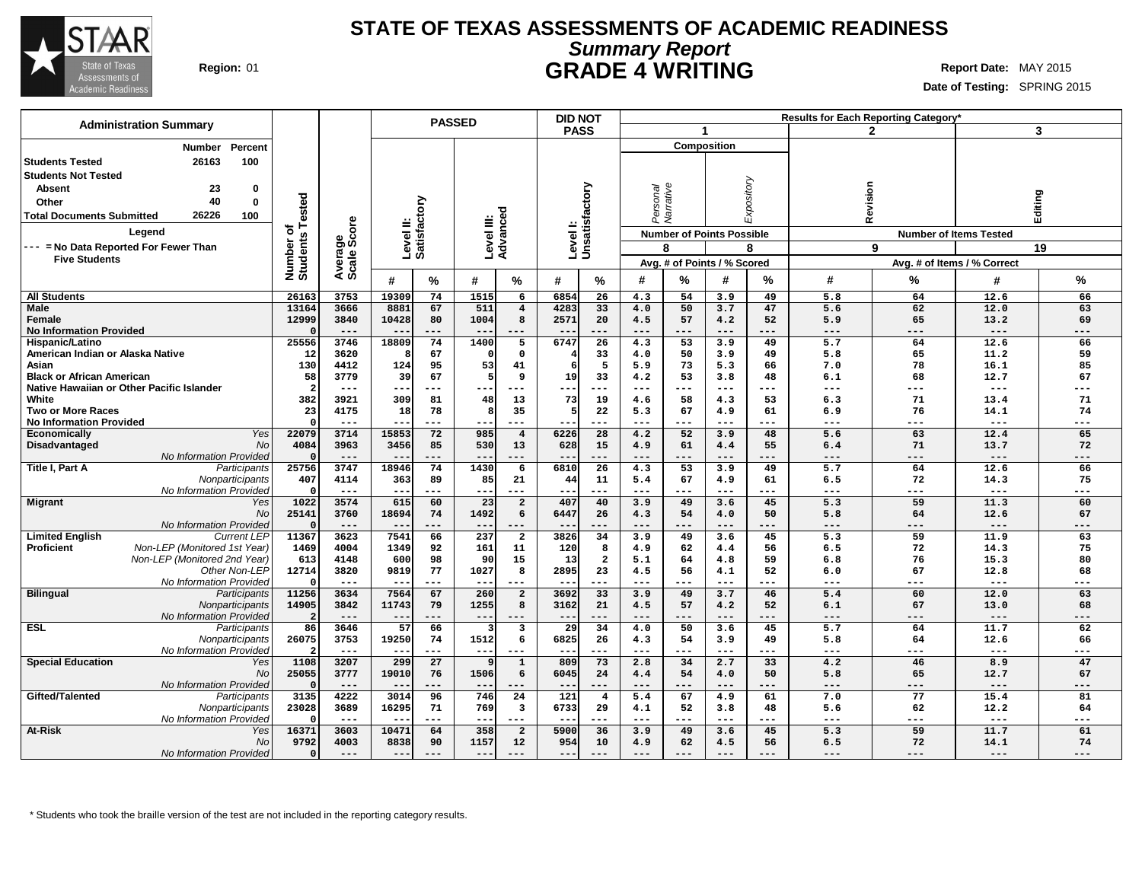

### **STATE OF TEXAS ASSESSMENTS OF ACADEMIC READINESS Summary Report Region:** 01 **GRADE 4 WRITING Report Date:** MAY 2015

**Date of Testing:** SPRING 2015

| <b>Administration Summary</b>                              |                       |                |                |                        | <b>PASSED</b>          |                               | <b>DID NOT</b>             |                 |              |                                  |              |             |                  | <b>Results for Each Reporting Category</b> |                             |           |
|------------------------------------------------------------|-----------------------|----------------|----------------|------------------------|------------------------|-------------------------------|----------------------------|-----------------|--------------|----------------------------------|--------------|-------------|------------------|--------------------------------------------|-----------------------------|-----------|
|                                                            |                       |                |                |                        |                        |                               | <b>PASS</b>                |                 |              | $\blacktriangleleft$             |              |             |                  | $\mathbf{2}$                               |                             | 3         |
| Percent<br><b>Number</b>                                   |                       |                |                |                        |                        |                               |                            |                 |              |                                  | Composition  |             |                  |                                            |                             |           |
| 100<br><b>Students Tested</b><br>26163                     |                       |                |                |                        |                        |                               |                            |                 |              |                                  |              |             |                  |                                            |                             |           |
| <b>Students Not Tested</b>                                 |                       |                |                |                        |                        |                               |                            |                 |              |                                  |              |             |                  |                                            |                             |           |
| 23<br><b>Absent</b><br>0                                   |                       |                |                |                        |                        |                               |                            |                 |              |                                  |              |             |                  |                                            |                             |           |
| 40                                                         |                       |                |                |                        |                        |                               |                            |                 | rsonal       |                                  |              |             |                  |                                            |                             |           |
| 0<br>Other                                                 | ested                 |                |                | ξ                      |                        |                               |                            |                 |              | Varrative                        |              | Expository  | Revision         |                                            |                             |           |
| 26226<br><b>Total Documents Submitted</b><br>100           |                       |                |                |                        |                        |                               |                            |                 | è            |                                  |              |             |                  |                                            | Editing                     |           |
| Leaend                                                     | ৳                     | ige<br>Score   |                | Level II:<br>Satisfact | Level III:<br>Advanced |                               | Level I:<br>Unsatisfactory |                 |              | <b>Number of Points Possible</b> |              |             |                  | <b>Number of Items Tested</b>              |                             |           |
| --- = No Data Reported For Fewer Than                      |                       |                |                |                        |                        |                               |                            |                 |              | 8                                |              | 8           |                  | 9                                          |                             | 19        |
| <b>Five Students</b>                                       | Number of<br>Students | Avera<br>Scale |                |                        |                        |                               |                            |                 |              | Avg. # of Points / % Scored      |              |             |                  |                                            | Avg. # of Items / % Correct |           |
|                                                            |                       |                |                |                        |                        |                               |                            |                 |              |                                  |              |             |                  |                                            |                             |           |
|                                                            |                       |                | #              | %                      | #                      | %                             | #                          | %               | #            | %                                | #            | ℅           | #                | ℅                                          | #                           | %         |
| <b>All Students</b>                                        | 26163                 | 3753           | 19309          | 74                     | 1515                   | 6                             | 6854                       | 26              | 4.3          | 54                               | 3.9          | 49          | 5.8              | 64                                         | 12.6                        | 66        |
| <b>Male</b>                                                | 13164                 | 3666           | 8881           | 67                     | 511                    | $\overline{4}$                | 4283                       | 33              | 4.0          | 50                               | 3.7          | 47          | 5.6              | 62                                         | 12.0                        | 63        |
| Female                                                     | 12999                 | 3840<br>$---$  | 10428<br>$- -$ | 80<br>$---$            | 1004<br>$- -$          | 8<br>$---$                    | 2571<br>$- -$              | 20<br>$---$     | 4.5<br>$---$ | 57<br>$---$                      | 4.2<br>$---$ | 52<br>$---$ | 5.9<br>$---$     | 65<br>$---$                                | 13.2<br>$---$               | 69<br>--- |
| <b>No Information Provided</b><br>Hispanic/Latino          | 25556                 | 3746           | 18809          | 74                     | 1400                   | $\overline{5}$                | 6747                       | $\overline{26}$ | 4.3          | 53                               | 3.9          | 49          | $\overline{5.7}$ | 64                                         | 12.6                        | 66        |
| American Indian or Alaska Native                           | 12                    | 3620           |                | 67                     | $\Omega$               | $\mathbf 0$                   |                            | 33              | 4.0          | 50                               | 3.9          | 49          | 5.8              | 65                                         | 11.2                        | 59        |
| Asian                                                      | 130                   | 4412           | 124            | 95                     | 53                     | 41                            | 6                          | 5               | 5.9          | 73                               | 5.3          | 66          | 7.0              | 78                                         | 16.1                        | 85        |
| <b>Black or African American</b>                           | 58                    | 3779           | 39             | 67                     | 5                      | 9                             | 19                         | 33              | 4.2          | 53                               | 3.8          | 48          | 6.1              | 68                                         | 12.7                        | 67        |
| Native Hawaiian or Other Pacific Islander                  | $\overline{a}$        | $---$          |                | ---                    |                        | ---                           | ÷                          | ---             | ---          | ---                              | $---$        | ---         | ---              | $---$                                      | $---$                       | ---       |
| White                                                      | 382                   | 3921           | 309            | 81                     | 48                     | 13                            | 73                         | 19              | 4.6          | 58                               | 4.3          | 53          | 6.3              | 71                                         | 13.4                        | 71        |
| <b>Two or More Races</b>                                   | 23                    | 4175           | 18             | 78                     | 8                      | 35                            | .5                         | 22              | 5.3          | 67                               | 4.9          | 61          | 6.9              | 76                                         | 14.1                        | 74        |
| <b>No Information Provided</b>                             | $\Omega$              | $--$           | $- -$          | $---$                  | --                     | ---                           | --                         | ---             | $---$        | $---$                            | $---$        | $---$       | $---$            | $---$                                      | $---$                       | ---       |
| Yes<br><b>Economically</b>                                 | 22079                 | 3714           | 15853          | 72                     | 985                    | $\overline{4}$                | 6226                       | 28              | 4.2          | 52                               | 3.9          | 48          | 5.6              | 63                                         | 12.4                        | 65        |
| <b>No</b><br>Disadvantaged                                 | 4084                  | 3963           | 3456           | 85                     | 530                    | 13                            | 628                        | 15              | 4.9          | 61                               | 4.4          | 55          | 6.4              | 71                                         | 13.7                        | 72        |
| No Information Provided<br>Title I, Part A<br>Participants | $\Omega$<br>25756     | $---$<br>3747  | $- -$<br>18946 | $---$<br>74            | $- -$<br>1430          | $---$<br>6                    | $- -$<br>6810              | $- - -$<br>26   | $---$<br>4.3 | ---<br>53                        | $---$<br>3.9 | $---$<br>49 | $---$<br>5.7     | $---$<br>64                                | $---$<br>12.6               | ---<br>66 |
| Nonparticipants                                            | 407                   | 4114           | 363            | 89                     | 85                     | 21                            | 44                         | 11              | 5.4          | 67                               | 4.9          | 61          | 6.5              | 72                                         | 14.3                        | 75        |
| No Information Provided                                    | $\Omega$              | $---$          | $- -$          | ---                    | $-$                    | ---                           |                            |                 | $---$        |                                  | $---$        | ---         | ---              | ---                                        | $---$                       | ---       |
| <b>Migrant</b><br>Yes                                      | 1022                  | 3574           | 615            | 60                     | 23                     | $\overline{2}$                | 407                        | 40              | 3.9          | 49                               | 3.6          | 45          | 5.3              | 59                                         | 11.3                        | 60        |
| No                                                         | 25141                 | 3760           | 18694          | 74                     | 1492                   | 6                             | 6447                       | 26              | 4.3          | 54                               | 4.0          | 50          | 5.8              | 64                                         | 12.6                        | 67        |
| No Information Provided                                    |                       | $---$          |                | ---                    | ---                    | $---$                         |                            |                 | $---$        | ---                              | $---$        | ---         | ---              | ---                                        | $---$                       | ---       |
| <b>Limited English</b><br><b>Current LEP</b>               | 11367                 | 3623           | 7541           | 66                     | 237                    | $\overline{2}$                | 3826                       | 34              | 3.9          | 49                               | 3.6          | 45          | 5.3              | 59                                         | 11.9                        | 63        |
| Proficient<br>Non-LEP (Monitored 1st Year)                 | 1469                  | 4004           | 1349           | 92                     | 161                    | 11                            | 120                        | 8               | 4.9          | 62                               | 4.4          | 56          | 6.5              | 72                                         | 14.3                        | 75        |
| Non-LEP (Monitored 2nd Year)                               | 613                   | 4148           | 600            | 98                     | 90                     | 15                            | 13                         | $\overline{a}$  | 5.1          | 64                               | 4.8          | 59          | 6.8              | 76                                         | 15.3                        | 80        |
| Other Non-LEP<br>No Information Provided                   | 12714<br>$\Omega$     | 3820<br>$---$  | 9819<br>--     | 77<br>---              | 1027<br>$--$           | 8<br>$---$                    | 2895<br>--                 | 23<br>---       | 4.5<br>---   | 56<br>---                        | 4.1<br>$---$ | 52<br>---   | 6.0<br>$---$     | 67<br>$---$                                | 12.8<br>$---$               | 68<br>--- |
| <b>Bilingual</b><br>Participants                           | 11256                 | 3634           | 7564           | 67                     | 260                    | $\overline{a}$                | 3692                       | 33              | 3.9          | 49                               | 3.7          | 46          | 5.4              | 60                                         | 12.0                        | 63        |
| Nonparticipants                                            | 14905                 | 3842           | 11743          | 79                     | 1255                   | 8                             | 3162                       | 21              | 4.5          | 57                               | 4.2          | 52          | 6.1              | 67                                         | 13.0                        | 68        |
| No Information Provided                                    | 2                     | $---$          | $-$            | ---                    | $---$                  | $---$                         | $- -$                      | ---             | $---$        | ---                              | $---$        | ---         | ---              | $---$                                      | $---$                       | ---       |
| <b>ESL</b><br>Participants                                 | 86                    | 3646           | 57             | 66                     | 3                      | $\overline{\mathbf{3}}$       | 29                         | 34              | 4.0          | 50                               | 3.6          | 45          | $\overline{5.7}$ | 64                                         | 11.7                        | 62        |
| Nonparticipants                                            | 26075                 | 3753           | 19250          | 74                     | 1512                   | 6                             | 6825                       | 26              | 4.3          | 54                               | 3.9          | 49          | 5.8              | 64                                         | 12.6                        | 66        |
| No Information Provided                                    | $\overline{a}$        | $---$          |                | ---                    | ---                    | ---                           | --                         | ---             | ---          | ---                              | $---$        | $--$        | ---              | $---$                                      | $---$                       | ---       |
| <b>Special Education</b><br>Yes                            | 1108                  | 3207           | 299            | 27                     | 9                      | $\mathbf{1}$                  | 809                        | 73              | 2.8          | 34                               | 2.7          | 33          | 4.2              | 46                                         | 8.9                         | 47        |
| No                                                         | 25055                 | 3777           | 19010          | 76                     | 1506                   | 6                             | 6045                       | 24              | 4.4          | 54                               | 4.0          | 50          | 5.8              | 65                                         | 12.7                        | 67        |
| No Information Provided                                    | $\Omega$<br>3135      | $---$          | $- -$<br>3014  | ---                    | $- -$                  | $- - -$                       | $- -$<br>121               | $- - -$         | $---$        | $- - -$<br>67                    | $---$        | $---$<br>61 | $---$            | $---$<br>77                                | $---$                       | ---       |
| Gifted/Talented<br>Participants<br>Nonparticipants         | 23028                 | 4222<br>3689   | 16295          | 96<br>71               | 746<br>769             | 24<br>$\overline{\mathbf{3}}$ | 6733                       | 4<br>29         | 5.4<br>4.1   | 52                               | 4.9<br>3.8   | 48          | 7.0<br>5.6       | 62                                         | 15.4<br>12.2                | 81<br>64  |
| No Information Provided                                    | $\Omega$              | $---$          | $ -$           | ---                    | $- -$                  | $---$                         | $- -$                      | ---             | ---          | ---                              | $---$        | $---$       | ---              | $---$                                      | $---$                       | ---       |
| <b>At-Risk</b><br>Yes                                      | 16371                 | 3603           | 10471          | 64                     | 358                    | $\overline{a}$                | 5900                       | 36              | 3.9          | 49                               | 3.6          | 45          | 5.3              | 59                                         | 11.7                        | 61        |
| No                                                         | 9792                  | 4003           | 8838           | 90                     | 1157                   | 12                            | 954                        | 10              | 4.9          | 62                               | 4.5          | 56          | 6.5              | 72                                         | 14.1                        | 74        |
| No Information Provided                                    | $\Omega$              | $---$          | $- -$          | $---$                  | $- -$                  |                               | ---                        | $---$           | $---$        | ---                              | $---$        | ---         | $---$            | $---$                                      | $---$                       | ---       |
|                                                            |                       |                |                |                        |                        |                               |                            |                 |              |                                  |              |             |                  |                                            |                             |           |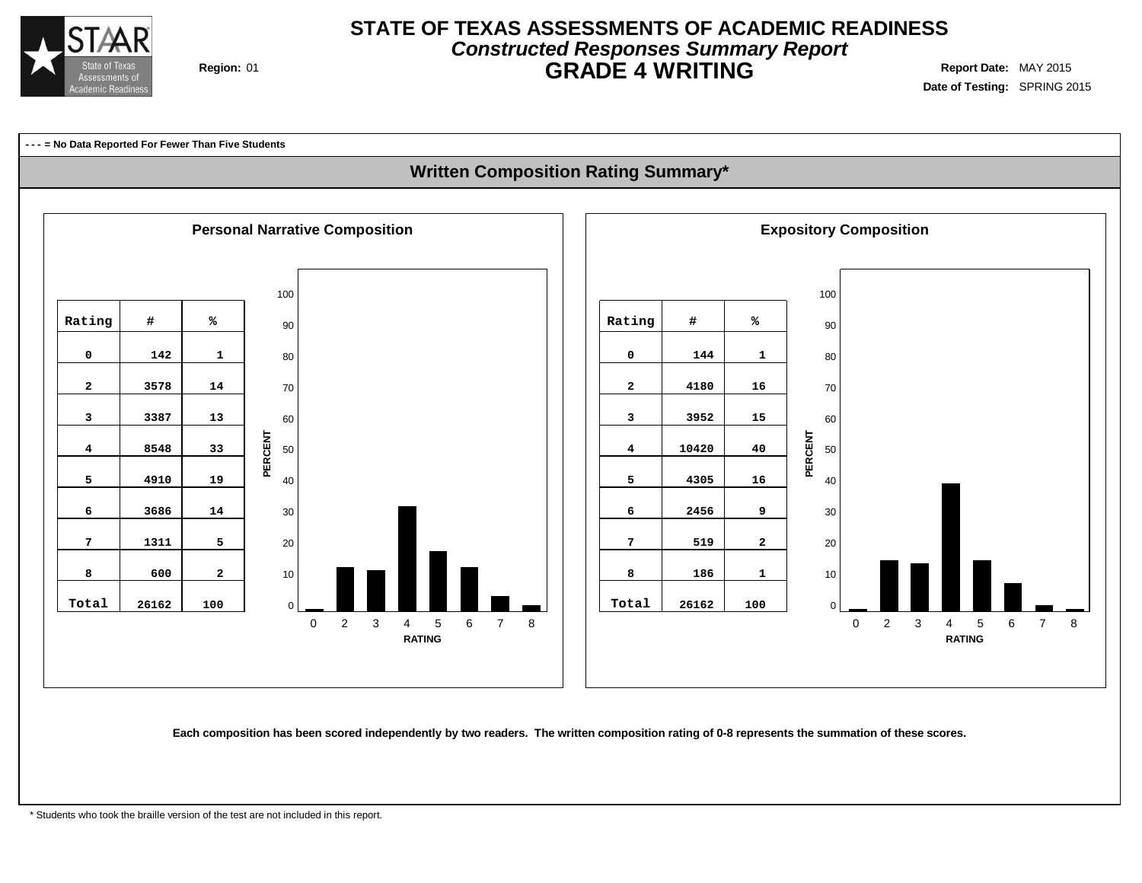

## **STATE OF TEXAS ASSESSMENTS OF ACADEMIC READINESS Constructed Responses Summary Report Region:** 01 **GRADE 4 WRITING Report Date:** MAY 2015

**Date of Testing:** SPRING 2015

**--- = No Data Reported For Fewer Than Five Students**

### **Written Composition Rating Summary\***



Each composition has been scored independently by two readers. The written composition rating of 0-8 represents the summation of these scores.

\* Students who took the braille version of the test are not included in this report.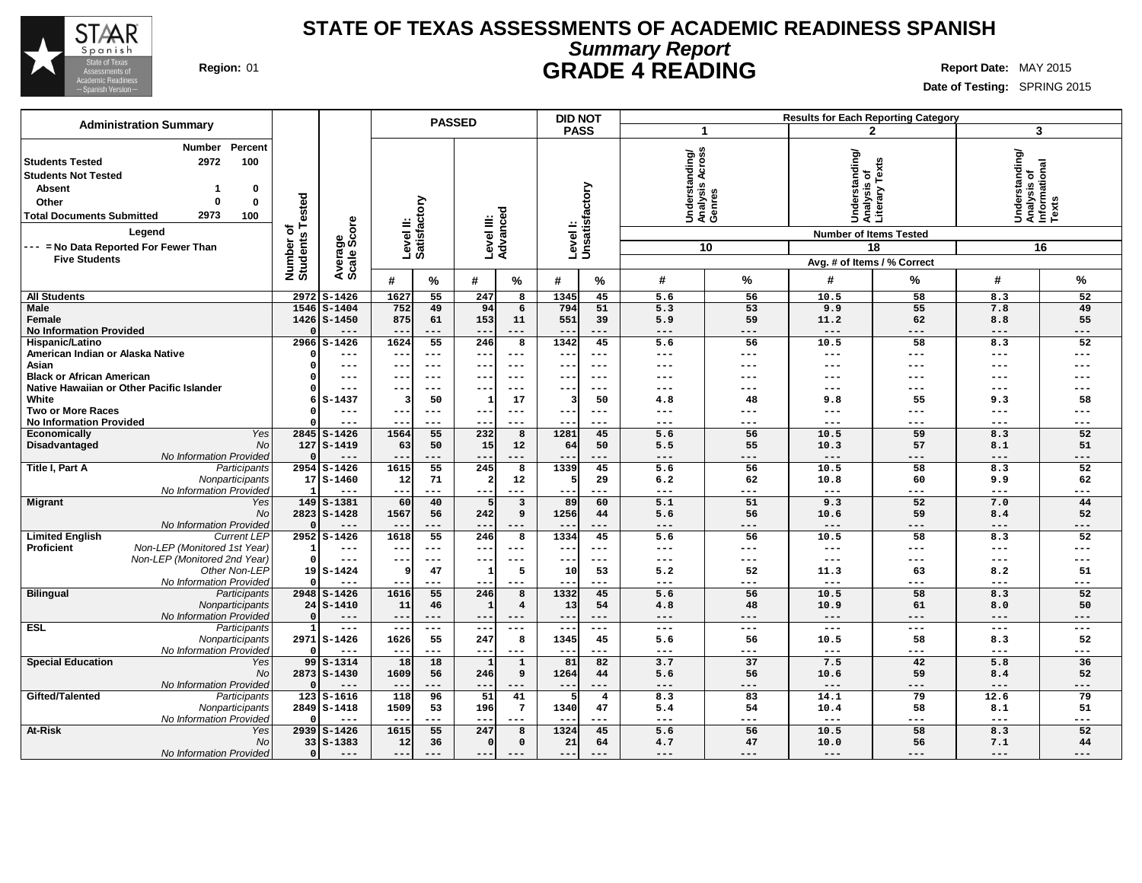

## **STATE OF TEXAS ASSESSMENTS OF ACADEMIC READINESS SPANISH Summary Report Region:** 01 **GRADE 4 READING Report** Date: MAY 2015

| <b>Administration Summary</b>                                                                                                                                                              |                      |                         |                                                      |              | <b>PASSED</b>          |                         | <b>DID NOT</b>    |                           |                                                       |                              |                                                 | <b>Results for Each Reporting Category</b> |                                                         |                     |
|--------------------------------------------------------------------------------------------------------------------------------------------------------------------------------------------|----------------------|-------------------------|------------------------------------------------------|--------------|------------------------|-------------------------|-------------------|---------------------------|-------------------------------------------------------|------------------------------|-------------------------------------------------|--------------------------------------------|---------------------------------------------------------|---------------------|
|                                                                                                                                                                                            |                      |                         |                                                      |              |                        |                         | <b>PASS</b>       |                           | -1                                                    |                              |                                                 | $\mathbf{2}$                               | 3                                                       |                     |
| Percent<br>Number<br>2972<br>100<br><b>Students Tested</b><br><b>Students Not Tested</b><br><b>Absent</b><br>0<br>-1<br>Other<br>0<br>0<br>2973<br>100<br><b>Total Documents Submitted</b> | Tested<br>৳          | Average<br>Scale Score  | Level II:<br>Satisfactory                            |              | Level III:<br>Advanced |                         |                   | Levell:<br>Unsatisfactory | Across<br>Understanding/<br>Analysis Across<br>Genres |                              | Understanding/<br>Analysis of<br>Literary Texts |                                            | Understanding/<br>Analysis of<br>Informational<br>Texts |                     |
| Legend                                                                                                                                                                                     |                      |                         |                                                      |              |                        |                         |                   |                           |                                                       |                              | <b>Number of Items Tested</b>                   |                                            |                                                         |                     |
| --- = No Data Reported For Fewer Than                                                                                                                                                      | Number o<br>Students |                         |                                                      |              |                        |                         |                   |                           |                                                       | 10                           |                                                 | 18                                         |                                                         | 16                  |
| <b>Five Students</b>                                                                                                                                                                       |                      |                         |                                                      |              |                        |                         |                   |                           |                                                       |                              | Avg. # of Items / % Correct                     |                                            |                                                         |                     |
|                                                                                                                                                                                            |                      |                         | #                                                    | %            | #                      | %                       | #                 | %                         | #                                                     | %                            | #                                               | %                                          | #                                                       | %                   |
| <b>All Students</b>                                                                                                                                                                        |                      | 2972 S-1426             | 1627                                                 | 55           | 247                    | 8                       | 1345              | 45                        | 5.6                                                   | 56                           | 10.5                                            | 58                                         | 8.3                                                     | 52                  |
| Male                                                                                                                                                                                       | 1546                 | $S - 1404$              | 752                                                  | 49           | 94                     | 6                       | 794               | 51                        | 5.3                                                   | 53                           | 9.9                                             | 55                                         | 7.8                                                     | 49                  |
| Female                                                                                                                                                                                     |                      | 1426 S-1450             | 875                                                  | 61           | 153                    | 11                      | 551               | 39                        | 5.9                                                   | 59                           | 11.2                                            | 62                                         | 8.8                                                     | 55                  |
| <b>No Information Provided</b>                                                                                                                                                             |                      | $---$                   | $- -$                                                | ---          | $- -$                  | $---$                   |                   | ---                       | $---$                                                 | $---$                        | $---$                                           | $---$                                      | $---$                                                   | ---                 |
| Hispanic/Latino                                                                                                                                                                            | 2966                 | $S - 1426$              | 1624                                                 | 55           | 246                    | 8                       | 1342              | 45                        | 5.6                                                   | 56                           | 10.5                                            | 58                                         | 8.3                                                     | 52                  |
| American Indian or Alaska Native<br>Asian                                                                                                                                                  |                      | ---<br>---              | $\overline{\phantom{m}}$<br>$\overline{\phantom{m}}$ | ---<br>$---$ | $- -$<br>--            | $---$<br>$---$          | $--$<br>$- -$     | $---$<br>$--$             | $---$<br>---                                          | $\qquad \qquad - -$<br>$---$ | $\qquad \qquad - -$<br>---                      | $---$<br>$---$                             | $---$<br>---                                            | $---$<br>---        |
| <b>Black or African American</b>                                                                                                                                                           |                      | ---                     | $\overline{\phantom{m}}$                             | $--$         | --                     |                         | $\qquad \qquad -$ | $--$                      | ---                                                   | ---                          | ---                                             |                                            |                                                         |                     |
| Native Hawaiian or Other Pacific Islander                                                                                                                                                  |                      | ---                     | $- -$                                                | $--$         | --                     | $- - -$                 | $- -$             | $--$                      | ---                                                   | $--$                         | ---                                             | ---                                        | ---                                                     | ---                 |
| White                                                                                                                                                                                      | 6                    | $S-1437$                | 3                                                    | 50           | ำ                      | 17                      | 3                 | 50                        | 4.8                                                   | 48                           | 9.8                                             | 55                                         | 9.3                                                     | 58                  |
| <b>Two or More Races</b>                                                                                                                                                                   |                      | ---                     | $\overline{\phantom{m}}$                             | $---$        | $- -$                  | $---$                   |                   | ---                       | ---                                                   | ---                          | ---                                             | $--$                                       | ---                                                     | ---                 |
| <b>No Information Provided</b>                                                                                                                                                             |                      | ---                     | $\overline{\phantom{m}}$                             | ---          | $- -$                  | ---                     | $\qquad \qquad -$ | ---                       | $--$                                                  | $- - -$                      | ---                                             | $---$                                      | ---                                                     | ---                 |
| Yes<br>Economically                                                                                                                                                                        |                      | $2845$ S-1426           | 1564                                                 | 55           | 232                    | 8                       | 1281              | 45                        | 5.6                                                   | 56                           | 10.5                                            | 59                                         | 8.3                                                     | 52                  |
| Disadvantaged<br><b>No</b>                                                                                                                                                                 |                      | $127$ S-1419            | 63                                                   | 50           | 15                     | 12                      | 64                | 50                        | 5.5                                                   | 55                           | 10.3                                            | 57                                         | 8.1                                                     | 51                  |
| No Information Provided                                                                                                                                                                    | 2954                 | ---<br>$S-1426$         | 1615                                                 | ---<br>55    | --<br>245              | 8                       | 1339              | ---<br>45                 | $---$<br>5.6                                          | ---<br>56                    | $---$<br>10.5                                   | $---$<br>58                                | ---<br>8.3                                              | ---<br>52           |
| Title I, Part A<br>Participants<br>Nonparticipants                                                                                                                                         |                      | $17S - 1460$            | 12                                                   | 71           |                        | 12                      | 5                 | 29                        | 6.2                                                   | 62                           | 10.8                                            | 60                                         | 9.9                                                     | 62                  |
| No Information Provided                                                                                                                                                                    |                      | $---$                   | $- -$                                                | ---          | $\sim$ $\sim$          | $\qquad \qquad - -$     |                   | ---                       | $---$                                                 | $---$                        | $\qquad \qquad - -$                             | $---$                                      | $---$                                                   | ---                 |
| <b>Migrant</b><br>Yes                                                                                                                                                                      | 149                  | $S-1381$                | 60                                                   | 40           | 5                      | $\overline{\mathbf{3}}$ | 89                | 60                        | 5.1                                                   | 51                           | 9.3                                             | 52                                         | 7.0                                                     | 44                  |
| No                                                                                                                                                                                         |                      | 2823 S-1428             | 1567                                                 | 56           | 242                    | 9                       | 1256              | 44                        | 5.6                                                   | 56                           | 10.6                                            | 59                                         | 8.4                                                     | 52                  |
| No Information Provided                                                                                                                                                                    |                      | $---$                   |                                                      | ---          | $- -$                  | $---$                   |                   | ---                       | $---$                                                 | $---$                        | $---$                                           | $---$                                      | $---$                                                   | ---                 |
| <b>Limited English</b><br><b>Current LEP</b>                                                                                                                                               |                      | 2952 S-1426             | 1618                                                 | 55           | 246                    | 8                       | 1334              | 45                        | 5.6                                                   | $\overline{56}$              | 10.5                                            | 58                                         | 8.3                                                     | 52                  |
| Non-LEP (Monitored 1st Year)<br><b>Proficient</b>                                                                                                                                          |                      | ---                     | $\overline{\phantom{m}}$                             | ---          | --                     | $---$                   | $\qquad \qquad -$ | $--$                      | $---$                                                 | $\qquad \qquad - -$          | $\qquad \qquad - -$                             | $---$                                      | ---                                                     | $---$               |
| Non-LEP (Monitored 2nd Year)<br>Other Non-LEP                                                                                                                                              | $\Omega$<br>19       | $---$<br>$S-1424$       | $- -$<br>ç                                           | $---$<br>47  | $- -$<br>-1            | $---$<br>5              | $- -$             | $---$<br>53               | $\frac{1}{2}$                                         | $\frac{1}{2}$<br>52          | $\frac{1}{2}$<br>11.3                           | $---$<br>63                                | $---$                                                   | $---$<br>51         |
| No Information Provided                                                                                                                                                                    |                      | ---                     |                                                      | ---          |                        | $---$                   | 10<br>$--$        | ---                       | 5.2<br>$---$                                          | ---                          | $---$                                           | $--$                                       | 8.2<br>$---$                                            | $---$               |
| <b>Bilingual</b><br>Participants                                                                                                                                                           |                      | 2948 S-1426             | 1616                                                 | 55           | 246                    | $\overline{8}$          | 1332              | 45                        | 5.6                                                   | 56                           | 10.5                                            | 58                                         | 8.3                                                     | 52                  |
| Nonparticipants                                                                                                                                                                            |                      | $24$ $S-1410$           | 11                                                   | 46           |                        | $\overline{\mathbf{4}}$ | 13                | 54                        | 4.8                                                   | 48                           | 10.9                                            | 61                                         | 8.0                                                     | 50                  |
| No Information Provided                                                                                                                                                                    |                      | $---$                   | $- -$                                                | ---          | $- -$                  | $---$                   | $- -$             | $---$                     | $---$                                                 | $---$                        | $---$                                           | $---$                                      | $---$                                                   | $\qquad \qquad - -$ |
| <b>ESL</b><br>Participants                                                                                                                                                                 |                      | $\frac{1}{2}$           | $---$                                                | $- - -$      | $\sim$ $\sim$          | $\frac{1}{2}$           | $---$             | $---$                     | $---$                                                 | $\frac{1}{2}$                | $---$                                           | $---$                                      | $\frac{1}{2}$                                           | $\frac{1}{2}$       |
| Nonparticipants                                                                                                                                                                            |                      | 2971 S-1426             | 1626                                                 | 55           | 247                    | 8                       | 1345              | 45                        | 5.6                                                   | 56                           | 10.5                                            | 58                                         | 8.3                                                     | 52                  |
| No Information Provided                                                                                                                                                                    |                      | $- - -$                 | $- -$                                                | ---          | $\sim$ $\sim$          | $- - -$                 | $- -$             | ---                       | $\frac{1}{2}$                                         | $---$                        | $\frac{1}{2}$                                   | $---$                                      | $---$                                                   | $---$               |
| <b>Special Education</b><br>Yes<br><b>No</b>                                                                                                                                               | 99                   | $S-1314$<br>2873 S-1430 | 18<br>1609                                           | 18<br>56     | 246                    | $\mathbf 1$<br>9        | 81<br>1264        | 82<br>44                  | 3.7<br>5.6                                            | 37<br>56                     | 7.5<br>10.6                                     | 42<br>59                                   | 5.8<br>8.4                                              | 36<br>52            |
| No Information Provided                                                                                                                                                                    |                      | $---$                   | $ -$                                                 | ---          | $- -$                  | $- - -$                 | $- -$             | ---                       | $---$                                                 | $---$                        | $---$                                           | $---$                                      | $---$                                                   | $---$               |
| Gifted/Talented<br>Participants                                                                                                                                                            | 123                  | $S - 1616$              | 118                                                  | 96           | 51                     | 41                      |                   | $\overline{4}$            | 8.3                                                   | 83                           | 14.1                                            | 79                                         | 12.6                                                    | 79                  |
| Nonparticipants                                                                                                                                                                            |                      | 2849 S-1418             | 1509                                                 | 53           | 196                    | $7\overline{ }$         | 1340              | 47                        | 5.4                                                   | 54                           | 10.4                                            | 58                                         | 8.1                                                     | 51                  |
| No Information Provided                                                                                                                                                                    |                      | ---                     |                                                      | ---          | $- -$                  | $---$                   | $ -$              | ---                       | $---$                                                 | ---                          | $---$                                           | $---$                                      | $---$                                                   | $---$               |
| <b>At-Risk</b><br>Yes                                                                                                                                                                      |                      | 2939 S-1426             | 1615                                                 | 55           | 247                    | 8                       | 1324              | 45                        | 5.6                                                   | 56                           | 10.5                                            | 58                                         | 8.3                                                     | 52                  |
| <b>No</b>                                                                                                                                                                                  |                      | $33   S - 1383$         | 12                                                   | 36           | $\Omega$               | $\mathbf 0$             | 21                | 64                        | 4.7                                                   | 47                           | 10.0                                            | 56                                         | 7.1                                                     | 44                  |
| No Information Provided                                                                                                                                                                    |                      | ---                     | $---$                                                |              | $--$                   | $---$                   | $- -$             |                           | $---$                                                 | ---                          | $---$                                           | $---$                                      | $---$                                                   | ---                 |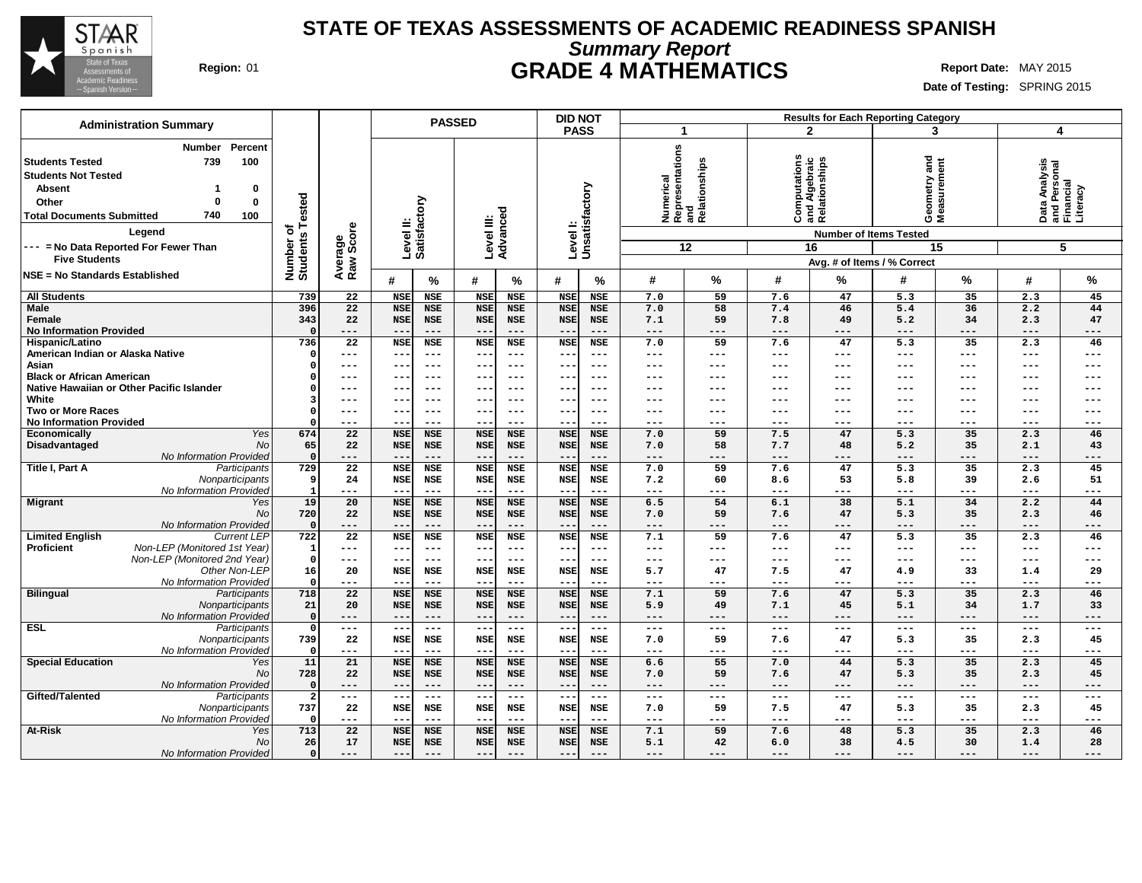

### **STATE OF TEXAS ASSESSMENTS OF ACADEMIC READINESS SPANISH Summary Report Region:** 01 **GRADE 4 MATHEMATICS Report Date:** MAY 2015

| <b>Administration Summary</b>                                                                                                                                                                                                                                        |                                      |                              |                                   | <b>PASSED</b>                                   |                                   |                                   | <b>DID NOT</b>             |                                   |                   |                                               |                   |                                                                                       | <b>Results for Each Reporting Category</b>                        |                                  |                            |                                                             |
|----------------------------------------------------------------------------------------------------------------------------------------------------------------------------------------------------------------------------------------------------------------------|--------------------------------------|------------------------------|-----------------------------------|-------------------------------------------------|-----------------------------------|-----------------------------------|----------------------------|-----------------------------------|-------------------|-----------------------------------------------|-------------------|---------------------------------------------------------------------------------------|-------------------------------------------------------------------|----------------------------------|----------------------------|-------------------------------------------------------------|
|                                                                                                                                                                                                                                                                      |                                      |                              |                                   |                                                 |                                   |                                   | <b>PASS</b>                |                                   | 1                 |                                               |                   | $\overline{2}$                                                                        |                                                                   | 3                                | 4                          |                                                             |
| Percent<br><b>Number</b><br><b>Students Tested</b><br>739<br>100<br><b>Students Not Tested</b><br><b>Absent</b><br>0<br>0<br>Other<br>0<br>740<br>100<br><b>Total Documents Submitted</b><br>Legend<br>--- = No Data Reported For Fewer Than<br><b>Five Students</b> | Tested<br>৳<br>Number o'<br>Students | Average<br>Raw Score         | Satisfactory<br>Level II:         |                                                 | Level III:                        | Advanced                          | Level I:<br>Unsatisfactory |                                   | Numerical         | Representations<br>and<br>Relationships<br>12 |                   | Computations<br>and Algebraic<br>Relationships<br><b>Number of Items Tested</b><br>16 | and<br>Geometry and<br>Measurement<br>Avg. # of Items / % Correct | 15                               |                            | Data Analysis<br>and Personal<br>Financial<br>Literacy<br>5 |
| NSE = No Standards Established                                                                                                                                                                                                                                       |                                      |                              | #                                 | %                                               | #                                 | %                                 | #                          | %                                 | #                 | %                                             | #                 | %                                                                                     | #                                                                 | ℅                                | #                          | %                                                           |
| <b>All Students</b>                                                                                                                                                                                                                                                  | 739                                  | 22                           | <b>NSE</b>                        | <b>NSE</b>                                      | <b>NSE</b>                        | <b>NSE</b>                        | <b>NSE</b>                 | <b>NSE</b>                        | 7.0               | 59                                            | 7.6               | 47                                                                                    | 5.3                                                               | 35                               | 2.3                        | 45                                                          |
| <b>Male</b><br>Female<br><b>No Information Provided</b>                                                                                                                                                                                                              | 396<br>343                           | 22<br>22<br>---              | <b>NSE</b><br><b>NSE</b><br>--    | <b>NSE</b><br><b>NSE</b><br>$---$               | <b>NSE</b><br><b>NSE</b><br>$- -$ | <b>NSE</b><br><b>NSE</b><br>$---$ | <b>NSE</b><br><b>NSE</b>   | <b>NSE</b><br><b>NSE</b><br>$---$ | 7.0<br>7.1<br>--- | 58<br>59<br>---                               | 7.4<br>7.8<br>--- | 46<br>49<br>---                                                                       | 5.4<br>5.2<br>$---$                                               | 36<br>34<br>---                  | 2.2<br>2.3<br>$---$        | 44<br>47<br>$---$                                           |
| Hispanic/Latino                                                                                                                                                                                                                                                      | 736                                  | $\overline{22}$              | <b>NSE</b>                        | <b>NSE</b>                                      | <b>NSE</b>                        | <b>NSE</b>                        | <b>NSE</b>                 | <b>NSE</b>                        | 7.0               | 59                                            | 7.6               | 47                                                                                    | 5.3                                                               | 35                               | 2.3                        | 46                                                          |
| American Indian or Alaska Native                                                                                                                                                                                                                                     | $\Omega$                             | ---                          | $- -$                             | $\qquad \qquad -$                               | $- -$                             | $---$                             | $- -$                      | $---$                             | ---               | $---$                                         | ---               | ---                                                                                   | $---$                                                             | $\qquad \qquad - -$              | $---$                      | $---$                                                       |
| Asian                                                                                                                                                                                                                                                                |                                      | ---                          | $- -$                             | $---$                                           | $- -$                             | ---                               |                            | $--$                              | ---               | ---                                           | ---               | ---                                                                                   | $---$                                                             | $---$                            | $--$                       | $---$                                                       |
| <b>Black or African American</b>                                                                                                                                                                                                                                     |                                      | ---                          | ---                               | $- - -$                                         | $- -$                             | $--$                              | $- -$                      | $--$                              | ---               | ---                                           | ---               | ---                                                                                   | $---$                                                             | $---$                            | $---$                      | $---$                                                       |
| Native Hawaiian or Other Pacific Islander                                                                                                                                                                                                                            |                                      | ---                          | $- -$                             | $\qquad \qquad -$                               | $\overline{\phantom{m}}$          | $- - -$                           | --                         | $- - -$                           | ---               | ---                                           | ---               | ---                                                                                   | ---                                                               | $---$                            | $---$                      | $--$                                                        |
| White                                                                                                                                                                                                                                                                |                                      | ---                          | --                                | $---$                                           | $--$                              | $-- -$                            |                            | ---                               | ---               | ---                                           | ---               | ---                                                                                   | ---                                                               | $---$                            | ---                        | ---                                                         |
| <b>Two or More Races</b><br><b>No Information Provided</b>                                                                                                                                                                                                           |                                      | ---<br>---                   | $- -$<br>$- -$                    | $---$<br>$---$                                  | $---$<br>$- -$                    | $--$<br>---                       | --<br>--                   | $--$<br>---                       | ---<br>---        | ---<br>$---$                                  | ---<br>---        | ---<br>---                                                                            | $---$<br>$---$                                                    | $--$<br>$--$                     | $--$<br>$---$              | $---$<br>$---$                                              |
| Yes<br><b>Economically</b>                                                                                                                                                                                                                                           | 674                                  | 22                           | <b>NSE</b>                        | <b>NSE</b>                                      | <b>NSE</b>                        | <b>NSE</b>                        | <b>NSE</b>                 | <b>NSE</b>                        | 7.0               | 59                                            | 7.5               | 47                                                                                    | 5.3                                                               | 35                               | 2.3                        | 46                                                          |
| Disadvantaged<br><b>No</b>                                                                                                                                                                                                                                           | 65                                   | 22                           | <b>NSE</b>                        | <b>NSE</b>                                      | <b>NSE</b>                        | <b>NSE</b>                        | <b>NSE</b>                 | <b>NSE</b>                        | 7.0               | 58                                            | 7.7               | 48                                                                                    | 5.2                                                               | 35                               | 2.1                        | 43                                                          |
| No Information Provided                                                                                                                                                                                                                                              | $\Omega$                             | ---                          | $-$                               | $---$                                           | $-$                               | $---$                             |                            | $---$                             | ---               | ---                                           | ---               | $---$                                                                                 | $---$                                                             | $---$                            | $---$                      | $---$                                                       |
| Title I, Part A<br>Participants                                                                                                                                                                                                                                      | 729                                  | 22                           | <b>NSE</b>                        | <b>NSE</b>                                      | <b>NSE</b>                        | <b>NSE</b>                        | <b>NSE</b>                 | <b>NSE</b>                        | 7.0               | 59                                            | 7.6               | 47                                                                                    | 5.3                                                               | 35                               | 2.3                        | 45                                                          |
| Nonparticipants                                                                                                                                                                                                                                                      |                                      | 24                           | <b>NSE</b>                        | <b>NSE</b>                                      | <b>NSE</b>                        | <b>NSE</b>                        | <b>NSE</b>                 | <b>NSE</b>                        | 7.2               | 60                                            | 8.6               | 53                                                                                    | 5.8                                                               | 39                               | 2.6                        | 51                                                          |
| No Information Provided                                                                                                                                                                                                                                              |                                      | ---                          | $- -$                             | $- - -$                                         | $---$                             | $---$                             | $-$                        | $---$                             | ---               | $---$                                         | ---               | $---$                                                                                 | $---$                                                             | $\qquad \qquad - -$              | $- - -$                    | $---$                                                       |
| <b>Migrant</b><br>Yes<br><b>No</b><br><b>No Information Provided</b>                                                                                                                                                                                                 | 19<br>720                            | $\overline{20}$<br>22<br>--- | <b>NSE</b><br><b>NSE</b><br>$- -$ | <b>NSE</b><br><b>NSE</b><br>$\qquad \qquad - -$ | <b>NSE</b><br><b>NSE</b><br>$--$  | <b>NSE</b><br><b>NSE</b><br>$---$ | <b>NSE</b><br><b>NSE</b>   | <b>NSE</b><br><b>NSE</b><br>$---$ | 6.5<br>7.0<br>--- | 54<br>59<br>$---$                             | 6.1<br>7.6<br>--- | 38<br>47<br>---                                                                       | 5.1<br>5.3<br>$---$                                               | $\overline{34}$<br>35<br>$- - -$ | 2.2<br>2.3<br>$---$        | 44<br>46<br>$---$                                           |
| <b>Current LEP</b><br><b>Limited English</b>                                                                                                                                                                                                                         | 722                                  | $\overline{22}$              | <b>NSE</b>                        | <b>NSE</b>                                      | <b>NSE</b>                        | <b>NSE</b>                        | <b>NSE</b>                 | <b>NSE</b>                        | 7.1               | 59                                            | 7.6               | 47                                                                                    | 5.3                                                               | $\overline{35}$                  | 2.3                        | 46                                                          |
| Proficient<br>Non-LEP (Monitored 1st Year)                                                                                                                                                                                                                           | -1                                   | ---                          | --                                | $\qquad \qquad -$                               | $--$                              | $- - -$                           | $ -$                       | $---$                             | ---               | $---$                                         | $---$             | ---                                                                                   | $---$                                                             | $\frac{1}{2}$                    | $---$                      | $---$                                                       |
| Non-LEP (Monitored 2nd Year)                                                                                                                                                                                                                                         | $\Omega$                             | ---                          | $- -$                             | $- - -$                                         | $---$                             | $- - -$                           | $- -$                      | $---$                             | ---               | $---$                                         | ---               | ---                                                                                   | $\qquad \qquad - -$                                               | $\frac{1}{2}$                    | $---$                      | $---$                                                       |
| Other Non-LEP                                                                                                                                                                                                                                                        | 16                                   | 20                           | <b>NSE</b>                        | <b>NSE</b>                                      | <b>NSE</b>                        | <b>NSE</b>                        | <b>NSE</b>                 | <b>NSE</b>                        | 5.7               | 47                                            | 7.5               | 47                                                                                    | 4.9                                                               | 33                               | 1.4                        | 29                                                          |
| No Information Provided                                                                                                                                                                                                                                              |                                      | ---                          | $-$                               | $---$                                           | $-$                               | $---$                             |                            | $---$                             | ---               | $---$                                         | ---               | ---                                                                                   | $---$                                                             | ---                              | $---$                      | $---$                                                       |
| <b>Bilingual</b><br>Participants                                                                                                                                                                                                                                     | 718<br>21                            | 22<br>20                     | <b>NSE</b><br><b>NSE</b>          | <b>NSE</b><br><b>NSE</b>                        | <b>NSE</b><br><b>NSE</b>          | <b>NSE</b><br><b>NSE</b>          | <b>NSE</b><br><b>NSE</b>   | <b>NSE</b><br><b>NSE</b>          | 7.1<br>5.9        | 59<br>49                                      | 7.6               | 47<br>45                                                                              | 5.3<br>5.1                                                        | 35<br>34                         | 2.3                        | 46<br>33                                                    |
| Nonparticipants<br>No Information Provided                                                                                                                                                                                                                           | $\Omega$                             | ---                          | $- -$                             | $\qquad \qquad - -$                             | $---$                             | $---$                             | $ -$                       | $---$                             | ---               | $---$                                         | 7.1<br>$---$      | $---$                                                                                 | $---$                                                             | $---$                            | 1.7<br>$\qquad \qquad - -$ | $---$                                                       |
| ESL<br>Participants                                                                                                                                                                                                                                                  | $\Omega$                             | ---                          | $- -$                             | $- - -$                                         | $\overline{-}$                    | $ -$                              | $\sim$ $\sim$              | $- - -$                           | ---               | $---$                                         | $---$             | $---$                                                                                 | $\frac{1}{2}$                                                     | $\sim$ $\sim$ $\sim$             | $\sim$ $\sim$ $\sim$       | $\frac{1}{2}$                                               |
| Nonparticipants                                                                                                                                                                                                                                                      | 739                                  | 22                           | <b>NSE</b>                        | <b>NSE</b>                                      | <b>NSE</b>                        | <b>NSE</b>                        | <b>NSE</b>                 | <b>NSE</b>                        | 7.0               | 59                                            | 7.6               | 47                                                                                    | 5.3                                                               | 35                               | 2.3                        | 45                                                          |
| No Information Provided                                                                                                                                                                                                                                              |                                      | ---                          | $-$                               | $---$                                           | $- -$                             | $---$                             | $\sim$ $\sim$              | $- - -$                           | ---               | $---$                                         | $---$             | ---                                                                                   | $---$                                                             | $---$                            | $---$                      | $---$                                                       |
| <b>Special Education</b><br>Yes                                                                                                                                                                                                                                      | 11                                   | 21                           | <b>NSE</b>                        | <b>NSE</b>                                      | <b>NSE</b>                        | <b>NSE</b>                        | <b>NSE</b>                 | <b>NSE</b>                        | 6.6               | 55                                            | 7.0               | 44                                                                                    | 5.3                                                               | 35                               | 2.3                        | 45                                                          |
| N <sub>O</sub>                                                                                                                                                                                                                                                       | 728                                  | 22                           | <b>NSE</b>                        | <b>NSE</b>                                      | <b>NSE</b>                        | <b>NSE</b>                        | <b>NSE</b>                 | <b>NSE</b>                        | 7.0               | 59                                            | 7.6               | 47                                                                                    | 5.3                                                               | 35                               | 2.3                        | 45                                                          |
| No Information Provided                                                                                                                                                                                                                                              |                                      | ---                          | $- -$                             | $- - -$                                         | $---$                             | $---$                             | $ -$                       | $- - -$                           | ---               | $---$                                         | $---$             | $- - -$                                                                               | $---$                                                             | $---$                            | $---$                      | $---$                                                       |
| Gifted/Talented<br>Participants                                                                                                                                                                                                                                      | $\overline{2}$<br>737                | ---                          | $- -$                             | $\qquad \qquad - -$                             | $- -$                             | $\frac{1}{2}$                     | $ -$                       | $\frac{1}{2}$                     | ---<br>7.0        | $---$<br>59                                   | $---$<br>7.5      | $---$<br>47                                                                           | $\qquad \qquad - -$<br>5.3                                        | $\qquad \qquad - -$              | $\frac{1}{2}$              | $---$<br>45                                                 |
| Nonparticipants<br>No Information Provided                                                                                                                                                                                                                           |                                      | 22<br>---                    | <b>NSE</b><br>$- -$               | <b>NSE</b><br>$\qquad \qquad -$                 | <b>NSE</b><br>$- -$               | <b>NSE</b><br>$---$               | <b>NSE</b><br>$- -$        | <b>NSE</b><br>$---$               | ---               | $---$                                         | $---$             | $---$                                                                                 | $---$                                                             | 35<br>$\qquad \qquad - -$        | 2.3<br>$---$               | $---$                                                       |
| <b>At-Risk</b><br>Yes                                                                                                                                                                                                                                                | 713                                  | $\overline{22}$              | <b>NSE</b>                        | <b>NSE</b>                                      | <b>NSE</b>                        | <b>NSE</b>                        | <b>NSE</b>                 | <b>NSE</b>                        | 7.1               | 59                                            | 7.6               | 48                                                                                    | 5.3                                                               | 35                               | 2.3                        | 46                                                          |
| N <sub>O</sub>                                                                                                                                                                                                                                                       | 26                                   | 17                           | <b>NSE</b>                        | <b>NSE</b>                                      | <b>NSE</b>                        | <b>NSE</b>                        | <b>NSE</b>                 | <b>NSE</b>                        | 5.1               | 42                                            | 6.0               | 38                                                                                    | 4.5                                                               | 30                               | 1.4                        | 28                                                          |
| No Information Provided                                                                                                                                                                                                                                              | $\Omega$                             | ---                          | $- -$                             | $---$                                           | $- -$                             | $---$                             | $- -$                      | $---$                             | ---               | $---$                                         | $---$             | $---$                                                                                 | $---$                                                             | $---$                            | $---$                      | $---$                                                       |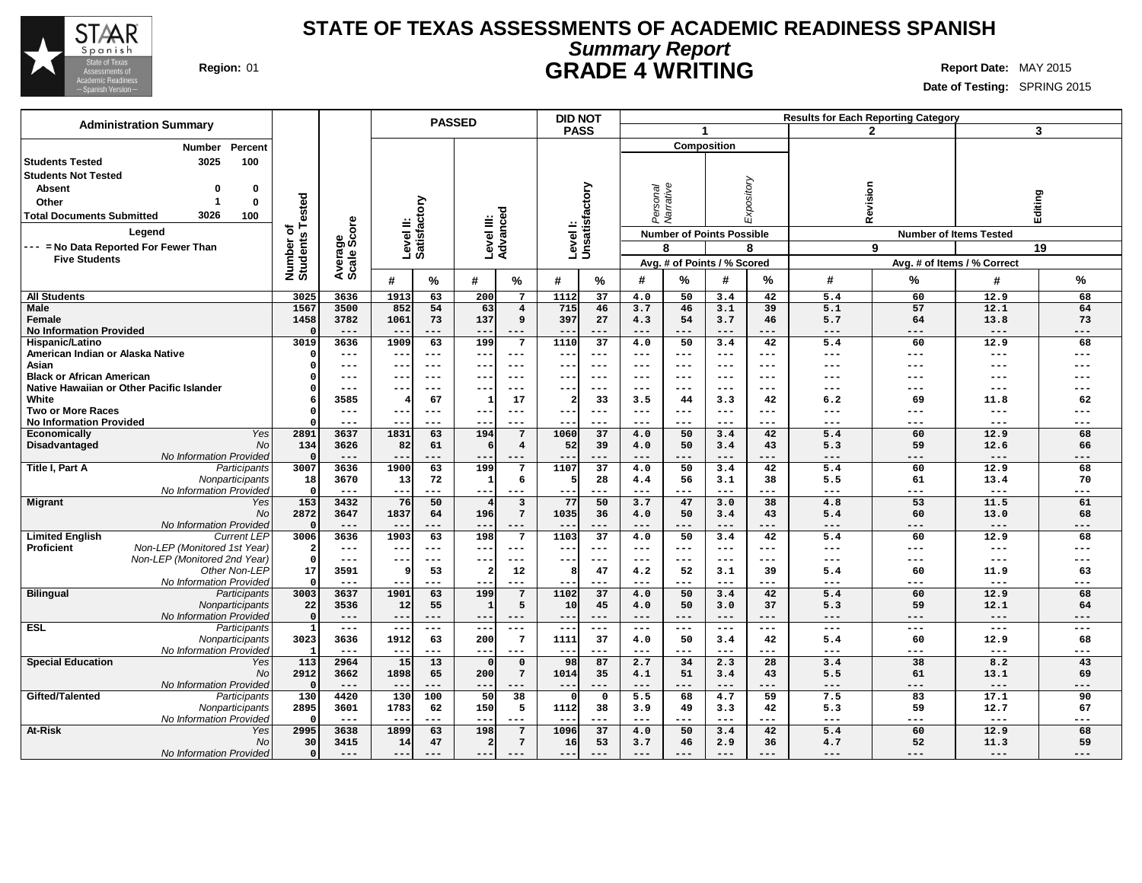

## **STATE OF TEXAS ASSESSMENTS OF ACADEMIC READINESS SPANISH Summary Report Region:** 01 **GRADE 4 WRITING Report Date:** MAY 2015

| <b>Administration Summary</b>                              |                              |                        |               | <b>PASSED</b>       |                |                         | <b>DID NOT</b>           |                           |                            |                          |                                  |                     |              | <b>Results for Each Reporting Category</b> |                               |            |
|------------------------------------------------------------|------------------------------|------------------------|---------------|---------------------|----------------|-------------------------|--------------------------|---------------------------|----------------------------|--------------------------|----------------------------------|---------------------|--------------|--------------------------------------------|-------------------------------|------------|
|                                                            |                              |                        |               |                     |                |                         | <b>PASS</b>              |                           |                            | $\mathbf{1}$             |                                  |                     |              | $\mathfrak{p}$                             |                               | 3          |
| Percent<br><b>Number</b>                                   |                              |                        |               |                     |                |                         |                          |                           |                            |                          | <b>Composition</b>               |                     |              |                                            |                               |            |
| 3025<br>100<br><b>Students Tested</b>                      |                              |                        |               |                     |                |                         |                          |                           |                            |                          |                                  |                     |              |                                            |                               |            |
| <b>Students Not Tested</b>                                 |                              |                        |               |                     |                |                         |                          |                           |                            |                          |                                  |                     |              |                                            |                               |            |
|                                                            |                              |                        |               |                     |                |                         |                          |                           |                            |                          |                                  |                     |              |                                            |                               |            |
| <b>Absent</b><br>0<br>O                                    |                              |                        |               |                     |                |                         |                          |                           |                            |                          |                                  |                     |              |                                            |                               |            |
| $\mathbf 0$<br>Other                                       |                              |                        |               |                     |                |                         |                          |                           |                            |                          |                                  | Expository          |              |                                            |                               |            |
| 3026<br>100<br><b>Total Documents Submitted</b>            |                              |                        |               |                     |                |                         |                          |                           | Personal<br>Narrative      |                          |                                  |                     | Revision     |                                            | Editing                       |            |
| Legend                                                     | Number of<br>Students Tested | Average<br>Scale Score | Level II:     | Satisfactory        |                | Level III:<br>Advanced  |                          | Levell:<br>Unsatisfactory |                            |                          | <b>Number of Points Possible</b> |                     |              |                                            | <b>Number of Items Tested</b> |            |
| --- = No Data Reported For Fewer Than                      |                              |                        |               |                     |                |                         |                          |                           |                            | 8                        |                                  | 8                   |              | 9                                          |                               | 19         |
| <b>Five Students</b>                                       |                              |                        |               |                     |                |                         |                          |                           |                            |                          |                                  |                     |              |                                            |                               |            |
|                                                            |                              |                        |               |                     |                |                         |                          |                           |                            |                          | Avg. # of Points / % Scored      |                     |              |                                            | Avg. # of Items / % Correct   |            |
|                                                            |                              |                        | #             | %                   | #              | %                       | #                        | %                         | #                          | %                        | #                                | %                   | #            | %                                          | #                             | %          |
| <b>All Students</b>                                        | 3025                         | 3636                   | 1913          | 63                  | 200            | 7                       | 1112                     | 37                        | 4.0                        | 50                       | 3.4                              | 42                  | 5.4          | 60                                         | 12.9                          | 68         |
| <b>Male</b>                                                | 1567                         | 3500                   | 852           | 54                  | 63             | $\overline{\mathbf{4}}$ | 715                      | 46                        | 3.7                        | 46                       | 3.1                              | 39                  | 5.1          | 57                                         | 12.1                          | 64         |
| Female                                                     | 1458                         | 3782                   | 1061          | 73                  | 137            | 9                       | 397                      | 27                        | 4.3                        | 54                       | 3.7                              | 46                  | 5.7          | 64                                         | 13.8                          | 73         |
| <b>No Information Provided</b>                             | $\Omega$                     | $- - -$                | $- -$         | ---                 | $- -$          | $- - -$                 |                          | ---                       | $- - -$                    | ---                      | $- - -$                          | $- - -$             | $- - -$      | $- - -$                                    | $---$                         | ---        |
| <b>Hispanic/Latino</b>                                     | 3019                         | 3636                   | 1909          | 63                  | 199            | $\overline{7}$          | 1110                     | $\overline{37}$           | 4.0                        | 50                       | 3.4                              | 42                  | 5.4          | 60                                         | 12.9                          | 68         |
| American Indian or Alaska Native                           |                              | $\qquad \qquad - -$    | $- -$         | $- - -$             | $--$           | $---$                   | $- -$                    | $---$                     | $\qquad \qquad - -$        | $---$                    | $---$                            | $---$               | $---$        | ---                                        | $\qquad \qquad - -$           | ---        |
| Asian                                                      |                              | $\qquad \qquad - -$    | $- -$         | $---$               | $- -$          | $- - -$                 | $- -$                    | $- - -$                   | $---$                      | $- - -$                  | ---                              | $- - -$             | ---          | ---                                        | $---$                         | ---        |
| <b>Black or African American</b>                           |                              | ---                    | $- -$         | $---$               | --             | ---                     |                          | $--$                      | $\qquad \qquad - -$        | $---$                    | ---                              | $--$                | ---          | ---                                        | ---                           |            |
| Native Hawaiian or Other Pacific Islander                  |                              | $---$                  | $- -$         | $---$               | $- -$          | ---                     | $- -$                    | $---$                     | $\qquad \qquad - -$        | $---$                    | $---$                            | $---$               | $---$        | ---                                        | $---$                         | ---        |
| White                                                      |                              | 3585                   |               | 67                  |                | 17                      | $\overline{\mathbf{2}}$  | 33                        | 3.5                        | 44                       | 3.3                              | 42                  | 6.2          | 69                                         | 11.8                          | 62         |
| <b>Two or More Races</b><br><b>No Information Provided</b> |                              | $---$<br>$---$         | ---<br>$-$    | $---$<br>$---$      | $- -$<br>$- -$ | $--$<br>$---$           | $- -$<br>$- -$           | $---$<br>$---$            | $---$<br>$---$             | $- - -$<br>$---$         | ---<br>$---$                     | $---$<br>$---$      | ---<br>$---$ | ---<br>---                                 | $---$<br>$---$                | ---<br>--- |
| Yes<br>Economically                                        | 2891                         | 3637                   | 1831          | 63                  | 194            | $7\phantom{.0}$         | 1060                     | 37                        | 4.0                        | 50                       | 3.4                              | 42                  | 5.4          | 60                                         | 12.9                          | 68         |
| Disadvantaged<br>No                                        | 134                          | 3626                   | 82            | 61                  | 6              | $\overline{\mathbf{4}}$ | 52                       | 39                        | 4.0                        | 50                       | 3.4                              | 43                  | 5.3          | 59                                         | 12.6                          | 66         |
| No Information Provided                                    | $\Omega$                     |                        |               | ---                 | --             | ---                     |                          |                           |                            | ---                      | $---$                            |                     | $---$        | ---                                        | $---$                         | ---        |
| Title I, Part A<br>Participants                            | 3007                         | 3636                   | 1900          | 63                  | 199            | 7                       | 1107                     | 37                        | 4.0                        | 50                       | 3.4                              | 42                  | 5.4          | 60                                         | 12.9                          | 68         |
| Nonparticipants                                            | 18                           | 3670                   | 13            | 72                  | -1             | 6                       | 5                        | 28                        | 4.4                        | 56                       | 3.1                              | 38                  | 5.5          | 61                                         | 13.4                          | 70         |
| No Information Provided                                    | $\mathbf 0$                  | $---$                  | ---           | ---                 | $---$          | $---$                   | $- -$                    | ---                       | $---$                      | ---                      | $---$                            | $---$               | $---$        | ---                                        | $\qquad \qquad - -$           | ---        |
| <b>Migrant</b><br>Yes                                      | 153                          | 3432                   | 76            | 50                  | $\overline{4}$ | 3                       | 77                       | 50                        | 3.7                        | 47                       | 3.0                              | 38                  | 4.8          | 53                                         | 11.5                          | 61         |
| No                                                         | 2872                         | 3647                   | 1837          | 64                  | 196            | $7\phantom{.0}$         | 1035                     | 36                        | 4.0                        | 50                       | 3.4                              | 43                  | 5.4          | 60                                         | 13.0                          | 68         |
| No Information Provided                                    | $\Omega$                     | $---$                  | $- -$         | ---                 | $- -$          | $---$                   | $ -$                     | ---                       | $---$                      | $---$                    | $---$                            | $- - -$             | $---$        | ---                                        | $---$                         | ---        |
| <b>Limited English</b><br><b>Current LEP</b>               | 3006                         | 3636                   | 1903          | 63                  | 198            | 7                       | 1103                     | 37                        | 4.0                        | 50                       | 3.4                              | 42                  | 5.4          | 60                                         | 12.9                          | 68         |
| <b>Proficient</b><br>Non-LEP (Monitored 1st Year)          | $\mathbf{2}$                 | $\frac{1}{2}$          | $---$         | $\frac{1}{2}$       | $---$          | $---$                   | $- -$                    | $- - -$                   | $---$                      | $\frac{1}{2}$<br>$- - -$ | $---$                            | $\frac{1}{2}$       | $---$<br>--- | ---                                        | $\frac{1}{2}$                 | ---        |
| Non-LEP (Monitored 2nd Year)<br>Other Non-LEP              | $\Omega$<br>17               | $---$<br>3591          | $- -$<br>S    | $---$<br>53         | $- -$<br>2     | ---<br>12               | $- -$<br>8               | $---$<br>47               | $\qquad \qquad - -$<br>4.2 | 52                       | ---<br>3.1                       | $---$<br>39         | 5.4          | ---<br>60                                  | $---$<br>11.9                 | ---<br>63  |
| No Information Provided                                    | $\Omega$                     | $---$                  | $- -$         | $---$               | $-$            | ---                     |                          | ---                       | $---$                      | ---                      | $---$                            | $---$               | $---$        | ---                                        | $---$                         | ---        |
| <b>Bilingual</b><br>Participants                           | 3003                         | 3637                   | 1901          | 63                  | 199            | $7\phantom{.0}$         | 1102                     | 37                        | 4.0                        | 50                       | 3.4                              | 42                  | 5.4          | 60                                         | 12.9                          | 68         |
| Nonparticipants                                            | 22                           | 3536                   | 12            | 55                  | -1             | 5                       | 10                       | 45                        | 4.0                        | 50                       | 3.0                              | 37                  | 5.3          | 59                                         | 12.1                          | 64         |
| No Information Provided                                    | $\Omega$                     | $---$                  | ---           | $\qquad \qquad - -$ | $--$           | $---$                   | $---$                    | $---$                     | $---$                      | $---$                    | $---$                            | $---$               | $---$        | ---                                        | $---$                         | ---        |
| <b>ESL</b><br>Participants                                 | $\mathbf{1}$                 | $---$                  | $- -$         | $- - -$             | $\sim$ $\sim$  | ---                     | $\overline{\phantom{m}}$ | $---$                     | $---$                      | $---$                    | $---$                            | $- - -$             | ---          | $--$                                       | $\qquad \qquad - -$           | $---$      |
| Nonparticipants                                            | 3023                         | 3636                   | 1912          | 63                  | 200            | 7                       | 1111                     | 37                        | 4.0                        | 50                       | 3.4                              | 42                  | 5.4          | 60                                         | 12.9                          | 68         |
| No Information Provided                                    |                              | $---$                  | ---           | ---                 | $- -$          | $---$                   | $---$                    | ---                       | $\qquad \qquad - -$        | ---                      | $---$                            | $---$               | $---$        | ---                                        | $---$                         | ---        |
| <b>Special Education</b><br>Yes                            | 113                          | 2964                   | 15            | 13                  | $\Omega$       | $\mathsf{o}\,$          | 98                       | 87                        | 2.7                        | 34                       | 2.3                              | 28                  | 3.4          | 38                                         | 8.2                           | 43         |
| <b>No</b>                                                  | 2912                         | 3662                   | 1898          | 65                  | 200            | $7\phantom{.0}$         | 1014                     | 35                        | 4.1                        | 51                       | 3.4                              | 43                  | 5.5          | 61                                         | 13.1                          | 69         |
| No Information Provided                                    | $\Omega$                     | $---$                  | ---           | $\qquad \qquad - -$ | $- -$          | ---                     | $\qquad \qquad -$        | ---                       | $---$                      | ---                      | $---$                            | $---$               | $---$        | ---                                        | $---$                         | ---        |
| Gifted/Talented<br>Participants                            | 130                          | 4420                   | 130           | 100                 | 50             | 38                      | $\Omega$                 | $\mathbf 0$               | 5.5                        | 68                       | 4.7                              | 59                  | 7.5          | 83                                         | 17.1                          | 90         |
| Nonparticipants                                            | 2895<br>$^{\circ}$           | 3601<br>$---$          | 1783<br>$- -$ | 62<br>$---$         | 150<br>$- -$   | 5<br>$---$              | 1112<br>$- -$            | 38<br>---                 | 3.9<br>$---$               | 49<br>$---$              | 3.3<br>$---$                     | 42<br>$---$         | 5.3<br>$---$ | 59<br>---                                  | 12.7<br>$---$                 | 67<br>---  |
| No Information Provided<br>At-Risk<br>Yes                  | 2995                         | 3638                   | 1899          | 63                  | 198            | $7\phantom{.0}$         | 1096                     | 37                        | 4.0                        | 50                       | 3.4                              | 42                  | 5.4          | 60                                         | 12.9                          | 68         |
| No                                                         | 30                           | 3415                   | 14            | 47                  | 2              | $7\phantom{.0}$         | 16                       | 53                        | 3.7                        | 46                       | 2.9                              | 36                  | 4.7          | 52                                         | 11.3                          | 59         |
| No Information Provided                                    | $\circ$                      | $---$                  | ---           | $- - -$             | $- - -$        | $---$                   | $- -$                    | $- - -$                   | $---$                      | $---$                    | $---$                            | $\qquad \qquad - -$ | ---          | ---                                        | $---$                         | ---        |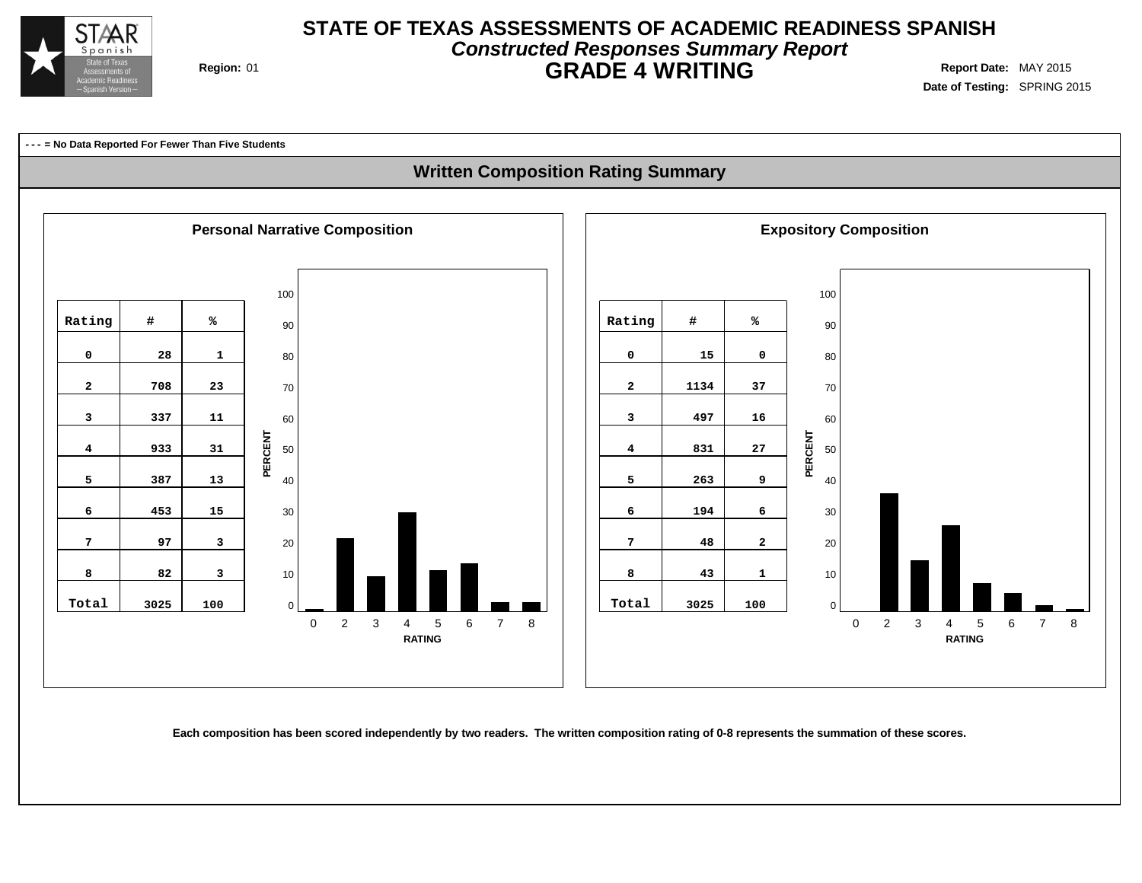

### **STATE OF TEXAS ASSESSMENTS OF ACADEMIC READINESS SPANISH Constructed Responses Summary Report Region:** 01 **GRADE 4 WRITING Report Date:** MAY 2015

**Date of Testing:** SPRING 2015



### **Written Composition Rating Summary**



Each composition has been scored independently by two readers. The written composition rating of 0-8 represents the summation of these scores.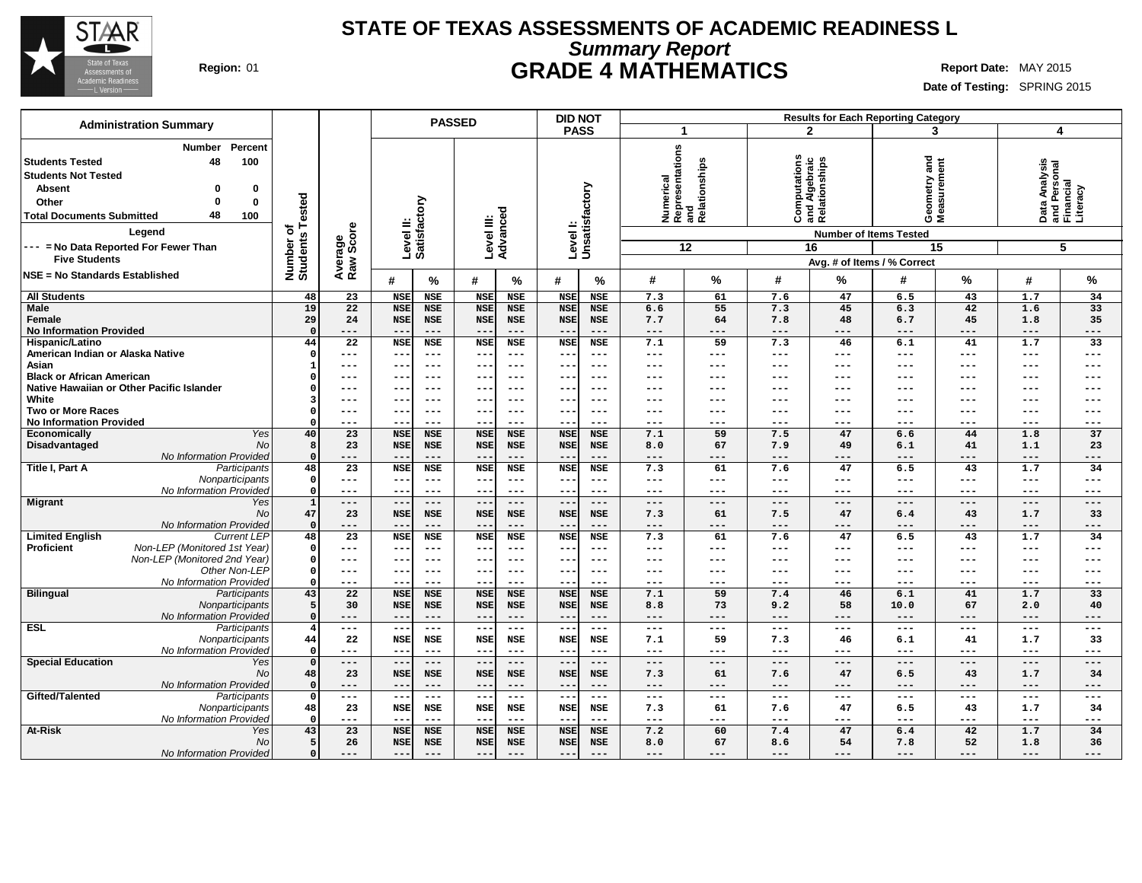

### **STATE OF TEXAS ASSESSMENTS OF ACADEMIC READINESS L Summary Report Region:** 01 **GRADE 4 MATHEMATICS Report Date:** MAY 2015

| <b>Administration Summary</b>                                                                                                                                                                                                            |                                      |                        |                           | <b>PASSED</b>            |                                        |                             |                             | <b>DID NOT</b>                  |            |                                               |              |                                                      | <b>Results for Each Reporting Category</b>                          |                     |                     |                                                             |
|------------------------------------------------------------------------------------------------------------------------------------------------------------------------------------------------------------------------------------------|--------------------------------------|------------------------|---------------------------|--------------------------|----------------------------------------|-----------------------------|-----------------------------|---------------------------------|------------|-----------------------------------------------|--------------|------------------------------------------------------|---------------------------------------------------------------------|---------------------|---------------------|-------------------------------------------------------------|
|                                                                                                                                                                                                                                          |                                      |                        |                           |                          |                                        |                             | <b>PASS</b>                 |                                 |            | 1                                             |              | $\mathbf{2}$                                         |                                                                     | 3                   | $\overline{4}$      |                                                             |
| Percent<br><b>Number</b><br><b>Students Tested</b><br>48<br>100<br><b>Students Not Tested</b><br>Absent<br>0<br>0<br>0<br>Other<br>0<br>48<br>100<br><b>Total Documents Submitted</b><br>Legend<br>--- = No Data Reported For Fewer Than | Tested<br>৳<br>Number o'<br>Students | Average<br>Raw Score   | Level II:<br>Satisfactory |                          | Level III:                             | Advanced                    |                             | factory<br>Levell:<br>Unsatisfa | Numerical  | Representations<br>and<br>Relationships<br>12 |              | Computations<br>and Algebraic<br>Relationships<br>16 | and<br>Geometry and<br>Measurement<br><b>Number of Items Tested</b> | 15                  |                     | Data Analysis<br>and Personal<br>Financial<br>Literacy<br>5 |
| <b>Five Students</b>                                                                                                                                                                                                                     |                                      |                        |                           |                          |                                        |                             |                             |                                 |            |                                               |              |                                                      | Avg. # of Items / % Correct                                         |                     |                     |                                                             |
| <b>NSE = No Standards Established</b>                                                                                                                                                                                                    |                                      |                        | #                         | %                        | #                                      | %                           | #                           | %                               | #          | $\%$                                          | #            | %                                                    | #                                                                   | %                   | #                   | $\%$                                                        |
| <b>All Students</b>                                                                                                                                                                                                                      | 48                                   | 23                     | <b>NSE</b>                | <b>NSE</b>               | <b>NSE</b>                             | <b>NSE</b>                  | <b>NSE</b>                  | <b>NSE</b>                      | 7.3        | 61                                            | 7.6          | 47                                                   | 6.5                                                                 | 43                  | 1.7                 | 34                                                          |
| Male<br>Female                                                                                                                                                                                                                           | 19<br>29                             | 22<br>24               | <b>NSE</b><br><b>NSE</b>  | <b>NSE</b><br><b>NSE</b> | <b>NSE</b><br><b>NSE</b>               | <b>NSE</b><br><b>NSE</b>    | <b>NSE</b><br><b>NSE</b>    | <b>NSE</b><br><b>NSE</b>        | 6.6<br>7.7 | 55<br>64                                      | 7.3<br>7.8   | 45<br>48                                             | 6.3<br>6.7                                                          | 42<br>45            | 1.6<br>1.8          | 33<br>35                                                    |
| <b>No Information Provided</b>                                                                                                                                                                                                           | 44                                   | ---<br>$\overline{22}$ | $- -$<br><b>NSE</b>       | $---$<br><b>NSE</b>      | $--$<br><b>NSE</b>                     | $---$<br><b>NSE</b>         | <b>NSE</b>                  | $---$<br><b>NSE</b>             | ---<br>7.1 | $---$<br>59                                   | ---<br>7.3   | ---<br>46                                            | $---$<br>6.1                                                        | $---$<br>41         | $---$<br>1.7        | $---$<br>33                                                 |
| Hispanic/Latino<br>American Indian or Alaska Native                                                                                                                                                                                      |                                      | ---                    | $- -$                     | $---$                    | $---$                                  | $--$                        | $- -$                       | ---                             | ---        | ---                                           | ---          | ---                                                  | ---                                                                 | $---$               | $---$               | $---$                                                       |
| Asian                                                                                                                                                                                                                                    |                                      | ---                    | --                        | $---$                    | $--$                                   | $--$                        |                             | ---                             | ---        |                                               | ---          | ---                                                  | ---                                                                 | $---$               | ---                 | ---                                                         |
| <b>Black or African American</b>                                                                                                                                                                                                         |                                      | ---                    | ---                       | $---$                    | $--$                                   | $--$                        | --                          | $--$                            | ---        | ---                                           | ---          | ---                                                  | $---$                                                               | $---$               | $---$               | ---                                                         |
| Native Hawaiian or Other Pacific Islander                                                                                                                                                                                                |                                      | ---                    | ---                       | $---$                    | $- -$                                  | $- - -$                     | --                          | $---$                           | ---        | ---                                           | ---          | ---                                                  | ---                                                                 | $--$                | $---$               | ---                                                         |
| White                                                                                                                                                                                                                                    |                                      | ---                    | $- -$                     | $---$                    | $- -$                                  | $- - -$                     | $- -$                       | ---                             | ---        | ---                                           | ---          | ---                                                  | ---                                                                 | $---$               | $---$               | $---$                                                       |
| <b>Two or More Races</b>                                                                                                                                                                                                                 |                                      | ---                    | --                        | $---$                    | $--$                                   | ---                         |                             | ---                             | ---        | ---                                           | ---          | ---                                                  | ---                                                                 | $---$               | $---$               | $---$                                                       |
| <b>No Information Provided</b>                                                                                                                                                                                                           |                                      | ---                    | --                        | $--$                     | $- -$                                  | ---                         | --                          | $--$                            | ---        | $---$                                         | ---          | ---                                                  | $---$                                                               | $-- -$              | $---$               | $---$                                                       |
| Yes<br><b>Economically</b>                                                                                                                                                                                                               | 40                                   | 23                     | <b>NSE</b>                | <b>NSE</b>               | <b>NSE</b>                             | <b>NSE</b>                  | <b>NSE</b>                  | <b>NSE</b>                      | 7.1        | 59                                            | 7.5          | 47                                                   | 6.6                                                                 | 44                  | 1.8                 | 37                                                          |
| Disadvantaged<br>No<br>No Information Provided                                                                                                                                                                                           | 8                                    | 23<br>---              | <b>NSE</b><br>--          | <b>NSE</b><br>$---$      | <b>NSE</b><br>$\qquad \qquad -$        | <b>NSE</b><br>$---$         | <b>NSE</b>                  | <b>NSE</b><br>$---$             | 8.0<br>--- | 67<br>$---$                                   | 7.9<br>---   | 49<br>---                                            | 6.1<br>$---$                                                        | 41<br>$---$         | 1.1<br>$---$        | 23<br>$---$                                                 |
| Title I, Part A<br>Participants                                                                                                                                                                                                          | 48                                   | 23                     | <b>NSE</b>                | <b>NSE</b>               | <b>NSE</b>                             | NSE                         | <b>NSE</b>                  | NSE                             | 7.3        | 61                                            | 7.6          | 47                                                   | 6.5                                                                 | 43                  | 1.7                 | 34                                                          |
| Nonparticipants                                                                                                                                                                                                                          | $\Omega$                             | ---                    | --                        | $---$                    | $--$                                   | $---$                       | $ -$                        | $---$                           | ---        | $---$                                         | $---$        | $---$                                                | $---$                                                               | $- -$               | $---$               | $---$                                                       |
| No Information Provided                                                                                                                                                                                                                  | O                                    | ---                    | --                        | $---$                    | $---$                                  | $---$                       | --                          | $---$                           | ---        | $---$                                         | ---          | ---                                                  | $---$                                                               | $---$               | $\qquad \qquad - -$ | $---$                                                       |
| <b>Migrant</b><br>Yes                                                                                                                                                                                                                    |                                      | $---$                  | $---$                     | $---$                    | $---$                                  | $---$                       | $\sim$ $-$                  | $---$                           | ---        | $---$                                         | $---$        | $---$                                                | $---$                                                               | $---$               | $\qquad \qquad - -$ | $---$                                                       |
| No                                                                                                                                                                                                                                       | 47                                   | 23                     | <b>NSE</b>                | <b>NSE</b>               | <b>NSE</b>                             | NSE                         | <b>NSE</b>                  | NSE                             | 7.3        | 61                                            | 7.5          | 47                                                   | 6.4                                                                 | 43                  | 1.7                 | 33                                                          |
| No Information Provided                                                                                                                                                                                                                  | $\Omega$                             | ---                    | $- -$                     | $\qquad \qquad - -$      | $- -$                                  | $---$                       |                             | $---$                           | ---        | $---$                                         | ---          | $---$                                                | $---$                                                               | $---$               | $- - -$             | $---$                                                       |
| <b>Limited English</b><br><b>Current LEP</b><br>Non-LEP (Monitored 1st Year)<br><b>Proficient</b>                                                                                                                                        | 48<br>$\Omega$                       | 23<br>---              | <b>NSE</b><br>--          | <b>NSE</b><br>$---$      | <b>NSE</b><br>$\overline{\phantom{m}}$ | <b>NSE</b><br>$--$          | <b>NSE</b><br>$ -$          | <b>NSE</b><br>---               | 7.3<br>--- | 61<br>$---$                                   | 7.6<br>---   | 47<br>---                                            | 6.5<br>$---$                                                        | 43<br>$---$         | 1.7<br>$---$        | 34<br>$--$                                                  |
| Non-LEP (Monitored 2nd Year)                                                                                                                                                                                                             | $\Omega$                             | ---                    | --                        | $--$                     | $---$                                  | $- - -$                     | $- -$                       | $-- -$                          | ---        | ---                                           | ---          | $---$                                                | $---$                                                               | $---$               | $---$               | $--$                                                        |
| Other Non-LEP                                                                                                                                                                                                                            | 0                                    | ---                    | --                        | $---$                    | $---$                                  | $--$                        | --                          | $---$                           | ---        | $---$                                         | ---          | ---                                                  | ---                                                                 | $---$               | $---$               | $---$                                                       |
| No Information Provided                                                                                                                                                                                                                  |                                      | ---                    |                           | $--$                     | $- -$                                  | ---                         |                             | $--$                            | ---        | ---                                           | ---          | ---                                                  | $---$                                                               | $- -$               | $--$                | $---$                                                       |
| <b>Bilingual</b><br>Participants                                                                                                                                                                                                         | 43                                   | 22                     | <b>NSE</b>                | <b>NSE</b>               | <b>NSE</b>                             | <b>NSE</b>                  | <b>NSE</b>                  | <b>NSE</b>                      | 7.1        | 59                                            | 7.4          | 46                                                   | 6.1                                                                 | 41                  | 1.7                 | 33                                                          |
| Nonparticipants                                                                                                                                                                                                                          |                                      | 30                     | <b>NSE</b>                | NSE                      | <b>NSE</b>                             | <b>NSE</b>                  | <b>NSE</b>                  | <b>NSE</b>                      | 8.8        | 73                                            | 9.2          | 58                                                   | 10.0                                                                | 67                  | 2.0                 | 40                                                          |
| No Information Provided                                                                                                                                                                                                                  | O                                    | ---                    | --                        | $---$                    | $---$                                  | $---$                       | $- -$                       | ---                             | ---        | $---$                                         | ---          | ---                                                  | $---$                                                               | $---$               | $---$               | $---$                                                       |
| <b>ESL</b><br>Participants                                                                                                                                                                                                               |                                      | $\frac{1}{2}$          | $- -$<br><b>NSE</b>       | $  -$<br><b>NSE</b>      | $- -$<br><b>NSE</b>                    | $\frac{1}{2}$<br><b>NSE</b> | $\sim$ $\sim$<br><b>NSE</b> | $  -$<br><b>NSE</b>             | $---$      | $---$<br>59                                   | $---$<br>7.3 | $---$                                                | $\frac{1}{2}$                                                       | $\qquad \qquad - -$ | $\qquad \qquad - -$ | $---$                                                       |
| Nonparticipants<br>No Information Provided                                                                                                                                                                                               | 44<br>$\Omega$                       | 22<br>---              | $- -$                     | $---$                    | $---$                                  | $---$                       | $ -$                        | $---$                           | 7.1<br>--- | $---$                                         | ---          | 46<br>---                                            | 6.1<br>$---$                                                        | 41<br>$---$         | 1.7<br>$- - -$      | 33<br>$---$                                                 |
| <b>Special Education</b><br>Yes                                                                                                                                                                                                          | $\Omega$                             | ---                    | $\equiv$ $\equiv$         | $- -$                    | $  \cdot$                              | $---$                       | $- -$                       | $---$                           | $-- -$     | $---$                                         | $---$        | $---$                                                | $---$                                                               | $---$               | $---$               | $---$                                                       |
| N <sub>O</sub>                                                                                                                                                                                                                           | 48                                   | 23                     | <b>NSE</b>                | NSE                      | <b>NSE</b>                             | NSE                         | <b>NSE</b>                  | NSE                             | 7.3        | 61                                            | 7.6          | 47                                                   | 6.5                                                                 | 43                  | 1.7                 | 34                                                          |
| No Information Provided                                                                                                                                                                                                                  | $\Omega$                             | ---                    | $- -$                     | $---$                    | $--$                                   | $---$                       | $- -$                       | $---$                           | ---        | $---$                                         | ---          | $---$                                                | $---$                                                               | $\qquad \qquad - -$ | $---$               | $---$                                                       |
| Gifted/Talented<br>Participants                                                                                                                                                                                                          | $\Omega$                             | ---                    | $--$                      | $- -$                    | $--$                                   | $---$                       | $\sim$ $-$                  | $---$                           | ---        | $---$                                         | $---$        | $---$                                                | $\qquad \qquad - -$                                                 | $- -$               | $\qquad \qquad - -$ | $---$                                                       |
| Nonparticipants                                                                                                                                                                                                                          | 48                                   | 23                     | NSE                       | NSE                      | <b>NSE</b>                             | NSE                         | <b>NSE</b>                  | <b>NSE</b>                      | 7.3        | 61                                            | 7.6          | 47                                                   | 6.5                                                                 | 43                  | 1.7                 | 34                                                          |
| No Information Provided                                                                                                                                                                                                                  |                                      | ---                    | --                        | $---$                    | $- -$                                  | $---$                       | $- -$                       | $--$                            | ---        | $---$                                         | ---          | ---                                                  | $---$                                                               | $\qquad \qquad -$   | $- - -$             | $---$                                                       |
| <b>At-Risk</b><br>Yes                                                                                                                                                                                                                    | 43                                   | 23                     | <b>NSE</b>                | <b>NSE</b>               | <b>NSE</b>                             | <b>NSE</b>                  | <b>NSE</b>                  | <b>NSE</b>                      | 7.2        | 60                                            | 7.4          | 47                                                   | 6.4                                                                 | 42                  | 1.7                 | 34                                                          |
| No                                                                                                                                                                                                                                       | 5<br>O                               | 26                     | <b>NSE</b><br>$--$        | NSE                      | <b>NSE</b><br>$--$                     | <b>NSE</b><br>$---$         | <b>NSE</b>                  | <b>NSE</b>                      | 8.0        | 67                                            | 8.6          | 54                                                   | 7.8<br>$---$                                                        | 52                  | 1.8                 | 36                                                          |
| No Information Provided                                                                                                                                                                                                                  |                                      | ---                    |                           | $---$                    |                                        |                             | $- -$                       | ---                             | $---$      | $---$                                         | ---          | ---                                                  |                                                                     | $---$               | $---$               | ---                                                         |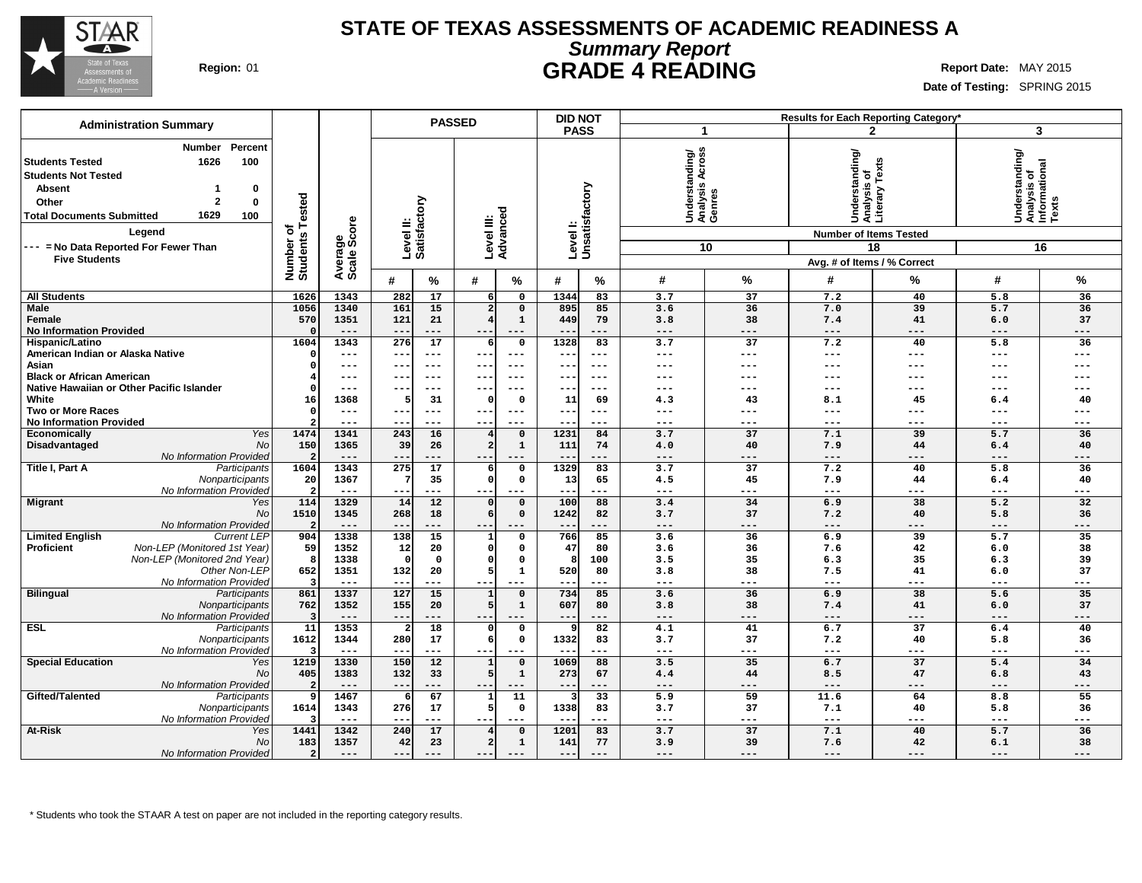

### **STATE OF TEXAS ASSESSMENTS OF ACADEMIC READINESS A Summary Report Region:** 01 **GRADE 4 READING Report** Date: MAY 2015

**Date of Testing:** SPRING 2015

| <b>Administration Summary</b>                                                                                                                                                                                                |                                |                        |                                              | <b>PASSED</b>                    |                             | <b>DID NOT</b> |                       |                                                       |                 |                                                                                  | Results for Each Reporting Category* |                                                            |           |
|------------------------------------------------------------------------------------------------------------------------------------------------------------------------------------------------------------------------------|--------------------------------|------------------------|----------------------------------------------|----------------------------------|-----------------------------|----------------|-----------------------|-------------------------------------------------------|-----------------|----------------------------------------------------------------------------------|--------------------------------------|------------------------------------------------------------|-----------|
|                                                                                                                                                                                                                              |                                |                        |                                              |                                  |                             | <b>PASS</b>    |                       |                                                       | 1               |                                                                                  | $\mathbf{2}$                         | 3                                                          |           |
| Percent<br><b>Number</b><br><b>Students Tested</b><br>1626<br>100<br><b>Students Not Tested</b><br><b>Absent</b><br>0<br>1<br>$\mathbf{2}$<br>$\bf{0}$<br>Other<br>1629<br><b>Total Documents Submitted</b><br>100<br>Legend | <b>Tested</b><br>৳<br>S        | Average<br>Scale Score | Level II:<br>Satisfactory                    |                                  | Level III:<br>Advanced      | Level I:       | Unsatisfactory        | Across<br>Understanding/<br>Analysis Across<br>Genres |                 | Understanding/<br>Analysis of<br>Literary Texts<br><b>Number of Items Tested</b> |                                      | Understanding/<br> Analysis of<br> Informational<br> Texts |           |
| --- = No Data Reported For Fewer Than                                                                                                                                                                                        |                                |                        |                                              |                                  |                             |                |                       |                                                       | 10              |                                                                                  | 18                                   |                                                            | 16        |
| <b>Five Students</b>                                                                                                                                                                                                         |                                |                        |                                              |                                  |                             |                |                       |                                                       |                 | Avg. # of Items / % Correct                                                      |                                      |                                                            |           |
|                                                                                                                                                                                                                              | Number<br>Students             |                        | #                                            |                                  |                             | #              |                       | #                                                     | %               | #                                                                                | %                                    | #                                                          | %         |
|                                                                                                                                                                                                                              |                                |                        | %                                            | #                                | $\%$                        |                | %                     |                                                       |                 |                                                                                  |                                      |                                                            |           |
| <b>All Students</b>                                                                                                                                                                                                          | 1626                           | 1343                   | 282<br>17                                    | 6 <sup>1</sup>                   | $\mathsf{o}$                | 1344           | 83                    | 3.7                                                   | 37              | 7.2                                                                              | 40                                   | 5.8                                                        | 36        |
| <b>Male</b><br>Female                                                                                                                                                                                                        | 1056<br>570                    | 1340<br>1351           | 161<br>15<br>121<br>21                       | 2 <sup>1</sup><br>$\overline{4}$ | $\mathbf 0$<br>$\mathbf{1}$ | 895<br>449     | 85<br>79              | 3.6<br>3.8                                            | 36<br>38        | 7.0<br>7.4                                                                       | 39<br>41                             | 5.7<br>6.0                                                 | 36<br>37  |
| <b>No Information Provided</b>                                                                                                                                                                                               | $\Omega$                       | $---$                  | $--$<br>---                                  | $- -$                            | $---$                       | $- -$          | ---                   | $---$                                                 | $---$           | $---$                                                                            | ---                                  | $---$                                                      | ---       |
| Hispanic/Latino                                                                                                                                                                                                              | 1604                           | 1343                   | $\overline{276}$<br>$\overline{17}$          | 6                                | $\mathbf 0$                 | 1328           | $\overline{83}$       | 3.7                                                   | $\overline{37}$ | 7.2                                                                              | 40                                   | $\overline{5.8}$                                           | 36        |
| American Indian or Alaska Native                                                                                                                                                                                             | $\Omega$                       | $---$                  | $- -$<br>---                                 | ---                              | $\qquad \qquad - -$         | $- -$          | $---$                 | $- - -$                                               | $---$           | $---$                                                                            | ---                                  | $- - -$                                                    | ---       |
| Asian                                                                                                                                                                                                                        | O                              | $---$                  | $---$                                        |                                  |                             | --             | ---                   | ---                                                   | ---             | ---                                                                              | ---                                  | ---                                                        |           |
| <b>Black or African American</b>                                                                                                                                                                                             |                                | $---$                  | $---$<br>$- -$                               | ---                              | $- - -$                     | ---            | $---$                 | ---                                                   | ---             | ---                                                                              | ---                                  | $-- -$                                                     | ---       |
| Native Hawaiian or Other Pacific Islander                                                                                                                                                                                    | $\Omega$                       | $---$                  | $- -$<br>$--$                                | ---                              | $- - -$                     | $- -$          | $---$                 | ---                                                   | $- - -$         | $---$                                                                            | ---                                  | $- - -$                                                    | ---       |
| White                                                                                                                                                                                                                        | 16                             | 1368                   | 31                                           | n                                | $\mathbf{0}$                | 11             | 69                    | 4.3                                                   | 43              | 8.1                                                                              | 45                                   | 6.4                                                        | 40        |
| <b>Two or More Races</b>                                                                                                                                                                                                     | $\Omega$                       | $---$                  | $---$<br>$- -$                               | $--$                             | $---$                       | ---            | $---$                 | ---                                                   | ---             | ---                                                                              | ---                                  | $---$                                                      | ---       |
| <b>No Information Provided</b>                                                                                                                                                                                               |                                | $---$                  | $- -$<br>---                                 |                                  |                             |                | ---                   | ---                                                   | ---             | ---                                                                              | ---                                  | $---$                                                      | ---       |
| Economically<br>Yes                                                                                                                                                                                                          | 1474                           | 1341                   | 243<br>16                                    | $\overline{\mathbf{4}}$          | $\mathbf 0$                 | 1231           | 84                    | 3.7                                                   | 37              | 7.1                                                                              | 39                                   | 5.7                                                        | 36        |
| Disadvantaged<br>No<br>No Information Provided                                                                                                                                                                               | 150<br>$\overline{\mathbf{c}}$ | 1365<br>$---$          | 39<br>26<br>$\qquad \qquad -$<br>---         | $\overline{a}$<br>$- -$          | $\mathbf{1}$<br>$---$       | 111<br>--      | 74<br>---             | 4.0<br>---                                            | 40<br>---       | 7.9<br>$---$                                                                     | 44<br>---                            | 6.4<br>$---$                                               | 40<br>--- |
| Title I, Part A<br>Participants                                                                                                                                                                                              | 1604                           | 1343                   | 275<br>17                                    | 6                                | $\mathsf{o}$                | 1329           | 83                    | 3.7                                                   | 37              | 7.2                                                                              | 40                                   | 5.8                                                        | 36        |
| Nonparticipants                                                                                                                                                                                                              | 20                             | 1367                   | 35                                           | $\Omega$                         | $\mathbf 0$                 | 13             | 65                    | 4.5                                                   | 45              | 7.9                                                                              | 44                                   | 6.4                                                        | 40        |
| No Information Provideo                                                                                                                                                                                                      | $\overline{2}$                 | $---$                  | ---<br>$\qquad \qquad -$                     | ---                              | $---$                       | ---            | ---                   | $---$                                                 | ---             | $---$                                                                            | ---                                  | $---$                                                      | ---       |
| <b>Migrant</b><br>Yes                                                                                                                                                                                                        | 114                            | 1329                   | 14<br>12                                     | $\Omega$                         | $\mathbf 0$                 | 100            | 88                    | 3.4                                                   | 34              | 6.9                                                                              | 38                                   | 5.2                                                        | 32        |
| No                                                                                                                                                                                                                           | 1510                           | 1345                   | 268<br>18                                    | 6                                | $\mathbf 0$                 | 1242           | 82                    | 3.7                                                   | 37              | 7.2                                                                              | 40                                   | 5.8                                                        | 36        |
| No Information Provideo                                                                                                                                                                                                      | $\overline{2}$                 | $---$                  | ---<br>$- -$                                 | ---                              | $---$                       | $---$          | ---                   | $---$                                                 | $---$           | $---$                                                                            | ---                                  | $---$                                                      | $---$     |
| <b>Limited English</b><br><b>Current LEP</b>                                                                                                                                                                                 | 904                            | 1338                   | 138<br>15                                    | 1                                | $\mathbf 0$                 | 766            | 85                    | 3.6                                                   | 36              | 6.9                                                                              | 39                                   | 5.7                                                        | 35        |
| <b>Proficient</b><br>Non-LEP (Monitored 1st Year)                                                                                                                                                                            | 59                             | 1352                   | 12<br>20                                     | $\Omega$                         | $\mathbf 0$                 | 47             | 80                    | 3.6                                                   | 36              | 7.6                                                                              | 42                                   | 6.0                                                        | 38        |
| Non-LEP (Monitored 2nd Year)                                                                                                                                                                                                 | 8                              | 1338                   | $\mathbf 0$<br>$\Omega$                      | $\Omega$<br>5 <sup>1</sup>       | $\Omega$<br>$\mathbf{1}$    | 8              | 100                   | 3.5                                                   | 35              | 6.3                                                                              | 35                                   | 6.3                                                        | 39        |
| Other Non-LEP<br>No Information Provideo                                                                                                                                                                                     | 652<br>3                       | 1351<br>$---$          | 132<br>20<br>---<br>$\overline{\phantom{m}}$ |                                  | $---$                       | 520<br>--      | 80<br>---             | 3.8<br>$---$                                          | 38<br>---       | 7.5<br>$\qquad \qquad - -$                                                       | 41<br>---                            | 6.0<br>$---$                                               | 37<br>--- |
| <b>Bilingual</b><br>Participants                                                                                                                                                                                             | 861                            | 1337                   | 127<br>15                                    | $\mathbf{1}$                     | $\mathbf 0$                 | 734            | 85                    | 3.6                                                   | 36              | 6.9                                                                              | 38                                   | 5.6                                                        | 35        |
| Nonparticipants                                                                                                                                                                                                              | 762                            | 1352                   | 155<br>20                                    | 5                                | $\mathbf{1}$                | 607            | 80                    | 3.8                                                   | 38              | 7.4                                                                              | 41                                   | 6.0                                                        | 37        |
| No Information Provideo                                                                                                                                                                                                      | -3                             | $---$                  | $\overline{\phantom{m}}$<br>---              | $--$                             | $---$                       | $--$           | ---                   | $---$                                                 | $---$           | $---$                                                                            | ---                                  | $---$                                                      | $---$     |
| <b>ESL</b><br>Participants                                                                                                                                                                                                   | 11                             | 1353                   | 18                                           | 0                                | $\mathsf{o}$                | 9              | 82                    | 4.1                                                   | 41              | 6.7                                                                              | $\overline{37}$                      | 6.4                                                        | 40        |
| Nonparticipants                                                                                                                                                                                                              | 1612                           | 1344                   | 280<br>17                                    | 6                                | $\mathbf 0$                 | 1332           | 83                    | 3.7                                                   | 37              | 7.2                                                                              | 40                                   | 5.8                                                        | 36        |
| No Information Provided                                                                                                                                                                                                      |                                | $---$                  | ---<br>$- -$                                 | ---                              | $\qquad \qquad - -$         | $- -$          | ---                   | $- - -$                                               | $---$           | $---$                                                                            | ---                                  | $---$                                                      | ---       |
| <b>Special Education</b><br>Yes                                                                                                                                                                                              | 1219                           | 1330                   | 150<br>12                                    | $\mathbf{1}$                     | $\mathbf 0$                 | 1069           | 88                    | 3.5                                                   | 35              | 6.7                                                                              | 37                                   | 5.4                                                        | 34        |
| No                                                                                                                                                                                                                           | 405                            | 1383                   | 132<br>33                                    | 5                                | $\mathbf{1}$                | 273            | 67                    | 4.4                                                   | 44              | 8.5                                                                              | 47                                   | 6.8                                                        | 43        |
| No Information Provided                                                                                                                                                                                                      | 2                              | $---$                  | ---<br>$- -$                                 | $--$                             | $---$                       | $---$          | ---                   | $---$                                                 | $---$           | $---$                                                                            | ---                                  | $---$                                                      | $---$     |
| Gifted/Talented<br>Participants                                                                                                                                                                                              | 9<br>1614                      | 1467                   | 67<br>276<br>17                              | 5                                | 11<br>$\mathbf 0$           | 1338           | $\overline{33}$<br>83 | 5.9<br>3.7                                            | 59<br>37        | 11.6<br>7.1                                                                      | 64<br>40                             | 8.8<br>5.8                                                 | 55<br>36  |
| Nonparticipants<br>No Information Provideo                                                                                                                                                                                   |                                | 1343<br>$---$          | $- -$<br>---                                 | $--$                             | $- - -$                     | $- -$          | ---                   | $---$                                                 | ---             | $\qquad \qquad - -$                                                              | ---                                  | $\qquad \qquad - -$                                        | ---       |
| <b>At-Risk</b><br>Yes                                                                                                                                                                                                        | 1441                           | 1342                   | 240<br>17                                    | $\overline{\mathbf{4}}$          | $\mathbf 0$                 | 1201           | 83                    | 3.7                                                   | 37              | 7.1                                                                              | 40                                   | 5.7                                                        | 36        |
| <b>No</b>                                                                                                                                                                                                                    | 183                            | 1357                   | 42<br>23                                     | $\overline{2}$                   | $\mathbf{1}$                | 141            | 77                    | 3.9                                                   | 39              | 7.6                                                                              | 42                                   | 6.1                                                        | 38        |
| No Information Provided                                                                                                                                                                                                      | $\overline{2}$                 | $---$                  | $- -$<br>---                                 | $---$                            |                             | $- -$          | ---                   | ---                                                   | ---             | $---$                                                                            | ---                                  | $---$                                                      | ---       |
|                                                                                                                                                                                                                              |                                |                        |                                              |                                  |                             |                |                       |                                                       |                 |                                                                                  |                                      |                                                            |           |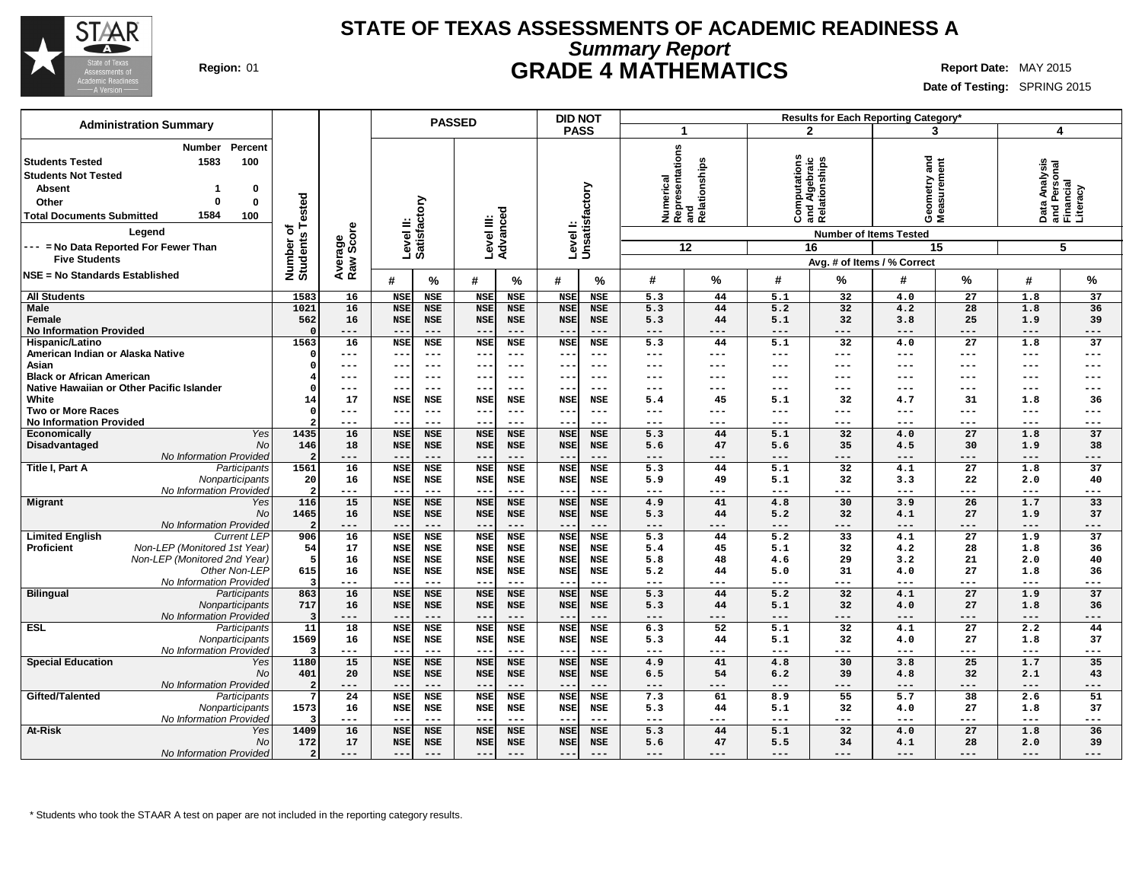

### **STATE OF TEXAS ASSESSMENTS OF ACADEMIC READINESS A Summary Report Region:** 01 **GRADE 4 MATHEMATICS Report Date:** MAY 2015

**Date of Testing:** SPRING 2015

| <b>Administration Summary</b>                                                                                                                                                                                                                                                 |                                     |                      | <b>PASSED</b>       |                     |                     |                     |                            | <b>DID NOT</b>      |            |                                                                            |              | Results for Each Reporting Category*                                                                                 |                                    |                           |                            |                                                             |
|-------------------------------------------------------------------------------------------------------------------------------------------------------------------------------------------------------------------------------------------------------------------------------|-------------------------------------|----------------------|---------------------|---------------------|---------------------|---------------------|----------------------------|---------------------|------------|----------------------------------------------------------------------------|--------------|----------------------------------------------------------------------------------------------------------------------|------------------------------------|---------------------------|----------------------------|-------------------------------------------------------------|
|                                                                                                                                                                                                                                                                               |                                     |                      |                     |                     |                     |                     | <b>PASS</b>                |                     | -1         |                                                                            |              | $\mathbf{2}$                                                                                                         | 3                                  |                           | 4                          |                                                             |
| Percent<br><b>Number</b><br><b>Students Tested</b><br>1583<br>100<br><b>Students Not Tested</b><br><b>Absent</b><br>0<br>$\bf{0}$<br>0<br>Other<br>1584<br>100<br><b>Total Documents Submitted</b><br>Legend<br>--- = No Data Reported For Fewer Than<br><b>Five Students</b> | Tested<br>৳<br>Number o<br>Students | Average<br>Raw Score | Level II:           | Satisfactory        | Level III:          | Advanced            | Level I:<br>Unsatisfactory |                     | Numerical  | i <sup>co</sup><br>Representations<br>Aelationships<br>Relationships<br>12 |              | Computations<br>and Algebraic<br>Relationships<br><b>Number of Items Tested</b><br>16<br>Avg. # of Items / % Correct | and<br>Geometry and<br>Measurement | 15                        |                            | Data Analysis<br>and Personal<br>Financial<br>Literacy<br>5 |
| <b>NSE = No Standards Established</b>                                                                                                                                                                                                                                         |                                     |                      | #                   | $\%$                | #                   | %                   | #                          | %                   | #          | %                                                                          | #            | %                                                                                                                    | #                                  | %                         | #                          | $\%$                                                        |
| <b>All Students</b>                                                                                                                                                                                                                                                           | 1583                                | 16                   | <b>NSE</b>          | NSE                 | <b>NSE</b>          | <b>NSE</b>          | <b>NSE</b>                 | <b>NSE</b>          | 5.3        | 44                                                                         | 5.1          | 32                                                                                                                   | 4.0                                | 27                        | 1.8                        | 37                                                          |
| Male                                                                                                                                                                                                                                                                          | 1021                                | 16                   | <b>NSE</b>          | <b>NSE</b>          | <b>NSE</b>          | <b>NSE</b>          | <b>NSE</b>                 | <b>NSE</b>          | 5.3        | 44                                                                         | 5.2          | 32                                                                                                                   | 4.2                                | 28                        | 1.8                        | 36                                                          |
| Female                                                                                                                                                                                                                                                                        | 562                                 | 16                   | <b>NSE</b>          | <b>NSE</b>          | <b>NSE</b>          | <b>NSE</b>          | <b>NSE</b>                 | <b>NSE</b>          | 5.3        | 44                                                                         | 5.1          | 32                                                                                                                   | 3.8                                | 25                        | 1.9                        | 39                                                          |
| <b>No Information Provided</b>                                                                                                                                                                                                                                                |                                     | ---                  | $- -$               | $---$               | $\sim$ $\sim$       | $---$               |                            | $---$               | ---        | ---                                                                        | ---          | ---                                                                                                                  | $---$                              | $---$                     | $---$                      | $---$                                                       |
| Hispanic/Latino                                                                                                                                                                                                                                                               | 1563                                | 16                   | <b>NSE</b>          | <b>NSE</b>          | <b>NSE</b>          | <b>NSE</b>          | <b>NSE</b>                 | <b>NSE</b>          | 5.3        | 44                                                                         | 5.1          | 32                                                                                                                   | 4.0                                | $\overline{27}$           | 1.8                        | $\overline{37}$                                             |
| American Indian or Alaska Native                                                                                                                                                                                                                                              |                                     | ---                  | $---$               | $---$               | $--$                | $---$               | $\overline{\phantom{m}}$   | $--$                | ---        | ---                                                                        | ---          | ---                                                                                                                  | $---$                              | $\frac{1}{2}$             | $---$                      | $---$                                                       |
| Asian                                                                                                                                                                                                                                                                         |                                     | ---                  | --                  | $---$               | $--$                | $- - -$             |                            | ---                 | ---        | ---                                                                        | ---          | ---                                                                                                                  | ---                                | $---$                     | ---                        | $---$                                                       |
| <b>Black or African American</b>                                                                                                                                                                                                                                              |                                     | ---                  | $- -$               | $---$               | $- -$               | $---$               | $\qquad \qquad -$          | $--$                | ---        | ---                                                                        | ---          | $---$                                                                                                                | ---                                | $---$                     | $--$                       | $---$                                                       |
| Native Hawaiian or Other Pacific Islander                                                                                                                                                                                                                                     |                                     | ---                  | --                  | $---$               | $\sim$ $\sim$       | $- - -$             | $- -$                      | $- - -$             | ---        | ---                                                                        | ---          | ---                                                                                                                  | ---                                | $---$                     | $---$                      | $---$                                                       |
| White                                                                                                                                                                                                                                                                         | 14                                  | 17                   | <b>NSE</b>          | <b>NSE</b>          | <b>NSE</b>          | <b>NSE</b>          | <b>NSE</b>                 | <b>NSE</b>          | 5.4        | 45                                                                         | 5.1          | 32                                                                                                                   | 4.7                                | 31                        | 1.8                        | 36                                                          |
| <b>Two or More Races</b>                                                                                                                                                                                                                                                      |                                     | ---                  | --                  | $---$               | $--$                | $---$               |                            | $---$               | ---        | ---                                                                        | ---          | ---                                                                                                                  | ---                                | $---$                     | $---$                      | $---$                                                       |
| <b>No Information Provided</b>                                                                                                                                                                                                                                                |                                     | ---                  | $- -$               | $---$               | $---$               | $---$               | $\overline{\phantom{a}}$ . | $---$               | ---        | ---                                                                        | ---          | ---                                                                                                                  | ---                                | $---$                     | $- - -$                    | $---$                                                       |
| Yes<br>Economically                                                                                                                                                                                                                                                           | 1435                                | 16                   | <b>NSE</b>          | <b>NSE</b>          | <b>NSE</b>          | <b>NSE</b>          | <b>NSE</b>                 | <b>NSE</b>          | 5.3        | 44                                                                         | 5.1          | $\overline{32}$                                                                                                      | 4.0                                | $\overline{27}$           | 1.8                        | 37                                                          |
| Disadvantaged<br>No                                                                                                                                                                                                                                                           | 146                                 | 18                   | <b>NSE</b>          | <b>NSE</b>          | <b>NSE</b>          | <b>NSE</b>          | <b>NSE</b>                 | <b>NSE</b>          | 5.6        | 47                                                                         | 5.6          | 35                                                                                                                   | 4.5                                | 30                        | 1.9                        | 38                                                          |
| No Information Provided                                                                                                                                                                                                                                                       |                                     | ---                  | $- -$               | $---$               | $---$               | $---$               |                            | $---$               | ---        | ---                                                                        | ---          | ---                                                                                                                  | ---                                | ---                       | $- - -$                    | ---                                                         |
| Title I, Part A<br>Participants                                                                                                                                                                                                                                               | 1561                                | 16                   | <b>NSE</b>          | <b>NSE</b>          | <b>NSE</b>          | <b>NSE</b>          | <b>NSE</b>                 | <b>NSE</b>          | 5.3        | 44                                                                         | 5.1          | 32                                                                                                                   | 4.1                                | 27                        | 1.8                        | 37                                                          |
| Nonparticipants                                                                                                                                                                                                                                                               | 20                                  | 16                   | <b>NSE</b>          | NSE                 | <b>NSE</b>          | <b>NSE</b>          | <b>NSE</b>                 | NSE                 | 5.9        | 49                                                                         | 5.1          | 32                                                                                                                   | 3.3                                | 22                        | 2.0                        | 40                                                          |
| No Information Provided                                                                                                                                                                                                                                                       |                                     | ---                  | --                  | $\qquad \qquad - -$ | $--$                | $---$               | $-$                        | $---$               | ---        | ---<br>41                                                                  | $---$        | ---<br>30                                                                                                            | $---$<br>3.9                       | $\qquad \qquad - -$<br>26 | $- - -$                    | $---$<br>33                                                 |
| <b>Migrant</b><br>Yes                                                                                                                                                                                                                                                         | 116                                 | 15                   | <b>NSE</b>          | <b>NSE</b>          | <b>NSE</b>          | <b>NSE</b>          | <b>NSE</b>                 | <b>NSE</b>          | 4.9        | 44                                                                         | 4.8          | 32                                                                                                                   |                                    |                           | 1.7                        |                                                             |
| <b>No</b>                                                                                                                                                                                                                                                                     | 1465                                | 16<br>---            | <b>NSE</b><br>$- -$ | <b>NSE</b><br>$---$ | <b>NSE</b><br>$---$ | <b>NSE</b><br>$---$ | <b>NSE</b><br>$-$          | <b>NSE</b><br>$---$ | 5.3<br>--- | ---                                                                        | 5.2<br>$---$ | ---                                                                                                                  | 4.1<br>$---$                       | 27<br>$---$               | 1.9<br>$\qquad \qquad - -$ | 37<br>$---$                                                 |
| No Information Provided<br><b>Current LEP</b><br><b>Limited English</b>                                                                                                                                                                                                       | 906                                 | 16                   | <b>NSE</b>          | <b>NSE</b>          | <b>NSE</b>          | <b>NSE</b>          | <b>NSE</b>                 | <b>NSE</b>          | 5.3        | 44                                                                         | 5.2          | $\overline{33}$                                                                                                      | 4.1                                | $\overline{27}$           | 1.9                        | 37                                                          |
| <b>Proficient</b><br>Non-LEP (Monitored 1st Year)                                                                                                                                                                                                                             | 54                                  | 17                   | <b>NSE</b>          | NSE                 | <b>NSE</b>          | <b>NSE</b>          | <b>NSE</b>                 | <b>NSE</b>          | 5.4        | 45                                                                         | 5.1          | 32                                                                                                                   | 4.2                                | 28                        | 1.8                        | 36                                                          |
| Non-LEP (Monitored 2nd Year)                                                                                                                                                                                                                                                  | 5                                   | 16                   | <b>NSE</b>          | <b>NSE</b>          | <b>NSE</b>          | <b>NSE</b>          | <b>NSE</b>                 | <b>NSE</b>          | 5.8        | 48                                                                         | 4.6          | 29                                                                                                                   | 3.2                                | 21                        | 2.0                        | 40                                                          |
| Other Non-LEP                                                                                                                                                                                                                                                                 | 615                                 | 16                   | <b>NSE</b>          | <b>NSE</b>          | <b>NSE</b>          | <b>NSE</b>          | <b>NSE</b>                 | <b>NSE</b>          | 5.2        | 44                                                                         | 5.0          | 31                                                                                                                   | 4.0                                | 27                        | 1.8                        | 36                                                          |
| No Information Provideo                                                                                                                                                                                                                                                       |                                     | ---                  | $-$                 | $\qquad \qquad - -$ | $--$                | $---$               |                            | $---$               | ---        | ---                                                                        | $---$        | ---                                                                                                                  | $---$                              | ---                       | $- - -$                    | $---$                                                       |
| <b>Bilingual</b><br>Participants                                                                                                                                                                                                                                              | 863                                 | 16                   | <b>NSE</b>          | <b>NSE</b>          | <b>NSE</b>          | <b>NSE</b>          | <b>NSE</b>                 | <b>NSE</b>          | 5.3        | 44                                                                         | 5.2          | $\overline{32}$                                                                                                      | 4.1                                | $\overline{27}$           | 1.9                        | $\overline{37}$                                             |
| Nonparticipants                                                                                                                                                                                                                                                               | 717                                 | 16                   | <b>NSE</b>          | <b>NSE</b>          | <b>NSE</b>          | <b>NSE</b>          | <b>NSE</b>                 | <b>NSE</b>          | 5.3        | 44                                                                         | 5.1          | 32                                                                                                                   | 4.0                                | 27                        | 1.8                        | 36                                                          |
| No Information Provideo                                                                                                                                                                                                                                                       |                                     | ---                  | $ -$                | $- - -$             | $- -$               | $---$               | $ -$                       | $- - -$             | ---        | ---                                                                        | $---$        | $- - -$                                                                                                              | $---$                              | $---$                     | $---$                      | $---$                                                       |
| <b>ESL</b><br>Participants                                                                                                                                                                                                                                                    | 11                                  | 18                   | <b>NSE</b>          | <b>NSE</b>          | <b>NSE</b>          | <b>NSE</b>          | <b>NSE</b>                 | <b>NSE</b>          | 6.3        | 52                                                                         | 5.1          | 32                                                                                                                   | 4.1                                | $\overline{27}$           | 2.2                        | 44                                                          |
| Nonparticipants                                                                                                                                                                                                                                                               | 1569                                | 16                   | <b>NSE</b>          | <b>NSE</b>          | <b>NSE</b>          | <b>NSE</b>          | <b>NSE</b>                 | <b>NSE</b>          | 5.3        | 44                                                                         | 5.1          | 32                                                                                                                   | 4.0                                | 27                        | 1.8                        | 37                                                          |
| No Information Provideo                                                                                                                                                                                                                                                       |                                     | $---$                | $ -$                | $- - -$             | $- -$               | $---$               | $-$                        | $- - -$             | $---$      | ---                                                                        | $---$        | $- - -$                                                                                                              | $---$                              | $---$                     | $\frac{1}{2}$              | $---$                                                       |
| <b>Special Education</b><br>Yes                                                                                                                                                                                                                                               | 1180                                | 15                   | <b>NSE</b>          | <b>NSE</b>          | <b>NSE</b>          | <b>NSE</b>          | <b>NSE</b>                 | <b>NSE</b>          | 4.9        | 41                                                                         | 4.8          | 30                                                                                                                   | 3.8                                | 25                        | 1.7                        | 35                                                          |
| <b>No</b>                                                                                                                                                                                                                                                                     | 401                                 | 20                   | <b>NSE</b>          | <b>NSE</b>          | <b>NSE</b>          | <b>NSE</b>          | <b>NSE</b>                 | <b>NSE</b>          | 6.5        | 54                                                                         | 6.2          | 39                                                                                                                   | 4.8                                | 32                        | 2.1                        | 43                                                          |
| No Information Provided                                                                                                                                                                                                                                                       |                                     | ---                  | $- -$               | $- - -$             | $- -$               | $---$               | $ -$                       | $---$               | ---        | ---                                                                        | $---$        | ---                                                                                                                  | $---$                              | $---$                     | $\cdots$                   | $---$                                                       |
| Gifted/Talented<br>Participants                                                                                                                                                                                                                                               |                                     | 24                   | <b>NSE</b>          | <b>NSE</b>          | <b>NSE</b>          | <b>NSE</b>          | <b>NSE</b>                 | <b>NSE</b>          | 7.3        | 61                                                                         | 8.9          | 55                                                                                                                   | 5.7                                | 38                        | 2.6                        | 51                                                          |
| Nonparticipants                                                                                                                                                                                                                                                               | 1573                                | 16                   | <b>NSE</b>          | <b>NSE</b>          | <b>NSE</b>          | <b>NSE</b>          | <b>NSE</b>                 | <b>NSE</b>          | 5.3        | 44                                                                         | 5.1          | 32                                                                                                                   | 4.0                                | 27                        | 1.8                        | 37                                                          |
| No Information Provided                                                                                                                                                                                                                                                       |                                     | ---                  | $- -$               | $---$               | $- -$               | $---$               | $-$                        | $---$               | ---        | ---                                                                        | ---          | ---                                                                                                                  | $---$                              | $---$                     | $\qquad \qquad - -$        | $---$                                                       |
| At-Risk<br>Yes                                                                                                                                                                                                                                                                | 1409                                | 16                   | <b>NSE</b>          | <b>NSE</b>          | <b>NSE</b>          | <b>NSE</b>          | <b>NSE</b>                 | <b>NSE</b>          | 5.3        | 44                                                                         | 5.1          | 32                                                                                                                   | 4.0                                | $\overline{27}$           | 1.8                        | 36                                                          |
| <b>No</b>                                                                                                                                                                                                                                                                     | 172                                 | 17                   | <b>NSE</b>          | <b>NSE</b>          | <b>NSE</b>          | <b>NSE</b>          | <b>NSE</b>                 | <b>NSE</b>          | 5.6        | 47                                                                         | 5.5          | 34                                                                                                                   | 4.1                                | 28                        | 2.0                        | 39                                                          |
| No Information Provided                                                                                                                                                                                                                                                       |                                     | ---                  | $- -$               | $---$               | $---$               | $---$               |                            | $---$               | ---        | ---                                                                        | ---          | ---                                                                                                                  | ---                                | $---$                     | $---$                      | ---                                                         |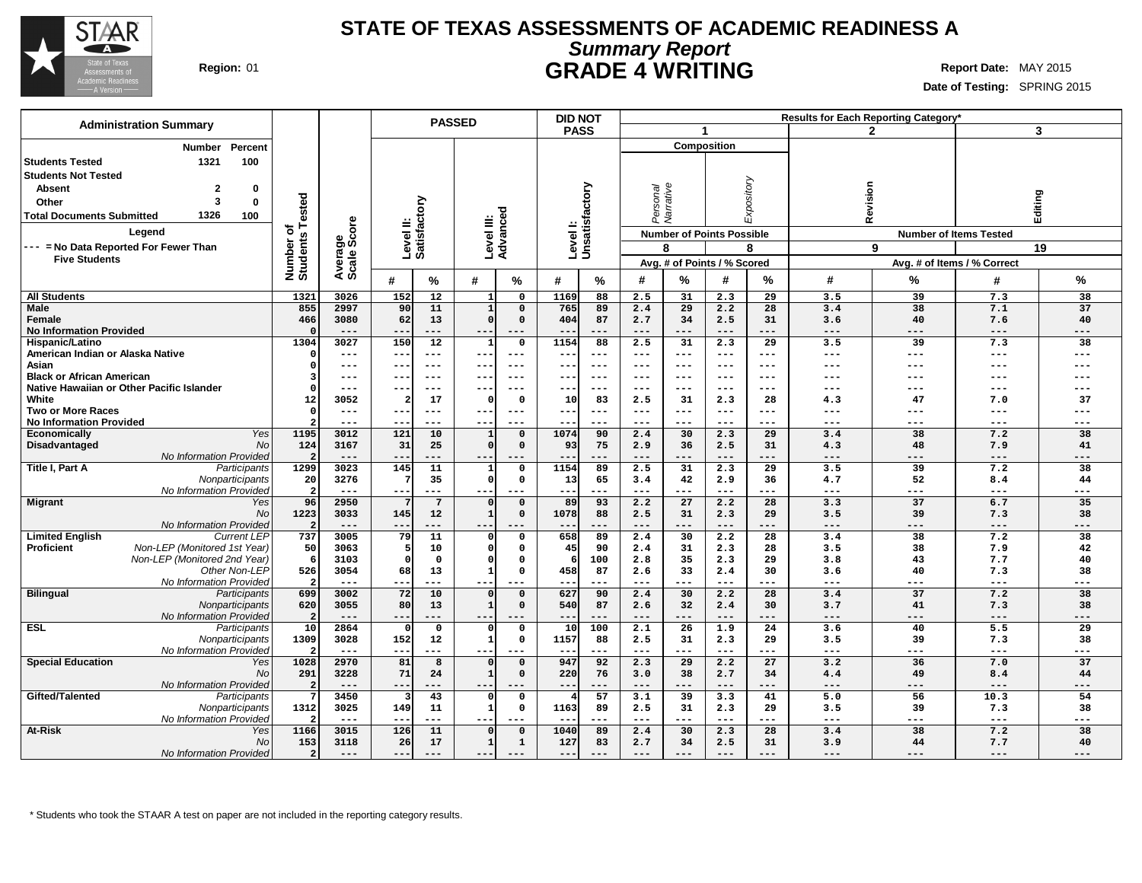

### **STATE OF TEXAS ASSESSMENTS OF ACADEMIC READINESS A Summary Report Region:** 01 **GRADE 4 WRITING Report Date:** MAY 2015

**Date of Testing:** SPRING 2015

| <b>Administration Summary</b>                              |                       |                |              |                        | <b>PASSED</b>            |                                |                   | <b>DID NOT</b>            |                     |                       |                                  |             |              | <b>Results for Each Reporting Category</b> |                               |                 |
|------------------------------------------------------------|-----------------------|----------------|--------------|------------------------|--------------------------|--------------------------------|-------------------|---------------------------|---------------------|-----------------------|----------------------------------|-------------|--------------|--------------------------------------------|-------------------------------|-----------------|
|                                                            |                       |                |              |                        |                          |                                |                   | <b>PASS</b>               |                     |                       | -1                               |             |              | $\mathbf{2}$                               |                               | 3               |
| Percent<br>Number                                          |                       |                |              |                        |                          |                                |                   |                           |                     |                       | <b>Composition</b>               |             |              |                                            |                               |                 |
| 1321<br>100<br><b>Students Tested</b>                      |                       |                |              |                        |                          |                                |                   |                           |                     |                       |                                  |             |              |                                            |                               |                 |
| <b>Students Not Tested</b>                                 |                       |                |              |                        |                          |                                |                   |                           |                     |                       |                                  |             |              |                                            |                               |                 |
| <b>Absent</b><br>$\mathbf{2}$                              |                       |                |              |                        |                          |                                |                   |                           |                     |                       |                                  |             |              |                                            |                               |                 |
| 0                                                          |                       |                |              |                        |                          |                                |                   |                           |                     | Personal<br>Narrative |                                  | Expository  |              | Revision                                   |                               |                 |
| 3<br>0<br>Other                                            | ested                 |                |              |                        |                          |                                |                   |                           |                     |                       |                                  |             |              |                                            |                               |                 |
| 1326<br>100<br><b>Total Documents Submitted</b>            |                       |                |              | actory                 |                          |                                |                   |                           |                     |                       |                                  |             |              |                                            | Editing                       |                 |
| Legend                                                     | ⊢<br>৳                | ge<br>Score    |              |                        |                          |                                |                   |                           |                     |                       | <b>Number of Points Possible</b> |             |              |                                            | <b>Number of Items Tested</b> |                 |
| --- = No Data Reported For Fewer Than                      |                       |                |              | Level II:<br>Satisfact |                          | Level III:<br>Advanced         |                   | Levell:<br>Unsatisfactory |                     | 8                     |                                  | 8           |              | 9                                          |                               | 19              |
| <b>Five Students</b>                                       |                       |                |              |                        |                          |                                |                   |                           |                     |                       | Avg. # of Points / % Scored      |             |              |                                            | Avg. # of Items / % Correct   |                 |
|                                                            | Number o'<br>Students | Avera<br>Scale |              |                        |                          |                                |                   |                           |                     |                       |                                  |             |              |                                            |                               |                 |
|                                                            |                       |                | #            | $\%$                   | #                        | %                              | #                 | $\frac{9}{6}$             | #                   | $\frac{9}{6}$         | #                                | %           | #            | %                                          | #                             | %               |
| <b>All Students</b>                                        | 1321                  | 3026           | 152          | 12                     |                          | $\mathbf{o}$                   | 1169              | 88                        | 2.5                 | 31                    | 2.3                              | 29          | 3.5          | 39                                         | 7.3                           | 38              |
| <b>Male</b>                                                | 855                   | 2997           | 90           | 11                     | $\mathbf{1}$             | $\mathbf 0$                    | 765               | 89                        | 2.4                 | 29                    | 2.2                              | 28          | 3.4          | $\overline{38}$                            | 7.1                           | $\overline{37}$ |
| <b>Female</b>                                              | 466                   | 3080           | 62           | 13                     | $\Omega$                 | $\mathbf 0$                    | 404               | 87                        | 2.7                 | 34                    | 2.5<br>$---$                     | 31          | 3.6          | 40                                         | 7.6                           | 40              |
| <b>No Information Provided</b>                             | C<br>1304             | $---$<br>3027  | $- -$<br>150 | $---$<br>12            | $- -$<br>1               | ---<br>$\mathbf 0$             | --<br>1154        | $---$<br>88               | $---$<br>2.5        | $---$<br>31           | 2.3                              | $---$<br>29 | $---$<br>3.5 | $---$<br>39                                | $---$<br>7.3                  | ---<br>38       |
| Hispanic/Latino<br>American Indian or Alaska Native        | O                     | $--$           |              | $---$                  |                          | $--$                           | --                | $--$                      | $---$               | $---$                 | ---                              | $--$        | ---          | $--$                                       | $---$                         | ---             |
| Asian                                                      | 0                     | $---$          | $- -$        | $---$                  | $- -$                    | $- - -$                        | --                | $- - -$                   | $---$               | $\frac{1}{2}$         | $---$                            | $---$       | ---          | $---$                                      | $- - -$                       | ---             |
| <b>Black or African American</b>                           |                       | ---            |              | $---$                  | ---                      | ---                            | --                | ---                       | $---$               | $---$                 | ---                              | ---         | ---          |                                            | ---                           | ---             |
| Native Hawaiian or Other Pacific Islander                  | O                     | ---            |              | $---$                  |                          |                                | --                | $- - -$                   | $---$               | $---$                 | ---                              | ---         | ---          |                                            |                               | ---             |
| White                                                      | 12                    | 3052           |              | 17                     | $\Omega$                 | $\mathbf 0$                    | 10                | 83                        | 2.5                 | 31                    | 2.3                              | 28          | 4.3          | 47                                         | 7.0                           | 37              |
| <b>Two or More Races</b>                                   | $\Omega$              | $---$          | $- -$        | $---$                  | $--$                     | $---$                          | ---               | $---$                     | $\qquad \qquad - -$ | $\qquad \qquad - -$   | $---$                            | $---$       | ---          | $---$                                      | $---$                         | ---             |
| <b>No Information Provided</b>                             |                       | $- - -$        | --           | $---$                  | $- -$                    | ---                            | $- -$             | $- - -$                   | $---$               | $---$                 | $---$                            | $---$       | $---$        | $---$                                      | $---$                         | ---             |
| Yes<br>Economically                                        | 1195                  | 3012           | 121          | 10                     | 1                        | $\mathbf 0$                    | 1074              | 90                        | 2.4                 | 30                    | 2.3                              | 29          | 3.4          | 38                                         | 7.2                           | 38              |
| <b>No</b><br>Disadvantaged                                 | 124                   | 3167           | 31           | 25                     | $\Omega$                 | $\mathbf 0$                    | 93                | 75                        | 2.9                 | 36                    | 2.5                              | 31          | 4.3          | 48                                         | 7.9                           | 41              |
| No Information Provided<br>Title I, Part A<br>Participants | 1299                  | $---$<br>3023  | $- -$<br>145 | ---<br>11              | $--$<br>1                | ---<br>$\mathbf 0$             | --<br>1154        | $---$<br>89               | $---$<br>2.5        | $---$<br>31           | $---$<br>2.3                     | $---$<br>29 | $---$<br>3.5 | $---$<br>39                                | $---$<br>7.2                  | ---<br>38       |
| Nonparticipants                                            | 20                    | 3276           |              | 35                     | $\Omega$                 | 0                              | 13                | 65                        | 3.4                 | 42                    | 2.9                              | 36          | 4.7          | 52                                         | 8.4                           | 44              |
| No Information Provided                                    |                       | $\frac{1}{2}$  | $- -$        | $---$                  | $- - -$                  | ---                            | $---$             | $---$                     | $---$               | $---$                 | $---$                            | $---$       | $---$        | $---$                                      | $---$                         | ---             |
| <b>Migrant</b><br>Yes                                      | 96                    | 2950           |              | $7\phantom{.0}$        | $\Omega$                 | $\mathbf 0$                    | 89                | 93                        | 2.2                 | 27                    | 2.2                              | 28          | 3.3          | 37                                         | 6.7                           | 35              |
| <b>No</b>                                                  | 1223                  | 3033           | 145          | 12                     | $\mathbf{1}$             | $\mathsf{o}\,$                 | 1078              | 88                        | 2.5                 | 31                    | 2.3                              | 29          | 3.5          | 39                                         | 7.3                           | 38              |
| No Information Provided                                    |                       | ---            | $- -$        | ---                    | $- -$                    | ---                            | --                | $---$                     | ---                 | $---$                 | $---$                            | ---         | $---$        | ---                                        | $---$                         | ---             |
| <b>Limited English</b><br><b>Current LEP</b>               | 737                   | 3005           | 79           | 11                     | $\Omega$                 | $\mathsf{o}\,$                 | 658               | 89                        | 2.4                 | 30                    | 2.2                              | 28          | 3.4          | 38                                         | 7.2                           | 38              |
| Proficient<br>Non-LEP (Monitored 1st Year)                 | 50                    | 3063           |              | 10                     | $\mathbf 0$              | $\mathsf{o}\,$                 | 45                | 90                        | 2.4                 | 31                    | 2.3                              | 28          | 3.5          | 38                                         | 7.9                           | 42              |
| Non-LEP (Monitored 2nd Year)                               | 6                     | 3103           |              | $\mathbf 0$            | $\Omega$                 | $\mathbf{o}$                   |                   | 100                       | 2.8                 | 35                    | 2.3                              | 29          | 3.8          | 43                                         | 7.7                           | 40              |
| Other Non-LEP<br>No Information Provided                   | 526                   | 3054<br>$---$  | 68<br>--     | 13<br>$---$            | $\mathbf{1}$<br>$- -$    | $\mathbf 0$<br>---             | 458<br>$- -$      | 87<br>$- - -$             | 2.6<br>$---$        | 33<br>$---$           | 2.4<br>$---$                     | 30<br>$---$ | 3.6<br>$---$ | 40<br>$---$                                | 7.3<br>$---$                  | 38<br>---       |
| <b>Bilingual</b><br>Participants                           | 699                   | 3002           | 72           | 10                     |                          | $\mathbf 0$                    | 627               | 90                        | 2.4                 | 30                    | 2.2                              | 28          | 3.4          | 37                                         | 7.2                           | 38              |
| Nonparticipants                                            | 620                   | 3055           | 80           | 13                     | $\mathbf{1}$             | $\mathbf 0$                    | 540               | 87                        | 2.6                 | 32                    | 2.4                              | 30          | 3.7          | 41                                         | 7.3                           | 38              |
| No Information Provided                                    | 2                     | $---$          | $- -$        | $---$                  | $--$                     | ---                            | $\qquad \qquad -$ | $---$                     | $---$               | $---$                 | $---$                            | $---$       | $---$        | $---$                                      | $\qquad \qquad - -$           | ---             |
| <b>ESL</b><br>Participants                                 | 10                    | 2864           | $\Omega$     | 0                      | $\Omega$                 | $\mathbf 0$                    | 10                | 100                       | 2.1                 | 26                    | 1.9                              | 24          | 3.6          | 40                                         | 5.5                           | 29              |
| Nonparticipants                                            | 1309                  | 3028           | 152          | 12                     | $\mathbf{1}$             | $\mathbf{o}$                   | 1157              | 88                        | 2.5                 | 31                    | 2.3                              | 29          | 3.5          | 39                                         | 7.3                           | 38              |
| No Information Provided                                    |                       | $---$          | $-$          | ---                    | $- - -$                  | ---                            | $- -$             | $---$                     | $---$               | $---$                 | $---$                            | $---$       | $---$        | $---$                                      | $\frac{1}{2}$                 | ---             |
| <b>Special Education</b><br>Yes                            | 1028                  | 2970           | 81           | 8                      | $\Omega$                 | $\mathbf 0$                    | 947               | 92                        | 2.3                 | 29                    | 2.2                              | 27          | 3.2          | 36                                         | 7.0                           | 37              |
| No                                                         | 291                   | 3228           | 71           | 24                     | $\mathbf{1}$             | $\mathbf 0$                    | 220               | 76                        | 3.0                 | 38                    | 2.7                              | 34          | 4.4          | 49                                         | 8.4                           | 44              |
| No Information Provided                                    |                       | ---            |              |                        |                          |                                | $- -$             | $---$                     | ---                 | $---$                 | $---$                            | ---         | ---          | ---                                        | $---$                         | ---             |
| Gifted/Talented<br>Participants                            | 1312                  | 3450<br>3025   | 149          | 43<br>11               | $\Omega$<br>$\mathbf{1}$ | $\mathsf{o}\,$<br>$\mathbf{o}$ | 4<br>1163         | 57<br>89                  | 3.1<br>2.5          | 39<br>31              | 3.3<br>2.3                       | 41<br>29    | 5.0<br>3.5   | 56<br>39                                   | 10.3<br>7.3                   | 54<br>38        |
| Nonparticipants<br>No Information Provided                 |                       | $- - -$        | $ -$         | ---                    |                          |                                | $- -$             | $- - -$                   | $- - -$             | $- - -$               | $- - -$                          | $- - -$     | ---          | $- - -$                                    | $- - -$                       | ---             |
| At-Risk<br>Yes                                             | 1166                  | 3015           | 126          | 11                     | $\Omega$                 | $\mathbf 0$                    | 1040              | 89                        | 2.4                 | 30                    | 2.3                              | 28          | 3.4          | 38                                         | 7.2                           | 38              |
| <b>No</b>                                                  | 153                   | 3118           | 26           | 17                     | $\mathbf{1}$             | $\mathbf{1}$                   | 127               | 83                        | 2.7                 | 34                    | 2.5                              | 31          | 3.9          | 44                                         | 7.7                           | 40              |
| No Information Provided                                    | 2 <sup>1</sup>        | $---$          | $---$        | $- - -$                | $- -$                    | $- - -$                        | $---$             | $- - -$                   | $---$               | $---$                 | $---$                            | $- - -$     | $- - -$      | $- - -$                                    | $---$                         | ---             |
|                                                            |                       |                |              |                        |                          |                                |                   |                           |                     |                       |                                  |             |              |                                            |                               |                 |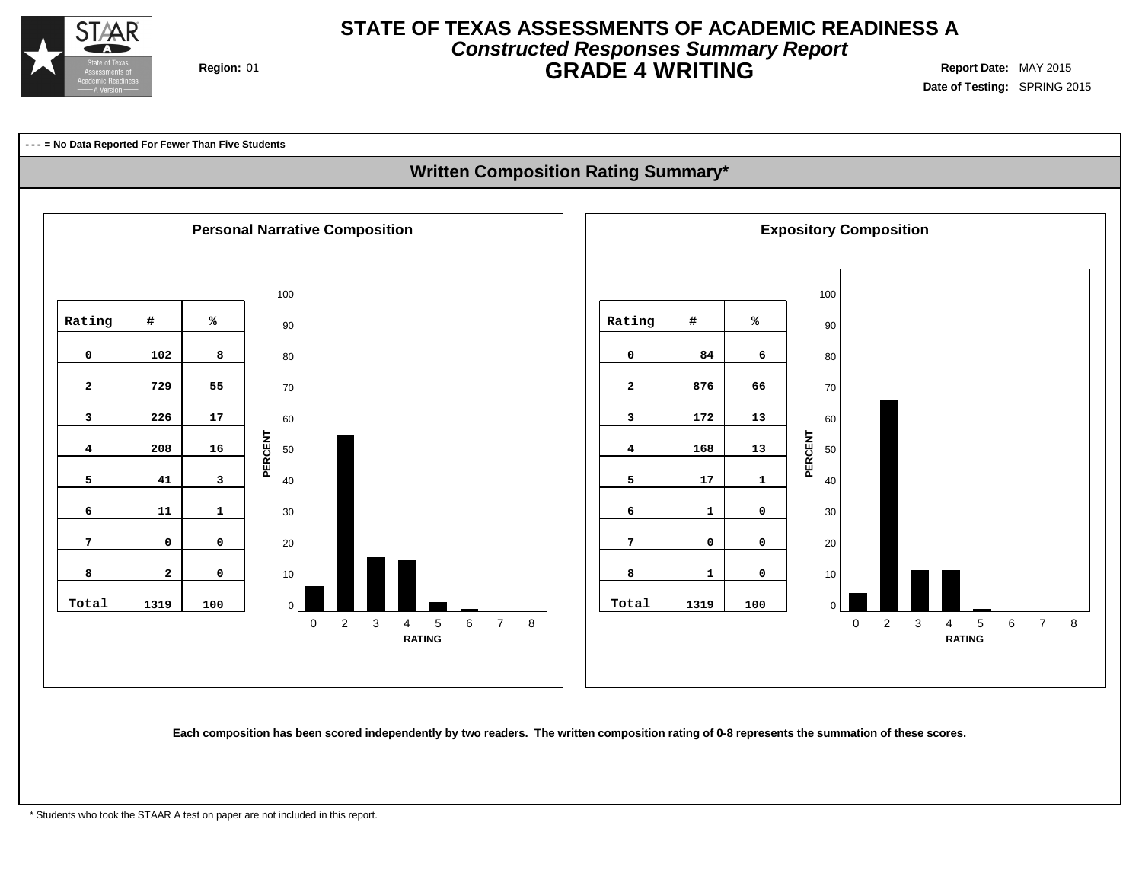

## **STATE OF TEXAS ASSESSMENTS OF ACADEMIC READINESS A Constructed Responses Summary Report Region:** 01 **GRADE 4 WRITING Report Date:** MAY 2015

**Date of Testing:** SPRING 2015

**--- = No Data Reported For Fewer Than Five Students Written Composition Rating Summary\* Personal Narrative Composition Exposition Expository Composition**   $\Omega$  2 3 4 5 6 7 8 **RATING**  $\Omega$  2 3 4 5 6 7 8 **RATING PERCENT PERCENT Rating # % 102 8 729 55 226 17 208 16 41 3 11 1 0 0 2 0 Total 1319 100 Rating # % 84 6 876 66 172 13 168 13 17 1 1 0 0 0 1 0 Total 1319 100**

Each composition has been scored independently by two readers. The written composition rating of 0-8 represents the summation of these scores.

\* Students who took the STAAR A test on paper are not included in this report.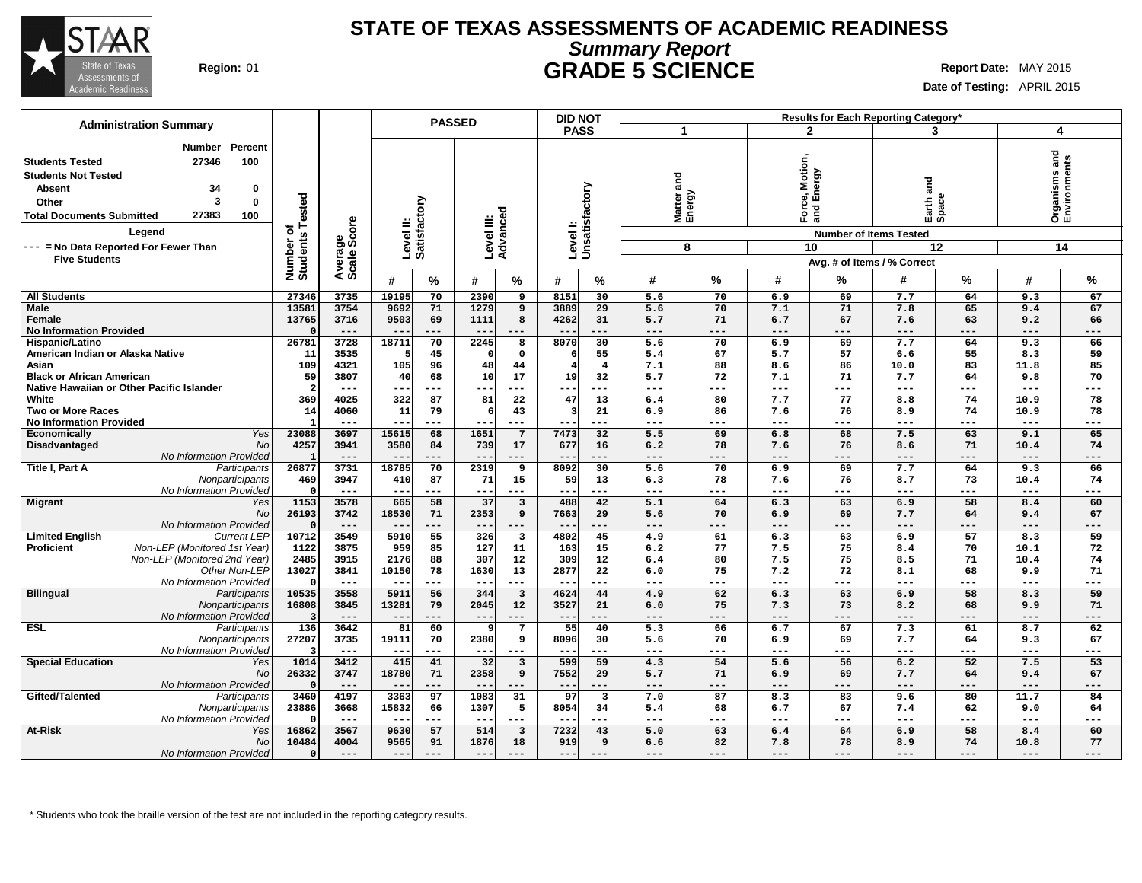

### **STATE OF TEXAS ASSESSMENTS OF ACADEMIC READINESS Summary Report Region:** 01 **GRADE 5 SCIENCE Report Date:** MAY 2015

**Date of Testing:** APRIL 2015

| <b>Administration Summary</b>                     |                              |                             |                           | <b>PASSED</b> |                        |                         | <b>DID NOT</b> |                           |                            |           |                        |                               | Results for Each Reporting Category* |                     |                             |                               |
|---------------------------------------------------|------------------------------|-----------------------------|---------------------------|---------------|------------------------|-------------------------|----------------|---------------------------|----------------------------|-----------|------------------------|-------------------------------|--------------------------------------|---------------------|-----------------------------|-------------------------------|
|                                                   |                              |                             |                           |               |                        |                         | <b>PASS</b>    |                           | 1                          |           |                        | $\mathbf{2}$                  | 3                                    |                     | 4                           |                               |
| Percent<br>Number                                 |                              |                             |                           |               |                        |                         |                |                           |                            |           |                        |                               |                                      |                     |                             |                               |
| 27346<br>100<br><b>Students Tested</b>            |                              |                             |                           |               |                        |                         |                |                           |                            |           |                        |                               |                                      |                     |                             |                               |
|                                                   |                              |                             |                           |               |                        |                         |                |                           |                            |           | Motior                 |                               |                                      |                     |                             |                               |
| <b>Students Not Tested</b>                        |                              |                             |                           |               |                        |                         |                |                           | and                        |           |                        | nergy                         | and                                  |                     |                             |                               |
| 34<br><b>Absent</b><br>0                          |                              |                             |                           |               |                        |                         |                |                           |                            |           |                        | ல் யி                         |                                      |                     |                             |                               |
| 3<br>$\bf{0}$<br>Other                            |                              |                             |                           |               |                        |                         |                |                           |                            |           |                        |                               |                                      |                     |                             |                               |
| 27383<br>100<br><b>Total Documents Submitted</b>  |                              |                             |                           |               |                        |                         |                |                           | Matter a<br>Energy         |           | $F$ org $\overline{a}$ |                               | Earth <sub>e</sub>                   |                     |                             | Organisms and<br>Environments |
| Legend                                            | Number of<br>Students Tested | ge<br>Score                 | Level II:<br>Satisfactory |               | Level III:<br>Advanced |                         |                | Levell:<br>Unsatisfactory |                            |           |                        | <b>Number of Items Tested</b> |                                      |                     |                             |                               |
| --- = No Data Reported For Fewer Than             |                              |                             |                           |               |                        |                         |                |                           |                            | 8         |                        | 10                            |                                      | 12                  |                             | 14                            |
| <b>Five Students</b>                              |                              | Average:                    |                           |               |                        |                         |                |                           |                            |           |                        |                               | Avg. # of Items / % Correct          |                     |                             |                               |
|                                                   |                              |                             |                           |               |                        |                         |                |                           |                            |           |                        |                               |                                      |                     |                             |                               |
|                                                   |                              |                             | #                         | %             | #                      | %                       | #              | %                         | #                          | %         | #                      | %                             | #                                    | %                   | #                           | %                             |
| <b>All Students</b>                               | 27346                        | 3735                        | 19195                     | 70            | 2390                   | 9                       | 8151           | 30                        | 5.6                        | 70        | 6.9                    | 69                            | 7.7                                  | 64                  | 9.3                         | 67                            |
| <b>Male</b>                                       | 13581                        | 3754                        | 9692                      | 71            | 1279                   | 9                       | 3889           | 29                        | 5.6                        | 70        | 7.1                    | 71                            | 7.8                                  | 65                  | 9.4                         | 67                            |
| Female                                            | 13765                        | 3716                        | 9503                      | 69            | 1111                   | 8                       | 4262           | 31                        | 5.7                        | 71        | 6.7                    | 67                            | 7.6                                  | 63                  | 9.2                         | 66                            |
| <b>No Information Provided</b>                    |                              | $---$                       | $- -$                     | $---$         | $---$                  | $---$                   | $- -$          | ---                       | $---$                      | ---       | $---$                  | $---$                         | $\qquad \qquad - -$                  | $---$               | $\qquad \qquad - -$         | ---                           |
| <b>Hispanic/Latino</b>                            | 26781                        | 3728                        | 18711                     | 70            | 2245                   | 8                       | 8070           | $\overline{30}$           | $\overline{5.6}$           | 70        | 6.9                    | 69                            | 7.7                                  | 64                  | 9.3                         | 66                            |
| American Indian or Alaska Native                  | 11                           | 3535                        |                           | 45            | $\mathsf{C}$           | $\Omega$                |                | 55                        | 5.4                        | 67        | 5.7                    | 57                            | 6.6                                  | 55                  | 8.3                         | 59                            |
| Asian                                             | 109                          | 4321                        | 105                       | 96            | 48                     | 44                      |                | $\overline{4}$            | 7.1                        | 88        | 8.6                    | 86                            | 10.0                                 | 83                  | 11.8                        | 85                            |
| <b>Black or African American</b>                  | 59                           | 3807                        | 40                        | 68            | 10                     | 17                      | 19             | 32                        | 5.7                        | 72        | 7.1                    | 71                            | 7.7                                  | 64                  | 9.8                         | 70                            |
| Native Hawaiian or Other Pacific Islander         | - 2                          | $---$                       | --                        | ---           | ---                    | $---$                   | $--$           | ---                       | ---                        | ---       | $---$                  | $---$                         | $---$                                | $---$               | $- - -$                     | ---                           |
| White                                             | 369                          | 4025                        | 322                       | 87            | 81                     | 22                      | 47             | 13                        | 6.4                        | 80        | 7.7                    | 77                            | 8.8                                  | 74                  | 10.9                        | 78                            |
| <b>Two or More Races</b>                          | 14                           | 4060                        | 11                        | 79            | -6                     | 43                      |                | 21                        | 6.9                        | 86        | 7.6                    | 76                            | 8.9                                  | 74                  | 10.9                        | 78                            |
| <b>No Information Provided</b>                    |                              | $---$                       | --                        | ---           | --                     | $---$                   |                | ---                       | ---                        | ---       | ---                    | $---$                         | $\qquad \qquad - -$                  | $\qquad \qquad - -$ | $\qquad \qquad - -$         | ---                           |
| <b>Yes</b><br>Economically                        | 23088                        | 3697                        | 15615                     | 68            | 1651                   | $\overline{7}$          | 7473           | $\overline{32}$           | 5.5                        | 69        | 6.8                    | 68                            | 7.5                                  | 63                  | 9.1                         | 65                            |
| Disadvantaged<br>No                               | 4257                         | 3941                        | 3580                      | 84            | 739                    | 17                      | 677            | 16                        | 6.2                        | 78        | 7.6                    | 76                            | 8.6                                  | 71                  | 10.4                        | 74                            |
| No Information Provided                           |                              | $---$                       | $- -$                     | ---           | ---                    | $---$                   | $- -$          | ---                       | ---                        | ---       | ---                    | ---                           | $---$                                | $---$               | ---                         | ---                           |
| Title I, Part A<br>Participants                   | 26877                        | 3731                        | 18785                     | 70            | 2319                   | 9                       | 8092           | 30                        | 5.6                        | 70        | 6.9                    | 69                            | 7.7                                  | 64                  | 9.3                         | 66                            |
| Nonparticipants<br>No Information Provided        | 469<br>$\mathsf{r}$          | 3947<br>$\qquad \qquad - -$ | 410<br>$- - -$            | 87<br>---     | 71<br>$---$            | 15<br>$---$             | 59<br>$- -$    | 13<br>---                 | 6.3<br>$\qquad \qquad - -$ | 78<br>--- | 7.6<br>$---$           | 76<br>$---$                   | 8.7<br>$- -$                         | 73<br>$---$         | 10.4<br>$\qquad \qquad - -$ | 74<br>---                     |
| <b>Migrant</b><br>Yes                             | 1153                         | 3578                        | 665                       | 58            | 37                     | $\overline{\mathbf{3}}$ | 488            | 42                        | 5.1                        | 64        | 6.3                    | 63                            | 6.9                                  | 58                  | 8.4                         | 60                            |
| <b>No</b>                                         | 26193                        | 3742                        | 18530                     | 71            | 2353                   | 9                       | 7663           | 29                        | 5.6                        | 70        | 6.9                    | 69                            | 7.7                                  | 64                  | 9.4                         | 67                            |
| No Information Provided                           | $\mathsf{C}$                 | $---$                       | $---$                     | ---           | $---$                  | $---$                   | $- -$          | ---                       | $---$                      | ---       | ---                    | ---                           | $\qquad \qquad - -$                  | $---$               | $---$                       | ---                           |
| <b>Limited English</b><br><b>Current LEP</b>      | 10712                        | 3549                        | 5910                      | 55            | 326                    | $\overline{\mathbf{3}}$ | 4802           | 45                        | 4.9                        | 61        | 6.3                    | 63                            | 6.9                                  | 57                  | 8.3                         | 59                            |
| <b>Proficient</b><br>Non-LEP (Monitored 1st Year) | 1122                         | 3875                        | 959                       | 85            | 127                    | 11                      | 163            | 15                        | 6.2                        | 77        | 7.5                    | 75                            | 8.4                                  | 70                  | 10.1                        | 72                            |
| Non-LEP (Monitored 2nd Year)                      | 2485                         | 3915                        | 2176                      | 88            | 307                    | 12                      | 309            | $12 \overline{ }$         | 6.4                        | 80        | 7.5                    | 75                            | 8.5                                  | 71                  | 10.4                        | 74                            |
| Other Non-LEP                                     | 13027                        | 3841                        | 10150                     | 78            | 1630                   | 13                      | 2877           | 22                        | 6.0                        | 75        | 7.2                    | 72                            | 8.1                                  | 68                  | 9.9                         | 71                            |
| No Information Provided                           |                              | $---$                       | $- -$                     | ---           | $--$                   | $---$                   |                | ---                       | ---                        | ---       | $\qquad \qquad - -$    | ---                           | $---$                                | ---                 | $---$                       | ---                           |
| <b>Bilingual</b><br>Participants                  | 10535                        | 3558                        | 5911                      | 56            | 344                    | $\overline{\mathbf{3}}$ | 4624           | 44                        | 4.9                        | 62        | 6.3                    | 63                            | 6.9                                  | 58                  | 8.3                         | 59                            |
| Nonparticipants                                   | 16808                        | 3845                        | 13281                     | 79            | 2045                   | 12                      | 3527           | 21                        | 6.0                        | 75        | 7.3                    | 73                            | 8.2                                  | 68                  | 9.9                         | 71                            |
| No Information Provided                           |                              | $---$                       | $- -$                     | ---           | $- -$                  | $---$                   | $- -$          | ---                       | $---$                      | ---       | $---$                  | $---$                         | $---$                                | $---$               | $---$                       | ---                           |
| <b>ESL</b><br>Participants                        | 136                          | 3642                        | 81                        | 60            | S                      | $\overline{7}$          | 55             | 40                        | 5.3                        | 66        | 6.7                    | 67                            | 7.3                                  | 61                  | 8.7                         | 62                            |
| Nonparticipants                                   | 27207                        | 3735                        | 19111                     | 70            | 2380                   | 9                       | 8096           | 30                        | 5.6                        | 70        | 6.9                    | 69                            | 7.7                                  | 64                  | 9.3                         | 67                            |
| No Information Provided                           |                              | $---$                       | $- -$                     | ---           | $--$                   | $\qquad \qquad - -$     | $- -$          | ---                       | $---$                      | ---       | $---$                  | $---$                         | $- -$                                | $---$               | $\qquad \qquad - -$         | ---                           |
| <b>Special Education</b><br>Yes                   | 1014                         | 3412                        | 415                       | 41            | 32                     | $\overline{\mathbf{3}}$ | 599            | 59                        | 4.3                        | 54        | 5.6                    | 56                            | 6.2                                  | 52                  | 7.5                         | 53                            |
| <b>No</b>                                         | 26332                        | 3747                        | 18780                     | 71            | 2358                   | 9                       | 7552           | 29                        | 5.7                        | 71        | 6.9                    | 69                            | 7.7                                  | 64                  | 9.4                         | 67                            |
| No Information Provided                           |                              | $---$                       | $-$                       | ---           | $-$                    | $---$                   |                | ---                       | ---                        | ---       | ---                    | ---                           | $---$                                | ---                 | ---                         | ---                           |
| Gifted/Talented<br>Participants                   | 3460                         | 4197                        | 3363                      | 97            | 1083                   | 31                      | 97             | $\overline{\mathbf{3}}$   | 7.0                        | 87        | 8.3                    | 83                            | 9.6                                  | 80                  | 11.7                        | 84                            |
| Nonparticipants                                   | 23886                        | 3668                        | 15832                     | 66            | 1307                   | 5                       | 8054           | 34                        | 5.4                        | 68        | 6.7                    | 67                            | 7.4                                  | 62                  | 9.0                         | 64                            |
| No Information Provided                           | - C                          | $---$                       | $- -$                     | ---           | $--$                   | $---$                   |                | ---                       | ---                        | ---       | $---$                  | ---                           | $---$                                | $---$               | $---$                       | ---                           |
| At-Risk<br>Yes                                    | 16862                        | 3567                        | 9630                      | 57            | 514                    | $\overline{\mathbf{3}}$ | 7232           | 43                        | 5.0                        | 63        | 6.4                    | 64                            | 6.9                                  | 58                  | 8.4                         | 60                            |
| <b>No</b>                                         | 10484                        | 4004                        | 9565                      | 91            | 1876                   | 18                      | 919            | 9                         | 6.6                        | 82        | 7.8                    | 78                            | 8.9                                  | 74                  | 10.8                        | 77                            |
| <b>No Information Provided</b>                    | $\mathsf{C}$                 | $---$                       | $---$                     | ---           | $---$                  | $---$                   | $---$          | $---$                     | ---                        | ---       | $---$                  | $---$                         | $---$                                | $\qquad \qquad - -$ | ---                         |                               |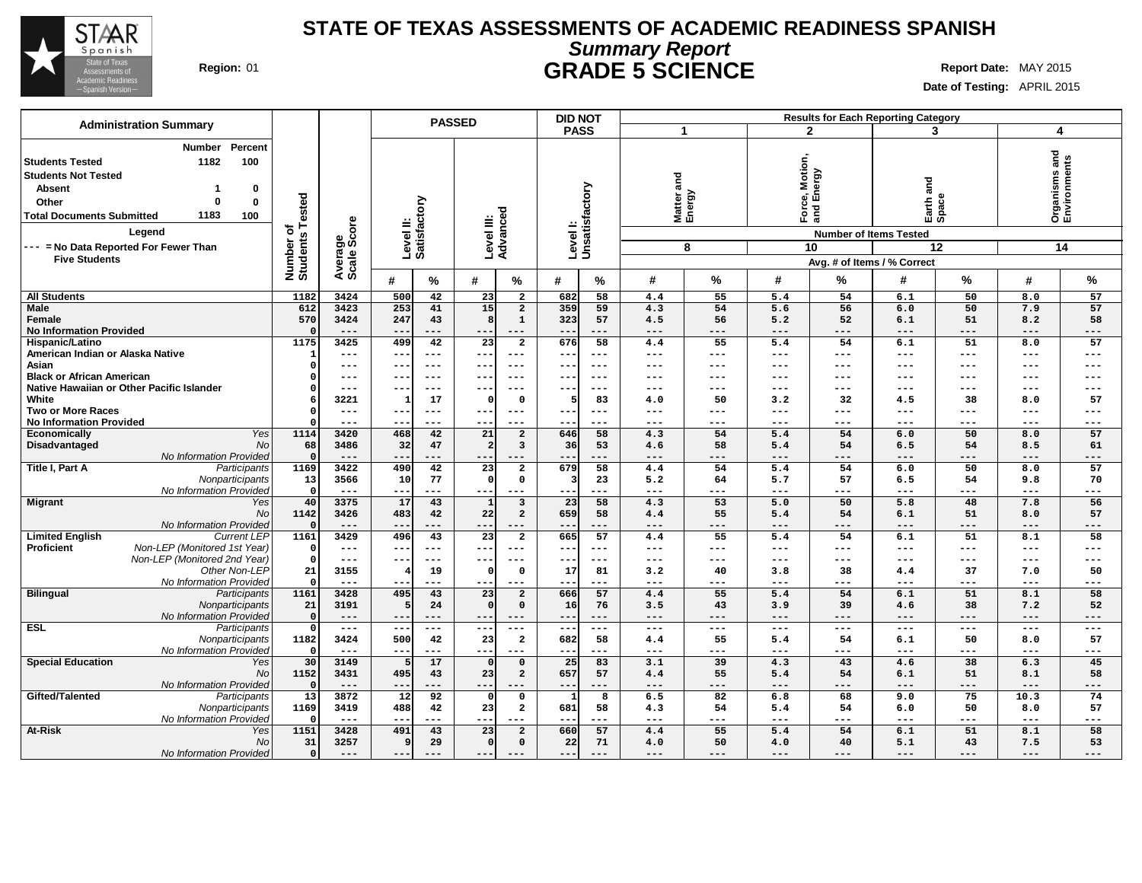

## **STATE OF TEXAS ASSESSMENTS OF ACADEMIC READINESS SPANISH Summary Report Region:** 01 **GRADE 5 SCIENCE Report Date:** MAY 2015

**Date of Testing:** APRIL 2015

| <b>Administration Summary</b>                     |                              |                        |                                      | <b>PASSED</b>                           | <b>DID NOT</b>            |                    |           |                  |                               | <b>Results for Each Reporting Category</b> |                     |                     |                               |
|---------------------------------------------------|------------------------------|------------------------|--------------------------------------|-----------------------------------------|---------------------------|--------------------|-----------|------------------|-------------------------------|--------------------------------------------|---------------------|---------------------|-------------------------------|
|                                                   |                              |                        |                                      |                                         | <b>PASS</b>               | -1                 |           | $\mathbf{2}$     |                               | 3                                          |                     | 4                   |                               |
| Percent<br><b>Number</b>                          |                              |                        |                                      |                                         |                           |                    |           |                  |                               |                                            |                     |                     |                               |
| 1182<br>100<br><b>Students Tested</b>             |                              |                        |                                      |                                         |                           |                    |           |                  |                               |                                            |                     |                     | Organisms and<br>Environments |
| <b>Students Not Tested</b>                        |                              |                        |                                      |                                         |                           |                    |           | Motion,<br>ergy  |                               |                                            |                     |                     |                               |
|                                                   |                              |                        |                                      |                                         |                           | and                |           |                  |                               | and                                        |                     |                     |                               |
| <b>Absent</b><br>0<br>-1                          |                              |                        |                                      |                                         |                           |                    |           | ல் யி            |                               |                                            |                     |                     |                               |
| $\bf{0}$<br>Other<br>$\Omega$                     |                              |                        |                                      |                                         |                           |                    |           |                  |                               |                                            |                     |                     |                               |
| 1183<br>100<br><b>Total Documents Submitted</b>   |                              |                        |                                      |                                         |                           | Matter a<br>Energy |           | Ford<br>and      |                               | Earth <sup>z</sup>                         |                     |                     |                               |
| Legend                                            | Number of<br>Students Tested | Average<br>Scale Score | Level II:<br>Satisfactory            | Level III:<br>Advanced                  | Levell:<br>Unsatisfactory |                    |           |                  | <b>Number of Items Tested</b> |                                            |                     |                     |                               |
| --- = No Data Reported For Fewer Than             |                              |                        |                                      |                                         |                           | 8                  |           | 10               |                               |                                            | 12                  |                     | 14                            |
| <b>Five Students</b>                              |                              |                        |                                      |                                         |                           |                    |           |                  |                               | Avg. # of Items / % Correct                |                     |                     |                               |
|                                                   |                              |                        |                                      |                                         |                           |                    |           |                  |                               |                                            |                     |                     |                               |
|                                                   |                              |                        | #<br>%                               | #<br>%                                  | #<br>%                    | #                  | %         | #                | %                             | #                                          | %                   | #                   | $\%$                          |
| <b>All Students</b>                               | 1182                         | 3424                   | 500<br>42                            | 23<br>$\overline{a}$                    | 682<br>58                 | 4.4                | 55        | 5.4              | 54                            | 6.1                                        | 50                  | 8.0                 | 57                            |
| <b>Male</b>                                       | 612                          | 3423                   | 253<br>41                            | 15<br>$\overline{2}$                    | 359<br>59                 | 4.3                | 54        | 5.6              | 56                            | 6.0                                        | 50                  | 7.9                 | 57                            |
| Female                                            | 570                          | 3424                   | 247<br>43                            | $\mathbf 1$<br>8                        | 323<br>57                 | 4.5                | 56        | 5.2              | 52                            | 6.1                                        | 51                  | 8.2                 | 58                            |
| <b>No Information Provided</b>                    |                              | $---$                  | $-$<br>---                           | $---$<br>$- -$                          | ---<br>$- -$              | $---$              | ---       | ---              | $---$                         | $---$                                      | $---$               | ---                 | $---$                         |
| Hispanic/Latino                                   | 1175                         | 3425                   | 499<br>42                            | $\overline{2}$<br>23                    | 676<br>58                 | 4.4                | 55        | 5.4              | 54                            | 6.1                                        | 51                  | 8.0                 | 57                            |
| American Indian or Alaska Native                  | 1                            | $\qquad \qquad - -$    | ---<br>$---$                         | $---$<br>$---$                          | $- -$<br>---              | $---$              | ---       | $---$            | $\qquad \qquad - -$           | $\qquad \qquad - -$                        | $---$               | $\qquad \qquad - -$ | $---$                         |
| Asian                                             | $\Omega$                     | $---$                  | --<br>$--$                           | $---$<br>$---$                          | $\sim$ $\sim$<br>---      | ---                | ---       | ---              | ---                           | ---                                        | $---$               | ---                 | $---$                         |
| <b>Black or African American</b>                  |                              | $\qquad \qquad - -$    | $- -$<br>$---$                       | $- -$<br>$---$                          | $- -$<br>---              | ---                | ---       | ---              | $---$                         | $\qquad \qquad - -$                        | $---$               | ---                 | $---$                         |
| Native Hawaiian or Other Pacific Islander         |                              | $---$                  | --<br>$--$                           | $---$<br>$- - -$                        | $- -$<br>---              | ---                | ---       | ---              | $---$                         | $---$                                      | $---$               | $--$                | $---$                         |
| White                                             |                              | 3221                   | 17<br>$\mathbf{1}$                   | $\mathbf 0$<br>$\mathsf{C}$             | 83<br>5                   | 4.0                | 50        | 3.2              | 32                            | 4.5                                        | 38                  | 8.0                 | 57                            |
| <b>Two or More Races</b>                          | $\Omega$                     | $---$                  | $---$<br>--                          | $---$<br>$--$                           | ---<br>$- -$              | ---                | ---       | ---              | $---$                         | $---$                                      | $---$               | ---                 | $---$                         |
| <b>No Information Provided</b>                    |                              | $\qquad \qquad - -$    | $- -$<br>$---$                       | $---$                                   | $- -$<br>---              | ---                | ---       | ---              | $---$                         | $\qquad \qquad - -$                        | $---$               | ---                 | $---$                         |
| <b>Yes</b><br>Economically                        | 1114                         | 3420                   | 468<br>42                            | 21<br>$\overline{a}$                    | 646<br>58                 | 4.3                | 54        | $\overline{5.4}$ | 54                            | 6.0                                        | 50                  | 8.0                 | 57                            |
| Disadvantaged<br>No<br>No Information Provided    | 68<br>$\mathbf{0}$           | 3486                   | 32<br>47                             | 3<br>-2                                 | 36<br>53                  | 4.6                | 58        | 5.4              | 54                            | 6.5                                        | 54                  | 8.5                 | 61                            |
| Title I, Part A<br>Participants                   | 1169                         | $---$<br>3422          | --<br>490<br>42                      | $--$<br>23<br>$\overline{2}$            | ---<br>58<br>679          | ---<br>4.4         | ---<br>54 | ---<br>5.4       | ---<br>54                     | $---$<br>6.0                               | ---<br>50           | $---$<br>8.0        | $---$<br>57                   |
| Nonparticipants                                   | 13                           | 3566                   | 77<br>10                             | $\mathfrak{g}$<br>$\mathsf{o}\,$        | 23                        | 5.2                | 64        | 5.7              | 57                            | 6.5                                        | 54                  | 9.8                 | 70                            |
| No Information Provided                           | $\Omega$                     | $\qquad \qquad - -$    | $- -$<br>---                         | $--$<br>$---$                           | ---<br>---                | $---$              | ---       | $---$            | $---$                         | $\qquad \qquad - -$                        | $\qquad \qquad - -$ | ---                 | $---$                         |
| <b>Migrant</b><br>Yes                             | 40                           | 3375                   | 17<br>43                             | $\overline{\mathbf{3}}$<br>$\mathbf{1}$ | 23<br>58                  | 4.3                | 53        | 5.0              | 50                            | 5.8                                        | 48                  | 7.8                 | 56                            |
| No                                                | 1142                         | 3426                   | 483<br>42                            | 22<br>$\overline{a}$                    | 659<br>58                 | 4.4                | 55        | 5.4              | 54                            | 6.1                                        | 51                  | 8.0                 | 57                            |
| No Information Provided                           | $\Omega$                     | $---$                  | $- -$<br>$---$                       | $- -$<br>$---$                          | $---$<br>---              | $---$              | ---       | ---              | $---$                         | $---$                                      | $---$               | $\qquad \qquad - -$ | $---$                         |
| <b>Current LEP</b><br><b>Limited English</b>      | 1161                         | 3429                   | 496<br>43                            | $\overline{23}$<br>$\overline{2}$       | 665<br>57                 | 4.4                | 55        | 5.4              | 54                            | 6.1                                        | 51                  | 8.1                 | 58                            |
| Non-LEP (Monitored 1st Year)<br><b>Proficient</b> | $^{\circ}$                   | $\qquad \qquad - -$    | $---$<br>--                          | $--$<br>$--$                            | ---<br>$\sim$ $\sim$      | ---                | ---       | ---              | $\qquad \qquad - -$           | $\qquad \qquad - -$                        | $- - -$             | $\qquad \qquad - -$ | $---$                         |
| Non-LEP (Monitored 2nd Year)                      | $\Omega$                     | $\frac{1}{2}$          | ---<br>$---$                         | $---$<br>$---$                          | $- -$<br>$---$            | $---$              | $---$     | $---$            | $\qquad \qquad -$             | $\frac{1}{2}$                              | $\frac{1}{2}$       | $\frac{1}{2}$       | $---$                         |
| Other Non-LEP                                     | 21                           | 3155                   | 19                                   | $\mathbf 0$<br>$\mathfrak{g}$           | 17<br>81                  | 3.2                | 40        | 3.8              | 38                            | 4.4                                        | 37                  | 7.0                 | 50                            |
| No Information Provideo                           | $\Omega$                     | $\qquad \qquad - -$    | $-1$<br>---                          | --<br>$---$                             | ---                       | ---                | ---       | ---              | ---                           | $---$                                      | ---                 | ---                 | $---$                         |
| <b>Bilingual</b><br>Participants                  | 1161                         | 3428                   | 495<br>43                            | 23<br>$\overline{2}$                    | 666<br>57                 | 4.4                | 55        | 5.4              | 54                            | 6.1                                        | 51                  | 8.1                 | 58                            |
| Nonparticipants                                   | 21                           | 3191                   | 24                                   | $\mathsf{C}$<br>$\mathbf 0$             | 76<br>16                  | 3.5                | 43        | 3.9              | 39                            | 4.6                                        | 38                  | 7.2                 | 52                            |
| No Information Provideo                           | $\Omega$                     | $---$                  | $- -$<br>$- - -$                     | $---$<br>$- -$                          | ---<br>$- -$              | $---$              | ---       | $---$            | $- - -$                       | $---$                                      | $- - -$             | $\frac{1}{2}$       | $---$                         |
| <b>ESL</b><br>Participants                        | $\Omega$                     | $- - -$                | $\sim$ $\sim$<br>$\qquad \qquad - -$ | $\frac{1}{2}$<br>$---$                  | ---<br>$---$              | $---$              | $---$     | $\frac{1}{2}$    | $\frac{1}{2}$                 | $\frac{1}{2}$                              | $\qquad \qquad - -$ | $\frac{1}{2}$       | $---$                         |
| Nonparticipants                                   | 1182                         | 3424                   | 500<br>42                            | 23<br>$\overline{\mathbf{2}}$           | 682<br>58                 | 4.4                | 55        | 5.4              | 54                            | 6.1                                        | 50                  | 8.0                 | 57                            |
| No Information Provided                           | $\Omega$                     | $- - -$                | $- -$<br>$- - -$                     | $- -$<br>$- - -$                        | ---<br>$- -$              | $---$              | ---       | $---$            | $---$                         | $---$                                      | $---$               | $---$               | $---$                         |
| <b>Special Education</b><br>Yes                   | 30                           | 3149                   | 17                                   | $\Omega$                                | 25<br>83                  | 3.1                | 39        | 4.3              | 43                            | 4.6                                        | 38                  | 6.3                 | 45                            |
| <b>No</b>                                         | 1152                         | 3431                   | 495<br>43                            | 23<br>$\overline{a}$                    | 657<br>57                 | 4.4                | 55        | 5.4              | 54                            | 6.1                                        | 51                  | 8.1                 | 58                            |
| No Information Provided                           | $\Omega$                     | $---$                  | $-$<br>$- - -$                       | $- -$<br>$---$                          | ---<br>$---$              | $---$              | ---       | ---              | $---$                         | $---$                                      | $---$               | $- - -$             | $---$                         |
| Gifted/Talented<br>Participants                   | $\overline{13}$              | 3872                   | $\overline{12}$<br>92                | $\mathbf 0$<br>$\mathsf{C}$             | 8                         | 6.5                | 82        | 6.8              | 68                            | 9.0                                        | 75                  | 10.3                | 74                            |
| Nonparticipants                                   | 1169                         | 3419                   | 488<br>42                            | 23<br>$\overline{a}$                    | 681<br>58                 | 4.3                | 54        | 5.4              | 54                            | 6.0                                        | 50                  | 8.0                 | 57                            |
| No Information Provided                           | $\Omega$                     | $---$                  | $-$<br>---                           | $- -$<br>$---$                          | ---<br>--                 | ---                | ---       | ---              | ---                           | $---$                                      | $---$               | $\qquad \qquad - -$ | $---$                         |
| At-Risk<br>Yes                                    | 1151                         | 3428                   | 43<br>491                            | 23<br>$\overline{a}$                    | 660<br>57                 | 4.4                | 55        | 5.4              | 54                            | 6.1                                        | 51                  | 8.1                 | 58                            |
| <b>No</b>                                         | 31                           | 3257                   | <sup>9</sup><br>29                   | $\mathfrak{g}$<br>$\mathbf 0$           | 71<br>22                  | 4.0                | 50        | 4.0              | 40                            | 5.1                                        | 43                  | 7.5                 | 53                            |
| No Information Provided                           | $\Omega$                     | $---$                  | ---                                  | $- -$<br>$---$                          | ---<br>---                | ---                | ---       | ---              | ---                           | $---$                                      | $---$               | ---                 | ---                           |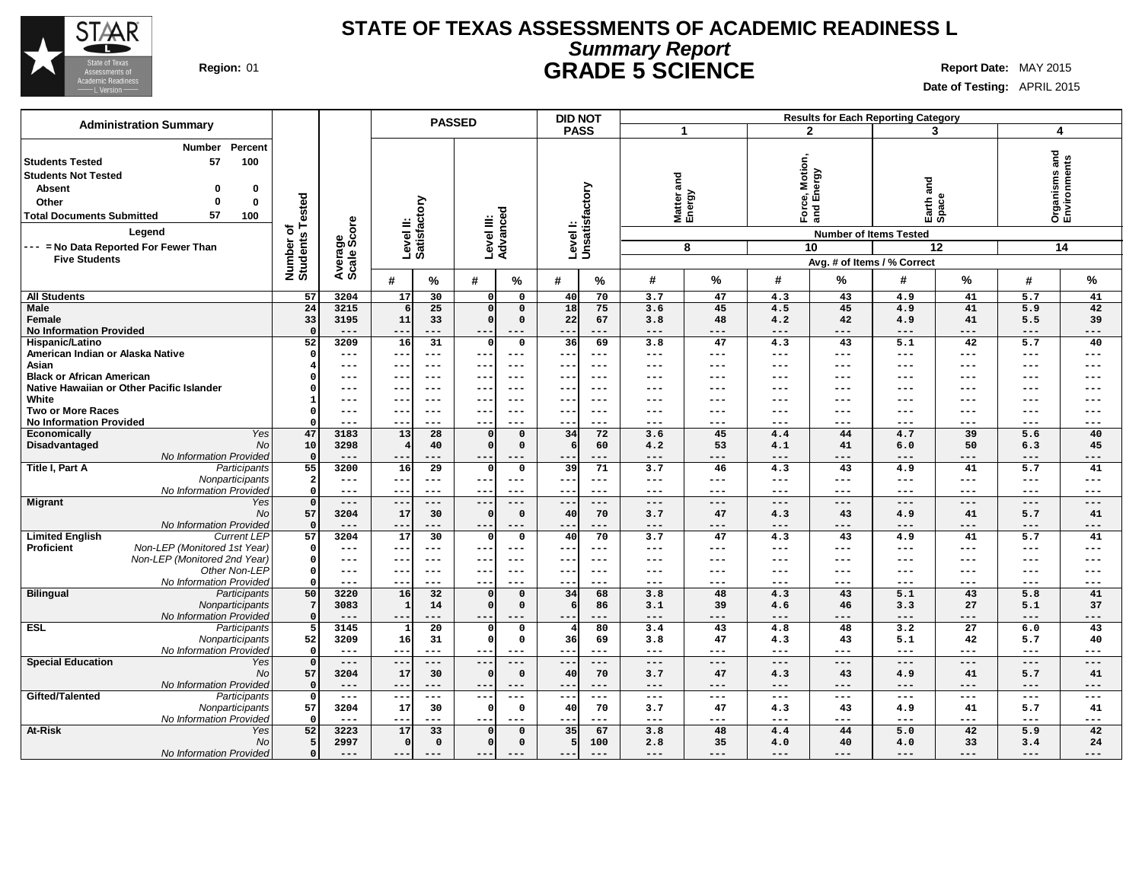

### **STATE OF TEXAS ASSESSMENTS OF ACADEMIC READINESS L Summary Report Region:** 01 **GRADE 5 SCIENCE Report Date:** MAY 2015

**Date of Testing:** APRIL 2015

| <b>Administration Summary</b>                       |                              |                              |                           | <b>PASSED</b>       |                        |                      |                   | <b>DID NOT</b>            |                     |                    |                     |                     | <b>Results for Each Reporting Category</b> |                     |                            |                               |
|-----------------------------------------------------|------------------------------|------------------------------|---------------------------|---------------------|------------------------|----------------------|-------------------|---------------------------|---------------------|--------------------|---------------------|---------------------|--------------------------------------------|---------------------|----------------------------|-------------------------------|
|                                                     |                              |                              |                           |                     |                        |                      | <b>PASS</b>       |                           | -1                  |                    |                     | $\mathbf{2}$        | 3                                          |                     | 4                          |                               |
| Percent<br><b>Number</b>                            |                              |                              |                           |                     |                        |                      |                   |                           |                     |                    |                     |                     |                                            |                     |                            |                               |
| 57<br>100<br><b>Students Tested</b>                 |                              |                              |                           |                     |                        |                      |                   |                           |                     |                    |                     |                     |                                            |                     |                            |                               |
| <b>Students Not Tested</b>                          |                              |                              |                           |                     |                        |                      |                   |                           |                     |                    |                     | Motion,<br>1ergy    |                                            |                     |                            |                               |
|                                                     |                              |                              |                           |                     |                        |                      |                   |                           | and                 |                    |                     |                     | na<br>and                                  |                     |                            |                               |
| <b>Absent</b><br>$\Omega$<br>0                      |                              |                              |                           |                     |                        |                      |                   |                           |                     |                    |                     | ல் யி               |                                            |                     |                            |                               |
| $\bf{0}$<br>Other<br>$\Omega$                       |                              |                              |                           |                     |                        |                      |                   |                           |                     |                    |                     |                     |                                            |                     |                            |                               |
| 57<br>100<br><b>Total Documents Submitted</b>       |                              |                              |                           |                     |                        |                      |                   |                           |                     | Matter a<br>Energy |                     | Force<br>and F      | Earth <sub>e</sub>                         |                     |                            | Organisms and<br>Environments |
| Legend                                              | Number of<br>Students Tested | Average<br>Scale Score       | Level II:<br>Satisfactory |                     | Level III:<br>Advanced |                      |                   | Levell:<br>Unsatisfactory |                     |                    |                     |                     | <b>Number of Items Tested</b>              |                     |                            |                               |
| --- = No Data Reported For Fewer Than               |                              |                              |                           |                     |                        |                      |                   |                           |                     | 8                  |                     | 10                  |                                            | 12                  |                            | 14                            |
| <b>Five Students</b>                                |                              |                              |                           |                     |                        |                      |                   |                           |                     |                    |                     |                     | Avg. # of Items / % Correct                |                     |                            |                               |
|                                                     |                              |                              |                           |                     |                        |                      |                   |                           | #                   | %                  | #                   |                     | #                                          |                     |                            | $\%$                          |
|                                                     |                              |                              | #                         | ℅                   | #                      | $\%$                 | #                 | %                         |                     |                    |                     | %                   |                                            | %                   | #                          |                               |
| <b>All Students</b>                                 | 57                           | 3204                         | 17                        | 30                  | $\Omega$               | $\mathbf 0$          | 40                | 70                        | 3.7                 | 47                 | 4.3                 | 43                  | 4.9                                        | 41                  | 5.7                        | 41                            |
| <b>Male</b>                                         | 24                           | 3215                         | 6                         | 25                  | $\mathbf{0}$           | $\mathbf 0$          | 18                | 75                        | 3.6                 | 45                 | 4.5                 | 45                  | 4.9                                        | 41                  | 5.9                        | 42                            |
| Female                                              | 33                           | 3195                         | 11                        | 33                  | $\mathbf{0}$           | $\mathbf 0$          | 22                | 67                        | 3.8                 | 48                 | 4.2                 | 42                  | 4.9                                        | 41                  | 5.5                        | 39                            |
| <b>No Information Provided</b>                      | $\mathbf{o}$                 | $---$                        | ---                       | $---$               | $---$                  | $---$                | ---               | ---                       | $---$               | ---                | ---                 | $---$               | $---$                                      | $---$               | $---$                      | $---$                         |
| Hispanic/Latino<br>American Indian or Alaska Native | 52<br>$\Omega$               | 3209<br>$\qquad \qquad - -$  | 16<br>---                 | 31<br>$---$         | C<br>$--$              | $\mathbf 0$<br>$---$ | 36<br>$- - -$     | 69<br>---                 | 3.8<br>$---$        | 47<br>---          | 4.3<br>$---$        | 43<br>$---$         | 5.1<br>$\qquad \qquad - -$                 | 42<br>$\frac{1}{2}$ | 5.7<br>$\qquad \qquad - -$ | 40<br>$---$                   |
|                                                     |                              |                              |                           |                     |                        |                      |                   |                           |                     |                    |                     |                     |                                            |                     |                            |                               |
| Asian<br><b>Black or African American</b>           |                              | $---$<br>$\qquad \qquad - -$ | $- -$<br>$- -$            | $---$<br>$---$      | $---$<br>$- -$         | $---$<br>$---$       | $\sim$ $\sim$     | ---<br>---                | ---<br>---          | ---<br>---         | ---<br>---          | ---<br>$---$        | $---$<br>$---$                             | $---$<br>$---$      | $---$<br>$--$              | $---$<br>$---$                |
| Native Hawaiian or Other Pacific Islander           |                              | $\qquad \qquad -$            |                           |                     | $- -$                  |                      | $- -$             |                           | ---                 | ---                |                     |                     |                                            |                     |                            |                               |
| White                                               | 1                            | $\qquad \qquad -$            | --<br>--                  | ---<br>$--$         | $- -$                  | $-- -$<br>$--$       | $- -$<br>$- -$    | $--$<br>---               | ---                 | ---                | ---<br>---          | ---<br>$---$        | $-- -$<br>---                              | $-- -$<br>$---$     | $-- -$<br>$--$             | ---<br>$---$                  |
| <b>Two or More Races</b>                            | $\Omega$                     | $---$                        | --                        | $---$               | $---$                  | $---$                | $\qquad \qquad -$ | ---                       | ---                 | ---                | ---                 | $---$               | $---$                                      | $---$               | $---$                      | $---$                         |
| <b>No Information Provided</b>                      |                              | $---$                        |                           |                     | $---$                  |                      | --                |                           | ---                 | ---                | ---                 | $--$                | $---$                                      | $--$                | ---                        | $---$                         |
| <b>Economically</b><br>Yes                          | 47                           | 3183                         | 13                        | 28                  | $\Omega$               | $\mathbf 0$          | 34                | 72                        | 3.6                 | 45                 | 4.4                 | 44                  | 4.7                                        | 39                  | 5.6                        | 40                            |
| Disadvantaged<br>No                                 | 10                           | 3298                         |                           | 40                  | $\mathfrak{g}$         | $\mathbf 0$          | 6                 | 60                        | 4.2                 | 53                 | 4.1                 | 41                  | 6.0                                        | 50                  | 6.3                        | 45                            |
| No Information Provided                             | $\circ$                      | $---$                        | --                        |                     | $--$                   | $---$                | $- -$             | ---                       | ---                 | ---                | ---                 | $---$               | $---$                                      | $---$               | ---                        | $---$                         |
| Title I, Part A<br>Participants                     | 55                           | 3200                         | 16                        | 29                  | $\Omega$               | 0                    | 39                | 71                        | 3.7                 | 46                 | 4.3                 | 43                  | 4.9                                        | 41                  | 5.7                        | 41                            |
| Nonparticipants                                     | $\mathbf{2}$                 | $---$                        | $- -$                     | $---$               | $---$                  | $---$                | $--$              | $---$                     | $---$               | $---$              | $\qquad \qquad - -$ | $---$               | $\qquad \qquad - -$                        | $\frac{1}{2}$       | $\qquad \qquad - -$        | $\qquad \qquad - -$           |
| No Information Provided                             | $\mathbf{0}$                 | $---$                        | $- -$                     | $---$               | $---$                  | $---$                | $- -$             | $---$                     | $---$               | ---                | $---$               | $---$               | $---$                                      | $\frac{1}{2}$       | $- - -$                    | $---$                         |
| Migrant<br>Yes                                      | $\circ$                      | $---$                        | --                        | $\qquad \qquad - -$ | $---$                  | $---$                | $--$              | $---$                     | ---                 | ---                | $---$               | $---$               | $---$                                      | $\qquad \qquad - -$ | $\qquad \qquad - -$        | $---$                         |
| No                                                  | 57                           | 3204                         | 17                        | 30                  | $\mathfrak{g}$         | $\mathbf 0$          | 40                | 70                        | 3.7                 | 47                 | 4.3                 | 43                  | 4.9                                        | 41                  | 5.7                        | 41                            |
| No Information Provideo                             | $\Omega$                     | $---$                        | $- -$                     | $---$               | $- -$                  | $---$                | $- -$             | ---                       | $---$               | $---$              | $---$               | $---$               | $---$                                      | $\qquad \qquad - -$ | $---$                      | $---$                         |
| <b>Limited English</b><br><b>Current LEP</b>        | 57                           | 3204                         | 17                        | 30                  |                        | 0                    | 40                | 70                        | 3.7                 | 47                 | 4.3                 | 43                  | 4.9                                        | 41                  | 5.7                        | 41                            |
| Proficient<br>Non-LEP (Monitored 1st Year)          | $\mathbf{o}$                 | $\qquad \qquad -$            | $- -$                     | $---$               | $- -$                  | $---$                | $- -$             | $---$                     | $---$               | ---                | $---$               | $---$               | $---$                                      | $---$               | $\qquad \qquad - -$        | $---$                         |
| Non-LEP (Monitored 2nd Year)                        | $\Omega$                     | $\qquad \qquad -$            | --                        | $---$               | $- -$                  | $- - -$              | $- -$             | $- - -$                   | $---$               | ---                | $---$               | $---$               | $\qquad \qquad -$                          | $---$               | $---$                      | $---$                         |
| Other Non-LEP                                       | $\mathbf{0}$                 | $---$                        | --                        | $---$               | ---                    | $---$                | ---               | ---                       | ---                 | ---                | ---                 | ---                 | $---$                                      | $---$               | $---$                      | $---$                         |
| No Information Provideo                             | $\Omega$                     | $---$                        | $- -$                     | $--$                | $--$                   | $- - -$              | $- -$             | ---                       | ---                 | ---                | ---                 | $--$                | $---$                                      | $---$               | ---                        | $---$                         |
| <b>Bilingual</b><br>Participants                    | 50                           | 3220                         | 16                        | 32                  | $\mathbf{0}$           | $\mathbf 0$          | 34                | 68                        | 3.8                 | 48                 | 4.3                 | 43                  | 5.1                                        | 43                  | 5.8                        | 41                            |
| Nonparticipants                                     | 7                            | 3083                         | $\mathbf{1}$              | 14                  | $\sqrt{2}$             | $\mathbf 0$          | 6                 | 86                        | 3.1                 | 39                 | 4.6                 | 46                  | 3.3                                        | 27                  | 5.1                        | 37                            |
| No Information Provided                             | $\Omega$                     | $---$                        | --                        | ---                 | $---$                  | $---$                | $--$              | ---                       | $---$               | ---                | ---                 | $---$               | $---$                                      | $---$               | ---                        | $---$                         |
| <b>ESL</b><br>Participants                          | 5                            | 3145                         |                           | 20                  |                        | $\mathbf 0$          | 4                 | 80                        | 3.4                 | 43                 | 4.8                 | 48                  | 3.2                                        | 27                  | 6.0                        | 43                            |
| Nonparticipants                                     | 52                           | 3209                         | 16                        | 31                  | C                      | $\mathbf 0$          | 36                | 69                        | 3.8                 | 47                 | 4.3                 | 43                  | 5.1                                        | 42                  | 5.7                        | 40                            |
| No Information Provideo                             | $\mathbf 0$                  | $---$                        | $- -$                     | $---$               | $--$                   | $---$                | $---$             | ---                       | $---$               | ---                | $---$               | $---$               | $\qquad \qquad - -$                        | $---$               | $---$                      | $---$                         |
| <b>Special Education</b><br>Yes                     | $\mathbf 0$                  | $\qquad \qquad - -$          | $-$                       | $---$               | $---$                  | $---$                | $---$             | $-- -$                    | $---$               | $---$              | $---$               | $---$               | $- - -$                                    | $\qquad \qquad - -$ | $---$                      | $---$                         |
| No                                                  | 57                           | 3204                         | 17                        | 30                  | $\mathfrak{g}$         | $\mathbf 0$          | 40                | 70                        | 3.7                 | 47                 | 4.3                 | 43                  | 4.9                                        | 41                  | 5.7                        | 41                            |
| No Information Provided<br>Gifted/Talented          | $\mathbf{o}$                 | $---$                        | $\qquad \qquad -$         | $---$               | $--$                   | $---$                | $---$             | ---                       | $---$               | $---$              | $---$               | $---$               | $---$                                      | $---$               | $- - -$                    | $---$                         |
| Participants                                        | $\circ$<br>57                | $\!--$                       | --                        | $---$<br>30         | $--$<br>$\epsilon$     | $\qquad \qquad - -$  | $---$             | $\qquad \qquad - -$<br>70 | $\qquad \qquad - -$ | $---$<br>47        | $\qquad \qquad - -$ | $\qquad \qquad - -$ | $---$                                      | $- -$<br>41         | $\qquad \qquad - -$        | $---$                         |
| Nonparticipants<br>No Information Provided          | $\Omega$                     | 3204<br>$---$                | 17<br>$- -$               | $--$                | $--$                   | $\mathbf 0$<br>$---$ | 40<br>$- - -$     | ---                       | 3.7<br>$---$        | ---                | 4.3<br>---          | 43<br>$---$         | 4.9<br>$\qquad \qquad -$                   | $\frac{1}{2}$       | 5.7<br>$---$               | 41<br>$---$                   |
| At-Risk<br>Yes                                      | 52                           | 3223                         | 17                        | 33                  |                        | $\mathbf 0$          | 35                | 67                        | 3.8                 | 48                 | 4.4                 | 44                  | 5.0                                        | 42                  | 5.9                        | 42                            |
| No                                                  | 5                            | 2997                         | $\Omega$                  | $\mathbf 0$         | C                      | $\mathbf 0$          | 5                 | 100                       | 2.8                 | 35                 | 4.0                 | 40                  |                                            | 33                  | 3.4                        | 24                            |
| No Information Provided                             | $\circ$                      | $---$                        | $---$                     | $---$               | $---$                  | $---$                |                   | $---$                     | $---$               | ---                | $---$               | $---$               | 4.0<br>$---$                               | $---$               | $- - -$                    | $---$                         |
|                                                     |                              |                              |                           |                     |                        |                      | $--$              |                           |                     |                    |                     |                     |                                            |                     |                            |                               |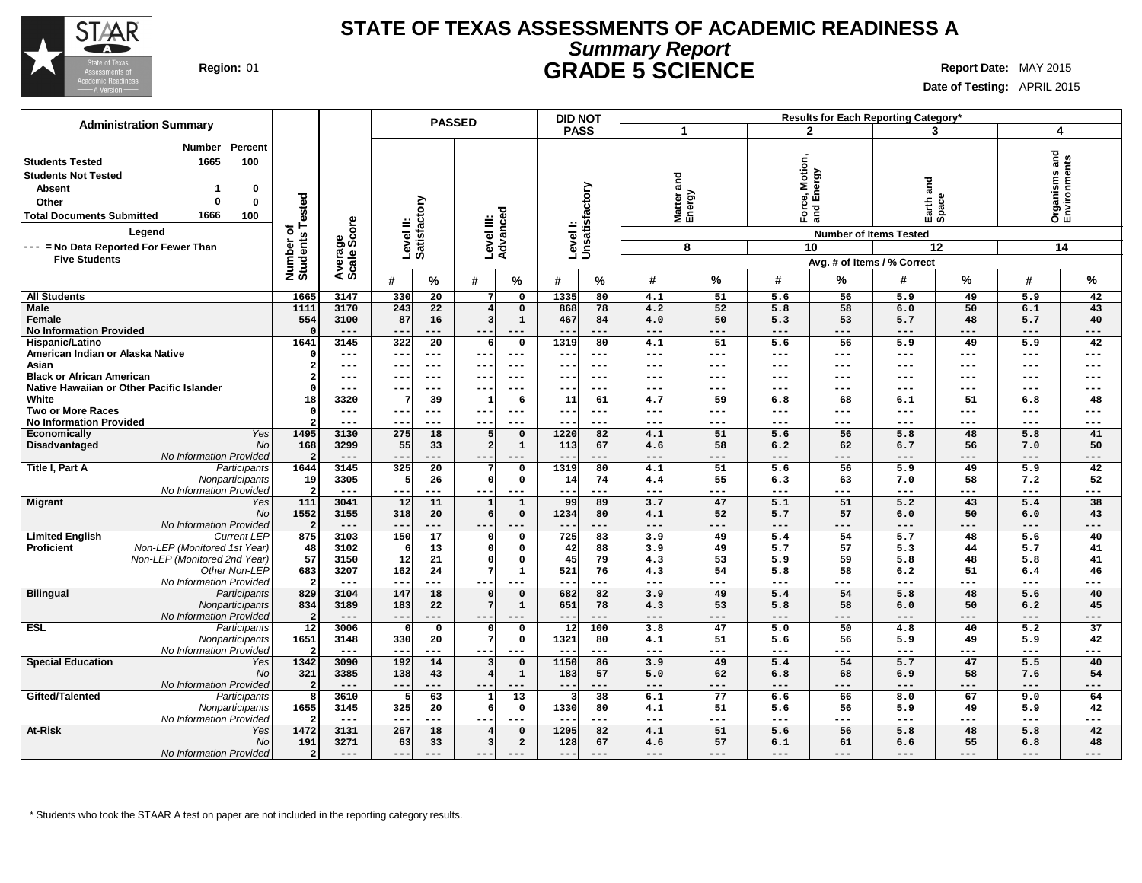

### **STATE OF TEXAS ASSESSMENTS OF ACADEMIC READINESS A Summary Report Region:** 01 **GRADE 5 SCIENCE Report Date:** MAY 2015

**Date of Testing:** APRIL 2015

| <b>Administration Summary</b>                     |                              |                        |                           | <b>PASSED</b>   |                                            | <b>DID NOT</b>            |                 |                    |           |                  |                               | Results for Each Reporting Category* |                     |                     |                               |
|---------------------------------------------------|------------------------------|------------------------|---------------------------|-----------------|--------------------------------------------|---------------------------|-----------------|--------------------|-----------|------------------|-------------------------------|--------------------------------------|---------------------|---------------------|-------------------------------|
|                                                   |                              |                        |                           |                 |                                            | <b>PASS</b>               |                 | -1                 |           | $\mathbf{2}$     |                               | 3                                    |                     | 4                   |                               |
| Percent<br><b>Number</b>                          |                              |                        |                           |                 |                                            |                           |                 |                    |           |                  |                               |                                      |                     |                     |                               |
| 1665<br>100<br><b>Students Tested</b>             |                              |                        |                           |                 |                                            |                           |                 |                    |           |                  |                               |                                      |                     |                     | Organisms and<br>Environments |
|                                                   |                              |                        |                           |                 |                                            |                           |                 |                    |           | Motion,<br>1ergy |                               |                                      |                     |                     |                               |
| <b>Students Not Tested</b>                        |                              |                        |                           |                 |                                            |                           |                 | and                |           |                  |                               |                                      |                     |                     |                               |
| <b>Absent</b><br>0<br>-1                          |                              |                        |                           |                 |                                            |                           |                 |                    |           |                  |                               | and                                  |                     |                     |                               |
| 0<br>Other<br>$\Omega$                            |                              |                        |                           |                 |                                            |                           |                 |                    |           |                  | ல் யி                         |                                      |                     |                     |                               |
| 1666<br>100<br><b>Total Documents Submitted</b>   |                              |                        |                           |                 |                                            |                           |                 | Matter a<br>Energy |           | Ford<br>and      |                               | Earth <sup>z</sup>                   |                     |                     |                               |
| Legend                                            | Number of<br>Students Tested | Average<br>Scale Score | Level II:<br>Satisfactory |                 | Level III:<br>Advanced                     | Levell:<br>Unsatisfactory |                 |                    |           |                  |                               |                                      |                     |                     |                               |
|                                                   |                              |                        |                           |                 |                                            |                           |                 |                    |           |                  | <b>Number of Items Tested</b> |                                      |                     |                     |                               |
| --- = No Data Reported For Fewer Than             |                              |                        |                           |                 |                                            |                           |                 |                    | 8         |                  | 10                            |                                      | 12                  |                     | 14                            |
| <b>Five Students</b>                              |                              |                        |                           |                 |                                            |                           |                 |                    |           |                  |                               | Avg. # of Items / % Correct          |                     |                     |                               |
|                                                   |                              |                        | #                         | %               | #<br>%                                     | #                         | %               | #                  | %         | #                | %                             | #                                    | %                   | #                   | %                             |
|                                                   |                              |                        |                           |                 |                                            |                           |                 |                    |           |                  |                               |                                      |                     |                     |                               |
| <b>All Students</b>                               | 1665                         | 3147                   | 330                       | 20              | 0<br>7                                     | 1335                      | 80              | 4.1                | 51        | 5.6              | 56                            | 5.9                                  | 49                  | 5.9                 | 42                            |
| <b>Male</b>                                       | 1111                         | 3170                   | 243                       | 22              | $\mathbf 0$<br>З                           | 868                       | 78              | 4.2                | 52        | 5.8              | 58<br>53                      | 6.0                                  | 50                  | 6.1                 | 43                            |
| Female<br><b>No Information Provided</b>          | 554                          | 3100<br>$---$          | 87<br>$- -$<br>---        | 16              | $\mathbf{1}$<br>$---$<br>$\qquad \qquad -$ | 467<br>$\qquad \qquad -$  | 84<br>---       | 4.0                | 50<br>--- | 5.3              | $---$                         | 5.7                                  | 48<br>$---$         | 5.7                 | 40                            |
| Hispanic/Latino                                   | 1641                         | 3145                   | 322                       | $\overline{20}$ | $\mathbf 0$<br>6                           | 1319                      | 80              | $---$<br>4.1       | 51        | ---<br>5.6       | 56                            | $---$<br>5.9                         | 49                  | ---<br>5.9          | $---$<br>42                   |
| American Indian or Alaska Native                  | $\Omega$                     | $\qquad \qquad - -$    | ---<br>$---$              |                 | $\qquad \qquad - -$<br>$--$                | $\sim$ $\sim$             | ---             | ---                | ---       | ---              | $\qquad \qquad - -$           | $\qquad \qquad - -$                  | $---$               | $\qquad \qquad - -$ | $---$                         |
| Asian                                             |                              | $---$                  | --<br>$--$                |                 | $--$<br>$--$                               | $- -$                     | ---             | ---                | ---       | ---              | ---                           | ---                                  | $---$               | ---                 | $---$                         |
| <b>Black or African American</b>                  |                              | $\qquad \qquad - -$    | $- -$<br>$--$             |                 | $- -$<br>$--$                              | $- -$                     | ---             | ---                | ---       | ---              | $---$                         | $\qquad \qquad - -$                  | $\qquad \qquad - -$ | ---                 | $---$                         |
| Native Hawaiian or Other Pacific Islander         |                              | $\qquad \qquad - -$    | --<br>$--$                |                 | $---$<br>$- - -$                           | $- -$                     | ---             | ---                | ---       | ---              | $-- -$                        | $---$                                | $---$               | $- - -$             | $---$                         |
| White                                             | 18                           | 3320                   |                           | 39              | $\mathbf{1}$<br>6                          | 11                        | 61              | 4.7                | 59        | 6.8              | 68                            | 6.1                                  | 51                  | 6.8                 | 48                            |
| <b>Two or More Races</b>                          | $\Omega$                     | $---$                  | --                        | $---$           | $---$<br>$--$                              | $---$                     | ---             | ---                | ---       | ---              | $---$                         | ---                                  | $---$               | ---                 | $---$                         |
| <b>No Information Provided</b>                    |                              | $\qquad \qquad - -$    | $- -$<br>$---$            |                 | $---$                                      | $\qquad \qquad -$         | ---             | ---                | ---       | ---              | $---$                         | $\qquad \qquad - -$                  | $---$               | ---                 | $---$                         |
| <b>Yes</b><br>Economically                        | 1495                         | 3130                   | $\overline{275}$          | 18              | 5<br>$\mathbf 0$                           | 1220                      | 82              | 4.1                | 51        | $\overline{5.6}$ | 56                            | 5.8                                  | 48                  | 5.8                 | 41                            |
| Disadvantaged<br>No                               | 168                          | 3299                   | 55                        | 33              | 2<br>$\mathbf{1}$                          | 113                       | 67              | 4.6                | 58        | 6.2              | 62                            | 6.7                                  | 56                  | 7.0                 | 50                            |
| No Information Provided                           | $\overline{2}$               | $---$                  | --                        |                 | $---$                                      |                           | ---             | ---                | ---       | ---              | ---                           | $---$                                | ---                 | $---$               | ---                           |
| Title I, Part A<br>Participants                   | 1644                         | 3145                   | 325                       | 20              | $\mathsf{o}$                               | 1319                      | 80              | 4.1                | 51        | 5.6              | 56                            | 5.9                                  | 49                  | 5.9                 | 42                            |
| Nonparticipants                                   | 19                           | 3305                   |                           | 26              | $\mathsf{C}$<br>$\mathbf 0$                | 14                        | 74              | 4.4                | 55        | 6.3              | 63                            | 7.0                                  | 58                  | 7.2                 | 52                            |
| No Information Provided                           | ່າ                           | $\qquad \qquad - -$    | $- -$                     | ---             | $--$<br>$---$                              | $- -$                     | ---             | $---$              | ---       | ---              | $---$                         | $\qquad \qquad - -$                  | $\qquad \qquad - -$ | ---                 | $---$                         |
| <b>Migrant</b><br>Yes                             | 111                          | 3041                   | $\overline{12}$           | 11              | $\mathbf{1}$<br>-1                         | 99                        | 89              | 3.7                | 47        | 5.1              | 51                            | 5.2                                  | 43                  | 5.4                 | 38                            |
| No                                                | 1552                         | 3155                   | 318                       | 20              | $\mathbf 0$<br>6                           | 1234                      | 80              | 4.1                | 52        | 5.7              | 57                            | 6.0                                  | 50                  | 6.0                 | 43                            |
| No Information Provided                           | $\overline{2}$               | $---$                  | $- -$                     | $---$           | $---$<br>$---$                             | $---$                     | ---             | $---$              | ---       | ---              | $---$                         | $---$                                | $---$               | $\qquad \qquad - -$ | $---$                         |
| <b>Current LEP</b><br><b>Limited English</b>      | 875                          | 3103                   | 150                       | $\overline{17}$ | $\mathbf 0$                                | 725                       | 83              | 3.9                | 49        | 5.4              | 54                            | $\overline{5.7}$                     | 48                  | 5.6                 | 40                            |
| Non-LEP (Monitored 1st Year)<br><b>Proficient</b> | 48                           | 3102                   |                           | 13              | $\mathbf 0$                                | 42                        | 88              | 3.9                | 49        | 5.7              | 57                            | 5.3                                  | 44                  | 5.7                 | 41                            |
| Non-LEP (Monitored 2nd Year)<br>Other Non-LEP     | 57<br>683                    | 3150<br>3207           | 12<br>162                 | 21<br>24        | $\mathbf{0}$<br>C<br>$\mathbf{1}$          | 45<br>521                 | 79<br>76        | 4.3<br>4.3         | 53<br>54  | 5.9<br>5.8       | 59<br>58                      | 5.8<br>6.2                           | 48<br>51            | 5.8<br>6.4          | 41<br>46                      |
| No Information Provideo                           | $\overline{\mathbf{2}}$      | $\qquad \qquad - -$    | $-1$                      | ---             | $---$<br>$--$                              |                           | ---             | $---$              | ---       | $---$            | ---                           | $\qquad \qquad - -$                  | ---                 | ---                 | $---$                         |
| <b>Bilingual</b><br>Participants                  | 829                          | 3104                   | 147                       | 18              | $\overline{0}$                             | 682                       | $\overline{82}$ | 3.9                | 49        | 5.4              | 54                            | 5.8                                  | 48                  | 5.6                 | 40                            |
| Nonparticipants                                   | 834                          | 3189                   | 183                       | 22              | $\mathbf 1$                                | 651                       | 78              | 4.3                | 53        | 5.8              | 58                            | 6.0                                  | 50                  | 6.2                 | 45                            |
| No Information Provideo                           | $\overline{2}$               | $---$                  | $-$                       | ---             | $- -$<br>$- - -$                           | $- -$                     | ---             | $---$              | ---       | $---$            | $---$                         | $---$                                | $- - -$             | ---                 | $---$                         |
| <b>ESL</b><br>Participants                        | $\overline{12}$              | 3006                   |                           | $\mathbf 0$     | $\mathsf{o}$                               | $\overline{12}$           | 100             | 3.8                | 47        | $\overline{5.0}$ | 50                            | 4.8                                  | 40                  | $\overline{5.2}$    | $\overline{37}$               |
| Nonparticipants                                   | 1651                         | 3148                   | 330                       | 20              | $\mathbf 0$                                | 1321                      | 80              | 4.1                | 51        | 5.6              | 56                            | 5.9                                  | 49                  | 5.9                 | 42                            |
| No Information Provided                           |                              | $- - -$                | $-$<br>$- - -$            |                 | $- -$<br>$- - -$                           | $ -$                      | ---             | $---$              | ---       | $---$            | $---$                         | $\frac{1}{2}$                        | $---$               | $\frac{1}{2}$       | $---$                         |
| <b>Special Education</b><br>Yes                   | 1342                         | 3090                   | 192                       | 14              | $\Omega$                                   | 1150                      | 86              | 3.9                | 49        | 5.4              | 54                            | 5.7                                  | 47                  | 5.5                 | 40                            |
| <b>No</b>                                         | 321                          | 3385                   | 138                       | 43              | $\mathbf{1}$                               | 183                       | 57              | 5.0                | 62        | 6.8              | 68                            | 6.9                                  | 58                  | 7.6                 | 54                            |
| No Information Provided                           |                              | $---$                  | $-$<br>---                |                 | $- -$<br>$---$                             | $- -$                     | ---             | $---$              | ---       | ---              | $---$                         | $---$                                | $---$               | $\frac{1}{2}$       | $---$                         |
| Gifted/Talented<br>Participants                   | 8                            | 3610                   |                           | 63              | 13<br>$\mathbf{1}$                         | 3                         | 38              | 6.1                | 77        | 6.6              | 66                            | 8.0                                  | 67                  | 9.0                 | 64                            |
| Nonparticipants                                   | 1655                         | 3145                   | 325                       | 20              | $\mathbf 0$                                | 1330                      | 80              | 4.1                | 51        | 5.6              | 56                            | 5.9                                  | 49                  | 5.9                 | 42                            |
| No Information Provided                           |                              | $---$                  | $-$<br>---                |                 | $- -$<br>$---$                             | $- -$                     | ---             | ---                | ---       | ---              | ---                           | $\frac{1}{2}$                        | $---$               | $\qquad \qquad - -$ | $---$                         |
| At-Risk<br>Yes                                    | 1472                         | 3131                   | 267                       | 18              | $\overline{4}$<br>$\Omega$                 | 1205                      | 82              | 4.1                | 51        | 5.6              | 56                            | 5.8                                  | 48                  | 5.8                 | 42                            |
| <b>No</b>                                         | 191                          | 3271                   | 63                        | 33              | $\overline{a}$<br>3                        | 128                       | 67              | 4.6                | 57        | 6.1              | 61                            | 6.6                                  | 55                  | 6.8                 | 48                            |
| No Information Provided                           | 2 <sup>1</sup>               | $---$                  | $-$                       |                 |                                            | $- -$                     |                 | ---                | ---       | ---              | ---                           | $---$                                | ---                 | ---                 | ---                           |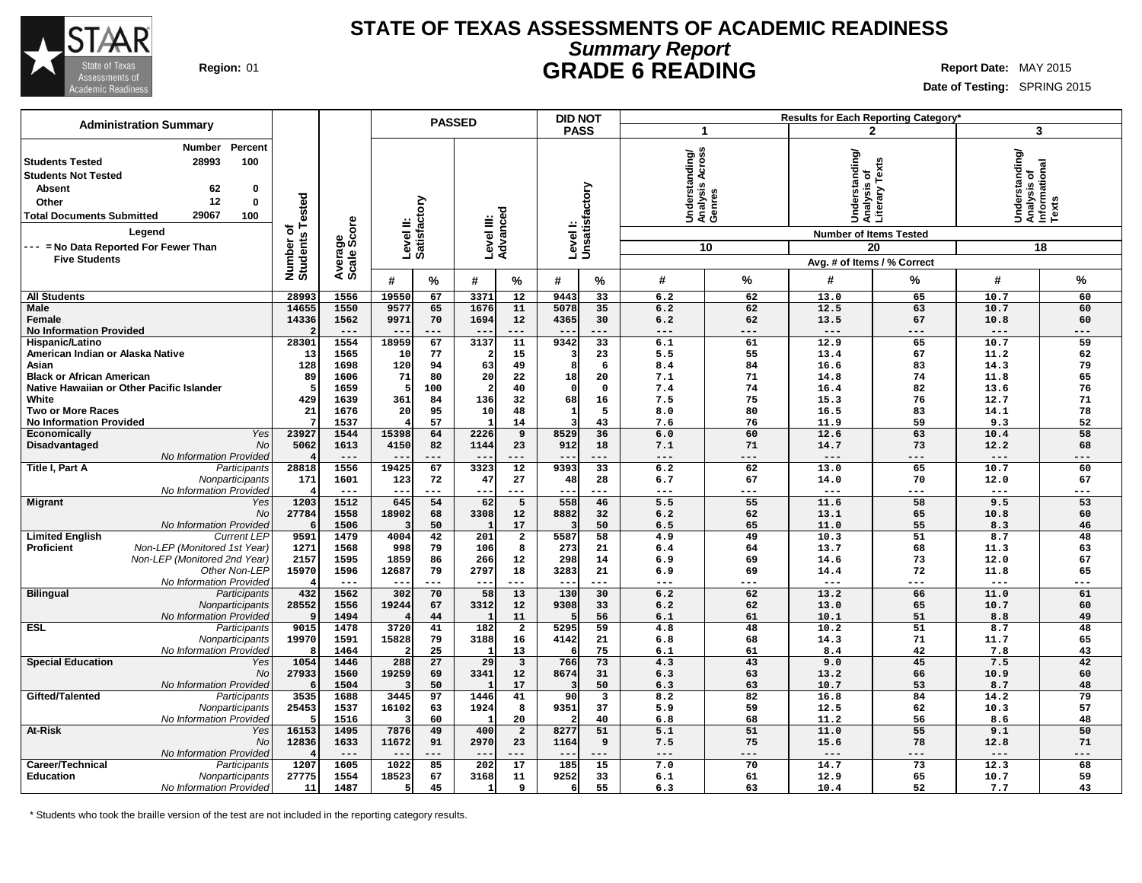

### **STATE OF TEXAS ASSESSMENTS OF ACADEMIC READINESS Summary Report Region:** 01 **GRADE 6 READING Report Date:** MAY 2015

**Date of Testing:** SPRING 2015

|                                                                                                                                                                                                                                                                                 |                                      |                        |                           |           | <b>PASSED</b>          |                         |              | <b>DID NOT</b>          |                                             |           |                                                                                                                            | Results for Each Reporting Category' |                                                                  |           |
|---------------------------------------------------------------------------------------------------------------------------------------------------------------------------------------------------------------------------------------------------------------------------------|--------------------------------------|------------------------|---------------------------|-----------|------------------------|-------------------------|--------------|-------------------------|---------------------------------------------|-----------|----------------------------------------------------------------------------------------------------------------------------|--------------------------------------|------------------------------------------------------------------|-----------|
| <b>Administration Summary</b>                                                                                                                                                                                                                                                   |                                      |                        |                           |           |                        |                         |              | <b>PASS</b>             | 1                                           |           |                                                                                                                            | 2                                    | 3                                                                |           |
| Percent<br>Number<br><b>Students Tested</b><br>28993<br>100<br><b>Students Not Tested</b><br>62<br><b>Absent</b><br>0<br>12<br>$\bf{0}$<br>Other<br>29067<br>100<br><b>Total Documents Submitted</b><br>Legend<br>--- = No Data Reported For Fewer Than<br><b>Five Students</b> | Tested<br>৳<br>Number o'<br>Students | Average<br>Scale Score | Level II:<br>Satisfactory |           | Level III:<br>Advancec | ठ                       | Level I:     | Unsatisfactory          | Understanding/<br>Analysis Across<br>Genres | 10        | standing<br>Understanding<br>Analysis of<br>Literary Texts<br><b>Number of Items Tested</b><br>Avg. # of Items / % Correct | 20                                   | Understanding/<br> Analysis of<br> Informational<br> Texts<br>18 |           |
|                                                                                                                                                                                                                                                                                 |                                      |                        | #                         | $\%$      | #                      | %                       | #            | $\%$                    | #                                           | %         | #                                                                                                                          | ℅                                    | #                                                                | %         |
| <b>All Students</b>                                                                                                                                                                                                                                                             | 28993                                | 1556                   | 19550                     | 67        | 3371                   | 12                      | 9443         | 33                      | 6.2                                         | 62        | 13.0                                                                                                                       | 65                                   | 10.7                                                             | 60        |
| <b>Male</b>                                                                                                                                                                                                                                                                     | 14655                                | 1550                   | 9577                      | 65        | 1676                   | 11                      | 5078         | 35                      | 6.2                                         | 62        | 12.5                                                                                                                       | 63                                   | 10.7                                                             | 60        |
| Female                                                                                                                                                                                                                                                                          | 14336                                | 1562                   | 9971                      | 70        | 1694                   | 12                      | 4365         | 30                      | 6.2                                         | 62        | 13.5                                                                                                                       | 67                                   | 10.8                                                             | 60        |
| <b>No Information Provided</b>                                                                                                                                                                                                                                                  |                                      | $---$                  |                           | ---       | $- -$                  | $---$                   |              | $---$                   | $---$                                       | ---       | $---$                                                                                                                      | $---$                                | $---$                                                            | ---       |
| Hispanic/Latino                                                                                                                                                                                                                                                                 | 28301                                | 1554                   | 18959                     | 67        | 3137                   | 11                      | 9342         | 33                      | 6.1                                         | 61        | 12.9                                                                                                                       | 65                                   | 10.7                                                             | 59        |
| American Indian or Alaska Native                                                                                                                                                                                                                                                | 13                                   | 1565                   | 10                        | 77        | $\overline{2}$         | 15                      |              | 23                      | 5.5                                         | 55        | 13.4                                                                                                                       | 67                                   | 11.2                                                             | 62        |
| Asian<br><b>Black or African American</b>                                                                                                                                                                                                                                       | 128<br>89                            | 1698<br>1606           | 120<br>71                 | 94<br>80  | 63<br>20               | 49<br>22                | 8<br>18      | 6<br>20                 | 8.4<br>7.1                                  | 84<br>71  | 16.6<br>14.8                                                                                                               | 83<br>74                             | 14.3<br>11.8                                                     | 79<br>65  |
| Native Hawaiian or Other Pacific Islander                                                                                                                                                                                                                                       |                                      | 1659                   |                           | 100       | $\overline{a}$         | 40                      | - 0          | $\mathbf 0$             | 7.4                                         | 74        | 16.4                                                                                                                       | 82                                   | 13.6                                                             | 76        |
| White                                                                                                                                                                                                                                                                           | 429                                  | 1639                   | 361                       | 84        | 136                    | 32                      | 68           | 16                      | 7.5                                         | 75        | 15.3                                                                                                                       | 76                                   | 12.7                                                             | 71        |
| <b>Two or More Races</b>                                                                                                                                                                                                                                                        | 21                                   | 1676                   | 20                        | 95        | 10 <sup>1</sup>        | 48                      | $\mathbf{1}$ | 5                       | 8.0                                         | 80        | 16.5                                                                                                                       | 83                                   | 14.1                                                             | 78        |
| <b>No Information Provided</b>                                                                                                                                                                                                                                                  |                                      | 1537                   |                           | 57        |                        | 14                      | 3            | 43                      | 7.6                                         | 76        | 11.9                                                                                                                       | 59                                   | 9.3                                                              | 52        |
| Economically<br>Yes                                                                                                                                                                                                                                                             | 23927                                | 1544                   | 15398                     | 64        | 2226                   | 9                       | 8529         | 36                      | 6.0                                         | 60        | 12.6                                                                                                                       | 63                                   | 10.4                                                             | 58        |
| Disadvantaged<br>No                                                                                                                                                                                                                                                             | 5062                                 | 1613                   | 4150                      | 82        | 1144                   | 23                      | 912          | 18                      | 7.1                                         | 71        | 14.7                                                                                                                       | 73                                   | 12.2                                                             | 68        |
| No Information Provided                                                                                                                                                                                                                                                         |                                      | $---$                  |                           |           | $- -$                  |                         |              | ---                     | $---$                                       | ---       | $---$                                                                                                                      | ---                                  | $- -$                                                            | ---       |
| Title I, Part A<br>Participants                                                                                                                                                                                                                                                 | 28818                                | 1556                   | 19425                     | 67        | 3323                   | $\overline{12}$         | 9393         | 33                      | 6.2                                         | 62        | 13.0                                                                                                                       | 65                                   | 10.7                                                             | 60        |
| Nonparticipants                                                                                                                                                                                                                                                                 | 171                                  | 1601                   | 123<br>$- -$              | 72<br>--- | 47                     | 27<br>$---$             | 48<br>--     | 28<br>---               | 6.7                                         | 67<br>--- | 14.0<br>$---$                                                                                                              | 70<br>$---$                          | 12.0<br>$---$                                                    | 67<br>--- |
| No Information Provided<br><b>Migrant</b><br>Yes                                                                                                                                                                                                                                | 1203                                 | $---$<br>1512          | 645                       | 54        | ---<br>62              | 5                       | 558          | 46                      | $---$<br>5.5                                | 55        | 11.6                                                                                                                       | 58                                   | 9.5                                                              | 53        |
| <b>No</b>                                                                                                                                                                                                                                                                       | 27784                                | 1558                   | 18902                     | 68        | 3308                   | 12                      | 8882         | 32                      | 6.2                                         | 62        | 13.1                                                                                                                       | 65                                   | 10.8                                                             | 60        |
| No Information Provideo                                                                                                                                                                                                                                                         | 6                                    | 1506                   |                           | 50        | $\mathbf{1}$           | 17                      |              | 50                      | 6.5                                         | 65        | 11.0                                                                                                                       | 55                                   | 8.3                                                              | 46        |
| <b>Limited English</b><br><b>Current LEP</b>                                                                                                                                                                                                                                    | 9591                                 | 1479                   | 4004                      | 42        | 201                    | $\overline{\mathbf{2}}$ | 5587         | 58                      | 4.9                                         | 49        | 10.3                                                                                                                       | 51                                   | 8.7                                                              | 48        |
| Non-LEP (Monitored 1st Year)<br><b>Proficient</b>                                                                                                                                                                                                                               | 1271                                 | 1568                   | 998                       | 79        | 106                    | 8                       | 273          | 21                      | 6.4                                         | 64        | 13.7                                                                                                                       | 68                                   | 11.3                                                             | 63        |
| Non-LEP (Monitored 2nd Year)                                                                                                                                                                                                                                                    | 2157                                 | 1595                   | 1859                      | 86        | 266                    | 12                      | 298          | 14                      | 6.9                                         | 69        | 14.6                                                                                                                       | 73                                   | 12.0                                                             | 67        |
| Other Non-LEP                                                                                                                                                                                                                                                                   | 15970                                | 1596                   | 12687                     | 79        | 2797                   | 18                      | 3283         | 21                      | 6.9                                         | 69        | 14.4                                                                                                                       | 72                                   | 11.8                                                             | 65        |
| No Information Provided                                                                                                                                                                                                                                                         |                                      | $---$                  | $- -$                     | ---       | $--$                   | $---$                   | $- -$        | ---                     | ---                                         | ---       | $---$                                                                                                                      | ---                                  | $---$                                                            | ---       |
| <b>Bilingual</b><br>Participants                                                                                                                                                                                                                                                | 432<br>28552                         | 1562                   | 302                       | 70        | 58                     | 13                      | 130          | 30                      | 6.2<br>6.2                                  | 62<br>62  | 13.2<br>13.0                                                                                                               | 66<br>65                             | 11.0                                                             | 61        |
| Nonparticipants<br>No Information Provided                                                                                                                                                                                                                                      |                                      | 1556<br>1494           | 19244                     | 67<br>44  | 3312<br>$\mathbf{1}$   | 12<br>11                | 9308         | 33<br>56                | 6.1                                         | 61        | 10.1                                                                                                                       | 51                                   | 10.7<br>8.8                                                      | 60<br>49  |
| <b>ESL</b><br>Participants                                                                                                                                                                                                                                                      | 9015                                 | 1478                   | 3720                      | 41        | 182                    | $\overline{\mathbf{2}}$ | 5295         | 59                      | 4.8                                         | 48        | 10.2                                                                                                                       | 51                                   | 8.7                                                              | 48        |
| Nonparticipants                                                                                                                                                                                                                                                                 | 19970                                | 1591                   | 15828                     | 79        | 3188                   | 16                      | 4142         | 21                      | 6.8                                         | 68        | 14.3                                                                                                                       | 71                                   | 11.7                                                             | 65        |
| No Information Provided                                                                                                                                                                                                                                                         |                                      | 1464                   |                           | 25        |                        | 13                      |              | 75                      | 6.1                                         | 61        | 8.4                                                                                                                        | 42                                   | 7.8                                                              | 43        |
| <b>Special Education</b><br>Yes                                                                                                                                                                                                                                                 | 1054                                 | 1446                   | 288                       | 27        | 29                     | $\overline{\mathbf{3}}$ | 766          | 73                      | 4.3                                         | 43        | 9.0                                                                                                                        | 45                                   | 7.5                                                              | 42        |
| No                                                                                                                                                                                                                                                                              | 27933                                | 1560                   | 19259                     | 69        | 3341                   | 12                      | 8674         | 31                      | 6.3                                         | 63        | 13.2                                                                                                                       | 66                                   | 10.9                                                             | 60        |
| No Information Provided                                                                                                                                                                                                                                                         |                                      | 1504                   |                           | 50        |                        | 17                      |              | 50                      | 6.3                                         | 63        | 10.7                                                                                                                       | 53                                   | 8.7                                                              | 48        |
| Gifted/Talented<br>Participants                                                                                                                                                                                                                                                 | 3535                                 | 1688                   | 3445                      | 97        | 1446                   | 41                      | 90           | $\overline{\mathbf{3}}$ | 8.2                                         | 82        | 16.8                                                                                                                       | 84                                   | 14.2                                                             | 79        |
| Nonparticipants                                                                                                                                                                                                                                                                 | 25453                                | 1537                   | 16102                     | 63        | 1924                   | 8                       | 9351         | 37                      | 5.9                                         | 59        | 12.5                                                                                                                       | 62                                   | 10.3                                                             | 57        |
| No Information Provided<br><b>At-Risk</b>                                                                                                                                                                                                                                       | 16153                                | 1516<br>1495           | 7876                      | 60<br>49  | $\mathbf{1}$<br>400    | 20<br>$\overline{2}$    | 8277         | 40<br>51                | 6.8<br>5.1                                  | 68<br>51  | 11.2<br>11.0                                                                                                               | 56<br>$\overline{55}$                | 8.6<br>9.1                                                       | 48<br>50  |
| Yes<br>No                                                                                                                                                                                                                                                                       | 12836                                | 1633                   | 11672                     | 91        | 2970                   | 23                      | 1164         | 9                       | 7.5                                         | 75        | 15.6                                                                                                                       | 78                                   | 12.8                                                             | 71        |
| No Information Provided                                                                                                                                                                                                                                                         |                                      | $---$                  | $ -$                      | ---       | $ -$                   | $---$                   | $- -$        | $---$                   | $---$                                       | ---       | $---$                                                                                                                      | $---$                                | $---$                                                            | ---       |
| Career/Technical<br>Participants                                                                                                                                                                                                                                                | 1207                                 | 1605                   | 1022                      | 85        | 202                    | 17                      | 185          | 15                      | 7.0                                         | 70        | 14.7                                                                                                                       | 73                                   | 12.3                                                             | 68        |
| <b>Education</b><br>Nonparticipants                                                                                                                                                                                                                                             | 27775                                | 1554                   | 18523                     | 67        | 3168                   | 11                      | 9252         | 33                      | 6.1                                         | 61        | 12.9                                                                                                                       | 65                                   | 10.7                                                             | 59        |
| No Information Provided                                                                                                                                                                                                                                                         | 11                                   | 1487                   |                           | 45        | $\mathbf{1}$           | 9                       | 6            | 55                      | 6.3                                         | 63        | 10.4                                                                                                                       | 52                                   | 7.7                                                              | 43        |
|                                                                                                                                                                                                                                                                                 |                                      |                        |                           |           |                        |                         |              |                         |                                             |           |                                                                                                                            |                                      |                                                                  |           |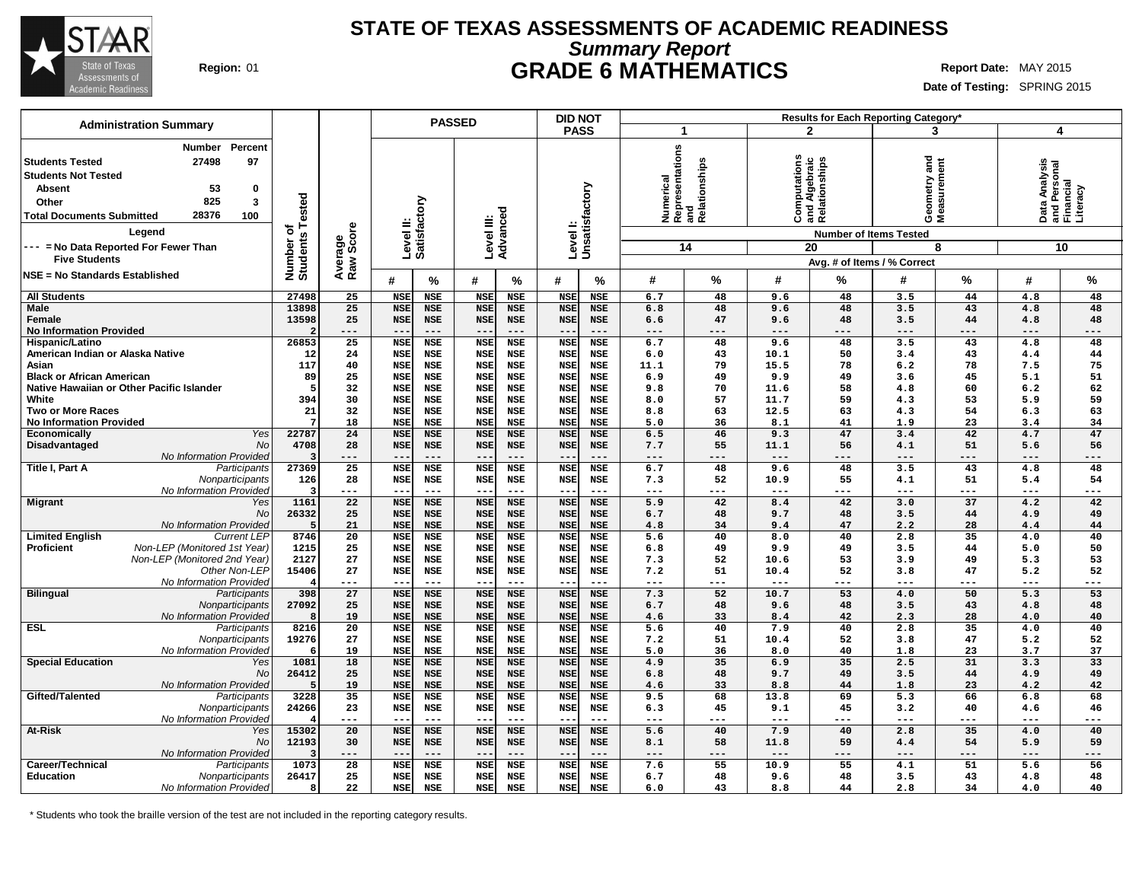

### **STATE OF TEXAS ASSESSMENTS OF ACADEMIC READINESS Summary Report Region:** 01 **GRADE 6 MATHEMATICS Report Date:** MAY 2015

**Date of Testing:** SPRING 2015

|                                                                                                                    | <b>Administration Summary</b>                                                            |                                      |                 |                          | <b>PASSED</b>            |                          |                          | <b>DID NOT</b>                                       |                  |                                         |              |                                                                                | Results for Each Reporting Category* |           |                                            |           |
|--------------------------------------------------------------------------------------------------------------------|------------------------------------------------------------------------------------------|--------------------------------------|-----------------|--------------------------|--------------------------|--------------------------|--------------------------|------------------------------------------------------|------------------|-----------------------------------------|--------------|--------------------------------------------------------------------------------|--------------------------------------|-----------|--------------------------------------------|-----------|
|                                                                                                                    |                                                                                          |                                      |                 |                          |                          |                          |                          | <b>PASS</b>                                          |                  | 1                                       |              | $\mathbf{2}$                                                                   | 3                                    |           | 4                                          |           |
| <b>Students Tested</b><br><b>Students Not Tested</b><br><b>Absent</b><br>Other<br><b>Total Documents Submitted</b> | <b>Number</b><br>Percent<br>27498<br>97<br>53<br>0<br>825<br>3<br>28376<br>100<br>Legend | Tested<br>ত<br>Number o'<br>Students | Raw Score       | Level II:                | Satisfactory             | Level III:<br>Advanced   |                          | Level I:<br>Unsatisfactory                           | Numerical        | Representations<br>and<br>Relationships | putations    | Computaruna<br>and Algebraic<br>Relationships<br><b>Number of Items Tested</b> | 겯<br>Geometry and<br>Measurement     |           | Data Analysis<br>and Personal<br>Financial | Literacy  |
| --- = No Data Reported For Fewer Than                                                                              |                                                                                          |                                      | Average         |                          |                          |                          |                          |                                                      |                  | 14                                      |              | 20                                                                             |                                      | 8         |                                            | 10        |
| <b>Five Students</b>                                                                                               |                                                                                          |                                      |                 |                          |                          |                          |                          |                                                      |                  |                                         |              |                                                                                | Avg. # of Items / % Correct          |           |                                            |           |
| NSE = No Standards Established                                                                                     |                                                                                          |                                      |                 | #                        | %                        | #                        | $\frac{0}{0}$            | #<br>%                                               | #                | $\%$                                    | #            | %                                                                              | #                                    | %         | #                                          | %         |
| <b>All Students</b>                                                                                                |                                                                                          | 27498                                | 25              | <b>NSE</b>               | <b>NSE</b>               | <b>NSE</b>               | <b>NSE</b>               | <b>NSE</b><br>NSE                                    | 6.7              | 48                                      | 9.6          | 48                                                                             | 3.5                                  | 44        | 4.8                                        | 48        |
| <b>Male</b>                                                                                                        |                                                                                          | 13898                                | 25<br>25        | <b>NSE</b>               | <b>NSE</b>               | <b>NSE</b>               | <b>NSE</b>               | <b>NSE</b><br><b>NSE</b><br><b>NSE</b>               | 6.8              | 48<br>47                                | 9.6          | 48<br>48                                                                       | 3.5<br>3.5                           | 43<br>44  | 4.8                                        | 48<br>48  |
| Female<br><b>No Information Provided</b>                                                                           |                                                                                          | 13598                                | ---             | <b>NSE</b><br>$- -$      | <b>NSE</b>               | <b>NSE</b><br>$- -$      | <b>NSE</b><br>$- - -$    | <b>NSE</b><br>$- - -$                                | 6.6<br>---       | ---                                     | 9.6<br>---   | ---                                                                            | $- - -$                              |           | 4.8<br>$- - -$                             | ---       |
| Hispanic/Latino                                                                                                    |                                                                                          | 26853                                | 25              | <b>NSE</b>               | <b>NSE</b>               | <b>NSE</b>               | <b>NSE</b>               | <b>NSE</b><br>NSE                                    | 6.7              | 48                                      | 9.6          | 48                                                                             | 3.5                                  | 43        | 4.8                                        | 48        |
| American Indian or Alaska Native                                                                                   |                                                                                          | 12                                   | 24              | <b>NSE</b>               | <b>NSE</b>               | <b>NSE</b>               | <b>NSE</b>               | <b>NSE</b><br><b>NSE</b>                             | 6.0              | 43                                      | 10.1         | 50                                                                             | 3.4                                  | 43        | 4.4                                        | 44        |
| Asian                                                                                                              |                                                                                          | 117                                  | 40              | <b>NSE</b>               | <b>NSE</b>               | <b>NSE</b>               | <b>NSE</b>               | <b>NSE</b><br><b>NSE</b>                             | 11.1             | 79                                      | 15.5         | 78                                                                             | 6.2                                  | 78        | 7.5                                        | 75        |
| <b>Black or African American</b>                                                                                   |                                                                                          | 89                                   | 25              | <b>NSE</b>               | <b>NSE</b>               | <b>NSE</b>               | <b>NSE</b>               | <b>NSE</b><br><b>NSE</b>                             | 6.9              | 49                                      | 9.9          | 49                                                                             | 3.6                                  | 45        | 5.1                                        | 51        |
|                                                                                                                    | Native Hawaiian or Other Pacific Islander                                                |                                      | 32              | <b>NSE</b>               | <b>NSE</b>               | <b>NSE</b>               | <b>NSE</b>               | <b>NSE</b><br><b>NSE</b>                             | 9.8              | 70                                      | 11.6         | 58                                                                             | 4.8                                  | 60        | 6.2                                        | 62        |
| White                                                                                                              |                                                                                          | 394                                  | 30              | <b>NSE</b>               | <b>NSE</b>               | <b>NSE</b>               | <b>NSE</b>               | <b>NSE</b><br><b>NSE</b>                             | 8.0              | 57                                      | 11.7         | 59                                                                             | 4.3                                  | 53        | 5.9                                        | 59        |
| <b>Two or More Races</b>                                                                                           |                                                                                          | 21                                   | 32<br>18        | <b>NSE</b>               | <b>NSE</b>               | <b>NSE</b>               | <b>NSE</b>               | <b>NSE</b><br><b>NSE</b><br><b>NSE</b>               | 8.8              | 63<br>36                                | 12.5<br>8.1  | 63<br>41                                                                       | 4.3                                  | 54<br>23  | 6.3                                        | 63<br>34  |
| <b>No Information Provided</b><br>Economically                                                                     | Yes                                                                                      | 22787                                | 24              | <b>NSE</b><br><b>NSE</b> | <b>NSE</b><br><b>NSE</b> | <b>NSE</b><br><b>NSE</b> | <b>NSE</b><br><b>NSE</b> | <b>NSE</b><br><b>NSE</b><br><b>NSE</b>               | 5.0<br>6.5       | 46                                      | 9.3          | 47                                                                             | 1.9<br>3.4                           | 42        | 3.4<br>4.7                                 | 47        |
| Disadvantaged                                                                                                      | No                                                                                       | 4708                                 | 28              | <b>NSE</b>               | <b>NSE</b>               | <b>NSE</b>               | <b>NSE</b>               | <b>NSE</b><br><b>NSE</b>                             | 7.7              | 55                                      | 11.1         | 56                                                                             | 4.1                                  | 51        | 5.6                                        | 56        |
|                                                                                                                    | No Information Provided                                                                  |                                      | ---             | --                       | $---$                    | $---$                    | $---$                    | ---                                                  | ---              | ---                                     | $---$        | ---                                                                            | ---                                  | ---       | ---                                        | ---       |
| Title I, Part A                                                                                                    | Participants                                                                             | 27369                                | 25              | <b>NSE</b>               | <b>NSE</b>               | <b>NSE</b>               | <b>NSE</b>               | <b>NSE</b><br><b>NSE</b>                             | 6.7              | 48                                      | 9.6          | 48                                                                             | 3.5                                  | 43        | 4.8                                        | 48        |
|                                                                                                                    | Nonparticipants                                                                          | 126                                  | 28              | <b>NSE</b>               | <b>NSE</b>               | <b>NSE</b>               | <b>NSE</b>               | <b>NSE</b><br>NSE                                    | 7.3              | 52                                      | 10.9         | 55                                                                             | 4.1                                  | 51        | 5.4                                        | 54        |
|                                                                                                                    | No Information Provided                                                                  |                                      | ---             | --                       | $\qquad \qquad - -$      | $--$                     | $---$                    | ---                                                  | ---              | ---                                     | $---$        | ---                                                                            | ---                                  | ---       | $---$                                      | ---       |
| <b>Migrant</b>                                                                                                     | Yes                                                                                      | 1161                                 | 22              | <b>NSE</b>               | <b>NSE</b>               | <b>NSE</b>               | <b>NSE</b>               | <b>NSE</b><br><b>NSE</b>                             | 5.9              | 42                                      | 8.4          | 42                                                                             | 3.0                                  | 37        | 4.2                                        | 42        |
|                                                                                                                    | No<br>No Information Provided                                                            | 26332                                | 25<br>21        | <b>NSE</b><br><b>NSE</b> | <b>NSE</b><br><b>NSE</b> | <b>NSE</b><br><b>NSE</b> | <b>NSE</b><br><b>NSE</b> | <b>NSE</b><br><b>NSE</b><br><b>NSE</b><br><b>NSE</b> | 6.7<br>4.8       | 48<br>34                                | 9.7<br>9.4   | 48<br>47                                                                       | 3.5<br>2.2                           | 44<br>28  | 4.9<br>4.4                                 | 49<br>44  |
| <b>Limited English</b>                                                                                             | <b>Current LEP</b>                                                                       | 8746                                 | $\overline{20}$ | <b>NSE</b>               | <b>NSE</b>               | <b>NSE</b>               | <b>NSE</b>               | <b>NSE</b><br><b>NSE</b>                             | $\overline{5.6}$ | 40                                      | 8.0          | 40                                                                             | 2.8                                  | 35        | 4.0                                        | 40        |
| <b>Proficient</b>                                                                                                  | Non-LEP (Monitored 1st Year)                                                             | 1215                                 | 25              | <b>NSE</b>               | <b>NSE</b>               | <b>NSE</b>               | <b>NSE</b>               | <b>NSE</b><br><b>NSE</b>                             | 6.8              | 49                                      | 9.9          | 49                                                                             | 3.5                                  | 44        | 5.0                                        | 50        |
|                                                                                                                    | Non-LEP (Monitored 2nd Year)                                                             | 2127                                 | 27              | <b>NSE</b>               | <b>NSE</b>               | <b>NSE</b>               | <b>NSE</b>               | <b>NSE</b><br><b>NSE</b>                             | 7.3              | 52                                      | 10.6         | 53                                                                             | 3.9                                  | 49        | 5.3                                        | 53        |
|                                                                                                                    | Other Non-LEP                                                                            | 15406                                | 27              | <b>NSE</b>               | <b>NSE</b>               | <b>NSE</b>               | <b>NSE</b>               | <b>NSE</b><br><b>NSE</b>                             | 7.2              | 51                                      | 10.4         | 52                                                                             | 3.8                                  | 47        | 5.2                                        | 52        |
|                                                                                                                    | No Information Provided                                                                  |                                      | ---             | $-$                      | $---$                    | $- -$                    | $- - -$                  | ---                                                  | ---              | ---                                     | $---$        |                                                                                | ---                                  | ---       | $---$                                      | $---$     |
| <b>Bilingual</b>                                                                                                   | Participants                                                                             | 398                                  | 27              | <b>NSE</b>               | <b>NSE</b>               | <b>NSE</b>               | <b>NSE</b>               | <b>NSE</b><br><b>NSE</b>                             | 7.3              | 52                                      | 10.7         | 53                                                                             | 4.0                                  | 50        | 5.3                                        | 53        |
|                                                                                                                    | Nonparticipants                                                                          | 27092                                | 25<br>19        | <b>NSE</b><br><b>NSE</b> | <b>NSE</b>               | <b>NSE</b>               | <b>NSE</b><br><b>NSE</b> | <b>NSE</b><br><b>NSE</b><br><b>NSE</b>               | 6.7              | 48                                      | 9.6          | 48<br>42                                                                       | 3.5<br>2.3                           | 43<br>28  | 4.8                                        | 48<br>40  |
| <b>ESL</b>                                                                                                         | No Information Provided<br>Participants                                                  | 8216                                 | $\overline{20}$ | <b>NSE</b>               | <b>NSE</b><br><b>NSE</b> | <b>NSE</b><br><b>NSE</b> | <b>NSE</b>               | <b>NSE</b><br><b>NSE</b><br><b>NSE</b>               | 4.6<br>5.6       | 33<br>40                                | 8.4<br>7.9   | 40                                                                             | 2.8                                  | 35        | 4.0<br>4.0                                 | 40        |
|                                                                                                                    | Nonparticipants                                                                          | 19276                                | 27              | <b>NSE</b>               | <b>NSE</b>               | <b>NSE</b>               | <b>NSE</b>               | <b>NSE</b><br>NSE                                    | 7.2              | 51                                      | 10.4         | 52                                                                             | 3.8                                  | 47        | 5.2                                        | 52        |
|                                                                                                                    | No Information Provided                                                                  |                                      | 19              | <b>NSE</b>               | <b>NSE</b>               | <b>NSE</b>               | <b>NSE</b>               | <b>NSE</b><br><b>NSE</b>                             | 5.0              | 36                                      | 8.0          | 40                                                                             | 1.8                                  | 23        | 3.7                                        | 37        |
| <b>Special Education</b>                                                                                           | Yes                                                                                      | 1081                                 | 18              | <b>NSE</b>               | <b>NSE</b>               | <b>NSE</b>               | <b>NSE</b>               | <b>NSE</b><br><b>NSE</b>                             | 4.9              | 35                                      | 6.9          | 35                                                                             | 2.5                                  | 31        | 3.3                                        | 33        |
|                                                                                                                    | No                                                                                       | 26412                                | 25              | <b>NSE</b>               | <b>NSE</b>               | <b>NSE</b>               | <b>NSE</b>               | <b>NSE</b><br><b>NSE</b>                             | 6.8              | 48                                      | 9.7          | 49                                                                             | 3.5                                  | 44        | 4.9                                        | 49        |
|                                                                                                                    | No Information Provided                                                                  |                                      | 19              | <b>NSE</b>               | <b>NSE</b>               | <b>NSE</b>               | <b>NSE</b>               | <b>NSE</b><br><b>NSE</b>                             | 4.6              | 33                                      | 8.8          | 44                                                                             | 1.8                                  | 23        | 4.2                                        | 42        |
| Gifted/Talented                                                                                                    | Participants                                                                             | 3228                                 | $\overline{35}$ | <b>NSE</b>               | <b>NSE</b>               | <b>NSE</b>               | <b>NSE</b>               | <b>NSE</b><br><b>NSE</b>                             | 9.5              | 68                                      | 13.8         | 69                                                                             | 5.3                                  | 66        | 6.8                                        | 68        |
|                                                                                                                    | Nonparticipants<br>No Information Provided                                               | 24266                                | 23<br>---       | <b>NSE</b><br>--         | <b>NSE</b><br>$- - -$    | <b>NSE</b><br>$--$       | <b>NSE</b><br>$---$      | <b>NSE</b><br><b>NSE</b><br>$\qquad \qquad -$<br>--- | 6.3<br>---       | 45<br>---                               | 9.1<br>$---$ | 45<br>---                                                                      | 3.2<br>---                           | 40<br>--- | 4.6<br>$--$                                | 46<br>--- |
| <b>At-Risk</b>                                                                                                     | Yes                                                                                      | 15302                                | 20              | <b>NSE</b>               | <b>NSE</b>               | <b>NSE</b>               | <b>NSE</b>               | <b>NSE</b><br><b>NSE</b>                             | 5.6              | 40                                      | 7.9          | 40                                                                             | 2.8                                  | 35        | 4.0                                        | 40        |
|                                                                                                                    | No                                                                                       | 12193                                | 30              | <b>NSE</b>               | <b>NSE</b>               | <b>NSE</b>               | <b>NSE</b>               | <b>NSE</b><br><b>NSE</b>                             | 8.1              | 58                                      | 11.8         | 59                                                                             | 4.4                                  | 54        | 5.9                                        | 59        |
|                                                                                                                    | No Information Provided                                                                  |                                      | ---             | $-$                      | $---$                    | $- -$                    | $---$                    | ---<br>$ -$                                          | ---              | ---                                     | $- - -$      | ---                                                                            | $---$                                | ---       | $---$                                      | ---       |
| Career/Technical                                                                                                   | Participants                                                                             | 1073                                 | 28              | <b>NSE</b>               | <b>NSE</b>               | <b>NSE</b>               | <b>NSE</b>               | <b>NSE</b><br><b>NSE</b>                             | 7.6              | 55                                      | 10.9         | 55                                                                             | 4.1                                  | 51        | 5.6                                        | 56        |
| <b>Education</b>                                                                                                   | Nonparticipants                                                                          | 26417                                | 25              | <b>NSE</b>               | <b>NSE</b>               | <b>NSE</b>               | <b>NSE</b>               | <b>NSE</b><br><b>NSE</b>                             | 6.7              | 48                                      | 9.6          | 48                                                                             | 3.5                                  | 43        | 4.8                                        | 48        |
|                                                                                                                    | No Information Provided                                                                  | 8                                    | 22              | <b>NSE</b>               | <b>NSE</b>               | <b>NSE</b>               | <b>NSE</b>               | <b>NSE</b><br><b>NSE</b>                             | 6.0              | 43                                      | 8.8          | 44                                                                             | 2.8                                  | 34        | 4.0                                        | 40        |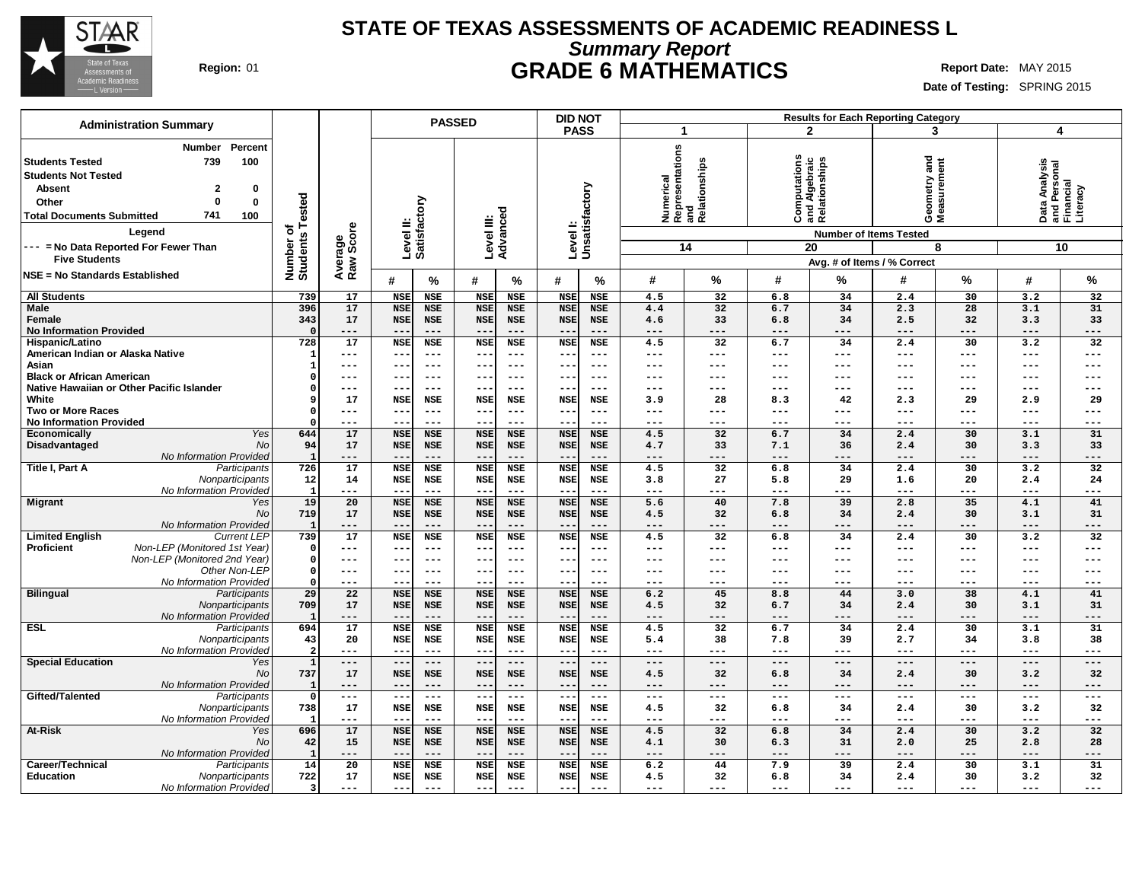

### **STATE OF TEXAS ASSESSMENTS OF ACADEMIC READINESS L Summary Report Region:** 01 **GRADE 6 MATHEMATICS Report Date:** MAY 2015

| <b>Administration Summary</b>                                                                                                                                                                                                                                             |                                      |                      |                           | <b>PASSED</b>                     |                                 |                       | <b>DID NOT</b>            |                       |              |                                               |                                                |                                     | <b>Results for Each Reporting Category</b>                        |                     |                                            |                |
|---------------------------------------------------------------------------------------------------------------------------------------------------------------------------------------------------------------------------------------------------------------------------|--------------------------------------|----------------------|---------------------------|-----------------------------------|---------------------------------|-----------------------|---------------------------|-----------------------|--------------|-----------------------------------------------|------------------------------------------------|-------------------------------------|-------------------------------------------------------------------|---------------------|--------------------------------------------|----------------|
|                                                                                                                                                                                                                                                                           |                                      |                      |                           |                                   |                                 |                       | <b>PASS</b>               |                       | $\mathbf{1}$ |                                               |                                                | $\mathbf{2}$                        | 3                                                                 |                     | $\overline{\mathbf{4}}$                    |                |
| Percent<br>Number<br>739<br>100<br><b>Students Tested</b><br><b>Students Not Tested</b><br>0<br><b>Absent</b><br>2<br>$\Omega$<br>0<br>Other<br>741<br>100<br><b>Total Documents Submitted</b><br>Legend<br>--- = No Data Reported For Fewer Than<br><b>Five Students</b> | Tested<br>ō<br>Number o'<br>Students | Average<br>Raw Score | Satisfactory<br>Level II: |                                   | Level III:<br>Advanced          |                       | Levell:<br>Unsatisfactory |                       | Numerical    | Representations<br>and<br>Relationships<br>14 | Computations<br>and Algebraic<br>Relationships | <b>Number of Items Tested</b><br>20 | and<br>Geometry and<br>Measurement<br>Avg. # of Items / % Correct | 8                   | Data Analysis<br>and Personal<br>Financial | Literacy<br>10 |
| <b>NSE = No Standards Established</b>                                                                                                                                                                                                                                     |                                      |                      | #                         | %                                 | #                               | $\frac{9}{6}$         | #                         | $\%$                  | #            | %                                             | #                                              | %                                   | #                                                                 | %                   | #                                          | $\%$           |
| <b>All Students</b>                                                                                                                                                                                                                                                       | 739                                  | 17                   | <b>NSE</b>                | <b>NSE</b>                        | <b>NSE</b>                      | <b>NSE</b>            | <b>NSE</b>                | <b>NSE</b>            | 4.5          | 32                                            | 6.8                                            | 34                                  | 2.4                                                               | 30                  | 3.2                                        | 32             |
| <b>Male</b>                                                                                                                                                                                                                                                               | 396                                  | 17                   | <b>NSE</b>                | <b>NSE</b>                        | <b>NSE</b>                      | <b>NSE</b>            | <b>NSE</b>                | <b>NSE</b>            | 4.4          | 32                                            | 6.7                                            | 34                                  | 2.3                                                               | 28                  | 3.1                                        | 31             |
| Female                                                                                                                                                                                                                                                                    | 343                                  | 17                   | <b>NSE</b>                | <b>NSE</b>                        | <b>NSE</b>                      | <b>NSE</b>            | <b>NSE</b>                | <b>NSE</b>            | 4.6          | 33                                            | 6.8                                            | 34                                  | 2.5                                                               | 32                  | 3.3                                        | 33             |
| <b>No Information Provided</b>                                                                                                                                                                                                                                            |                                      | $- - -$              | $- -$                     | $- - -$                           | $- -$                           | $- - -$               | $ -$                      | $- - -$               | ---          | $---$                                         | ---                                            | ---                                 | $---$                                                             | $- - -$             | $- - -$                                    | $---$          |
| Hispanic/Latino                                                                                                                                                                                                                                                           | 728                                  | $\overline{17}$      | <b>NSE</b>                | <b>NSE</b>                        | <b>NSE</b>                      | <b>NSE</b>            | <b>NSE</b>                | <b>NSE</b>            | 4.5          | $\overline{32}$                               | 6.7                                            | 34                                  | 2.4                                                               | 30                  | 3.2                                        | 32             |
| American Indian or Alaska Native                                                                                                                                                                                                                                          |                                      | ---                  | --                        | $\qquad \qquad -$                 | $\overline{\phantom{m}}$        | $- - -$               | $- -$                     | $---$                 | ---          | $---$                                         | ---                                            | ---                                 | $---$                                                             | $---$               | $---$                                      | $---$          |
| Asian                                                                                                                                                                                                                                                                     |                                      | ---                  | $- -$                     | $--$                              | $--$                            | $- - -$               | --                        | $---$                 | ---          | $---$                                         | ---                                            | $---$                               | $---$                                                             | $---$               | $---$                                      | $---$          |
| <b>Black or African American</b>                                                                                                                                                                                                                                          |                                      | ---                  | --                        | $\qquad \qquad - -$               | $--$                            | $--$                  | --                        | ---                   | ---          | $- - -$                                       | ---                                            | ---                                 | ---                                                               | $\frac{1}{2}$       | $---$                                      | $---$          |
| Native Hawaiian or Other Pacific Islander<br>White                                                                                                                                                                                                                        |                                      | ---<br>17            | $- -$<br><b>NSE</b>       | $\qquad \qquad -$<br><b>NSE</b>   | $- -$<br><b>NSE</b>             | $- - -$<br><b>NSE</b> | $- -$<br><b>NSE</b>       | $---$<br>NSE          | ---<br>3.9   | $---$<br>28                                   | ---<br>8.3                                     | ---<br>42                           | $---$<br>2.3                                                      | $---$<br>29         | $---$<br>2.9                               | $---$<br>29    |
| <b>Two or More Races</b>                                                                                                                                                                                                                                                  |                                      | ---                  | $- -$                     | $---$                             | $- -$                           | $- - -$               | $- -$                     | $---$                 | ---          | $---$                                         | ---                                            | ---                                 | $---$                                                             | $---$               | $---$                                      | $---$          |
| <b>No Information Provided</b>                                                                                                                                                                                                                                            |                                      | ---                  | --                        | $---$                             | $- -$                           | $- - -$               | $- -$                     | ---                   | ---          | $---$                                         | ---                                            | ---                                 | $---$                                                             | $---$               | $---$                                      | $---$          |
| Yes<br>Economically                                                                                                                                                                                                                                                       | 644                                  | 17                   | <b>NSE</b>                | <b>NSE</b>                        | <b>NSE</b>                      | <b>NSE</b>            | <b>NSE</b>                | <b>NSE</b>            | 4.5          | $\overline{32}$                               | 6.7                                            | 34                                  | 2.4                                                               | 30                  | 3.1                                        | 31             |
| Disadvantaged<br><b>No</b>                                                                                                                                                                                                                                                | 94                                   | 17                   | <b>NSE</b>                | <b>NSE</b>                        | <b>NSE</b>                      | <b>NSE</b>            | <b>NSE</b>                | <b>NSE</b>            | 4.7          | 33                                            | 7.1                                            | 36                                  | 2.4                                                               | 30                  | 3.3                                        | 33             |
| No Information Provided                                                                                                                                                                                                                                                   | -1                                   | ---                  | $- -$                     | $---$                             | $--$                            | $- - -$               | $ -$                      | $- - -$               | ---          | $---$                                         | ---                                            | $---$                               | $---$                                                             | $- - -$             | $---$                                      | $---$          |
| Title I, Part A<br>Participants                                                                                                                                                                                                                                           | 726                                  | 17                   | <b>NSE</b>                | <b>NSE</b>                        | <b>NSE</b>                      | <b>NSE</b>            | <b>NSE</b>                | <b>NSE</b>            | 4.5          | 32                                            | 6.8                                            | 34                                  | 2.4                                                               | 30                  | 3.2                                        | 32             |
| Nonparticipants                                                                                                                                                                                                                                                           | 12                                   | 14                   | <b>NSE</b>                | <b>NSE</b>                        | <b>NSE</b>                      | NSE                   | <b>NSE</b>                | NSE                   | 3.8          | 27                                            | 5.8                                            | 29                                  | 1.6                                                               | 20                  | 2.4                                        | 24             |
| No Information Provided                                                                                                                                                                                                                                                   | $\mathbf{1}$                         | ---                  | $- -$                     | $---$                             | $- -$                           | $---$                 |                           | $---$                 | ---          | ---                                           | ---                                            | ---                                 | $---$                                                             | ---                 | $---$                                      | $---$          |
| <b>Migrant</b><br>Yes                                                                                                                                                                                                                                                     | 19                                   | 20                   | <b>NSE</b>                | <b>NSE</b>                        | <b>NSE</b>                      | <b>NSE</b>            | <b>NSE</b>                | <b>NSE</b>            | 5.6          | 40                                            | 7.8                                            | 39                                  | 2.8                                                               | 35                  | 4.1                                        | 41             |
| No<br>No Information Provided                                                                                                                                                                                                                                             | 719                                  | 17<br>---            | <b>NSE</b><br>$- -$       | <b>NSE</b><br>$\qquad \qquad - -$ | <b>NSE</b><br>$- -$             | <b>NSE</b><br>$---$   | <b>NSE</b><br>$ -$        | <b>NSE</b><br>$---$   | 4.5<br>---   | 32<br>$---$                                   | 6.8<br>---                                     | 34<br>---                           | 2.4<br>$---$                                                      | 30<br>$---$         | 3.1<br>$---$                               | 31<br>$---$    |
| <b>Limited English</b><br><b>Current LEP</b>                                                                                                                                                                                                                              | 739                                  | 17                   | <b>NSE</b>                | <b>NSE</b>                        | <b>NSE</b>                      | <b>NSE</b>            | <b>NSE</b>                | <b>NSE</b>            | 4.5          | $\overline{32}$                               | 6.8                                            | 34                                  | 2.4                                                               | 30                  | 3.2                                        | 32             |
| Proficient<br>Non-LEP (Monitored 1st Year)                                                                                                                                                                                                                                | $\Omega$                             | ---                  | $- -$                     | $\qquad \qquad -$                 | $\qquad \qquad -$               | $- - -$               | $ -$                      | $- - -$               | ---          | $---$                                         | ---                                            | ---                                 | $---$                                                             | $\frac{1}{2}$       | $---$                                      | $---$          |
| Non-LEP (Monitored 2nd Year)                                                                                                                                                                                                                                              | $\Omega$                             | ---                  | --                        | $- - -$                           | $--$                            | $- - -$               | $- -$                     | $--$                  | ---          | $---$                                         | ---                                            | ---                                 | ---                                                               | $\frac{1}{2}$       | $---$                                      | $---$          |
| Other Non-LEP                                                                                                                                                                                                                                                             | $\Omega$                             | ---                  | $- -$                     | $---$                             | $--$                            | $---$                 | $\qquad \qquad -$         | $- - -$               | ---          | $- - -$                                       | ---                                            | ---                                 | $- - -$                                                           | $- - -$             | $---$                                      | $---$          |
| No Information Provided                                                                                                                                                                                                                                                   | $\Omega$                             | ---                  | $- -$                     | $- - -$                           | $- -$                           | $---$                 | --                        | $---$                 | ---          | $---$                                         | ---                                            | ---                                 | $---$                                                             | $---$               | $---$                                      | $---$          |
| <b>Bilingual</b><br>Participants                                                                                                                                                                                                                                          | 29                                   | 22                   | <b>NSE</b>                | <b>NSE</b>                        | <b>NSE</b>                      | <b>NSE</b>            | <b>NSE</b>                | <b>NSE</b>            | 6.2          | 45                                            | 8.8                                            | 44                                  | 3.0                                                               | 38                  | 4.1                                        | 41             |
| Nonparticipants                                                                                                                                                                                                                                                           | 709                                  | 17                   | <b>NSE</b>                | <b>NSE</b>                        | <b>NSE</b>                      | <b>NSE</b>            | <b>NSE</b>                | <b>NSE</b>            | 4.5          | 32                                            | 6.7                                            | 34                                  | 2.4                                                               | 30                  | 3.1                                        | 31             |
| No Information Provided<br><b>ESL</b><br>Participants                                                                                                                                                                                                                     | 694                                  | ---<br>17            | $- -$<br><b>NSE</b>       | $---$<br><b>NSE</b>               | $\qquad \qquad -$<br><b>NSE</b> | $---$<br><b>NSE</b>   | $ -$<br><b>NSE</b>        | $---$<br><b>NSE</b>   | ---<br>4.5   | $---$<br>$\overline{32}$                      | $---$<br>6.7                                   | $---$<br>34                         | $---$<br>2.4                                                      | $---$<br>30         | $- - -$<br>3.1                             | $---$<br>31    |
| Nonparticipants                                                                                                                                                                                                                                                           | 43                                   | 20                   | <b>NSE</b>                | <b>NSE</b>                        | <b>NSE</b>                      | NSE                   | <b>NSE</b>                | <b>NSE</b>            | 5.4          | 38                                            | 7.8                                            | 39                                  | 2.7                                                               | 34                  | 3.8                                        | 38             |
| No Information Provided                                                                                                                                                                                                                                                   | $\overline{2}$                       | ---                  | $- -$                     | $- - -$                           | $-1$                            | $- - -$               | $ -$                      | $- - -$               | ---          | $- - -$                                       | ---                                            | ---                                 | $- - -$                                                           | $- - -$             | $- - -$                                    | $- - -$        |
| <b>Special Education</b><br>Yes                                                                                                                                                                                                                                           | $\mathbf{1}$                         | ---                  | $-$                       | $---$                             | $\qquad \qquad -$               | $---$                 | $ -$                      | $---$                 | ---          | ---                                           | ---                                            | $---$                               | $---$                                                             | $---$               | $---$                                      | $---$          |
| No                                                                                                                                                                                                                                                                        | 737                                  | 17                   | <b>NSE</b>                | <b>NSE</b>                        | <b>NSE</b>                      | <b>NSE</b>            | <b>NSE</b>                | <b>NSE</b>            | 4.5          | 32                                            | 6.8                                            | 34                                  | 2.4                                                               | 30                  | 3.2                                        | 32             |
| No Information Provided                                                                                                                                                                                                                                                   | $\mathbf{1}$                         | ---                  | $- -$                     | $\qquad \qquad - -$               | $--$                            | $---$                 | $-$                       | $---$                 | ---          | $---$                                         | ---                                            | $---$                               | $---$                                                             | $\qquad \qquad - -$ | $- - -$                                    | $---$          |
| Gifted/Talented<br>Participants                                                                                                                                                                                                                                           | $\Omega$                             | $---$                | $- -$                     | $- -$                             | $- -$                           | $---$                 | $\qquad \qquad -$         | $---$                 | $---$        | $---$                                         | $---$                                          | $---$                               | $---$                                                             | $---$               | $---$                                      | $---$          |
| Nonparticipants                                                                                                                                                                                                                                                           | 738                                  | 17                   | <b>NSE</b>                | <b>NSE</b>                        | <b>NSE</b>                      | <b>NSE</b>            | <b>NSE</b>                | NSE                   | 4.5          | 32                                            | 6.8                                            | 34                                  | 2.4                                                               | 30                  | 3.2                                        | 32             |
| No Information Provided                                                                                                                                                                                                                                                   |                                      | ---                  | --                        | $---$                             | $- -$                           | $- - -$               |                           | ---                   | ---          | $---$                                         | ---                                            | ---                                 | $---$                                                             | $---$               | $---$                                      | $---$          |
| At-Risk<br>Yes                                                                                                                                                                                                                                                            | 696                                  | 17                   | <b>NSE</b>                | <b>NSE</b>                        | <b>NSE</b>                      | <b>NSE</b>            | <b>NSE</b>                | <b>NSE</b>            | 4.5          | 32                                            | 6.8                                            | 34                                  | 2.4                                                               | 30                  | 3.2                                        | 32             |
| No<br>No Information Provided                                                                                                                                                                                                                                             | 42<br>-1                             | 15<br>---            | <b>NSE</b><br>--          | <b>NSE</b><br>$- - -$             | <b>NSE</b><br>$- -$             | <b>NSE</b><br>$---$   | <b>NSE</b>                | <b>NSE</b><br>$- - -$ | 4.1<br>---   | 30<br>$---$                                   | 6.3<br>---                                     | 31<br>$---$                         | 2.0<br>$---$                                                      | 25<br>---           | 2.8<br>$---$                               | 28<br>$---$    |
| Career/Technical<br>Participants                                                                                                                                                                                                                                          | 14                                   | 20                   | <b>NSE</b>                | <b>NSE</b>                        | <b>NSE</b>                      | <b>NSE</b>            | <b>NSE</b>                | <b>NSE</b>            | 6.2          | 44                                            | 7.9                                            | 39                                  | 2.4                                                               | 30                  | 3.1                                        | 31             |
| <b>Education</b><br>Nonparticipants                                                                                                                                                                                                                                       | 722                                  | 17                   | <b>NSE</b>                | <b>NSE</b>                        | <b>NSE</b>                      | NSE                   | <b>NSE</b>                | NSE                   | 4.5          | 32                                            | 6.8                                            | 34                                  | 2.4                                                               | 30                  | 3.2                                        | 32             |
| No Information Provided                                                                                                                                                                                                                                                   | $\overline{\mathbf{3}}$              | ---                  | ---                       | $---$                             | $- -$                           | $---$                 | $- -$                     | $---$                 | ---          | $---$                                         | ---                                            | ---                                 | $---$                                                             | $---$               | $---$                                      | ---            |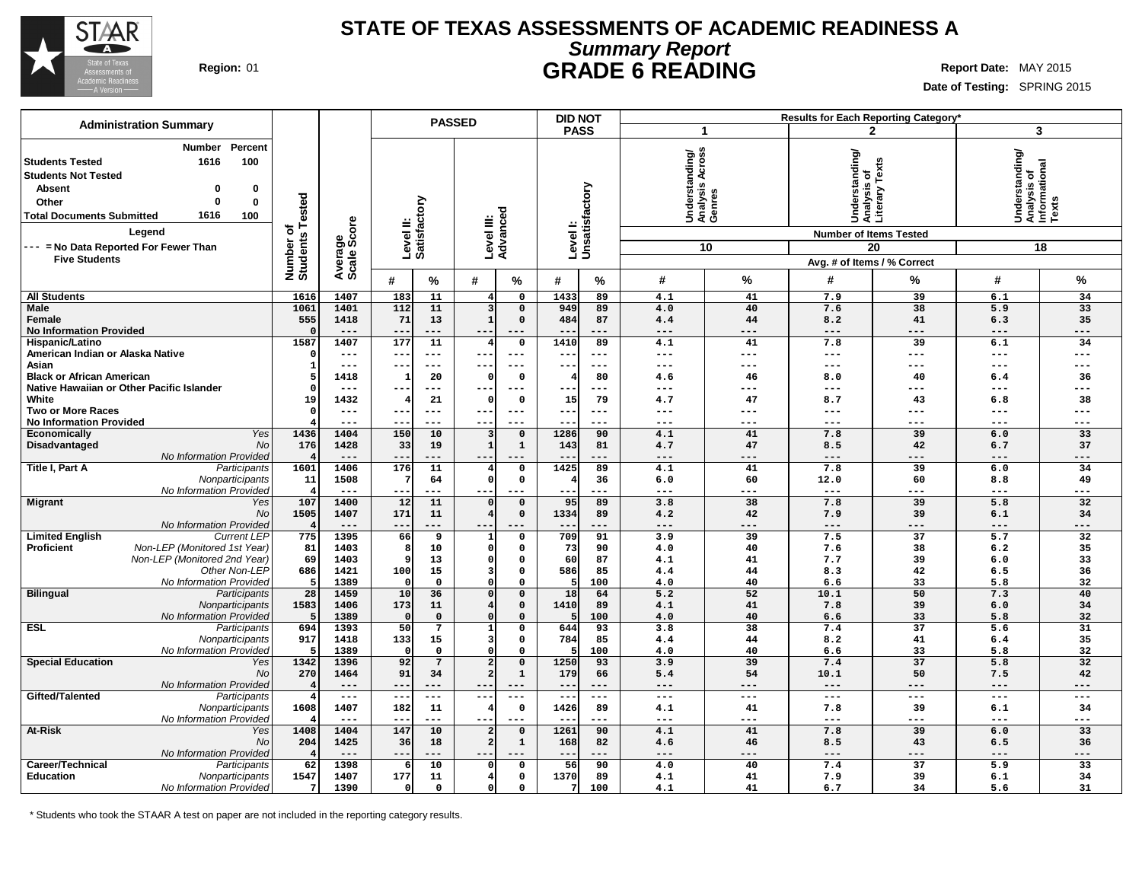

### **STATE OF TEXAS ASSESSMENTS OF ACADEMIC READINESS A Summary Report Region:** 01 **GRADE 6 READING Report Date:** MAY 2015

**Date of Testing:** SPRING 2015

|                                                                                                                                                                                                                                                                                                  |                                          |                                  |                        | <b>PASSED</b>      |                                  |                              |                          | <b>DID NOT</b>             |                                               |                 |                                                                                                                             | Results for Each Reporting Category* |                                                         |                     |
|--------------------------------------------------------------------------------------------------------------------------------------------------------------------------------------------------------------------------------------------------------------------------------------------------|------------------------------------------|----------------------------------|------------------------|--------------------|----------------------------------|------------------------------|--------------------------|----------------------------|-----------------------------------------------|-----------------|-----------------------------------------------------------------------------------------------------------------------------|--------------------------------------|---------------------------------------------------------|---------------------|
| <b>Administration Summary</b>                                                                                                                                                                                                                                                                    |                                          |                                  |                        |                    |                                  |                              |                          | <b>PASS</b>                |                                               | 1               |                                                                                                                             | $\mathbf{2}$                         |                                                         | 3                   |
| Percent<br><b>Number</b><br>100<br><b>Students Tested</b><br>1616<br><b>Students Not Tested</b><br><b>Absent</b><br>$\bf{0}$<br>$\bf{0}$<br>0<br>$\bf{0}$<br>Other<br>1616<br><b>Total Documents Submitted</b><br>100<br>Legend<br>--- = No Data Reported For Fewer Than<br><b>Five Students</b> | ested<br>⊢<br>৳<br>Number of<br>Students | ige<br>Score<br>Averare<br>Scale | Level II:<br>Satisfact | ξā                 | Level III:<br>Advanced           |                              |                          | Level I:<br>Unsatisfactory | Understanding/<br> Analysis Across<br> Genres | 10              | standing/<br>Understanding<br>Analysis of<br>Literary Texts<br><b>Number of Items Tested</b><br>Avg. # of Items / % Correct | 20                                   | Understanding/<br>Analysis of<br>Informational<br>Texts | 18                  |
|                                                                                                                                                                                                                                                                                                  |                                          |                                  | #                      | %                  | #                                | %                            | #                        | %                          | #                                             | $\%$            | #                                                                                                                           | %                                    | $\#$                                                    | %                   |
| <b>All Students</b>                                                                                                                                                                                                                                                                              | 1616                                     | 1407                             | 183                    | 11                 | 4                                | $\mathbf 0$                  | 1433                     | 89                         | 4.1                                           | 41              | 7.9                                                                                                                         | 39                                   | 6.1                                                     | 34                  |
| <b>Male</b>                                                                                                                                                                                                                                                                                      | 1061                                     | 1401                             | 112                    | 11                 | 3                                | $\mathbf 0$                  | 949                      | 89                         | 4.0                                           | 40              | 7.6                                                                                                                         | 38                                   | 5.9                                                     | 33                  |
| Female                                                                                                                                                                                                                                                                                           | 555                                      | 1418                             | 71                     | 13                 | $\mathbf{1}$                     | $\mathbf 0$                  | 484                      | 87                         | 4.4                                           | 44              | 8.2                                                                                                                         | 41                                   | 6.3                                                     | 35                  |
| <b>No Information Provided</b><br>Hispanic/Latino                                                                                                                                                                                                                                                | $\Omega$<br>1587                         | $---$<br>1407                    | $-$<br>177             | ---<br>11          | $- -$<br>$\overline{\mathbf{4}}$ | $---$<br>$\mathsf{o}$        | $ -$<br>1410             | ---<br>89                  | $---$<br>4.1                                  | ---<br>41       | $---$<br>7.8                                                                                                                | $---$<br>39                          | $---$<br>6.1                                            | ---<br>34           |
| American Indian or Alaska Native                                                                                                                                                                                                                                                                 | $\Omega$                                 | $---$                            | $-$                    | $---$              | $- -$                            | $---$                        | $ -$                     | $- - -$                    | ---                                           | ---             | $---$                                                                                                                       | $---$                                | $---$                                                   | $---$               |
| Asian                                                                                                                                                                                                                                                                                            | -1                                       | $---$                            | $- -$                  | ---                | --                               | $---$                        | $- -$                    | $--$                       | ---                                           | ---             | $\qquad \qquad - -$                                                                                                         | $-- -$                               | ---                                                     | $---$               |
| <b>Black or African American</b>                                                                                                                                                                                                                                                                 | 5                                        | 1418                             |                        | 20                 | C                                | $\mathbf 0$                  |                          | 80                         | 4.6                                           | 46              | 8.0                                                                                                                         | 40                                   | 6.4                                                     | 36                  |
| Native Hawaiian or Other Pacific Islander                                                                                                                                                                                                                                                        |                                          | $\frac{1}{2}$                    |                        | $---$              | $- -$                            | $---$                        | --                       | $---$                      | ---                                           | ---             | ---                                                                                                                         | $---$                                | ---                                                     | ---                 |
| White<br><b>Two or More Races</b>                                                                                                                                                                                                                                                                | 19                                       | 1432<br>$---$                    |                        | 21<br>$---$        | 0<br>---                         | $\Omega$<br>$---$            | 15<br>$- -$              | 79<br>$---$                | 4.7<br>$---$                                  | 47<br>---       | 8.7<br>$---$                                                                                                                | 43<br>$---$                          | 6.8<br>$---$                                            | 38<br>$---$         |
| <b>No Information Provided</b>                                                                                                                                                                                                                                                                   |                                          | $---$                            |                        | ---                | --                               |                              |                          | $---$                      | $---$                                         | ---             | $---$                                                                                                                       | $---$                                | ---                                                     | ---                 |
| Yes<br>Economically                                                                                                                                                                                                                                                                              | 1436                                     | 1404                             | 150                    | 10                 | 3                                | $\mathbf 0$                  | 1286                     | 90                         | 4.1                                           | 41              | 7.8                                                                                                                         | 39                                   | 6.0                                                     | 33                  |
| No<br>Disadvantaged                                                                                                                                                                                                                                                                              | 176                                      | 1428                             | 33                     | 19                 | $\mathbf{1}$                     | $\mathbf 1$                  | 143                      | 81                         | 4.7                                           | 47              | 8.5                                                                                                                         | 42                                   | 6.7                                                     | 37                  |
| No Information Provided                                                                                                                                                                                                                                                                          | $\overline{4}$                           | $---$                            |                        |                    | ---                              |                              |                          | $---$                      | ---                                           | ---             | $---$                                                                                                                       | ---                                  | ---                                                     | ---                 |
| Title I, Part A<br>Participants<br>Nonparticipants                                                                                                                                                                                                                                               | 1601<br>11                               | 1406<br>1508                     | 176                    | 11<br>64           | 4<br>$\Omega$                    | $\mathsf{o}$<br>$\mathbf 0$  | 1425                     | 89<br>36                   | 4.1<br>6.0                                    | 41<br>60        | 7.8<br>12.0                                                                                                                 | 39<br>60                             | 6.0<br>8.8                                              | 34<br>49            |
| No Information Provided                                                                                                                                                                                                                                                                          | $\overline{\bf 4}$                       | $\frac{1}{2}$                    | $- -$                  | $---$              | $- -$                            | $---$                        | $\sim$ $\sim$            | ---                        | $---$                                         | $---$           | $- -$                                                                                                                       | $---$                                | $---$                                                   | $---$               |
| <b>Migrant</b><br>Yes                                                                                                                                                                                                                                                                            | 107                                      | 1400                             | 12                     | 11                 |                                  | $\mathbf 0$                  | 95                       | 89                         | 3.8                                           | 38              | 7.8                                                                                                                         | 39                                   | 5.8                                                     | 32                  |
| No                                                                                                                                                                                                                                                                                               | 1505                                     | 1407                             | 171                    | 11                 | 4                                | $\mathbf 0$                  | 1334                     | 89                         | 4.2                                           | 42              | 7.9                                                                                                                         | 39                                   | 6.1                                                     | 34                  |
| No Information Provided                                                                                                                                                                                                                                                                          | $\overline{\mathbf{4}}$                  | $---$                            | $- -$                  | ---                | $ -$                             | $- - -$                      | $ -$                     | $---$                      | $---$                                         | ---             | $---$                                                                                                                       | $- - -$                              | $---$                                                   | ---                 |
| <b>Limited English</b><br><b>Current LEP</b><br>Non-LEP (Monitored 1st Year)<br><b>Proficient</b>                                                                                                                                                                                                | 775<br>81                                | 1395<br>1403                     | 66                     | 9<br>10            | $\mathbf{1}$<br>$\Omega$         | $\mathsf{o}$<br>$\mathsf{o}$ | 709<br>73                | 91<br>90                   | 3.9<br>4.0                                    | 39<br>40        | 7.5<br>7.6                                                                                                                  | 37<br>38                             | 5.7<br>6.2                                              | 32<br>35            |
| Non-LEP (Monitored 2nd Year)                                                                                                                                                                                                                                                                     | 69                                       | 1403                             |                        | 13                 | 0                                | $\mathbf 0$                  | 60                       | 87                         | 4.1                                           | 41              | 7.7                                                                                                                         | 39                                   | 6.0                                                     | 33                  |
| Other Non-LEP                                                                                                                                                                                                                                                                                    | 686                                      | 1421                             | 100                    | 15                 | 3                                | $\mathsf{o}$                 | 586                      | 85                         | 4.4                                           | 44              | 8.3                                                                                                                         | 42                                   | 6.5                                                     | 36                  |
| No Information Provided                                                                                                                                                                                                                                                                          | 5                                        | 1389                             |                        | $\Omega$           | $\Omega$                         | $\Omega$                     | 5                        | 100                        | 4.0                                           | 40              | 6.6                                                                                                                         | 33                                   | 5.8                                                     | 32                  |
| <b>Bilingual</b><br>Participants                                                                                                                                                                                                                                                                 | 28                                       | 1459                             | 10                     | 36                 | $\Omega$                         | $\mathbf 0$                  | 18                       | 64                         | 5.2                                           | 52              | 10.1                                                                                                                        | 50                                   | 7.3                                                     | 40                  |
| Nonparticipants<br>No Information Provided                                                                                                                                                                                                                                                       | 1583<br>5                                | 1406<br>1389                     | 173<br>$\Omega$        | 11<br>$\mathbf{o}$ | 4<br>$\Omega$                    | $\mathbf 0$<br>$\mathbf 0$   | 1410<br>-5               | 89<br>100                  | 4.1<br>4.0                                    | 41<br>40        | 7.8<br>6.6                                                                                                                  | 39<br>33                             | 6.0<br>5.8                                              | 34<br>32            |
| <b>ESL</b><br>Participants                                                                                                                                                                                                                                                                       | 694                                      | 1393                             | 50                     | $\overline{7}$     | $\mathbf{1}$                     | $\mathbf 0$                  | 644                      | 93                         | 3.8                                           | $\overline{38}$ | 7.4                                                                                                                         | $\overline{37}$                      | $\overline{5.6}$                                        | $\overline{31}$     |
| Nonparticipants                                                                                                                                                                                                                                                                                  | 917                                      | 1418                             | 133                    | 15                 | 3                                | $\mathsf{o}\,$               | 784                      | 85                         | 4.4                                           | 44              | 8.2                                                                                                                         | 41                                   | 6.4                                                     | 35                  |
| No Information Provided                                                                                                                                                                                                                                                                          | 5                                        | 1389                             | $\Omega$               | 0                  | $\Omega$                         | $\mathbf 0$                  |                          | 100                        | 4.0                                           | 40              | 6.6                                                                                                                         | 33                                   | 5.8                                                     | 32                  |
| <b>Special Education</b><br>Yes                                                                                                                                                                                                                                                                  | 1342                                     | 1396                             | 92                     | $7\overline{ }$    | $\overline{a}$                   | $\mathbf 0$                  | 1250                     | 93                         | 3.9                                           | 39              | 7.4                                                                                                                         | 37                                   | 5.8                                                     | 32                  |
| No<br>No Information Provided                                                                                                                                                                                                                                                                    | 270<br>4                                 | 1464<br>$---$                    | 91<br>$---$            | 34<br>---          | $\overline{a}$<br>---            | $\mathbf 1$<br>$---$         | 179<br>$- -$             | 66<br>$---$                | 5.4<br>$---$                                  | 54<br>---       | 10.1<br>$---$                                                                                                               | 50<br>$---$                          | 7.5<br>$---$                                            | 42<br>---           |
| Gifted/Talented<br>Participants                                                                                                                                                                                                                                                                  | 4                                        | $\qquad \qquad - -$              | $--$                   | $---$              | --                               | $\qquad \qquad - -$          | $\overline{\phantom{m}}$ | $---$                      | $\qquad \qquad - -$                           | $---$           | $\sim$ $\sim$ $\sim$                                                                                                        | $\qquad \qquad - -$                  | $---$                                                   | $\qquad \qquad - -$ |
| Nonparticipants                                                                                                                                                                                                                                                                                  | 1608                                     | 1407                             | 182                    | 11                 |                                  | $\mathbf 0$                  | 1426                     | 89                         | 4.1                                           | 41              | 7.8                                                                                                                         | 39                                   | 6.1                                                     | 34                  |
| No Information Provideo                                                                                                                                                                                                                                                                          |                                          | $---$                            |                        | $---$              | $- -$                            | $- - -$                      | $- -$                    | ---                        | $---$                                         | ---             | $---$                                                                                                                       | $- - -$                              | $---$                                                   | ---                 |
| At-Risk<br>Yes                                                                                                                                                                                                                                                                                   | 1408                                     | 1404                             | 147                    | 10                 | $\overline{a}$                   | $\mathbf 0$                  | 1261                     | 90                         | 4.1                                           | 41              | 7.8                                                                                                                         | 39                                   | 6.0                                                     | 33                  |
| No<br>No Information Provided                                                                                                                                                                                                                                                                    | 204                                      | 1425<br>$---$                    | 36<br>$- -$            | 18<br>---          | $\overline{a}$<br>$- -$          | $\mathbf 1$                  | 168<br>$\qquad \qquad -$ | 82<br>$---$                | 4.6<br>$---$                                  | 46<br>$---$     | 8.5<br>$---$                                                                                                                | 43<br>$---$                          | 6.5<br>$---$                                            | 36<br>---           |
| Career/Technical<br>Participants                                                                                                                                                                                                                                                                 | 62                                       | 1398                             | 6                      | 10                 | $\mathfrak{c}$                   | $\mathbf 0$                  | 56                       | 90                         | 4.0                                           | 40              | 7.4                                                                                                                         | 37                                   | 5.9                                                     | 33                  |
| <b>Education</b><br>Nonparticipants                                                                                                                                                                                                                                                              | 1547                                     | 1407                             | 177                    | 11                 | 4                                | $\mathsf{o}\,$               | 1370                     | 89                         | 4.1                                           | 41              | 7.9                                                                                                                         | 39                                   | 6.1                                                     | 34                  |
| No Information Provided                                                                                                                                                                                                                                                                          | $7\overline{ }$                          | 1390                             | οl                     | 0                  | 0                                | $\mathbf 0$                  |                          | 100                        | 4.1                                           | 41              | 6.7                                                                                                                         | 34                                   | 5.6                                                     | 31                  |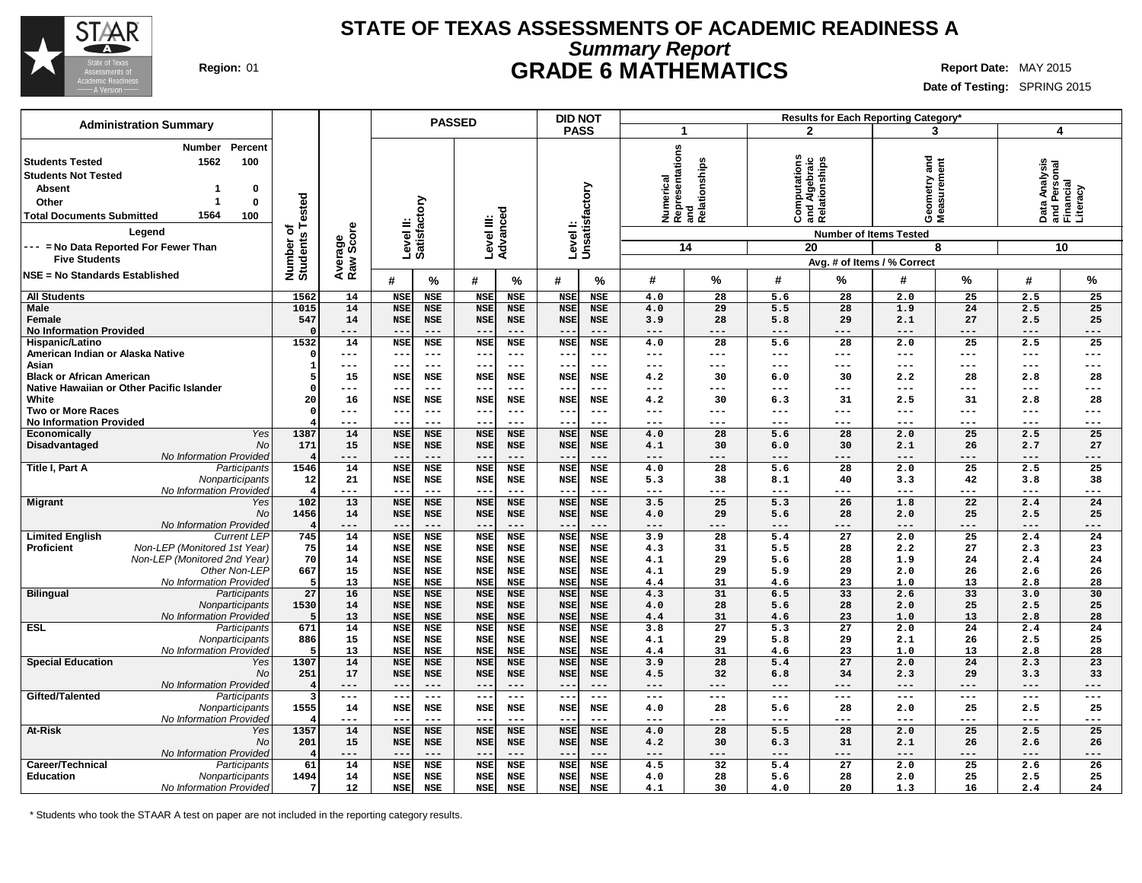

### **STATE OF TEXAS ASSESSMENTS OF ACADEMIC READINESS A Summary Report Region:** 01 **GRADE 6 MATHEMATICS Report Date:** MAY 2015

**Date of Testing:** SPRING 2015

| <b>Administration Summary</b>                                                                                                                                                                                                                                     |                                         |                      | <b>PASSED</b>            |                          |                          |                          | Results for Each Reporting Category*<br><b>DID NOT</b> |                          |                 |                                         |                         |                                                                                       |                                    |                        |                                            |                |
|-------------------------------------------------------------------------------------------------------------------------------------------------------------------------------------------------------------------------------------------------------------------|-----------------------------------------|----------------------|--------------------------|--------------------------|--------------------------|--------------------------|--------------------------------------------------------|--------------------------|-----------------|-----------------------------------------|-------------------------|---------------------------------------------------------------------------------------|------------------------------------|------------------------|--------------------------------------------|----------------|
|                                                                                                                                                                                                                                                                   |                                         |                      |                          |                          |                          |                          | <b>PASS</b>                                            |                          | 1               |                                         |                         | $\mathbf{2}$                                                                          | 3                                  |                        | 4                                          |                |
| Percent<br><b>Number</b><br>1562<br>100<br><b>Students Tested</b><br><b>Students Not Tested</b><br><b>Absent</b><br>0<br>Other<br>0<br>1564<br>100<br><b>Total Documents Submitted</b><br>Legend<br>--- = No Data Reported For Fewer Than<br><b>Five Students</b> | ested<br>⊢<br>ত<br>Number o<br>Students | Average<br>Raw Score | Level II:                | <b>Satisfactory</b>      | Level III:<br>Advanced   |                          | Levell:<br>Unsatisfactory                              |                          | Numerical<br>14 | Representations<br>and<br>Relationships |                         | Computations<br>and Algebraic<br>Relationships<br><b>Number of Items Tested</b><br>20 | and<br>Geometry and<br>Measurement | 8                      | Data Analysis<br>and Personal<br>Financial | Literacy<br>10 |
|                                                                                                                                                                                                                                                                   |                                         |                      |                          |                          |                          |                          |                                                        |                          |                 |                                         |                         |                                                                                       | Avg. # of Items / % Correct        |                        |                                            |                |
| <b>NSE = No Standards Established</b>                                                                                                                                                                                                                             |                                         |                      | #                        | $\%$                     | #                        | $\%$                     | #                                                      | %                        | #               | $\%$                                    | #                       | %                                                                                     | #                                  | ℅                      | #                                          | %              |
| <b>All Students</b>                                                                                                                                                                                                                                               | 1562                                    | 14                   | NSE                      | <b>NSE</b>               | <b>NSE</b>               | <b>NSE</b>               | <b>NSE</b>                                             | <b>NSE</b>               | 4.0             | 28                                      | 5.6                     | 28                                                                                    | 2.0                                | 25                     | 2.5                                        | 25             |
| <b>Male</b>                                                                                                                                                                                                                                                       | 1015                                    | 14                   | <b>NSE</b>               | <b>NSE</b>               | <b>NSE</b>               | <b>NSE</b>               | <b>NSE</b>                                             | <b>NSE</b>               | 4.0             | 29                                      | 5.5                     | 28                                                                                    | 1.9                                | 24                     | 2.5                                        | 25             |
| Female<br><b>No Information Provided</b>                                                                                                                                                                                                                          | 547                                     | 14<br>---            | <b>NSE</b><br>--         | <b>NSE</b><br>$- - -$    | <b>NSE</b><br>$ -$       | NSE<br>$- - -$           | <b>NSE</b>                                             | <b>NSE</b><br>$- - -$    | 3.9<br>---      | 28<br>---                               | 5.8<br>---              | 29                                                                                    | 2.1<br>$- - -$                     | 27                     | 2.5<br>$- - -$                             | 25<br>$- - -$  |
| Hispanic/Latino                                                                                                                                                                                                                                                   | 1532                                    | 14                   | <b>NSE</b>               | NSE                      | <b>NSE</b>               | NSE                      | <b>NSE</b>                                             | <b>NSE</b>               | 4.0             | 28                                      | 5.6                     | 28                                                                                    | 2.0                                | 25                     | 2.5                                        | 25             |
| American Indian or Alaska Native                                                                                                                                                                                                                                  |                                         | ---                  | ---                      | $\qquad \qquad - -$      | $--$                     | $---$                    | $ -$                                                   | $---$                    | ---             | $---$                                   | ---                     | ---                                                                                   | $---$                              | $\qquad \qquad -$      | $---$                                      | $---$          |
| Asian                                                                                                                                                                                                                                                             |                                         | ---                  | --                       | $---$                    | $--$                     | $- - -$                  |                                                        | $--$                     | ---             | ---                                     | ---                     | ---                                                                                   | ---                                | $---$                  | $---$                                      | $---$          |
| <b>Black or African American</b>                                                                                                                                                                                                                                  |                                         | 15                   | <b>NSE</b>               | <b>NSE</b>               | <b>NSE</b>               | <b>NSE</b>               | <b>NSE</b>                                             | <b>NSE</b>               | 4.2             | 30                                      | 6.0                     | 30                                                                                    | 2.2                                | 28                     | 2.8                                        | 28             |
| Native Hawaiian or Other Pacific Islander                                                                                                                                                                                                                         |                                         | ---                  | $- -$                    | $---$                    | $\qquad \qquad -$        | $---$                    |                                                        | $---$                    | ---             | ---                                     | ---                     | ---                                                                                   | ---                                | ---                    | $---$                                      | $---$          |
| White                                                                                                                                                                                                                                                             | 20                                      | 16                   | <b>NSE</b>               | <b>NSE</b>               | <b>NSE</b>               | <b>NSE</b>               | <b>NSE</b>                                             | <b>NSE</b>               | 4.2             | 30                                      | 6.3                     | 31                                                                                    | 2.5                                | 31                     | 2.8                                        | 28             |
| <b>Two or More Races</b>                                                                                                                                                                                                                                          |                                         | ---                  | --                       | $---$                    | $---$                    | $- - -$                  |                                                        | $---$                    | ---             | ---                                     | ---                     | ---                                                                                   | ---                                | $---$                  | $---$                                      | $---$          |
| <b>No Information Provided</b><br>Yes<br><b>Economically</b>                                                                                                                                                                                                      | 1387                                    | ---<br>14            | --<br><b>NSE</b>         | $---$<br><b>NSE</b>      | $- -$<br><b>NSE</b>      | $---$<br><b>NSE</b>      | --<br><b>NSE</b>                                       | $- - -$<br><b>NSE</b>    | ---<br>4.0      | ---<br>28                               | ---<br>5.6              | ---<br>28                                                                             | ---<br>2.0                         | $---$<br>25            | $---$<br>2.5                               | ---<br>25      |
| Disadvantaged<br><b>No</b>                                                                                                                                                                                                                                        | 171                                     | 15                   | <b>NSE</b>               | <b>NSE</b>               | <b>NSE</b>               | <b>NSE</b>               | <b>NSE</b>                                             | NSE                      | 4.1             | 30                                      | 6.0                     | 30                                                                                    | 2.1                                | 26                     | 2.7                                        | 27             |
| No Information Provided                                                                                                                                                                                                                                           |                                         | ---                  | --                       | $---$                    | $\qquad \qquad -$        | $---$                    |                                                        | $---$                    | ---             | ---                                     | ---                     | ---                                                                                   | $---$                              | ---                    | ---                                        | ---            |
| Title I, Part A<br>Participants                                                                                                                                                                                                                                   | 1546                                    | 14                   | <b>NSE</b>               | <b>NSE</b>               | <b>NSE</b>               | <b>NSE</b>               | <b>NSE</b>                                             | <b>NSE</b>               | 4.0             | 28                                      | 5.6                     | 28                                                                                    | 2.0                                | 25                     | 2.5                                        | 25             |
| Nonparticipants                                                                                                                                                                                                                                                   | 12                                      | 21                   | <b>NSE</b>               | <b>NSE</b>               | <b>NSE</b>               | <b>NSE</b>               | <b>NSE</b>                                             | NSE                      | 5.3             | 38                                      | 8.1                     | 40                                                                                    | 3.3                                | 42                     | 3.8                                        | 38             |
| No Information Provided                                                                                                                                                                                                                                           |                                         | ---                  | --                       | $\qquad \qquad - -$      | $- -$                    | $---$                    |                                                        | $- - -$                  | ---             | ---                                     | ---                     | ---                                                                                   | $---$                              | ---                    | $---$                                      | ---            |
| <b>Migrant</b><br>Yes                                                                                                                                                                                                                                             | 102                                     | 13                   | <b>NSE</b>               | <b>NSE</b>               | <b>NSE</b>               | <b>NSE</b>               | <b>NSE</b>                                             | <b>NSE</b>               | 3.5             | 25                                      | 5.3                     | 26                                                                                    | 1.8                                | 22                     | 2.4                                        | 24             |
| No                                                                                                                                                                                                                                                                | 1456                                    | 14                   | <b>NSE</b>               | <b>NSE</b>               | <b>NSE</b>               | <b>NSE</b>               | <b>NSE</b>                                             | <b>NSE</b><br>$---$      | 4.0             | 29<br>---                               | 5.6                     | 28<br>$---$                                                                           | 2.0                                | 25                     | 2.5                                        | 25             |
| No Information Provided<br><b>Current LEP</b><br><b>Limited English</b>                                                                                                                                                                                           | 745                                     | ---<br>14            | --<br><b>NSE</b>         | $---$<br><b>NSE</b>      | $- -$<br><b>NSE</b>      | $---$<br><b>NSE</b>      | <b>NSE</b>                                             | <b>NSE</b>               | ---<br>3.9      | $\overline{28}$                         | ---<br>5.4              | $\overline{27}$                                                                       | $---$<br>2.0                       | ---<br>$\overline{25}$ | $---$<br>2.4                               | $---$<br>24    |
| Non-LEP (Monitored 1st Year)<br><b>Proficient</b>                                                                                                                                                                                                                 | 75                                      | 14                   | <b>NSE</b>               | <b>NSE</b>               | <b>NSE</b>               | <b>NSE</b>               | <b>NSE</b>                                             | <b>NSE</b>               | 4.3             | 31                                      | 5.5                     | 28                                                                                    | 2.2                                | 27                     | 2.3                                        | 23             |
| Non-LEP (Monitored 2nd Year)                                                                                                                                                                                                                                      | 70                                      | 14                   | <b>NSE</b>               | <b>NSE</b>               | <b>NSE</b>               | <b>NSE</b>               | <b>NSE</b>                                             | <b>NSE</b>               | 4.1             | 29                                      | 5.6                     | 28                                                                                    | 1.9                                | 24                     | 2.4                                        | 24             |
| Other Non-LEP                                                                                                                                                                                                                                                     | 667                                     | 15                   | <b>NSE</b>               | <b>NSE</b>               | <b>NSE</b>               | <b>NSE</b>               | <b>NSE</b>                                             | <b>NSE</b>               | 4.1             | 29                                      | 5.9                     | 29                                                                                    | 2.0                                | 26                     | 2.6                                        | 26             |
| No Information Provided                                                                                                                                                                                                                                           |                                         | 13                   | <b>NSE</b>               | <b>NSE</b>               | <b>NSE</b>               | <b>NSE</b>               | <b>NSE</b>                                             | <b>NSE</b>               | 4.4             | 31                                      | 4.6                     | 23                                                                                    | 1.0                                | 13                     | 2.8                                        | 28             |
| <b>Bilingual</b><br>Participants                                                                                                                                                                                                                                  | 27                                      | 16                   | <b>NSE</b>               | <b>NSE</b>               | <b>NSE</b>               | <b>NSE</b>               | <b>NSE</b>                                             | <b>NSE</b>               | 4.3             | 31                                      | 6.5                     | 33                                                                                    | 2.6                                | 33                     | 3.0                                        | 30             |
| Nonparticipants                                                                                                                                                                                                                                                   | 1530                                    | 14                   | <b>NSE</b>               | <b>NSE</b>               | <b>NSE</b>               | <b>NSE</b>               | <b>NSE</b>                                             | <b>NSE</b>               | 4.0             | 28                                      | 5.6                     | 28                                                                                    | 2.0                                | 25                     | 2.5                                        | 25             |
| No Information Provided<br><b>ESL</b><br>Participants                                                                                                                                                                                                             | 671                                     | 13<br>14             | <b>NSE</b><br><b>NSE</b> | <b>NSE</b><br><b>NSE</b> | <b>NSE</b><br><b>NSE</b> | <b>NSE</b><br><b>NSE</b> | <b>NSE</b><br><b>NSE</b>                               | <b>NSE</b><br><b>NSE</b> | 4.4<br>3.8      | 31<br>$\overline{27}$                   | 4.6<br>$\overline{5.3}$ | 23<br>$\overline{27}$                                                                 | 1.0<br>2.0                         | 13<br>$\overline{24}$  | 2.8<br>2.4                                 | 28<br>24       |
| Nonparticipants                                                                                                                                                                                                                                                   | 886                                     | 15                   | <b>NSE</b>               | <b>NSE</b>               | <b>NSE</b>               | <b>NSE</b>               | <b>NSE</b>                                             | <b>NSE</b>               | 4.1             | 29                                      | 5.8                     | 29                                                                                    | 2.1                                | 26                     | 2.5                                        | 25             |
| No Information Provided                                                                                                                                                                                                                                           |                                         | 13                   | <b>NSE</b>               | <b>NSE</b>               | <b>NSE</b>               | <b>NSE</b>               | <b>NSE</b>                                             | <b>NSE</b>               | 4.4             | 31                                      | 4.6                     | 23                                                                                    | 1.0                                | 13                     | 2.8                                        | 28             |
| <b>Special Education</b><br>Yes                                                                                                                                                                                                                                   | 1307                                    | 14                   | <b>NSE</b>               | <b>NSE</b>               | <b>NSE</b>               | <b>NSE</b>               | <b>NSE</b>                                             | <b>NSE</b>               | 3.9             | 28                                      | 5.4                     | 27                                                                                    | 2.0                                | 24                     | 2.3                                        | 23             |
| No                                                                                                                                                                                                                                                                | 251                                     | 17                   | <b>NSE</b>               | <b>NSE</b>               | <b>NSE</b>               | <b>NSE</b>               | <b>NSE</b>                                             | <b>NSE</b>               | 4.5             | 32                                      | 6.8                     | 34                                                                                    | 2.3                                | 29                     | 3.3                                        | 33             |
| No Information Provided                                                                                                                                                                                                                                           |                                         | ---                  | --                       | $---$                    | $--$                     | $---$                    | $ -$                                                   | $---$                    | ---             | $---$                                   | ---                     | ---                                                                                   | $---$                              | ---                    | $---$                                      | $---$          |
| Gifted/Talented<br>Participants                                                                                                                                                                                                                                   |                                         | $\frac{1}{2}$        | $\sim$ $\sim$            | $\qquad \qquad - -$      | $- -$                    | $\frac{1}{2}$            | $\sim$ $-$                                             | $\frac{1}{2}$            | ---             | $---$                                   | $---$                   | $\frac{1}{2}$                                                                         | $\qquad \qquad - -$                | $\qquad \qquad - -$    | $\frac{1}{2}$                              | $---$          |
| Nonparticipants<br>No Information Provided                                                                                                                                                                                                                        | 1555                                    | 14<br>---            | <b>NSE</b><br>$- -$      | <b>NSE</b><br>$---$      | <b>NSE</b><br>$- -$      | NSE<br>$---$             | <b>NSE</b>                                             | <b>NSE</b><br>$--$       | 4.0<br>---      | 28<br>$---$                             | 5.6<br>---              | 28<br>---                                                                             | 2.0<br>$---$                       | 25<br>---              | 2.5<br>$---$                               | 25<br>$---$    |
| <b>At-Risk</b><br>Yes                                                                                                                                                                                                                                             | 1357                                    | 14                   | <b>NSE</b>               | <b>NSE</b>               | <b>NSE</b>               | <b>NSE</b>               | <b>NSE</b>                                             | <b>NSE</b>               | 4.0             | 28                                      | 5.5                     | 28                                                                                    | 2.0                                | 25                     | 2.5                                        | 25             |
| No                                                                                                                                                                                                                                                                | 201                                     | 15                   | <b>NSE</b>               | NSE                      | <b>NSE</b>               | NSE                      | <b>NSE</b>                                             | <b>NSE</b>               | 4.2             | 30                                      | 6.3                     | 31                                                                                    | 2.1                                | 26                     | 2.6                                        | 26             |
| No Information Provided                                                                                                                                                                                                                                           |                                         | ---                  | --                       | $---$                    | $- -$                    | $---$                    |                                                        | $---$                    | ---             | ---                                     | ---                     | ---                                                                                   | $---$                              | ---                    | $---$                                      | ---            |
| Career/Technical<br>Participants                                                                                                                                                                                                                                  | 61                                      | 14                   | <b>NSE</b>               | <b>NSE</b>               | <b>NSE</b>               | NSE                      | <b>NSE</b>                                             | <b>NSE</b>               | 4.5             | 32                                      | 5.4                     | 27                                                                                    | 2.0                                | 25                     | 2.6                                        | 26             |
| <b>Education</b><br>Nonparticipants                                                                                                                                                                                                                               | 1494                                    | 14                   | <b>NSE</b>               | <b>NSE</b>               | <b>NSE</b>               | <b>NSE</b>               | <b>NSE</b>                                             | <b>NSE</b>               | 4.0             | 28                                      | 5.6                     | 28                                                                                    | 2.0                                | 25                     | 2.5                                        | 25             |
| No Information Provided                                                                                                                                                                                                                                           |                                         | 12                   | <b>NSE</b>               | <b>NSE</b>               | <b>NSE</b>               | <b>NSE</b>               | <b>NSE</b>                                             | <b>NSE</b>               | 4.1             | 30                                      | 4.0                     | 20                                                                                    | 1.3                                | 16                     | 2.4                                        | 24             |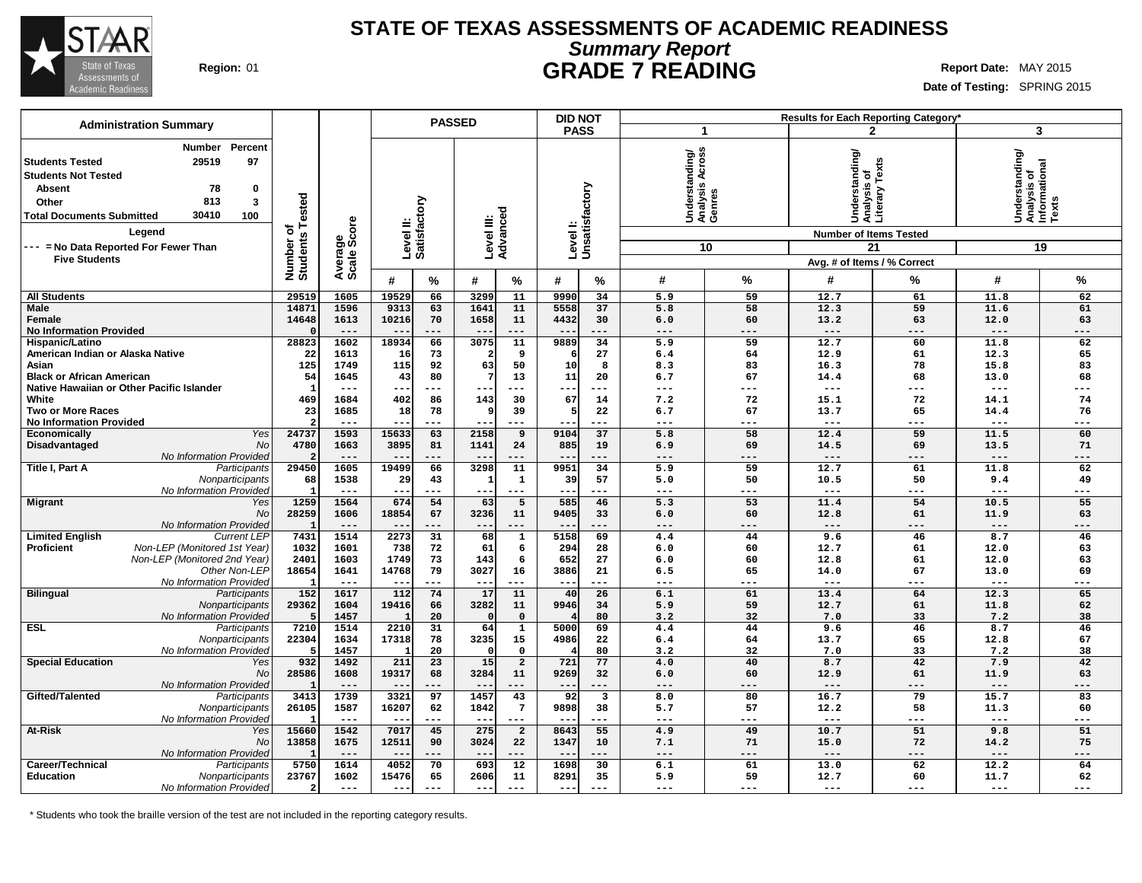

### **STATE OF TEXAS ASSESSMENTS OF ACADEMIC READINESS Summary Report Region:** 01 **GRADE 7 READING Report Date:** MAY 2015

**Date of Testing:** SPRING 2015

|                                                                                                                                                                                                                                                                          |                                    |                        |                               | <b>PASSED</b>        |                                    |                         | <b>DID NOT</b> |                                               |             |                                                                                                                               | Results for Each Reporting Category' |                                                                       |           |
|--------------------------------------------------------------------------------------------------------------------------------------------------------------------------------------------------------------------------------------------------------------------------|------------------------------------|------------------------|-------------------------------|----------------------|------------------------------------|-------------------------|----------------|-----------------------------------------------|-------------|-------------------------------------------------------------------------------------------------------------------------------|--------------------------------------|-----------------------------------------------------------------------|-----------|
| <b>Administration Summary</b>                                                                                                                                                                                                                                            |                                    |                        |                               |                      |                                    |                         | <b>PASS</b>    |                                               | $\mathbf 1$ |                                                                                                                               | $\mathbf{2}$                         |                                                                       | 3         |
| Percent<br>Number<br>97<br>29519<br><b>Students Tested</b><br><b>Students Not Tested</b><br>78<br><b>Absent</b><br>0<br>813<br>3<br>Other<br>30410<br>100<br><b>Total Documents Submitted</b><br>Legend<br>--- = No Data Reported For Fewer Than<br><b>Five Students</b> | ested<br>৳<br>Number o<br>Students | Average<br>Scale Score | ζiο<br>Level II:<br>Satisfact |                      | Level III:<br>Advanced             | Level I:                | Unsatisfactory | Understanding/<br> Analysis Across<br> Genres | 10          | standing<br> Understanding<br> Analysis of<br> Literary Texts<br><b>Number of Items Tested</b><br>Avg. # of Items / % Correct | 21                                   | erstanding/<br>Understanding<br>Analysis of<br>Informational<br>Texts | 19        |
|                                                                                                                                                                                                                                                                          |                                    |                        | #<br>%                        | #                    | $\%$                               | #                       | %              | #                                             | %           | #                                                                                                                             | ℅                                    | #                                                                     | %         |
| <b>All Students</b>                                                                                                                                                                                                                                                      | 29519                              | 1605                   | 19529<br>66                   | 3299                 | 11                                 | 9990                    | 34             | 5.9                                           | 59          | 12.7                                                                                                                          | 61                                   | 11.8                                                                  | 62        |
| Male                                                                                                                                                                                                                                                                     | 14871                              | 1596                   | 9313<br>63                    | 1641                 | 11                                 | 5558                    | 37             | 5.8                                           | 58          | 12.3                                                                                                                          | 59                                   | 11.6                                                                  | 61        |
| Female                                                                                                                                                                                                                                                                   | 14648                              | 1613                   | 10216<br>70                   | 1658                 | 11                                 | 4432                    | 30             | 6.0                                           | 60          | 13.2                                                                                                                          | 63                                   | 12.0                                                                  | 63        |
| <b>No Information Provided</b>                                                                                                                                                                                                                                           |                                    | $---$                  | ---<br>$ -$                   | $\sim$ $\sim$        | $---$                              | $- -$                   | $---$          | $---$                                         | $---$       | $---$                                                                                                                         | $---$                                | $---$                                                                 | $---$     |
| Hispanic/Latino                                                                                                                                                                                                                                                          | 28823                              | 1602                   | 18934<br>66                   | 3075                 | 11                                 | 9889                    | 34             | 5.9                                           | 59          | 12.7                                                                                                                          | 60                                   | 11.8                                                                  | 62        |
| American Indian or Alaska Native<br>Asian                                                                                                                                                                                                                                | 22                                 | 1613                   | 16<br>73                      | 2                    | 9                                  |                         | 27             | 6.4                                           | 64          | 12.9                                                                                                                          | 61                                   | 12.3                                                                  | 65        |
| <b>Black or African American</b>                                                                                                                                                                                                                                         | 125<br>54                          | 1749<br>1645           | 115<br>92<br>43<br>80         | 63<br>7              | 50<br>13                           | 10<br>11                | 8<br>20        | 8.3<br>6.7                                    | 83<br>67    | 16.3<br>14.4                                                                                                                  | 78<br>68                             | 15.8<br>13.0                                                          | 83<br>68  |
| Native Hawaiian or Other Pacific Islander                                                                                                                                                                                                                                | -1                                 | $- - -$                | ---<br>$- -$                  | ---                  | $---$                              | ---                     | ---            | $---$                                         | ---         | $---$                                                                                                                         | $---$                                | $---$                                                                 | ---       |
| White                                                                                                                                                                                                                                                                    | 469                                | 1684                   | 402<br>86                     | 143                  | 30                                 | 67                      | 14             | 7.2                                           | 72          | 15.1                                                                                                                          | 72                                   | 14.1                                                                  | 74        |
| Two or More Races                                                                                                                                                                                                                                                        | 23                                 | 1685                   | 18<br>78                      | 9                    | 39                                 |                         | 22             | 6.7                                           | 67          | 13.7                                                                                                                          | 65                                   | 14.4                                                                  | 76        |
| <b>No Information Provided</b>                                                                                                                                                                                                                                           |                                    | $---$                  | ---<br>$- -$                  | --                   | $---$                              |                         | ---            | $---$                                         | ---         | $- -$                                                                                                                         | $---$                                | $---$                                                                 | ---       |
| Yes<br><b>Economically</b>                                                                                                                                                                                                                                               | 24737                              | 1593                   | 15633<br>63                   | 2158                 | 9                                  | 9104                    | 37             | 5.8                                           | 58          | 12.4                                                                                                                          | 59                                   | 11.5                                                                  | 60        |
| Disadvantaged<br>No                                                                                                                                                                                                                                                      | 4780                               | 1663                   | 3895<br>81                    | 1141                 | 24                                 | 885                     | 19             | 6.9                                           | 69          | 14.5                                                                                                                          | 69                                   | 13.5                                                                  | 71        |
| No Information Provided                                                                                                                                                                                                                                                  | $\overline{2}$                     | $---$                  | ---                           | $- -$                | $---$                              | $ -$                    | $---$          | $---$                                         | ---         | $---$                                                                                                                         | $---$                                | $---$                                                                 | ---       |
| Title I, Part A<br>Participants                                                                                                                                                                                                                                          | 29450                              | 1605<br>1538           | 19499<br>66                   | 3298<br>$\mathbf{1}$ | 11                                 | 9951<br>39              | 34<br>57       | 5.9                                           | 59<br>50    | 12.7<br>10.5                                                                                                                  | 61<br>50                             | 11.8                                                                  | 62        |
| Nonparticipants<br>No Information Provided                                                                                                                                                                                                                               | 68                                 | $---$                  | 29<br>43<br>---<br>$- -$      | $--$                 | $\mathbf 1$<br>$\qquad \qquad - -$ | $---$                   | $---$          | 5.0<br>$---$                                  | ---         | $\qquad \qquad - -$                                                                                                           | $---$                                | 9.4<br>$---$                                                          | 49<br>--- |
| <b>Migrant</b><br>Yes                                                                                                                                                                                                                                                    | 1259                               | 1564                   | 674<br>54                     | 63                   | 5                                  | 585                     | 46             | 5.3                                           | 53          | 11.4                                                                                                                          | 54                                   | 10.5                                                                  | 55        |
| No                                                                                                                                                                                                                                                                       | 28259                              | 1606                   | 18854<br>67                   | 3236                 | 11                                 | 9405                    | 33             | 6.0                                           | 60          | 12.8                                                                                                                          | 61                                   | 11.9                                                                  | 63        |
| No Information Provided                                                                                                                                                                                                                                                  |                                    | $---$                  | ---                           | $- -$                | ---                                |                         | ---            | $---$                                         | ---         | $---$                                                                                                                         | $---$                                | $---$                                                                 | ---       |
| <b>Limited English</b><br><b>Current LEP</b>                                                                                                                                                                                                                             | 7431                               | 1514                   | 2273<br>$\overline{31}$       | 68                   | ${\bf 1}$                          | 5158                    | 69             | 4.4                                           | 44          | 9.6                                                                                                                           | 46                                   | 8.7                                                                   | 46        |
| Non-LEP (Monitored 1st Year)<br><b>Proficient</b>                                                                                                                                                                                                                        | 1032                               | 1601                   | 738<br>72                     | 61                   | 6                                  | 294                     | 28             | 6.0                                           | 60          | 12.7                                                                                                                          | 61                                   | 12.0                                                                  | 63        |
| Non-LEP (Monitored 2nd Year)                                                                                                                                                                                                                                             | 2401                               | 1603                   | 73<br>1749                    | 143                  | 6                                  | 652                     | 27             | 6.0                                           | 60          | 12.8                                                                                                                          | 61                                   | 12.0                                                                  | 63        |
| Other Non-LEP                                                                                                                                                                                                                                                            | 18654                              | 1641                   | 79<br>14768<br>---            | 3027                 | 16<br>$---$                        | 3886                    | 21             | 6.5<br>---                                    | 65<br>---   | 14.0                                                                                                                          | 67                                   | 13.0<br>---                                                           | 69<br>--- |
| No Information Provided<br><b>Bilingual</b><br>Participants                                                                                                                                                                                                              | 152                                | $---$<br>1617          | 112<br>74                     | $--$<br>17           | 11                                 | $\qquad \qquad -$<br>40 | ---<br>26      | 6.1                                           | 61          | $---$<br>13.4                                                                                                                 | ---<br>64                            | 12.3                                                                  | 65        |
| Nonparticipants                                                                                                                                                                                                                                                          | 29362                              | 1604                   | 19416<br>66                   | 3282                 | 11                                 | 9946                    | 34             | 5.9                                           | 59          | 12.7                                                                                                                          | 61                                   | 11.8                                                                  | 62        |
| No Information Provided                                                                                                                                                                                                                                                  |                                    | 1457                   | 20                            | $\Omega$             | $\mathbf 0$                        |                         | 80             | 3.2                                           | 32          | 7.0                                                                                                                           | 33                                   | 7.2                                                                   | 38        |
| <b>ESL</b><br>Participants                                                                                                                                                                                                                                               | 7210                               | 1514                   | 2210<br>31                    | 64                   | $\mathbf{1}$                       | 5000                    | 69             | 4.4                                           | 44          | 9.6                                                                                                                           | 46                                   | 8.7                                                                   | 46        |
| Nonparticipants                                                                                                                                                                                                                                                          | 22304                              | 1634                   | 17318<br>78                   | 3235                 | 15                                 | 4986                    | 22             | 6.4                                           | 64          | 13.7                                                                                                                          | 65                                   | 12.8                                                                  | 67        |
| No Information Provided                                                                                                                                                                                                                                                  | 5                                  | 1457                   | 20                            | $\Omega$             | $\mathbf 0$                        |                         | 80             | 3.2                                           | 32          | 7.0                                                                                                                           | 33                                   | 7.2                                                                   | 38        |
| <b>Special Education</b><br>Yes                                                                                                                                                                                                                                          | 932                                | 1492                   | 211<br>23                     | 15 <sup>1</sup>      | $\overline{a}$                     | 721                     | 77             | 4.0                                           | 40          | 8.7                                                                                                                           | 42                                   | 7.9                                                                   | 42        |
| No                                                                                                                                                                                                                                                                       | 28586                              | 1608                   | 19317<br>68                   | 3284                 | 11                                 | 9269                    | 32             | 6.0                                           | 60          | 12.9                                                                                                                          | 61                                   | 11.9                                                                  | 63        |
| No Information Provided                                                                                                                                                                                                                                                  | 3413                               | $---$<br>1739          | ---<br>$- -$<br>3321<br>97    | $- -$<br>1457        | $---$                              | $- -$<br>92             | $---$<br>3     | $---$<br>8.0                                  | ---<br>80   | $---$<br>16.7                                                                                                                 | $---$<br>79                          | $---$<br>15.7                                                         | ---<br>83 |
| Gifted/Talented<br>Participants<br>Nonparticipants                                                                                                                                                                                                                       | 26105                              | 1587                   | 16207<br>62                   | 1842                 | 43<br>$7\phantom{.0}$              | 9898                    | 38             | 5.7                                           | 57          | 12.2                                                                                                                          | 58                                   | 11.3                                                                  | 60        |
| No Information Provided                                                                                                                                                                                                                                                  |                                    | $- - -$                | ---<br>$- -$                  | $- - -$              | $---$                              | $ -$                    | ---            | $---$                                         | ---         | $---$                                                                                                                         | $---$                                | $---$                                                                 | ---       |
| <b>At-Risk</b><br>Yes                                                                                                                                                                                                                                                    | 15660                              | 1542                   | 7017<br>45                    | 275                  | $\overline{a}$                     | 8643                    | 55             | 4.9                                           | 49          | 10.7                                                                                                                          | 51                                   | 9.8                                                                   | 51        |
| No                                                                                                                                                                                                                                                                       | 13858                              | 1675                   | 12511<br>90                   | 3024                 | 22                                 | 1347                    | 10             | 7.1                                           | 71          | 15.0                                                                                                                          | 72                                   | 14.2                                                                  | 75        |
| No Information Provided                                                                                                                                                                                                                                                  |                                    | $---$                  | ---<br>$ -$                   | $- -$                | $---$                              |                         | $---$          | $---$                                         | ---         | $---$                                                                                                                         | $---$                                | $---$                                                                 | ---       |
| Career/Technical<br>Participants                                                                                                                                                                                                                                         | 5750                               | 1614                   | 4052<br>70                    | 693                  | 12                                 | 1698                    | 30             | 6.1                                           | 61          | 13.0                                                                                                                          | 62                                   | 12.2                                                                  | 64        |
| Education<br>Nonparticipants                                                                                                                                                                                                                                             | 23767                              | 1602                   | 15476<br>65                   | 2606                 | 11                                 | 8291                    | 35             | 5.9                                           | 59          | 12.7                                                                                                                          | 60                                   | 11.7                                                                  | 62        |
| No Information Provided                                                                                                                                                                                                                                                  | $\overline{2}$                     | $---$                  | $---$<br>$--$                 | $- - -$              | $---$                              | $- -$                   | $---$          | $--$                                          | $---$       | $---$                                                                                                                         | $---$                                | $---$                                                                 | ---       |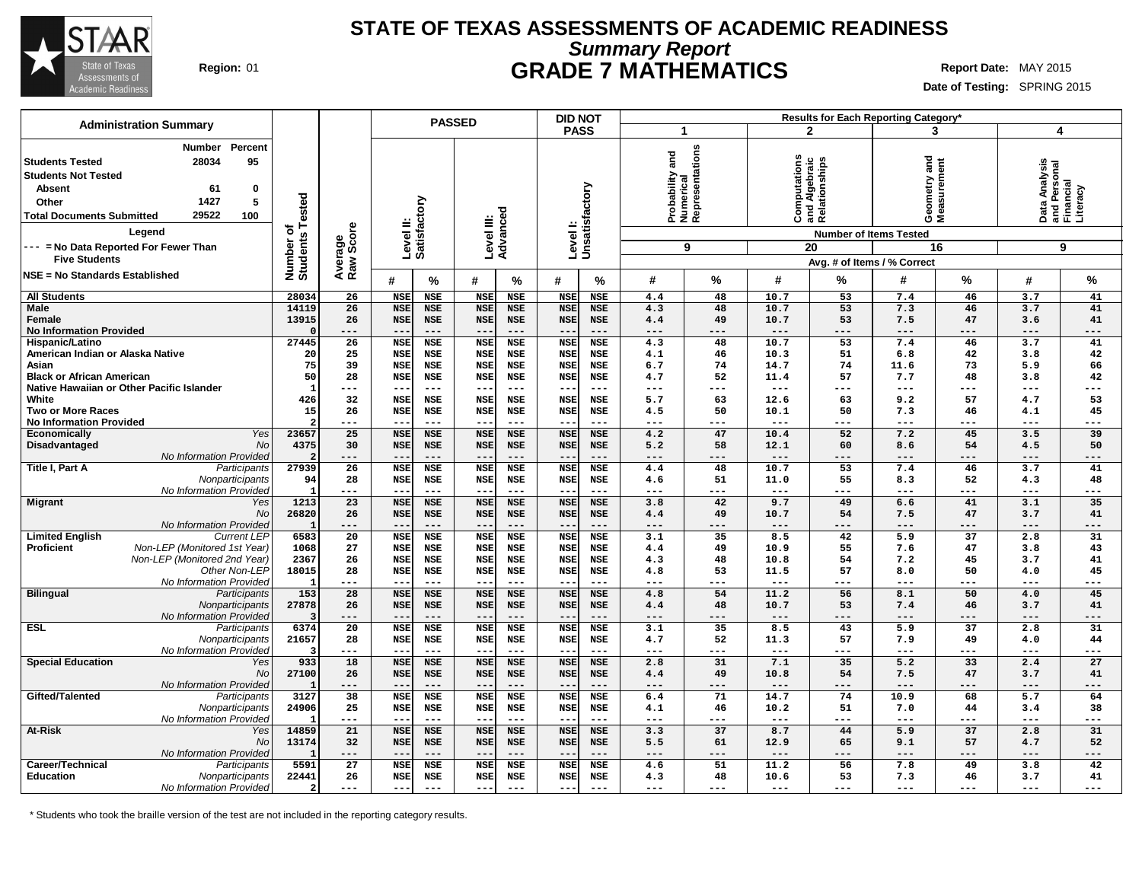

### **STATE OF TEXAS ASSESSMENTS OF ACADEMIC READINESS Summary Report Region:** 01 **GRADE 7 MATHEMATICS Report Date:** MAY 2015

**Date of Testing:** SPRING 2015

|                                                                                                                                                                                     | <b>Administration Summary</b>                                                             |                                      |                             |                          | <b>PASSED</b>             |                                 |                          | <b>DID NOT</b>            |                          | Results for Each Reporting Category*            |                 |               |                                                                                       |                                    |                          |                                                             |             |
|-------------------------------------------------------------------------------------------------------------------------------------------------------------------------------------|-------------------------------------------------------------------------------------------|--------------------------------------|-----------------------------|--------------------------|---------------------------|---------------------------------|--------------------------|---------------------------|--------------------------|-------------------------------------------------|-----------------|---------------|---------------------------------------------------------------------------------------|------------------------------------|--------------------------|-------------------------------------------------------------|-------------|
|                                                                                                                                                                                     |                                                                                           |                                      |                             |                          |                           |                                 |                          | <b>PASS</b>               |                          | 1                                               |                 |               | $\mathbf{2}$                                                                          | 3                                  |                          | 4                                                           |             |
| <b>Students Tested</b><br><b>Students Not Tested</b><br><b>Absent</b><br>Other<br><b>Total Documents Submitted</b><br>--- = No Data Reported For Fewer Than<br><b>Five Students</b> | <b>Number</b><br>Percent<br>28034<br>95<br>61<br>0<br>5<br>1427<br>29522<br>100<br>Legend | Tested<br>৳<br>Number of<br>Students | Score<br>Average<br>Raw Sco |                          | Level II:<br>Satisfactory |                                 | Level III:<br>Advanced   | Levell:<br>Unsatisfactory |                          | Probability and<br>Numerical<br>Representations | 9               |               | Computations<br>and Algebraic<br>Relationships<br><b>Number of Items Tested</b><br>20 | and<br>Geometry and<br>Measurement | 16                       | Data Analysis<br>and Personal<br>Financial<br>Literacy<br>9 |             |
| NSE = No Standards Established                                                                                                                                                      |                                                                                           |                                      |                             |                          |                           |                                 |                          |                           |                          |                                                 |                 |               | Avg. # of Items / % Correct                                                           |                                    |                          |                                                             |             |
|                                                                                                                                                                                     |                                                                                           |                                      |                             | #                        | $\%$                      | #                               | $\frac{0}{0}$            | #                         | %                        | #                                               | %               | #             | %                                                                                     | #                                  | %                        | #                                                           | %           |
| <b>All Students</b>                                                                                                                                                                 |                                                                                           | 28034                                | 26                          | <b>NSE</b>               | <b>NSE</b>                | <b>NSE</b>                      | <b>NSE</b>               | <b>NSE</b>                | <b>NSE</b>               | 4.4                                             | 48              | 10.7          | 53                                                                                    | 7.4                                | 46                       | 3.7                                                         | 41          |
| Male<br>Female                                                                                                                                                                      |                                                                                           | 14119<br>13915                       | 26<br>26                    | <b>NSE</b><br><b>NSE</b> | <b>NSE</b><br><b>NSE</b>  | <b>NSE</b><br><b>NSE</b>        | <b>NSE</b><br>NSE        | <b>NSE</b><br><b>NSE</b>  | <b>NSE</b><br><b>NSE</b> | 4.3<br>4.4                                      | 48<br>49        | 10.7<br>10.7  | 53<br>53                                                                              | 7.3<br>7.5                         | 46<br>47                 | 3.7<br>3.6                                                  | 41<br>41    |
| <b>No Information Provided</b>                                                                                                                                                      |                                                                                           |                                      | ---                         | $- -$                    |                           | $- -$                           | $- - -$                  |                           | $- - -$                  | ---                                             | ---             | $  -$         | ---                                                                                   | $- - -$                            |                          | $- - -$                                                     | ---         |
| Hispanic/Latino                                                                                                                                                                     |                                                                                           | 27445                                | 26                          | <b>NSE</b>               | <b>NSE</b>                | <b>NSE</b>                      | <b>NSE</b>               | <b>NSE</b>                | <b>NSE</b>               | 4.3                                             | 48              | 10.7          | 53                                                                                    | 7.4                                | 46                       | 3.7                                                         | 41          |
| American Indian or Alaska Native                                                                                                                                                    |                                                                                           | 20                                   | 25                          | <b>NSE</b>               | NSE                       | <b>NSE</b>                      | <b>NSE</b>               | <b>NSE</b>                | <b>NSE</b>               | 4.1                                             | 46              | 10.3          | 51                                                                                    | 6.8                                | 42                       | 3.8                                                         | 42          |
| Asian                                                                                                                                                                               |                                                                                           | 75                                   | 39                          | <b>NSE</b>               | <b>NSE</b>                | <b>NSE</b>                      | <b>NSE</b>               | <b>NSE</b>                | <b>NSE</b>               | 6.7                                             | 74              | 14.7          | 74                                                                                    | 11.6                               | 73                       | 5.9                                                         | 66          |
| <b>Black or African American</b>                                                                                                                                                    |                                                                                           | 50                                   | 28                          | <b>NSE</b>               | <b>NSE</b>                | <b>NSE</b>                      | <b>NSE</b>               | <b>NSE</b>                | <b>NSE</b>               | 4.7                                             | 52              | 11.4          | 57                                                                                    | 7.7                                | 48                       | 3.8                                                         | 42          |
|                                                                                                                                                                                     | Native Hawaiian or Other Pacific Islander                                                 | -1                                   | ---                         | --                       | $---$                     | $\sim$ $\sim$                   | $---$                    | $ -$                      | $---$                    | ---                                             | ---             | $---$         | ---                                                                                   | ---                                | ---                      | $---$                                                       | $---$       |
| White                                                                                                                                                                               |                                                                                           | 426                                  | 32                          | <b>NSE</b>               | <b>NSE</b>                | <b>NSE</b>                      | <b>NSE</b>               | <b>NSE</b>                | <b>NSE</b>               | 5.7                                             | 63              | 12.6          | 63                                                                                    | 9.2                                | 57                       | 4.7                                                         | 53          |
| <b>Two or More Races</b>                                                                                                                                                            |                                                                                           | 15                                   | 26                          | <b>NSE</b>               | <b>NSE</b>                | <b>NSE</b>                      | <b>NSE</b>               | <b>NSE</b>                | <b>NSE</b>               | 4.5                                             | 50              | 10.1          | 50                                                                                    | 7.3                                | 46                       | 4.1                                                         | 45          |
| <b>No Information Provided</b>                                                                                                                                                      |                                                                                           |                                      | ---                         | --                       | $---$                     | $\sim$ $\sim$                   | $- - -$                  |                           | $---$                    | ---                                             | ---             | ---           | ---                                                                                   | ---                                | ---                      | $---$                                                       | $---$       |
| <b>Economically</b>                                                                                                                                                                 | Yes                                                                                       | 23657                                | 25                          | <b>NSE</b>               | <b>NSE</b>                | <b>NSE</b>                      | <b>NSE</b>               | <b>NSE</b>                | <b>NSE</b>               | 4.2                                             | 47              | 10.4          | 52                                                                                    | 7.2                                | 45                       | 3.5                                                         | 39          |
| Disadvantaged                                                                                                                                                                       | No                                                                                        | 4375                                 | 30                          | <b>NSE</b>               | <b>NSE</b>                | <b>NSE</b>                      | <b>NSE</b>               | <b>NSE</b>                | <b>NSE</b>               | 5.2                                             | 58              | 12.1          | 60                                                                                    | 8.6                                | 54                       | 4.5                                                         | 50          |
| Title I, Part A                                                                                                                                                                     | No Information Provided                                                                   | 27939                                | ---<br>26                   | $- -$<br><b>NSE</b>      | $---$<br><b>NSE</b>       | $- -$<br><b>NSE</b>             | $---$<br><b>NSE</b>      | <b>NSE</b>                | $---$<br><b>NSE</b>      | ---<br>4.4                                      | ---<br>48       | $---$<br>10.7 | ---<br>53                                                                             | ---<br>7.4                         | ---<br>46                | ---<br>3.7                                                  | ---<br>41   |
|                                                                                                                                                                                     | Participants<br>Nonparticipants                                                           | 94                                   | 28                          | <b>NSE</b>               | <b>NSE</b>                | <b>NSE</b>                      | <b>NSE</b>               | <b>NSE</b>                | NSE                      | 4.6                                             | 51              | 11.0          | 55                                                                                    | 8.3                                | 52                       | 4.3                                                         | 48          |
|                                                                                                                                                                                     | No Information Provideo                                                                   |                                      | ---                         | --                       | $---$                     | ---                             | $---$                    |                           | $- - -$                  | ---                                             | ---             | $---$         | ---                                                                                   | ---                                | ---                      | $---$                                                       | $---$       |
| <b>Migrant</b>                                                                                                                                                                      | Yes                                                                                       | 1213                                 | 23                          | <b>NSE</b>               | <b>NSE</b>                | <b>NSE</b>                      | <b>NSE</b>               | <b>NSE</b>                | <b>NSE</b>               | 3.8                                             | 42              | 9.7           | 49                                                                                    | 6.6                                | 41                       | 3.1                                                         | 35          |
|                                                                                                                                                                                     | No                                                                                        | 26820                                | 26                          | <b>NSE</b>               | <b>NSE</b>                | <b>NSE</b>                      | <b>NSE</b>               | <b>NSE</b>                | <b>NSE</b>               | 4.4                                             | 49              | 10.7          | 54                                                                                    | 7.5                                | 47                       | 3.7                                                         | 41          |
|                                                                                                                                                                                     | No Information Provideo                                                                   |                                      | ---                         | --                       | $---$                     | $\qquad \qquad -$               | $---$                    |                           | $---$                    | ---                                             | ---             | $---$         | ---                                                                                   | $---$                              | ---                      | $---$                                                       | $---$       |
| <b>Limited English</b>                                                                                                                                                              | <b>Current LEP</b>                                                                        | 6583                                 | $\overline{20}$             | <b>NSE</b>               | <b>NSE</b>                | <b>NSE</b>                      | <b>NSE</b>               | <b>NSE</b>                | <b>NSE</b>               | 3.1                                             | 35              | 8.5           | 42                                                                                    | $\overline{5.9}$                   | $\overline{37}$          | 2.8                                                         | 31          |
| <b>Proficient</b>                                                                                                                                                                   | Non-LEP (Monitored 1st Year)                                                              | 1068                                 | 27                          | <b>NSE</b>               | <b>NSE</b>                | <b>NSE</b>                      | <b>NSE</b>               | <b>NSE</b>                | <b>NSE</b>               | 4.4                                             | 49              | 10.9          | 55                                                                                    | 7.6                                | 47                       | 3.8                                                         | 43          |
|                                                                                                                                                                                     | Non-LEP (Monitored 2nd Year)                                                              | 2367                                 | 26                          | <b>NSE</b>               | <b>NSE</b>                | <b>NSE</b>                      | <b>NSE</b>               | <b>NSE</b>                | <b>NSE</b>               | 4.3                                             | 48              | 10.8          | 54                                                                                    | 7.2                                | 45                       | 3.7                                                         | 41          |
|                                                                                                                                                                                     | Other Non-LEP                                                                             | 18015                                | 28                          | <b>NSE</b>               | <b>NSE</b>                | <b>NSE</b>                      | <b>NSE</b>               | <b>NSE</b>                | <b>NSE</b>               | 4.8                                             | 53              | 11.5          | 57                                                                                    | 8.0                                | 50                       | 4.0                                                         | 45          |
|                                                                                                                                                                                     | No Information Provideo                                                                   |                                      | ---                         | $-$                      | $---$                     | $- -$                           | $- - -$                  |                           | $---$                    | ---                                             | ---             | ---           | ---                                                                                   | ---                                | ---                      | $- - -$                                                     | ---         |
| <b>Bilingual</b>                                                                                                                                                                    | Participants                                                                              | 153                                  | 28                          | <b>NSE</b>               | <b>NSE</b>                | <b>NSE</b>                      | <b>NSE</b>               | <b>NSE</b>                | <b>NSE</b>               | 4.8                                             | 54              | 11.2          | 56                                                                                    | 8.1                                | 50                       | 4.0                                                         | 45          |
|                                                                                                                                                                                     | Nonparticipants                                                                           | 27878                                | 26                          | <b>NSE</b>               | <b>NSE</b>                | <b>NSE</b>                      | <b>NSE</b>               | <b>NSE</b>                | <b>NSE</b>               | 4.4                                             | 48              | 10.7          | 53                                                                                    | 7.4                                | 46                       | 3.7                                                         | 41          |
|                                                                                                                                                                                     | No Information Provideo                                                                   | 6374                                 | ---<br>$\overline{20}$      | $- -$<br><b>NSE</b>      | $---$                     | $\qquad \qquad -$<br><b>NSE</b> | $---$                    |                           | $---$<br><b>NSE</b>      | ---<br>3.1                                      | ---<br>35       | $---$<br>8.5  | ---<br>43                                                                             | $---$<br>5.9                       | $---$<br>$\overline{37}$ | $---$<br>2.8                                                | $---$<br>31 |
| <b>ESL</b>                                                                                                                                                                          | Participants<br>Nonparticipants                                                           | 21657                                | 28                          | <b>NSE</b>               | <b>NSE</b><br><b>NSE</b>  | <b>NSE</b>                      | <b>NSE</b><br><b>NSE</b> | <b>NSE</b><br><b>NSE</b>  | <b>NSE</b>               | 4.7                                             | 52              | 11.3          | 57                                                                                    | 7.9                                | 49                       | 4.0                                                         | 44          |
|                                                                                                                                                                                     | No Information Provided                                                                   |                                      | ---                         | $-1$                     |                           | $- -$                           | $---$                    |                           | $---$                    | ---                                             | ---             | $---$         | ---                                                                                   | $---$                              | ---                      | $---$                                                       | ---         |
| <b>Special Education</b>                                                                                                                                                            | Yes                                                                                       | 933                                  | 18                          | <b>NSE</b>               | <b>NSE</b>                | <b>NSE</b>                      | <b>NSE</b>               | <b>NSE</b>                | <b>NSE</b>               | 2.8                                             | 31              | 7.1           | 35                                                                                    | 5.2                                | 33                       | 2.4                                                         | 27          |
|                                                                                                                                                                                     | No                                                                                        | 27100                                | 26                          | <b>NSE</b>               | <b>NSE</b>                | <b>NSE</b>                      | <b>NSE</b>               | <b>NSE</b>                | <b>NSE</b>               | 4.4                                             | 49              | 10.8          | 54                                                                                    | 7.5                                | 47                       | 3.7                                                         | 41          |
|                                                                                                                                                                                     | No Information Provideo                                                                   |                                      | ---                         | $- -$                    | $---$                     | $---$                           | $---$                    | $ -$                      | $---$                    | ---                                             | ---             | ---           | ---                                                                                   | ---                                | ---                      | $---$                                                       | ---         |
| Gifted/Talented                                                                                                                                                                     | Participants                                                                              | 3127                                 | $\overline{38}$             | <b>NSE</b>               | <b>NSE</b>                | <b>NSE</b>                      | <b>NSE</b>               | <b>NSE</b>                | <b>NSE</b>               | 6.4                                             | $\overline{71}$ | 14.7          | $\overline{74}$                                                                       | 10.9                               | 68                       | $\overline{5.7}$                                            | 64          |
|                                                                                                                                                                                     | Nonparticipants                                                                           | 24906                                | 25                          | <b>NSE</b>               | <b>NSE</b>                | <b>NSE</b>                      | NSE                      | <b>NSE</b>                | <b>NSE</b>               | 4.1                                             | 46              | 10.2          | 51                                                                                    | 7.0                                | 44                       | 3.4                                                         | 38          |
|                                                                                                                                                                                     | No Information Provideo                                                                   |                                      | ---                         | --                       | $---$                     | $--$                            | $---$                    | $\qquad \qquad -$         | $---$                    | ---                                             | ---             | ---           | ---                                                                                   | ---                                | ---                      | $--$                                                        | $---$       |
| At-Risk                                                                                                                                                                             | Yes                                                                                       | 14859                                | 21                          | <b>NSE</b>               | <b>NSE</b>                | <b>NSE</b>                      | <b>NSE</b>               | <b>NSE</b>                | <b>NSE</b>               | 3.3                                             | 37              | 8.7           | 44                                                                                    | 5.9                                | 37                       | 2.8                                                         | 31          |
|                                                                                                                                                                                     | No                                                                                        | 13174                                | 32                          | <b>NSE</b>               | <b>NSE</b>                | <b>NSE</b>                      | <b>NSE</b>               | <b>NSE</b>                | <b>NSE</b>               | 5.5                                             | 61              | 12.9          | 65                                                                                    | 9.1                                | 57                       | 4.7                                                         | 52          |
|                                                                                                                                                                                     | No Information Provideo                                                                   |                                      | ---                         | $-$                      | $---$                     | $- -$                           | $---$                    |                           | $---$                    | ---                                             | ---             | $-- -$        | ---                                                                                   | $---$                              | ---                      | $---$                                                       | ---         |
| Career/Technical                                                                                                                                                                    | Participants                                                                              | 5591                                 | 27                          | <b>NSE</b>               | <b>NSE</b>                | <b>NSE</b>                      | <b>NSE</b>               | <b>NSE</b>                | <b>NSE</b>               | 4.6                                             | 51              | 11.2          | 56                                                                                    | 7.8                                | 49                       | 3.8                                                         | 42          |
| <b>Education</b>                                                                                                                                                                    | Nonparticipants                                                                           | 22441                                | 26                          | <b>NSE</b>               | <b>NSE</b>                | <b>NSE</b>                      | <b>NSE</b>               | <b>NSE</b>                | <b>NSE</b>               | 4.3                                             | 48              | 10.6          | 53                                                                                    | 7.3                                | 46                       | 3.7                                                         | 41          |
|                                                                                                                                                                                     | No Information Provided                                                                   |                                      | $---$                       | $-$                      | $---$                     | $--$                            | $---$                    |                           | $---$                    | ---                                             | ---             | $---$         | ---                                                                                   | ---                                | $---$                    | $---$                                                       | ---         |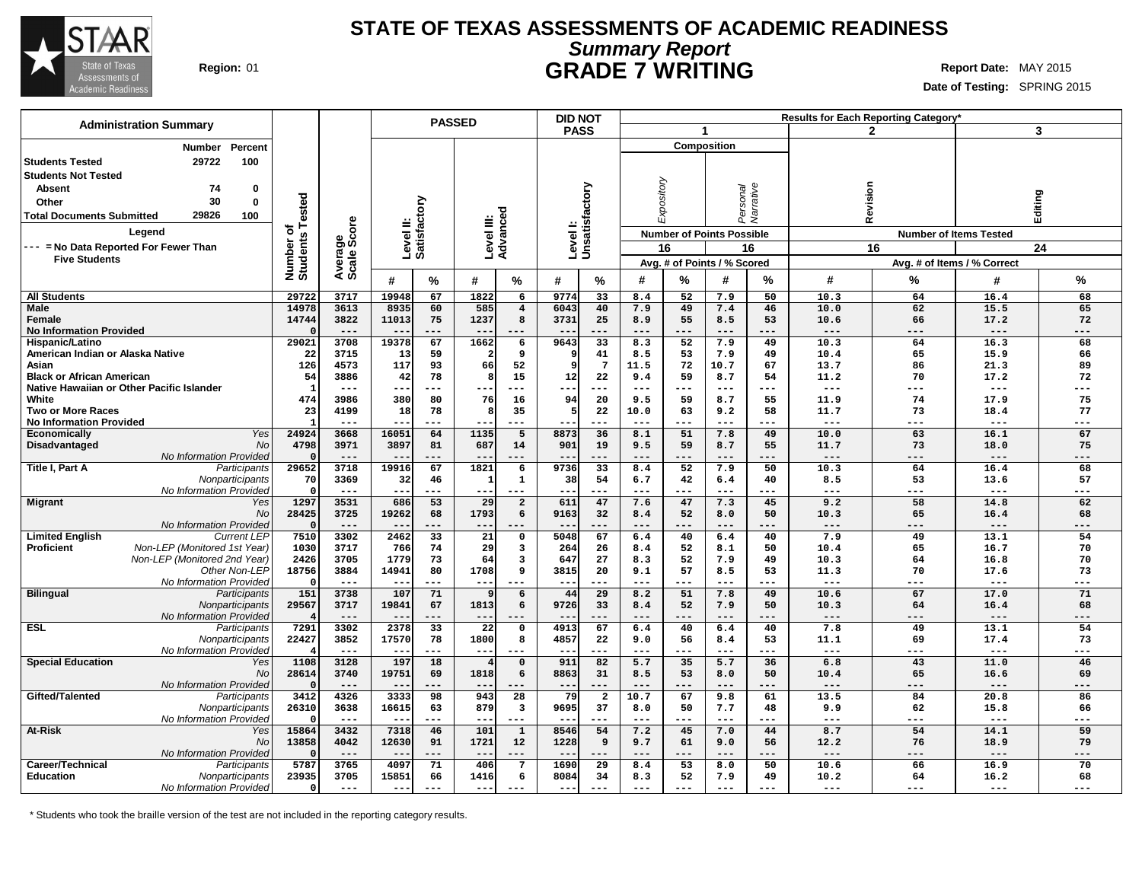

### **STATE OF TEXAS ASSESSMENTS OF ACADEMIC READINESS Summary Report Region:** 01 **GRADE 7 WRITING Report Date:** MAY 2015

**Date of Testing:** SPRING 2015

| <b>Administration Summary</b>                                           |                      |                       |                |                        | <b>PASSED</b>   |                           | <b>DID NOT</b> |                           |              |            |                                  |                       |               | Results for Each Reporting Category |                               |           |
|-------------------------------------------------------------------------|----------------------|-----------------------|----------------|------------------------|-----------------|---------------------------|----------------|---------------------------|--------------|------------|----------------------------------|-----------------------|---------------|-------------------------------------|-------------------------------|-----------|
|                                                                         |                      |                       |                |                        |                 |                           | <b>PASS</b>    |                           |              |            | $\mathbf{1}$                     |                       |               | $\mathbf{2}$                        |                               | 3         |
| Percent<br>Number                                                       |                      |                       |                |                        |                 |                           |                |                           |              |            | <b>Composition</b>               |                       |               |                                     |                               |           |
| 29722<br>100<br><b>Students Tested</b>                                  |                      |                       |                |                        |                 |                           |                |                           |              |            |                                  |                       |               |                                     |                               |           |
| <b>Students Not Tested</b>                                              |                      |                       |                |                        |                 |                           |                |                           |              |            |                                  |                       |               |                                     |                               |           |
| 74<br>0<br><b>Absent</b>                                                |                      |                       |                |                        |                 |                           |                |                           |              |            |                                  |                       |               |                                     |                               |           |
| 30<br>$\mathbf{0}$                                                      |                      |                       |                |                        |                 |                           |                |                           |              |            |                                  |                       |               |                                     |                               |           |
| Other                                                                   | ested                |                       |                | ζã                     |                 |                           |                |                           |              | Expository |                                  | Personal<br>Narrative | Revision      |                                     | Editing                       |           |
| 29826<br>100<br><b>Total Documents Submitted</b>                        | ⊢                    |                       |                | ូម                     |                 |                           |                |                           |              |            |                                  |                       |               |                                     |                               |           |
| Legend                                                                  | ö                    | ige<br>Score          |                | Level II:<br>Satisfact |                 | Level III:<br>Advanced    |                | Levell:<br>Unsatisfactory |              |            | <b>Number of Points Possible</b> |                       |               |                                     | <b>Number of Items Tested</b> |           |
| -- = No Data Reported For Fewer Than                                    |                      |                       |                |                        |                 |                           |                |                           |              | 16         |                                  | 16                    |               | 16                                  |                               | 24        |
| <b>Five Students</b>                                                    | Number o<br>Students | Avera<br>Scale        |                |                        |                 |                           |                |                           |              |            | Avg. # of Points / % Scored      |                       |               |                                     | Avg. # of Items / % Correct   |           |
|                                                                         |                      |                       |                |                        |                 |                           |                |                           |              |            |                                  |                       |               |                                     |                               |           |
|                                                                         |                      |                       | #              | $\%$                   | #               | %                         | #              | $\frac{9}{6}$             | #            | %          | #                                | %                     | #             | %                                   | #                             | %         |
| <b>All Students</b>                                                     | 29722                | 3717                  | 19948          | 67                     | 1822            | $6\overline{6}$           | 9774           | 33                        | 8.4          | 52         | 7.9                              | 50                    | 10.3          | 64                                  | 16.4                          | 68        |
| <b>Male</b>                                                             | 14978                | 3613                  | 8935           | 60                     | 585             | $\overline{4}$            | 6043           | 40                        | 7.9          | 49         | 7.4                              | 46                    | 10.0          | 62                                  | 15.5                          | 65        |
| Female                                                                  | 14744                | 3822                  | 11013          | 75                     | 1237            | 8                         | 3731           | 25                        | 8.9          | 55         | 8.5                              | 53                    | 10.6          | 66                                  | 17.2                          | 72        |
| <b>No Information Provided</b>                                          |                      | $---$                 | $ -$           | $---$                  | $-$             | .                         |                | $- - -$                   | $---$        | ---        | $---$                            | ---                   | $---$         | $---$                               | $---$                         | ---       |
| Hispanic/Latino                                                         | 29021                | 3708                  | 19378          | 67                     | 1662            | $\overline{6}$            | 9643           | 33                        | 8.3          | 52         | 7.9                              | 49                    | 10.3          | 64                                  | 16.3                          | 68        |
| American Indian or Alaska Native                                        | 22                   | 3715                  | 13             | 59                     |                 | 9                         |                | 41                        | 8.5          | 53         | 7.9                              | 49                    | 10.4          | 65                                  | 15.9                          | 66        |
| Asian<br><b>Black or African American</b>                               | 126<br>54            | 4573<br>3886          | 117<br>42      | 93<br>78               | 66<br>8         | 52<br>15                  | q<br>12        | $7\phantom{.0}$<br>22     | 11.5<br>9.4  | 72<br>59   | 10.7<br>8.7                      | 67<br>54              | 13.7<br>11.2  | 86<br>70                            | 21.3<br>17.2                  | 89<br>72  |
| Native Hawaiian or Other Pacific Islander                               | -1                   | $---$                 | --             | ---                    |                 | ---                       | --             | $- - -$                   | $---$        | ---        | $---$                            | $---$                 | $  -$         | $---$                               | $---$                         | ---       |
| White                                                                   | 474                  | 3986                  | 380            | 80                     | 76              | 16                        | 94             | 20                        | 9.5          | 59         | 8.7                              | 55                    | 11.9          | 74                                  | 17.9                          | 75        |
| <b>Two or More Races</b>                                                | 23                   | 4199                  | 18             | 78                     | 8               | 35                        | 5              | 22                        | 10.0         | 63         | 9.2                              | 58                    | 11.7          | 73                                  | 18.4                          | 77        |
| <b>No Information Provided</b>                                          |                      | $- - -$               |                | $---$                  |                 | ---                       |                | $- - -$                   | $---$        | ---        | $---$                            | ---                   | $---$         | $---$                               | $--$                          | ---       |
| <b>Yes</b><br><b>Economically</b>                                       | 24924                | 3668                  | 16051          | 64                     | 1135            | $\overline{5}$            | 8873           | 36                        | 8.1          | 51         | 7.8                              | 49                    | 10.0          | 63                                  | 16.1                          | 67        |
| Disadvantaged<br>No                                                     | 4798                 | 3971                  | 3897           | 81                     | 687             | 14                        | 901            | 19                        | 9.5          | 59         | 8.7                              | 55                    | 11.7          | 73                                  | 18.0                          | 75        |
| No Information Provided                                                 | n                    | $---$                 | $ -$           | $---$                  | $- -$           | ---                       | --             | $- - -$                   | $---$        | ---        | $---$                            | ---                   | $---$         | $---$                               | $---$                         | ---       |
| Title I, Part A<br>Participants                                         | 29652                | 3718                  | 19916          | 67                     | 1821            | 6                         | 9736           | 33                        | 8.4          | 52         | 7.9                              | 50                    | 10.3          | 64                                  | 16.4                          | 68        |
| Nonparticipants                                                         | 70                   | 3369                  | 32             | 46                     | 1               | $\mathbf{1}$              | 38             | 54                        | 6.7          | 42         | 6.4                              | 40                    | 8.5           | 53                                  | 13.6                          | 57        |
| No Information Provided                                                 |                      | $---$                 | $- -$          | $---$                  | $- -$           | $- - -$                   | --             | ---                       | $---$        | ---        | $---$                            | $---$                 | $---$         | $---$                               | $---$                         | ---       |
| <b>Migrant</b><br>Yes                                                   | 1297                 | 3531                  | 686            | 53                     | 29              | $\overline{2}$            | 611            | 47                        | 7.6          | 47         | 7.3                              | 45                    | 9.2           | 58                                  | 14.8                          | 62        |
| No                                                                      | 28425                | 3725<br>$\frac{1}{2}$ | 19262<br>$- -$ | 68<br>$---$            | 1793<br>$- -$   | 6<br>---                  | 9163           | 32                        | 8.4<br>$---$ | 52<br>---  | 8.0<br>$---$                     | 50                    | 10.3<br>$---$ | 65<br>$---$                         | 16.4<br>$---$                 | 68<br>--- |
| No Information Provided<br><b>Limited English</b><br><b>Current LEP</b> | 7510                 | 3302                  | 2462           | $\overline{33}$        | $\overline{21}$ | $\overline{\mathbf{0}}$   | --<br>5048     | $---$<br>67               | 6.4          | 40         | 6.4                              | $---$<br>40           | 7.9           | 49                                  | 13.1                          | 54        |
| Proficient<br>Non-LEP (Monitored 1st Year)                              | 1030                 | 3717                  | 766            | 74                     | 29              | 3                         | 264            | 26                        | 8.4          | 52         | 8.1                              | 50                    | 10.4          | 65                                  | 16.7                          | 70        |
| Non-LEP (Monitored 2nd Year)                                            | 2426                 | 3705                  | 1779           | 73                     | 64              | $\overline{\mathbf{3}}$   | 647            | 27                        | 8.3          | 52         | 7.9                              | 49                    | 10.3          | 64                                  | 16.8                          | 70        |
| Other Non-LEP                                                           | 18756                | 3884                  | 14941          | 80                     | 1708            | 9                         | 3815           | 20                        | 9.1          | 57         | 8.5                              | 53                    | 11.3          | 70                                  | 17.6                          | 73        |
| No Information Provideo                                                 | $\Omega$             | $---$                 |                | $---$                  | $-$             |                           | $ -$           |                           | $---$        | ---        | $---$                            | ---                   | $---$         | ---                                 | $--$                          | ---       |
| <b>Bilingual</b><br>Participants                                        | 151                  | 3738                  | 107            | 71                     | 9               | 6                         | 44             | 29                        | 8.2          | 51         | 7.8                              | 49                    | 10.6          | 67                                  | 17.0                          | 71        |
| Nonparticipants                                                         | 29567                | 3717                  | 19841          | 67                     | 1813            | 6                         | 9726           | 33                        | 8.4          | 52         | 7.9                              | 50                    | 10.3          | 64                                  | 16.4                          | 68        |
| No Information Provideo                                                 |                      | $---$                 | $ -$           | $---$                  | $- -$           | ---                       |                | $--$                      | $---$        | ---        | $---$                            | $---$                 | $---$         | $---$                               | $---$                         | ---       |
| <b>ESL</b><br>Participants                                              | 7291                 | 3302                  | 2378           | $\overline{33}$        | $\overline{22}$ | $\overline{\mathfrak{o}}$ | 4913           | 67                        | 6.4          | 40         | 6.4                              | 40                    | 7.8           | 49                                  | 13.1                          | 54        |
| Nonparticipants                                                         | 22427                | 3852                  | 17570          | 78                     | 1800            | 8                         | 4857           | 22                        | 9.0          | 56         | 8.4                              | 53                    | 11.1          | 69                                  | 17.4                          | 73        |
| No Information Provideo                                                 | 4                    | $---$                 |                | ---                    | $- -$           |                           |                | $- - -$                   | $- - -$      | ---        | $- - -$                          | ---                   | $---$         | $- - -$                             | $- - -$                       | ---       |
| <b>Special Education</b><br>Yes                                         | 1108                 | 3128                  | 197            | 18                     |                 | $\mathsf{o}$              | 911            | 82                        | 5.7          | 35         | 5.7                              | 36                    | 6.8           | 43                                  | 11.0                          | 46        |
| No                                                                      | 28614<br>$\Omega$    | 3740<br>$---$         | 19751<br>$- -$ | 69<br>$---$            | 1818<br>$-$     | 6<br>---                  | 8863           | 31                        | 8.5<br>$---$ | 53         | 8.0<br>$---$                     | 50<br>$---$           | 10.4<br>$---$ | 65<br>$---$                         | 16.6<br>$---$                 | 69        |
| No Information Provided<br>Gifted/Talented<br>Participants              | 3412                 | 4326                  | 3333           | 98                     | 943             | 28                        | ---<br>79      | $\overline{\mathbf{2}}$   | 10.7         | ---<br>67  | 9.8                              | 61                    | 13.5          | 84                                  | 20.8                          | ---<br>86 |
| Nonparticipants                                                         | 26310                | 3638                  | 16615          | 63                     | 879             | $\mathbf{3}$              | 9695           | 37                        | 8.0          | 50         | 7.7                              | 48                    | 9.9           | 62                                  | 15.8                          | 66        |
| No Information Provideo                                                 |                      | $---$                 |                | $---$                  | $ -$            | $---$                     |                | $- - -$                   | $---$        | ---        | $---$                            | $---$                 | $- - -$       | $---$                               | $---$                         | ---       |
| At-Risk<br>Yes                                                          | 15864                | 3432                  | 7318           | 46                     | 101             | $\overline{1}$            | 8546           | 54                        | 7.2          | 45         | 7.0                              | 44                    | 8.7           | 54                                  | 14.1                          | 59        |
| No                                                                      | 13858                | 4042                  | 12630          | 91                     | 1721            | 12                        | 1228           | 9                         | 9.7          | 61         | 9.0                              | 56                    | 12.2          | 76                                  | 18.9                          | 79        |
| No Information Provided                                                 |                      | $---$                 | $ -$           | $---$                  | $ -$            | $- - -$                   | $- -$          | $---$                     | $---$        | ---        | $- - -$                          | $- - -$               | $---$         | $- - -$                             | $---$                         | ---       |
| Career/Technical<br>Participants                                        | 5787                 | 3765                  | 409            | 71                     | 406             | $\overline{7}$            | 1690           | 29                        | 8.4          | 53         | 8.0                              | 50                    | 10.6          | 66                                  | 16.9                          | 70        |
| <b>Education</b><br>Nonparticipants                                     | 23935                | 3705                  | 15851          | 66                     | 1416            | 6                         | 8084           | 34                        | 8.3          | 52         | 7.9                              | 49                    | 10.2          | 64                                  | 16.2                          | 68        |
| No Information Provided                                                 | 0                    | $---$                 | $- -$          | $---$                  | $- - -$         |                           | $- -$          | $---$                     | $---$        | ---        | $---$                            | $---$                 | $---$         | $---$                               | $---$                         | ---       |
|                                                                         |                      |                       |                |                        |                 |                           |                |                           |              |            |                                  |                       |               |                                     |                               |           |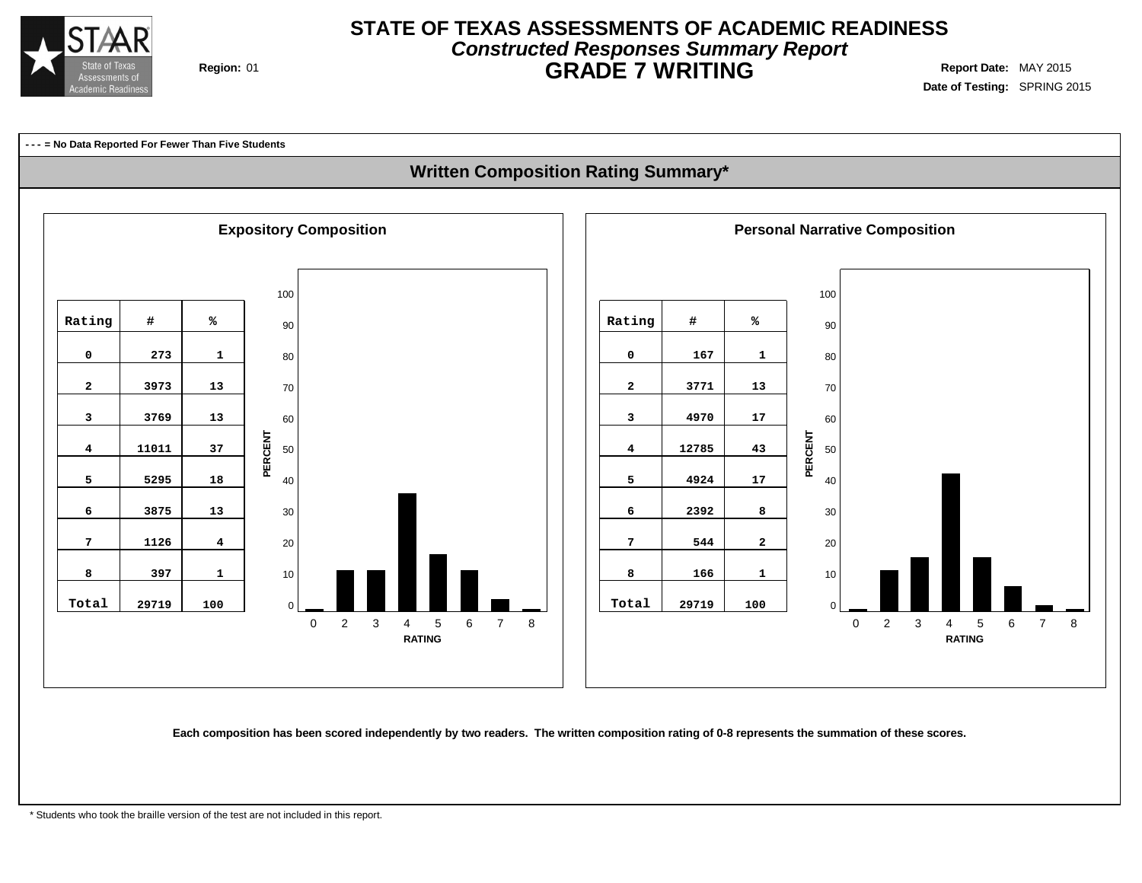

## **STATE OF TEXAS ASSESSMENTS OF ACADEMIC READINESS Constructed Responses Summary Report Region:** 01 **GRADE 7 WRITING Report Date:** MAY 2015

**Date of Testing:** SPRING 2015

**--- = No Data Reported For Fewer Than Five Students**

### **Written Composition Rating Summary\***



Each composition has been scored independently by two readers. The written composition rating of 0-8 represents the summation of these scores.

\* Students who took the braille version of the test are not included in this report.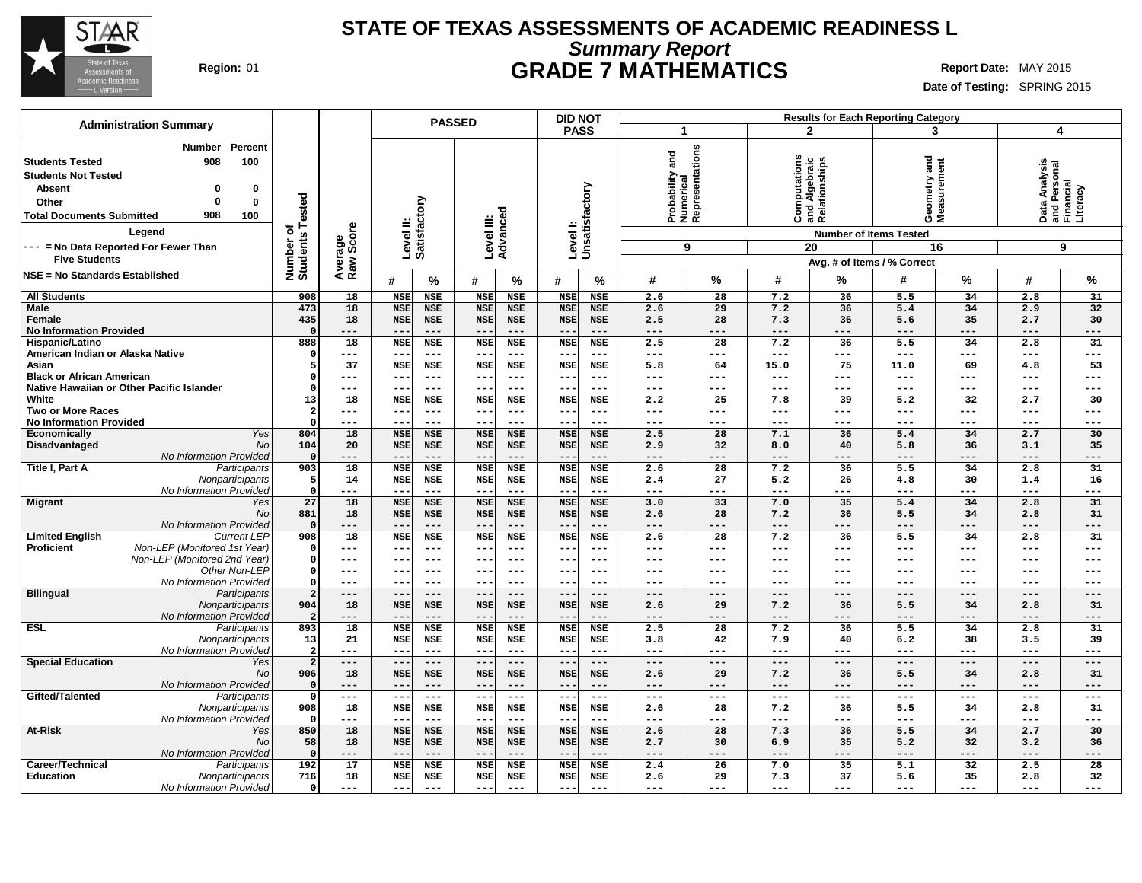

### **STATE OF TEXAS ASSESSMENTS OF ACADEMIC READINESS L Summary Report Region:** 01 **GRADE 7 MATHEMATICS Report Date:** MAY 2015

| <b>Administration Summary</b>                                                                                                                                                                                                          |                                      |                                 |                      |                          | <b>PASSED</b>                     |                                 |                          | <b>DID NOT</b>                         |                          | <b>Results for Each Reporting Category</b>      |                  |                                                                    |                                     |                                                                   |                           |                                                             |                |
|----------------------------------------------------------------------------------------------------------------------------------------------------------------------------------------------------------------------------------------|--------------------------------------|---------------------------------|----------------------|--------------------------|-----------------------------------|---------------------------------|--------------------------|----------------------------------------|--------------------------|-------------------------------------------------|------------------|--------------------------------------------------------------------|-------------------------------------|-------------------------------------------------------------------|---------------------------|-------------------------------------------------------------|----------------|
|                                                                                                                                                                                                                                        |                                      |                                 |                      |                          |                                   |                                 |                          | <b>PASS</b>                            |                          | 1                                               |                  |                                                                    | $\mathbf{2}$                        | 3                                                                 |                           | $\overline{4}$                                              |                |
| Number<br>908<br><b>Students Tested</b><br><b>Students Not Tested</b><br><b>Absent</b><br>0<br>$\Omega$<br>Other<br>908<br><b>Total Documents Submitted</b><br>Legend<br>--- = No Data Reported For Fewer Than<br><b>Five Students</b> | Percent<br>100<br>0<br>0<br>100<br>ō | Tested<br>Number o'<br>Students | Average<br>Raw Score | Level II:                | Satisfactory                      |                                 | Level III:<br>Advanced   | Levell:<br>Unsatisfactory              |                          | Probability and<br>Numerical<br>Representations | 9                | putations<br><b>Computations</b><br>and Algebraic<br>Relationships | <b>Number of Items Tested</b><br>20 | and<br>Geometry and<br>Measurement<br>Avg. # of Items / % Correct | 16                        | Data Analysis<br>and Personal<br>Financial<br>Literacy<br>9 |                |
| <b>NSE = No Standards Established</b>                                                                                                                                                                                                  |                                      |                                 |                      |                          |                                   |                                 |                          |                                        |                          |                                                 |                  |                                                                    |                                     |                                                                   |                           |                                                             |                |
|                                                                                                                                                                                                                                        |                                      |                                 |                      | #                        | %                                 | #                               | $\frac{9}{6}$            | #                                      | $\%$                     | #                                               | %                | #                                                                  | %                                   | #                                                                 | %                         | #                                                           | $\%$           |
| <b>All Students</b>                                                                                                                                                                                                                    |                                      | 908<br>473                      | 18<br>18             | <b>NSE</b>               | <b>NSE</b>                        | <b>NSE</b>                      | <b>NSE</b>               | <b>NSE</b>                             | <b>NSE</b>               | 2.6                                             | 28               | 7.2                                                                | 36                                  | 5.5                                                               | 34<br>34                  | 2.8                                                         | 31<br>32       |
| <b>Male</b><br>Female                                                                                                                                                                                                                  |                                      | 435                             | 18                   | <b>NSE</b><br><b>NSE</b> | <b>NSE</b><br><b>NSE</b>          | <b>NSE</b><br><b>NSE</b>        | <b>NSE</b><br><b>NSE</b> | <b>NSE</b><br><b>NSE</b>               | <b>NSE</b><br><b>NSE</b> | 2.6<br>2.5                                      | 29<br>28         | 7.2<br>7.3                                                         | 36<br>36                            | 5.4<br>5.6                                                        | 35                        | 2.9<br>2.7                                                  | 30             |
| <b>No Information Provided</b>                                                                                                                                                                                                         |                                      |                                 | $- - -$              | $- -$                    | $- - -$                           | $- -$                           | $- - -$                  |                                        | $- - -$                  | ---                                             | $- - -$          | ---                                                                | $- - -$                             | $---$                                                             | $- - -$                   | $- - -$                                                     | $---$          |
| Hispanic/Latino                                                                                                                                                                                                                        |                                      | 888                             | 18                   | <b>NSE</b>               | <b>NSE</b>                        | <b>NSE</b>                      | <b>NSE</b>               | <b>NSE</b>                             | <b>NSE</b>               | 2.5                                             | $\overline{28}$  | 7.2                                                                | 36                                  | 5.5                                                               | 34                        | 2.8                                                         | 31             |
| American Indian or Alaska Native                                                                                                                                                                                                       |                                      |                                 | ---                  | --                       | $---$                             | $- -$                           | $- - -$                  | $-$ -                                  | $---$                    | ---                                             | $---$            | $---$                                                              | ---                                 | $---$                                                             | $- - -$                   | $---$                                                       | $---$          |
| Asian                                                                                                                                                                                                                                  |                                      |                                 | 37                   | <b>NSE</b>               | <b>NSE</b>                        | <b>NSE</b>                      | NSE                      | <b>NSE</b>                             | NSE                      | 5.8                                             | 64               | 15.0                                                               | 75                                  | 11.0                                                              | 69                        | 4.8                                                         | 53             |
| <b>Black or African American</b><br>Native Hawaiian or Other Pacific Islander                                                                                                                                                          |                                      | $\Omega$                        | ---<br>---           | --<br>$- -$              | $---$<br>$\qquad \qquad -$        | $--$<br>$- -$                   | $---$<br>$- - -$         | $ -$<br>$- -$                          | $---$<br>$---$           | ---<br>---                                      | $- - -$<br>$---$ | ---<br>---                                                         | ---<br>---                          | $---$<br>$---$                                                    | $- - -$<br>$---$          | $---$<br>$---$                                              | $---$<br>$---$ |
| White                                                                                                                                                                                                                                  |                                      | 13                              | 18                   | <b>NSE</b>               | <b>NSE</b>                        | <b>NSE</b>                      | <b>NSE</b>               | <b>NSE</b>                             | NSE                      | 2.2                                             | 25               | 7.8                                                                | 39                                  | 5.2                                                               | 32                        | 2.7                                                         | 30             |
| <b>Two or More Races</b>                                                                                                                                                                                                               |                                      | 2                               | ---                  | $- -$                    | $---$                             | $- -$                           | $- - -$                  | $- -$                                  | $---$                    | ---                                             | $---$            | ---                                                                | $---$                               | $---$                                                             | $\qquad \qquad - -$       | $---$                                                       | $---$          |
| <b>No Information Provided</b>                                                                                                                                                                                                         |                                      | $\Omega$                        | ---                  | --                       | $---$                             | $- -$                           | $- - -$                  | $- -$                                  | ---                      | ---                                             | $---$            | ---                                                                | ---                                 | $---$                                                             | $---$                     | $---$                                                       | $--$           |
| Economically                                                                                                                                                                                                                           | Yes                                  | 804                             | $\overline{18}$      | <b>NSE</b>               | <b>NSE</b>                        | <b>NSE</b>                      | <b>NSE</b>               | <b>NSE</b>                             | <b>NSE</b>               | 2.5                                             | $\overline{28}$  | 7.1                                                                | 36                                  | 5.4                                                               | 34                        | 2.7                                                         | 30             |
| Disadvantaged                                                                                                                                                                                                                          | <b>No</b>                            | 104                             | 20                   | <b>NSE</b><br>$- -$      | <b>NSE</b><br>$---$               | <b>NSE</b>                      | <b>NSE</b><br>$- - -$    | <b>NSE</b><br>$ -$                     | <b>NSE</b><br>$- - -$    | 2.9                                             | 32<br>$---$      | 8.0                                                                | 40<br>$---$                         | 5.8                                                               | 36                        | 3.1                                                         | 35             |
| No Information Provided<br>Title I, Part A                                                                                                                                                                                             | Participants                         | 903                             | ---<br>18            | <b>NSE</b>               | <b>NSE</b>                        | $--$<br><b>NSE</b>              | <b>NSE</b>               | <b>NSE</b>                             | <b>NSE</b>               | ---<br>2.6                                      | 28               | ---<br>7.2                                                         | 36                                  | $---$<br>5.5                                                      | $\qquad \qquad - -$<br>34 | $---$<br>2.8                                                | $---$<br>31    |
|                                                                                                                                                                                                                                        | Nonparticipants                      | .5                              | 14                   | <b>NSE</b>               | <b>NSE</b>                        | <b>NSE</b>                      | NSE                      | <b>NSE</b>                             | NSE                      | 2.4                                             | 27               | 5.2                                                                | 26                                  | 4.8                                                               | 30                        | 1.4                                                         | 16             |
| No Information Provided                                                                                                                                                                                                                |                                      | $\Omega$                        | ---                  | $- -$                    | $---$                             | $- -$                           | $---$                    |                                        | $---$                    | ---                                             | $---$            | ---                                                                | $---$                               | $---$                                                             | ---                       | $---$                                                       | $---$          |
| <b>Migrant</b>                                                                                                                                                                                                                         | Yes                                  | 27                              | 18                   | <b>NSE</b>               | <b>NSE</b>                        | <b>NSE</b>                      | <b>NSE</b>               | <b>NSE</b>                             | <b>NSE</b>               | 3.0                                             | 33               | 7.0                                                                | 35                                  | 5.4                                                               | 34                        | 2.8                                                         | 31             |
|                                                                                                                                                                                                                                        | No                                   | 881                             | 18<br>---            | <b>NSE</b>               | <b>NSE</b><br>$\qquad \qquad - -$ | <b>NSE</b>                      | <b>NSE</b><br>$---$      | <b>NSE</b>                             | <b>NSE</b><br>$---$      | 2.6<br>---                                      | 28<br>$---$      | 7.2                                                                | 36                                  | 5.5<br>$---$                                                      | 34                        | 2.8                                                         | 31             |
| No Information Provided<br><b>Limited English</b>                                                                                                                                                                                      | <b>Current LEP</b>                   | 908                             | 18                   | $- -$<br><b>NSE</b>      | <b>NSE</b>                        | $- -$<br><b>NSE</b>             | <b>NSE</b>               | $\overline{\phantom{a}}$<br><b>NSE</b> | <b>NSE</b>               | 2.6                                             | $\overline{28}$  | ---<br>7.2                                                         | ---<br>36                           | 5.5                                                               | $---$<br>34               | $---$<br>2.8                                                | $---$<br>31    |
| Proficient<br>Non-LEP (Monitored 1st Year)                                                                                                                                                                                             |                                      | $\Omega$                        | ---                  | $- -$                    | $\qquad \qquad -$                 | $\qquad \qquad -$               | $- - -$                  | $ -$                                   | $- - -$                  | ---                                             | $---$            | ---                                                                | ---                                 | $---$                                                             | $---$                     | $---$                                                       | $---$          |
| Non-LEP (Monitored 2nd Year)                                                                                                                                                                                                           |                                      | $\Omega$                        | ---                  | $- -$                    | $- - -$                           | $--$                            | $- - -$                  | --                                     | $--$                     | ---                                             | $---$            | ---                                                                | ---                                 | ---                                                               | $\frac{1}{2}$             | $---$                                                       | $---$          |
|                                                                                                                                                                                                                                        | Other Non-LEP                        | $\Omega$                        | ---                  | $- -$                    | $- - -$                           | $--$                            | $- - -$                  | $ -$                                   | $- - -$                  | ---                                             | $- - -$          | ---                                                                | ---                                 | $- - -$                                                           | $- - -$                   | $---$                                                       | $---$          |
| No Information Provided                                                                                                                                                                                                                |                                      | $\Omega$                        | ---                  | $- -$                    | $- - -$                           | $- -$                           | ---                      | $- -$                                  | $---$                    | ---                                             | $---$            | ---                                                                | ---                                 | $---$                                                             | $---$                     | $---$                                                       | $---$          |
| <b>Bilingual</b>                                                                                                                                                                                                                       | Participants<br>Nonparticipants      | $\overline{2}$<br>904           | $---$<br>18          | $- -$<br><b>NSE</b>      | $---$<br><b>NSE</b>               | $--$<br><b>NSE</b>              | $---$<br><b>NSE</b>      | $ -$<br><b>NSE</b>                     | $---$<br><b>NSE</b>      | ---<br>2.6                                      | $---$<br>29      | ---<br>7.2                                                         | $---$<br>36                         | $---$<br>5.5                                                      | $\qquad \qquad - -$<br>34 | $- - -$<br>2.8                                              | $---$<br>31    |
| No Information Provided                                                                                                                                                                                                                |                                      |                                 | $---$                | $- -$                    | $---$                             | $- -$                           | $---$                    | $-$ -                                  | $---$                    | ---                                             | $---$            | $---$                                                              | $---$                               | $---$                                                             | $---$                     | $---$                                                       | $---$          |
| <b>ESL</b>                                                                                                                                                                                                                             | Participants                         | 893                             | 18                   | <b>NSE</b>               | <b>NSE</b>                        | <b>NSE</b>                      | <b>NSE</b>               | <b>NSE</b>                             | <b>NSE</b>               | 2.5                                             | $\overline{28}$  | 7.2                                                                | 36                                  | $\overline{5.5}$                                                  | 34                        | 2.8                                                         | 31             |
|                                                                                                                                                                                                                                        | Nonparticipants                      | 13                              | 21                   | <b>NSE</b>               | <b>NSE</b>                        | <b>NSE</b>                      | NSE                      | <b>NSE</b>                             | <b>NSE</b>               | 3.8                                             | 42               | 7.9                                                                | 40                                  | 6.2                                                               | 38                        | 3.5                                                         | 39             |
| No Information Provided                                                                                                                                                                                                                |                                      | $\overline{2}$                  | ---                  | ---                      | $- - -$                           | $ -$                            | $- - -$                  | $ -$                                   | $- - -$                  | ---                                             | $- - -$          | ---                                                                | ---                                 | $- - -$                                                           | $- - -$                   | $- - -$                                                     | $- - -$        |
| <b>Special Education</b>                                                                                                                                                                                                               | Yes<br>No                            | $\overline{2}$<br>906           | ---<br>18            | $-$<br><b>NSE</b>        | $---$<br><b>NSE</b>               | $\qquad \qquad -$<br><b>NSE</b> | $---$<br><b>NSE</b>      | $\overline{\phantom{a}}$<br><b>NSE</b> | $---$<br><b>NSE</b>      | ---<br>2.6                                      | ---<br>29        | ---<br>7.2                                                         | $---$<br>36                         | $---$<br>5.5                                                      | $---$<br>34               | $---$<br>2.8                                                | $---$<br>31    |
| No Information Provided                                                                                                                                                                                                                |                                      |                                 | ---                  | $- -$                    | $- - -$                           | $--$                            | $---$                    | $-$                                    | $---$                    | ---                                             | $---$            | ---                                                                | $---$                               | $---$                                                             | $\qquad \qquad - -$       | $- - -$                                                     | $---$          |
| Gifted/Talented                                                                                                                                                                                                                        | Participants                         | $\Omega$                        | $---$                | $- -$                    | $- -$                             | $- -$                           | $---$                    | $\qquad \qquad -$                      | $---$                    | $---$                                           | $---$            | $---$                                                              | $---$                               | $---$                                                             | $---$                     | $---$                                                       | $---$          |
|                                                                                                                                                                                                                                        | Nonparticipants                      | 908                             | 18                   | <b>NSE</b>               | <b>NSE</b>                        | <b>NSE</b>                      | <b>NSE</b>               | <b>NSE</b>                             | NSE                      | 2.6                                             | 28               | 7.2                                                                | 36                                  | 5.5                                                               | 34                        | 2.8                                                         | 31             |
| No Information Provided                                                                                                                                                                                                                |                                      |                                 | ---                  | --                       | $---$                             | $- -$                           | $- - -$                  |                                        | ---                      | ---                                             | $---$            | ---                                                                | ---                                 | $---$                                                             | $---$                     | $---$                                                       | $---$          |
| At-Risk                                                                                                                                                                                                                                | Yes                                  | 850                             | 18                   | <b>NSE</b>               | <b>NSE</b>                        | <b>NSE</b>                      | <b>NSE</b>               | <b>NSE</b>                             | <b>NSE</b>               | 2.6                                             | 28               | 7.3                                                                | 36                                  | 5.5                                                               | 34                        | 2.7                                                         | 30             |
| No Information Provided                                                                                                                                                                                                                | No                                   | 58                              | 18<br>---            | <b>NSE</b><br>--         | <b>NSE</b><br>$- - -$             | <b>NSE</b><br>$- -$             | <b>NSE</b><br>$---$      | <b>NSE</b>                             | <b>NSE</b><br>$- - -$    | 2.7<br>---                                      | 30<br>---        | 6.9<br>---                                                         | 35<br>$---$                         | 5.2<br>$---$                                                      | 32<br>---                 | 3.2<br>$---$                                                | 36<br>$---$    |
| Career/Technical                                                                                                                                                                                                                       | Participants                         | 192                             | 17                   | <b>NSE</b>               | <b>NSE</b>                        | <b>NSE</b>                      | <b>NSE</b>               | <b>NSE</b>                             | <b>NSE</b>               | 2.4                                             | 26               | 7.0                                                                | 35                                  | 5.1                                                               | 32                        | 2.5                                                         | 28             |
| <b>Education</b>                                                                                                                                                                                                                       | Nonparticipants                      | 716                             | 18                   | <b>NSE</b>               | <b>NSE</b>                        | <b>NSE</b>                      | NSE                      | <b>NSE</b>                             | NSE                      | 2.6                                             | 29               | 7.3                                                                | 37                                  | 5.6                                                               | 35                        | 2.8                                                         | 32             |
| No Information Provided                                                                                                                                                                                                                |                                      | $\mathbf 0$                     | ---                  | ---                      | $---$                             | $- -$                           | $---$                    | $- -$                                  | $---$                    | ---                                             | $---$            | $---$                                                              | ---                                 | $---$                                                             | $---$                     | $---$                                                       | ---            |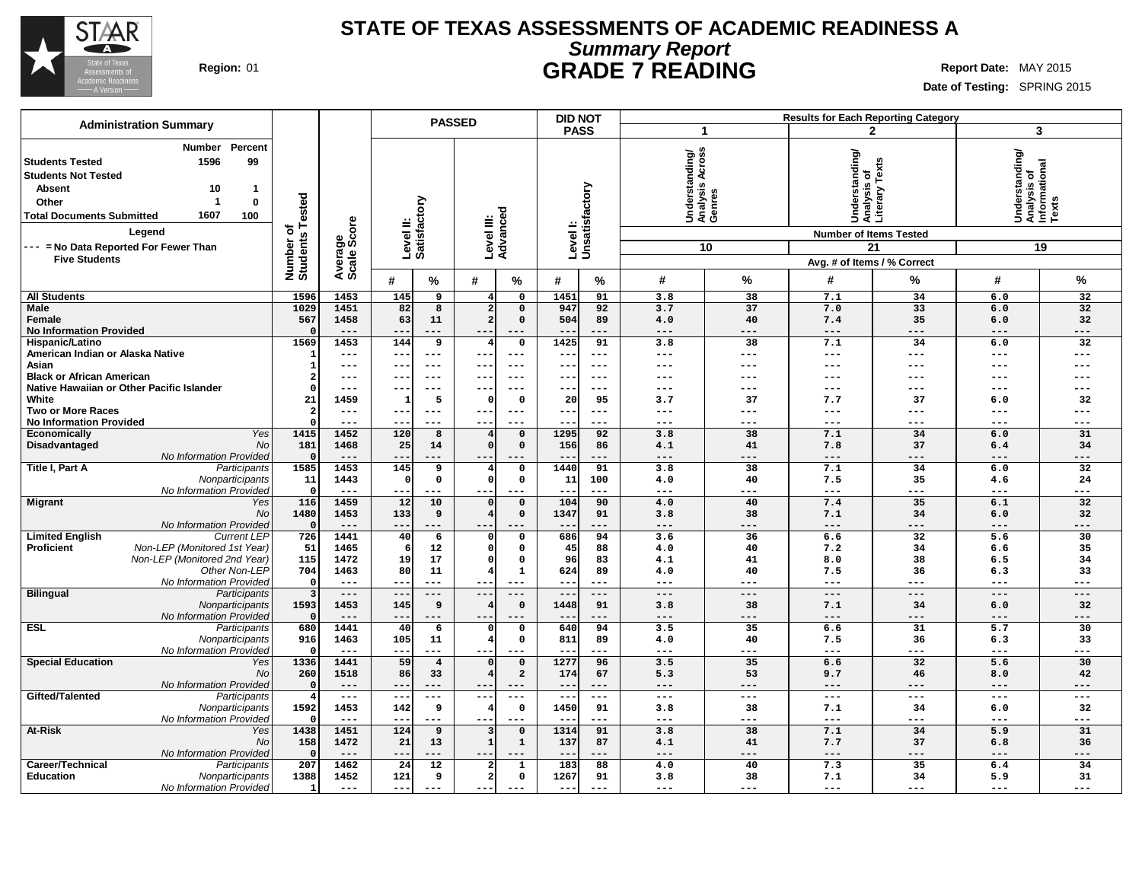

### **STATE OF TEXAS ASSESSMENTS OF ACADEMIC READINESS A Summary Report Region:** 01 **GRADE 7 READING Report Date:** MAY 2015

|                                                                                                                                                                                                                                                                                      |                                          |                                |                             | <b>PASSED</b>                  |                        |               | <b>DID NOT</b>    |                                             |                | <b>Results for Each Reporting Category</b>               |                                                                    |                                                            |                 |
|--------------------------------------------------------------------------------------------------------------------------------------------------------------------------------------------------------------------------------------------------------------------------------------|------------------------------------------|--------------------------------|-----------------------------|--------------------------------|------------------------|---------------|-------------------|---------------------------------------------|----------------|----------------------------------------------------------|--------------------------------------------------------------------|------------------------------------------------------------|-----------------|
| <b>Administration Summary</b>                                                                                                                                                                                                                                                        |                                          |                                |                             |                                |                        |               | <b>PASS</b>       |                                             | $\overline{1}$ |                                                          | 2                                                                  |                                                            | 3               |
| <b>Number</b><br>Percent<br><b>Students Tested</b><br>1596<br>99<br><b>Students Not Tested</b><br><b>Absent</b><br>10<br>-1<br>-1<br>$\bf{0}$<br>Other<br>1607<br>100<br><b>Total Documents Submitted</b><br>Legend<br>--- = No Data Reported For Fewer Than<br><b>Five Students</b> | ested<br>۴<br>৳<br>Number o'<br>Students | ige<br>Score<br>Avera<br>Scale | ξ<br>Level II:<br>Satisfact |                                | Level III:<br>Advanced | Level I:      | Unsatisfactory    | Understanding/<br>Analysis Across<br>Genres | 10             | tanding/<br>ত<br>ō<br>Š<br><b>Number of Items Tested</b> | Analysis of<br>Literary Texts<br>21<br>Avg. # of Items / % Correct | Understanding/<br> Analysis of<br> Informational<br> Texts | 19              |
|                                                                                                                                                                                                                                                                                      |                                          |                                | #<br>%                      | #                              | %                      | #             | %                 | #                                           | $\%$           | #                                                        | %                                                                  | #                                                          | %               |
| <b>All Students</b>                                                                                                                                                                                                                                                                  | 1596                                     | 1453                           | 145<br>9                    | 4                              | 0                      | 1451          | 91                | 3.8                                         | 38             | 7.1                                                      | 34                                                                 | 6.0                                                        | 32              |
| Male                                                                                                                                                                                                                                                                                 | 1029                                     | 1451                           | 82<br>$\overline{8}$        | $\overline{a}$                 | $\mathbf 0$            | 947           | 92                | 3.7                                         | 37             | 7.0                                                      | $\overline{33}$                                                    | 6.0                                                        | 32              |
| Female                                                                                                                                                                                                                                                                               | 567                                      | 1458                           | 63<br>11                    | $\overline{2}$                 | $\Omega$               | 504           | 89                | 4.0                                         | 40             | 7.4                                                      | 35                                                                 | 6.0                                                        | 32              |
| <b>No Information Provided</b>                                                                                                                                                                                                                                                       |                                          | $---$                          | $- -$<br>$---$              |                                | ---                    | --            | ---               | $---$                                       | $---$          | $---$                                                    | ---                                                                | $---$                                                      | ---             |
| <b>Hispanic/Latino</b>                                                                                                                                                                                                                                                               | 1569                                     | 1453                           | 144<br>9                    |                                | $\mathbf 0$            | 1425          | 91                | 3.8                                         | 38             | 7.1                                                      | 34                                                                 | 6.0                                                        | $\overline{32}$ |
| American Indian or Alaska Native                                                                                                                                                                                                                                                     | 1                                        | $---$                          | $---$<br>--                 | ---                            | ---                    | ---           | $---$             | $--$                                        | $---$          | ---                                                      | $---$                                                              | $---$                                                      | ---             |
| Asian                                                                                                                                                                                                                                                                                | 1                                        | $\qquad \qquad - -$            | $\qquad \qquad - -$         |                                | $---$                  | --            | $\qquad \qquad -$ | ---                                         | ---            | ---                                                      | ---                                                                | ---                                                        | ---             |
| <b>Black or African American</b>                                                                                                                                                                                                                                                     | $\mathbf{2}$                             | $---$                          | $---$                       |                                | $---$                  | --            | $---$             | $--$                                        | ---            | ---                                                      | ---                                                                | ---                                                        | ---             |
| Native Hawaiian or Other Pacific Islander                                                                                                                                                                                                                                            | $\Omega$                                 | $---$                          | $---$                       | $- -$                          | $---$                  | ---           | $- - -$           | $---$                                       | $---$          | $---$                                                    | $---$                                                              | ---                                                        | ---             |
| White<br><b>Two or More Races</b>                                                                                                                                                                                                                                                    | 21<br>$\overline{\mathbf{2}}$            | 1459<br>$\qquad \qquad - -$    | 5<br>$---$<br>--            | $\Omega$                       | $\Omega$<br>$---$      | 20            | 95<br>$---$       | 3.7<br>$--$                                 | 37<br>$---$    | 7.7<br>$---$                                             | 37<br>$- - -$                                                      | 6.0<br>$---$                                               | 32<br>---       |
| <b>No Information Provided</b>                                                                                                                                                                                                                                                       | $\Omega$                                 | $---$                          | $---$<br>--                 | ---<br>$- -$                   | $---$                  | ---<br>$- -$  | $---$             | $---$                                       | $---$          | $---$                                                    | $---$                                                              | $\qquad \qquad - -$                                        | ---             |
| Yes<br>Economically                                                                                                                                                                                                                                                                  | 1415                                     | 1452                           | 120<br>8                    |                                | $\mathbf 0$            | 1295          | 92                | 3.8                                         | 38             | 7.1                                                      | 34                                                                 | 6.0                                                        | 31              |
| Disadvantaged<br>No                                                                                                                                                                                                                                                                  | 181                                      | 1468                           | 25<br>14                    | $\Omega$                       | $\mathbf 0$            | 156           | 86                | 4.1                                         | 41             | 7.8                                                      | 37                                                                 | 6.4                                                        | 34              |
| No Information Provided                                                                                                                                                                                                                                                              | $\Omega$                                 | $---$                          |                             |                                |                        | --            | $---$             | $---$                                       | $---$          | $---$                                                    | ---                                                                | ---                                                        | ---             |
| Title I, Part A<br>Participants                                                                                                                                                                                                                                                      | 1585                                     | 1453                           | 145<br>9                    | 4                              | $\mathbf 0$            | 1440          | 91                | 3.8                                         | 38             | 7.1                                                      | 34                                                                 | 6.0                                                        | 32              |
| Nonparticipants                                                                                                                                                                                                                                                                      | 11                                       | 1443                           | 0<br>n                      | $\Omega$                       | 0                      | 11            | 100               | 4.0                                         | 40             | 7.5                                                      | 35                                                                 | 4.6                                                        | 24              |
| No Information Provided                                                                                                                                                                                                                                                              | $\Omega$                                 | $\frac{1}{2}$                  | $---$<br>--                 | ---                            | ---                    | ---           | $---$             | $---$                                       | $---$          | $---$                                                    | ---                                                                | $\qquad \qquad - -$                                        | ---             |
| <b>Migrant</b><br>Yes                                                                                                                                                                                                                                                                | 116                                      | 1459                           | 12<br>10                    | $\Omega$                       | $\mathbf 0$            | 104           | 90                | 4.0                                         | 40             | 7.4                                                      | 35                                                                 | 6.1                                                        | 32              |
| No                                                                                                                                                                                                                                                                                   | 1480                                     | 1453                           | 133<br>9                    | $\overline{4}$                 | $\mathbf 0$            | 1347          | 91                | 3.8                                         | 38             | 7.1                                                      | 34                                                                 | 6.0                                                        | 32              |
| No Information Provided                                                                                                                                                                                                                                                              | $\Omega$                                 | $---$                          | ---                         |                                |                        | $- -$         | $---$             | $---$                                       | $---$          | $---$                                                    | ---                                                                | $---$                                                      | ---             |
| <b>Limited English</b><br><b>Current LEP</b>                                                                                                                                                                                                                                         | 726                                      | 1441                           | 40<br>6                     | 0                              | 0                      | 686           | 94                | 3.6                                         | 36             | 6.6                                                      | $\overline{32}$                                                    | 5.6                                                        | 30              |
| Non-LEP (Monitored 1st Year)<br><b>Proficient</b>                                                                                                                                                                                                                                    | 51                                       | 1465                           | 12<br>6                     | $\mathbf 0$                    | 0                      | 45            | 88                | 4.0                                         | 40             | 7.2                                                      | 34                                                                 | 6.6                                                        | 35              |
| Non-LEP (Monitored 2nd Year)                                                                                                                                                                                                                                                         | 115                                      | 1472                           | 19<br>17                    | $\Omega$                       | $\mathbf 0$            | 96            | 83                | 4.1                                         | 41             | 8.0                                                      | 38                                                                 | 6.5                                                        | 34              |
| Other Non-LEP                                                                                                                                                                                                                                                                        | 704                                      | 1463                           | 80<br>11                    | $\overline{\bf{4}}$            | $\mathbf{1}$           | 624           | 89                | 4.0                                         | 40             | 7.5                                                      | 36                                                                 | 6.3                                                        | 33              |
| No Information Provideo<br><b>Bilingual</b><br>Participants                                                                                                                                                                                                                          | $\Omega$<br>$\overline{\mathbf{3}}$      | $\frac{1}{2}$<br>$---$         | --<br>$---$<br>$-$<br>$---$ | $- -$                          | $---$<br>$---$         | $-$<br>$---$  | $---$<br>$---$    | $---$<br>$---$                              | ---<br>$---$   | ---<br>$---$                                             | ---<br>$---$                                                       | ---<br>$---$                                               | ---<br>---      |
| Nonparticipants                                                                                                                                                                                                                                                                      | 1593                                     | 1453                           | 145<br>9                    | $\overline{a}$                 | $\mathbf 0$            | 1448          | 91                | 3.8                                         | 38             | 7.1                                                      | 34                                                                 | 6.0                                                        | 32              |
| No Information Provideo                                                                                                                                                                                                                                                              |                                          | $---$                          | ---                         |                                |                        |               | $---$             | $---$                                       | $---$          | $---$                                                    | ---                                                                | $---$                                                      | ---             |
| <b>ESL</b><br>Participants                                                                                                                                                                                                                                                           | 680                                      | 1441                           | 40<br>6                     |                                | 0                      | 640           | 94                | 3.5                                         | 35             | 6.6                                                      | 31                                                                 | 5.7                                                        | 30              |
| Nonparticipants                                                                                                                                                                                                                                                                      | 916                                      | 1463                           | 105<br>11                   | $\overline{4}$                 | $\mathbf 0$            | 811           | 89                | 4.0                                         | 40             | 7.5                                                      | 36                                                                 | 6.3                                                        | 33              |
| No Information Provided                                                                                                                                                                                                                                                              |                                          | $---$                          | $---$                       | $- -$                          |                        | $- -$         | $---$             | $--$                                        | $---$          | ---                                                      | ---                                                                | $---$                                                      | ---             |
| <b>Special Education</b><br>Yes                                                                                                                                                                                                                                                      | 1336                                     | 1441                           | 59<br>$\overline{4}$        | 0                              | $\mathsf{o}\,$         | 1277          | 96                | 3.5                                         | 35             | 6.6                                                      | 32                                                                 | 5.6                                                        | 30              |
| No                                                                                                                                                                                                                                                                                   | 260                                      | 1518                           | 86<br>33                    |                                | $\overline{a}$         | 174           | 67                | 5.3                                         | 53             | 9.7                                                      | 46                                                                 | 8.0                                                        | 42              |
| No Information Provided                                                                                                                                                                                                                                                              | $\Omega$                                 | $---$                          | --<br>$---$                 | $- - -$                        | ---                    | ---           | $---$             | $---$                                       | $---$          | $---$                                                    | $---$                                                              | $---$                                                      | ---             |
| Gifted/Talented<br>Participants                                                                                                                                                                                                                                                      | 4                                        | $\qquad \qquad - -$            | $\qquad \qquad - -$<br>--   | $ -$                           | $---$                  | $---$         | $---$             | $- - -$                                     | $---$          | $---$                                                    | $---$                                                              | $- - -$                                                    | ---             |
| Nonparticipants                                                                                                                                                                                                                                                                      | 1592                                     | 1453                           | 9<br>142                    |                                | $\mathbf 0$            | 1450          | 91                | 3.8                                         | 38             | 7.1                                                      | 34                                                                 | 6.0                                                        | 32              |
| No Information Provided                                                                                                                                                                                                                                                              | $\Omega$                                 | $---$                          | $---$                       | $- -$                          | $---$                  | $- -$         | $---$             | $---$                                       | $---$          | $---$                                                    | $---$                                                              | $---$                                                      | ---             |
| At-Risk<br>Yes                                                                                                                                                                                                                                                                       | 1438                                     | 1451                           | 124<br>9                    | 3                              | $\mathsf{o}\,$         | 1314          | 91                | 3.8                                         | 38             | 7.1                                                      | 34                                                                 | 5.9                                                        | 31              |
| No                                                                                                                                                                                                                                                                                   | 158                                      | 1472                           | 21<br>13                    | 1                              | $\mathbf{1}$           | 137           | 87                | 4.1                                         | 41             | 7.7                                                      | 37                                                                 | 6.8                                                        | 36              |
| No Information Provided                                                                                                                                                                                                                                                              | $\Omega$                                 | $---$                          | --<br>$---$                 |                                | ---                    | $- -$         | $---$             | $---$                                       | $---$          | $---$                                                    | ---                                                                | $---$                                                      | ---             |
| Career/Technical<br>Participants                                                                                                                                                                                                                                                     | 207                                      | 1462                           | 24<br>12<br>121             |                                | $\mathbf 1$            | 183           | 88                | 4.0                                         | 40             | 7.3                                                      | 35                                                                 | 6.4                                                        | 34              |
| <b>Education</b><br>Nonparticipants<br>No Information Provided                                                                                                                                                                                                                       | 1388<br>1                                | 1452<br>$\frac{1}{2}$          | 9<br>---<br>$- - -$         | $\overline{\mathbf{2}}$<br>--- | $\mathbf 0$<br>$---$   | 1267<br>$---$ | 91<br>$- - -$     | 3.8<br>$--$                                 | 38<br>$---$    | 7.1<br>$---$                                             | 34<br>$---$                                                        | 5.9<br>$- - -$                                             | 31<br>---       |
|                                                                                                                                                                                                                                                                                      |                                          |                                |                             |                                |                        |               |                   |                                             |                |                                                          |                                                                    |                                                            |                 |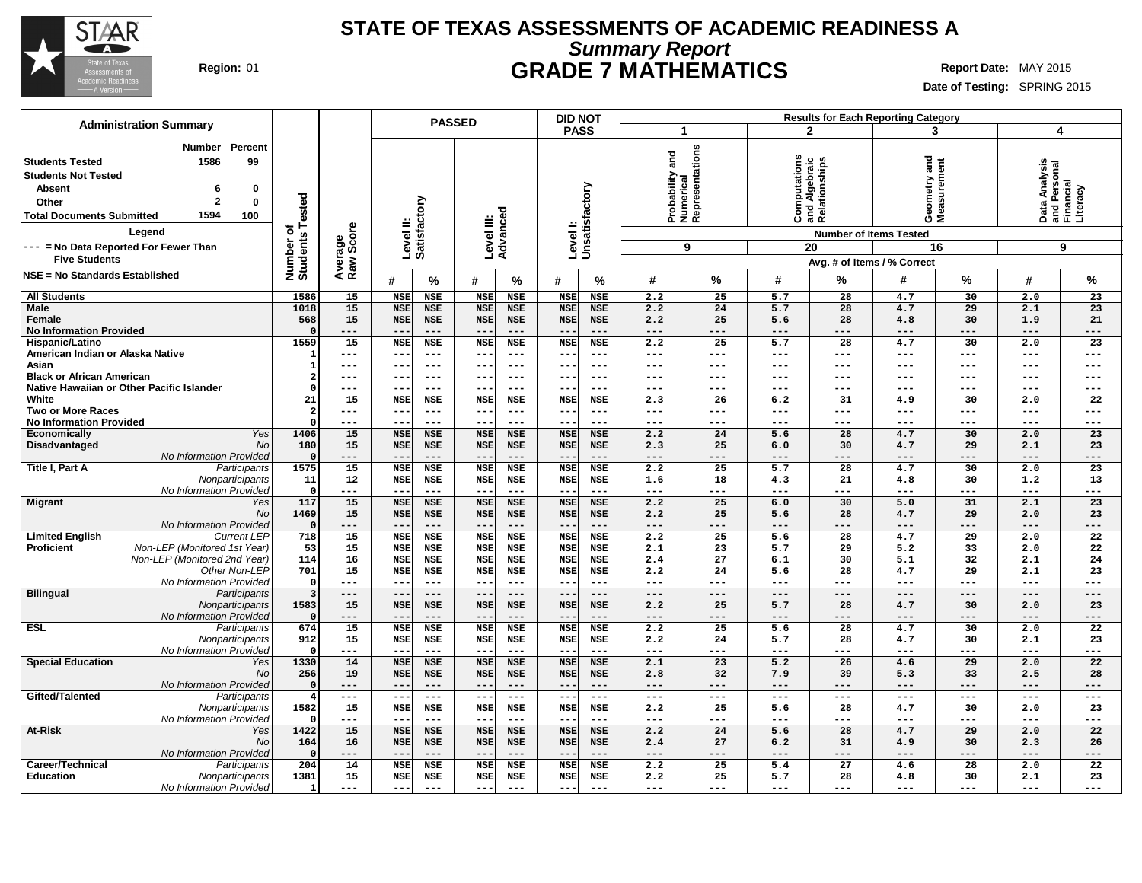

### **STATE OF TEXAS ASSESSMENTS OF ACADEMIC READINESS A Summary Report Region:** 01 **GRADE 7 MATHEMATICS Report Date:** MAY 2015

| <b>Administration Summary</b>                                                                                                                                                                                                                                                                |                                     |                      | <b>PASSED</b>             |                          |                          |                          | DID NOT                         |                          | <b>Results for Each Reporting Category</b>      |              |                                                |                                     |                                                                   |                              |                                                             |                 |
|----------------------------------------------------------------------------------------------------------------------------------------------------------------------------------------------------------------------------------------------------------------------------------------------|-------------------------------------|----------------------|---------------------------|--------------------------|--------------------------|--------------------------|---------------------------------|--------------------------|-------------------------------------------------|--------------|------------------------------------------------|-------------------------------------|-------------------------------------------------------------------|------------------------------|-------------------------------------------------------------|-----------------|
|                                                                                                                                                                                                                                                                                              |                                     |                      |                           |                          |                          |                          | <b>PASS</b>                     |                          | $\mathbf 1$                                     |              | $\mathbf{2}$                                   |                                     | 3                                                                 |                              | $\overline{4}$                                              |                 |
| <b>Number</b><br>Percent<br>1586<br>99<br><b>Students Tested</b><br><b>Students Not Tested</b><br><b>Absent</b><br>0<br>6<br>$\mathbf{2}$<br>Other<br>$\bf{0}$<br>1594<br><b>Total Documents Submitted</b><br>100<br>Legend<br>--- = No Data Reported For Fewer Than<br><b>Five Students</b> | Tested<br>৳<br>Number o<br>Students | Average<br>Raw Score | Level II:<br>Satisfactory |                          |                          | Level III:<br>Advanced   | Levell:<br>Unsatisfactory       |                          | Probability and<br>Numerical<br>Representations | 9            | Computations<br>and Algebraic<br>Relationships | <b>Number of Items Tested</b><br>20 | and<br>Geometry and<br>Measurement<br>Avg. # of Items / % Correct | 16                           | Data Analysis<br>and Personal<br>Financial<br>Literacy<br>9 |                 |
| NSE = No Standards Established                                                                                                                                                                                                                                                               |                                     |                      |                           |                          |                          |                          |                                 |                          |                                                 |              |                                                |                                     |                                                                   |                              |                                                             |                 |
|                                                                                                                                                                                                                                                                                              |                                     |                      | #                         | %                        | #                        | %                        | #                               | %                        | #                                               | %            | #                                              | %                                   | #                                                                 | $\%$                         | #                                                           | $\%$            |
| <b>All Students</b><br><b>Male</b>                                                                                                                                                                                                                                                           | 1586<br>1018                        | 15<br>15             | <b>NSE</b><br><b>NSE</b>  | <b>NSE</b><br><b>NSE</b> | <b>NSE</b><br><b>NSE</b> | <b>NSE</b><br><b>NSE</b> | <b>NSE</b><br><b>NSE</b>        | <b>NSE</b><br><b>NSE</b> | 2.2<br>2.2                                      | 25<br>24     | 5.7<br>5.7                                     | 28<br>28                            | 4.7<br>4.7                                                        | 30<br>29                     | 2.0<br>2.1                                                  | 23<br>23        |
| Female                                                                                                                                                                                                                                                                                       | 568                                 | 15                   | <b>NSE</b>                | <b>NSE</b>               | <b>NSE</b>               | <b>NSE</b>               | <b>NSE</b>                      | <b>NSE</b>               | 2.2                                             | 25           | 5.6                                            | 28                                  | 4.8                                                               | 30                           | 1.9                                                         | 21              |
| <b>No Information Provided</b>                                                                                                                                                                                                                                                               | $\Omega$                            | ---                  | $- -$                     | $- - -$                  | $- -$                    | $- - -$                  | $ -$                            | $- - -$                  | $---$                                           | $- - -$      | ---                                            | ---                                 | $---$                                                             | $---$                        | $- - -$                                                     | $---$           |
| Hispanic/Latino                                                                                                                                                                                                                                                                              | 1559                                | 15                   | <b>NSE</b>                | <b>NSE</b>               | <b>NSE</b>               | <b>NSE</b>               | <b>NSE</b>                      | <b>NSE</b>               | 2.2                                             | 25           | 5.7                                            | 28                                  | 4.7                                                               | 30                           | 2.0                                                         | 23              |
| American Indian or Alaska Native                                                                                                                                                                                                                                                             |                                     | ---                  | $- -$                     | $---$                    | $- -$                    | $-- -$                   |                                 | $---$                    | $--$                                            | $---$        | ---                                            | ---                                 | $---$                                                             | $- - -$                      | $---$                                                       | $---$           |
| Asian                                                                                                                                                                                                                                                                                        |                                     | $---$                | $- -$                     | $---$                    | $- -$                    | $- - -$                  | $- -$                           | $---$                    | $---$                                           | $---$        | $---$                                          | $---$                               | $---$                                                             | $\qquad \qquad - -$          | $- - -$                                                     | $---$           |
| <b>Black or African American</b><br>Native Hawaiian or Other Pacific Islander                                                                                                                                                                                                                | 2<br>$\Omega$                       | $---$<br>$---$       | $-$<br>$- -$              | $---$<br>$---$           | $--$<br>$- -$            | $---$<br>$- - -$         | $- -$<br>$ -$                   | $---$<br>$---$           | $---$<br>$---$                                  | $---$<br>--- | ---<br>---                                     | ---<br>---                          | $---$<br>---                                                      | $\qquad \qquad - -$<br>$---$ | $- - -$<br>$- - -$                                          | $---$<br>$---$  |
| White                                                                                                                                                                                                                                                                                        | 21                                  | 15                   | <b>NSE</b>                | <b>NSE</b>               | <b>NSE</b>               | NSE                      | <b>NSE</b>                      | <b>NSE</b>               | 2.3                                             | 26           | 6.2                                            | 31                                  | 4.9                                                               | 30                           | 2.0                                                         | 22              |
| <b>Two or More Races</b>                                                                                                                                                                                                                                                                     | $\overline{2}$                      | $---$                | $- -$                     | $---$                    | $- -$                    | $- - -$                  | $- -$                           | $- - -$                  | $---$                                           | ---          | ---                                            | $---$                               | $---$                                                             | $---$                        | $- - -$                                                     | $---$           |
| <b>No Information Provided</b>                                                                                                                                                                                                                                                               | $\Omega$                            | $---$                | $ -$                      | $---$                    | $- -$                    | $- - -$                  |                                 | $- - -$                  | $- - -$                                         | ---          | ---                                            | ---                                 | $---$                                                             | $---$                        | $- - -$                                                     | $---$           |
| Yes<br>Economically                                                                                                                                                                                                                                                                          | 1406                                | 15                   | <b>NSE</b>                | <b>NSE</b>               | <b>NSE</b>               | NSE                      | <b>NSE</b>                      | <b>NSE</b>               | 2.2                                             | 24           | 5.6                                            | 28                                  | 4.7                                                               | 30                           | 2.0                                                         | 23              |
| Disadvantaged<br>No<br>No Information Provideo                                                                                                                                                                                                                                               | 180<br>$\Omega$                     | 15                   | <b>NSE</b><br>$-$         | <b>NSE</b><br>$---$      | <b>NSE</b><br>$--$       | NSE<br>$---$             | <b>NSE</b>                      | <b>NSE</b><br>$---$      | 2.3                                             | 25<br>---    | 6.0                                            | 30<br>---                           | 4.7<br>$---$                                                      | 29<br>---                    | 2.1<br>$---$                                                | 23<br>$---$     |
| Title I, Part A<br>Participants                                                                                                                                                                                                                                                              | 1575                                | ---<br>15            | <b>NSE</b>                | <b>NSE</b>               | <b>NSE</b>               | NSE                      | <b>NSE</b>                      | <b>NSE</b>               | $---$<br>2.2                                    | 25           | ---<br>5.7                                     | 28                                  | 4.7                                                               | 30                           | 2.0                                                         | 23              |
| Nonparticipants                                                                                                                                                                                                                                                                              | 11                                  | 12                   | <b>NSE</b>                | <b>NSE</b>               | <b>NSE</b>               | NSE                      | <b>NSE</b>                      | NSE                      | 1.6                                             | 18           | 4.3                                            | 21                                  | 4.8                                                               | 30                           | 1.2                                                         | 13              |
| No Information Provided                                                                                                                                                                                                                                                                      | $\Omega$                            | ---                  | $-$                       | $- - -$                  | $ -$                     | $- - -$                  |                                 | $- - -$                  | $---$                                           | ---          | ---                                            | ---                                 | $- - -$                                                           | ---                          | $- - -$                                                     | $---$           |
| <b>Migrant</b><br>Yes                                                                                                                                                                                                                                                                        | 117                                 | 15                   | <b>NSE</b>                | <b>NSE</b>               | <b>NSE</b>               | NSE                      | <b>NSE</b>                      | <b>NSE</b>               | 2.2                                             | 25           | 6.0                                            | 30                                  | 5.0                                                               | 31                           | 2.1                                                         | 23              |
| No                                                                                                                                                                                                                                                                                           | 1469<br>$\Omega$                    | 15<br>$---$          | <b>NSE</b><br>$- -$       | <b>NSE</b><br>$---$      | <b>NSE</b><br>$--$       | NSE<br>$---$             | <b>NSE</b><br>$\qquad \qquad -$ | <b>NSE</b><br>$---$      | 2.2<br>$---$                                    | 25<br>$---$  | 5.6<br>$---$                                   | 28<br>$-- -$                        | 4.7<br>$---$                                                      | 29<br>$\qquad \qquad - -$    | 2.0<br>$---$                                                | 23<br>$---$     |
| No Information Provided<br><b>Limited English</b><br><b>Current LEP</b>                                                                                                                                                                                                                      | 718                                 | 15                   | <b>NSE</b>                | <b>NSE</b>               | <b>NSE</b>               | <b>NSE</b>               | <b>NSE</b>                      | <b>NSE</b>               | 2.2                                             | 25           | 5.6                                            | 28                                  | 4.7                                                               | $\overline{29}$              | 2.0                                                         | $\overline{22}$ |
| Non-LEP (Monitored 1st Year)<br>Proficient                                                                                                                                                                                                                                                   | 53                                  | 15                   | <b>NSE</b>                | <b>NSE</b>               | <b>NSE</b>               | <b>NSE</b>               | <b>NSE</b>                      | <b>NSE</b>               | 2.1                                             | 23           | 5.7                                            | 29                                  | 5.2                                                               | 33                           | 2.0                                                         | 22              |
| Non-LEP (Monitored 2nd Year)                                                                                                                                                                                                                                                                 | 114                                 | 16                   | <b>NSE</b>                | <b>NSE</b>               | <b>NSE</b>               | NSE                      | <b>NSE</b>                      | <b>NSE</b>               | 2.4                                             | 27           | 6.1                                            | 30                                  | 5.1                                                               | 32                           | 2.1                                                         | 24              |
| Other Non-LEF                                                                                                                                                                                                                                                                                | 701                                 | 15                   | <b>NSE</b>                | <b>NSE</b>               | <b>NSE</b>               | NSE                      | <b>NSE</b>                      | <b>NSE</b>               | 2.2                                             | 24           | 5.6                                            | 28                                  | 4.7                                                               | 29                           | 2.1                                                         | 23              |
| No Information Provided                                                                                                                                                                                                                                                                      | $\Omega$                            | $---$                | $- -$                     | $---$                    | $- -$                    | $---$                    | $ -$                            | $- - -$                  | $---$                                           | $---$        | ---                                            | ---                                 | $---$                                                             | ---                          | $- - -$                                                     | $---$           |
| <b>Bilingual</b><br>Participants<br>Nonparticipants                                                                                                                                                                                                                                          | $\overline{3}$<br>1583              | $---$<br>15          | $- -$<br><b>NSE</b>       | $---$<br><b>NSE</b>      | $---$<br><b>NSE</b>      | $---$<br>NSE             | $- -$<br><b>NSE</b>             | $---$<br><b>NSE</b>      | $---$<br>2.2                                    | $---$<br>25  | $---$<br>5.7                                   | $---$<br>28                         | $---$<br>4.7                                                      | $---$<br>30                  | $\cdots$<br>2.0                                             | $---$<br>23     |
| No Information Provided                                                                                                                                                                                                                                                                      | $\Omega$                            | $---$                | $- -$                     | $---$                    | $\qquad \qquad -$        | $---$                    | $ -$                            | $---$                    | $---$                                           | $---$        | ---                                            | ---                                 | $---$                                                             | $---$                        | $- - -$                                                     | $---$           |
| <b>ESL</b><br>Participants                                                                                                                                                                                                                                                                   | 674                                 | 15                   | <b>NSE</b>                | <b>NSE</b>               | <b>NSE</b>               | <b>NSE</b>               | <b>NSE</b>                      | <b>NSE</b>               | 2.2                                             | 25           | 5.6                                            | 28                                  | 4.7                                                               | 30                           | 2.0                                                         | 22              |
| Nonparticipants                                                                                                                                                                                                                                                                              | 912                                 | 15                   | <b>NSE</b>                | <b>NSE</b>               | <b>NSE</b>               | <b>NSE</b>               | <b>NSE</b>                      | <b>NSE</b>               | 2.2                                             | 24           | 5.7                                            | 28                                  | 4.7                                                               | 30                           | 2.1                                                         | 23              |
| No Information Provideo                                                                                                                                                                                                                                                                      | $\Omega$                            | ---                  | $ -$                      | $---$                    | $- -$                    | $---$                    |                                 | $- - -$                  | $---$                                           | ---          | ---                                            | ---                                 | $- - -$                                                           | $---$                        | $---$                                                       | $---$           |
| <b>Special Education</b><br>Yes<br>No                                                                                                                                                                                                                                                        | 1330<br>256                         | 14<br>19             | <b>NSE</b><br><b>NSE</b>  | <b>NSE</b><br><b>NSE</b> | <b>NSE</b><br><b>NSE</b> | <b>NSE</b><br>NSE        | <b>NSE</b><br><b>NSE</b>        | <b>NSE</b><br>NSE        | 2.1<br>2.8                                      | 23<br>32     | 5.2<br>7.9                                     | 26<br>39                            | 4.6<br>5.3                                                        | 29<br>33                     | 2.0<br>2.5                                                  | 22<br>28        |
| No Information Provideo                                                                                                                                                                                                                                                                      | $\Omega$                            | $---$                | $-$                       | $---$                    | $- -$                    | $---$                    | $- -$                           | $---$                    | $---$                                           | $---$        | $---$                                          | $---$                               | $---$                                                             | $---$                        | $\qquad \qquad - -$                                         | $---$           |
| Gifted/Talented<br>Participants                                                                                                                                                                                                                                                              | $\overline{4}$                      | $---$                | $-$                       | $\qquad \qquad - -$      | $- -$                    | $---$                    | $- -$                           | $---$                    | $---$                                           | $---$        | $---$                                          | $---$                               | $---$                                                             | $- - -$                      | $---$                                                       | $---$           |
| Nonparticipants                                                                                                                                                                                                                                                                              | 1582                                | 15                   | <b>NSE</b>                | <b>NSE</b>               | <b>NSE</b>               | NSE                      | <b>NSE</b>                      | <b>NSE</b>               | 2.2                                             | 25           | 5.6                                            | 28                                  | 4.7                                                               | 30                           | 2.0                                                         | 23              |
| No Information Provided                                                                                                                                                                                                                                                                      | $\Omega$                            | ---                  | $-$                       | $---$                    | $- -$                    | $---$                    | $- -$                           | $---$                    | $--$                                            | $---$        | $---$                                          | ---                                 | $---$                                                             | $---$                        | $---$                                                       | $---$           |
| At-Risk<br>Yes                                                                                                                                                                                                                                                                               | 1422                                | 15                   | <b>NSE</b>                | <b>NSE</b>               | <b>NSE</b>               | <b>NSE</b>               | <b>NSE</b>                      | <b>NSE</b>               | 2.2                                             | 24           | 5.6                                            | $\overline{28}$                     | 4.7                                                               | $\overline{29}$              | 2.0                                                         | $\overline{22}$ |
| No<br>No Information Provideo                                                                                                                                                                                                                                                                | 164<br>$\Omega$                     | 16<br>---            | <b>NSE</b><br>$- -$       | <b>NSE</b><br>$---$      | <b>NSE</b><br>$- -$      | <b>NSE</b><br>$---$      | <b>NSE</b><br>$ -$              | <b>NSE</b><br>$- - -$    | 2.4<br>$--$                                     | 27<br>$---$  | 6.2<br>---                                     | 31<br>---                           | 4.9<br>$---$                                                      | 30<br>$---$                  | 2.3<br>$---$                                                | 26<br>$---$     |
| Career/Technical<br>Participants                                                                                                                                                                                                                                                             | 204                                 | 14                   | <b>NSE</b>                | <b>NSE</b>               | <b>NSE</b>               | <b>NSE</b>               | <b>NSE</b>                      | <b>NSE</b>               | 2.2                                             | 25           | 5.4                                            | 27                                  | 4.6                                                               | 28                           | 2.0                                                         | 22              |
| Education<br>Nonparticipants                                                                                                                                                                                                                                                                 | 1381                                | 15                   | <b>NSE</b>                | <b>NSE</b>               | <b>NSE</b>               | NSE                      | <b>NSE</b>                      | NSE                      | 2.2                                             | 25           | 5.7                                            | 28                                  | 4.8                                                               | 30                           | 2.1                                                         | 23              |
| No Information Provided                                                                                                                                                                                                                                                                      | 1                                   | ---                  | $--$                      | $---$                    | $- -$                    | $---$                    | $- -$                           | $---$                    | $---$                                           | $---$        | $---$                                          | ---                                 | $---$                                                             | $---$                        | $---$                                                       | $---$           |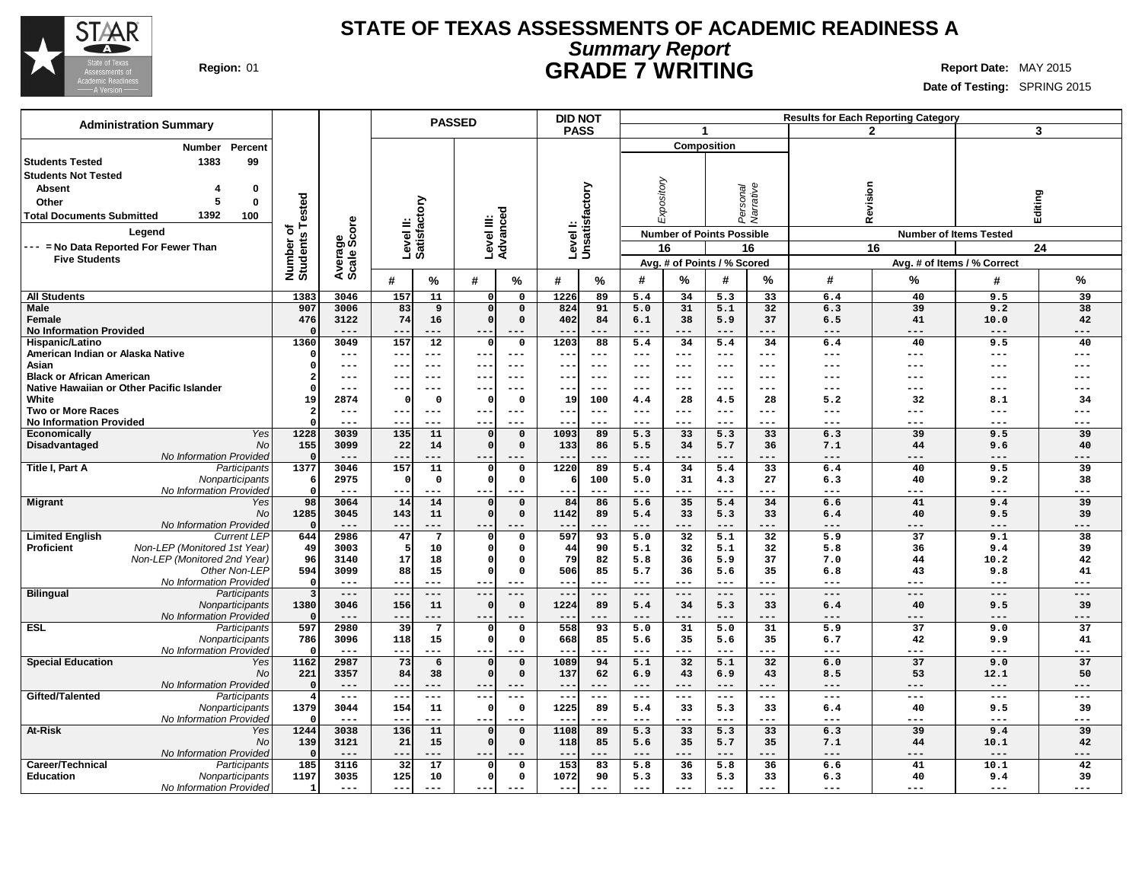

### **STATE OF TEXAS ASSESSMENTS OF ACADEMIC READINESS A Summary Report Region:** 01 **GRADE 7 WRITING Report Date:** MAY 2015

**Date of Testing:** SPRING 2015

|                                           | <b>Administration Summary</b>              |                            |                   |           |                        | <b>PASSED</b>        |                            | <b>DID NOT</b>            |                    |                |                                  |                    |                       |            | <b>Results for Each Reporting Category</b> |                               |                       |
|-------------------------------------------|--------------------------------------------|----------------------------|-------------------|-----------|------------------------|----------------------|----------------------------|---------------------------|--------------------|----------------|----------------------------------|--------------------|-----------------------|------------|--------------------------------------------|-------------------------------|-----------------------|
|                                           |                                            |                            |                   |           |                        |                      |                            | <b>PASS</b>               |                    |                | $\blacktriangleleft$             |                    |                       |            | $\mathbf{2}$                               |                               | $\mathbf{3}$          |
|                                           | <b>Number</b><br>Percent                   |                            |                   |           |                        |                      |                            |                           |                    |                |                                  | <b>Composition</b> |                       |            |                                            |                               |                       |
| <b>Students Tested</b>                    | 1383<br>99                                 |                            |                   |           |                        |                      |                            |                           |                    |                |                                  |                    |                       |            |                                            |                               |                       |
| <b>Students Not Tested</b>                |                                            |                            |                   |           |                        |                      |                            |                           |                    |                |                                  |                    |                       |            |                                            |                               |                       |
| <b>Absent</b>                             | $\bf{0}$                                   |                            |                   |           |                        |                      |                            |                           |                    |                | Expository                       |                    |                       |            |                                            |                               |                       |
| Other                                     | 5<br>$\mathbf 0$                           |                            |                   |           |                        |                      |                            |                           |                    |                |                                  |                    | Personal<br>Narrative | Revision   |                                            | Editing                       |                       |
|                                           |                                            |                            |                   |           | ζq                     |                      |                            |                           |                    |                |                                  |                    |                       |            |                                            |                               |                       |
| <b>Total Documents Submitted</b>          | 1392<br>100                                | Tested                     |                   |           |                        |                      |                            |                           |                    |                |                                  |                    |                       |            |                                            |                               |                       |
|                                           | Legend                                     | ত<br>Number of<br>Students | ge<br>Score       |           | Level II:<br>Satisfact |                      | Level III:<br>Advanced     | Levell:<br>Unsatisfactory |                    |                | <b>Number of Points Possible</b> |                    |                       |            |                                            | <b>Number of Items Tested</b> |                       |
|                                           | --- = No Data Reported For Fewer Than      |                            |                   |           |                        |                      |                            |                           |                    |                | 16                               |                    | 16                    |            | 16                                         |                               | 24                    |
| <b>Five Students</b>                      |                                            |                            | Average:          |           |                        |                      |                            |                           |                    |                | Avg. # of Points / % Scored      |                    |                       |            | Avg. # of Items / % Correct                |                               |                       |
|                                           |                                            |                            |                   |           |                        |                      |                            |                           |                    |                |                                  |                    |                       |            |                                            |                               |                       |
|                                           |                                            |                            |                   | #         | %                      | #                    | ℅                          | #                         | %                  | #              | ℅                                | #                  | %                     | #          | ℅                                          | #                             | %                     |
| <b>All Students</b>                       |                                            | 1383                       | 3046              | 157       | 11                     | $\mathbf{0}$         | $\mathbf 0$                | 1226                      | 89                 | 5.4            | 34                               | 5.3                | 33                    | 6.4        | 40                                         | 9.5                           | 39                    |
| <b>Male</b>                               |                                            | 907                        | 3006              | 83        | 9                      | $\Omega$             | $\mathbf 0$                | 824                       | 91                 | 5.0            | 31                               | 5.1                | 32                    | 6.3        | 39                                         | 9.2                           | 38                    |
| <b>Female</b>                             |                                            | 476                        | 3122              | 74        | 16                     | $\Omega$             | $\mathbf 0$                | 402                       | 84                 | 6.1            | 38                               | 5.9                | 37                    | 6.5        | 41                                         | 10.0                          | 42                    |
| <b>No Information Provided</b>            |                                            | $\Omega$                   | $- - -$           | $- -$     | ---                    | $ -$                 |                            | $- -$                     | $- -$              | $- - -$        | $- - -$                          | ---                | $- - -$               | ---        | $- - -$                                    |                               | ---                   |
| Hispanic/Latino                           |                                            | 1360                       | 3049              | 157       | 12                     | $\mathbf{0}$         | $\mathbf 0$                | 1203                      | 88                 | 5.4            | 34                               | 5.4                | 34                    | 6.4        | 40                                         | 9.5                           | 40                    |
| American Indian or Alaska Native<br>Asian |                                            | $\Omega$<br>$\Omega$       | $---$<br>$---$    | $- -$     | $---$<br>$---$         | $--$<br>$- -$        | $---$<br>$--$              | $\qquad \qquad -$         | $- - -$<br>$- - -$ | $---$<br>$---$ | $---$<br>$- - -$                 | ---<br>---         | $---$<br>$---$        | ---        | $---$<br>---                               | ---<br>---                    | ---<br>---            |
| <b>Black or African American</b>          |                                            | $\overline{2}$             | ---               | --        | $---$                  | --                   | ---                        | ---<br>$- -$              | $- - -$            | $---$          | $---$                            | ---                | $---$                 | ---<br>--- | ---                                        | ---                           |                       |
|                                           | Native Hawaiian or Other Pacific Islander  | $\Omega$                   | ---               |           | $---$                  | $ -$                 | ---                        | $- -$                     | $- - -$            | $---$          | ---                              | ---                | $--$                  | ---        | ---                                        | ---                           | ---                   |
| White                                     |                                            | 19                         | 2874              |           | $\Omega$               | $\Omega$             | $\mathbf 0$                | 19                        | 100                | 4.4            | 28                               | 4.5                | 28                    | 5.2        | 32                                         | 8.1                           | 34                    |
| <b>Two or More Races</b>                  |                                            | $\overline{2}$             | $---$             |           | $---$                  | $- -$                | $---$                      | $---$                     | $--$               | $---$          | $---$                            | ---                | $---$                 | ---        | ---                                        | ---                           | ---                   |
| <b>No Information Provided</b>            |                                            | $\Omega$                   | $- - -$           | --        | $---$                  | $- -$                | ---                        | $- -$                     | $- - -$            | $- - -$        | $- - -$                          | ---                | $---$                 | ---        | $---$                                      | ---                           | ---                   |
| <b>Economically</b>                       | Yes                                        | 1228                       | 3039              | 135       | 11                     | $\Omega$             | $\mathbf 0$                | 1093                      | 89                 | 5.3            | 33                               | 5.3                | 33                    | 6.3        | 39                                         | 9.5                           | 39                    |
| Disadvantaged                             | No                                         | 155                        | 3099              | 22        | 14                     | $\Omega$             | $\mathbf 0$                | 133                       | 86                 | 5.5            | 34                               | 5.7                | 36                    | 7.1        | 44                                         | 9.6                           | 40                    |
|                                           | No Information Provided                    | $\Omega$                   | ---               |           | ---                    |                      | ---                        | $- -$                     |                    | $---$          | ---                              | ---                | ---                   | ---        | ---                                        | ---                           | ---                   |
| Title I, Part A                           | Participants                               | 1377                       | 3046              | 157       | 11                     | $\mathbf 0$          | $\mathbf{o}$               | 1220                      | 89                 | 5.4            | 34                               | 5.4                | 33                    | 6.4        | 40                                         | 9.5                           | 39                    |
|                                           | Nonparticipants                            | 6                          | 2975              | 0         | 0                      | $\Omega$             | 0                          | -6                        | 100                | 5.0            | 31                               | 4.3                | 27                    | 6.3        | 40                                         | 9.2                           | 38                    |
|                                           | No Information Provided                    | $\mathbf 0$                | $---$             | ÷÷        | ---                    | ---                  |                            | $- -$                     | $--$               | $---$          |                                  | ---                | ---                   | ---        | ---                                        | ---                           | ---                   |
| <b>Migrant</b>                            | Yes<br><b>No</b>                           | 98<br>1285                 | 3064<br>3045      | 14<br>143 | 14<br>11               | $\Omega$<br>$\Omega$ | $\mathbf 0$<br>$\mathbf 0$ | 84<br>1142                | 86<br>89           | 5.6<br>5.4     | 35<br>33                         | 5.4<br>5.3         | 34<br>33              | 6.6<br>6.4 | 41<br>40                                   | 9.4<br>9.5                    | 39<br>39              |
|                                           | No Information Provided                    | $\Omega$                   | $---$             | --        | ---                    | ---                  | ---                        | $- -$                     | $---$              | $---$          | ---                              | ---                | ---                   | ---        | ---                                        | $---$                         | ---                   |
| <b>Limited English</b>                    | <b>Current LEP</b>                         | 644                        | 2986              | 47        | $\overline{7}$         | $\Omega$             | 0                          | 597                       | 93                 | 5.0            | $\overline{32}$                  | 5.1                | 32                    | 5.9        | 37                                         | 9.1                           | 38                    |
| <b>Proficient</b>                         | Non-LEP (Monitored 1st Year)               | 49                         | 3003              | 5         | 10                     | $\Omega$             | $\Omega$                   | 44                        | 90                 | 5.1            | 32                               | 5.1                | 32                    | 5.8        | 36                                         | 9.4                           | 39                    |
|                                           | Non-LEP (Monitored 2nd Year                | 96                         | 3140              | 17        | 18                     | $\Omega$             | $\Omega$                   | 79                        | 82                 | 5.8            | 36                               | 5.9                | 37                    | 7.0        | 44                                         | 10.2                          | 42                    |
|                                           | Other Non-LEP                              | 594                        | 3099              | 88        | 15                     | $\Omega$             | $\mathbf 0$                | 506                       | 85                 | 5.7            | 36                               | 5.6                | 35                    | 6.8        | 43                                         | 9.8                           | 41                    |
|                                           | No Information Provided                    | $\Omega$                   | $---$             | $- -$     | $---$                  |                      | $---$                      | $- -$                     | $- - -$            | $---$          | $- - -$                          | ---                | $---$                 | ---        | ---                                        | ---                           | ---                   |
| <b>Bilingual</b>                          | Participants                               | $\overline{\mathbf{3}}$    | $---$             | $- -$     | $\qquad \qquad - -$    | $- -$                | $---$                      | $- -$                     | ---                | $---$          | $---$                            | ---                | $---$                 | ---        | $---$                                      | $\qquad \qquad - -$           | ---                   |
|                                           | Nonparticipants                            | 1380                       | 3046              | 156       | 11                     | $\Omega$             | $\mathsf{o}\,$             | 1224                      | 89                 | 5.4            | 34                               | 5.3                | 33                    | 6.4        | 40                                         | 9.5                           | 39                    |
|                                           | No Information Provided                    | $\Omega$                   | $---$             | $- -$     | ---                    | $- -$                | ---                        | $\qquad \qquad -$         | $---$              | $---$          | ---                              | ---                | $---$                 | ---        | ---                                        | $---$                         | ---                   |
| <b>ESL</b>                                | Participants                               | 597                        | 2980<br>3096      | 39<br>118 | 7<br>15                | 0<br>$\mathbf{0}$    | $\mathbf 0$<br>0           | 558<br>668                | 93<br>85           | 5.0<br>5.6     | 31<br>35                         | 5.0<br>5.6         | 31<br>35              | 5.9<br>6.7 | $\overline{37}$<br>42                      | 9.0<br>9.9                    | $\overline{37}$<br>41 |
|                                           | Nonparticipants<br>No Information Provided | 786<br>$\Omega$            | ---               | $- -$     | ---                    | $--$                 |                            |                           | ---                | $---$          |                                  | ---                | ---                   | ---        | ---                                        | ---                           | ---                   |
| <b>Special Education</b>                  | Yes                                        | 1162                       | 2987              | 73        | 6                      | $\Omega$             | $\mathbf 0$                | 1089                      | 94                 | 5.1            | 32                               | 5.1                | 32                    | 6.0        | 37                                         | 9.0                           | 37                    |
|                                           | No                                         | 221                        | 3357              | 84        | 38                     | $\Omega$             | $\mathbf 0$                | 137                       | 62                 | 6.9            | 43                               | 6.9                | 43                    | 8.5        | 53                                         | 12.1                          | 50                    |
|                                           | No Information Provided                    | $\Omega$                   | $---$             | --        | ---                    |                      | ---                        | $\qquad \qquad -$         | ---                | $---$          | ---                              | ---                | $---$                 | ---        | $---$                                      | $---$                         | ---                   |
| Gifted/Talented                           | Participants                               | $\overline{4}$             | $\qquad \qquad -$ | $- -$     | $\frac{1}{2}$          | $\sim$ $\sim$        | $\qquad \qquad - -$        | $---$                     | $---$              | $---$          | $\frac{1}{2}$                    | $\frac{1}{2}$      | $\sim$ $\sim$ $\sim$  | $---$      | $\frac{1}{2}$                              | $\qquad \qquad - -$           | ---                   |
|                                           | Nonparticipants                            | 1379                       | 3044              | 154       | 11                     | $\Omega$             | $\mathbf 0$                | 1225                      | 89                 | 5.4            | 33                               | 5.3                | 33                    | 6.4        | 40                                         | 9.5                           | 39                    |
|                                           | No Information Provided                    | $\Omega$                   | $---$             | $- -$     | $---$                  | ---                  | ---                        | $--$                      | $--$               | $---$          | $---$                            | ---                | $\qquad \qquad - -$   | ---        | ---                                        | ---                           | ---                   |
| At-Risk                                   | Yes                                        | 1244                       | 3038              | 136       | 11                     | $\Omega$             | $\mathbf 0$                | 1108                      | 89                 | 5.3            | 33                               | 5.3                | 33                    | 6.3        | 39                                         | 9.4                           | 39                    |
|                                           | No                                         | 139                        | 3121              | 21        | 15                     |                      | $\mathbf 0$                | 118                       | 85                 | 5.6            | 35                               | 5.7                | 35                    | 7.1        | 44                                         | 10.1                          | 42                    |
|                                           | No Information Provided                    | $\Omega$                   | $---$             |           | ---                    |                      |                            | $- -$                     | $ -$               | $---$          |                                  | ---                | ---                   | ---        | ---                                        | $---$                         | ---                   |
| Career/Technical                          | Participants                               | 185                        | 3116              | 32        | 17                     | $\Omega$             | $\Omega$                   | 153                       | 83                 | 5.8            | 36                               | 5.8                | 36                    | 6.6        | 41                                         | 10.1                          | 42                    |
| <b>Education</b>                          | Nonparticipants                            | 1197                       | 3035              | 125       | 10                     | $\Omega$             | $\mathbf 0$                | 1072                      | 90                 | 5.3            | 33                               | 5.3                | 33                    | 6.3        | 40                                         | 9.4                           | 39                    |
|                                           | No Information Provided                    | 1                          | $---$             | ---       |                        | $---$                | $---$                      | $--$                      | $---$              | $---$          | $- - -$                          | ---                | $---$                 | ---        | ---                                        | $- - -$                       | ---                   |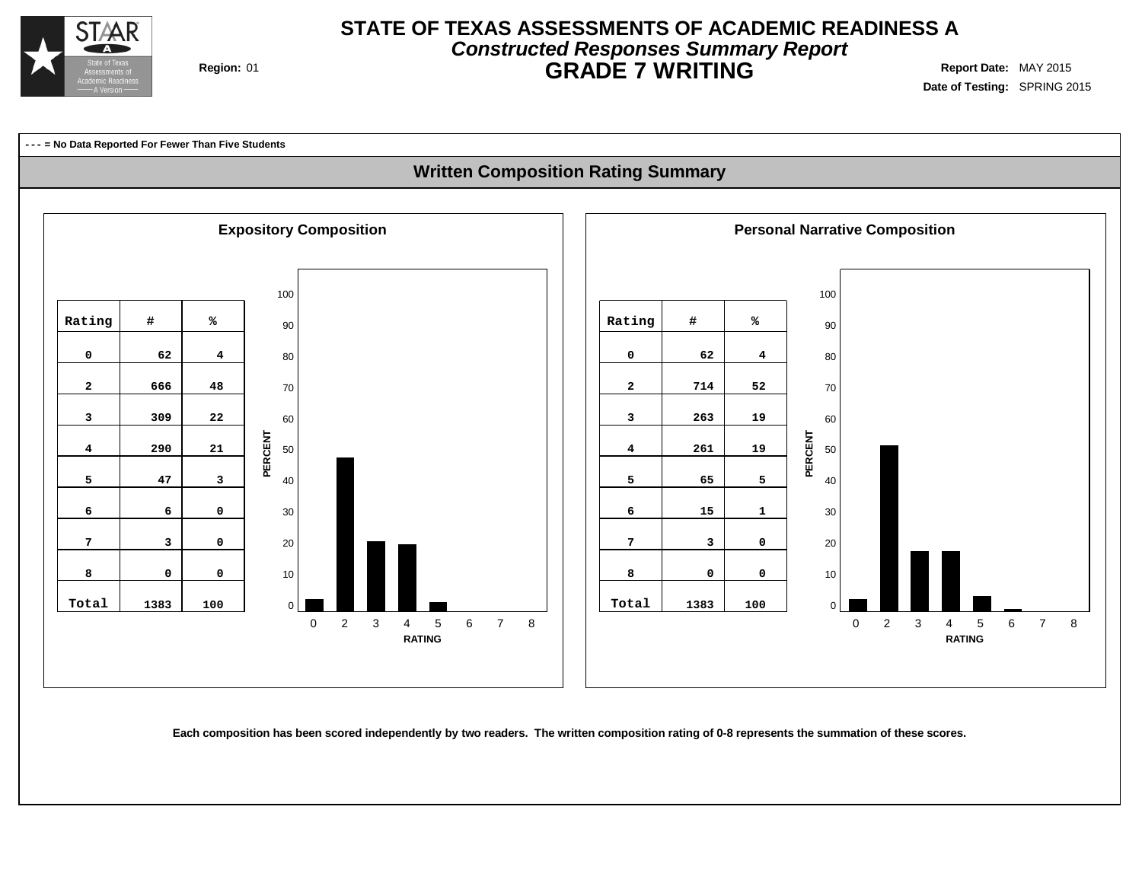

## **STATE OF TEXAS ASSESSMENTS OF ACADEMIC READINESS A Constructed Responses Summary Report Region:** 01 **GRADE 7 WRITING Report Date:** MAY 2015

**Date of Testing:** SPRING 2015

**--- = No Data Reported For Fewer Than Five Students**

### **Written Composition Rating Summary**



Each composition has been scored independently by two readers. The written composition rating of 0-8 represents the summation of these scores.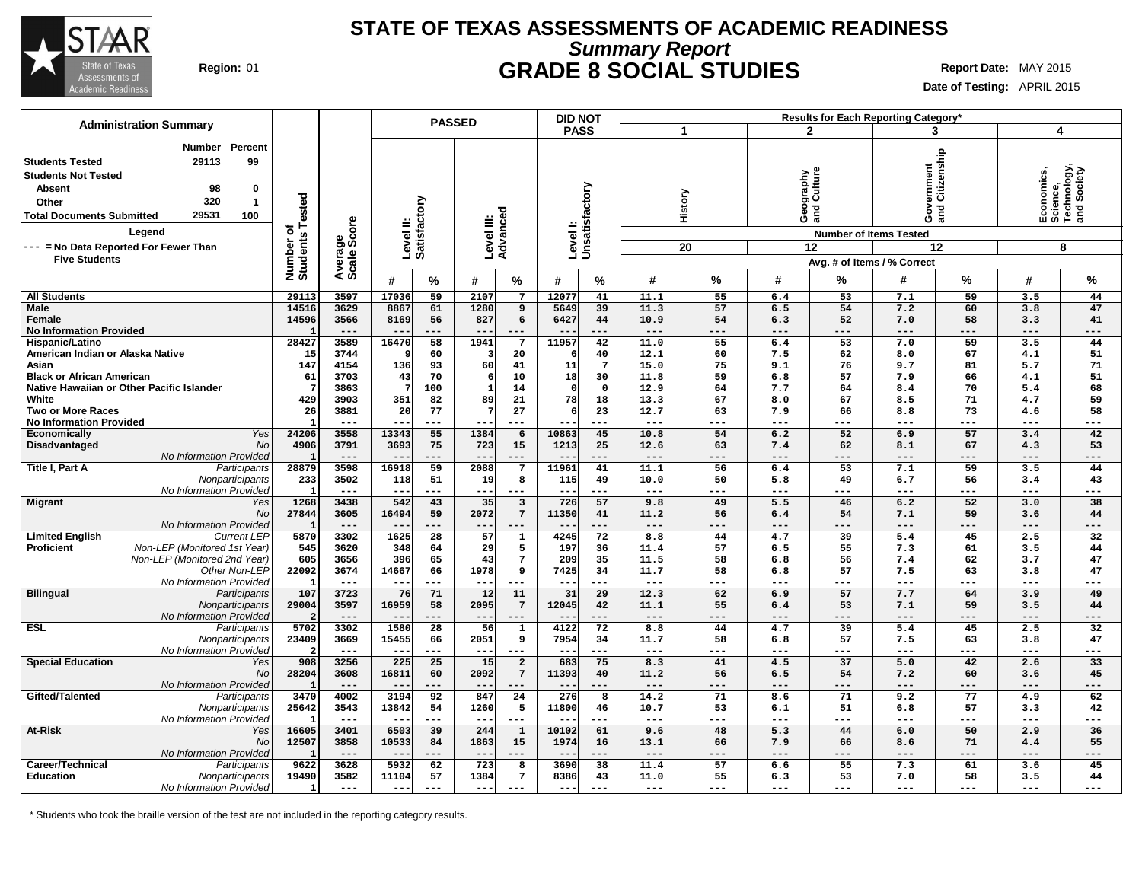

## **STATE OF TEXAS ASSESSMENTS OF ACADEMIC READINESS Summary Report Region:** 01 **GRADE 8 SOCIAL STUDIES Report Date:** MAY 2015

**Date of Testing:** APRIL 2015

| <b>Administration Summary</b>                                                                                                                                                                                             |                       |                        |                                 | <b>PASSED</b>            |                         |                         | <b>DID NOT</b>                  |                |                 |           |                  |                                                                    | Results for Each Reporting Category*   |             |                |                                                      |
|---------------------------------------------------------------------------------------------------------------------------------------------------------------------------------------------------------------------------|-----------------------|------------------------|---------------------------------|--------------------------|-------------------------|-------------------------|---------------------------------|----------------|-----------------|-----------|------------------|--------------------------------------------------------------------|----------------------------------------|-------------|----------------|------------------------------------------------------|
|                                                                                                                                                                                                                           |                       |                        |                                 |                          |                         |                         | <b>PASS</b>                     |                |                 | 1         |                  | $\mathbf{2}$                                                       | 3                                      |             | 4              |                                                      |
| <b>Number</b><br>Percent<br>29113<br>99<br><b>Students Tested</b><br><b>Students Not Tested</b><br><b>Absent</b><br>98<br>0<br>320<br>$\mathbf{1}$<br>Other<br>29531<br><b>Total Documents Submitted</b><br>100<br>Legend | <b>Tested</b><br>৳    | Average<br>Scale Score | Level II:<br>Satisfactory       |                          | Level III:<br>Advanced  |                         | Levell:<br>Unsatisfactory       |                |                 | History   |                  | graphy<br>Culture<br>Georg<br>ang<br><b>Number of Items Tested</b> | rernment<br>Citizenship<br>ဝီ ဒွ<br>am |             |                | Economics,<br>Science,<br>Technology,<br>and Society |
| --- = No Data Reported For Fewer Than                                                                                                                                                                                     | Number of<br>Students |                        |                                 |                          |                         |                         |                                 |                |                 | 20        |                  | 12                                                                 |                                        | 12          |                | 8                                                    |
| <b>Five Students</b>                                                                                                                                                                                                      |                       |                        |                                 |                          |                         |                         |                                 |                |                 |           |                  |                                                                    | Avg. # of Items / % Correct            |             |                |                                                      |
|                                                                                                                                                                                                                           |                       |                        | #                               | %                        | #                       | $\%$                    | #                               | $\%$           | #               | $\%$      | #                | %                                                                  | #                                      | %           | #              | $\%$                                                 |
| <b>All Students</b>                                                                                                                                                                                                       | 29113                 | 3597                   | 17036                           | 59                       | 2107                    | $\overline{7}$          | 12077                           | 41             | 11.1            | 55        | 6.4              | 53                                                                 | 7.1                                    | 59          | 3.5            | 44                                                   |
| Male                                                                                                                                                                                                                      | 14516                 | 3629                   | 8867                            | 61                       | 1280                    | 9                       | 5649                            | 39             | 11.3            | 57        | 6.5              | 54                                                                 | 7.2                                    | 60          | 3.8            | 47                                                   |
| <b>Female</b>                                                                                                                                                                                                             | 14596                 | 3566<br>$---$          | 8169                            | 56<br>$---$              | 827<br>$- -$            | 6<br>---                | 6427                            | 44<br>$- - -$  | 10.9<br>$- - -$ | 54<br>--- | 6.3<br>---       | 52<br>---                                                          | 7.0<br>$---$                           | 58<br>---   | 3.3<br>$- - -$ | 41<br>$---$                                          |
| <b>No Information Provided</b><br>Hispanic/Latino                                                                                                                                                                         | 28427                 | 3589                   | 16470                           | 58                       | 1941                    | $7\phantom{.0}$         | 11957                           | 42             | 11.0            | 55        | 6.4              | 53                                                                 | 7.0                                    | 59          | 3.5            | 44                                                   |
| American Indian or Alaska Native                                                                                                                                                                                          | 15                    | 3744                   |                                 | 60                       |                         | 20                      |                                 | 40             | 12.1            | 60        | 7.5              | 62                                                                 | 8.0                                    | 67          | 4.1            | 51                                                   |
| Asian                                                                                                                                                                                                                     | 147                   | 4154                   | 136                             | 93                       | 60                      | 41                      | 11                              | $\overline{7}$ | 15.0            | 75        | 9.1              | 76                                                                 | 9.7                                    | 81          | 5.7            | 71                                                   |
| <b>Black or African American</b>                                                                                                                                                                                          | 61                    | 3703                   | 43                              | 70                       | -6                      | 10                      | 18                              | 30             | 11.8            | 59        | 6.8              | 57                                                                 | 7.9                                    | 66          | 4.1            | 51                                                   |
| Native Hawaiian or Other Pacific Islander                                                                                                                                                                                 |                       | 3863                   |                                 | 100                      | $\mathbf{1}$            | 14                      | - 0                             | $\mathbf 0$    | 12.9            | 64        | 7.7              | 64                                                                 | 8.4                                    | 70          | 5.4            | 68                                                   |
| White                                                                                                                                                                                                                     | 429                   | 3903                   | 351                             | 82                       | 89                      | 21                      | 78                              | 18             | 13.3            | 67        | 8.0              | 67                                                                 | 8.5                                    | 71          | 4.7            | 59                                                   |
| <b>Two or More Races</b>                                                                                                                                                                                                  | 26                    | 3881                   | 20                              | 77                       | 7                       | 27                      |                                 | 23             | 12.7            | 63        | 7.9              | 66                                                                 | 8.8                                    | 73          | 4.6            | 58                                                   |
| <b>No Information Provided</b>                                                                                                                                                                                            |                       | $---$                  |                                 | $---$                    |                         | ---                     |                                 | $---$          | $- - -$         | ---       | $---$            | ---                                                                | ---                                    | $---$       | $---$          | $---$                                                |
| Yes<br><b>Economically</b>                                                                                                                                                                                                | 24206                 | 3558                   | 13343                           | 55                       | 1384                    | 6                       | 10863                           | 45             | 10.8            | 54        | 6.2              | $\overline{52}$                                                    | 6.9                                    | 57          | 3.4            | 42                                                   |
| Disadvantaged<br>No                                                                                                                                                                                                       | 4906                  | 3791                   | 3693                            | 75                       | 723                     | 15                      | 1213                            | 25             | 12.6            | 63        | 7.4              | 62                                                                 | 8.1                                    | 67          | 4.3            | 53                                                   |
| No Information Provided                                                                                                                                                                                                   |                       | $---$                  | $- -$                           | $---$                    | $- -$                   | $- - -$                 | $- -$                           | $---$          | $---$           | ---       | $---$            | ---                                                                | $---$                                  | $---$       | $---$          | $---$                                                |
| Title I, Part A<br>Participants                                                                                                                                                                                           | 28879                 | 3598                   | 16918                           | 59                       | 2088                    | 7                       | 11961                           | 41             | 11.1            | 56        | 6.4              | 53                                                                 | 7.1                                    | 59          | 3.5            | 44                                                   |
| Nonparticipants                                                                                                                                                                                                           | 233                   | 3502<br>$---$          | 118                             | 51<br>$---$              | 19                      | 8<br>$---$              | 115<br>$\overline{\phantom{m}}$ | 49<br>$---$    | 10.0<br>$---$   | 50<br>--- | 5.8<br>$---$     | 49<br>---                                                          | 6.7<br>$---$                           | 56<br>---   | 3.4<br>$---$   | 43<br>$---$                                          |
| No Information Provideo<br><b>Migrant</b><br>Yes                                                                                                                                                                          | 1268                  | 3438                   | $\overline{\phantom{m}}$<br>542 | 43                       | ---<br>35               | $\overline{\mathbf{3}}$ | 726                             | 57             | 9.8             | 49        | 5.5              | 46                                                                 | 6.2                                    | 52          | 3.0            | 38                                                   |
| No                                                                                                                                                                                                                        | 27844                 | 3605                   | 16494                           | 59                       | 2072                    | $7\phantom{.0}$         | 11350                           | 41             | 11.2            | 56        | 6.4              | 54                                                                 | 7.1                                    | 59          | 3.6            | 44                                                   |
| No Information Provideo                                                                                                                                                                                                   |                       | $---$                  | $- -$                           | ---                      | $- -$                   | $---$                   | $ -$                            | $---$          | $---$           | ---       | ---              | $---$                                                              | $---$                                  | $---$       | $---$          | $---$                                                |
| <b>Limited English</b><br><b>Current LEP</b>                                                                                                                                                                              | 5870                  | 3302                   | 1625                            | $\overline{28}$          | 57                      | 1                       | 4245                            | 72             | 8.8             | 44        | 4.7              | 39                                                                 | 5.4                                    | 45          | 2.5            | 32                                                   |
| Proficient<br>Non-LEP (Monitored 1st Year)                                                                                                                                                                                | 545                   | 3620                   | 348                             | 64                       | 29                      | 5                       | 197                             | 36             | 11.4            | 57        | 6.5              | 55                                                                 | 7.3                                    | 61          | 3.5            | 44                                                   |
| Non-LEP (Monitored 2nd Year)                                                                                                                                                                                              | 605                   | 3656                   | 396                             | 65                       | 43                      | $\overline{7}$          | 209                             | 35             | 11.5            | 58        | 6.8              | 56                                                                 | 7.4                                    | 62          | 3.7            | 47                                                   |
| Other Non-LEF                                                                                                                                                                                                             | 22092                 | 3674                   | 14667                           | 66                       | 1978                    | 9                       | 7425                            | 34             | 11.7            | 58        | 6.8              | 57                                                                 | 7.5                                    | 63          | 3.8            | 47                                                   |
| No Information Provideo                                                                                                                                                                                                   |                       | $---$                  | $- -$                           | $---$                    | $- -$                   |                         | $- -$                           | $---$          | $---$           | ---       | $---$            | ---                                                                | $---$                                  | $---$       | $---$          | $---$                                                |
| <b>Bilingual</b><br>Participants                                                                                                                                                                                          | 107                   | 3723                   | 76                              | 71                       | 12                      | 11                      | 31                              | 29             | 12.3            | 62        | 6.9              | 57                                                                 | 7.7                                    | 64          | 3.9            | 49                                                   |
| Nonparticipants                                                                                                                                                                                                           | 29004                 | 3597                   | 16959                           | 58                       | 2095                    | $7\phantom{.0}$         | 12045                           | 42             | 11.1            | 55        | 6.4              | 53                                                                 | 7.1                                    | 59          | 3.5            | 44                                                   |
| No Information Provideo                                                                                                                                                                                                   | 5702                  | $---$<br>3302          | $- -$<br>1580                   | $---$<br>$\overline{28}$ | $--$<br>$\overline{56}$ | $---$                   | $ -$<br>4122                    | $---$<br>72    | $---$           | ---<br>44 | $-- -$           | $---$<br>39                                                        | $---$<br>5.4                           | $---$<br>45 | $- - -$        | $---$<br>32                                          |
| <b>ESL</b><br>Participants<br>Nonparticipants                                                                                                                                                                             | 23409                 | 3669                   | 15455                           | 66                       | 2051                    | $\mathbf 1$<br>9        | 7954                            | 34             | 8.8<br>11.7     | 58        | 4.7<br>6.8       | 57                                                                 | 7.5                                    | 63          | 2.5<br>3.8     | 47                                                   |
| No Information Provideo                                                                                                                                                                                                   |                       | $---$                  | $\overline{\phantom{m}}$        | $- - -$                  | $---$                   | $- - -$                 | $ -$                            | $- - -$        | $---$           | ---       | $---$            | ---                                                                | $---$                                  | $- - -$     | $---$          | $- - -$                                              |
| <b>Special Education</b><br>Yes                                                                                                                                                                                           | 908                   | 3256                   | 225                             | 25                       | 15                      | $\overline{a}$          | 683                             | 75             | 8.3             | 41        | 4.5              | 37                                                                 | 5.0                                    | 42          | 2.6            | 33                                                   |
| No                                                                                                                                                                                                                        | 28204                 | 3608                   | 16811                           | 60                       | 2092                    | $\overline{7}$          | 11393                           | 40             | 11.2            | 56        | 6.5              | 54                                                                 | 7.2                                    | 60          | 3.6            | 45                                                   |
| No Information Provided                                                                                                                                                                                                   |                       | $---$                  | $- -$                           | ---                      | $- -$                   | $---$                   | $- -$                           | $---$          | $---$           | ---       | ---              | ---                                                                | $---$                                  | $---$       | $---$          | $---$                                                |
| Gifted/Talented<br>Participants                                                                                                                                                                                           | 3470                  | 4002                   | 3194                            | 92                       | 847                     | 24                      | 276                             | 8              | 14.2            | 71        | 8.6              | 71                                                                 | 9.2                                    | 77          | 4.9            | 62                                                   |
| Nonparticipants                                                                                                                                                                                                           | 25642                 | 3543                   | 13842                           | 54                       | 1260                    | 5                       | 11800                           | 46             | 10.7            | 53        | 6.1              | 51                                                                 | 6.8                                    | 57          | 3.3            | 42                                                   |
| No Information Provideo                                                                                                                                                                                                   |                       | $- - -$                | $\overline{\phantom{m}}$        | $---$                    | $- -$                   | $---$                   |                                 | $---$          | $- - -$         | ---       | $---$            | ---                                                                | $---$                                  | $---$       | $---$          | $---$                                                |
| At-Risk<br>Yes                                                                                                                                                                                                            | 16605                 | 3401                   | 6503                            | 39                       | 244                     | $\mathbf{1}$            | 10102                           | 61             | 9.6             | 48        | $\overline{5.3}$ | 44                                                                 | 6.0                                    | 50          | 2.9            | 36                                                   |
| No                                                                                                                                                                                                                        | 12507                 | 3858                   | 10533                           | 84                       | 1863                    | 15                      | 1974                            | 16             | 13.1            | 66        | 7.9              | 66                                                                 | 8.6                                    | 71          | 4.4            | 55                                                   |
| No Information Provideo                                                                                                                                                                                                   |                       | $---$                  | $- -$                           | ---                      | $- -$                   | ---                     |                                 | $---$          | $---$           | ---       | ---              | ---                                                                | $---$                                  | ---         | $---$          | $---$                                                |
| Career/Technical<br>Participants                                                                                                                                                                                          | 9622                  | 3628                   | 5932                            | 62                       | 723                     | 8                       | 3690                            | 38             | 11.4            | 57        | 6.6              | 55                                                                 | 7.3                                    | 61          | 3.6            | 45                                                   |
| <b>Education</b><br>Nonparticipants<br>No Information Provided                                                                                                                                                            | 19490<br>$\mathbf{1}$ | 3582<br>$\frac{1}{2}$  | 11104<br>$---$                  | 57<br>$---$              | 1384<br>$- -$           | $\overline{7}$          | 8386<br>$- -$                   | 43<br>$---$    | 11.0<br>$---$   | 55<br>--- | 6.3<br>$---$     | 53<br>---                                                          | 7.0<br>$---$                           | 58<br>$---$ | 3.5<br>$---$   | 44<br>---                                            |

\* Students who took the braille version of the test are not included in the reporting category results.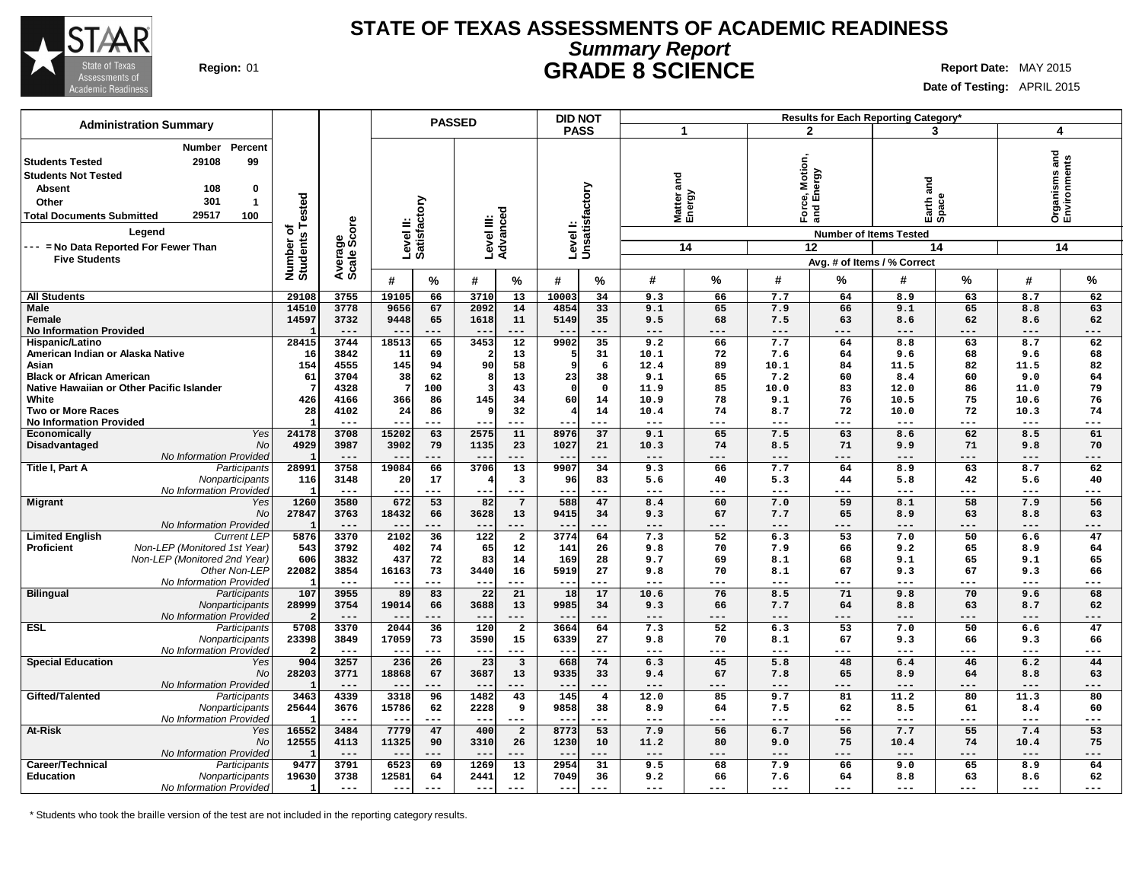

### **STATE OF TEXAS ASSESSMENTS OF ACADEMIC READINESS Summary Report Region:** 01 **GRADE 8 SCIENCE Report Date:** MAY 2015

**Date of Testing:** APRIL 2015

|                                                                                                                                                                                                                     |                                             |                                       |                                      | <b>PASSED</b>               |                                  |                                         | <b>DID NOT</b>                      |                             |                                   |                             |                                       |                                            | Results for Each Reporting Category* |                               |                                   |                                       |
|---------------------------------------------------------------------------------------------------------------------------------------------------------------------------------------------------------------------|---------------------------------------------|---------------------------------------|--------------------------------------|-----------------------------|----------------------------------|-----------------------------------------|-------------------------------------|-----------------------------|-----------------------------------|-----------------------------|---------------------------------------|--------------------------------------------|--------------------------------------|-------------------------------|-----------------------------------|---------------------------------------|
| <b>Administration Summary</b>                                                                                                                                                                                       |                                             |                                       |                                      |                             |                                  |                                         | <b>PASS</b>                         |                             | 1                                 |                             | $\mathbf{2}$                          |                                            | 3                                    |                               | $\overline{\mathbf{4}}$           |                                       |
| Percent<br>Number<br>29108<br>99<br><b>Students Tested</b><br><b>Students Not Tested</b><br><b>Absent</b><br>108<br>0<br>301<br>Other<br>$\mathbf{1}$<br>29517<br>100<br><b>Total Documents Submitted</b><br>Legend | Tested<br>৳                                 | Average<br>Scale Score                | Level II:<br>Satisfactory            |                             | Level III:                       | Advanced                                | Level I:<br>Unsatisfactory          |                             | ಕ<br>ā<br>Matter a<br>Energy      |                             | lotion,<br>Motic<br>Pergy<br>ீ ய<br>ō | and<br><b>Number of Items Tested</b>       | and<br>Earth a<br>Space              |                               | and                               | <b>Organisms and<br/>Environments</b> |
| --- = No Data Reported For Fewer Than<br><b>Five Students</b>                                                                                                                                                       |                                             |                                       |                                      |                             |                                  |                                         |                                     |                             |                                   | 14                          |                                       | 12                                         | Avg. # of Items / % Correct          | 14                            |                                   | 14                                    |
|                                                                                                                                                                                                                     | Number of<br>Students                       |                                       | #                                    | %                           | #                                | $\%$                                    | #                                   | %                           | #                                 | %                           | #                                     | %                                          | #                                    | %                             | #                                 | %                                     |
| <b>All Students</b>                                                                                                                                                                                                 | 29108                                       | 3755                                  | 19105                                | 66                          | 3710                             | 13                                      | 10003                               | 34                          | 9.3                               | 66                          | 7.7                                   | 64                                         | 8.9                                  | 63                            | 8.7                               | 62                                    |
| <b>Male</b><br>Female<br><b>No Information Provided</b>                                                                                                                                                             | 14510<br>14597<br>- 1                       | 3778<br>3732<br>$---$                 | 9656<br>9448                         | 67<br>65<br>---             | 2092<br>1618<br>$- -$            | 14<br>11<br>---                         | 4854<br>5149                        | 33<br>35<br>---             | 9.1<br>9.5<br>$---$               | 65<br>68<br>---             | 7.9<br>7.5<br>$---$                   | 66<br>63<br>$---$                          | 9.1<br>8.6<br>$---$                  | 65<br>62<br>---               | 8.8<br>8.6<br>---                 | 63<br>62<br>---                       |
| Hispanic/Latino<br>American Indian or Alaska Native<br>Asian                                                                                                                                                        | 28415<br>16<br>154                          | 3744<br>3842<br>4555                  | 18513<br>11<br>145                   | 65<br>69<br>94              | 3453<br>90                       | $\overline{12}$<br>13<br>58             | 9902<br>-9                          | 35<br>31<br>6               | 9.2<br>10.1<br>12.4               | 66<br>72<br>89              | 7.7<br>7.6<br>10.1                    | 64<br>64<br>84                             | 8.8<br>9.6<br>11.5                   | 63<br>68<br>82                | 8.7<br>9.6<br>11.5                | 62<br>68<br>82                        |
| <b>Black or African American</b><br>Native Hawaiian or Other Pacific Islander                                                                                                                                       | 61<br>-7                                    | 3704<br>4328                          | 38                                   | 62<br>100                   | -8<br>3                          | 13<br>43                                | 23<br>$\Omega$                      | 38<br>$\mathbf{o}$          | 9.1<br>11.9                       | 65<br>85                    | 7.2<br>10.0                           | 60<br>83                                   | 8.4<br>12.0                          | 60<br>86                      | 9.0<br>11.0                       | 64<br>79                              |
| White<br><b>Two or More Races</b><br><b>No Information Provided</b>                                                                                                                                                 | 426<br>28<br>$\mathbf{I}$                   | 4166<br>4102<br>$---$                 | 366<br>24                            | 86<br>86<br>---             | 145<br>-9                        | 34<br>32<br>---                         | 60                                  | 14<br>14<br>---             | 10.9<br>10.4<br>$---$             | 78<br>74<br>---             | 9.1<br>8.7<br>---                     | 76<br>72<br>---                            | 10.5<br>10.0<br>$---$                | 75<br>72<br>---               | 10.6<br>10.3<br>$--$              | 76<br>74<br>---                       |
| Yes<br><b>Economically</b><br>Disadvantaged<br><b>No</b>                                                                                                                                                            | 24178<br>4929                               | 3708<br>3987                          | 15202<br>3902                        | 63<br>79                    | 2575<br>1135                     | 11<br>23                                | 8976<br>1027                        | $\overline{37}$<br>21       | 9.1<br>10.3                       | 65<br>74                    | 7.5<br>8.5                            | 63<br>71                                   | 8.6<br>9.9                           | 62<br>71                      | 8.5<br>9.8                        | 61<br>70                              |
| No Information Provided<br>Title I, Part A<br>Participants<br>Nonparticipants                                                                                                                                       | 28991<br>116                                | $---$<br>3758<br>3148                 | 19084<br>20                          | ---<br>66<br>17             | 3706                             | ---<br>13<br>$\overline{\mathbf{3}}$    | 9907<br>96                          | ---<br>34<br>83             | ---<br>9.3<br>5.6                 | 66<br>40                    | ---<br>7.7<br>5.3                     | ---<br>64<br>44                            | $---$<br>8.9<br>5.8                  | ---<br>63<br>42               | ---<br>8.7<br>5.6                 | ---<br>62<br>40                       |
| No Information Provided<br><b>Migrant</b><br>Yes                                                                                                                                                                    | - 1<br>1260                                 | $---$<br>3580                         | $- -$<br>672                         | ---<br>53                   | --<br>82                         | $---$<br>$7\overline{ }$                | $- -$<br>588                        | ---<br>47                   | ---<br>8.4                        | ---<br>60                   | ---<br>7.0                            | ---<br>59                                  | $---$<br>8.1                         | $---$<br>58                   | ---<br>7.9                        | ---<br>56                             |
| <b>No</b><br>No Information Provided                                                                                                                                                                                | 27847<br>- 1                                | 3763<br>$---$                         | 18432                                | 66<br>---                   | 3628<br>--                       | 13<br>---                               | 9415                                | 34<br>---                   | 9.3<br>---                        | 67<br>---                   | 7.7<br>---                            | 65<br>---                                  | 8.9<br>$---$                         | 63<br>---                     | 8.8<br>---                        | 63<br>---                             |
| <b>Limited English</b><br><b>Current LEP</b><br>Non-LEP (Monitored 1st Year)<br><b>Proficient</b><br>Non-LEP (Monitored 2nd Year)<br>Other Non-LEP<br>No Information Provided                                       | 5876<br>543<br>606<br>22082<br>$\mathbf{I}$ | 3370<br>3792<br>3832<br>3854<br>$---$ | 2102<br>402<br>437<br>16163<br>$- -$ | 36<br>74<br>72<br>73<br>--- | 122<br>65<br>83<br>3440<br>$---$ | $\overline{a}$<br>12<br>14<br>16<br>--- | 3774<br>141<br>169<br>5919<br>$- -$ | 64<br>26<br>28<br>27<br>--- | 7.3<br>9.8<br>9.7<br>9.8<br>$---$ | 52<br>70<br>69<br>70<br>--- | 6.3<br>7.9<br>8.1<br>8.1<br>---       | $\overline{53}$<br>66<br>68<br>67<br>$---$ | 7.0<br>9.2<br>9.1<br>9.3<br>$---$    | 50<br>65<br>65<br>67<br>$---$ | 6.6<br>8.9<br>9.1<br>9.3<br>$---$ | 47<br>64<br>65<br>66<br>---           |
| <b>Bilingual</b><br>Participants<br>Nonparticipants<br>No Information Provided                                                                                                                                      | 107<br>28999                                | 3955<br>3754<br>$---$                 | 89<br>19014<br>$- -$                 | 83<br>66<br>---             | 22<br>3688<br>$- -$              | 21<br>13<br>---                         | 18<br>9985                          | 17<br>34<br>---             | 10.6<br>9.3<br>$---$              | 76<br>66<br>---             | 8.5<br>7.7<br>$---$                   | 71<br>64<br>$---$                          | 9.8<br>8.8<br>$---$                  | 70<br>63                      | 9.6<br>8.7<br>$---$               | 68<br>62<br>---                       |
| <b>ESL</b><br>Participants<br>Nonparticipants<br>No Information Provided                                                                                                                                            | 5708<br>23398                               | 3370<br>3849<br>$- - -$               | 2044<br>17059<br>$- -$               | 36<br>73<br>---             | 120<br>3590<br>$- -$             | $\overline{\mathbf{2}}$<br>15<br>$---$  | 3664<br>6339                        | 64<br>27<br>---             | 7.3<br>9.8<br>$---$               | 52<br>70<br>---             | 6.3<br>8.1<br>---                     | $\overline{53}$<br>67<br>$--$              | 7.0<br>9.3<br>$---$                  | 50<br>66<br>$---$             | 6.6<br>9.3<br>$---$               | 47<br>66<br>---                       |
| <b>Special Education</b><br>Yes<br>No<br>No Information Provided                                                                                                                                                    | 904<br>28203<br>$\overline{\phantom{a}}$    | 3257<br>3771<br>$---$                 | 236<br>18868<br>$- -$                | 26<br>67<br>---             | 23<br>3687<br>$- -$              | 3<br>13<br>$- - -$                      | 668<br>9335                         | 74<br>33<br>---             | 6.3<br>9.4<br>$- - -$             | 45<br>67                    | 5.8<br>7.8<br>$---$                   | 48<br>65<br>$---$                          | 6.4<br>8.9<br>$- - -$                | 46<br>64                      | 6.2<br>8.8                        | 44<br>63<br>---                       |
| Gifted/Talented<br>Participants<br>Nonparticipants<br>No Information Provided                                                                                                                                       | 3463<br>25644<br>- 1                        | 4339<br>3676<br>$\qquad \qquad - -$   | 3318<br>15786<br>$---$               | 96<br>62<br>---             | 1482<br>2228<br>$--$             | 43<br>9<br>$- - -$                      | 145<br>9858<br>$- -$                | $\overline{4}$<br>38<br>--- | 12.0<br>8.9<br>$\frac{1}{2}$      | 85<br>64<br>---             | 9.7<br>7.5<br>$- - -$                 | 81<br>62<br>$---$                          | 11.2<br>8.5<br>$- - -$               | 80<br>61<br>$- - -$           | 11.3<br>8.4<br>$--$               | 80<br>60<br>---                       |
| At-Risk<br>Yes<br><b>No</b><br>No Information Provided                                                                                                                                                              | 16552<br>12555                              | 3484<br>4113<br>$- -$                 | 7779<br>11325                        | 47<br>90                    | 400<br>3310                      | $\overline{a}$<br>26                    | 8773<br>1230                        | 53<br>10                    | 7.9<br>11.2<br>$---$              | 56<br>80                    | 6.7<br>9.0<br>---                     | 56<br>75<br>---                            | 7.7<br>10.4<br>$---$                 | 55<br>74                      | 7.4<br>10.4<br>---                | 53<br>75<br>---                       |
| Career/Technical<br>Participants<br><b>Education</b><br>Nonparticipants<br>No Information Provided                                                                                                                  | 9477<br>19630<br>- 1                        | 3791<br>3738<br>$\qquad \qquad - -$   | 6523<br>12581<br>$\frac{1}{2}$       | 69<br>64<br>---             | 1269<br>2441<br>$---$            | 13<br>12<br>$---$                       | 2954<br>7049<br>$- - -$             | 31<br>36<br>---             | 9.5<br>9.2<br>$---$               | 68<br>66<br>---             | 7.9<br>7.6<br>$---$                   | 66<br>64<br>$---$                          | 9.0<br>8.8<br>$---$                  | 65<br>63<br>$---$             | 8.9<br>8.6<br>$---$               | 64<br>62<br>---                       |

\* Students who took the braille version of the test are not included in the reporting category results.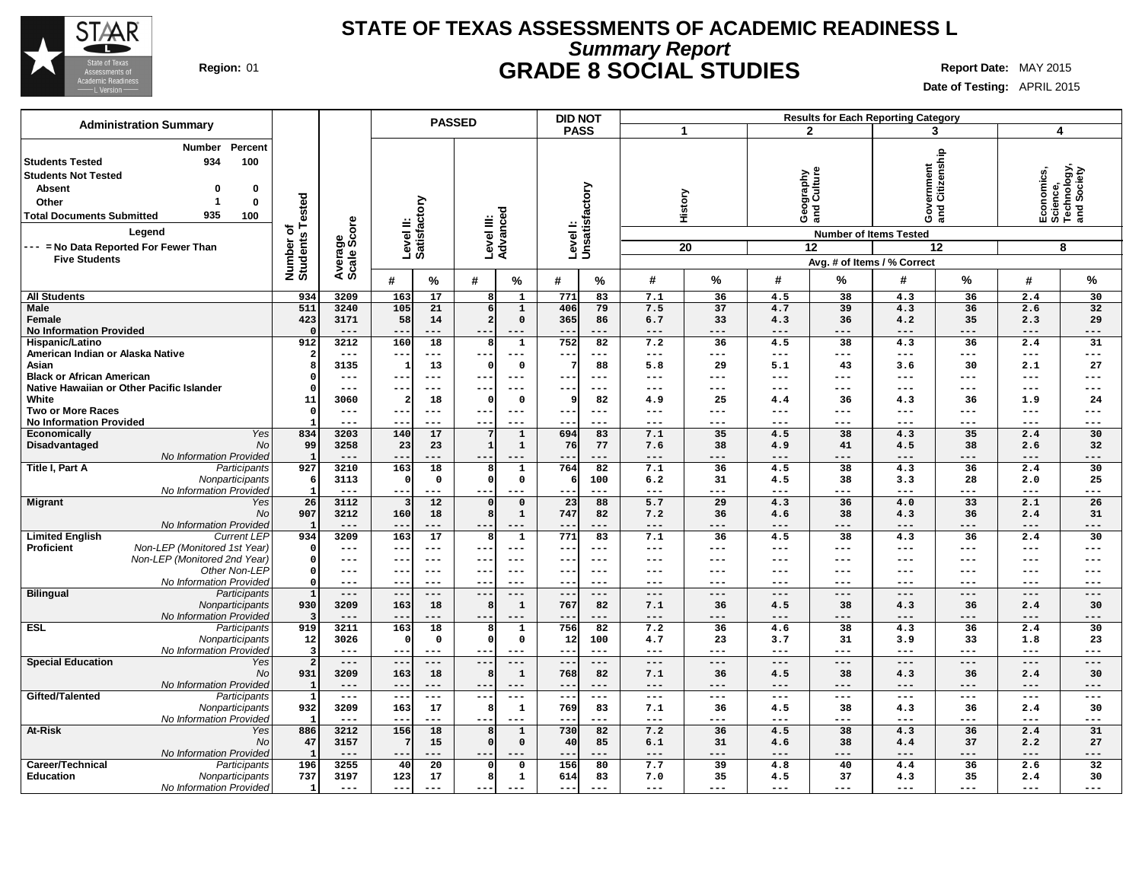

### **STATE OF TEXAS ASSESSMENTS OF ACADEMIC READINESS L Summary Report Region:** 01 **GRADE 8 SOCIAL STUDIES Report Date:** MAY 2015

**Date of Testing:** APRIL 2015

|                                                                                                                                            | <b>Administration Summary</b>                                                                                          |                                      |                        |                             | <b>PASSED</b>                   | <b>DID NOT</b>                    |            |             |                                   |                                     | <b>Results for Each Reporting Category</b>                            |                           |                     |                                                           |
|--------------------------------------------------------------------------------------------------------------------------------------------|------------------------------------------------------------------------------------------------------------------------|--------------------------------------|------------------------|-----------------------------|---------------------------------|-----------------------------------|------------|-------------|-----------------------------------|-------------------------------------|-----------------------------------------------------------------------|---------------------------|---------------------|-----------------------------------------------------------|
|                                                                                                                                            |                                                                                                                        |                                      |                        |                             |                                 | <b>PASS</b>                       | 1          |             | $\mathbf{2}$                      |                                     | 3                                                                     |                           |                     | 4                                                         |
| <b>Students Tested</b><br><b>Students Not Tested</b><br><b>Absent</b><br>Other<br><b>Total Documents Submitted</b><br><b>Five Students</b> | Percent<br><b>Number</b><br>934<br>100<br>0<br>0<br>0<br>935<br>100<br>Legend<br>--- = No Data Reported For Fewer Than | Tested<br>ठ<br>Number o'<br>Students | Average<br>Scale Score | Level II:<br>Satisfactory   | Level III:<br>Advanced          | Levell:<br>Unsatisfactory         | History    | 20          | graphy<br>Culture<br>Georg<br>ang | <b>Number of Items Tested</b><br>12 | rernment<br>Citizenship<br>$rac{8}{3}$<br>Avg. # of Items / % Correct | 12                        |                     | Economics,<br>Science,<br>Technology,<br>and Society<br>8 |
|                                                                                                                                            |                                                                                                                        |                                      |                        | #<br>$\%$                   | %<br>#                          | %<br>#                            | #          | %           | #                                 | %                                   | #                                                                     | %                         | #                   | %                                                         |
|                                                                                                                                            |                                                                                                                        |                                      |                        |                             |                                 |                                   |            |             |                                   |                                     |                                                                       |                           |                     |                                                           |
| <b>All Students</b><br><b>Male</b>                                                                                                         |                                                                                                                        | 934<br>511                           | 3209<br>3240           | 17<br>163<br>105<br>21      | 1<br>$\mathbf{1}$               | 771<br>83<br>406<br>79            | 7.1<br>7.5 | 36<br>37    | 4.5<br>4.7                        | 38<br>39                            | 4.3<br>4.3                                                            | 36<br>36                  | 2.4<br>2.6          | 30<br>32                                                  |
| Female                                                                                                                                     |                                                                                                                        | 423                                  | 3171                   | 58<br>14                    | $\mathbf 0$                     | 365<br>86                         | 6.7        | 33          | 4.3                               | 36                                  | 4.2                                                                   | 35                        | 2.3                 | 29                                                        |
| <b>No Information Provided</b>                                                                                                             |                                                                                                                        |                                      | $- - -$                | ---<br>---                  | $- - -$<br>$- -$                | $ -$<br>$- - -$                   | ---        | ---         | ---                               | $- - -$                             | $- - -$                                                               | ---                       | $- - -$             | $- - -$                                                   |
| Hispanic/Latino                                                                                                                            |                                                                                                                        | 912                                  | 3212                   | 160<br>18                   | $\mathbf{1}$<br>8               | 752<br>82                         | 7.2        | 36          | 4.5                               | 38                                  | 4.3                                                                   | 36                        | 2.4                 | 31                                                        |
| American Indian or Alaska Native                                                                                                           |                                                                                                                        |                                      | $---$                  | ---<br>$\qquad \qquad -$    | $--$<br>---                     | $---$                             | ---        | $---$       | ---                               | ---                                 | $\qquad \qquad - -$                                                   | $\qquad \qquad -$         | $---$               | $---$                                                     |
| Asian                                                                                                                                      |                                                                                                                        |                                      | 3135                   | 13                          | $\mathbf 0$                     | 88                                | 5.8        | 29          | 5.1                               | 43                                  | 3.6                                                                   | 30                        | 2.1                 | 27                                                        |
| <b>Black or African American</b>                                                                                                           |                                                                                                                        |                                      | ---                    | $\qquad \qquad - -$<br>--   | $---$<br>$--$                   | $---$<br>--                       | ---        | $---$       | ---                               | ---                                 | $---$                                                                 | $\qquad \qquad -$         | $\qquad \qquad - -$ | $---$                                                     |
|                                                                                                                                            | Native Hawaiian or Other Pacific Islander                                                                              |                                      | ---                    | $-$<br>$---$                | $- -$<br>---                    | $---$                             | ---        | ---         | ---                               | ---                                 | ---                                                                   | $---$                     | $---$               | $---$                                                     |
| White<br><b>Two or More Races</b>                                                                                                          |                                                                                                                        | 11<br>$\Omega$                       | 3060<br>$---$          | 18<br>2<br>$---$<br>--      | $\mathbf 0$<br>$---$<br>$- - -$ | 82<br>$---$                       | 4.9<br>--- | 25<br>---   | 4.4<br>---                        | 36<br>---                           | 4.3<br>$---$                                                          | 36<br>$---$               | 1.9<br>$---$        | 24<br>$---$                                               |
| <b>No Information Provided</b>                                                                                                             |                                                                                                                        |                                      | ---                    | $---$                       | $--$<br>---                     | $---$                             | ---        | ---         | ---                               | ---                                 | ---                                                                   | $---$                     | $---$               | $---$                                                     |
| <b>Economically</b>                                                                                                                        | Yes                                                                                                                    | 834                                  | 3203                   | 140<br>17                   | $\mathbf{1}$                    | 694<br>83                         | 7.1        | 35          | 4.5                               | 38                                  | 4.3                                                                   | 35                        | 2.4                 | 30                                                        |
| Disadvantaged                                                                                                                              | <b>No</b>                                                                                                              | 99                                   | 3258                   | 23<br>23                    | $\mathbf{1}$<br>$\mathbf{1}$    | 76<br>77                          | 7.6        | 38          | 4.9                               | 41                                  | 4.5                                                                   | 38                        | 2.6                 | 32                                                        |
|                                                                                                                                            | No Information Provided                                                                                                | -1                                   | ---                    | ---<br>$- -$                | $--$                            | ---                               | ---        | ---         | ---                               | ---                                 | $---$                                                                 | ---                       | ---                 | ---                                                       |
| Title I, Part A                                                                                                                            | Participants                                                                                                           | 927                                  | 3210                   | 163<br>18                   | $\mathbf{1}$                    | 764<br>82                         | 7.1        | 36          | 4.5                               | 38                                  | 4.3                                                                   | 36                        | 2.4                 | 30                                                        |
|                                                                                                                                            | Nonparticipants                                                                                                        |                                      | 3113                   | 0<br>0                      | $\mathbf 0$                     | 100                               | 6.2        | 31          | 4.5                               | 38                                  | 3.3                                                                   | 28                        | 2.0                 | 25                                                        |
|                                                                                                                                            | No Information Provided                                                                                                |                                      | $---$                  | ---<br>---                  | $- -$<br>---                    | $--$                              | ---        | $---$       | ---                               | $---$                               | $---$                                                                 | ---                       | $---$               | ---                                                       |
| <b>Migrant</b>                                                                                                                             | Yes<br><b>No</b>                                                                                                       | 26<br>907                            | 3112<br>3212           | 12<br>160<br>18             | $\overline{0}$<br>$\mathbf{1}$  | 23<br>88<br>747<br>82             | 5.7<br>7.2 | 29<br>36    | 4.3<br>4.6                        | 36<br>38                            | 4.0<br>4.3                                                            | 33<br>36                  | 2.1<br>2.4          | 26<br>31                                                  |
|                                                                                                                                            | No Information Provided                                                                                                |                                      | $---$                  | $---$<br>--                 | ---                             | ---                               | ---        | ---         | ---                               | $---$                               | $---$                                                                 | ---                       | $---$               | $---$                                                     |
| <b>Limited English</b>                                                                                                                     | <b>Current LEP</b>                                                                                                     | 934                                  | 3209                   | 163<br>17                   | $\mathbf{1}$                    | 771<br>83                         | 7.1        | 36          | 4.5                               | 38                                  | 4.3                                                                   | 36                        | 2.4                 | 30                                                        |
| <b>Proficient</b>                                                                                                                          | Non-LEP (Monitored 1st Year)                                                                                           |                                      | ---                    | --<br>$---$                 | $- -$<br>$--$                   | $--$                              | ---        | $---$       | ---                               | ---                                 | ---                                                                   | $--$                      | $--$                | $---$                                                     |
|                                                                                                                                            | Non-LEP (Monitored 2nd Year)                                                                                           |                                      | ---                    | $- -$<br>$---$              | $- -$<br>$--$                   | $---$<br>$-$                      | ---        | $---$       | ---                               | ---                                 | ---                                                                   | $---$                     | $--$                | $---$                                                     |
|                                                                                                                                            | Other Non-LEP                                                                                                          |                                      | ---                    | --<br>$--$                  | $- -$<br>$- - -$                | $--$                              | ---        | $---$       | ---                               | ---                                 | ---                                                                   | $---$                     | $--$                | $---$                                                     |
|                                                                                                                                            | No Information Provided                                                                                                | O                                    | ---                    | $---$                       | $- -$<br>$- - -$                | $- - -$<br>--                     | ---        | $- - -$     | ---                               | ---                                 | ---                                                                   | $- - -$                   | $---$               | $---$                                                     |
| <b>Bilingual</b>                                                                                                                           | Participants                                                                                                           | $\mathbf{1}$                         | $---$                  | $- -$<br>$---$              | $--$<br>---                     | $---$<br>$\overline{\phantom{a}}$ | ---        | $---$       | $---$                             | $---$                               | $---$                                                                 | $---$                     | $\qquad \qquad - -$ | $---$                                                     |
|                                                                                                                                            | Nonparticipants<br>No Information Provided                                                                             | 930                                  | 3209<br>$---$          | 163<br>18<br>$---$<br>--    | $\mathbf 1$<br>$--$<br>---      | 767<br>82<br>---                  | 7.1<br>--- | 36<br>$---$ | 4.5<br>---                        | 38<br>$---$                         | 4.3<br>$---$                                                          | 36<br>$---$               | 2.4<br>$---$        | 30<br>$---$                                               |
| <b>ESL</b>                                                                                                                                 | Participants                                                                                                           | 919                                  | 3211                   | 163<br>$\overline{18}$      | $\mathbf{1}$                    | 756<br>82                         | 7.2        | 36          | 4.6                               | 38                                  | 4.3                                                                   | 36                        | 2.4                 | 30                                                        |
|                                                                                                                                            | Nonparticipants                                                                                                        | 12                                   | 3026                   | $\mathbf 0$<br>0            | $\mathbf 0$                     | 12<br>100                         | 4.7        | 23          | 3.7                               | 31                                  | 3.9                                                                   | 33                        | 1.8                 | 23                                                        |
|                                                                                                                                            | No Information Provided                                                                                                | 3                                    | ---                    | $- -$<br>$---$              | $- -$                           | $---$                             | ---        | $---$       | ---                               | ---                                 | $---$                                                                 | $---$                     | $--$                | $---$                                                     |
| <b>Special Education</b>                                                                                                                   | Yes                                                                                                                    | $\overline{2}$                       | $---$                  | $-$<br>$---$                | $- -$                           | $---$                             | ---        | $---$       | ---                               | $---$                               | $---$                                                                 | $---$                     | $---$               | $---$                                                     |
|                                                                                                                                            | No                                                                                                                     | 931                                  | 3209                   | 163<br>18                   | $\mathbf 1$                     | 768<br>82                         | 7.1        | 36          | 4.5                               | 38                                  | 4.3                                                                   | 36                        | 2.4                 | 30                                                        |
|                                                                                                                                            | No Information Provided                                                                                                | -1                                   | $---$                  | --<br>$---$                 | $--$                            | --<br>---                         | ---        | $---$       | ---                               | ---                                 | $---$                                                                 | $---$                     | $---$               | $---$                                                     |
| Gifted/Talented                                                                                                                            | Participants                                                                                                           | 932                                  | $---$<br>3209          | $- -$<br>$- -$<br>163<br>17 | $- -$<br>$---$                  | $---$<br>$\sim$ $-$<br>769<br>83  | ---<br>7.1 | $---$<br>36 | $---$<br>4.5                      | $\frac{1}{2}$<br>38                 | $\qquad \qquad - -$<br>4.3                                            | $\qquad \qquad - -$<br>36 | $\frac{1}{2}$       | $---$<br>30                                               |
|                                                                                                                                            | Nonparticipants<br>No Information Provided                                                                             |                                      | $---$                  | $\qquad \qquad - -$<br>---  | $\mathbf{1}$<br>$- -$<br>---    | --<br>$--$                        | ---        | $---$       | ---                               | $---$                               | $---$                                                                 | $--$                      | 2.4<br>$--$         | $---$                                                     |
| At-Risk                                                                                                                                    | Yes                                                                                                                    | 886                                  | 3212                   | 156<br>18                   | $\mathbf{1}$                    | 730<br>82                         | 7.2        | 36          | 4.5                               | 38                                  | 4.3                                                                   | 36                        | 2.4                 | 31                                                        |
|                                                                                                                                            | No                                                                                                                     | 47                                   | 3157                   | 15                          | $\mathbf 0$                     | 85<br>40                          | 6.1        | 31          | 4.6                               | 38                                  | 4.4                                                                   | 37                        | 2.2                 | 27                                                        |
|                                                                                                                                            | No Information Provided                                                                                                |                                      | $---$                  | --<br>---                   | $\qquad \qquad -$<br>---        | ---                               | ---        | ---         | ---                               | ---                                 | $---$                                                                 | ---                       | $---$               | $---$                                                     |
| Career/Technical                                                                                                                           | Participants                                                                                                           | 196                                  | 3255                   | 20<br>40                    | $\mathsf{o}\,$                  | 156<br>80                         | 7.7        | 39          | 4.8                               | 40                                  | 4.4                                                                   | 36                        | 2.6                 | 32                                                        |
| <b>Education</b>                                                                                                                           | Nonparticipants                                                                                                        | 737                                  | 3197                   | 17<br>123                   | $\mathbf{1}$                    | 614<br>83                         | 7.0        | 35          | 4.5                               | 37                                  | 4.3                                                                   | 35                        | 2.4                 | 30                                                        |
|                                                                                                                                            | No Information Provided                                                                                                | $\mathbf{1}$                         | $---$                  | ---<br>$---$                | $--$<br>$---$                   | $-$<br>$---$                      | ---        | $---$       | ---                               | ---                                 | $---$                                                                 | $- - -$                   | $---$               | $---$                                                     |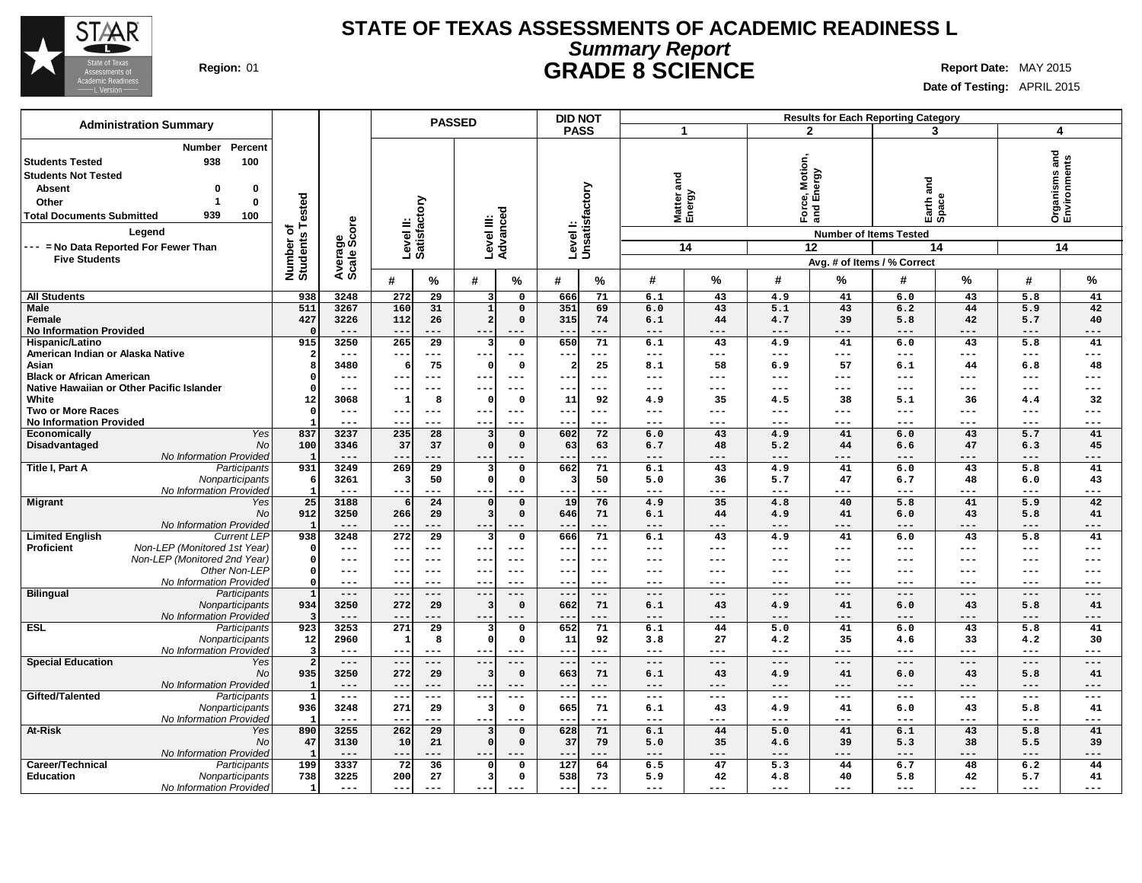

### **STATE OF TEXAS ASSESSMENTS OF ACADEMIC READINESS L Summary Report Region:** 01 **GRADE 8 SCIENCE Report Date:** MAY 2015

**Date of Testing:** APRIL 2015

|                                                                                                                                            |                                                                                                                                     |                              |                        |                           | <b>PASSED</b>        |                                 |                            | <b>DID NOT</b>           |                           |                           |           |                                   |                                                       | <b>Results for Each Reporting Category</b>                   |                     |                                      |             |
|--------------------------------------------------------------------------------------------------------------------------------------------|-------------------------------------------------------------------------------------------------------------------------------------|------------------------------|------------------------|---------------------------|----------------------|---------------------------------|----------------------------|--------------------------|---------------------------|---------------------------|-----------|-----------------------------------|-------------------------------------------------------|--------------------------------------------------------------|---------------------|--------------------------------------|-------------|
|                                                                                                                                            | <b>Administration Summary</b>                                                                                                       |                              |                        |                           |                      |                                 |                            | <b>PASS</b>              |                           | 1                         |           | $\overline{2}$                    |                                                       | 3                                                            |                     | 4                                    |             |
| <b>Students Tested</b><br><b>Students Not Tested</b><br><b>Absent</b><br>Other<br><b>Total Documents Submitted</b><br><b>Five Students</b> | <b>Number</b><br>Percent<br>938<br>100<br>$\Omega$<br>0<br>0<br>-1<br>939<br>100<br>Legend<br>--- = No Data Reported For Fewer Than | Number of<br>Students Tested | Average<br>Scale Score | Level II:<br>Satisfactory |                      | Level III:                      | Advanced                   |                          | Levell:<br>Unsatisfactory | and<br>Matter a<br>Energy | 14        | Motion,<br>$F$ org $\overline{a}$ | vergy<br>ல் யி<br><b>Number of Items Tested</b><br>12 | na<br>ana<br>Earth a<br>Space<br>Avg. # of Items / % Correct | 14                  | and<br>Organisms and<br>Environments | 14          |
|                                                                                                                                            |                                                                                                                                     |                              |                        | #                         | %                    | #                               | %                          | #                        | %                         | #                         | %         | #                                 | %                                                     | #                                                            | %                   | #                                    | %           |
| <b>All Students</b>                                                                                                                        |                                                                                                                                     | 938                          | 3248                   | 272                       | 29                   | 3                               | $\mathbf 0$                | 666                      | 71                        | 6.1                       | 43        | 4.9                               | 41                                                    | 6.0                                                          | 43                  | 5.8                                  | 41          |
| <b>Male</b>                                                                                                                                |                                                                                                                                     | 511                          | 3267                   | 160                       | 31                   | $\mathbf{1}$                    | $\mathsf{o}\,$             | 351                      | 69                        | 6.0                       | 43        | 5.1                               | 43                                                    | 6.2                                                          | 44                  | 5.9                                  | 42          |
| Female                                                                                                                                     |                                                                                                                                     | 427                          | 3226                   | 112                       | 26                   | 2                               | $\mathbf 0$                | 315                      | 74                        | 6.1                       | 44        | 4.7                               | 39                                                    | 5.8                                                          | 42                  | 5.7                                  | 40          |
| <b>No Information Provided</b>                                                                                                             |                                                                                                                                     | $\Omega$                     | $---$                  | --                        | ---                  | $---$                           | $---$                      | $- -$                    | ---                       | $---$                     | ---       | ---                               | ---                                                   | $---$                                                        | $---$               | $---$                                | $---$       |
| Hispanic/Latino                                                                                                                            |                                                                                                                                     | 915                          | 3250                   | 265                       | $\overline{29}$      | 3                               | $\mathsf{o}$               | 650                      | 71                        | 6.1                       | 43        | 4.9                               | 41                                                    | 6.0                                                          | 43                  | 5.8                                  | 41          |
| American Indian or Alaska Native                                                                                                           |                                                                                                                                     | 2                            | $\qquad \qquad -$      | $- -$                     | ---                  | $- -$                           | $- - -$                    | $- -$                    | ---                       | ---                       | ---       | ---                               | $---$                                                 | $---$                                                        | $---$               | $---$                                | $---$       |
| Asian<br><b>Black or African American</b>                                                                                                  |                                                                                                                                     | 8<br>$\Omega$                | 3480<br>$---$          | 6<br>$- -$                | 75<br>$---$          | C<br>$--$                       | $\mathsf{o}$<br>$---$      | 2                        | 25<br>---                 | 8.1<br>---                | 58<br>--- | 6.9<br>---                        | 57<br>---                                             | 6.1<br>---                                                   | 44<br>$---$         | 6.8<br>---                           | 48<br>---   |
|                                                                                                                                            | Native Hawaiian or Other Pacific Islander                                                                                           | $\Omega$                     | $\qquad \qquad - -$    | --                        | $---$                | $--$                            | ---                        | $\sim$ $\sim$            | ---                       | ---                       | ---       | ---                               | ---                                                   | $---$                                                        | $\qquad \qquad - -$ | $\qquad \qquad - -$                  | $---$       |
| White                                                                                                                                      |                                                                                                                                     | 12                           | 3068                   | -1                        | 8                    | -C                              | $\mathbf 0$                | 11                       | 92                        | 4.9                       | 35        | 4.5                               | 38                                                    | 5.1                                                          | 36                  | 4.4                                  | 32          |
| <b>Two or More Races</b>                                                                                                                   |                                                                                                                                     | $\mathbf 0$                  | $- - -$                | $- -$                     | $- - -$              | $--$                            | $- - -$                    | $- -$                    | ---                       | ---                       | ---       | $- - -$                           | $- - -$                                               | $---$                                                        | $- - -$             | $- - -$                              | $- - -$     |
| <b>No Information Provided</b>                                                                                                             |                                                                                                                                     |                              | $---$                  | $-$                       | $- - -$              | $- -$                           | $- - -$                    | $- -$                    | ---                       | ---                       | ---       | $---$                             | $- - -$                                               | $---$                                                        | $---$               | $---$                                | $---$       |
| Economically                                                                                                                               | Yes                                                                                                                                 | 837                          | 3237                   | 235                       | 28                   |                                 | $\mathbf 0$                | 602                      | 72                        | 6.0                       | 43        | 4.9                               | 41                                                    | 6.0                                                          | 43                  | 5.7                                  | 41          |
| Disadvantaged                                                                                                                              | No                                                                                                                                  | 100                          | 3346                   | 37                        | 37                   | $\sqrt{2}$                      | $\mathbf 0$                | 63                       | 63                        | 6.7                       | 48        | 5.2                               | 44                                                    | 6.6                                                          | 47                  | 6.3                                  | 45          |
| Title I, Part A                                                                                                                            | No Information Provided<br>Participants                                                                                             | $\mathbf{1}$<br>931          | $---$<br>3249          | $-$<br>269                | ---<br>29            | $--$<br>$\overline{\mathbf{3}}$ | $---$<br>$\mathsf{o}\,$    | $- -$<br>662             | ---<br>71                 | ---<br>6.1                | ---<br>43 | $---$<br>4.9                      | ---<br>41                                             | $---$<br>6.0                                                 | $---$<br>43         | $---$<br>5.8                         | $---$<br>41 |
|                                                                                                                                            | Nonparticipants                                                                                                                     | 6                            | 3261                   |                           | 50                   | $\Omega$                        | $\mathbf 0$                | 3                        | 50                        | 5.0                       | 36        | 5.7                               | 47                                                    | 6.7                                                          | 48                  | 6.0                                  | 43          |
|                                                                                                                                            | No Information Provided                                                                                                             | -1                           | $---$                  | --                        | $---$                | $- -$                           | $---$                      | ---                      | ---                       | $---$                     | ---       | ---                               | ---                                                   | $---$                                                        | $---$               | $---$                                | $---$       |
| <b>Migrant</b>                                                                                                                             | Yes                                                                                                                                 | 25                           | 3188                   |                           | 24                   | $\mathfrak{g}$                  | $\mathbf 0$                | 19                       | 76                        | 4.9                       | 35        | 4.8                               | 40                                                    | 5.8                                                          | 41                  | 5.9                                  | 42          |
|                                                                                                                                            | No                                                                                                                                  | 912                          | 3250                   | 266                       | 29                   | 3                               | $\mathbf 0$                | 646                      | 71                        | 6.1                       | 44        | 4.9                               | 41                                                    | 6.0                                                          | 43                  | 5.8                                  | 41          |
|                                                                                                                                            | No Information Provided                                                                                                             | $\mathbf{1}$                 | $---$                  | $-$                       | ---                  |                                 | $---$                      |                          | ---                       | $---$                     | ---       | ---                               | ---                                                   | $---$                                                        | $---$               | ---                                  | $---$       |
| <b>Limited English</b><br><b>Proficient</b>                                                                                                | <b>Current LEP</b><br>Non-LEP (Monitored 1st Year)                                                                                  | 938<br>$\circ$               | 3248<br>$- - -$        | 272<br>--                 | 29<br>$---$          | 3<br>$- -$                      | $\mathbf 0$<br>$- - -$     | 666<br>$\qquad \qquad -$ | 71<br>---                 | 6.1<br>---                | 43<br>--- | 4.9<br>---                        | 41<br>$---$                                           | 6.0<br>$---$                                                 | 43<br>$---$         | 5.8<br>$---$                         | 41<br>$---$ |
|                                                                                                                                            | Non-LEP (Monitored 2nd Year)                                                                                                        | $\Omega$                     | $- - -$                | --                        | $---$                | $--$                            | $---$                      | $- -$                    | $---$                     | ---                       | ---       | ---                               | $---$                                                 | ---                                                          | $---$               | $---$                                | $---$       |
|                                                                                                                                            | Other Non-LEP                                                                                                                       | $\Omega$                     | $---$                  | $- -$                     | $---$                | $- -$                           | $---$                      | $- -$                    | $- - -$                   | ---                       | ---       | ---                               | $---$                                                 | $---$                                                        | $- - -$             | $---$                                | $---$       |
|                                                                                                                                            | No Information Provideo                                                                                                             | $\Omega$                     | $---$                  | --                        | $---$                | $- -$                           | ---                        | $- -$                    | ---                       | ---                       | ---       | ---                               | $---$                                                 | $---$                                                        | $---$               | ---                                  | $---$       |
| <b>Bilingual</b>                                                                                                                           | Participants                                                                                                                        | $\mathbf{1}$                 | $---$                  | $-$                       | $---$                | $- -$                           | ---                        | $- -$                    | ---                       | ---                       | ---       | ---                               | $---$                                                 | $---$                                                        | $---$               | $---$                                | $---$       |
|                                                                                                                                            | Nonparticipants                                                                                                                     | 934                          | 3250                   | 272                       | 29                   | 3                               | $\Omega$                   | 662                      | 71                        | 6.1                       | 43        | 4.9                               | 41                                                    | 6.0                                                          | 43                  | 5.8                                  | 41          |
|                                                                                                                                            | No Information Provideo                                                                                                             | $\overline{\mathbf{3}}$      | $---$                  | $-$                       | ---                  | $--$                            | $---$                      | $ -$                     | ---                       | ---                       | ---       | ---                               | $---$                                                 | $---$                                                        | $---$               | ---                                  | $---$       |
| <b>ESL</b>                                                                                                                                 | Participants<br>Nonparticipants                                                                                                     | 923<br>12                    | 3253<br>2960           | 271<br>1                  | $\overline{29}$<br>8 | $\mathfrak{c}$                  | $\mathbf 0$<br>$\mathbf 0$ | 652<br>11                | 71<br>92                  | 6.1<br>3.8                | 44<br>27  | $\overline{5.0}$<br>4.2           | 41<br>35                                              | 6.0<br>4.6                                                   | 43<br>33            | 5.8<br>4.2                           | 41<br>30    |
|                                                                                                                                            | No Information Provided                                                                                                             | 3                            | $---$                  |                           |                      |                                 |                            |                          | ---                       | ---                       | ---       | ---                               | ---                                                   | ---                                                          | ---                 | ---                                  | ---         |
| <b>Special Education</b>                                                                                                                   | Yes                                                                                                                                 | $\overline{a}$               | $---$                  | $-$                       | $---$                | $--$                            | ---                        |                          | ---                       | ---                       | ---       | ---                               | $---$                                                 | $---$                                                        | $---$               | $---$                                | $---$       |
|                                                                                                                                            | No                                                                                                                                  | 935                          | 3250                   | 272                       | 29                   | -3                              | $\mathbf 0$                | 663                      | 71                        | 6.1                       | 43        | 4.9                               | 41                                                    | 6.0                                                          | 43                  | 5.8                                  | 41          |
|                                                                                                                                            | No Information Provided                                                                                                             | $\blacksquare$               | $---$                  | $- -$                     | $---$                | $--$                            | $---$                      | $- -$                    | ---                       | ---                       | ---       | ---                               | $---$                                                 | $---$                                                        | $---$               | $---$                                | $---$       |
| Gifted/Talented                                                                                                                            | Participants                                                                                                                        | 1                            | $\frac{1}{2}$          | $- -$                     | $---$                | $---$                           | $---$                      | $- -$                    | ---                       | $---$                     | $---$     | $---$                             | $\qquad \qquad -$                                     | $---$                                                        | $---$               | $---$                                | $---$       |
|                                                                                                                                            | Nonparticipants<br>No Information Provided                                                                                          | 936<br>-1                    | 3248<br>$---$          | 271<br>$-$                | 29<br>$- - -$        | -3<br>$- -$                     | $\mathbf 0$<br>$---$       | 665<br>$- -$             | 71<br>---                 | 6.1<br>$---$              | 43<br>--- | 4.9<br>$---$                      | 41<br>$---$                                           | 6.0<br>$---$                                                 | 43<br>$---$         | 5.8<br>$---$                         | 41<br>$---$ |
| At-Risk                                                                                                                                    | Yes                                                                                                                                 | 890                          | 3255                   | 262                       | $\overline{29}$      | 3                               | $\mathbf 0$                | 628                      | 71                        | 6.1                       | 44        | 5.0                               | 41                                                    | 6.1                                                          | 43                  | 5.8                                  | 41          |
|                                                                                                                                            | No                                                                                                                                  | 47                           | 3130                   | 10                        | 21                   | $\sqrt{2}$                      | $\mathbf 0$                | 37                       | 79                        | 5.0                       | 35        | 4.6                               | 39                                                    | 5.3                                                          | 38                  | 5.5                                  | 39          |
|                                                                                                                                            | No Information Provided                                                                                                             | $\mathbf{1}$                 | $---$                  | $- -$                     | ---                  | $- -$                           | $---$                      | $- -$                    | ---                       | $---$                     | ---       | $---$                             | $---$                                                 | $---$                                                        | $---$               | $---$                                | $---$       |
| Career/Technical                                                                                                                           | Participants                                                                                                                        | 199                          | 3337                   | 72                        | 36                   |                                 | $\mathsf{o}$               | 127                      | 64                        | 6.5                       | 47        | 5.3                               | 44                                                    | 6.7                                                          | 48                  | 6.2                                  | 44          |
| <b>Education</b>                                                                                                                           | Nonparticipants                                                                                                                     | 738                          | 3225                   | 200                       | 27                   | 3                               | $\mathbf 0$                | 538                      | 73                        | 5.9                       | 42        | 4.8                               | 40                                                    | 5.8                                                          | 42                  | 5.7                                  | 41          |
|                                                                                                                                            | No Information Provided                                                                                                             | $\mathbf{1}$                 | $\frac{1}{2}$          | ---                       | $---$                | $--$                            | $---$                      | $- - -$                  | ---                       | $---$                     | $---$     | $---$                             | $---$                                                 | $- - -$                                                      | $\frac{1}{2}$       | $---$                                | $---$       |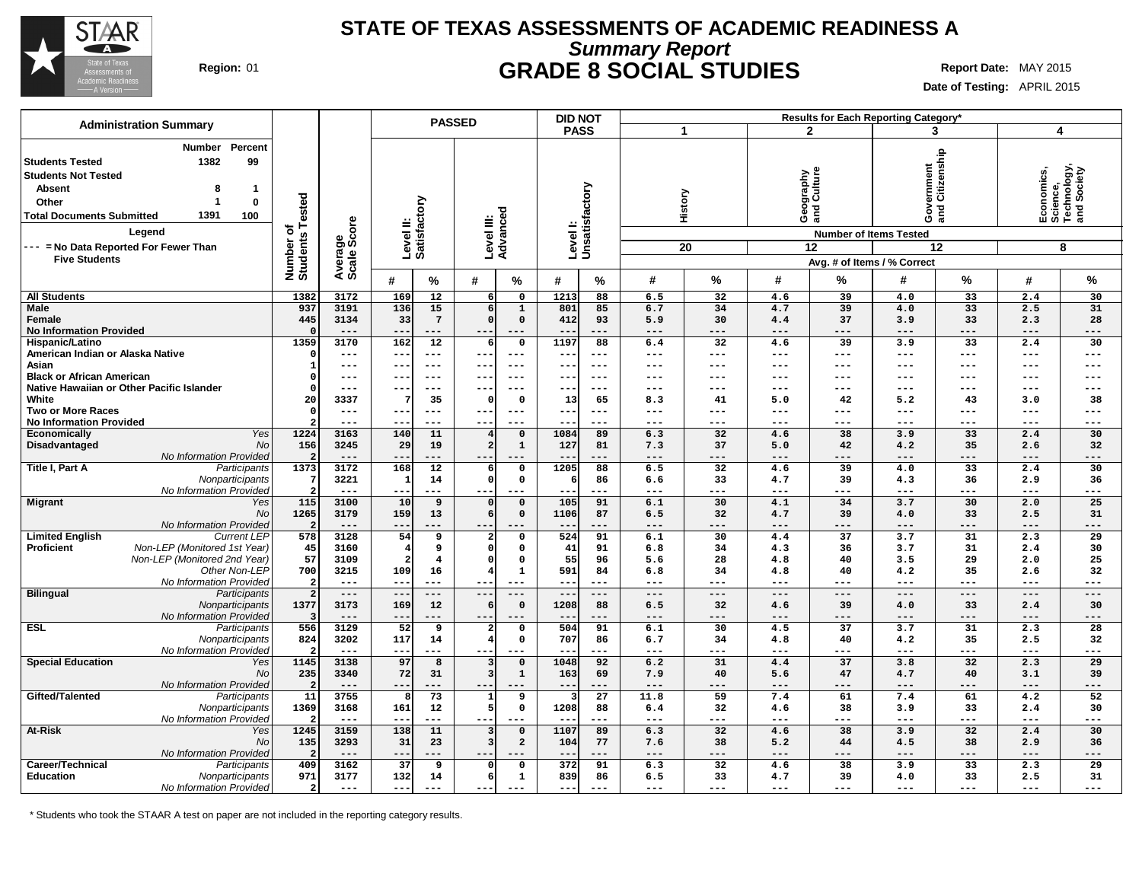

### **STATE OF TEXAS ASSESSMENTS OF ACADEMIC READINESS A Summary Report Region:** 01 **GRADE 8 SOCIAL STUDIES Report Date:** MAY 2015

**Date of Testing:** APRIL 2015

| <b>Administration Summary</b>                                                                                                                                                                                                  |                                     |                                      |                        |                           | <b>PASSED</b>       |                        |                               | <b>DID NOT</b>            |             |            |               |            |                                | Results for Each Reporting Category*                                                                   |               |              |                                                           |
|--------------------------------------------------------------------------------------------------------------------------------------------------------------------------------------------------------------------------------|-------------------------------------|--------------------------------------|------------------------|---------------------------|---------------------|------------------------|-------------------------------|---------------------------|-------------|------------|---------------|------------|--------------------------------|--------------------------------------------------------------------------------------------------------|---------------|--------------|-----------------------------------------------------------|
|                                                                                                                                                                                                                                |                                     |                                      |                        |                           |                     |                        |                               | <b>PASS</b>               |             |            | 1             |            | $\mathbf{2}$                   |                                                                                                        | 3             |              | $\overline{\mathbf{A}}$                                   |
| <b>Number</b><br>1382<br><b>Students Tested</b><br><b>Students Not Tested</b><br><b>Absent</b><br>Other<br>1391<br><b>Total Documents Submitted</b><br>Legend<br>--- = No Data Reported For Fewer Than<br><b>Five Students</b> | Percent<br>99<br>8<br>1<br>0<br>100 | Tested<br>৳<br>Number o'<br>Students | Average<br>Scale Score | Level II:<br>Satisfactory |                     | Level III:<br>Advanced |                               | Levell:<br>Unsatisfactory |             |            | History<br>20 |            | Geography<br>and Culture<br>12 | /ernment<br>Citizenship<br>$rac{8}{3}$<br><b>Number of Items Tested</b><br>Avg. # of Items / % Correct | 12            |              | Economics,<br>Science,<br>Technology,<br>and Society<br>8 |
|                                                                                                                                                                                                                                |                                     |                                      |                        | #                         | %                   | #                      | %                             | #                         | $\%$        | #          | %             | #          | %                              | #                                                                                                      | %             | #            | %                                                         |
| <b>All Students</b>                                                                                                                                                                                                            |                                     | 1382                                 | 3172                   | 169                       | 12                  |                        | $\mathbf 0$                   | 1213                      | 88          | 6.5        | 32            | 4.6        | 39                             | 4.0                                                                                                    | 33            | 2.4          | 30                                                        |
| <b>Male</b>                                                                                                                                                                                                                    |                                     | 937                                  | 3191                   | 136                       | 15                  |                        | $\mathbf{1}$                  | 801                       | 85          | 6.7        | 34            | 4.7        | 39                             | 4.0                                                                                                    | 33            | 2.5          | 31                                                        |
| Female                                                                                                                                                                                                                         |                                     | 445                                  | 3134                   | 33                        | $7\overline{ }$     |                        | $\mathbf 0$                   | 412                       | 93          | 5.9        | 30            | 4.4        | 37                             | 3.9                                                                                                    | 33            | 2.3          | 28                                                        |
| <b>No Information Provided</b>                                                                                                                                                                                                 |                                     |                                      | ---                    | $- -$                     | $---$               | $\qquad \qquad -$      | $---$                         |                           | ---         | ---        | $---$         | ---        | ---                            | $---$                                                                                                  | $---$         | $---$        | $---$                                                     |
| Hispanic/Latino                                                                                                                                                                                                                |                                     | 1359                                 | 3170                   | 162                       | 12                  |                        | $\mathbf 0$                   | 1197                      | 88          | 6.4        | 32            | 4.6        | 39                             | 3.9                                                                                                    | 33            | 2.4          | 30                                                        |
| American Indian or Alaska Native                                                                                                                                                                                               |                                     |                                      | $---$                  | $- -$                     | $- - -$             | $- -$                  | $---$                         | $ -$                      | $---$       | ---        | $---$         | ---        | ---                            | $---$                                                                                                  | $\frac{1}{2}$ | $---$        | $---$                                                     |
| Asian                                                                                                                                                                                                                          |                                     |                                      | ---                    | $- -$                     | $---$               | $- -$                  | $- - -$                       | $-$                       | $- - -$     | ---        | $---$         | ---        | $---$                          | $---$                                                                                                  | $---$         | $---$        | $---$                                                     |
| <b>Black or African American</b>                                                                                                                                                                                               |                                     |                                      | ---                    | --                        | $\qquad \qquad - -$ | $--$                   | $---$                         | $-$                       | $---$       | ---        | $---$         | ---        | $---$                          | $---$                                                                                                  | $- -$         | $---$        | $---$                                                     |
| Native Hawaiian or Other Pacific Islander                                                                                                                                                                                      |                                     |                                      | ---                    |                           | $---$               | $- -$                  |                               |                           |             | ---        |               | ---        |                                | ---                                                                                                    | $---$         | ---          | ---                                                       |
| White<br><b>Two or More Races</b>                                                                                                                                                                                              |                                     | 20                                   | 3337<br>$---$          | ---                       | 35<br>$---$         | $---$                  | $\mathbf 0$<br>$---$          | 13<br>$- -$               | 65<br>$---$ | 8.3<br>--- | 41<br>---     | 5.0<br>--- | 42<br>$---$                    | 5.2<br>$---$                                                                                           | 43<br>$---$   | 3.0<br>$---$ | 38<br>$---$                                               |
| <b>No Information Provided</b>                                                                                                                                                                                                 |                                     |                                      | ---                    |                           | $---$               | $- -$                  | $- - -$                       | --                        | $- - -$     | ---        | ---           | ---        | ---                            | $---$                                                                                                  | $---$         | $---$        | $---$                                                     |
| <b>Economically</b>                                                                                                                                                                                                            | Yes                                 | 1224                                 | 3163                   | 140                       | 11                  |                        | $\mathbf 0$                   | 1084                      | 89          | 6.3        | 32            | 4.6        | 38                             | 3.9                                                                                                    | 33            | 2.4          | 30                                                        |
| Disadvantaged                                                                                                                                                                                                                  | <b>No</b>                           | 156                                  | 3245                   | 29                        | 19                  |                        | $\mathbf{1}$                  | 127                       | 81          | 7.3        | 37            | 5.0        | 42                             | 4.2                                                                                                    | 35            | 2.6          | 32                                                        |
| No Information Provided                                                                                                                                                                                                        |                                     |                                      | ---                    | --                        | ---                 | $--$                   |                               |                           | .           | ---        | ---           | ---        | ---                            | ---                                                                                                    | ---           | ---          | ---                                                       |
| Title I, Part A                                                                                                                                                                                                                | Participants                        | 1373                                 | 3172                   | 168                       | 12                  |                        | $\mathbf 0$                   | 1205                      | 88          | 6.5        | 32            | 4.6        | 39                             | 4.0                                                                                                    | 33            | 2.4          | 30                                                        |
|                                                                                                                                                                                                                                | Nonparticipants                     |                                      | 3221                   | 1                         | 14                  |                        | $\mathbf 0$                   |                           | 86          | 6.6        | 33            | 4.7        | 39                             | 4.3                                                                                                    | 36            | 2.9          | 36                                                        |
| No Information Provided                                                                                                                                                                                                        |                                     |                                      | $---$                  | --                        | $\qquad \qquad - -$ |                        | ---                           |                           | ---         | ---        | $---$         | ---        | ---                            | $---$                                                                                                  | ---           | $---$        | ---                                                       |
| <b>Migrant</b>                                                                                                                                                                                                                 | Yes                                 | 115                                  | 3100                   | 10                        | 9                   |                        | $\mathsf{o}\,$                | 105                       | 91          | 6.1        | 30            | 4.1        | 34                             | 3.7                                                                                                    | 30            | 2.0          | 25                                                        |
|                                                                                                                                                                                                                                | <b>No</b>                           | 1265                                 | 3179                   | 159                       | 13                  |                        | $\mathbf 0$                   | 1106                      | 87          | 6.5        | 32            | 4.7        | 39                             | 4.0                                                                                                    | 33            | 2.5          | 31                                                        |
| No Information Provided                                                                                                                                                                                                        |                                     |                                      | $---$                  | ---                       | ---                 | $--$                   | $---$                         |                           | ---         | ---        | $---$         | ---        | ---                            | $---$                                                                                                  | $---$         | $---$        | $---$                                                     |
| <b>Limited English</b><br>Non-LEP (Monitored 1st Year)<br><b>Proficient</b>                                                                                                                                                    | <b>Current LEP</b>                  | 578                                  | 3128<br>3160           | 54<br>4                   | 9<br>9              |                        | $\Omega$<br>$\Omega$          | 524<br>41                 | 91<br>91    | 6.1<br>6.8 | 30<br>34      | 4.4<br>4.3 | 37<br>36                       | 3.7<br>3.7                                                                                             | 31<br>31      | 2.3<br>2.4   | 29<br>30                                                  |
| Non-LEP (Monitored 2nd Year)                                                                                                                                                                                                   |                                     | 45<br>57                             | 3109                   |                           | 4                   |                        | $\mathbf 0$                   | 55                        | 96          | 5.6        | 28            | 4.8        | 40                             | 3.5                                                                                                    | 29            | 2.0          | 25                                                        |
|                                                                                                                                                                                                                                | Other Non-LEP                       | 700                                  | 3215                   | 109                       | 16                  |                        | 1                             | 591                       | 84          | 6.8        | 34            | 4.8        | 40                             | 4.2                                                                                                    | 35            | 2.6          | 32                                                        |
| No Information Provided                                                                                                                                                                                                        |                                     |                                      | $---$                  | --                        | $\qquad \qquad - -$ |                        | ---                           | --                        | $--$        | ---        | $---$         | ---        | ---                            | ---                                                                                                    | $---$         | ---          | ---                                                       |
| <b>Bilingual</b>                                                                                                                                                                                                               | Participants                        | $\overline{2}$                       | $---$                  | $---$                     | $---$               | $--$                   | $---$                         | $\overline{\phantom{a}}$  | $---$       | ---        | $---$         | ---        | $---$                          | $---$                                                                                                  | $---$         | $- - -$      | $---$                                                     |
|                                                                                                                                                                                                                                | Nonparticipants                     | 1377                                 | 3173                   | 169                       | 12                  |                        | $\mathbf 0$                   | 1208                      | 88          | 6.5        | 32            | 4.6        | 39                             | 4.0                                                                                                    | 33            | 2.4          | 30                                                        |
| No Information Provided                                                                                                                                                                                                        |                                     |                                      | $---$                  | --                        | ---                 | $- -$                  | $---$                         |                           | ---         | ---        | ---           | ---        | ---                            | $---$                                                                                                  | ---           | $---$        | $---$                                                     |
| <b>ESL</b>                                                                                                                                                                                                                     | Participants                        | 556                                  | 3129                   | $\overline{52}$           | 9                   |                        | $\mathbf 0$                   | 504                       | 91          | 6.1        | 30            | 4.5        | $\overline{37}$                | 3.7                                                                                                    | 31            | 2.3          | $\overline{28}$                                           |
|                                                                                                                                                                                                                                | Nonparticipants                     | 824                                  | 3202                   | 117                       | 14                  |                        | $\mathbf{o}$                  | 707                       | 86          | 6.7        | 34            | 4.8        | 40                             | 4.2                                                                                                    | 35            | 2.5          | 32                                                        |
| No Information Provided                                                                                                                                                                                                        |                                     |                                      |                        | --                        | ---                 | --                     |                               |                           | ---         | ---        | ---           | ---        |                                | ---                                                                                                    | ---           | $- - -$      | ---                                                       |
| <b>Special Education</b>                                                                                                                                                                                                       | Yes<br>No                           | 1145<br>235                          | 3138<br>3340           | 97<br>72                  | 8<br>31             |                        | $\mathsf{o}\,$<br>$\mathbf 1$ | 1048<br>163               | 92<br>69    | 6.2<br>7.9 | 31<br>40      | 4.4<br>5.6 | 37<br>47                       | 3.8<br>4.7                                                                                             | 32<br>40      | 2.3          | 29<br>39                                                  |
| <b>No Information Provided</b>                                                                                                                                                                                                 |                                     |                                      | ---                    | --                        | .                   | $--$                   |                               | $ -$                      | ---         | ---        | ---           | ---        | ---                            | $---$                                                                                                  | ---           | 3.1<br>---   | ---                                                       |
| Gifted/Talented                                                                                                                                                                                                                | Participants                        | 11                                   | 3755                   |                           | 73                  |                        | 9                             |                           | 27          | 11.8       | 59            | 7.4        | 61                             | 7.4                                                                                                    | 61            | 4.2          | 52                                                        |
|                                                                                                                                                                                                                                | Nonparticipants                     | 1369                                 | 3168                   | 161                       | 12                  |                        | $\mathbf 0$                   | 1208                      | 88          | 6.4        | 32            | 4.6        | 38                             | 3.9                                                                                                    | 33            | 2.4          | 30                                                        |
| No Information Provided                                                                                                                                                                                                        |                                     |                                      | $---$                  | $- -$                     | $---$               | $- -$                  | ---                           |                           | $- - -$     | ---        | $---$         | ---        | ---                            | $\qquad \qquad - -$                                                                                    | ---           | $---$        | $---$                                                     |
| At-Risk                                                                                                                                                                                                                        | Yes                                 | 1245                                 | 3159                   | 138                       | 11                  |                        | $\mathbf 0$                   | 1107                      | 89          | 6.3        | 32            | 4.6        | 38                             | 3.9                                                                                                    | 32            | 2.4          | 30                                                        |
|                                                                                                                                                                                                                                | <b>No</b>                           | 135                                  | 3293                   | 31                        | 23                  |                        | $\overline{a}$                | 104                       | 77          | 7.6        | 38            | 5.2        | 44                             | 4.5                                                                                                    | 38            | 2.9          | 36                                                        |
| No Information Provided                                                                                                                                                                                                        |                                     |                                      | $---$                  | --                        | $- -$               | $- -$                  |                               |                           | ---         | ---        | ---           | ---        | ---                            | $---$                                                                                                  | ---           | $---$        | ---                                                       |
| Career/Technical                                                                                                                                                                                                               | Participants                        | 409                                  | 3162                   | 37                        | 9                   |                        | $\mathbf 0$                   | 372                       | 91          | 6.3        | 32            | 4.6        | 38                             | 3.9                                                                                                    | 33            | 2.3          | 29                                                        |
| <b>Education</b>                                                                                                                                                                                                               | Nonparticipants                     | 971                                  | 3177                   | 132                       | 14                  |                        | 1                             | 839                       | 86          | 6.5        | 33            | 4.7        | 39                             | 4.0                                                                                                    | 33            | 2.5          | 31                                                        |
| No Information Provided                                                                                                                                                                                                        |                                     | $\overline{2}$                       | $---$                  | ---                       | $- - -$             | ---                    | $---$                         | $- -$                     | $---$       | ---        | $---$         | ---        | $---$                          | $---$                                                                                                  | $- - -$       | $---$        | ---                                                       |

\* Students who took the STAAR A test on paper are not included in the reporting category results.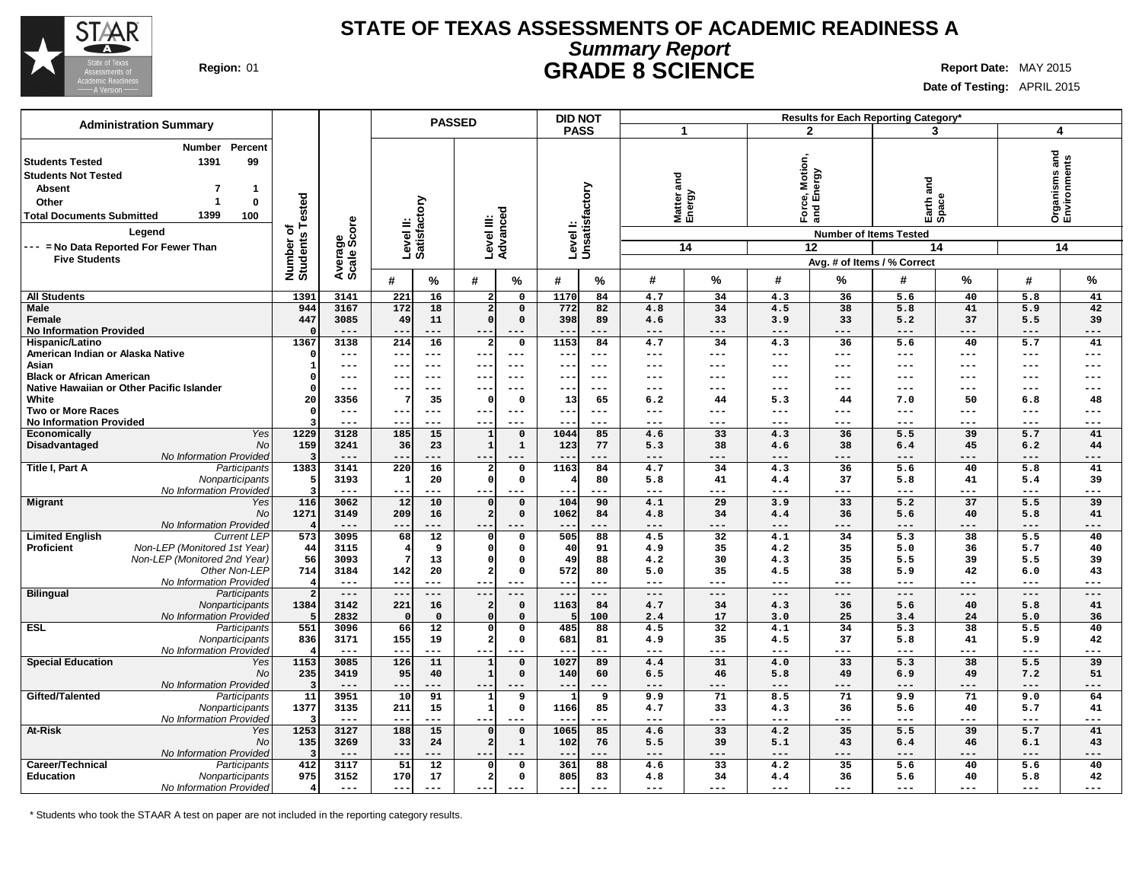

### **STATE OF TEXAS ASSESSMENTS OF ACADEMIC READINESS A Summary Report Region:** 01 **GRADE 8 SCIENCE Report Date:** MAY 2015

**Date of Testing:** APRIL 2015

|                                                                                                                                                                                     | <b>Administration Summary</b>                                                   |                                      |                        |                           |                     | <b>PASSED</b>           |                | <b>DID NOT</b>            |                  |              |                        |                |                                                                         | Results for Each Reporting Category* |                              |                              |                                     |
|-------------------------------------------------------------------------------------------------------------------------------------------------------------------------------------|---------------------------------------------------------------------------------|--------------------------------------|------------------------|---------------------------|---------------------|-------------------------|----------------|---------------------------|------------------|--------------|------------------------|----------------|-------------------------------------------------------------------------|--------------------------------------|------------------------------|------------------------------|-------------------------------------|
|                                                                                                                                                                                     |                                                                                 |                                      |                        |                           |                     |                         |                | <b>PASS</b>               |                  | $\mathbf{1}$ |                        |                | $\mathbf{2}$                                                            |                                      | 3                            | $\overline{\mathbf{4}}$      |                                     |
| <b>Students Tested</b><br><b>Students Not Tested</b><br><b>Absent</b><br>Other<br><b>Total Documents Submitted</b><br>--- = No Data Reported For Fewer Than<br><b>Five Students</b> | <b>Number</b><br>Percent<br>1391<br>99<br>7<br>-1<br>0<br>1399<br>100<br>Legend | Tested<br>৳<br>Number of<br>Students | Average<br>Scale Score | Level II:<br>Satisfactory |                     | Level III:<br>Advanced  |                | Levell:<br>Unsatisfactory |                  | and          | Matter<br>Energy<br>14 | Motion,        | ි<br>₫<br>ல் ந<br>Force<br>and E<br><b>Number of Items Tested</b><br>12 | and<br>Avg. # of Items / % Correct   | Earth a<br>Space<br>14       |                              | Organisms and<br>Environments<br>14 |
|                                                                                                                                                                                     |                                                                                 |                                      |                        | #                         | $\%$                | #                       | $\frac{0}{0}$  | #                         | $\%$             | #            | $\%$                   | #              | %                                                                       | #                                    | %                            | #                            | %                                   |
| <b>All Students</b>                                                                                                                                                                 |                                                                                 | 1391                                 | 3141                   | 221                       | 16                  |                         | $\mathbf 0$    | 1170                      | 84               | 4.7          | 34                     | 4.3            | 36                                                                      | 5.6                                  | 40                           | 5.8                          | 41                                  |
| <b>Male</b>                                                                                                                                                                         |                                                                                 | 944                                  | 3167                   | 172                       | 18                  | $\overline{2}$          | $\Omega$       | 772                       | 82               | 4.8          | 34                     | 4.5            | 38                                                                      | 5.8                                  | 41                           | 5.9                          | 42                                  |
| Female                                                                                                                                                                              |                                                                                 | 447                                  | 3085                   | 49                        | 11                  | οI                      | $\mathbf 0$    | 398                       | 89               | 4.6          | 33                     | 3.9            | 33                                                                      | 5.2                                  | 37                           | 5.5                          | 39                                  |
| <b>No Information Provided</b>                                                                                                                                                      |                                                                                 |                                      | $- - -$                | $- -$                     | $---$               | $- -$                   | $- - -$        | $ -$                      | $- - -$          | ---          | $---$                  | $- - -$        | $- - -$                                                                 | $- - -$                              | ---                          | $- - -$                      | ---                                 |
| Hispanic/Latino                                                                                                                                                                     |                                                                                 | 1367                                 | 3138                   | 214                       | 16                  | $\overline{a}$          | $\mathsf{o}$   | 1153                      | 84               | 4.7          | 34                     | 4.3            | 36                                                                      | 5.6                                  | 40                           | 5.7                          | 41                                  |
| American Indian or Alaska Native                                                                                                                                                    |                                                                                 |                                      | $---$                  | ---                       | ---                 | ---                     | $- - -$        | $\overline{\phantom{m}}$  | $---$            | ---          | ---                    | $---$          | $---$                                                                   | $\qquad \qquad - -$                  | $\qquad \qquad -$            | $---$                        | $---$                               |
| Asian                                                                                                                                                                               |                                                                                 |                                      | ---                    | --                        | $---$               | ---                     |                | --                        | ---              | ---          | ---                    | ---            | ---                                                                     | ---                                  | $---$                        | $---$                        | $---$                               |
| <b>Black or African American</b>                                                                                                                                                    |                                                                                 |                                      | ---                    | --                        | $\qquad \qquad - -$ | $--$                    | $--$           | $- -$                     | $---$            | ---          | ---                    | ---            | ---                                                                     | ---                                  | $\qquad \qquad -$            | $---$                        | $---$                               |
|                                                                                                                                                                                     | Native Hawaiian or Other Pacific Islander                                       |                                      | $---$                  | --                        | $---$               | $- -$                   | $- -$          |                           | ---              | ---          | ---                    | ---            | ---                                                                     | ---                                  | $---$                        | $---$                        | $---$                               |
| White                                                                                                                                                                               |                                                                                 | 20                                   | 3356                   |                           | 35                  | $\Omega$                | $\mathbf 0$    | 13                        | 65               | 6.2          | 44                     | 5.3            | 44                                                                      | 7.0                                  | 50                           | 6.8                          | 48                                  |
| <b>Two or More Races</b>                                                                                                                                                            |                                                                                 |                                      | $---$<br>$---$         | --                        | $---$               | $---$                   | $--$<br>$---$  | $\qquad \qquad -$         | $--$<br>$---$    | ---          | ---                    | ---            | ---<br>---                                                              | ---                                  | $---$                        | $---$                        | $---$<br>---                        |
| <b>No Information Provided</b><br><b>Economically</b>                                                                                                                               | Yes                                                                             | 1229                                 | 3128                   | --<br>185                 | ---<br>15           | $- -$<br>1              | $\mathbf 0$    | 1044                      | 85               | ---<br>4.6   | ---<br>33              | ---<br>4.3     | 36                                                                      | ---<br>5.5                           | $---$<br>39                  | $---$<br>5.7                 | 41                                  |
| Disadvantaged                                                                                                                                                                       | No                                                                              | 159                                  | 3241                   | 36                        | 23                  | $\vert$ 1               | $\mathbf{1}$   | 123                       | 77               | 5.3          | 38                     | 4.6            | 38                                                                      | 6.4                                  | 45                           | 6.2                          | 44                                  |
|                                                                                                                                                                                     | No Information Provided                                                         |                                      | $---$                  | $- -$                     | ---                 | $- -$                   |                | $- -$                     | ---              | ---          | ---                    | ---            | ---                                                                     | ---                                  | ---                          | ---                          | ---                                 |
| Title I, Part A                                                                                                                                                                     | Participants                                                                    | 1383                                 | 3141                   | 220                       | 16                  |                         | $\mathbf{o}$   | 1163                      | 84               | 4.7          | 34                     | 4.3            | 36                                                                      | 5.6                                  | 40                           | 5.8                          | 41                                  |
|                                                                                                                                                                                     | Nonparticipants                                                                 |                                      | 3193                   | $\mathbf{1}$              | 20                  | $\Omega$                | 0              |                           | 80               | 5.8          | 41                     | 4.4            | 37                                                                      | 5.8                                  | 41                           | 5.4                          | 39                                  |
|                                                                                                                                                                                     | No Information Provided                                                         |                                      | $---$                  | --                        | ---                 | ---                     | ---            |                           | $---$            | ---          | ---                    | ---            | ---                                                                     | ---                                  | ---                          | $---$                        | ---                                 |
| <b>Migrant</b>                                                                                                                                                                      | Yes                                                                             | 116                                  | 3062                   | 12                        | 10                  | $\Omega$                | $\mathsf{o}\,$ | 104                       | 90               | 4.1          | 29                     | 3.9            | 33                                                                      | 5.2                                  | 37                           | 5.5                          | 39                                  |
|                                                                                                                                                                                     | No                                                                              | 1271                                 | 3149                   | 209                       | 16                  | $\overline{2}$          | $\mathbf 0$    | 1062                      | 84               | 4.8          | 34                     | 4.4            | 36                                                                      | 5.6                                  | 40                           | 5.8                          | 41                                  |
|                                                                                                                                                                                     | No Information Provided                                                         |                                      | $---$                  | $- -$                     | ---                 | $--$                    |                |                           | ---              | ---          | ---                    | ---            | ---                                                                     | $---$                                | ---                          | $---$                        | $---$                               |
| <b>Limited English</b>                                                                                                                                                              | <b>Current LEP</b>                                                              | 573                                  | 3095                   | 68                        | $\overline{12}$     |                         | $\mathbf 0$    | 505                       | 88               | 4.5          | 32                     | 4.1            | 34                                                                      | $\overline{5.3}$                     | 38                           | 5.5                          | 40                                  |
| <b>Proficient</b>                                                                                                                                                                   | Non-LEP (Monitored 1st Year)                                                    | 44                                   | 3115                   |                           | 9                   | $\Omega$                | $\Omega$       | 40                        | 91               | 4.9          | 35                     | 4.2            | 35                                                                      | 5.0                                  | 36                           | 5.7                          | 40                                  |
|                                                                                                                                                                                     | Non-LEP (Monitored 2nd Year)                                                    | 56                                   | 3093                   |                           | 13                  | οI                      | $\Omega$       | 49                        | 88               | 4.2          | 30                     | 4.3            | 35                                                                      | 5.5                                  | 39                           | 5.5                          | 39                                  |
|                                                                                                                                                                                     | Other Non-LEP                                                                   | 714                                  | 3184                   | 142                       | 20                  | 21                      | $\Omega$       | 572                       | 80               | 5.0          | 35                     | 4.5            | 38                                                                      | 5.9                                  | 42                           | 6.0                          | 43                                  |
| <b>Bilingual</b>                                                                                                                                                                    | No Information Provideo<br>Participants                                         | $\overline{2}$                       | $---$<br>$---$         | $- -$<br>$-$              | $---$<br>$---$      | $- -$                   |                | $- -$<br>$-$              | $- - -$<br>$---$ | ---<br>$---$ | ---<br>$---$           | $---$<br>$---$ | ---<br>$---$                                                            | ---<br>$\qquad \qquad - -$           | $---$<br>$\qquad \qquad - -$ | $---$<br>$\qquad \qquad - -$ | $---$<br>$---$                      |
|                                                                                                                                                                                     | Nonparticipants                                                                 | 1384                                 | 3142                   | 221                       | 16                  | $\overline{2}$          | $\mathsf{o}$   | 1163                      | 84               | 4.7          | 34                     | 4.3            | 36                                                                      | 5.6                                  | 40                           | 5.8                          | 41                                  |
|                                                                                                                                                                                     | No Information Provideo                                                         |                                      | 2832                   | $\mathsf{C}$              | $\mathbf 0$         |                         | $\Omega$       |                           | 100              | 2.4          | 17                     | 3.0            | 25                                                                      | 3.4                                  | 24                           | 5.0                          | 36                                  |
| <b>ESL</b>                                                                                                                                                                          | Participants                                                                    | 551                                  | 3096                   | 66                        | $\overline{12}$     | οI                      | $\mathbf 0$    | 485                       | 88               | 4.5          | 32                     | 4.1            | 34                                                                      | $\overline{5.3}$                     | 38                           | 5.5                          | 40                                  |
|                                                                                                                                                                                     | Nonparticipants                                                                 | 836                                  | 3171                   | 155                       | 19                  | $\overline{2}$          | $\Omega$       | 681                       | 81               | 4.9          | 35                     | 4.5            | 37                                                                      | 5.8                                  | 41                           | 5.9                          | 42                                  |
|                                                                                                                                                                                     | No Information Provided                                                         |                                      | $---$                  | $- -$                     | ---                 | $--$                    |                |                           | $---$            | ---          | ---                    | $---$          | ---                                                                     | $---$                                | $---$                        | $\frac{1}{2}$                | $---$                               |
| <b>Special Education</b>                                                                                                                                                            | Yes                                                                             | 1153                                 | 3085                   | 126                       | 11                  | $\mathbf{1}$            | $\mathbf 0$    | 1027                      | 89               | 4.4          | 31                     | 4.0            | 33                                                                      | 5.3                                  | 38                           | 5.5                          | 39                                  |
|                                                                                                                                                                                     | No                                                                              | 235                                  | 3419                   | 95                        | 40                  | $\mathbf{1}$            | $\mathbf 0$    | 140                       | 60               | 6.5          | 46                     | 5.8            | 49                                                                      | 6.9                                  | 49                           | 7.2                          | 51                                  |
|                                                                                                                                                                                     | No Information Provided                                                         |                                      | $---$                  | $- -$                     | ---                 | $--$                    |                | $ -$                      | ---              | ---          | ---                    | ---            | ---                                                                     | ---                                  | ---                          | $---$                        | $---$                               |
| Gifted/Talented                                                                                                                                                                     | Participants                                                                    | 11                                   | 3951                   | $\overline{10}$           | 91                  | 1                       | 9              |                           | 9                | 9.9          | $\overline{71}$        | 8.5            | $\overline{71}$                                                         | 9.9                                  | $\overline{71}$              | 9.0                          | 64                                  |
|                                                                                                                                                                                     | Nonparticipants                                                                 | 1377                                 | 3135                   | 211                       | 15                  | $\mathbf{1}$            | $\Omega$       | 1166                      | 85               | 4.7          | 33                     | 4.3            | 36                                                                      | 5.6                                  | 40                           | 5.7                          | 41                                  |
|                                                                                                                                                                                     | No Information Provideo                                                         |                                      | $---$                  | $- -$                     | ---                 | $--$                    |                |                           | $--$             | ---          | ---                    | $---$          | ---                                                                     | ---                                  | $---$                        | $---$                        | $---$                               |
| At-Risk                                                                                                                                                                             | Yes                                                                             | 1253                                 | 3127                   | 188                       | 15                  | $\Omega$                | $\mathsf{o}$   | 1065                      | 85               | 4.6          | 33                     | 4.2            | 35                                                                      | $\overline{5.5}$                     | 39                           | 5.7                          | 41                                  |
|                                                                                                                                                                                     | No<br>No Information Provided                                                   | 135                                  | 3269<br>$---$          | 33<br>$- -$               | 24<br>$-- -$        |                         | $\mathbf{1}$   | 102                       | 76<br>---        | 5.5<br>---   | 39<br>---              | 5.1<br>---     | 43<br>---                                                               | 6.4<br>$---$                         | 46<br>---                    | 6.1<br>$---$                 | 43<br>$---$                         |
| Career/Technical                                                                                                                                                                    | Participants                                                                    | 412                                  | 3117                   | 51                        | 12                  | $\Omega$                | $\Omega$       | 361                       | 88               | 4.6          | 33                     | 4.2            | 35                                                                      | 5.6                                  | 40                           | 5.6                          | 40                                  |
| <b>Education</b>                                                                                                                                                                    | Nonparticipants                                                                 | 975                                  | 3152                   | 170                       | 17                  | $\overline{\mathbf{2}}$ | $\Omega$       | 805                       | 83               | 4.8          | 34                     | 4.4            | 36                                                                      | 5.6                                  | 40                           | 5.8                          | 42                                  |
|                                                                                                                                                                                     | No Information Provided                                                         | 4                                    | $\frac{1}{2}$          | $-$                       | $---$               | $--$                    | $---$          |                           | $---$            | ---          | ---                    | ---            | ---                                                                     | $---$                                | $---$                        | $---$                        | $---$                               |

\* Students who took the STAAR A test on paper are not included in the reporting category results.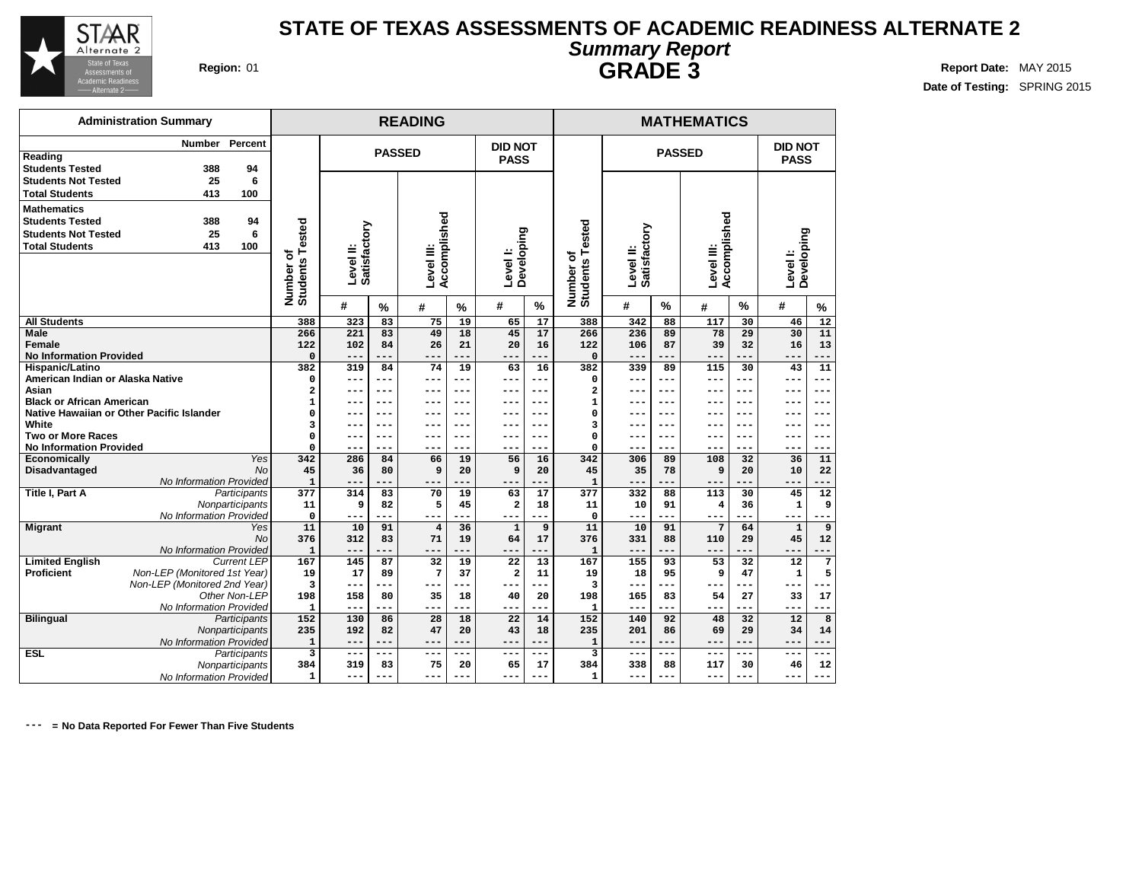

### **STATE OF TEXAS ASSESSMENTS OF ACADEMIC READINESS ALTERNATE 2 Summary Report Region:** 01 **Region:** 01 **Region:** 01 **Report Date:** MAY 2015

**Date of Testing:** SPRING 2015

| <b>GRADE 3</b>     |
|--------------------|
| <b>MATHEMATICS</b> |

|                                           | <b>Administration Summary</b>             |                              |                           |           | <b>READING</b>             |               |                               |            |                              |                           |               | <b>MATHEMATICS</b>         |               |                               |                 |
|-------------------------------------------|-------------------------------------------|------------------------------|---------------------------|-----------|----------------------------|---------------|-------------------------------|------------|------------------------------|---------------------------|---------------|----------------------------|---------------|-------------------------------|-----------------|
| Reading<br><b>Students Tested</b>         | Percent<br><b>Number</b><br>388<br>94     |                              |                           |           | <b>PASSED</b>              |               | <b>DID NOT</b><br><b>PASS</b> |            |                              |                           | <b>PASSED</b> |                            |               | <b>DID NOT</b><br><b>PASS</b> |                 |
| <b>Students Not Tested</b>                | 25<br>6                                   |                              |                           |           |                            |               |                               |            |                              |                           |               |                            |               |                               |                 |
| <b>Total Students</b>                     | 413<br>100                                |                              |                           |           |                            |               |                               |            |                              |                           |               |                            |               |                               |                 |
|                                           |                                           |                              |                           |           |                            |               |                               |            |                              |                           |               |                            |               |                               |                 |
| <b>Mathematics</b>                        |                                           |                              |                           |           |                            |               |                               |            |                              |                           |               |                            |               |                               |                 |
| <b>Students Tested</b>                    | 94<br>388                                 |                              |                           |           |                            |               |                               |            |                              |                           |               |                            |               |                               |                 |
| <b>Students Not Tested</b>                | 25<br>6                                   |                              |                           |           |                            |               |                               |            |                              |                           |               |                            |               |                               |                 |
| <b>Total Students</b>                     | 413<br>100                                |                              |                           |           |                            |               |                               |            |                              |                           |               |                            |               |                               |                 |
|                                           |                                           | Number of<br>Students Tested | Satisfactory<br>Level II: |           | Accomplished<br>Level III: |               | Developing<br>Level I:        |            | Number of<br>Students Tested | Level II:<br>Satisfactory |               | Accomplished<br>Level III: |               | Developing<br>Level I:        |                 |
|                                           |                                           |                              | #                         | $\%$      | #                          | $\frac{9}{6}$ | #                             | %          |                              | #                         | $\frac{9}{6}$ | #                          | $\frac{9}{6}$ | #                             | $\%$            |
| <b>All Students</b>                       |                                           | 388                          | 323                       | 83        | 75                         | 19            | 65                            | 17         | 388                          | 342                       | 88            | 117                        | 30            | 46                            | 12              |
| Male                                      |                                           | 266                          | 221                       | 83        | 49                         | 18            | 45                            | 17         | 266                          | 236                       | 89            | 78                         | 29            | 30                            | 11              |
| Female                                    |                                           | 122                          | 102                       | 84        | 26                         | 21            | 20                            | 16         | 122                          | 106                       | 87            | 39                         | 32            | 16                            | 13              |
| <b>No Information Provided</b>            |                                           | $\mathbf 0$                  |                           | ---       | $- -$                      |               |                               |            | $\mathbf 0$                  | $---$                     |               | $---$                      |               |                               |                 |
| Hispanic/Latino                           |                                           | 382                          | 319                       | 84        | 74                         | 19            | 63                            | 16         | 382                          | 339                       | 89            | 115                        | 30            | 43                            | 11              |
| American Indian or Alaska Native<br>Asian |                                           | 0<br>2                       |                           | ---       |                            | ---           | ---                           | ---<br>--- | $\Omega$<br>$\overline{a}$   | $--$                      | ---<br>---    | ---                        | ---           | ---<br>--                     | ---             |
| <b>Black or African American</b>          |                                           | $\mathbf{1}$                 |                           | ---       |                            | ---           |                               | ---        | 1                            |                           | ---           |                            | ---           |                               | ---             |
|                                           | Native Hawaiian or Other Pacific Islander | 0                            |                           | ---       | --                         | $---$         | --                            | ---        | 0                            |                           | ---           |                            | $- - -$       | --                            | ---             |
| White                                     |                                           | 3                            |                           | ---       |                            | ---           | ---                           | ---        | 3                            |                           | ---           | ---                        | $- - -$       | ---                           | ---             |
| <b>Two or More Races</b>                  |                                           | 0                            | $- - -$                   | $- - -$   | ---                        | $- - -$       | ---                           | $- - -$    | $\mathbf 0$                  | $- - -$                   | ---           | ---                        | $- - -$       | $- - -$                       | ---             |
| <b>No Information Provided</b>            |                                           | 0                            | $--$                      | ---       | ---                        | ---           | ---                           | ---        | $\Omega$                     | $--$                      | ---           | ---                        | ---           | ---                           | ---             |
| Economically                              | Yes                                       | 342                          | 286                       | 84        | 66                         | 19            | 56                            | 16         | 342                          | 306                       | 89            | 108                        | 32            | 36                            | 11              |
| Disadvantaged                             | No                                        | 45                           | 36                        | 80        | 9                          | 20            | 9                             | 20         | 45                           | 35                        | 78            | 9                          | 20            | 10                            | 22              |
|                                           | No Information Provided                   | $\mathbf{1}$                 | $---$                     | ---       | ---                        |               | ---                           | $---$      | $\mathbf{1}$                 | $---$                     | ---           | $---$                      | ---           | ---                           |                 |
| <b>Title I, Part A</b>                    | Participants                              | 377                          | 314                       | 83        | 70                         | 19            | 63                            | 17         | 377                          | 332                       | 88            | 113                        | 30            | 45                            | $\overline{12}$ |
|                                           | Nonparticipants                           | 11                           | 9                         | 82        | 5                          | 45            | 2                             | 18         | 11                           | 10                        | 91            | $\overline{4}$             | 36            | ${\bf 1}$                     | 9               |
|                                           | No Information Provided                   | $\mathbf 0$                  | $--$                      | ---<br>91 | ---                        | ---<br>36     | ---                           | ---<br>9   | $\Omega$                     | $---$                     | ---<br>91     | ---<br>7                   | ---           | ---                           | 9               |
| <b>Migrant</b>                            | Yes<br><b>No</b>                          | 11<br>376                    | 10<br>312                 | 83        | $\overline{4}$<br>71       | 19            | $\mathbf{1}$<br>64            | 17         | 11<br>376                    | 10<br>331                 | 88            | 110                        | 64<br>29      | $\mathbf{1}$<br>45            | 12              |
|                                           | No Information Provided                   | $\mathbf{1}$                 | ---                       | ---       | ---                        |               | ---                           | $---$      | $\mathbf{1}$                 | $---$                     | ---           | ---                        | ---           | ---                           |                 |
| <b>Limited English</b>                    | <b>Current LEP</b>                        | 167                          | 145                       | 87        | 32                         | 19            | 22                            | 13         | 167                          | 155                       | 93            | 53                         | 32            | 12                            | 7               |
| <b>Proficient</b>                         | Non-LEP (Monitored 1st Year)              | 19                           | 17                        | 89        | 7                          | 37            | 2                             | 11         | 19                           | 18                        | 95            | 9                          | 47            | $\mathbf 1$                   | 5               |
|                                           | Non-LEP (Monitored 2nd Year)              | 3                            | ---                       | ---       | $---$                      |               |                               | ---        | 3                            | $---$                     |               | $---$                      |               |                               |                 |
|                                           | Other Non-LEP                             | 198                          | 158                       | 80        | 35                         | 18            | 40                            | 20         | 198                          | 165                       | 83            | 54                         | 27            | 33                            | 17              |
|                                           | No Information Provided                   | $\mathbf{1}$                 | $---$                     | ---       | $---$                      | ---           | ---                           | ---        | $\mathbf{1}$                 | $---$                     | ---           | $---$                      | ---           | ---                           |                 |
| <b>Bilingual</b>                          | Participants                              | 152                          | 130                       | 86        | 28                         | 18            | 22                            | 14         | 152                          | 140                       | 92            | 48                         | 32            | 12                            | 8               |
|                                           | Nonparticipants                           | 235                          | 192                       | 82        | 47                         | 20            | 43                            | 18         | 235                          | 201                       | 86            | 69                         | 29            | 34                            | 14              |
|                                           | No Information Provided                   | $\mathbf 1$                  | $---$                     | $---$     | $---$                      | ---           | ---                           | $---$      | $\mathbf{1}$                 | $---$                     | $-- -$        | $---$                      | ---           | ---                           |                 |
| <b>ESL</b>                                | Participants                              | 3                            | $---$                     | $---$     | $---$                      | $---$         | ---                           | $---$      | 3                            | $---$                     | $---$         | $---$                      | $- - -$       | ---                           | ---             |
|                                           | Nonparticipants                           | 384                          | 319                       | 83        | 75                         | 20            | 65                            | 17         | 384                          | 338                       | 88            | 117                        | 30            | 46                            | 12              |
|                                           | No Information Provided                   | 1                            | ---                       | ---       | ---                        | ---           | ---                           | $-- -$     | $\mathbf{1}$                 | ---                       | ---           | ---                        | ---           | ---                           | ---             |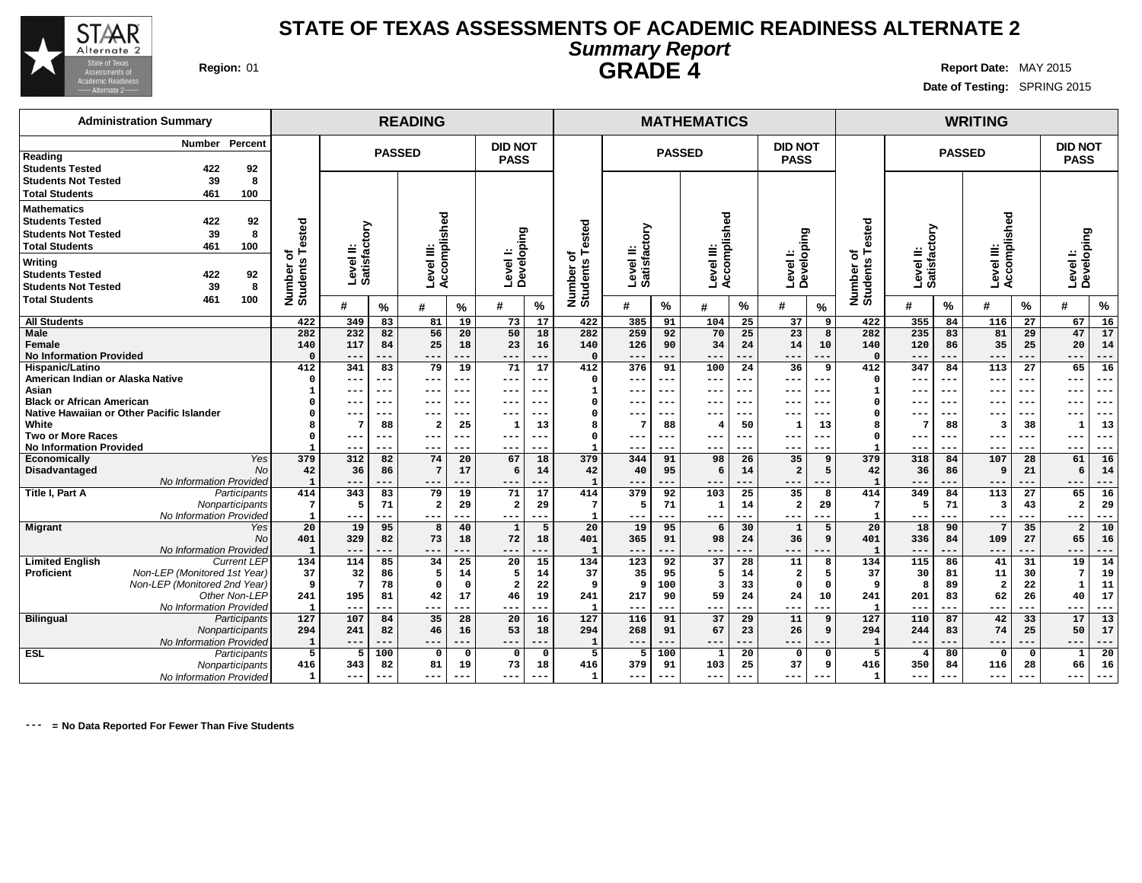

**Reading**

**Administration Summary**

### **STATE OF TEXAS ASSESSMENTS OF ACADEMIC READINESS ALTERNATE 2 Summary Report Region:** 01 **Report Date:** MAY 2015

**Date of Testing:** SPRING 2015

 **201 83 62 26 40 17 --- --- --- --- --- --- 110 87 42 33 17 13 244 83 74 25 50 17 --- --- --- --- --- --- 4 80 0 0 1 20 350 84 116 28 66 16 --- --- --- --- --- ---**

**DID NOT PASS**

**PASSED**

**Number Percent**

| <b>GRADE 4</b> |  |  |
|----------------|--|--|
|                |  |  |
|                |  |  |

**READING MATHEMATICS WRITING**

 **217 90 59 24 24 10 --- --- --- --- --- --- 116 91 37 29 11 9 268 91 67 23 26 9 --- --- --- --- --- --- 5 100 1 20 0 0 379 91 103 25 37 9 --- --- --- --- --- ---**

**DID NOT**

**PASSED**

| Reading<br><b>Students Tested</b>                                                                   |                              | 422              | 92                      |                         |                        |         |                         |          | <b>PASS</b>                  |        |                           |                  | . שטשר  |                         |         | <b>PASS</b>            |     |                           |                        |       |                        |       | <b>PASS</b>             |         |
|-----------------------------------------------------------------------------------------------------|------------------------------|------------------|-------------------------|-------------------------|------------------------|---------|-------------------------|----------|------------------------------|--------|---------------------------|------------------|---------|-------------------------|---------|------------------------|-----|---------------------------|------------------------|-------|------------------------|-------|-------------------------|---------|
| <b>Students Not Tested</b><br><b>Total Students</b>                                                 |                              | 39<br>461        | 8<br>100                |                         |                        |         |                         |          |                              |        |                           |                  |         |                         |         |                        |     |                           |                        |       |                        |       |                         |         |
| <b>Mathematics</b><br><b>Students Tested</b><br><b>Students Not Tested</b><br><b>Total Students</b> |                              | 422<br>39<br>461 | 92<br>8<br>100          | ested                   | ⋋<br>$\circ$           |         | shed                    |          |                              |        | ested<br>۴                | tory<br>ã<br>=   |         | shed                    |         |                        |     | ested                     | ⋋<br>৯                 |       | shed                   |       | ဥ<br>ᄒ                  |         |
| Writing<br><b>Students Tested</b><br><b>Students Not Tested</b>                                     |                              | 422<br>39        | 92<br>8                 | ৳<br>Number<br>Student: | Level II:<br>Satisfact |         | Level III:<br>Accomplis |          | Developing<br><b>Levell:</b> |        | ৳<br>Number o<br>Students | Level<br>Satisfa |         | Accomplis<br>Level III: |         | Developing<br>Level I: |     | ৳<br>Number o<br>Students | Level II:<br>Satisfact |       | Accompli<br>Level III: |       | ≕<br>Levell:<br>Develop |         |
| <b>Total Students</b>                                                                               |                              | 461              | 100                     |                         | #                      | %       | #                       | %        | #                            | %      |                           | #                | %       | #                       | $\%$    | #                      | %   |                           | #                      | %     | #                      | %     | #                       | $\%$    |
| <b>All Students</b>                                                                                 |                              |                  |                         | 422                     | 349                    | 83      | 81                      | 19       | 73                           | 17     | 422                       | 385              | 91      | 104                     | 25      | 37                     | 9   | 422                       | 355                    | 84    | 116                    | 27    | 67                      | 16      |
| <b>Male</b>                                                                                         |                              |                  |                         | 282                     | 232                    | 82      | 56                      | 20       | 50                           | 18     | 282                       | 259              | 92      | 70                      | 25      | 23                     | 8   | 282                       | 235                    | 83    | 81                     | 29    | 47                      | 17      |
| Female                                                                                              |                              |                  |                         | 140                     | 117                    | 84      | 25                      | 18       | 23                           | 16     | 140                       | 126              | 90      | 34                      | 24      | 14                     | 10  | 140                       | 120                    | 86    | 35                     | 25    | 20                      | 14      |
| <b>No Information Provided</b>                                                                      |                              |                  |                         | $\Omega$                | $--$                   | ---     | $---$                   |          | ---                          | $---$  | $\Omega$                  | ---              | $---$   | ---                     | $---$   | ---                    | --- |                           | $---$                  | ---   | ---                    | ---   | $---$                   | ---     |
| Hispanic/Latino                                                                                     |                              |                  |                         | 412                     | 341                    | 83      | 79                      | 19       | 71                           | 17     | 412                       | 376              | 91      | 100                     | 24      | 36                     | 9   | 412                       | 347                    | 84    | 113                    | 27    | 65                      | 16      |
| American Indian or Alaska Native                                                                    |                              |                  |                         | $\Omega$                | $- - -$                | ---     | ---                     | ---      | ---                          | $---$  | O                         | ---              | $- - -$ | ---                     | $--$    | ---                    | --- |                           | ---                    | ---   | ---                    | ---   | ---                     | ---     |
| Asian                                                                                               |                              |                  |                         |                         | $- -$                  | ---     | $- - -$                 | ---      | ---                          | $-- -$ |                           | ---              | $- - -$ | ---                     | $- - -$ | ---                    | --- |                           | ---                    | ---   | ---                    | ---   | ---                     | ---     |
| <b>Black or African American</b>                                                                    |                              |                  |                         |                         | $- - -$                | $- - -$ | $- - -$                 | ---      | ---                          | ---    | <sup>0</sup>              | ---              | $- - -$ | ---                     | ---     | ---                    | --- |                           | $- - -$                | ---   | ---                    | ---   | $- - -$                 | $- - -$ |
| Native Hawaiian or Other Pacific Islander                                                           |                              |                  |                         |                         | $--$                   | $-- -$  | $- - -$                 | ---      | ---                          | $---$  | O                         | ---              | ---     | ---                     | $--$    | ---                    | --- |                           | ---                    | ---   | ---                    | ---   | $---$                   | ---     |
| White                                                                                               |                              |                  |                         |                         |                        | 88      | 2                       | 25       |                              | 13     |                           | 7                | 88      |                         | 50      |                        | 13  |                           |                        | 88    | -3                     | 38    |                         | 13      |
| <b>Two or More Races</b>                                                                            |                              |                  |                         |                         | $- - -$                | $-- -$  | $- - -$                 | $-- -$   | $--$                         | $---$  |                           | ---              | $- - -$ | $- - -$                 | $--$    | $- - -$                | --- |                           | $- - -$                | ---   | ---                    | ---   | $- - -$                 | ---     |
| <b>No Information Provided</b>                                                                      |                              |                  |                         |                         | $- - -$                | ---     | $--$                    | ---      | $- - -$                      | ---    | -1                        | ---              | ---     | $--$                    | $- - -$ | ---                    | --- |                           | $- - -$                | ---   | ---                    | ---   | $- - -$                 | ---     |
| Economically                                                                                        |                              |                  | <b>Yes</b>              | 379                     | 312                    | 82      | 74                      | 20       | 67                           | 18     | 379                       | 344              | 91      | 98                      | 26      | 35                     | 9   | 379                       | 318                    | 84    | 107                    | 28    | 61                      | 16      |
| Disadvantaged                                                                                       |                              |                  | <b>No</b>               | 42                      | 36                     | 86      | 7                       | 17       | -6                           | 14     | 42                        | 40               | 95      | 6                       | 14      | $\overline{2}$         |     | 42                        | 36                     | 86    | -9                     | 21    | 6                       | 14      |
|                                                                                                     |                              |                  | No Information Provided |                         | $---$                  | ---     | $---$                   | ---      | $---$                        | ---    | $\overline{1}$            | ---              | ---     | $---$                   | $---$   | $---$                  |     |                           | $---$                  | ---   | ---                    | ---   | $---$                   | ---     |
| Title I, Part A                                                                                     |                              |                  | Participants            | 414                     | 343                    | 83      | 79                      | 19       | 71                           | 17     | 414                       | 379              | 92      | 103                     | 25      | 35                     | 8   | 414                       | 349                    | 84    | 113                    | 27    | 65                      | 16      |
|                                                                                                     |                              |                  | Nonparticipants         | $7\phantom{.0}$         |                        | 71      | $\overline{\mathbf{2}}$ | 29       | $\overline{2}$               | 29     |                           | 5                | 71      | 1                       | 14      | -2                     | 29  |                           | .5                     | 71    | -3                     | 43    | $\overline{a}$          | 29      |
|                                                                                                     |                              |                  | No Information Provided | $\mathbf{1}$            | $--$                   | ---     | $--$                    | ---      | ---                          | $---$  | -1                        | ---              | ---     | $---$                   | ---     | ---                    |     | -1                        | $---$                  | ---   | ---                    | ---   | $--$                    | ---     |
| <b>Migrant</b>                                                                                      |                              |                  | Yes                     | 20                      | 19                     | 95      | 8                       | 40       | $\mathbf{1}$                 | 5      | 20                        | 19               | 95      | 6                       | 30      | $\mathbf{1}$           | 5   | 20                        | 18                     | 90    | 7                      | 35    | $\overline{a}$          | 10      |
|                                                                                                     |                              |                  | <b>No</b>               | 401                     | 329                    | 82      | 73                      | 18       | 72                           | 18     | 401                       | 365              | 91      | 98                      | 24      | 36                     | - 9 | 401                       | 336                    | 84    | 109                    | 27    | 65                      | 16      |
|                                                                                                     |                              |                  | No Information Provided |                         | $- - -$                | ---     | ---                     | ---      | $---$                        | $---$  | $\overline{1}$            | ---              | $---$   | $---$                   | ---     | $---$                  | --- |                           | $---$                  | $---$ | ---                    | $---$ | $---$                   | $---$   |
| <b>Limited English</b>                                                                              |                              |                  | <b>Current LEP</b>      | 134                     | 114                    | 85      | 34                      | 25       | 20                           | 15     | 134                       | 123              | 92      | 37                      | 28      | 11                     | 8   | 134                       | 115                    | 86    | 41                     | 31    | 19                      | 14      |
| Proficient                                                                                          | Non-LEP (Monitored 1st Year) |                  |                         | 37                      | 32                     | 86      | 5                       | 14       | 5                            | 14     | 37                        | 35               | 95      | 5                       | 14      | $\overline{2}$         |     | 37                        | 30                     | 81    | 11                     | 30    |                         | 19      |
|                                                                                                     | Non-LEP (Monitored 2nd Year) |                  |                         | 9                       |                        | 78      | 0                       | $\Omega$ | $\overline{2}$               | 22     | 9                         | 9                | 100     | $\overline{\mathbf{3}}$ | 33      |                        |     |                           |                        | 89    | $\overline{2}$         | 22    |                         | 11      |
|                                                                                                     |                              |                  | Other Non-LEP           | 241                     | 195                    | 81      | 42                      | 17       | 46                           | 19     | 241                       | 217              | 90      | 59                      | 24      | 24                     | 10  | 241                       | 201                    | 83    | 62                     | 26    | 40                      | 17      |

**DID NOT**

**PASSED**

 **195 81 42 17 46 19 --- --- --- --- --- --- 107 84 35 28 20 16 241 82 46 16 53 18 --- --- --- --- --- --- 5 100 0 0 0 0 343 82 81 19 73 18 --- --- --- --- --- ---**

**--- = No Data Reported For Fewer Than Five Students**

**Bilingual** Participants

**ESL** Participants

Other Non-LEP No Information Provided

**Nonparticipants** No Information Provided

**Nonparticipants** No Information Provided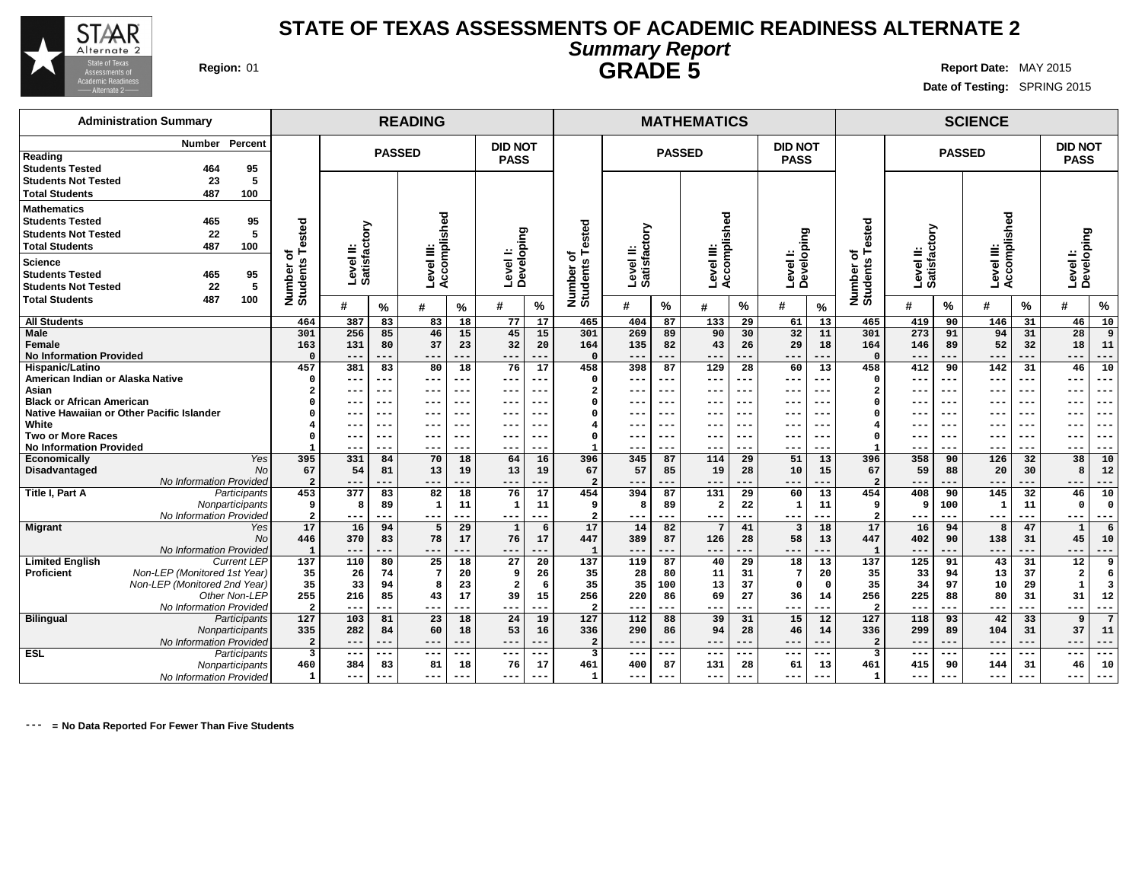

### **STATE OF TEXAS ASSESSMENTS OF ACADEMIC READINESS ALTERNATE 2 Summary Report Region:** 01 **Report Date:** MAY 2015

**Date of Testing:** SPRING 2015

# **GRADE 5**

**Administration Summary Number Percent Reading Students Tested 464 95 Students Not Tested 23 5 Total Students 487 100 Mathematics Students Tested 465 95 Students Not Tested 22 5 Total Students 487 100 Science Students Tested 465 95 Students Not Tested 22 5 Total Students 487 100 READING MATHEMATICS SCIENCE PASSED DID NOT PASS PASSED DID NOT PASS PASSED DID NOT PASS Number of Students Tested Level II: Satisfactory Level III: Accomplished Level I: Developing Number of Students Tested Level II: Satisfactory Level III: Accomplished Level I: Developing Number of Students Tested Level II: Satisfactory Level III: Accomplished Level I: Developing # % # % # % # % # % # % # % # % # % All Students Male Female No Information Provided Hispanic/Latino American Indian or Alaska Native Asian Black or African American Native Hawaiian or Other Pacific Islander White Two or More Races No Information Provided Economically** Yes **Disadvantaged** No No Information Provided **Title I, Part A** Participants **Nonparticipants** No Information Provided **Migrant** Yes **No No Information Provided**<br>Current LEP Limited **English**<br>Proficient **Proficient** Non-LEP (Monitored 1st Year) Non-LEP (Monitored 2nd Year) Other Non-LEP No Information Provided **Bilingual** Participants **Nonparticipants** No Information Provided **ESL** Participants **Nonparticipants** No Information Provided **464 387 83 83 18 77 17 301 256 85 46 15 45 15 163 131 80 37 23 32 20 0 --- --- --- --- --- --- 457 381 83 80 18 76 17 0 --- --- --- --- --- --- 2 --- --- --- --- --- --- 0 --- --- --- --- --- --- 0 --- --- --- --- --- --- 4 --- --- --- --- --- --- 0 --- --- --- --- --- --- 1 --- --- --- --- --- --- 395 331 84 70 18 64 16 67 54 81 13 19 13 19 2 --- --- --- --- --- --- 453 377 83 82 18 76 17 9 8 89 1 11 1 11 2 --- --- --- --- --- --- 17 16 94 5 29 1 6 446 370 83 78 17 76 17 1 --- --- --- --- --- --- 137 110 80 25 18 27 20 35 26 74 7 20 9 26 35 33 94 8 23 2 6 255 216 85 43 17 39 15 2 --- --- --- --- --- --- 127 103 81 23 18 24 19 335 282 84 60 18 53 16 2 --- --- --- --- --- --- 3 --- --- --- --- --- --- 460 384 83 81 18 76 17 1 --- --- --- --- --- --- 465 404 87 133 29 61 13 301 269 89 90 30 32 11 164 135 82 43 26 29 18 0 --- --- --- --- --- --- 458 398 87 129 28 60 13 0 --- --- --- --- --- --- 2 --- --- --- --- --- --- 0 --- --- --- --- --- --- 0 --- --- --- --- --- --- 4 --- --- --- --- --- --- 0 --- --- --- --- --- --- 1 --- --- --- --- --- --- 396 345 87 114 29 51 13 67 57 85 19 28 10 15 2 --- --- --- --- --- --- 454 394 87 131 29 60 13 9 8 89 2 22 1 11 2 --- --- --- --- --- --- 17 14 82 7 41 3 18 447 389 87 126 28 58 13 1 --- --- --- --- --- --- 137 119 87 40 29 18 13 35 28 80 11 31 7 20 35 35 100 13 37 0 0 256 220 86 69 27 36 14 2 --- --- --- --- --- --- 127 112 88 39 31 15 12 336 290 86 94 28 46 14 2 --- --- --- --- --- --- 3 --- --- --- --- --- --- 461 400 87 131 28 61 13 1 --- --- --- --- --- --- 465 419 90 146 31 46 10 301 273 91 94 31 28 9 164 146 89 52 32 18 11 0 --- --- --- --- --- --- 458 412 90 142 31 46 10 0 --- --- --- --- --- --- 2 --- --- --- --- --- --- 0 --- --- --- --- --- --- 0 --- --- --- --- --- --- 4 --- --- --- --- --- --- 0 --- --- --- --- --- --- 1 --- --- --- --- --- --- 396 358 90 126 32 38 10 67 59 88 20 30 8 12 2 --- --- --- --- --- --- 454 408 90 145 32 46 10 9 9 100 1 11 0 0 2 --- --- --- --- --- --- 17 16 94 8 47 1 6 447 402 90 138 31 45 10 1 --- --- --- --- --- --- 137 125 91 43 31 12 9 35 33 94 13 37 2 6 35 34 97 10 29 1 3 256 225 88 80 31 31 12 2 --- --- --- --- --- --- 127 118 93 42 33 9 7 336 299 89 104 31 37 11 2 --- --- --- --- --- --- 3 --- --- --- --- --- --- 461 415 90 144 31 46 10 1 --- --- --- --- --- ---**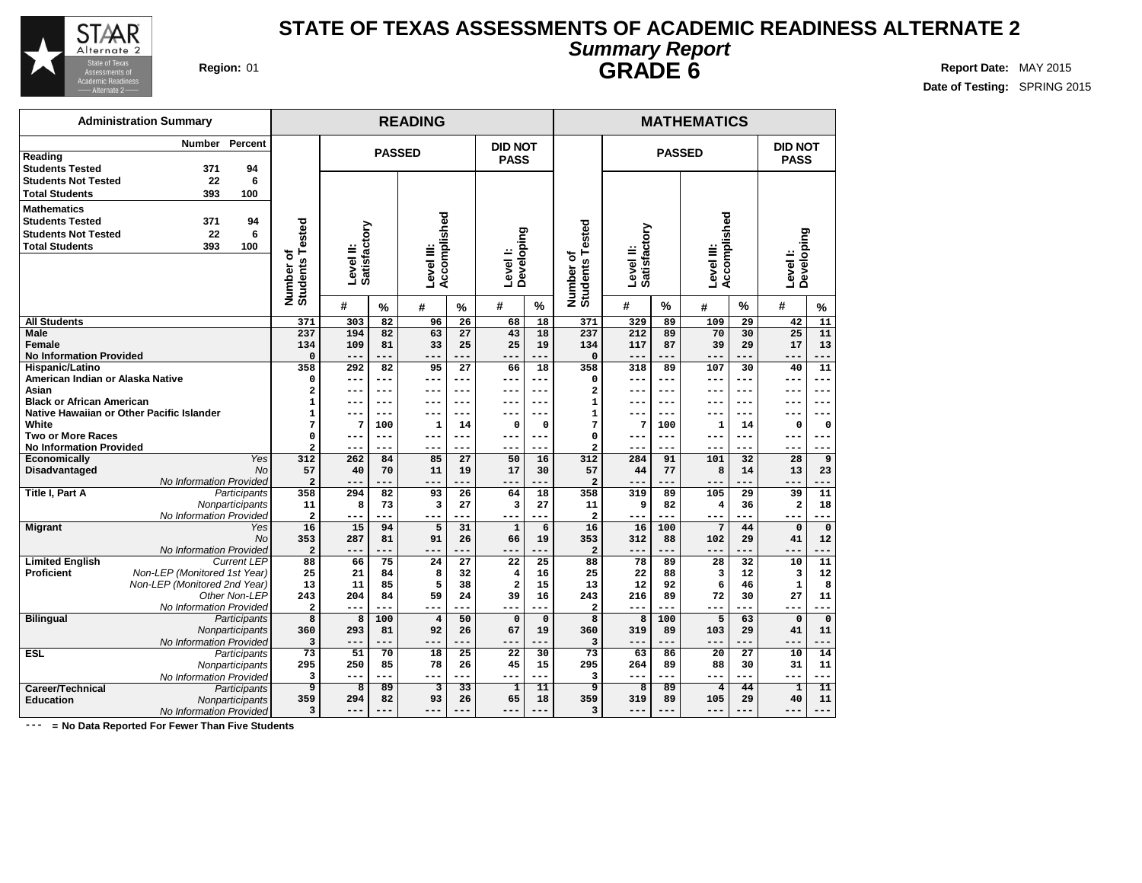

**Reading**

**Mathematics**

**All Students Male Female**

**Asian**

**White**

**No Information Provided Hispanic/Latino**

**Black or African American**

**Two or More Races No Information Provided**

Limited **English**<br>Proficient

**Career/Technical**<br>Education

**American Indian or Alaska Native**

**Native Hawaiian or Other Pacific Islander**

**Economically** Yes **Disadvantaged** No

**Title I, Part A** Participants

**Migrant** Yes

**Bilingual** Participants

**ESL** Participants

No Information Provided

**No Information Provided**<br>Current LEP

**Non-LEP** (Monitored 1st Year) Non-LEP (Monitored 2nd Year)

**Nonparticipants** No Information Provided

Other Non-LEP No Information Provided

**Nonparticipants** No Information Provided

**Nonparticipants** No Information Provided<br>Participants

**Education** Nonparticipants No Information Provided

No

**Administration Summary**

**Students Tested 371 94 Students Not Tested 22 6 Total Students 393 100**

**Students Tested 371 94 Students Not Tested 22 6 Total Students 393 100**

### **STATE OF TEXAS ASSESSMENTS OF ACADEMIC READINESS ALTERNATE 2 Summary Report GRADE 6 Region:** 01 **Report Date:** MAY 2015

**# % # % # % # % # % # %**

**DID NOT PASS**

**Level I: Developing**

**Date of Testing:** SPRING 2015

**Number Percent**

|                                         |                        |               |                            |               |                               |                           |                                          | <b>GRADE 6</b> |                           |                    |                           |  |
|-----------------------------------------|------------------------|---------------|----------------------------|---------------|-------------------------------|---------------------------|------------------------------------------|----------------|---------------------------|--------------------|---------------------------|--|
|                                         |                        |               | <b>READING</b>             |               |                               |                           |                                          |                |                           | <b>MATHEMATICS</b> |                           |  |
|                                         |                        | <b>PASSED</b> |                            |               | <b>DID NOT</b><br><b>PASS</b> |                           |                                          |                |                           | <b>PASSED</b>      |                           |  |
| ested<br>৳<br><b>Students</b><br>Number | Satisfactory<br>‼evel. |               | Accomplished<br>Level III: |               | Developing<br>Level I:        |                           | Tested<br>৳<br><b>Students</b><br>Number | ≐<br>level     | Satisfactory              | Level III:         | Accomplished              |  |
|                                         | #                      | $\mathbf{0}$  | 44                         | $\mathbf{0}I$ | #                             | $\mathbf{O}_{\mathbf{A}}$ |                                          | #              | $\mathbf{O}_{\mathbf{A}}$ | 44                 | $\mathbf{O}_{\mathbf{A}}$ |  |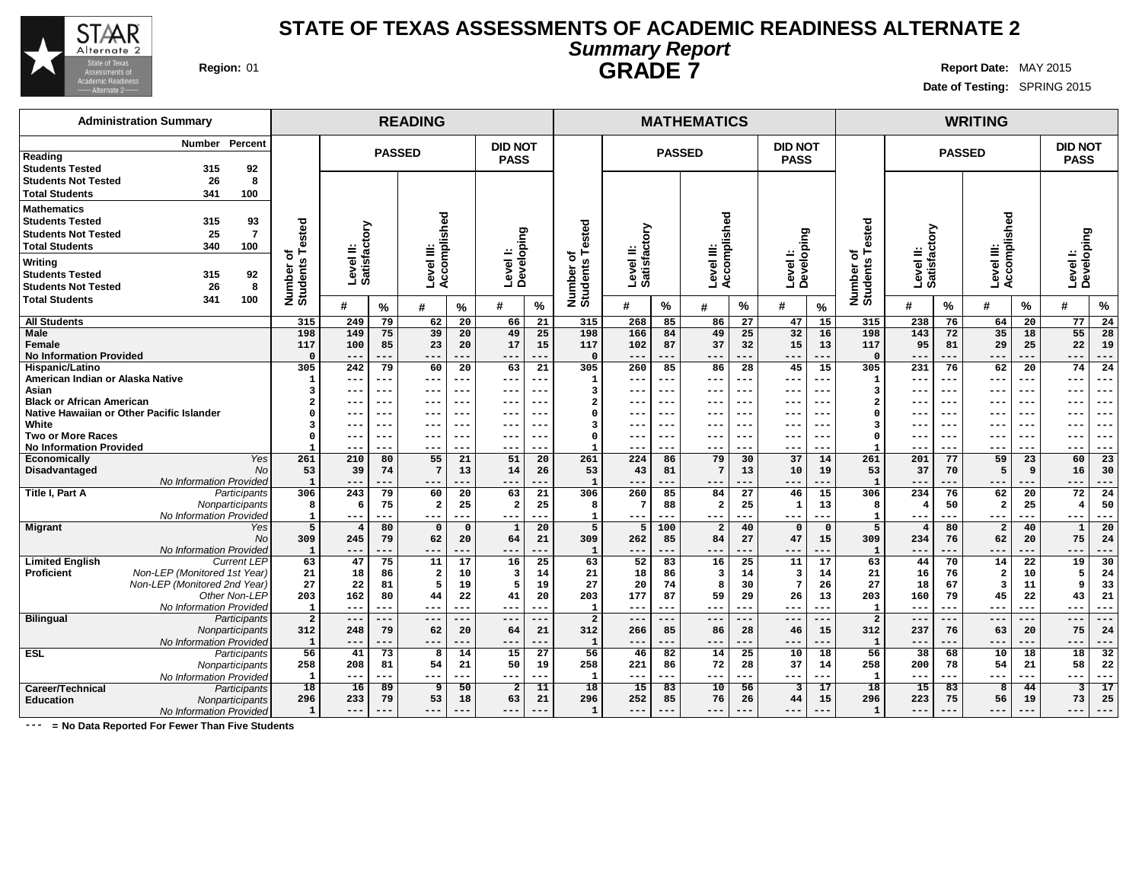

## **STATE OF TEXAS ASSESSMENTS OF ACADEMIC READINESS ALTERNATE 2 Summary Report GRADE 7 Region:** 01 **Report** Date: MAY 2015

**Date of Testing:** SPRING 2015

| <b>Administration Summary</b>                                                                                       |                       | <b>READING</b>            |                 |                      |                 |                               |                 |                                        |                           |                 | <b>MATHEMATICS</b>      |                 |                               |                       |                                         |                           |               | <b>WRITING</b>             |             |                                   |                 |
|---------------------------------------------------------------------------------------------------------------------|-----------------------|---------------------------|-----------------|----------------------|-----------------|-------------------------------|-----------------|----------------------------------------|---------------------------|-----------------|-------------------------|-----------------|-------------------------------|-----------------------|-----------------------------------------|---------------------------|---------------|----------------------------|-------------|-----------------------------------|-----------------|
| Number Percent<br>Reading                                                                                           |                       |                           |                 | <b>PASSED</b>        |                 | <b>DID NOT</b><br><b>PASS</b> |                 |                                        |                           | <b>PASSED</b>   |                         |                 | <b>DID NOT</b><br><b>PASS</b> |                       |                                         |                           | <b>PASSED</b> |                            |             | <b>DID NOT</b><br><b>PASS</b>     |                 |
| <b>Students Tested</b><br>315<br>92<br>26<br>8<br><b>Students Not Tested</b><br><b>Total Students</b><br>341<br>100 |                       |                           |                 |                      |                 |                               |                 |                                        |                           |                 |                         |                 |                               |                       |                                         |                           |               |                            |             |                                   |                 |
| <b>Mathematics</b>                                                                                                  |                       |                           |                 |                      |                 |                               |                 |                                        |                           |                 |                         |                 |                               |                       |                                         |                           |               |                            |             |                                   |                 |
| 315<br>93<br><b>Students Tested</b>                                                                                 |                       |                           |                 | Accomplished         |                 |                               |                 |                                        |                           |                 | Accomplished            |                 |                               |                       |                                         |                           |               | Level III:<br>Accomplished |             |                                   |                 |
| 25<br>$\overline{7}$<br><b>Students Not Tested</b>                                                                  |                       |                           |                 |                      |                 |                               |                 | ested                                  |                           |                 |                         |                 |                               |                       | ested                                   |                           |               |                            |             |                                   |                 |
| <b>Total Students</b><br>340<br>100                                                                                 | Tested                |                           |                 |                      |                 |                               |                 |                                        |                           |                 |                         |                 |                               |                       | ⊢                                       |                           |               |                            |             |                                   |                 |
| Writing                                                                                                             | ৳                     | Level II:<br>Satisfactory |                 | Level III:           |                 | Level I:<br>Developing        |                 | ⊢<br>ъ                                 | Level II:<br>Satisfactory |                 | Level III:              |                 | Level I:<br>Developing        |                       | ৳                                       | Level II:<br>Satisfactory |               |                            |             | Levell:<br>Developing             |                 |
| <b>Students Tested</b><br>315<br>92                                                                                 |                       |                           |                 |                      |                 |                               |                 |                                        |                           |                 |                         |                 |                               |                       |                                         |                           |               |                            |             |                                   |                 |
| <b>Students Not Tested</b><br>26<br>8                                                                               |                       |                           |                 |                      |                 |                               |                 |                                        |                           |                 |                         |                 |                               |                       |                                         |                           |               |                            |             |                                   |                 |
| 100<br><b>Total Students</b><br>341                                                                                 | Number of<br>Students | #                         | %               | $\boldsymbol{\#}$    | %               | #                             | $\%$            | Number o<br>Students                   | #                         | %               | #                       | %               | #                             | $\%$                  | Number of<br>Students                   | #                         | %             | #                          | %           | #                                 | $\%$            |
| <b>All Students</b>                                                                                                 | 315                   | 249                       | 79              | 62                   | 20              | 66                            | 21              | 315                                    | 268                       | 85              | 86                      | 27              | 47                            | 15                    | 315                                     | 238                       | 76            | 64                         | 20          | 77                                | 24              |
| <b>Male</b>                                                                                                         | 198                   | 149                       | 75              | 39                   | 20              | 49                            | 25              | 198                                    | 166                       | 84              | 49                      | 25              | 32                            | 16                    | 198                                     | 143                       | 72            | 35                         | 18          | 55                                | 28              |
| <b>Female</b>                                                                                                       | 117                   | 100                       | 85              | 23                   | 20              | 17                            | 15              | 117                                    | 102                       | 87              | 37                      | 32              | 15                            | 13                    | 117                                     | 95                        | 81            | 29                         | 25          | 22                                | 19              |
| <b>No Information Provided</b>                                                                                      | $\Omega$              | $---$                     | ---             | ---                  | ---             | ---                           | $- -$           | $\mathbf{0}$                           | ---                       | ---             | ---                     | ---             | $---$                         | $---$                 | $\Omega$                                |                           | ---           | $---$                      | ---         | $---$                             | ---             |
| Hispanic/Latino<br>American Indian or Alaska Native                                                                 | 305                   | 242                       | 79              | 60                   | 20              | 63                            | 21              | 305                                    | 260                       | 85              | 86                      | 28              | 45                            | 15                    | 305                                     | 231                       | 76            | 62                         | 20          | 74                                | 24              |
| Asian                                                                                                               | $\mathbf{1}$          | ---<br>---                | ---<br>---      | ---<br>---           | ---<br>---      | ---<br>---                    | $---$<br>$- -$  | $\mathbf 1$<br>$\overline{\mathbf{3}}$ | ---<br>---                | ---<br>---      | ---<br>---              | ---<br>---      | ---<br>$--$                   | $---$<br>$---$        | $\mathbf{1}$<br>$\overline{\mathbf{3}}$ | $- - -$                   | ---<br>$--$   | $---$<br>$---$             | ---<br>---  | $---$<br>$--$                     | ---<br>---      |
| <b>Black or African American</b>                                                                                    |                       | ---                       | ---             | ---                  | ---             | ---                           | $- -$           | $\overline{2}$                         | ---                       | ---             | ---                     | $- - -$         | $- -$                         | $- -$                 | $\overline{a}$                          |                           | $- - -$       | $- - -$                    | ---         | $- - -$                           | ---             |
| Native Hawaiian or Other Pacific Islander                                                                           |                       |                           |                 | ---                  | -- <b>-</b>     |                               |                 | $\Omega$                               |                           |                 |                         | $--$            |                               | $- -$                 | $\Omega$                                |                           | ---           |                            |             |                                   | ---             |
| White                                                                                                               |                       |                           |                 | ---                  |                 |                               |                 | 3                                      |                           |                 | ---                     |                 |                               | $- -$                 | 3                                       |                           | $- - -$       |                            |             | $- -$                             | ---             |
| <b>Two or More Races</b>                                                                                            | n                     | ---                       | ---             | ---                  | ---             | ---                           | $- -$           | $\Omega$                               | ---                       | ---             | ---                     | $--$            | $- - -$                       | $- - -$               | $\Omega$                                | $- - -$                   | $- - -$       | $--$                       | ---         | $- - -$                           | ---             |
| <b>No Information Provided</b>                                                                                      |                       | ---                       | ---             | $- -$                | ---             | ---                           | --              |                                        | ---                       | ---             | ---                     | ---             | $- -$                         | $--$                  |                                         | $- - -$                   | ---           | $--$                       | ---         | $- -$                             | ---             |
| Yes<br>Economically                                                                                                 | 261                   | 210                       | 80              | 55                   | 21              | 51                            | 20              | 261                                    | 224                       | 86              | 79                      | 30              | 37                            | 14                    | 261                                     | 201                       | 77            | 59                         | 23          | 60                                | 23              |
| Disadvantaged<br><b>No</b>                                                                                          | 53                    | 39                        | 74              | -7                   | 13              | 14                            | 26              | 53                                     | 43                        | 81              | 7                       | 13              | 10                            | 19                    | 53                                      | 37                        | 70            | 5                          | 9           | 16                                | 30              |
| No Information Provided                                                                                             | $\mathbf{1}$          | $---$                     | ---             | $- -$                | ---             | $- -$                         | --              | $\mathbf{1}$                           | ---                       | ---             | ---                     | ---             | $---$                         | $- - -$               | $\mathbf{1}$                            | $- -$                     | ---           | $---$                      |             | $---$                             | ---             |
| <b>Title I, Part A</b><br>Participants<br>Nonparticipants                                                           | 306<br>8              | 243<br>6                  | 79<br>75        | 60<br>$\overline{2}$ | 20<br>25        | 63<br>$\mathbf{2}$            | 21<br>25        | 306<br>8                               | 260<br>7                  | 85<br>88        | 84<br>$\overline{a}$    | 27<br>25        | 46<br>$\mathbf{1}$            | $\overline{15}$<br>13 | 306<br>8                                | 234                       | 76<br>50      | 62<br>$\overline{a}$       | 20<br>25    | $\overline{72}$<br>$\overline{4}$ | 24<br>50        |
| No Information Provided                                                                                             | $\mathbf{1}$          | $---$                     | ---             | $---$                | ---             | $- - -$                       | $- -$           | $\mathbf{1}$                           | $---$                     | ---             | $---$                   | ---             | $\frac{1}{2}$                 | $---$                 | $\mathbf{1}$                            | $- - -$                   | ---           | $---$                      | ---         | $---$                             | ---             |
| <b>Migrant</b><br>Yes                                                                                               | 5                     | $\overline{4}$            | 80              | $\Omega$             | $\mathbf 0$     | $\mathbf{1}$                  | 20              | 5                                      | 5                         | 100             | $\overline{2}$          | 40              |                               | $\mathbf 0$           | 5                                       |                           | 80            | $\overline{\mathbf{2}}$    | 40          | $\mathbf{1}$                      | 20              |
| <b>No</b>                                                                                                           | 309                   | 245                       | 79              | 62                   | 20              | 64                            | 21              | 309                                    | 262                       | 85              | 84                      | 27              | 47                            | 15                    | 309                                     | 234                       | 76            | 62                         | 20          | 75                                | 24              |
| No Information Provided                                                                                             | $\mathbf{1}$          |                           | ---             | $- -$                | ---             | $- -$                         | ---             | $\mathbf{1}$                           | ---                       | ---             | ---                     | ---             | $- -$                         | $- -$                 | $\mathbf{1}$                            |                           | ---           | ---                        | ---         | $- -$                             | ---             |
| <b>Limited English</b><br><b>Current LEP</b>                                                                        | 63                    | 47                        | 75              | 11                   | 17              | 16                            | 25              | 63                                     | 52                        | 83              | 16                      | 25              | 11                            | 17                    | 63                                      | 44                        | 70            | 14                         | 22          | 19                                | 30              |
| <b>Proficient</b><br>Non-LEP (Monitored 1st Year)                                                                   | 21                    | 18                        | 86              | $\overline{2}$       | 10              | 3                             | 14              | 21                                     | 18                        | 86              | $\overline{\mathbf{3}}$ | 14              | $\overline{\mathbf{3}}$       | 14                    | 21                                      | 16                        | 76            | $\overline{\mathbf{2}}$    | 10          | 5                                 | 24              |
| Non-LEP (Monitored 2nd Year)                                                                                        | 27                    | 22                        | 81              |                      | 19              | 5                             | 19              | 27                                     | 20                        | 74              | 8                       | 30              | 7                             | 26                    | 27                                      | 18                        | 67            | $\overline{\mathbf{3}}$    | 11          | 9                                 | 33              |
| Other Non-LEP<br>No Information Provided                                                                            | 203<br>$\mathbf{1}$   | 162<br>$---$              | 80<br>$---$     | 44<br>$--$           | 22<br>---       | 41<br>---                     | 20<br>$--$      | 203<br>$\mathbf{1}$                    | 177<br>$---$              | 87<br>---       | 59<br>---               | 29<br>$---$     | 26<br>$---$                   | 13<br>$---$           | 203<br>$\mathbf{1}$                     | 160<br>$- - -$            | 79<br>$---$   | 45<br>$---$                | 22<br>$---$ | 43<br>$---$                       | 21<br>---       |
| <b>Bilingual</b><br>Participants                                                                                    | $\overline{a}$        | $---$                     | ---             | $---$                | ---             | ---                           | $- -$           | $\overline{a}$                         | $---$                     | ---             | ---                     | $---$           | $---$                         | $---$                 | $\overline{a}$                          | $--$                      | ---           | $---$                      |             | $---$                             | ---             |
| Nonparticipants                                                                                                     | 312                   | 248                       | 79              | 62                   | 20              | 64                            | 21              | 312                                    | 266                       | 85              | 86                      | 28              | 46                            | 15                    | 312                                     | 237                       | 76            | 63                         | 20          | 75                                | 24              |
| No Information Provided                                                                                             | $\mathbf{1}$          | $- -$                     | .               | $- -$                | ---             | $- -$                         |                 | $\mathbf 1$                            | ---                       |                 | ---                     | ---             | $- -$                         | ---                   | $\mathbf{1}$                            | $- -$                     | $- -$         | ---                        |             | $- -$                             | ---             |
| <b>ESL</b><br>Participants                                                                                          | $\overline{56}$       | 41                        | 73              | 8                    | 14              | 15                            | $\overline{27}$ | 56                                     | 46                        | 82              | 14                      | $\overline{25}$ | 10                            | 18                    | 56                                      | 38                        | 68            | 10                         | 18          | $\overline{18}$                   | 32              |
| Nonparticipants                                                                                                     | 258                   | 208                       | 81              | 54                   | 21              | 50                            | 19              | 258                                    | 221                       | 86              | 72                      | 28              | 37                            | 14                    | 258                                     | 200                       | 78            | 54                         | 21          | 58                                | 22              |
| No Information Provided                                                                                             | 1                     | $---$                     | ---             | ---                  | ---             | $---$                         | $---$           | $\mathbf{1}$                           | $---$                     | ---             | ---                     | ---             | $---$                         | $---$                 | 1                                       | $- - -$                   | ---           | $---$                      | ---         | $---$                             | ---             |
| Career/Technical<br>Participants                                                                                    | $\overline{18}$       | $\overline{16}$           | $\overline{89}$ | 9                    | $\overline{50}$ | $\overline{2}$                | 11              | $\overline{18}$                        | $\overline{15}$           | $\overline{83}$ | $\overline{10}$         | $\overline{56}$ | 3                             | $\overline{17}$       | 18                                      | 15                        | 83            | $\overline{8}$             | 44          | $\overline{\mathbf{3}}$           | $\overline{17}$ |
| <b>Education</b><br>Nonparticipants                                                                                 | 296                   | 233                       | 79              | 53                   | 18              | 63                            | 21              | 296                                    | 252                       | 85              | 76                      | 26              | 44                            | 15                    | 296                                     | 223                       | 75            | 56                         | 19          | 73                                | 25              |
| No Information Provided                                                                                             | $\mathbf{1}$          | $---$                     | ---             | ---                  | ---             | ---                           | $---$           | $\mathbf 1$                            | ---                       |                 | ---                     | $---$           | $- - -$                       | $---$                 | $\mathbf{1}$                            | $- - -$                   | ---           | $---$                      | ---         | $---$                             | ---             |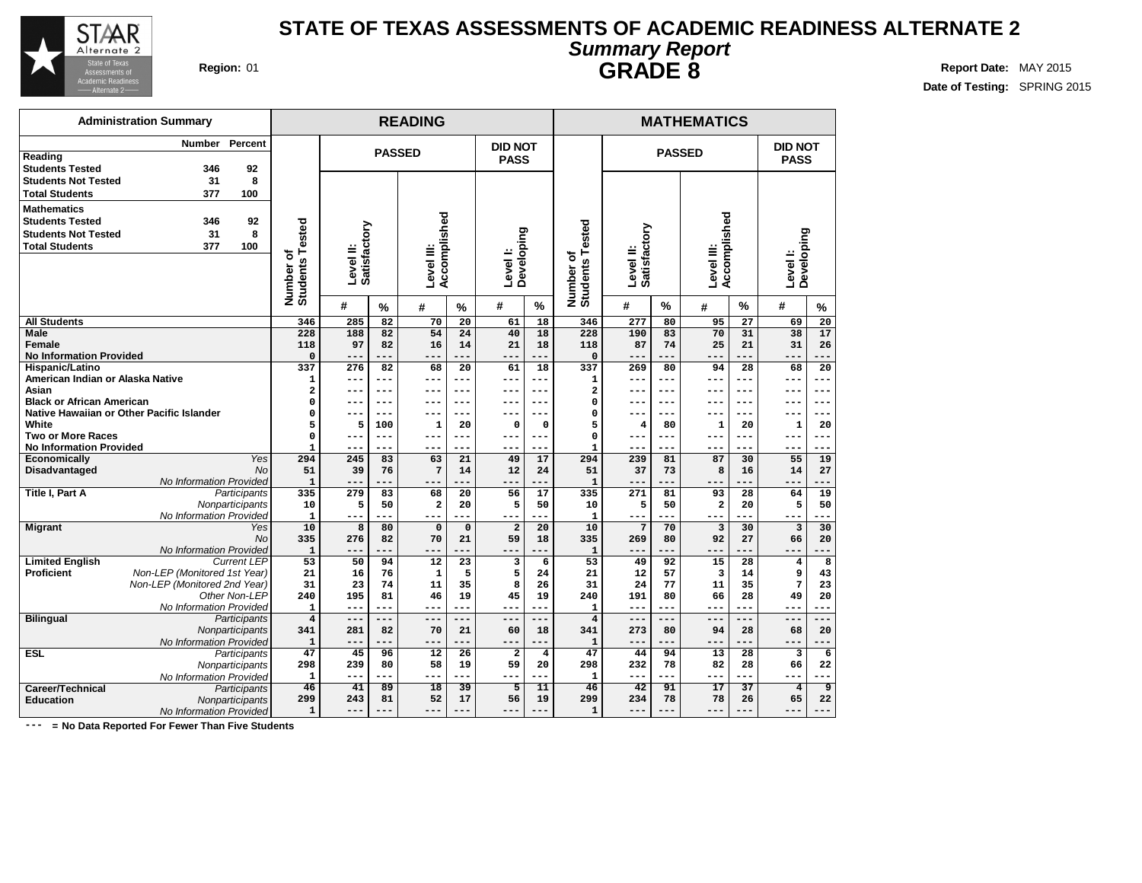

### **STATE OF TEXAS ASSESSMENTS OF ACADEMIC READINESS ALTERNATE 2 Summary Report Region:** 01 **Report Date:** MAY 2015

**Date of Testing:** SPRING 2015

| OMIIIIMI Į INDIOIN |  |
|--------------------|--|
| <b>GRADE 8</b>     |  |

|                                | <b>Administration Summary</b>             |                    |                              |                           |                | <b>READING</b>             |                |                        |              |                          |                           |                | <b>MATHEMATICS</b>         |                    |                                  |                      |  |
|--------------------------------|-------------------------------------------|--------------------|------------------------------|---------------------------|----------------|----------------------------|----------------|------------------------|--------------|--------------------------|---------------------------|----------------|----------------------------|--------------------|----------------------------------|----------------------|--|
|                                | Number                                    | Percent            |                              |                           |                |                            |                | <b>DID NOT</b>         |              |                          |                           |                |                            |                    | <b>DID NOT</b>                   |                      |  |
| Reading                        |                                           |                    |                              |                           | <b>PASSED</b>  |                            |                | <b>PASS</b>            |              |                          |                           | <b>PASSED</b>  |                            |                    | <b>PASS</b>                      |                      |  |
| <b>Students Tested</b>         | 346                                       | 92                 |                              |                           |                |                            |                |                        |              |                          |                           |                |                            |                    |                                  |                      |  |
| <b>Students Not Tested</b>     | 31                                        | 8                  |                              |                           |                |                            |                |                        |              |                          |                           |                |                            |                    |                                  |                      |  |
| <b>Total Students</b>          | 377                                       | 100                |                              |                           |                |                            |                |                        |              |                          |                           |                |                            |                    |                                  |                      |  |
| <b>Mathematics</b>             |                                           |                    |                              |                           |                |                            |                |                        |              |                          |                           |                |                            |                    |                                  |                      |  |
| <b>Students Tested</b>         | 346                                       | 92                 |                              |                           |                |                            |                |                        |              |                          |                           |                |                            |                    |                                  |                      |  |
| <b>Students Not Tested</b>     | 31                                        | 8                  |                              |                           |                |                            |                |                        |              | ested                    |                           |                |                            |                    |                                  |                      |  |
| <b>Total Students</b>          | 377                                       | 100                |                              |                           |                |                            |                |                        |              |                          |                           |                |                            |                    |                                  |                      |  |
|                                |                                           |                    |                              | Level II:<br>Satisfactory |                | Accomplished<br>Level III: |                | Level I:<br>Developing |              |                          | Satisfactory<br>Level II: |                | Accomplished<br>Level III: |                    | Developing<br>Level I:           |                      |  |
|                                |                                           |                    |                              |                           |                |                            |                |                        |              |                          |                           |                |                            |                    |                                  |                      |  |
|                                |                                           |                    |                              |                           |                |                            |                |                        |              |                          |                           |                |                            |                    |                                  |                      |  |
|                                |                                           |                    | Number of<br>Students Tested | #                         | $\frac{9}{6}$  | #                          | $\frac{9}{6}$  | #                      | %            | Number of<br>Students Te | #                         | $\frac{0}{0}$  | #                          | %                  | #                                | $\frac{9}{6}$        |  |
| <b>All Students</b>            |                                           |                    | 346                          | 285                       | 82             | 70                         | 20             | 61                     | 18           | 346                      | 277                       | 80             | 95                         | 27                 | 69                               | 20                   |  |
| Male                           |                                           |                    | 228                          | 188                       | 82             | 54                         | 24             | 40                     | 18           | 228                      | 190                       | 83             | 70                         | 31                 | 38                               | 17                   |  |
| <b>Female</b>                  |                                           |                    | 118                          | 97                        | 82             | 16                         | 14             | 21                     | 18           | 118                      | 87                        | 74             | 25                         | 21                 | 31                               | 26                   |  |
| <b>No Information Provided</b> |                                           |                    | 0                            | ---                       | ---            |                            |                | $-$                    | ---          | $\mathbf 0$              | $- -$                     |                | ---                        |                    | ---                              |                      |  |
| Hispanic/Latino                |                                           |                    | 337<br>1                     | 276                       | 82             | 68                         | 20             | 61                     | 18           | 337                      | 269                       | 80             | 94                         | 28                 | 68                               | 20                   |  |
|                                | American Indian or Alaska Native          |                    |                              | ---                       | ---            | $---$                      | ---            | ---                    | ---          | $\mathbf{1}$             | ---                       | $---$          | ---                        | $--$               | ---                              | $---$                |  |
| Asian                          | <b>Black or African American</b>          |                    |                              | ---                       | ---            | ---                        | $---$          | ---                    | ---          | 2                        | ---                       | $---$          | ---                        | $--$               | ---                              | $---$                |  |
|                                | Native Hawaiian or Other Pacific Islander |                    | 0                            | --                        | $- - -$<br>--- | ---<br>$- -$               | $---$<br>$---$ | ---<br>---             | $---$<br>--- | $\Omega$<br>0            | $--$<br>$- -$             | $---$<br>$---$ | ---                        | $- - -$<br>$- - -$ | ---<br>--                        | $---$                |  |
| White                          |                                           |                    | 0<br>5                       | 5                         | 100            | 1                          | 20             | O                      | 0            | 5                        | 4                         | 80             | 1                          | 20                 | 1                                | 20                   |  |
| <b>Two or More Races</b>       |                                           |                    | 0                            | $---$                     | $--$           | ---                        | $---$          | ---                    | $---$        | 0                        | ---                       | $---$          | ---                        | $--$               | $--$                             | ---                  |  |
| <b>No Information Provided</b> |                                           |                    | $\mathbf{1}$                 | $- - -$                   | ---            | ---                        | ---            | ---                    | ---          | -1                       | $- - -$                   | ---            | $- - -$                    | ---                | ---                              | ---                  |  |
| Economically                   |                                           | Yes                | 294                          | 245                       | 83             | 63                         | 21             | 49                     | 17           | 294                      | 239                       | 81             | 87                         | 30                 | 55                               | 19                   |  |
| <b>Disadvantaged</b>           |                                           | <b>No</b>          | 51                           | 39                        | 76             | 7                          | 14             | 12                     | 24           | 51                       | 37                        | 73             | 8                          | 16                 | 14                               | 27                   |  |
|                                | No Information Provided                   |                    | $\mathbf{1}$                 | $- -$                     |                | $- -$                      |                | ---                    |              | $\mathbf{1}$             | $---$                     |                | ---                        |                    | ---                              |                      |  |
| Title I, Part A                |                                           | Participants       | 335                          | 279                       | 83             | 68                         | 20             | 56                     | 17           | 335                      | 271                       | 81             | 93                         | 28                 | 64                               | 19                   |  |
|                                |                                           | Nonparticipants    | 10                           | 5                         | 50             | $\overline{\mathbf{2}}$    | 20             | 5                      | 50           | 10                       | 5                         | 50             | $\overline{\mathbf{2}}$    | 20                 | 5                                | 50                   |  |
| <b>Migrant</b>                 | No Information Provided                   | Yes                | $\mathbf{1}$<br>10           | $---$<br>8                | ---<br>80      | $---$<br>$\Omega$          | $\Omega$       | ---<br>$\overline{a}$  | ---<br>20    | 1<br>10                  | $---$<br>$\overline{7}$   | ---<br>70      | $---$<br>$\overline{3}$    | 30                 | $---$<br>$\overline{\mathbf{3}}$ | 30                   |  |
|                                |                                           | <b>No</b>          | 335                          | 276                       | 82             | 70                         | 21             | 59                     | 18           | 335                      | 269                       | 80             | 92                         | 27                 | 66                               | 20                   |  |
|                                | No Information Provided                   |                    | $\mathbf{1}$                 |                           |                | $- - -$                    |                |                        | ---          | $\mathbf{1}$             | $- - -$                   | ---            |                            |                    |                                  |                      |  |
| <b>Limited English</b>         |                                           | <b>Current LEP</b> | 53                           | 50                        | 94             | 12                         | 23             | 3                      | 6            | 53                       | 49                        | 92             | 15                         | 28                 | 4                                | 8                    |  |
| <b>Proficient</b>              | Non-LEP (Monitored 1st Year)              |                    | 21                           | 16                        | 76             | $\mathbf{1}$               | 5              | 5                      | 24           | 21                       | 12                        | 57             | 3                          | 14                 | 9                                | 43                   |  |
|                                | Non-LEP (Monitored 2nd Year)              |                    | 31                           | 23                        | 74             | 11                         | 35             | 8                      | 26           | 31                       | 24                        | 77             | 11                         | 35                 | 7                                | 23                   |  |
|                                |                                           | Other Non-LEP      | 240                          | 195                       | 81             | 46                         | 19             | 45                     | 19           | 240                      | 191                       | 80             | 66                         | 28                 | 49                               | 20                   |  |
|                                | No Information Provided                   |                    | $\mathbf{1}$                 | ---                       | ---            | $---$                      | $- - -$        | ---                    | $---$        | $\mathbf{1}$             | $---$                     | ---            | ---                        |                    | ---                              |                      |  |
| <b>Bilingual</b>               |                                           | Participants       | $\overline{\mathbf{4}}$      | $---$                     | ---            | $---$                      | ---            | ---                    | $---$        | $\overline{4}$           | $---$                     | $---$          | ---                        |                    | $---$                            |                      |  |
|                                |                                           | Nonparticipants    | 341<br>$\mathbf 1$           | 281                       | 82             | 70                         | 21             | 60                     | 18           | 341                      | 273                       | 80             | 94                         | 28                 | 68                               | 20                   |  |
|                                | No Information Provided                   |                    |                              |                           |                | $- -$                      |                | ---                    |              | $\mathbf{1}$             | $---$                     |                | ---                        |                    | $- -$                            |                      |  |
| <b>ESL</b>                     |                                           | Participants       | 47<br>298                    | 45<br>239                 | 96<br>80       | 12<br>58                   | 26<br>19       | $\overline{a}$<br>59   | 4<br>20      | 47<br>298                | 44<br>232                 | 94<br>78       | 13<br>82                   | 28<br>28           | 3<br>66                          | $\overline{6}$<br>22 |  |
|                                | No Information Provided                   | Nonparticipants    | $\mathbf 1$                  | ---                       | ---            | ---                        | ---            | ---                    | ---          | $\mathbf{1}$             | $---$                     | $---$          | ---                        |                    | ---                              |                      |  |
| Career/Technical               |                                           | Participants       | 46                           | 41                        | 89             | 18                         | 39             | 5                      | 11           | 46                       | 42                        | 91             | 17                         | $\overline{37}$    | $\overline{4}$                   | $\overline{9}$       |  |
| <b>Education</b>               |                                           | Nonparticipants    | 299                          | 243                       | 81             | 52                         | 17             | 56                     | 19           | 299                      | 234                       | 78             | 78                         | 26                 | 65                               | 22                   |  |
|                                | No Information Provided                   |                    | $\mathbf{1}$                 | --                        | ---            | $--$                       | ---            | $- -$                  | $---$        | $\mathbf{1}$             | $---$                     |                | ---                        |                    | ---                              |                      |  |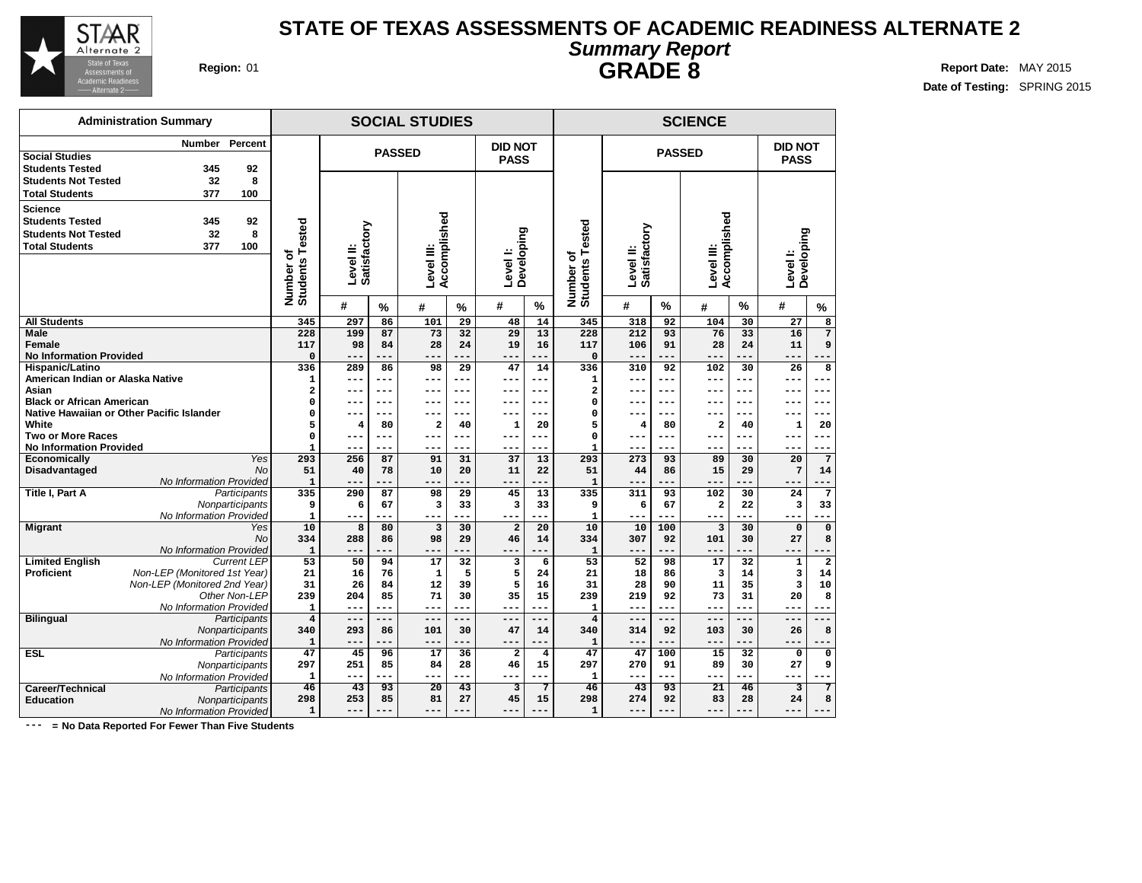

## **STATE OF TEXAS ASSESSMENTS OF ACADEMIC READINESS ALTERNATE 2 Summary Report GRADE 8 Region:** 01 **Report** Date: MAY 2015

**Date of Testing:** SPRING 2015

|                                                                                                 | <b>Administration Summary</b>      |                                |                           |             | <b>SOCIAL STUDIES</b>      |                 |                               |                         |                          |                           |                | <b>SCIENCE</b>             |                 |                         |                         |  |
|-------------------------------------------------------------------------------------------------|------------------------------------|--------------------------------|---------------------------|-------------|----------------------------|-----------------|-------------------------------|-------------------------|--------------------------|---------------------------|----------------|----------------------------|-----------------|-------------------------|-------------------------|--|
| Social Studies<br><b>Students Tested</b>                                                        | Percent<br>Number<br>345<br>92     |                                |                           |             | <b>PASSED</b>              |                 | <b>DID NOT</b><br><b>PASS</b> |                         |                          |                           | <b>PASSED</b>  |                            |                 | DID NOT<br><b>PASS</b>  |                         |  |
| <b>Students Not Tested</b><br><b>Total Students</b>                                             | 8<br>32<br>377<br>100              |                                |                           |             |                            |                 |                               |                         |                          |                           |                |                            |                 |                         |                         |  |
| <b>Science</b><br><b>Students Tested</b><br><b>Students Not Tested</b><br><b>Total Students</b> | 345<br>92<br>8<br>32<br>100<br>377 | Number of<br>Students Tested   | Level II:<br>Satisfactory |             | Accomplished<br>Level III: |                 | Level I:<br>Developing        |                         | ested                    | Level II:<br>Satisfactory |                | Accomplished<br>Level III: |                 | Developing              |                         |  |
|                                                                                                 |                                    |                                |                           |             |                            |                 |                               |                         | Number of<br>Students Te |                           |                |                            |                 | Level I:                |                         |  |
|                                                                                                 |                                    |                                | #                         | $\%$        | #                          | $\frac{9}{6}$   | #                             | %                       |                          | #                         | $\frac{0}{0}$  | #                          | %               | #                       | $\%$                    |  |
| <b>All Students</b>                                                                             |                                    | 345                            | 297                       | 86          | 101                        | 29              | 48                            | 14                      | 345                      | 318                       | 92             | 104                        | 30              | 27                      | 8                       |  |
| <b>Male</b>                                                                                     |                                    | 228                            | 199                       | 87          | 73                         | 32              | 29                            | 13                      | 228                      | 212                       | 93             | 76                         | 33              | 16                      | $\overline{7}$          |  |
| Female                                                                                          |                                    | 117                            | 98                        | 84          | 28                         | 24              | 19                            | 16                      | 117                      | 106                       | 91             | 28                         | 24              | 11                      | 9                       |  |
| <b>No Information Provided</b>                                                                  |                                    | $\mathbf 0$                    |                           |             | --                         |                 | --                            | ---                     | $\mathbf 0$              | ---                       | ---            | ---                        |                 | ---                     |                         |  |
| Hispanic/Latino                                                                                 |                                    | 336                            | 289                       | 86          | 98                         | 29              | 47                            | 14                      | 336                      | 310                       | 92             | 102                        | 30              | 26                      | 8                       |  |
| American Indian or Alaska Native                                                                |                                    | 1                              | ---                       | ---         | ---                        | ---             | ---                           | ---                     | $\mathbf{1}$             | ---                       | ---            | $- - -$                    | $- - -$         | ---                     | ---                     |  |
| Asian                                                                                           |                                    | 2                              | $---$                     | ---         | ---                        | $---$           | ---                           | $---$                   | 2                        | ---                       | $---$          | ---                        | $- - -$         | ---                     | $---$                   |  |
| <b>Black or African American</b>                                                                |                                    | 0                              | --                        | $---$       | ---                        | ---             | ---                           | ---                     | $\Omega$                 |                           | $- - -$<br>--- | ---                        | $- - -$         | ---                     | ---                     |  |
| Native Hawaiian or Other Pacific Islander<br>White                                              |                                    | 0<br>5                         | --                        | ---<br>80   | 2                          | ---             |                               | ---                     | 0<br>5                   | ---                       | 80             |                            |                 | --                      | 20                      |  |
| <b>Two or More Races</b>                                                                        |                                    | 0                              | 4<br>---                  | ---         | ---                        | 40<br>---       | 1<br>---                      | 20<br>---               | 0                        | 4<br>---                  | ---            | 2<br>---                   | 40<br>$- - -$   | 1<br>---                | ---                     |  |
| <b>No Information Provided</b>                                                                  |                                    | 1                              | ---                       | ---         | ---                        | ---             | ---                           | ---                     | -1                       | ---                       | ---            | $- - -$                    | ---             | ---                     | ---                     |  |
| Economically                                                                                    | Yes                                | 293                            | 256                       | 87          | 91                         | 31              | 37                            | 13                      | 293                      | 273                       | 93             | 89                         | 30              | 20                      | 7                       |  |
| <b>Disadvantaged</b>                                                                            |                                    | <b>No</b><br>51                | 40                        | 78          | 10                         | 20              | 11                            | 22                      | 51                       | 44                        | 86             | 15                         | 29              | $7\phantom{.0}$         | 14                      |  |
|                                                                                                 | No Information Provided            | $\mathbf{1}$                   | $- -$                     |             | ---                        |                 | --                            |                         | $\mathbf{1}$             | ---                       |                | ---                        |                 | ---                     |                         |  |
| <b>Title I, Part A</b>                                                                          | Participants                       | 335                            | 290                       | 87          | 98                         | 29              | 45                            | 13                      | 335                      | 311                       | 93             | 102                        | 30              | 24                      | 7                       |  |
|                                                                                                 | Nonparticipants                    | 9                              | 6                         | 67          | 3                          | 33              | 3                             | 33                      | 9                        | 6                         | 67             | 2                          | 22              | 3                       | 33                      |  |
|                                                                                                 | No Information Provided            | $\mathbf{1}$                   | $---$                     | ---         | ---                        | ---             | ---                           | ---                     | $\mathbf{1}$             | ---                       | $---$          | $--$                       |                 | ---                     |                         |  |
| <b>Migrant</b>                                                                                  | Yes                                | 10                             | 8                         | 80          | $\overline{3}$             | 30              | $\overline{a}$                | 20                      | 10                       | 10                        | 100            | $\overline{3}$             | 30              | $\mathbf 0$             | $\mathbf 0$             |  |
|                                                                                                 |                                    | <b>No</b><br>334               | 288                       | 86          | 98                         | 29              | 46                            | 14                      | 334                      | 307                       | 92             | 101                        | 30              | 27                      | 8                       |  |
|                                                                                                 | No Information Provided            | $\mathbf{1}$                   |                           |             | ---                        |                 |                               | ---                     | 1                        | ---                       | ---            | ---                        |                 | ---                     |                         |  |
| <b>Limited English</b>                                                                          | <b>Current LEP</b>                 | 53                             | 50                        | 94          | $\overline{17}$            | 32              | $\overline{3}$                | 6                       | 53                       | 52                        | 98             | 17                         | 32              | $\mathbf 1$             | $\overline{2}$          |  |
| <b>Proficient</b>                                                                               | Non-LEP (Monitored 1st Year)       | 21                             | 16                        | 76          | $\mathbf{1}$               | 5               | 5                             | 24                      | 21                       | 18                        | 86             | 3                          | 14              | 3                       | 14                      |  |
|                                                                                                 | Non-LEP (Monitored 2nd Year)       | 31                             | 26                        | 84          | 12                         | 39              | 5                             | 16                      | 31                       | 28                        | 90             | 11                         | 35              | 3                       | 10                      |  |
|                                                                                                 | Other Non-LEP                      | 239                            | 204                       | 85          | 71                         | 30              | 35                            | 15                      | 239                      | 219                       | 92             | 73                         | 31              | 20                      | 8                       |  |
|                                                                                                 | No Information Provided            | $\mathbf{1}$                   | $---$                     | ---         | ---                        | ---             | $- -$                         | ---                     | $\mathbf{1}$             | ---                       | ---            | ---                        | $- - -$         | ---                     |                         |  |
| <b>Bilingual</b>                                                                                | Participants<br>Nonparticipants    | $\overline{\mathbf{4}}$<br>340 | $---$<br>293              | $---$<br>86 | $- -$<br>101               | $-- -$<br>30    | ---<br>47                     | ---<br>14               | 4<br>340                 | ---<br>314                | $---$<br>92    | ---<br>103                 | 30              | ---<br>26               | 8                       |  |
|                                                                                                 | No Information Provided            | 1                              | $- -$                     |             | $- -$                      | ---             | $- -$                         | ---                     | 1                        | ---                       | ---            | ---                        | $- - -$         | $---$                   |                         |  |
| <b>ESL</b>                                                                                      | Participants                       | 47                             | 45                        | 96          | $\overline{17}$            | $\overline{36}$ | $\overline{2}$                | $\overline{\mathbf{4}}$ | 47                       | 47                        | 100            | $\overline{15}$            | $\overline{32}$ | $\mathbf 0$             | $\overline{\mathbf{0}}$ |  |
|                                                                                                 | Nonparticipants                    | 297                            | 251                       | 85          | 84                         | 28              | 46                            | 15                      | 297                      | 270                       | 91             | 89                         | 30              | 27                      | 9                       |  |
|                                                                                                 | No Information Provided            | $\mathbf{1}$                   | $- -$                     | ---         | ---                        |                 | ---                           | ---                     | $\mathbf{1}$             | ---                       | $---$          | ---                        |                 | ---                     |                         |  |
| Career/Technical                                                                                | Participants                       | $\overline{46}$                | 43                        | 93          | $\overline{20}$            | 43              | 3                             | 7                       | 46                       | 43                        | 93             | $\overline{21}$            | 46              | $\overline{\mathbf{3}}$ | 7                       |  |
| <b>Education</b>                                                                                | Nonparticipants                    | 298                            | 253                       | 85          | 81                         | 27              | 45                            | 15                      | 298                      | 274                       | 92             | 83                         | 28              | 24                      | 8                       |  |
|                                                                                                 | No Information Provided            | $\mathbf{1}$                   | $---$                     | $- - -$     | ---                        | $---$           | ---                           | ---                     | $\mathbf{1}$             | ---                       | $- - -$        | ---                        | ---             | ---                     | $- - -$                 |  |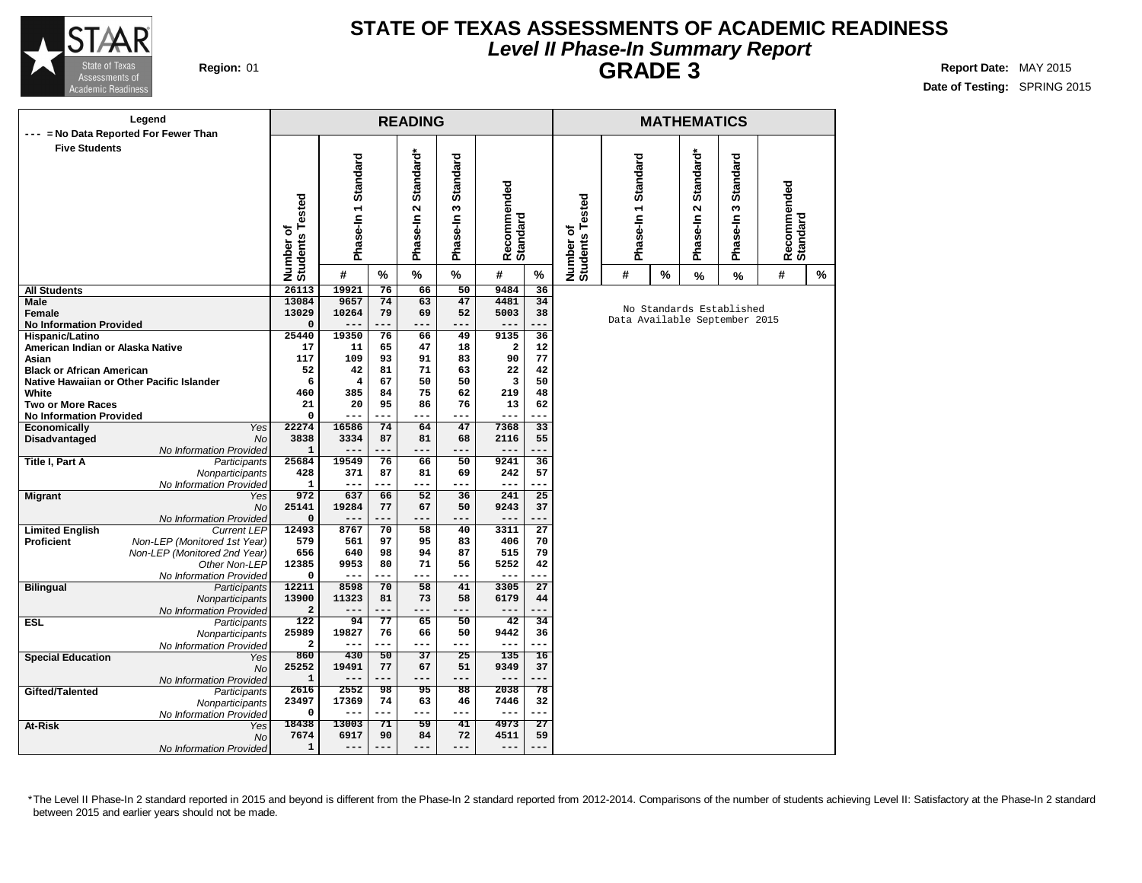

### **STATE OF TEXAS ASSESSMENTS OF ACADEMIC READINESS Level II Phase-In Summary Report GRADE 3 Region:** 01 **Report** Date: MAY 2015

**Date of Testing:** SPRING 2015

| Legend                                         |                    |                              |                     |           | <b>READING</b>                                |                           |                         |                 |                              |                     |      | <b>MATHEMATICS</b>                         |                                                           |                         |   |
|------------------------------------------------|--------------------|------------------------------|---------------------|-----------|-----------------------------------------------|---------------------------|-------------------------|-----------------|------------------------------|---------------------|------|--------------------------------------------|-----------------------------------------------------------|-------------------------|---|
| --- = No Data Reported For Fewer Than          |                    |                              |                     |           |                                               |                           |                         |                 |                              |                     |      |                                            |                                                           |                         |   |
| <b>Five Students</b>                           |                    | Number of<br>Students Tested | Phase-In 1 Standard |           | Standard*<br>$\mathbf{\tilde{c}}$<br>Phase-In | Standard<br>w<br>Phase-In | Recommended<br>Standard |                 | Number of<br>Students Tested | Phase-In 1 Standard |      | Standard*<br>$\mathbf{\Omega}$<br>Phase-In | <b>Standard</b><br>$\sim$<br>Phase-In                     | Recommended<br>Standard |   |
|                                                |                    |                              | #                   | %         | %                                             | $\%$                      | #                       | $\%$            |                              | #                   | $\%$ | %                                          | $\frac{9}{6}$                                             | #                       | % |
| All Students                                   |                    | 26113                        | 19921               | 76        | 66                                            | 50                        | 9484                    | 36              |                              |                     |      |                                            |                                                           |                         |   |
| Male                                           |                    | 13084                        | 9657                | 74        | 63                                            | 47                        | 4481                    | 34              |                              |                     |      |                                            |                                                           |                         |   |
| Female                                         |                    | 13029                        | 10264               | 79        | 69                                            | 52                        | 5003                    | 38              |                              |                     |      |                                            | No Standards Established<br>Data Available September 2015 |                         |   |
| <b>No Information Provided</b>                 |                    | 0                            | $---$               | ---       | ---                                           | ---                       | $---$                   | .               |                              |                     |      |                                            |                                                           |                         |   |
| Hispanic/Latino                                |                    | 25440                        | 19350               | 76        | 66                                            | 49                        | 9135                    | 36              |                              |                     |      |                                            |                                                           |                         |   |
| American Indian or Alaska Native               |                    | 17                           | 11                  | 65        | 47                                            | 18                        | $\mathbf{2}$            | 12              |                              |                     |      |                                            |                                                           |                         |   |
| Asian                                          |                    | 117                          | 109                 | 93        | 91                                            | 83                        | 90                      | 77              |                              |                     |      |                                            |                                                           |                         |   |
| <b>Black or African American</b>               |                    | 52                           | 42                  | 81        | 71                                            | 63                        | 22                      | 42              |                              |                     |      |                                            |                                                           |                         |   |
| Native Hawaiian or Other Pacific Islander      |                    | 6                            | 4                   | 67        | 50                                            | 50                        | 3                       | 50              |                              |                     |      |                                            |                                                           |                         |   |
| White                                          |                    | 460<br>21                    | 385                 | 84<br>95  | 75<br>86                                      | 62<br>76                  | 219                     | 48              |                              |                     |      |                                            |                                                           |                         |   |
| Two or More Races                              |                    | 0                            | 20                  | ---       | ---                                           | ---                       | 13<br>$---$             | 62<br>$-$       |                              |                     |      |                                            |                                                           |                         |   |
| <b>No Information Provided</b><br>Economically | Yes                | 22274                        | 16586               | 74        | 64                                            | 47                        | 7368                    | 33              |                              |                     |      |                                            |                                                           |                         |   |
| Disadvantaged                                  | <b>No</b>          | 3838                         | 3334                | 87        | 81                                            | 68                        | 2116                    | 55              |                              |                     |      |                                            |                                                           |                         |   |
| No Information Provided                        |                    | $\mathbf{1}$                 | $- -$               |           | ---                                           | ---                       | $---$                   |                 |                              |                     |      |                                            |                                                           |                         |   |
| Title I, Part A                                | Participants       | 25684                        | 19549               | 76        | 66                                            | 50                        | 9241                    | 36              |                              |                     |      |                                            |                                                           |                         |   |
| Nonparticipants                                |                    | 428                          | 371                 | 87        | 81                                            | 69                        | 242                     | 57              |                              |                     |      |                                            |                                                           |                         |   |
| No Information Provided                        |                    | $\mathbf{1}$                 | $---$               | ---       | ---                                           | ---                       | $---$                   | ---             |                              |                     |      |                                            |                                                           |                         |   |
| <b>Migrant</b>                                 | Yes                | 972                          | 637                 | 66        | $\overline{52}$                               | 36                        | 241                     | 25              |                              |                     |      |                                            |                                                           |                         |   |
|                                                | <b>No</b>          | 25141                        | 19284               | 77        | 67                                            | 50                        | 9243                    | 37              |                              |                     |      |                                            |                                                           |                         |   |
| No Information Provided                        |                    | 0                            | $---$               | ---       | ---                                           | ---                       | $---$                   | ---             |                              |                     |      |                                            |                                                           |                         |   |
| <b>Limited English</b>                         | <b>Current LEP</b> | 12493                        | 8767                | 70        | 58                                            | 40                        | 3311                    | $\overline{27}$ |                              |                     |      |                                            |                                                           |                         |   |
| Proficient<br>Non-LEP (Monitored 1st Year)     |                    | 579                          | 561                 | 97        | 95                                            | 83                        | 406                     | 70              |                              |                     |      |                                            |                                                           |                         |   |
| Non-LEP (Monitored 2nd Year)                   |                    | 656                          | 640                 | 98        | 94                                            | 87                        | 515                     | 79              |                              |                     |      |                                            |                                                           |                         |   |
|                                                | Other Non-LEP      | 12385                        | 9953                | 80        | 71                                            | 56                        | 5252                    | 42              |                              |                     |      |                                            |                                                           |                         |   |
| No Information Provided                        |                    | 0                            | $---$               | ---       | ---                                           | ---                       | $---$                   | ---             |                              |                     |      |                                            |                                                           |                         |   |
| <b>Bilingual</b>                               | Participants       | 12211                        | 8598                | 70        | 58                                            | 41                        | 3305                    | $\overline{27}$ |                              |                     |      |                                            |                                                           |                         |   |
| Nonparticipants                                |                    | 13900                        | 11323               | 81<br>--- | 73<br>---                                     | 58<br>---                 | 6179<br>---             | 44<br>---       |                              |                     |      |                                            |                                                           |                         |   |
| No Information Provided                        |                    | 2<br>122                     | 94                  | 77        | 65                                            | 50                        | 42                      | 34              |                              |                     |      |                                            |                                                           |                         |   |
| ESL                                            | Participants       | 25989                        | 19827               | 76        | 66                                            | 50                        | 9442                    | 36              |                              |                     |      |                                            |                                                           |                         |   |
| Nonparticipants<br>No Information Provided     |                    | 2                            | --                  | ---       | ---                                           | ---                       | $---$                   | ---             |                              |                     |      |                                            |                                                           |                         |   |
| <b>Special Education</b>                       | Yes                | 860                          | 430                 | 50        | 37                                            | 25                        | 135                     | 16              |                              |                     |      |                                            |                                                           |                         |   |
|                                                | <b>No</b>          | 25252                        | 19491               | 77        | 67                                            | 51                        | 9349                    | 37              |                              |                     |      |                                            |                                                           |                         |   |
| No Information Provided                        |                    | $\mathbf{1}$                 | $---$               | ---       | $---$                                         | $---$                     | $---$                   | ---             |                              |                     |      |                                            |                                                           |                         |   |
| Gifted/Talented                                | Participants       | 2616                         | 2552                | 98        | 95                                            | 88                        | 2038                    | 78              |                              |                     |      |                                            |                                                           |                         |   |
| Nonparticipants                                |                    | 23497                        | 17369               | 74        | 63                                            | 46                        | 7446                    | 32              |                              |                     |      |                                            |                                                           |                         |   |
| No Information Provided                        |                    | 0                            | $---$               | ---       | $---$                                         | $---$                     | $---$                   | ---             |                              |                     |      |                                            |                                                           |                         |   |
| At-Risk                                        | Yes                | 18438                        | 13003               | 71        | 59                                            | 41                        | 4973                    | $\overline{27}$ |                              |                     |      |                                            |                                                           |                         |   |
|                                                | No                 | 7674                         | 6917                | 90        | 84                                            | 72                        | 4511                    | 59              |                              |                     |      |                                            |                                                           |                         |   |
| No Information Provided                        |                    | $\mathbf{1}$                 | $---$               | $---$     | $---$                                         | $---$                     | $---$                   | ---             |                              |                     |      |                                            |                                                           |                         |   |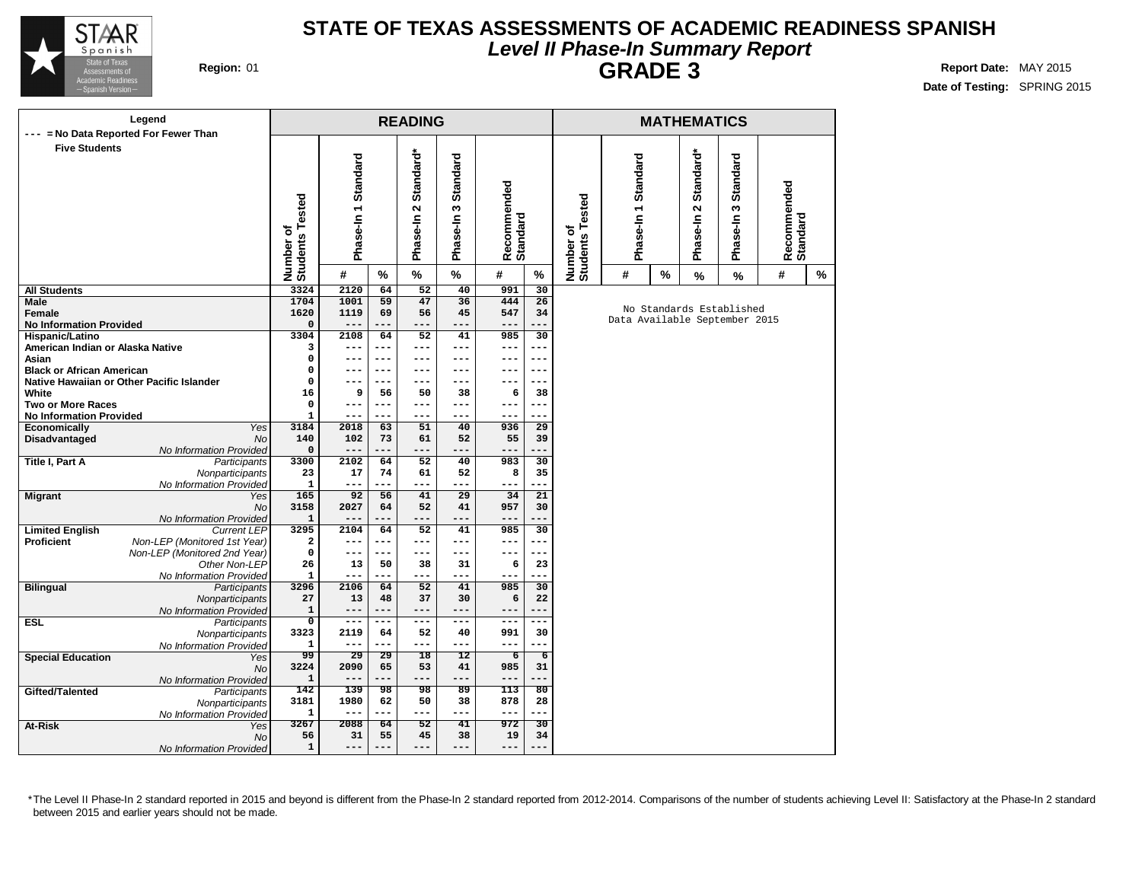

### **STATE OF TEXAS ASSESSMENTS OF ACADEMIC READINESS SPANISH Level II Phase-In Summary Report GRADE 3 Region:** 01 **Report** Date: MAY 2015

**Date of Testing:** SPRING 2015

|                                                     | Legend<br>--- = No Data Reported For Fewer Than |                              |                     |                 | <b>READING</b>                             |                                  |                         |                 |                              |                               |   | <b>MATHEMATICS</b>      |                                  |                         |   |
|-----------------------------------------------------|-------------------------------------------------|------------------------------|---------------------|-----------------|--------------------------------------------|----------------------------------|-------------------------|-----------------|------------------------------|-------------------------------|---|-------------------------|----------------------------------|-------------------------|---|
| <b>Five Students</b>                                |                                                 | Number of<br>Students Tested | Phase-In 1 Standard |                 | Standard*<br>$\mathbf{\Omega}$<br>Phase-In | <b>Standard</b><br>S<br>Phase-In | Recommended<br>Standard |                 | Number of<br>Students Tested | Phase-In 1 Standard           |   | Standard*<br>Phase-In 2 | <b>Standard</b><br>w<br>Phase-In | Recommended<br>Standard |   |
|                                                     |                                                 |                              | #                   | %               | %                                          | %                                | #                       | %               |                              | #                             | % | %                       | %                                | #                       | % |
| <b>All Students</b>                                 |                                                 | 3324                         | 2120                | 64              | 52                                         | 40                               | 991                     | 30              |                              |                               |   |                         |                                  |                         |   |
| Male                                                |                                                 | 1704                         | 1001                | 59              | 47                                         | 36                               | 444                     | 26              |                              |                               |   |                         | No Standards Established         |                         |   |
| Female                                              |                                                 | 1620                         | 1119                | 69              | 56                                         | 45                               | 547                     | 34              |                              | Data Available September 2015 |   |                         |                                  |                         |   |
| <b>No Information Provided</b>                      |                                                 | 0                            | $---$               | ---             | $---$                                      | ---                              | $---$                   | ---             |                              |                               |   |                         |                                  |                         |   |
| Hispanic/Latino<br>American Indian or Alaska Native |                                                 | 3304<br>3                    | 2108<br>---         | 64<br>---       | 52<br>---                                  | 41<br>---                        | 985                     | 30<br>---       |                              |                               |   |                         |                                  |                         |   |
| Asian                                               |                                                 | 0                            | $---$               | $---$           | $---$                                      | $---$                            | ---<br>$---$            | $---$           |                              |                               |   |                         |                                  |                         |   |
| <b>Black or African American</b>                    |                                                 | 0                            | ---                 | $---$           | $---$                                      | $---$                            | $- - -$                 | $---$           |                              |                               |   |                         |                                  |                         |   |
|                                                     | Native Hawaiian or Other Pacific Islander       | $\Omega$                     | $- - -$             | ---             | ---                                        | $- - -$                          | $- - -$                 | ---             |                              |                               |   |                         |                                  |                         |   |
| White                                               |                                                 | 16                           | 9                   | 56              | 50                                         | 38                               | 6                       | 38              |                              |                               |   |                         |                                  |                         |   |
| <b>Two or More Races</b>                            |                                                 | 0                            | $---$               | ---             | $---$                                      | ---                              | $---$                   | ---             |                              |                               |   |                         |                                  |                         |   |
| <b>No Information Provided</b>                      |                                                 | $\mathbf{1}$                 | $---$               | ---             | $- - -$                                    | ---                              | $---$                   | ---             |                              |                               |   |                         |                                  |                         |   |
| <b>Economically</b>                                 | <b>Yes</b>                                      | 3184                         | 2018                | 63              | 51                                         | 40                               | 936                     | $\overline{29}$ |                              |                               |   |                         |                                  |                         |   |
| Disadvantaged                                       | No                                              | 140                          | 102                 | 73              | 61                                         | 52                               | 55                      | 39              |                              |                               |   |                         |                                  |                         |   |
|                                                     | No Information Provided                         | 0                            | $---$               | ---             | ---                                        | ---                              | $---$                   | ---             |                              |                               |   |                         |                                  |                         |   |
| Title I, Part A                                     | Participants                                    | 3300                         | 2102                | 64              | 52                                         | 40                               | 983                     | 30              |                              |                               |   |                         |                                  |                         |   |
|                                                     | Nonparticipants                                 | 23                           | 17                  | 74              | 61                                         | 52                               | 8                       | 35              |                              |                               |   |                         |                                  |                         |   |
|                                                     | No Information Provided                         | $\mathbf{1}$                 | ---                 | ---             | ---                                        | ---                              | ---                     | ---             |                              |                               |   |                         |                                  |                         |   |
| <b>Migrant</b>                                      | Yes                                             | 165                          | 92                  | 56              | 41                                         | 29                               | 34                      | 21              |                              |                               |   |                         |                                  |                         |   |
|                                                     | <b>No</b>                                       | 3158                         | 2027                | 64              | 52                                         | 41                               | 957                     | 30              |                              |                               |   |                         |                                  |                         |   |
|                                                     | No Information Provided                         | $\mathbf{1}$                 |                     | ---             | ---                                        |                                  |                         | ---             |                              |                               |   |                         |                                  |                         |   |
| <b>Limited English</b>                              | <b>Current LEP</b>                              | 3295                         | 2104                | 64              | 52                                         | 41                               | 985                     | 30              |                              |                               |   |                         |                                  |                         |   |
| Proficient                                          | Non-LEP (Monitored 1st Year)                    | 2                            | $---$               | ---             | $---$                                      | ---                              | $---$                   | ---             |                              |                               |   |                         |                                  |                         |   |
|                                                     | Non-LEP (Monitored 2nd Year)                    | 0                            | $---$               | ---             | ---                                        | ---                              | $---$                   | ---             |                              |                               |   |                         |                                  |                         |   |
|                                                     | Other Non-LEP                                   | 26                           | 13                  | 50              | 38                                         | 31                               | 6                       | 23              |                              |                               |   |                         |                                  |                         |   |
|                                                     | No Information Provided                         | $\mathbf{1}$                 | $---$               | ---             | ---                                        | ---                              | $---$                   | ---             |                              |                               |   |                         |                                  |                         |   |
| <b>Bilingual</b>                                    | Participants                                    | 3296                         | 2106                | 64              | 52                                         | 41                               | 985                     | 30              |                              |                               |   |                         |                                  |                         |   |
|                                                     | Nonparticipants                                 | 27                           | 13                  | 48              | 37                                         | 30                               | 6                       | 22              |                              |                               |   |                         |                                  |                         |   |
|                                                     | No Information Provided                         | 1                            | $---$               | ---             | ---                                        | ---                              | $---$                   | ---             |                              |                               |   |                         |                                  |                         |   |
| <b>ESL</b>                                          | Participants                                    | $\mathbf 0$                  | $---$               | ---             | $\qquad \qquad - -$                        | $---$                            | $--$                    | ---             |                              |                               |   |                         |                                  |                         |   |
|                                                     | Nonparticipants                                 | 3323                         | 2119                | 64              | 52                                         | 40                               | 991                     | 30              |                              |                               |   |                         |                                  |                         |   |
|                                                     | No Information Provided                         | 1                            | $---$               | ---             | ---                                        | ---                              | $---$                   | ---             |                              |                               |   |                         |                                  |                         |   |
| <b>Special Education</b>                            | Yes                                             | 99                           | 29                  | 29              | 18                                         | 12                               | $\overline{6}$          | $\overline{6}$  |                              |                               |   |                         |                                  |                         |   |
|                                                     | <b>No</b>                                       | 3224                         | 2090                | 65              | 53                                         | 41                               | 985                     | 31              |                              |                               |   |                         |                                  |                         |   |
|                                                     | No Information Provided                         | $\mathbf 1$                  | $---$               | ---             | ---                                        | ---                              | $---$                   | ---             |                              |                               |   |                         |                                  |                         |   |
| Gifted/Talented                                     | Participants                                    | 142                          | 139                 | $\overline{98}$ | 98                                         | $\overline{89}$                  | 113                     | 80              |                              |                               |   |                         |                                  |                         |   |
|                                                     | Nonparticipants                                 | 3181                         | 1980                | 62              | 50                                         | 38                               | 878                     | 28              |                              |                               |   |                         |                                  |                         |   |
|                                                     | No Information Provided                         | 1                            | $---$               | ---             | ---                                        | ---                              | $---$                   | ---             |                              |                               |   |                         |                                  |                         |   |
| At-Risk                                             | Yes                                             | 3267                         | 2088                | 64              | $\overline{52}$                            | $\overline{41}$                  | 972                     | $\overline{30}$ |                              |                               |   |                         |                                  |                         |   |
|                                                     | <b>No</b>                                       | 56                           | 31                  | 55              | 45                                         | 38                               | 19                      | 34              |                              |                               |   |                         |                                  |                         |   |
|                                                     | No Information Provided                         | $\mathbf{1}$                 | --                  | ---             | ---                                        | ---                              | $---$                   |                 |                              |                               |   |                         |                                  |                         |   |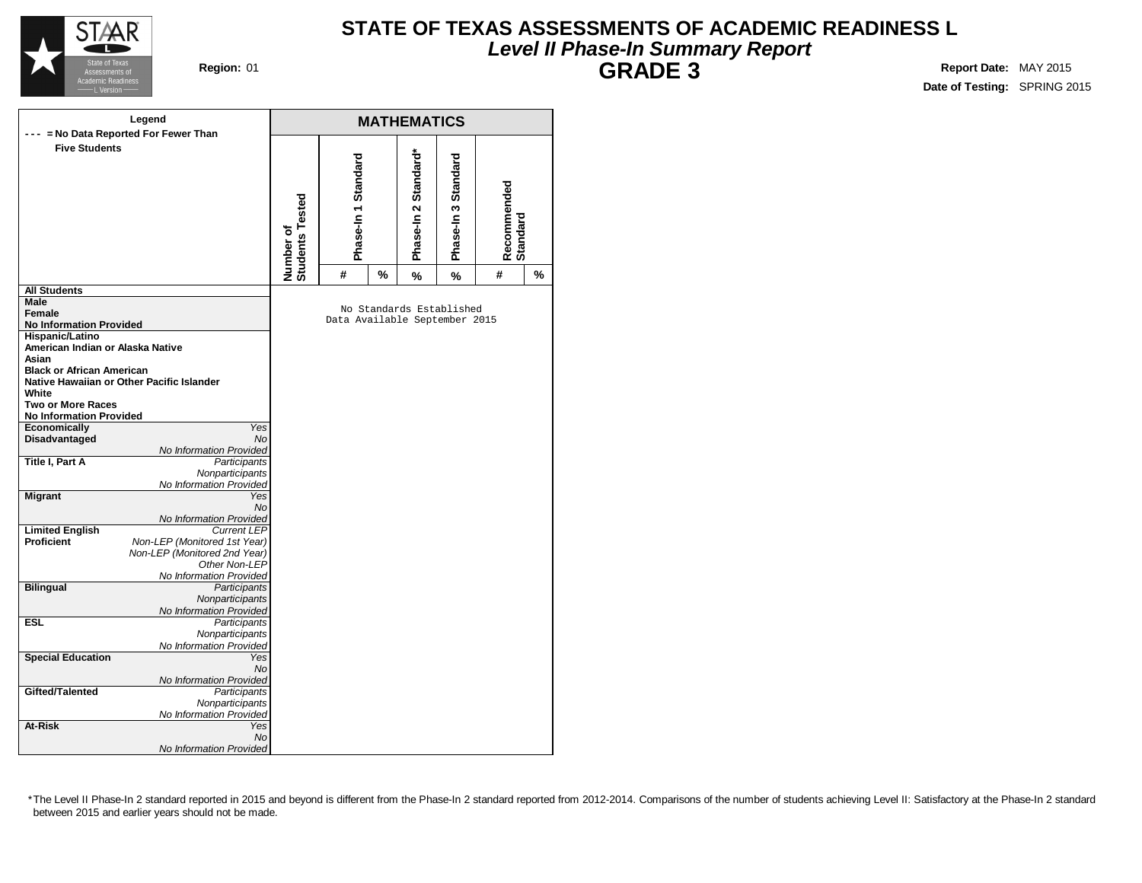

### **STATE OF TEXAS ASSESSMENTS OF ACADEMIC READINESS L Level II Phase-In Summary Report GRADE 3 Region:** 01 **Report** Date: MAY 2015

**Date of Testing:** SPRING 2015

|                                  | Legend                                         |                                     |                               |   | <b>MATHEMATICS</b>       |                        |                         |   |
|----------------------------------|------------------------------------------------|-------------------------------------|-------------------------------|---|--------------------------|------------------------|-------------------------|---|
|                                  | --- = No Data Reported For Fewer Than          |                                     |                               |   |                          |                        |                         |   |
| <b>Five Students</b>             |                                                | <b>Students Tested</b><br>Number of | Phase-In 1 Standard           |   | Phase-In 2 Standard*     | Standard<br>Phase-In 3 | Recommended<br>Standard |   |
|                                  |                                                |                                     | #                             | % | $\%$                     | $\%$                   | #                       | % |
| <b>All Students</b>              |                                                |                                     |                               |   |                          |                        |                         |   |
| Male                             |                                                |                                     |                               |   |                          |                        |                         |   |
| Female                           |                                                |                                     |                               |   | No Standards Established |                        |                         |   |
| <b>No Information Provided</b>   |                                                |                                     | Data Available September 2015 |   |                          |                        |                         |   |
| <b>Hispanic/Latino</b>           |                                                |                                     |                               |   |                          |                        |                         |   |
| American Indian or Alaska Native |                                                |                                     |                               |   |                          |                        |                         |   |
| Asian                            |                                                |                                     |                               |   |                          |                        |                         |   |
| <b>Black or African American</b> |                                                |                                     |                               |   |                          |                        |                         |   |
|                                  | Native Hawaiian or Other Pacific Islander      |                                     |                               |   |                          |                        |                         |   |
| White                            |                                                |                                     |                               |   |                          |                        |                         |   |
| <b>Two or More Races</b>         |                                                |                                     |                               |   |                          |                        |                         |   |
| <b>No Information Provided</b>   |                                                |                                     |                               |   |                          |                        |                         |   |
| Economically                     | Yes                                            |                                     |                               |   |                          |                        |                         |   |
| Disadvantaged                    | <b>No</b>                                      |                                     |                               |   |                          |                        |                         |   |
|                                  | No Information Provided                        |                                     |                               |   |                          |                        |                         |   |
| <b>Title I, Part A</b>           | Participants                                   |                                     |                               |   |                          |                        |                         |   |
|                                  | Nonparticipants                                |                                     |                               |   |                          |                        |                         |   |
|                                  | No Information Provided                        |                                     |                               |   |                          |                        |                         |   |
| <b>Migrant</b>                   | Yes                                            |                                     |                               |   |                          |                        |                         |   |
|                                  | No                                             |                                     |                               |   |                          |                        |                         |   |
|                                  | No Information Provided                        |                                     |                               |   |                          |                        |                         |   |
| <b>Limited English</b>           | <b>Current LEP</b>                             |                                     |                               |   |                          |                        |                         |   |
| <b>Proficient</b>                | Non-LEP (Monitored 1st Year)                   |                                     |                               |   |                          |                        |                         |   |
|                                  | Non-LEP (Monitored 2nd Year)                   |                                     |                               |   |                          |                        |                         |   |
|                                  | Other Non-LEP                                  |                                     |                               |   |                          |                        |                         |   |
| <b>Bilingual</b>                 | No Information Provided<br><b>Participants</b> |                                     |                               |   |                          |                        |                         |   |
|                                  | Nonparticipants                                |                                     |                               |   |                          |                        |                         |   |
|                                  | No Information Provided                        |                                     |                               |   |                          |                        |                         |   |
| <b>ESL</b>                       |                                                |                                     |                               |   |                          |                        |                         |   |
|                                  | Participants<br>Nonparticipants                |                                     |                               |   |                          |                        |                         |   |
|                                  | No Information Provided                        |                                     |                               |   |                          |                        |                         |   |
| <b>Special Education</b>         | Yes                                            |                                     |                               |   |                          |                        |                         |   |
|                                  | <b>No</b>                                      |                                     |                               |   |                          |                        |                         |   |
|                                  | No Information Provided                        |                                     |                               |   |                          |                        |                         |   |
| Gifted/Talented                  | Participants                                   |                                     |                               |   |                          |                        |                         |   |
|                                  | Nonparticipants                                |                                     |                               |   |                          |                        |                         |   |
|                                  | No Information Provided                        |                                     |                               |   |                          |                        |                         |   |
| At-Risk                          | Yes                                            |                                     |                               |   |                          |                        |                         |   |
|                                  | <b>No</b>                                      |                                     |                               |   |                          |                        |                         |   |
|                                  | No Information Provided                        |                                     |                               |   |                          |                        |                         |   |
|                                  |                                                |                                     |                               |   |                          |                        |                         |   |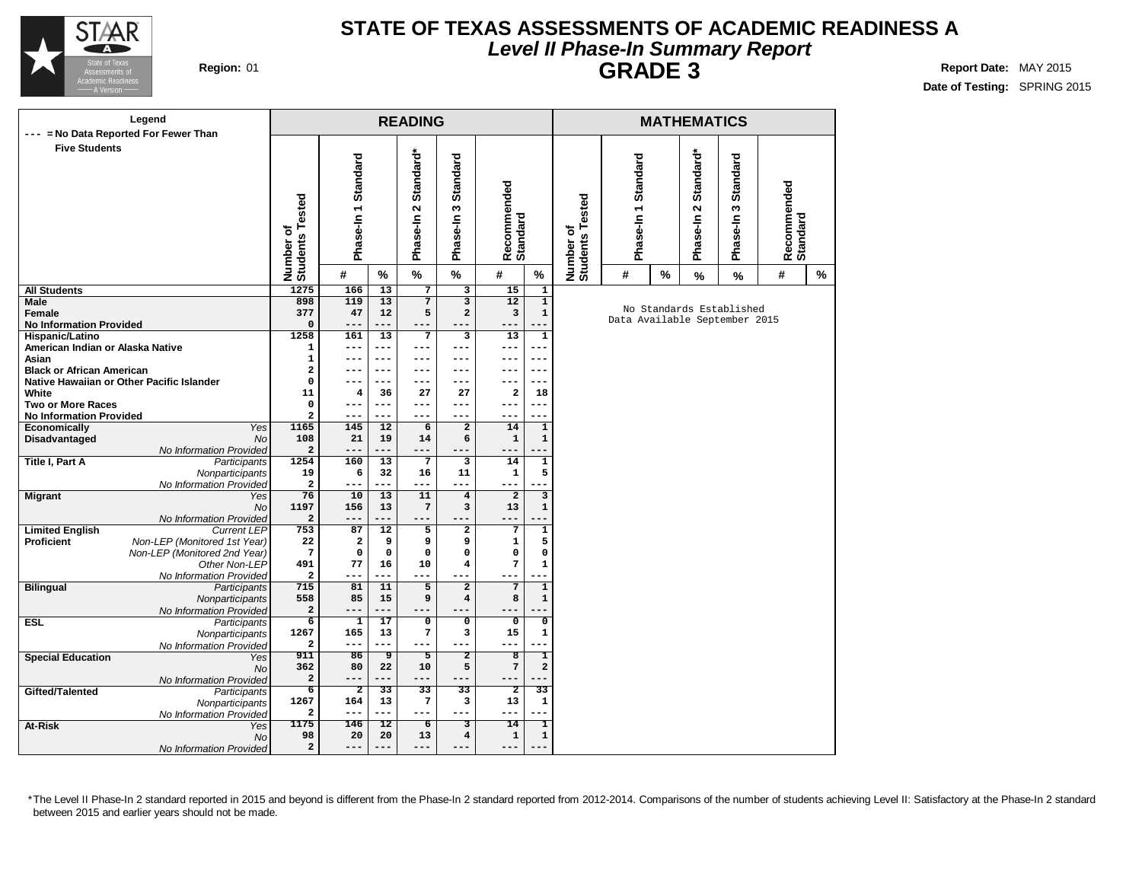

### **STATE OF TEXAS ASSESSMENTS OF ACADEMIC READINESS A Level II Phase-In Summary Report GRADE 3 Region:** 01 **Report** Date: MAY 2015

**Date of Testing:** SPRING 2015

| Legend                                                              |                                        |                         |                 | <b>READING</b>          |                         |                         |                                         |                          |           |      | <b>MATHEMATICS</b>   |                               |                         |               |
|---------------------------------------------------------------------|----------------------------------------|-------------------------|-----------------|-------------------------|-------------------------|-------------------------|-----------------------------------------|--------------------------|-----------|------|----------------------|-------------------------------|-------------------------|---------------|
| = No Data Reported For Fewer Than<br>---                            |                                        |                         |                 |                         |                         |                         |                                         |                          |           |      |                      |                               |                         |               |
| <b>Five Students</b>                                                |                                        |                         |                 |                         |                         |                         |                                         |                          |           |      |                      |                               |                         |               |
|                                                                     |                                        | Phase-In 1 Standard     |                 | Standard*               | Standard                |                         |                                         |                          | Standard  |      | Standard*            | <b>Standard</b>               |                         |               |
|                                                                     |                                        |                         |                 |                         |                         | Recommended<br>Standard |                                         |                          |           |      |                      |                               | Recommended<br>Standard |               |
|                                                                     |                                        |                         |                 | $\mathbf{\Omega}$       | S                       |                         |                                         | ested                    |           |      | $\mathbf{\tilde{z}}$ | $\boldsymbol{\omega}$         |                         |               |
|                                                                     |                                        |                         |                 | Phase-In                | Phase-In                |                         |                                         |                          | Phase-In1 |      | Phase-In             | Phase-In                      |                         |               |
|                                                                     |                                        |                         |                 |                         |                         |                         |                                         |                          |           |      |                      |                               |                         |               |
|                                                                     |                                        |                         |                 |                         |                         |                         |                                         |                          |           |      |                      |                               |                         |               |
|                                                                     | Number of<br>Students Tested           | #                       | $\%$            | %                       | %                       | #                       | $\%$                                    | Number of<br>Students Te | #         | $\%$ | $\%$                 | $\%$                          | #                       | $\frac{9}{6}$ |
| <b>All Students</b>                                                 | 1275                                   | 166                     | 13              | $\overline{7}$          | $\overline{\mathbf{3}}$ | 15                      | 1                                       |                          |           |      |                      |                               |                         |               |
| <b>Male</b>                                                         | 898                                    | 119                     | 13              | $\overline{7}$          | $\overline{\mathbf{3}}$ | $\overline{12}$         | $\overline{1}$                          |                          |           |      |                      | No Standards Established      |                         |               |
| Female                                                              | 377                                    | 47<br>$- -$             | 12<br>---       | 5<br>---                | $\overline{\mathbf{c}}$ | 3                       | $\mathbf{1}$                            |                          |           |      |                      | Data Available September 2015 |                         |               |
| <b>No Information Provided</b><br>Hispanic/Latino                   | $\mathbf 0$<br>1258                    | 161                     | 13              | $\overline{7}$          | $\overline{\mathbf{3}}$ | ---<br>13               | $\mathbf{1}$                            |                          |           |      |                      |                               |                         |               |
| American Indian or Alaska Native                                    | $\mathbf{1}$                           | ---                     | $---$           | ---                     | ---                     | ---                     | $---$                                   |                          |           |      |                      |                               |                         |               |
| Asian                                                               | $\mathbf 1$                            |                         | ---             | ---                     | ---                     | ---                     |                                         |                          |           |      |                      |                               |                         |               |
| <b>Black or African American</b>                                    | $\mathbf 2$                            | ---                     | $--$            | ---                     | ---                     | ---                     | ---                                     |                          |           |      |                      |                               |                         |               |
| Native Hawaiian or Other Pacific Islander                           | 0                                      | ---                     | ---             | ---                     | ---                     | ---                     | ---                                     |                          |           |      |                      |                               |                         |               |
| White                                                               | 11                                     | 4                       | 36              | 27                      | 27                      | 2                       | 18                                      |                          |           |      |                      |                               |                         |               |
| <b>Two or More Races</b>                                            | $\mathbf 0$<br>$\overline{\mathbf{2}}$ | ---<br>$- -$            | $---$<br>---    | ---<br>---              | ---<br>---              | ---<br>---              | $---$<br>---                            |                          |           |      |                      |                               |                         |               |
| <b>No Information Provided</b><br><b>Economically</b><br><b>Yes</b> | 1165                                   | 145                     | 12              | 6                       | $\overline{a}$          | 14                      | $\mathbf 1$                             |                          |           |      |                      |                               |                         |               |
| <b>No</b><br>Disadvantaged                                          | 108                                    | 21                      | 19              | 14                      | 6                       | 1                       | $\mathbf{1}$                            |                          |           |      |                      |                               |                         |               |
| No Information Provided                                             | $\mathbf 2$                            | ---                     | ---             | ---                     | ---                     |                         |                                         |                          |           |      |                      |                               |                         |               |
| Title I, Part A<br>Participants                                     | 1254                                   | 160                     | $\overline{13}$ | $\overline{7}$          | 3                       | 14                      | $\overline{1}$                          |                          |           |      |                      |                               |                         |               |
| Nonparticipants                                                     | 19                                     | 6                       | 32              | 16                      | 11                      | $\mathbf{1}$            | 5                                       |                          |           |      |                      |                               |                         |               |
| No Information Provided                                             | $\mathbf{2}$                           | $---$                   | ---             | $---$                   | $---$                   | ---                     | $- - -$                                 |                          |           |      |                      |                               |                         |               |
| <b>Migrant</b><br>Yes<br>No                                         | 76<br>1197                             | 10<br>156               | 13<br>13        | 11<br>$\sqrt{7}$        | $\overline{4}$<br>3     | $\overline{2}$<br>13    | $\overline{\mathbf{3}}$<br>$\mathbf{1}$ |                          |           |      |                      |                               |                         |               |
| No Information Provided                                             | $\mathbf{2}$                           | ---                     | ---             | ---                     | ---                     | ---                     |                                         |                          |           |      |                      |                               |                         |               |
| <b>Limited English</b><br><b>Current LEP</b>                        | 753                                    | 87                      | $\overline{12}$ | 5                       | $\overline{\mathbf{2}}$ | 7                       | $\overline{1}$                          |                          |           |      |                      |                               |                         |               |
| Non-LEP (Monitored 1st Year)<br><b>Proficient</b>                   | 22                                     | $\mathbf{2}$            | 9               | 9                       | 9                       | 1                       | 5                                       |                          |           |      |                      |                               |                         |               |
| Non-LEP (Monitored 2nd Year)                                        | $7\phantom{.0}$                        | 0                       | $\mathbf 0$     | $\mathbf 0$             | $\mathbf 0$             | 0                       | 0                                       |                          |           |      |                      |                               |                         |               |
| Other Non-LEP                                                       | 491                                    | 77                      | 16              | 10                      | $\overline{\mathbf{4}}$ | 7                       | $\mathbf{1}$                            |                          |           |      |                      |                               |                         |               |
| No Information Provided                                             | $\mathbf{2}$<br>715                    | ---<br>81               | ---<br>11       | ---<br>$\overline{5}$   | $---$<br>$\overline{2}$ | ---                     |                                         |                          |           |      |                      |                               |                         |               |
| <b>Bilingual</b><br>Participants<br>Nonparticipants                 | 558                                    | 85                      | 15              | 9                       | $\overline{\mathbf{4}}$ | $7\phantom{.0}$<br>8    | $\overline{1}$<br>$\mathbf 1$           |                          |           |      |                      |                               |                         |               |
| No Information Provided                                             | $\mathbf 2$                            | ---                     | ---             | ---                     | $---$                   | ---                     |                                         |                          |           |      |                      |                               |                         |               |
| <b>ESL</b><br>Participants                                          | $\overline{6}$                         | $\overline{\mathbf{1}}$ | 17              | $\overline{\mathbf{0}}$ | $\overline{\mathbf{0}}$ | $\overline{\mathbf{0}}$ | $\overline{\mathfrak{o}}$               |                          |           |      |                      |                               |                         |               |
| Nonparticipants                                                     | 1267                                   | 165                     | 13              | $\bf 7$                 | 3                       | 15                      | 1                                       |                          |           |      |                      |                               |                         |               |
| No Information Provided                                             | $\overline{\mathbf{2}}$                | ---                     | ---             | ---                     | $---$                   | ---                     | $---$                                   |                          |           |      |                      |                               |                         |               |
| <b>Special Education</b><br>Yes                                     | 911                                    | 86                      | 9               | $\overline{5}$          | $\overline{2}$          | 8                       | T                                       |                          |           |      |                      |                               |                         |               |
| No                                                                  | 362<br>$\mathbf 2$                     | 80<br>---               | 22<br>---       | 10<br>---               | 5<br>---                | 7<br>---                | $\mathbf{2}$<br>---                     |                          |           |      |                      |                               |                         |               |
| No Information Provided<br>Gifted/Talented<br>Participants          | $\overline{6}$                         | $\overline{2}$          | $\overline{33}$ | $\overline{33}$         | $\overline{33}$         | $\overline{2}$          | $\overline{33}$                         |                          |           |      |                      |                               |                         |               |
| Nonparticipants                                                     | 1267                                   | 164                     | 13              | $\mathbf{7}$            | 3                       | 13                      | $\mathbf 1$                             |                          |           |      |                      |                               |                         |               |
| No Information Provided                                             | $\mathbf{2}$                           | ---                     | $---$           | ---                     | $---$                   | ---                     | ---                                     |                          |           |      |                      |                               |                         |               |
| At-Risk<br>Yes                                                      | 1175                                   | 146                     | $\overline{12}$ | $\overline{6}$          | 3                       | $\overline{14}$         | T                                       |                          |           |      |                      |                               |                         |               |
| <b>No</b>                                                           | 98                                     | 20                      | 20              | 13                      | $\overline{\mathbf{4}}$ | $\mathbf 1$             | $\mathbf 1$                             |                          |           |      |                      |                               |                         |               |
| No Information Provided                                             | $\mathbf 2$                            | ---                     | ---             | ---                     | ---                     | ---                     |                                         |                          |           |      |                      |                               |                         |               |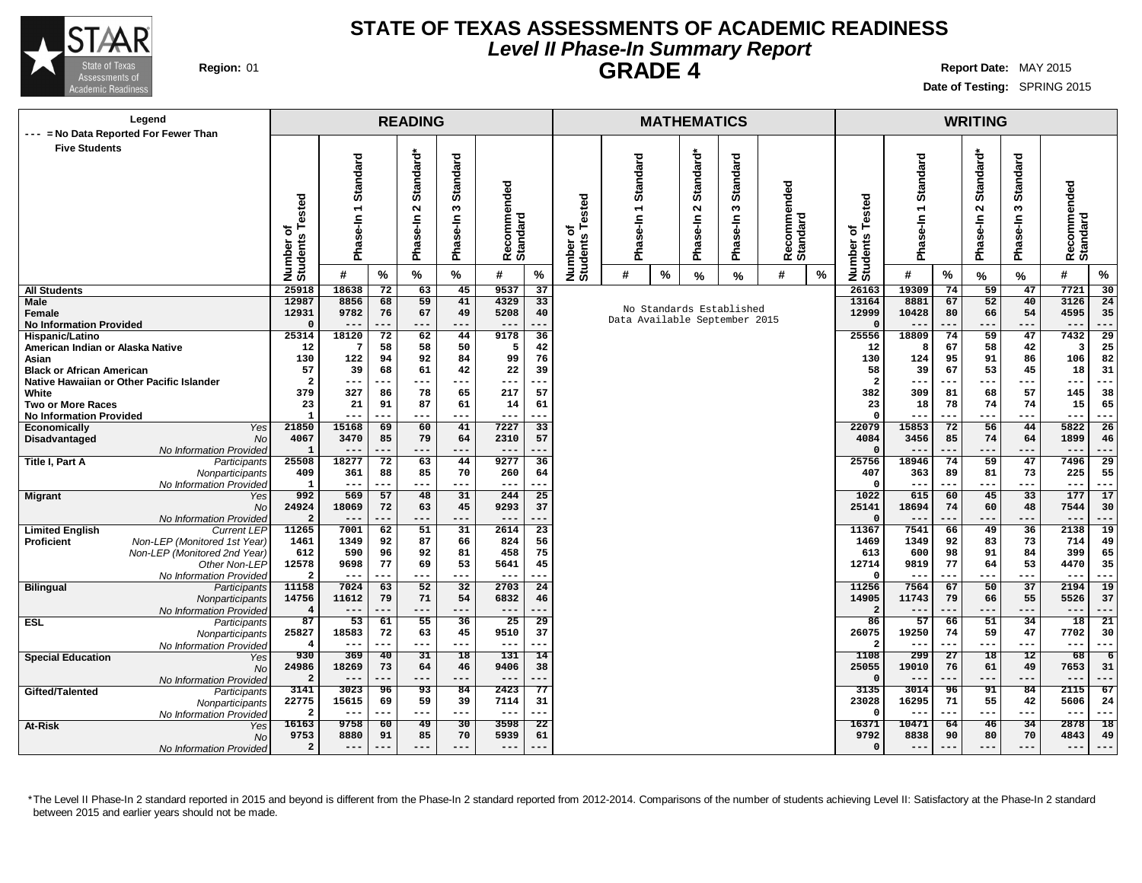

### **STATE OF TEXAS ASSESSMENTS OF ACADEMIC READINESS Level II Phase-In Summary Report GRADE 4 Region:** 01 **Report** Date: MAY 2015

**Date of Testing:** SPRING 2015

| Legend                                              |                       |                          |                 | <b>READING</b>  |                 |                         |                 |                      |         |      | <b>MATHEMATICS</b> |                               |                     |   |                              |                          |           | <b>WRITING</b> |                |                         |                 |
|-----------------------------------------------------|-----------------------|--------------------------|-----------------|-----------------|-----------------|-------------------------|-----------------|----------------------|---------|------|--------------------|-------------------------------|---------------------|---|------------------------------|--------------------------|-----------|----------------|----------------|-------------------------|-----------------|
| --- = No Data Reported For Fewer Than               |                       |                          |                 |                 |                 |                         |                 |                      |         |      |                    |                               |                     |   |                              |                          |           |                |                |                         |                 |
| <b>Five Students</b>                                |                       |                          |                 |                 |                 |                         |                 |                      |         |      |                    |                               |                     |   |                              |                          |           |                |                |                         |                 |
|                                                     |                       | Standard                 |                 | Standard*       | <b>Standard</b> |                         |                 |                      | ਠ       |      | Standard*          | ਰ                             |                     |   |                              | Standard                 |           | Standard*      | ರ              |                         |                 |
|                                                     |                       |                          |                 |                 |                 |                         |                 |                      | Standar |      |                    | Standar                       |                     |   |                              |                          |           |                | <b>Standar</b> |                         |                 |
|                                                     |                       |                          |                 |                 |                 | Recommended<br>Standard |                 |                      |         |      |                    |                               | ommended            |   |                              |                          |           |                |                | Recommended<br>Standard |                 |
|                                                     | Tested                |                          |                 |                 | 5               |                         |                 | ested                |         |      | $\mathbf{\Omega}$  |                               |                     |   |                              | $\overline{ }$           |           |                |                |                         |                 |
|                                                     |                       | $\overline{\phantom{0}}$ |                 | $\sim$          |                 |                         |                 |                      |         |      |                    | S                             |                     |   |                              |                          |           | $\sim$         | S              |                         |                 |
|                                                     | ৳                     |                          |                 |                 |                 |                         |                 | ۴<br>৳               |         |      |                    |                               |                     |   |                              |                          |           |                |                |                         |                 |
|                                                     | S,                    |                          |                 | Phase-In        |                 |                         |                 |                      |         |      |                    |                               |                     |   |                              | Phase-In                 |           |                |                |                         |                 |
|                                                     |                       | Phase-In                 |                 |                 | Phase-In        |                         |                 |                      | Pha     |      | Phase-In           | Phase-In                      | Recomme<br>Standard |   |                              |                          |           | Phase-In       | Phase-In       |                         |                 |
|                                                     | Number<br>Students    | #                        | %               | %               | %               | #                       | $\%$            | Number o<br>Students | #       | $\%$ | $\%$               | %                             | #                   | % | Number of<br>Students Tested | #                        | %         | %              | %              | #                       | $\%$            |
| <b>All Students</b>                                 | 25918                 | 18638                    | $\overline{72}$ | 63              | 45              | 9537                    | $\overline{37}$ |                      |         |      |                    |                               |                     |   | 26163                        | 19309                    | 74        | 59             | 47             | 7721                    | 30              |
| Male                                                | 12987                 | 8856                     | 68              | 59              | 41              | 4329                    | 33              |                      |         |      |                    |                               |                     |   | 13164                        | 8881                     | 67        | 52             | 40             | 3126                    | 24              |
| Female                                              | 12931                 | 9782                     | 76              | 67              | 49              | 5208                    | 40              |                      |         |      |                    | No Standards Established      |                     |   | 12999                        | 10428                    | 80        | 66             | 54             | 4595                    | 35              |
| <b>No Information Provided</b>                      |                       |                          |                 | ---             | ---             | $---$                   |                 |                      |         |      |                    | Data Available September 2015 |                     |   |                              |                          | .         | ---            | $---$          | $---$                   | ---             |
| Hispanic/Latino                                     | 25314                 | 18120                    | 72              | 62              | 44              | 9178                    | 36              |                      |         |      |                    |                               |                     |   | 25556                        | 18809                    | 74        | 59             | 47             | 7432                    | 29              |
| American Indian or Alaska Native                    | 12                    | 7                        | 58              | 58              | 50              | 5                       | 42              |                      |         |      |                    |                               |                     |   | 12                           | 8                        | 67        | 58             | 42             | 3                       | 25              |
| Asian                                               | 130                   | 122                      | 94              | 92              | 84              | 99                      | 76              |                      |         |      |                    |                               |                     |   | 130                          | 124                      | 95        | 91             | 86             | 106                     | 82              |
| <b>Black or African American</b>                    | 57                    | 39                       | 68              | 61              | 42              | 22                      | 39              |                      |         |      |                    |                               |                     |   | 58                           | 39                       | 67        | 53             | 45             | 18                      | 31              |
| Native Hawaiian or Other Pacific Islander           | $\overline{a}$<br>379 | ---<br>327               | ---<br>86       | ---<br>78       | $---$<br>65     | $---$<br>217            | 57              |                      |         |      |                    |                               |                     |   | $\overline{2}$<br>382        | $- - -$                  | ---<br>81 | ---            | $---$<br>57    | $---$<br>145            | ---<br>38       |
| White<br><b>Two or More Races</b>                   | 23                    | 21                       | 91              | 87              | 61              | 14                      | 61              |                      |         |      |                    |                               |                     |   | 23                           | 309<br>18                | 78        | 68<br>74       | 74             | 15                      | 65              |
| <b>No Information Provided</b>                      |                       | ---                      | ---             | ---             | ---             | $---$                   | ---             |                      |         |      |                    |                               |                     |   | $\Omega$                     | $- -$                    | ---       | ---            | $--$           | $---$                   | ---             |
| <b>Economically</b><br>Yes                          | 21850                 | 15168                    | 69              | 60              | 41              | 7227                    | 33              |                      |         |      |                    |                               |                     |   | 22079                        | 15853                    | 72        | 56             | 44             | 5822                    | 26              |
| Disadvantaged<br><b>No</b>                          | 4067                  | 3470                     | 85              | 79              | 64              | 2310                    | 57              |                      |         |      |                    |                               |                     |   | 4084                         | 3456                     | 85        | 74             | 64             | 1899                    | 46              |
| No Information Provided                             | 1                     | $---$                    | ---             | ---             | $---$           | $---$                   | ---             |                      |         |      |                    |                               |                     |   | $\Omega$                     | $- -$                    | ---       | ---            | $---$          | $---$                   | ---             |
| Title I, Part A<br>Participants                     | 25508                 | 18277                    | 72              | 63              | 44              | 9277                    | 36              |                      |         |      |                    |                               |                     |   | 25756                        | 18946                    | 74        | 59             | 47             | 7496                    | 29              |
| Nonparticipants                                     | 409                   | 361                      | 88              | 85              | 70              | 260                     | 64              |                      |         |      |                    |                               |                     |   | 407                          | 363                      | 89        | 81             | 73             | 225                     | 55              |
| No Information Provided                             | -1                    | $---$                    | ---             | ---             | $---$           | $---$                   | ---             |                      |         |      |                    |                               |                     |   | $\Omega$                     | $--$                     | ---       | ---            | $---$<br>33    | $---$<br>177            | ---<br>17       |
| <b>Migrant</b><br>Yes<br><b>No</b>                  | 992<br>24924          | 569<br>18069             | 57<br>72        | 48<br>63        | 31<br>45        | 244<br>9293             | 25<br>37        |                      |         |      |                    |                               |                     |   | 1022<br>25141                | 615<br>18694             | 60<br>74  | 45<br>60       | 48             | 7544                    | 30              |
| No Information Provided                             |                       | $---$                    | $- -$           | ---             | ---             | $---$                   | ---             |                      |         |      |                    |                               |                     |   |                              | $- -$                    | ---       | ---            | $---$          | $---$                   | ---             |
| <b>Limited English</b><br><b>Current LEP</b>        | 11265                 | 7001                     | 62              | 51              | 31              | 2614                    | $\overline{23}$ |                      |         |      |                    |                               |                     |   | 11367                        | 7541                     | 66        | 49             | 36             | 2138                    | 19              |
| Non-LEP (Monitored 1st Year)<br><b>Proficient</b>   | 1461                  | 1349                     | 92              | 87              | 66              | 824                     | 56              |                      |         |      |                    |                               |                     |   | 1469                         | 1349                     | 92        | 83             | 73             | 714                     | 49              |
| Non-LEP (Monitored 2nd Year)                        | 612                   | 590                      | 96              | 92              | 81              | 458                     | 75              |                      |         |      |                    |                               |                     |   | 613                          | 600                      | 98        | 91             | 84             | 399                     | 65              |
| Other Non-LEP                                       | 12578                 | 9698                     | 77              | 69              | 53              | 5641                    | 45              |                      |         |      |                    |                               |                     |   | 12714                        | 9819                     | 77        | 64             | 53             | 4470                    | 35              |
| No Information Provided                             | 2                     | $--$                     | ---             | ---             | $---$           | $--$                    | ---             |                      |         |      |                    |                               |                     |   | $\Omega$                     | $- -$                    | ---       | ---            | $---$          | $--$                    | ---             |
| <b>Bilingual</b><br>Participants<br>Nonparticipants | 11158<br>14756        | 7024<br>11612            | 63<br>79        | 52<br>71        | 32<br>54        | 2703<br>6832            | 24<br>46        |                      |         |      |                    |                               |                     |   | 11256<br>14905               | 7564<br>11743            | 67<br>79  | 50<br>66       | 37<br>55       | 2194<br>5526            | 19<br>37        |
| No Information Provided                             | 4                     | $---$                    |                 | ---             | ---             | $---$                   |                 |                      |         |      |                    |                               |                     |   |                              |                          |           | ---            | ---            | $---$                   | ---             |
| <b>ESL</b><br>Participants                          | 87                    | 53                       | 61              | 55              | 36              | 25                      | 29              |                      |         |      |                    |                               |                     |   | 86                           | 57                       | 66        | 51             | 34             | 18                      | 21              |
| Nonparticipants                                     | 25827                 | 18583                    | 72              | 63              | 45              | 9510                    | 37              |                      |         |      |                    |                               |                     |   | 26075                        | 19250                    | 74        | 59             | 47             | 7702                    | 30              |
| No Information Provided                             | 4                     | $---$                    | ---             | $---$           | $---$           | $---$                   |                 |                      |         |      |                    |                               |                     |   | $\overline{2}$               | $\overline{\phantom{m}}$ | ---       | ---            | ---            | $---$                   | ---             |
| <b>Special Education</b><br>Yes                     | 930                   | 369                      | 40              | 31              | 18              | 131                     | 14              |                      |         |      |                    |                               |                     |   | 1108                         | 299                      | 27        | 18             | 12             | 68                      | 6               |
| <b>No</b>                                           | 24986                 | 18269                    | 73              | 64              | 46              | 9406                    | 38              |                      |         |      |                    |                               |                     |   | 25055                        | 19010                    | 76        | 61             | 49             | 7653                    | 31              |
| No Information Provided                             | $\overline{2}$        | $---$                    | $- -$           | $- - -$         | $---$           | $---$                   |                 |                      |         |      |                    |                               |                     |   | $\Omega$                     | $ -$                     | ---       | ---            | $---$          | $---$                   | ---             |
| Gifted/Talented<br>Participants                     | 3141                  | 3023                     | 96              | $\overline{93}$ | 84              | 2423                    | 77              |                      |         |      |                    |                               |                     |   | 3135                         | 3014                     | 96        | 91             | 84             | 2115                    | 67              |
| Nonparticipants                                     | 22775<br>2            | 15615<br>$--$            | 69<br>---       | 59<br>$---$     | 39<br>$---$     | 7114<br>$---$           | 31<br>---       |                      |         |      |                    |                               |                     |   | 23028<br>$\Omega$            | 16295<br>$- -$           | 71<br>--- | 55<br>---      | 42<br>$--$     | 5606<br>$--$            | 24<br>$--$      |
| No Information Provideo<br>At-Risk<br>Yes           | 16163                 | 9758                     | 60              | $\overline{49}$ | $\overline{30}$ | 3598                    | $\overline{22}$ |                      |         |      |                    |                               |                     |   | 16371                        | 10471                    | 64        | 46             | 34             | 2878                    | $\overline{18}$ |
| No                                                  | 9753                  | 8880                     | 91              | 85              | 70              | 5939                    | 61              |                      |         |      |                    |                               |                     |   | 9792                         | 8838                     | 90        | 80             | 70             | 4843                    | 49              |
| No Information Provided                             | $\overline{a}$        | $---$                    | ---             | $---$           | $---$           | $---$                   |                 |                      |         |      |                    |                               |                     |   | $\mathbf 0$                  | $- -$                    | ---       | $---$          | $---$          | $---$                   | ---             |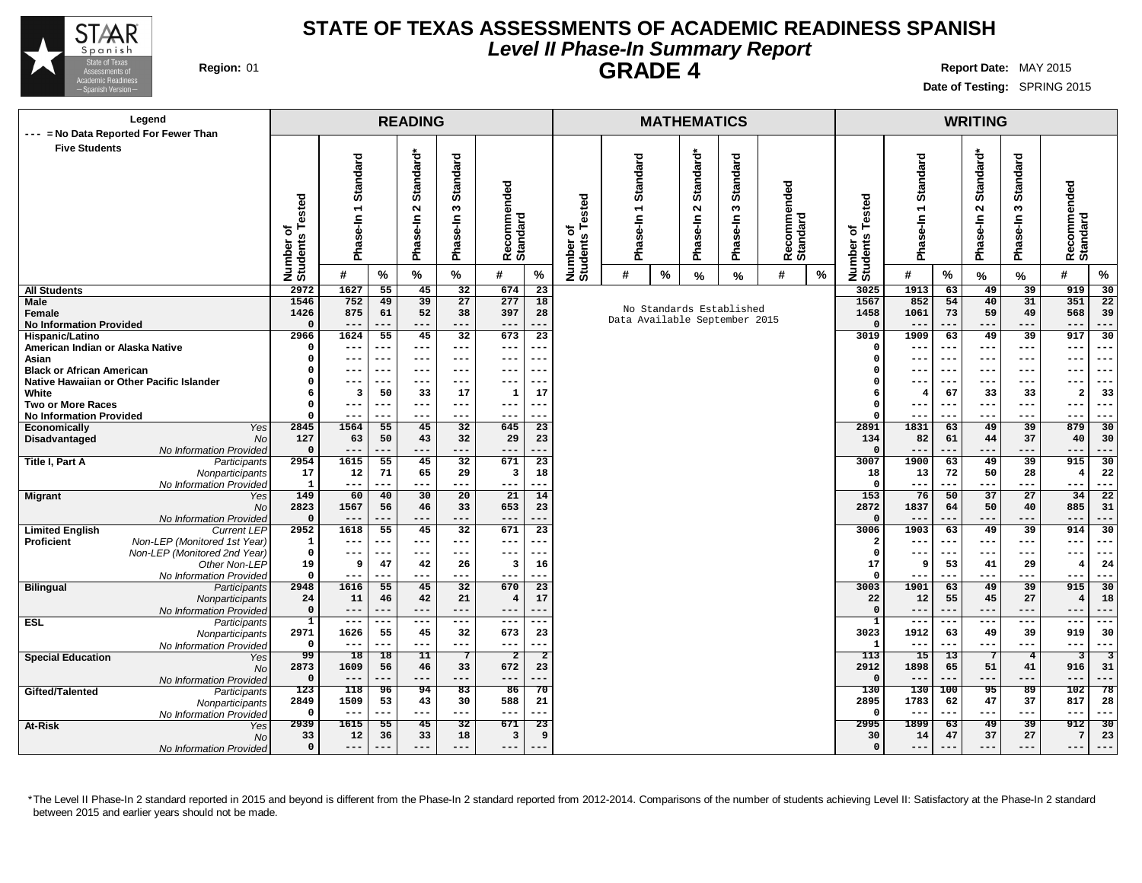

### **STATE OF TEXAS ASSESSMENTS OF ACADEMIC READINESS SPANISH Level II Phase-In Summary Report GRADE 4 Region:** 01 **Report** Date: MAY 2015

**Date of Testing:** SPRING 2015

| Legend                                                                                     |                      |                |                 | <b>READING</b>  |                        |                            |                |                       |                 |   | <b>MATHEMATICS</b> |                               |                         |                  |                              |                |           | <b>WRITING</b>    |                        |                            |                         |
|--------------------------------------------------------------------------------------------|----------------------|----------------|-----------------|-----------------|------------------------|----------------------------|----------------|-----------------------|-----------------|---|--------------------|-------------------------------|-------------------------|------------------|------------------------------|----------------|-----------|-------------------|------------------------|----------------------------|-------------------------|
| --- = No Data Reported For Fewer Than<br><b>Five Students</b>                              |                      |                |                 |                 |                        |                            |                |                       |                 |   |                    |                               |                         |                  |                              |                |           |                   |                        |                            |                         |
|                                                                                            |                      |                |                 |                 |                        |                            |                |                       |                 |   |                    |                               |                         |                  |                              |                |           |                   |                        |                            |                         |
|                                                                                            |                      | Standard       |                 | Standard*       | <b>Standard</b>        |                            |                |                       | <b>Standard</b> |   | Standard*          | <b>Standard</b>               |                         |                  |                              | Standard       |           | Standard*         | <b>Standard</b>        |                            |                         |
|                                                                                            |                      |                |                 |                 |                        |                            |                |                       |                 |   |                    |                               |                         |                  |                              |                |           |                   |                        |                            |                         |
|                                                                                            |                      |                |                 |                 |                        |                            |                |                       |                 |   |                    |                               |                         |                  |                              |                |           |                   |                        |                            |                         |
|                                                                                            | ested                | $\overline{ }$ |                 | $\sim$          | S                      |                            |                | ested                 |                 |   | $\sim$             | ო                             |                         |                  |                              | $\overline{ }$ |           | $\mathbf{\Omega}$ | S                      |                            |                         |
|                                                                                            | ৳                    |                |                 |                 |                        |                            |                | ৳                     |                 |   |                    |                               |                         |                  |                              |                |           |                   |                        |                            |                         |
|                                                                                            |                      | Phase-In       |                 | Phase-In        | Phase-In               | ecommended                 |                |                       |                 |   | Phase-In           | Phase-In                      |                         |                  |                              | Phase-In       |           | Phase-In          | Phase-In               | Recommended<br>Standard    |                         |
|                                                                                            |                      |                |                 |                 |                        | Recomme<br>Standard        |                |                       | Pha             |   |                    |                               | Recommended<br>Standard |                  |                              |                |           |                   |                        |                            |                         |
|                                                                                            | Number o<br>Students | #              | $\%$            | %               | $\%$                   | #                          | $\%$           | Number o'<br>Students | #               | % | $\frac{9}{6}$      | %                             | #                       | $\%$             | Number of<br>Students Tested | #              | %         | $\%$              | %                      | $\%$<br>#                  |                         |
| <b>All Students</b>                                                                        | 2972                 | 1627           | 55              | 45              | 32                     | 674                        | 23             |                       |                 |   |                    |                               |                         |                  | 3025                         | 1913           | 63        | 49                | 39                     | 919<br>30                  |                         |
| Male                                                                                       | 1546                 | 752            | 49              | 39              | 27                     | 277                        | 18             |                       |                 |   |                    | No Standards Established      |                         |                  | 1567                         | 852            | 54        | 40                | 31                     | 351<br>22                  |                         |
| Female                                                                                     | 1426<br>$\Omega$     | 875            | 61              | 52              | 38                     | 397                        | 28             |                       |                 |   |                    | Data Available September 2015 |                         |                  | 1458                         | 1061           | 73        | 59                | 49                     | 568<br>39                  |                         |
| <b>No Information Provided</b><br>Hispanic/Latino                                          | 2966                 | ---<br>1624    | ---<br>55       | ---<br>45       | ---<br>$\overline{32}$ | $\qquad \qquad - -$<br>673 | ---<br>23      |                       |                 |   |                    |                               |                         |                  | 3019                         | 1909           | ---<br>63 | ---<br>49         | ---<br>39              | $---$<br>---<br>917<br>30  |                         |
| American Indian or Alaska Native                                                           | 0                    | ---            | ---             | $---$           | $---$                  | $\qquad \qquad - -$        | ---            |                       |                 |   |                    |                               |                         |                  | $\Omega$                     | ---            | ---       | ---               | $--$                   | $---$<br>---               |                         |
| Asian                                                                                      | 0                    | ---            | ---             | ---             | $--$                   | $---$                      |                |                       |                 |   |                    |                               |                         |                  | $\Omega$                     | $- -$          | ---       | ---               | ---                    | $--$<br>---                |                         |
| <b>Black or African American</b>                                                           | 0                    | ---            | ---             |                 | $--$                   | ---                        |                |                       |                 |   |                    |                               |                         |                  | $\Omega$                     |                |           | -- <u>-</u>       |                        | $--$<br>---                |                         |
| Native Hawaiian or Other Pacific Islander                                                  | ٥                    | ---            | ---             | ---             | $---$                  | $---$                      | ---            |                       |                 |   |                    |                               |                         |                  |                              | ---            | ---       | $---$             | ---                    | $--$<br>---                |                         |
| White<br><b>Two or More Races</b>                                                          | 6<br>0               | 3<br>---       | 50<br>---       | 33<br>---       | 17<br>$---$            | 1<br>$---$                 | 17             |                       |                 |   |                    |                               |                         |                  | 6<br>$\Omega$                | 4              | 67<br>--- | 33<br>--          | 33<br>---              | 33<br>2<br>$---$<br>---    |                         |
| <b>No Information Provided</b>                                                             | 0                    | ---            | ---             | ---             | ---                    | $---$                      | ---            |                       |                 |   |                    |                               |                         |                  | ---                          | ---            | ---       | $--$              | $---$<br>---           |                            |                         |
| Economically<br>Yes                                                                        | 2845                 | 1564           | 55              | 45              | 32                     | 645                        | 23             |                       |                 |   |                    |                               | 2891                    | 1831             | 63                           | 49             | 39        | 879<br>30         |                        |                            |                         |
| Disadvantaged<br><b>No</b>                                                                 | 127                  | 63             | 50              | 43              | 32                     | 29                         | 23             |                       |                 |   |                    |                               |                         |                  | 134                          | 82             | 61        | 44                | 37                     | 40<br>30                   |                         |
| No Information Provided                                                                    | $\Omega$<br>2954     | ---<br>1615    | $\overline{55}$ | ---<br>45       | ---                    | $---$<br>671               |                |                       |                 |   |                    |                               |                         |                  | 3007                         | 1900           | ---       | ---               | ---<br>39              | $---$<br>---<br>915        |                         |
| <b>Title I, Part A</b><br>Participants<br>Nonparticipants                                  | 17                   | 12             | 71              | 65              | 32<br>29               | 3                          | 23<br>18       |                       |                 |   |                    |                               |                         |                  | 18                           | 13             | 63<br>72  | 49<br>50          | 28                     | 30<br>22<br>$\overline{4}$ |                         |
| No Information Provided                                                                    | $\mathbf{1}$         | ---            | ---             | ---             | $---$                  | $---$                      | ---            |                       |                 |   |                    |                               |                         |                  | $\Omega$                     | ---            | ---       | ---               | ---                    | $---$<br>---               |                         |
| <b>Migrant</b><br>Yes                                                                      | 149                  | 60             | 40              | $\overline{30}$ | 20                     | 21                         | 14             |                       |                 |   |                    |                               |                         |                  | 153                          | 76             | 50        | 37                | 27                     | 34<br>$\overline{22}$      |                         |
| <b>No</b>                                                                                  | 2823                 | 1567           | 56              | 46              | 33                     | 653                        | 23             |                       |                 |   |                    |                               |                         |                  | 2872                         | 1837           | 64        | 50                | 40                     | 885<br>31                  |                         |
| No Information Provided                                                                    | $\mathbf{0}$         |                |                 | ---             |                        | $---$                      |                |                       |                 |   |                    |                               |                         |                  |                              |                |           | ---               | ---                    | $---$                      |                         |
| <b>Limited English</b><br><b>Current LEP</b><br>Proficient<br>Non-LEP (Monitored 1st Year) | 2952<br>$\mathbf{1}$ | 1618<br>---    | 55<br>---       | 45<br>---       | 32<br>$---$            | 671<br>$---$               | 23             |                       |                 |   |                    |                               |                         |                  | 3006<br>-2                   | 1903<br>---    | 63<br>--- | 49<br>---         | 39<br>$--$             | 914<br>30<br>$---$<br>---  |                         |
| Non-LEP (Monitored 2nd Year)                                                               | $\mathsf{o}\,$       | ---            | ---             | ---             | $---$                  | $--$                       |                |                       |                 |   |                    |                               |                         |                  | $\Omega$                     |                | ---       | ---               | $--$                   | $- -$<br>---               |                         |
| Other Non-LEP                                                                              | 19                   | 9              | 47              | 42              | 26                     | 3                          | 16             |                       |                 |   |                    |                               |                         |                  | 17                           | 9              | 53        | 41                | 29                     | 24                         |                         |
| No Information Provided                                                                    | $\mathbf{o}$         | ---            | ---             | ---             | ---                    | $---$                      | ---            |                       |                 |   |                    |                               |                         |                  |                              | ---            | ---       | ---               | $--$                   | ---<br>$---$               |                         |
| <b>Bilingual</b><br>Participants                                                           | 2948                 | 1616           | 55              | 45              | 32                     | 670                        | 23             |                       |                 |   |                    |                               |                         |                  | 3003                         | 1901           | 63        | 49                | 39                     | 915<br>30                  |                         |
| Nonparticipants                                                                            | 24<br>$\Omega$       | 11<br>---      | 46<br>---       | 42<br>---       | 21<br>$---$            | $\overline{4}$             | 17             |                       |                 |   |                    |                               |                         |                  | 22<br>$\Omega$               | 12<br>---      | 55<br>--- | 45                | 27<br>---              | 18<br>---                  |                         |
| No Information Provided<br><b>ESL</b><br>Participants                                      | $\mathbf{1}$         | $--$           | ---             | $---$           | $---$                  | $---$<br>$---$             | ---            |                       |                 |   |                    |                               |                         |                  | $\mathbf{1}$                 | $--$           | ---       | ---<br>---        | $--$                   | $---$<br>$---$<br>---      |                         |
| Nonparticipants                                                                            | 2971                 | 1626           | 55              | 45              | 32                     | 673                        | 23             |                       |                 |   |                    |                               |                         |                  | 3023                         | 1912           | 63        | 49                | 39                     | 919<br>30                  |                         |
| No Information Provided                                                                    | $\mathbf{o}$         | ---            | ---             | ---             | $---$                  | $- - -$                    | ---            |                       |                 |   |                    |                               |                         |                  | -1                           | ---            | ---       | ---               | ---                    | $---$<br>---               |                         |
| <b>Special Education</b><br>Yes                                                            | 99                   | 18             | 18              | 11              | -7                     | $\overline{\mathbf{2}}$    | $\overline{2}$ |                       |                 |   |                    |                               |                         |                  | 113                          | 15             | 13        |                   | $\overline{4}$         | 3                          | $\overline{\mathbf{3}}$ |
| No                                                                                         | 2873                 | 1609           | 56              | 46              | 33                     | 672                        |                | 23                    |                 |   |                    |                               |                         | 2912<br>$\Omega$ | 1898                         | 65             | 51        | 41                | 916<br>31              |                            |                         |
| No Information Provided<br>Gifted/Talented                                                 | $\mathbf 0$<br>123   | $---$<br>118   | ---<br>96       | ---<br>94       | $---$<br>83            | $---$<br>86                |                |                       |                 |   |                    |                               |                         |                  | 130                          | 130            | 100       | ---<br>95         | ---<br>89              | $---$<br>---<br>102<br>78  |                         |
| Participants<br>Nonparticipants                                                            | 2849                 | 1509           | 53              | 43              | 30                     | 588                        |                | 70<br>21              |                 |   |                    |                               |                         | 2895             | 1783                         | 62             | 47        | 37                | 817<br>28              |                            |                         |
| No Information Provided                                                                    | $\Omega$             | ---            | ---             | ---             | $---$                  | $--$                       |                |                       |                 |   |                    |                               |                         | $\Omega$         |                              | ---            | ---       | ---               | $--$<br>---            |                            |                         |
| At-Risk<br>Yes                                                                             | 2939                 | 1615           | 55              | 45              | 32                     | 671                        | 23             |                       |                 |   |                    |                               |                         | 2995             | 1899                         | 63             | 49        | $\overline{39}$   | 912<br>$\overline{30}$ |                            |                         |
| No                                                                                         | 33                   | 12             | 36              | 33              | 18                     | 3                          | 9              |                       |                 |   |                    |                               |                         |                  | 30                           | 14             | 47        | 37                | 27                     | 7<br>23                    |                         |
| No Information Provided                                                                    | $\mathbf 0$          | ---            |                 | ---             | $---$                  | $---$                      |                |                       |                 |   |                    |                               |                         |                  | $\Omega$                     | ---            |           | ---               | ---                    | ---<br>$--$                |                         |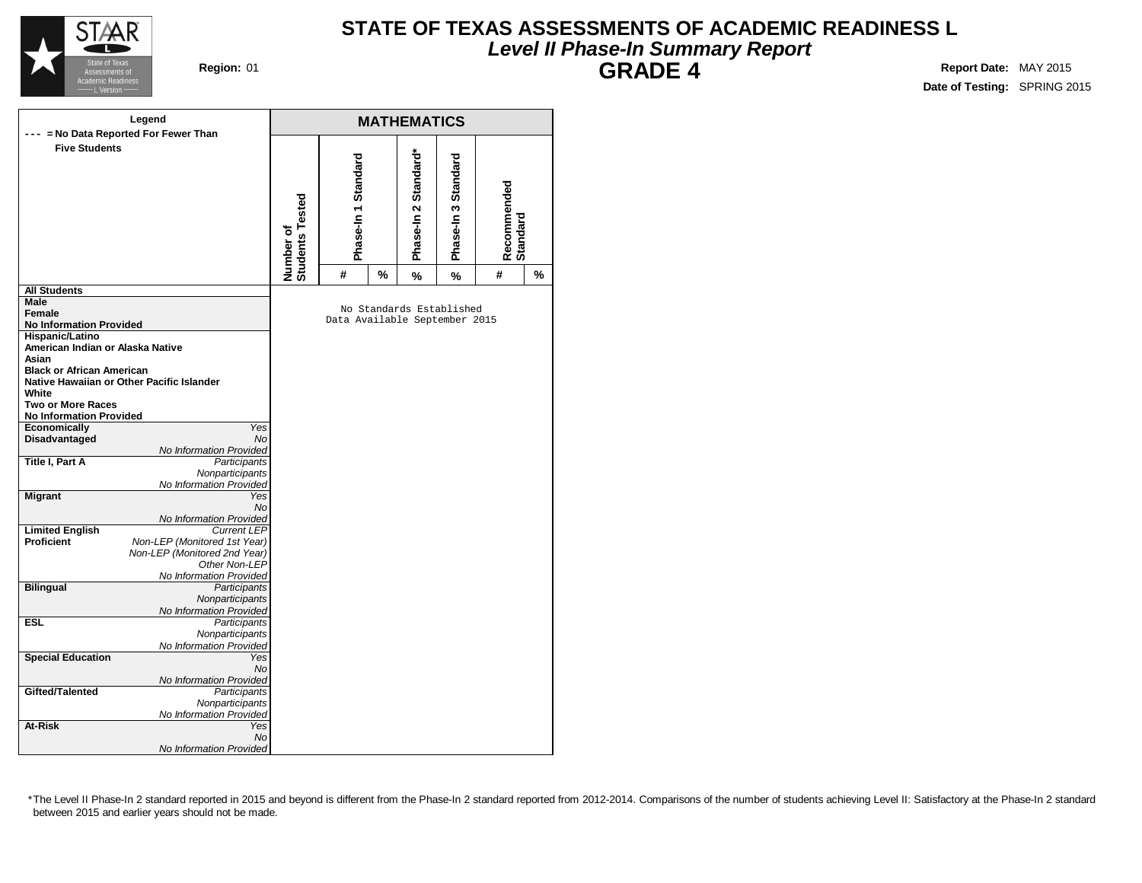

### **STATE OF TEXAS ASSESSMENTS OF ACADEMIC READINESS L Level II Phase-In Summary Report GRADE 4 Region:** 01 **Report** Date: MAY 2015

**Date of Testing:** SPRING 2015

|                                  | Legend<br>--- = No Data Reported For Fewer Than |                              |                               |      | <b>MATHEMATICS</b>       |                     |                         |      |
|----------------------------------|-------------------------------------------------|------------------------------|-------------------------------|------|--------------------------|---------------------|-------------------------|------|
| <b>Five Students</b>             |                                                 | Number of<br>Students Tested | Phase-In 1 Standard           |      | Phase-In 2 Standard*     | Phase-In 3 Standard | Recommended<br>Standard |      |
|                                  |                                                 |                              | #                             | $\%$ | %                        | %                   | #                       | $\%$ |
| <b>All Students</b>              |                                                 |                              |                               |      |                          |                     |                         |      |
| Male                             |                                                 |                              |                               |      | No Standards Established |                     |                         |      |
| Female                           |                                                 |                              | Data Available September 2015 |      |                          |                     |                         |      |
| <b>No Information Provided</b>   |                                                 |                              |                               |      |                          |                     |                         |      |
| Hispanic/Latino                  |                                                 |                              |                               |      |                          |                     |                         |      |
| American Indian or Alaska Native |                                                 |                              |                               |      |                          |                     |                         |      |
| Asian                            |                                                 |                              |                               |      |                          |                     |                         |      |
| <b>Black or African American</b> |                                                 |                              |                               |      |                          |                     |                         |      |
|                                  | Native Hawaiian or Other Pacific Islander       |                              |                               |      |                          |                     |                         |      |
| White                            |                                                 |                              |                               |      |                          |                     |                         |      |
| <b>Two or More Races</b>         |                                                 |                              |                               |      |                          |                     |                         |      |
| <b>No Information Provided</b>   |                                                 |                              |                               |      |                          |                     |                         |      |
| Economically                     | Yes<br>No                                       |                              |                               |      |                          |                     |                         |      |
| Disadvantaged                    | No Information Provided                         |                              |                               |      |                          |                     |                         |      |
| <b>Title I, Part A</b>           | Participants                                    |                              |                               |      |                          |                     |                         |      |
|                                  | Nonparticipants                                 |                              |                               |      |                          |                     |                         |      |
|                                  | No Information Provided                         |                              |                               |      |                          |                     |                         |      |
| <b>Migrant</b>                   | Yes                                             |                              |                               |      |                          |                     |                         |      |
|                                  | <b>No</b>                                       |                              |                               |      |                          |                     |                         |      |
|                                  | No Information Provided                         |                              |                               |      |                          |                     |                         |      |
| <b>Limited English</b>           | <b>Current LEP</b>                              |                              |                               |      |                          |                     |                         |      |
| <b>Proficient</b>                | Non-LEP (Monitored 1st Year)                    |                              |                               |      |                          |                     |                         |      |
|                                  | Non-LEP (Monitored 2nd Year)                    |                              |                               |      |                          |                     |                         |      |
|                                  | Other Non-LEP                                   |                              |                               |      |                          |                     |                         |      |
|                                  | No Information Provided                         |                              |                               |      |                          |                     |                         |      |
| <b>Bilingual</b>                 | Participants                                    |                              |                               |      |                          |                     |                         |      |
|                                  | Nonparticipants                                 |                              |                               |      |                          |                     |                         |      |
|                                  | No Information Provided                         |                              |                               |      |                          |                     |                         |      |
| <b>ESL</b>                       | Participants                                    |                              |                               |      |                          |                     |                         |      |
|                                  | Nonparticipants                                 |                              |                               |      |                          |                     |                         |      |
|                                  | No Information Provided                         |                              |                               |      |                          |                     |                         |      |
| <b>Special Education</b>         | Yes                                             |                              |                               |      |                          |                     |                         |      |
|                                  | No                                              |                              |                               |      |                          |                     |                         |      |
| Gifted/Talented                  | No Information Provided<br><b>Participants</b>  |                              |                               |      |                          |                     |                         |      |
|                                  |                                                 |                              |                               |      |                          |                     |                         |      |
|                                  | Nonparticipants                                 |                              |                               |      |                          |                     |                         |      |
| At-Risk                          | No Information Provided<br>Yes                  |                              |                               |      |                          |                     |                         |      |
|                                  | No                                              |                              |                               |      |                          |                     |                         |      |
|                                  | No Information Provided                         |                              |                               |      |                          |                     |                         |      |
|                                  |                                                 |                              |                               |      |                          |                     |                         |      |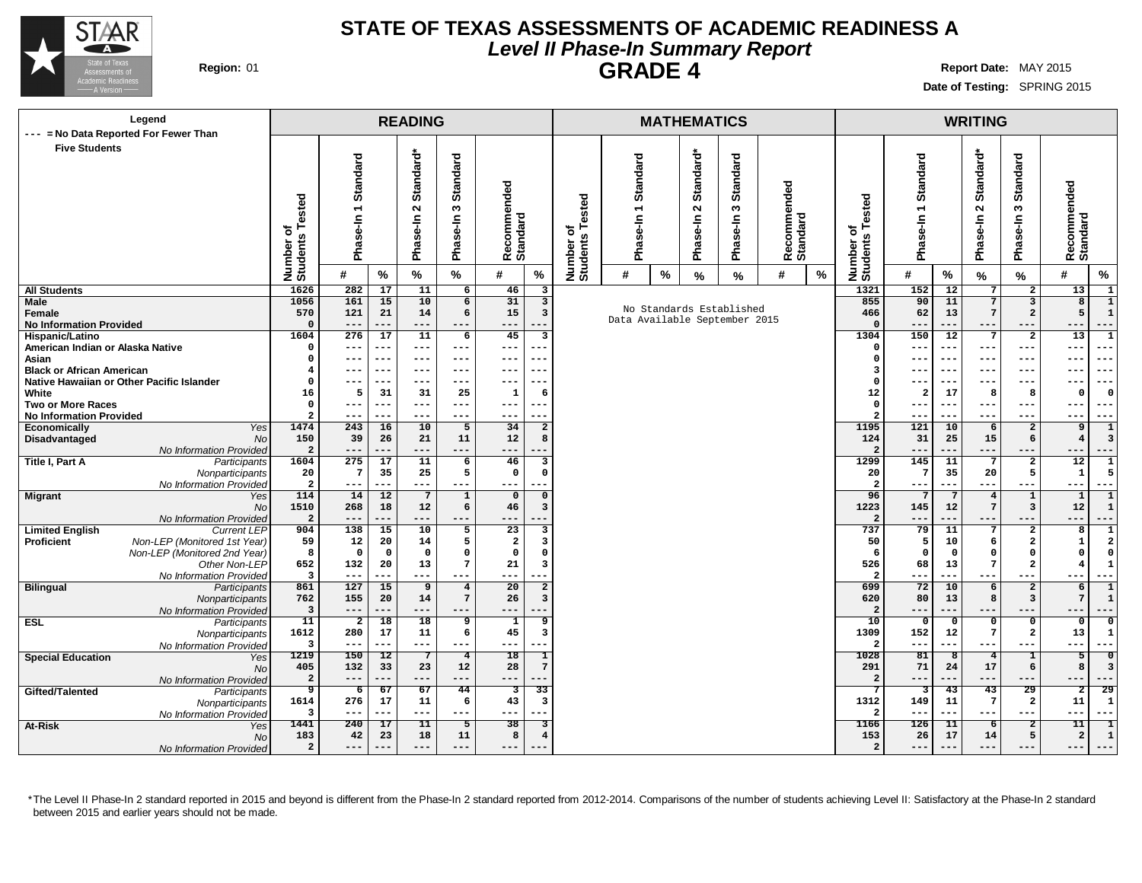

### **STATE OF TEXAS ASSESSMENTS OF ACADEMIC READINESS A Level II Phase-In Summary Report GRADE 4 Region:** 01 **Report** Date: MAY 2015

**Date of Testing:** SPRING 2015

| Legend                                                           |                                                   |                         |           | <b>READING</b>           |                       |                                                   |                       |                          |   | <b>MATHEMATICS</b> |                               |   |           |                              |                         |                          | <b>WRITING</b>         |                         |                                     |  |
|------------------------------------------------------------------|---------------------------------------------------|-------------------------|-----------|--------------------------|-----------------------|---------------------------------------------------|-----------------------|--------------------------|---|--------------------|-------------------------------|---|-----------|------------------------------|-------------------------|--------------------------|------------------------|-------------------------|-------------------------------------|--|
| --- = No Data Reported For Fewer Than                            |                                                   |                         |           |                          |                       |                                                   |                       |                          |   |                    |                               |   |           |                              |                         |                          |                        |                         |                                     |  |
| <b>Five Students</b>                                             |                                                   |                         |           |                          |                       |                                                   |                       |                          |   |                    |                               |   |           |                              |                         |                          |                        |                         |                                     |  |
|                                                                  | Standard*                                         |                         |           |                          |                       |                                                   |                       |                          |   |                    |                               |   |           |                              |                         |                          |                        |                         |                                     |  |
|                                                                  |                                                   |                         |           |                          |                       |                                                   |                       |                          |   |                    | Standard                      |   | Standard* | Standard                     |                         |                          |                        |                         |                                     |  |
|                                                                  |                                                   |                         |           |                          |                       | Standard*<br>Standard<br>Standard<br>Standard     |                       |                          |   |                    |                               |   |           |                              |                         |                          |                        |                         |                                     |  |
|                                                                  | Standard<br>Recommended<br>Standard<br>ecommended |                         |           |                          |                       |                                                   |                       |                          |   |                    |                               |   |           |                              | Recommended<br>Standard |                          |                        |                         |                                     |  |
|                                                                  |                                                   | 7                       |           | $\sim$                   | w                     |                                                   | Tested                | $\overline{\phantom{0}}$ |   | $\mathbf{\Omega}$  | w                             |   |           |                              |                         |                          | $\sim$                 | S                       |                                     |  |
|                                                                  |                                                   |                         |           |                          |                       |                                                   |                       |                          |   |                    |                               |   |           |                              |                         |                          |                        |                         |                                     |  |
|                                                                  |                                                   | Phase-In                |           | Phase-In                 | Phase-In              |                                                   | ৳                     | ise-In                   |   | Phase-In           | Phase-In                      |   |           |                              | Phase-In 1              |                          | Phase-In               | Phase-In                |                                     |  |
|                                                                  |                                                   |                         |           |                          |                       |                                                   |                       |                          |   |                    |                               |   |           |                              |                         |                          |                        |                         |                                     |  |
|                                                                  |                                                   |                         |           |                          |                       | Recomme<br>Standard                               |                       | Pha                      |   |                    |                               |   |           |                              |                         |                          |                        |                         |                                     |  |
|                                                                  | Number of<br>Students Tested                      | #                       |           | %                        | %                     | $\%$<br>#                                         | Number of<br>Students | #                        |   |                    |                               | # | $\%$      | Number of<br>Students Tested | #                       |                          |                        |                         | $\%$<br>#                           |  |
|                                                                  |                                                   |                         | $\%$      |                          |                       |                                                   |                       |                          | % | %                  | %                             |   |           |                              |                         | $\%$                     | $\%$                   | $\%$                    |                                     |  |
| <b>All Students</b>                                              | 1626                                              | 282                     | 17        | 11                       | 6                     | 46<br>3                                           |                       |                          |   |                    |                               |   |           | 1321                         | 152                     | 12                       | 7                      | $\overline{\mathbf{2}}$ | 13<br>1                             |  |
| Male                                                             | 1056                                              | 161                     | 15        | 10                       | 6                     | 31<br>$\overline{\mathbf{3}}$                     |                       |                          |   |                    | No Standards Established      |   |           | 855                          | 90                      | 11                       | 7                      | $\overline{\mathbf{3}}$ | 8<br>1                              |  |
| Female<br><b>No Information Provided</b>                         | 570<br>$\Omega$                                   | 121<br>$---$            | 21<br>--- | 14<br>$---$              | 6<br>---              | 15<br>3<br>---<br>---                             |                       |                          |   |                    | Data Available September 2015 |   |           | 466<br>$\Omega$              | 62<br>---               | 13<br>$---$              | $7\phantom{.0}$<br>--- | $\mathbf{2}$<br>$---$   | 5<br>1<br>$- - -$<br>$---$          |  |
| Hispanic/Latino                                                  | 1604                                              | 276                     | 17        | 11                       | 6                     | 45<br>3                                           |                       |                          |   |                    |                               |   |           | 1304                         | 150                     | $\overline{12}$          | 7                      | $\overline{\mathbf{2}}$ | 13<br>$\mathbf{1}$                  |  |
| American Indian or Alaska Native                                 | $\Omega$                                          | ---                     |           | ---                      | ---                   | ---                                               |                       |                          |   |                    |                               |   |           | $\Omega$                     |                         | ---                      | ---                    | $--$                    | $---$<br>---                        |  |
| Asian                                                            | C                                                 | $---$                   | ---       | $---$                    | ---                   | ---<br>$- -$                                      |                       |                          |   |                    |                               |   |           | $\Omega$                     | $--$                    | $---$                    | ---                    | ---                     | $---$<br>---                        |  |
| <b>Black or African American</b>                                 |                                                   | $--$                    | ---       | $---$                    | ---                   | ---                                               |                       |                          |   |                    |                               |   |           | $\overline{\mathbf{3}}$      | ---                     | $- - -$                  | ---                    | $- - -$                 | $- - -$<br>$- - -$                  |  |
| Native Hawaiian or Other Pacific Islander                        | $\Omega$                                          | ---                     |           | $--$                     | ---                   | ---                                               |                       |                          |   |                    |                               |   |           | $\Omega$                     |                         | $- -$                    | ---                    | $- - -$                 | $--$<br>---                         |  |
| White                                                            | 16                                                | 5                       | 31        | 31                       | 25                    | $\mathbf{1}$                                      |                       |                          |   |                    |                               |   |           | 12                           | 2                       | 17                       | 8                      | 8                       | $\Omega$<br>$\Omega$                |  |
| <b>Two or More Races</b>                                         | 0                                                 | $---$                   | ---       | $- - -$                  | ---                   | ---<br>$- - -$                                    | -6<br>$\mathsf{o}$    |                          |   |                    |                               |   | $--$      | $- - -$                      | ---                     | $--$                     | $--$<br>$- - -$        |                         |                                     |  |
| <b>No Information Provided</b>                                   | $\overline{a}$                                    | $---$                   | ---       | $--$                     | ---                   | ---                                               | $\overline{2}$        |                          |   |                    |                               |   |           |                              | ---                     | ---                      | $--$                   | $---$<br>$---$          |                                     |  |
| Yes<br><b>Economically</b>                                       | 1474                                              | 243                     | 16        | 10                       | 5                     | 34<br>$\overline{2}$                              |                       |                          |   |                    |                               |   |           | 1195                         | 121                     | 10                       | 6                      | $\overline{\mathbf{2}}$ | 9<br>$\mathbf{1}$                   |  |
| Disadvantaged<br><b>No</b>                                       | 150                                               | 39                      | 26        | 21                       | 11                    | 12<br>8                                           |                       |                          |   |                    |                               |   |           | 124                          | 31                      | 25                       | 15                     | 6                       | $\overline{4}$<br>3                 |  |
| No Information Provided                                          | $\overline{a}$                                    | $---$                   | ---       | $---$                    | ---                   | ---                                               |                       |                          |   |                    |                               |   |           | $\overline{2}$               | ---                     | ---                      | ---                    | $---$                   | $---$<br>---                        |  |
| <b>Title I, Part A</b><br>Participants                           | 1604                                              | 275                     | 17        | 11                       | 6                     | 46<br>$\overline{\mathbf{3}}$                     |                       |                          |   |                    |                               |   |           | 1299                         | 145                     | 11                       | 7                      | $\overline{2}$          | 12<br>$\mathbf{1}$                  |  |
| Nonparticipants                                                  | 20                                                | $\overline{7}$          | 35        | 25                       | 5                     | $\mathsf{o}\,$<br>$\Omega$                        |                       |                          |   |                    |                               |   |           | 20                           | $7\phantom{.0}$         | 35                       | 20                     | 5                       | $\mathbf{1}$<br>5                   |  |
| No Information Provided                                          | $\overline{\mathbf{2}}$                           | $---$                   | ---       | $---$                    | ---                   | ---                                               |                       |                          |   |                    |                               |   |           | $\overline{2}$               | $- - -$                 | $---$                    | $---$                  | $---$                   | $---$<br>$---$                      |  |
| <b>Migrant</b><br>Yes                                            | 114                                               | 14                      | 12        | $7\phantom{.0}$          | $\mathbf 1$           | $\Omega$<br>$\Omega$                              |                       |                          |   |                    |                               |   |           | 96                           |                         | $\overline{7}$           | $\overline{4}$         | $\mathbf 1$             | $\mathbf{1}$<br>$\mathbf{1}$        |  |
| <b>No</b>                                                        | 1510                                              | 268<br>$---$            | 18<br>--- | 12<br>$---$              | 6<br>---              | 46<br>3<br>---                                    |                       |                          |   |                    |                               |   |           | 1223<br>$\overline{2}$       | 145<br>$---$            | 12<br>---                | 7<br>---               | 3<br>$---$              | $12\,$<br>-1<br>$---$<br>---        |  |
| No Information Provided<br><b>Limited English</b><br>Current LEP | $\overline{a}$<br>904                             | 138                     | 15        | 10                       | 5                     | 23<br>3                                           |                       |                          |   |                    |                               |   |           | 737                          | 79                      | 11                       | 7                      | $\mathbf{2}$            | 8<br>1                              |  |
| <b>Proficient</b><br>Non-LEP (Monitored 1st Year)                | 59                                                | 12                      | 20        | 14                       | 5                     | $\mathbf{2}$<br>3                                 |                       |                          |   |                    |                               |   |           | 50                           | 5                       | 10                       | 6                      | $\mathbf 2$             | 1<br>2                              |  |
| Non-LEP (Monitored 2nd Year)                                     | 8                                                 | $\mathbf 0$             | $\Omega$  | $\mathbf{0}$             | $\Omega$              | 0<br>$\Omega$                                     |                       |                          |   |                    |                               |   |           | 6                            | $\Omega$                | $\Omega$                 | $\mathbf 0$            | $\Omega$                | $\Omega$<br>$\Omega$                |  |
| Other Non-LEP                                                    | 652                                               | 132                     | 20        | 13                       | 7                     | 21<br>$\overline{\mathbf{3}}$                     |                       |                          |   |                    |                               |   |           | 526                          | 68                      | 13                       | 7                      | $\overline{\mathbf{2}}$ | $\overline{\bf 4}$<br>$\mathbf{1}$  |  |
| No Information Provided                                          | $\overline{\mathbf{3}}$                           | $---$                   | ---       | $---$                    | ---                   | ---                                               |                       |                          |   |                    |                               |   |           | $\overline{2}$               | ---                     | ---                      | ---                    | ---                     | $--$                                |  |
| <b>Bilingual</b><br>Participants                                 | 861                                               | 127                     | 15        | 9                        | $\overline{4}$        | 20<br>$\overline{2}$                              |                       |                          |   |                    |                               |   |           | 699                          | 72                      | 10                       | 6                      | $\overline{2}$          | 6<br>$\mathbf{1}$                   |  |
| Nonparticipants                                                  | 762                                               | 155                     | 20        | 14                       | $7\phantom{.0}$       | 26<br>3                                           |                       |                          |   |                    |                               |   |           | 620                          | 80                      | 13                       | 8                      | 3                       | $7\phantom{.0}$<br>$\mathbf{1}$     |  |
| No Information Provided                                          | 3                                                 | $---$                   |           | ---                      | ---                   | ---                                               |                       |                          |   |                    |                               |   |           | $\overline{2}$               |                         |                          | ---                    |                         | $---$                               |  |
| <b>ESL</b><br>Participants                                       | 11                                                | $\overline{\mathbf{2}}$ | 18        | 18                       | 9                     | 9<br>1                                            |                       |                          |   |                    |                               |   |           | 10                           | $^{\circ}$              | $\mathbf{o}$             | $\mathbf 0$            | 0                       | $\mathbf 0$<br>$\Omega$             |  |
| Nonparticipants                                                  | 1612                                              | 280                     | 17        | 11                       | 6                     | 45<br>3                                           |                       |                          |   |                    |                               |   |           | 1309                         | 152                     | 12                       | 7                      | $\overline{\mathbf{2}}$ | 13<br>-1                            |  |
| No Information Provided                                          | 3                                                 | $---$                   | ---       | $\qquad \qquad - -$      | ---                   | ---                                               |                       |                          |   |                    |                               |   |           | $\overline{2}$               | ---                     | ---                      | ---                    | ---                     | $---$                               |  |
| <b>Special Education</b><br>Yes                                  | 1219                                              | 150                     | 12        |                          | $\overline{4}$        | 18<br>ı                                           |                       |                          |   |                    |                               |   |           | 1028                         | 81                      | $^{\circ}$               | $\overline{4}$         | T                       | $\Omega$<br>-5                      |  |
| <b>No</b>                                                        | 405                                               | 132                     | 33        | 23                       | 12                    | 28<br>7                                           |                       |                          |   |                    |                               |   |           | 291                          | 71                      | 24                       | 17                     | 6                       | 8<br>3                              |  |
| No Information Provided                                          | $\overline{a}$                                    | $---$                   | ---       | $---$                    | ---                   | ---                                               |                       |                          |   |                    |                               |   |           | $\overline{a}$               | $- -$                   | $---$                    | ---                    | $---$                   | $---$<br>---                        |  |
| Gifted/Talented<br>Participants                                  | 9                                                 | 6                       | 67        | 67                       | 44                    | $\overline{33}$<br>3                              |                       |                          |   |                    |                               |   |           |                              | 3                       | 43                       | 43                     | 29                      | 29<br>$\overline{2}$                |  |
| Nonparticipants                                                  | 1614                                              | 276                     | 17        | 11                       | 6                     | 43<br>3                                           |                       |                          |   |                    |                               |   |           | 1312<br>$\overline{2}$       | 149<br>$- - -$          | 11                       | $7\phantom{.0}$        | $\overline{\mathbf{2}}$ | 11<br>1                             |  |
| No Information Provided                                          | 3<br>1441                                         | $--$<br>240             | ---<br>17 | $---$<br>$\overline{11}$ | ---<br>$\overline{5}$ | ---<br>$\overline{38}$<br>$\overline{\mathbf{3}}$ |                       |                          |   |                    |                               |   |           | 1166                         | 126                     | $---$<br>$\overline{11}$ | ---                    | $---$<br>$\overline{2}$ | $---$<br>$--$<br>11<br>$\mathbf{1}$ |  |
| At-Risk<br>Yes                                                   | 183                                               | 42                      | 23        | 18                       | 11                    | 8<br>$\overline{4}$                               |                       |                          |   |                    |                               |   |           | 153                          | 26                      | 17                       | $\overline{6}$<br>14   | 5                       | $\overline{a}$<br>1                 |  |
| No                                                               | $\overline{a}$                                    | $---$                   | ---       | $---$                    | ---                   | $---$                                             |                       |                          |   |                    |                               |   |           | $\overline{a}$               | $--$                    | $--$                     | ---                    | $---$                   | ---<br>$---$                        |  |
| No Information Provided                                          |                                                   |                         |           |                          |                       |                                                   |                       |                          |   |                    |                               |   |           |                              |                         |                          |                        |                         |                                     |  |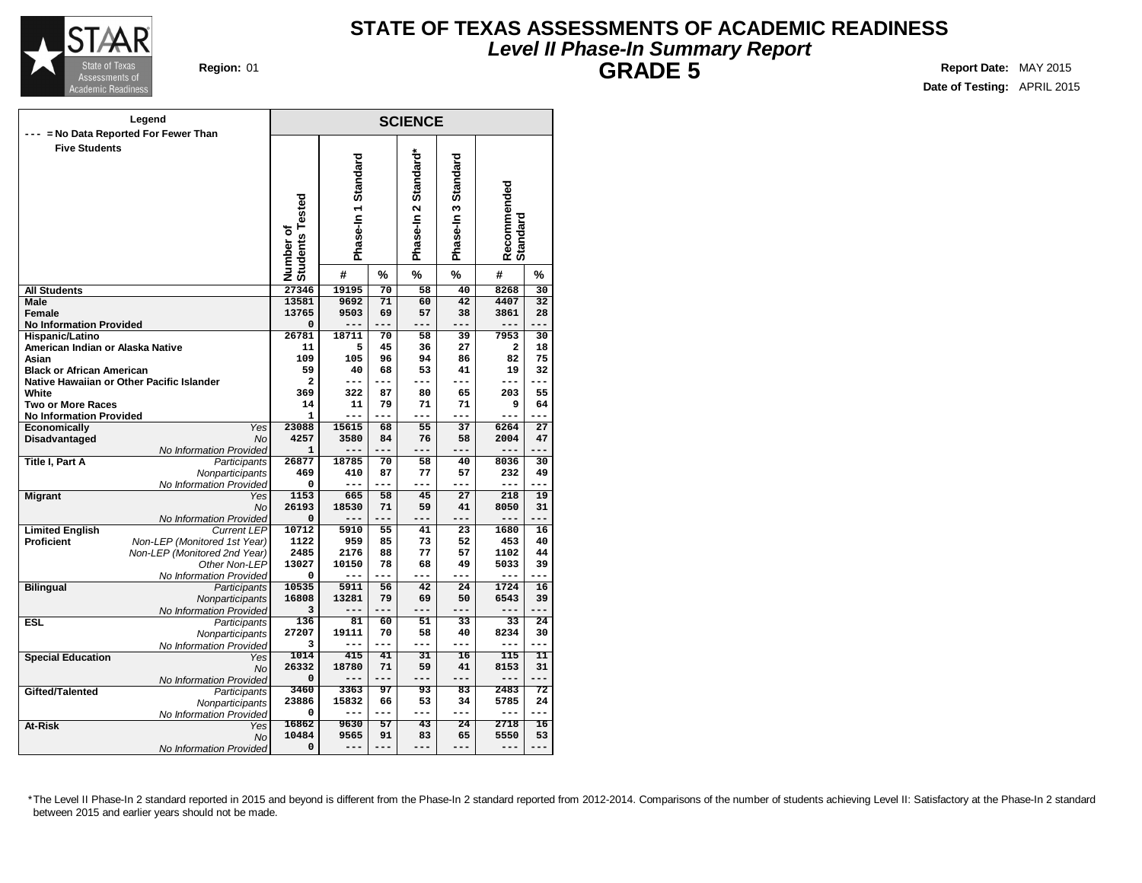

### **STATE OF TEXAS ASSESSMENTS OF ACADEMIC READINESS Level II Phase-In Summary Report GRADE 5 Region:** 01 **Report** Date: MAY 2015

**Date of Testing:** APRIL 2015

|                                             | Legend                                    |                              |                     |                 | <b>SCIENCE</b>       |                     |                         |                 |
|---------------------------------------------|-------------------------------------------|------------------------------|---------------------|-----------------|----------------------|---------------------|-------------------------|-----------------|
| --- = No Data Reported For Fewer Than       |                                           |                              |                     |                 |                      |                     |                         |                 |
| <b>Five Students</b>                        |                                           | Number of<br>Students Tested | Phase-In 1 Standard |                 | Phase-In 2 Standard* | Phase-In 3 Standard | Recommended<br>Standard |                 |
|                                             |                                           |                              | #                   | %               | %                    | %                   | #                       | %               |
| <b>All Students</b>                         |                                           | 27346                        | 19195               | $\overline{70}$ | 58                   | 40                  | 8268                    | $\overline{30}$ |
| <b>Male</b>                                 |                                           | 13581                        | 9692                | 71              | 60                   | 42                  | 4407                    | 32              |
| Female                                      |                                           | 13765                        | 9503                | 69              | 57                   | 38                  | 3861                    | 28              |
| <b>No Information Provided</b>              |                                           | 0                            |                     |                 |                      |                     |                         |                 |
| <b>Hispanic/Latino</b>                      |                                           | 26781                        | 18711               | 70              | 58                   | 39                  | 7953                    | 30              |
| American Indian or Alaska Native            |                                           | 11                           | 5                   | 45              | 36                   | 27                  | 2                       | 18              |
| Asian                                       |                                           | 109                          | 105                 | 96              | 94                   | 86                  | 82                      | 75              |
| <b>Black or African American</b>            |                                           | 59                           | 40                  | 68              | 53                   | 41                  | 19                      | 32              |
|                                             | Native Hawaiian or Other Pacific Islander | 2                            | ---                 | ---             | ---                  | ---                 | ---                     | ---             |
| White                                       |                                           | 369                          | 322                 | 87              | 80                   | 65                  | 203                     | 55              |
| <b>Two or More Races</b>                    |                                           | 14                           | 11                  | 79              | 71                   | 71                  | 9                       | 64              |
| <b>No Information Provided</b>              |                                           | 1                            | ---                 | $---$           | ---                  | ---                 | ---                     |                 |
| <b>Economically</b>                         | Yes                                       | 23088                        | 15615               | 68              | 55                   | 37                  | 6264                    | 27              |
| Disadvantaged                               | <b>No</b>                                 | 4257                         | 3580                | 84              | 76                   | 58                  | 2004                    | 47              |
|                                             | No Information Provided                   | 1                            |                     |                 |                      |                     | ---                     |                 |
| Title I, Part A                             | Participants                              | 26877                        | 18785               | 70              | 58                   | 40                  | 8036                    | 30              |
|                                             | Nonparticipants                           | 469                          | 410                 | 87              | 77                   | 57                  | 232                     | 49              |
|                                             | No Information Provided                   | 0                            | ---                 | $- - -$         | ---                  | $---$               | ---                     |                 |
| <b>Migrant</b>                              | Yes                                       | 1153                         | 665                 | 58              | 45                   | 27                  | 218                     | 19              |
|                                             | <b>No</b>                                 | 26193                        | 18530               | 71              | 59                   | 41                  | 8050                    | 31              |
|                                             | No Information Provided                   | 0                            |                     | ---             |                      | ---                 | ---                     |                 |
| <b>Limited English</b><br><b>Proficient</b> | <b>Current LEP</b>                        | 10712<br>1122                | 5910<br>959         | 55<br>85        | 41<br>73             | 23<br>52            | 1680<br>453             | 16<br>40        |
|                                             | Non-LEP (Monitored 1st Year)              | 2485                         |                     |                 | 77                   |                     |                         |                 |
|                                             | Non-LEP (Monitored 2nd Year)              | 13027                        | 2176<br>10150       | 88<br>78        | 68                   | 57<br>49            | 1102<br>5033            | 44<br>39        |
|                                             | Other Non-LEP<br>No Information Provided  | 0                            | ---                 | ---             | $---$                | ---                 | $---$                   | ---             |
|                                             |                                           | 10535                        | 5911                | 56              | 42                   | 24                  | 1724                    | 16              |
| <b>Bilingual</b>                            | Participants<br>Nonparticipants           | 16808                        | 13281               | 79              | 69                   | 50                  | 6543                    | 39              |
|                                             | No Information Provided                   | 3                            | ---                 | $- - -$         | $---$                | ---                 | ---                     | $---$           |
| <b>ESL</b>                                  | Participants                              | 136                          | 81                  | 60              | 51                   | 33                  | 33                      | 24              |
|                                             | Nonparticipants                           | 27207                        | 19111               | 70              | 58                   | 40                  | 8234                    | 30              |
|                                             | No Information Provided                   | 3                            | ---                 | ---             | $---$                | ---                 | ---                     | ---             |
| <b>Special Education</b>                    | Yes                                       | 1014                         | 415                 | 41              | 31                   | $\overline{16}$     | 115                     | 11              |
|                                             | No                                        | 26332                        | 18780               | 71              | 59                   | 41                  | 8153                    | 31              |
|                                             | No Information Provided                   | 0                            | ---                 | $- - -$         | $---$                | ---                 | ---                     | $---$           |
| Gifted/Talented                             | Participants                              | 3460                         | 3363                | 97              | 93                   | 83                  | 2483                    | 72              |
|                                             |                                           | 23886                        | 15832               | 66              | 53                   | 34                  | 5785                    | 24              |
|                                             | Nonparticipants                           | 0                            | ---                 | $- - -$         | $---$                | $---$               | $---$                   | ---             |
| At-Risk                                     | No Information Provided                   | 16862                        | 9630                | $\overline{57}$ | $\overline{43}$      | 24                  | 2718                    | 16              |
|                                             | Yes<br>No                                 | 10484                        | 9565                | 91              | 83                   | 65                  | 5550                    | 53              |
|                                             | No Information Provided                   | 0                            | ---                 | $---$           | $---$                | ---                 | ---                     | ---             |
|                                             |                                           |                              |                     |                 |                      |                     |                         |                 |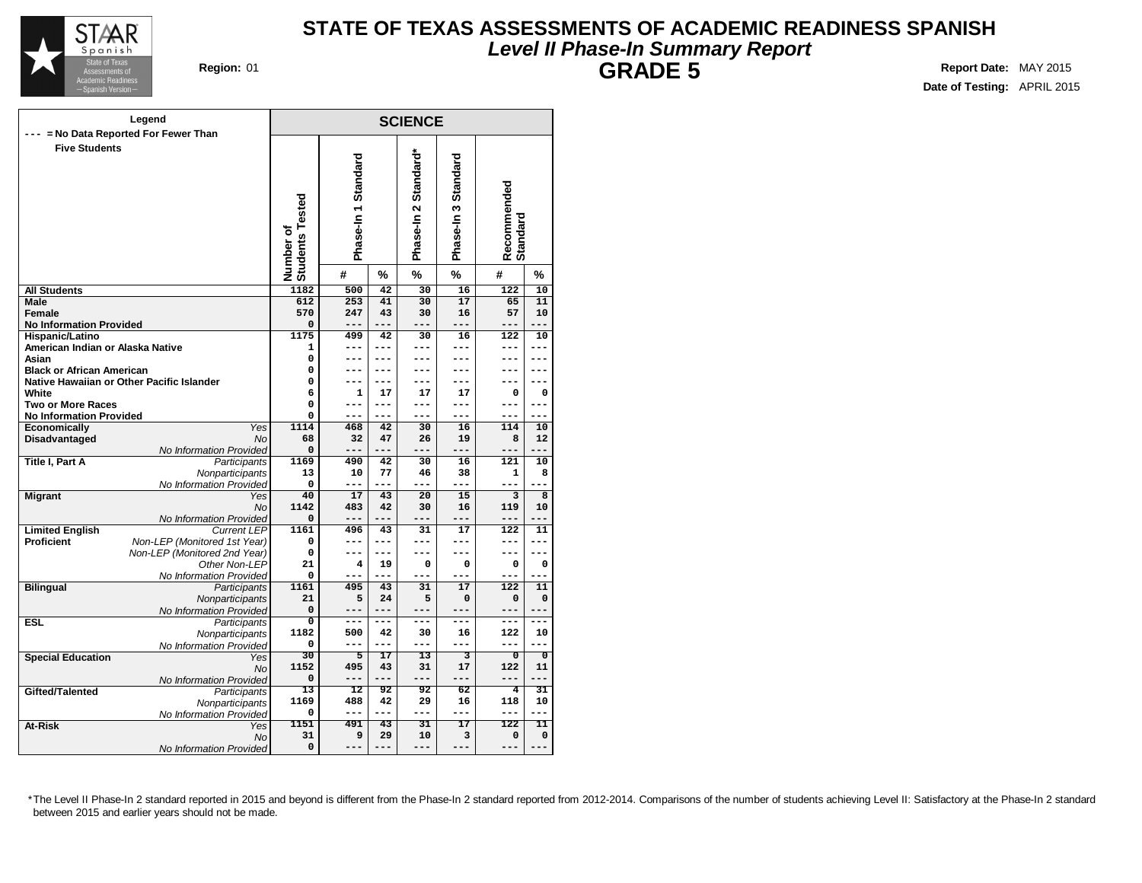

## **STATE OF TEXAS ASSESSMENTS OF ACADEMIC READINESS SPANISH Level II Phase-In Summary Report GRADE 5 Region:** 01 **Report** Date: MAY 2015

**Date of Testing:** APRIL 2015

|                                                    | Legend                                     |                                     |                     |                 | <b>SCIENCE</b>                                |                           |                |                                                                                                                                                                                                                                                                                  |  |  |  |  |  |  |  |  |  |  |  |
|----------------------------------------------------|--------------------------------------------|-------------------------------------|---------------------|-----------------|-----------------------------------------------|---------------------------|----------------|----------------------------------------------------------------------------------------------------------------------------------------------------------------------------------------------------------------------------------------------------------------------------------|--|--|--|--|--|--|--|--|--|--|--|
|                                                    | = No Data Reported For Fewer Than          |                                     |                     |                 |                                               |                           |                |                                                                                                                                                                                                                                                                                  |  |  |  |  |  |  |  |  |  |  |  |
| <b>Five Students</b>                               |                                            | <b>Students Tested</b><br>Number of | Phase-In 1 Standard |                 | Standard*<br>$\mathbf{\tilde{c}}$<br>Phase-In | Standard<br>S<br>Phase-In |                |                                                                                                                                                                                                                                                                                  |  |  |  |  |  |  |  |  |  |  |  |
|                                                    |                                            |                                     | #                   | %               | %                                             | $\%$                      | #              | $\%$                                                                                                                                                                                                                                                                             |  |  |  |  |  |  |  |  |  |  |  |
| <b>All Students</b>                                |                                            | 1182                                | 500                 | 42              | 30                                            | 16                        | 122            | 10                                                                                                                                                                                                                                                                               |  |  |  |  |  |  |  |  |  |  |  |
| Male                                               |                                            | 612                                 | 253                 | 41              | 30                                            | 17                        | 65             | 11                                                                                                                                                                                                                                                                               |  |  |  |  |  |  |  |  |  |  |  |
| Female                                             |                                            | 570                                 | 247                 | 43              | 30                                            | 16                        | 57             | 10                                                                                                                                                                                                                                                                               |  |  |  |  |  |  |  |  |  |  |  |
| <b>No Information Provided</b>                     |                                            | 0                                   | ---                 |                 | ---                                           | ---                       | ---            |                                                                                                                                                                                                                                                                                  |  |  |  |  |  |  |  |  |  |  |  |
| Hispanic/Latino                                    |                                            | 1175                                | 499                 | 42              | 30                                            | 16                        | 122            | 10                                                                                                                                                                                                                                                                               |  |  |  |  |  |  |  |  |  |  |  |
| American Indian or Alaska Native                   |                                            | 1                                   | ---                 | ---             | ---                                           | ---                       |                | ---                                                                                                                                                                                                                                                                              |  |  |  |  |  |  |  |  |  |  |  |
| Asian                                              |                                            | 0                                   | ---                 | ---             |                                               | ---                       |                |                                                                                                                                                                                                                                                                                  |  |  |  |  |  |  |  |  |  |  |  |
| <b>Black or African American</b>                   |                                            | 0                                   | ---                 | ---<br>---      |                                               | ---                       |                |                                                                                                                                                                                                                                                                                  |  |  |  |  |  |  |  |  |  |  |  |
| Native Hawaiian or Other Pacific Islander<br>White |                                            | 0<br>6                              | ---<br>1            | 17              | ---<br>17                                     | ---<br>17                 |                |                                                                                                                                                                                                                                                                                  |  |  |  |  |  |  |  |  |  |  |  |
| <b>Two or More Races</b>                           |                                            | 0                                   | ---                 | ---             | ---                                           | ---                       |                | ---<br>0<br>---<br>---<br>10<br>12<br>---<br>10<br>8<br>8<br>10<br>11<br>---<br>---<br>0                                                                                                                                                                                         |  |  |  |  |  |  |  |  |  |  |  |
| <b>No Information Provided</b>                     |                                            | 0                                   | ---                 | ---             | ---                                           | ---                       |                | Recommended<br>Standard<br>---<br>---<br>---<br>---<br>$\mathbf 0$<br>---<br>$---$<br>114<br>8<br>---<br>121<br>1<br>---<br>3<br>119<br>---<br>122<br>---<br>---<br>$\mathbf 0$<br>---<br>122<br>11<br>0<br>$\mathbf 0$<br>---<br>---<br>---<br>---<br>122<br>10<br>$---$<br>--- |  |  |  |  |  |  |  |  |  |  |  |
| Economically                                       | Yes                                        | 1114                                | 468                 | 42              | 30                                            | 16                        |                |                                                                                                                                                                                                                                                                                  |  |  |  |  |  |  |  |  |  |  |  |
| Disadvantaged                                      | <b>No</b>                                  | 68                                  | 32                  | 47              | 26                                            | 19                        |                |                                                                                                                                                                                                                                                                                  |  |  |  |  |  |  |  |  |  |  |  |
|                                                    | No Information Provided                    | 0                                   | ---                 | ---             | ---                                           | ---                       |                |                                                                                                                                                                                                                                                                                  |  |  |  |  |  |  |  |  |  |  |  |
| Title I, Part A                                    | Participants                               | 1169                                | 490                 | 42              | 30                                            | 16                        |                |                                                                                                                                                                                                                                                                                  |  |  |  |  |  |  |  |  |  |  |  |
|                                                    | Nonparticipants                            | 13                                  | 10                  | 77              | 46                                            | 38                        |                |                                                                                                                                                                                                                                                                                  |  |  |  |  |  |  |  |  |  |  |  |
|                                                    | No Information Provided                    | 0                                   | ---                 | ---             | ---                                           | ---                       |                |                                                                                                                                                                                                                                                                                  |  |  |  |  |  |  |  |  |  |  |  |
| <b>Migrant</b>                                     | Yes                                        | 40                                  | 17                  | 43              | 20                                            | 15                        |                |                                                                                                                                                                                                                                                                                  |  |  |  |  |  |  |  |  |  |  |  |
|                                                    | <b>No</b>                                  | 1142                                | 483                 | 42              | 30                                            | 16                        |                |                                                                                                                                                                                                                                                                                  |  |  |  |  |  |  |  |  |  |  |  |
|                                                    | No Information Provided                    | 0                                   | ---                 |                 |                                               | ---                       |                |                                                                                                                                                                                                                                                                                  |  |  |  |  |  |  |  |  |  |  |  |
| <b>Limited English</b>                             | <b>Current LEP</b>                         | 1161                                | 496                 | 43              | 31                                            | 17                        |                |                                                                                                                                                                                                                                                                                  |  |  |  |  |  |  |  |  |  |  |  |
| <b>Proficient</b>                                  | Non-LEP (Monitored 1st Year)               | 0                                   | ---                 | ---             | ---                                           | ---                       |                |                                                                                                                                                                                                                                                                                  |  |  |  |  |  |  |  |  |  |  |  |
|                                                    | Non-LEP (Monitored 2nd Year)               | 0                                   | ---                 | ---             | ---                                           | ---                       |                |                                                                                                                                                                                                                                                                                  |  |  |  |  |  |  |  |  |  |  |  |
|                                                    | Other Non-LEP                              | 21                                  | 4                   | 19              | 0                                             | 0                         |                |                                                                                                                                                                                                                                                                                  |  |  |  |  |  |  |  |  |  |  |  |
|                                                    | No Information Provided                    | 0                                   | ---                 |                 | ---                                           |                           |                |                                                                                                                                                                                                                                                                                  |  |  |  |  |  |  |  |  |  |  |  |
| <b>Bilingual</b>                                   | Participants                               | 1161<br>21                          | 495<br>5            | 43<br>24        | 31<br>5                                       | 17<br>$\mathbf 0$         |                |                                                                                                                                                                                                                                                                                  |  |  |  |  |  |  |  |  |  |  |  |
|                                                    | Nonparticipants<br>No Information Provided | $\Omega$                            | ---                 | ---             | ---                                           | ---                       |                |                                                                                                                                                                                                                                                                                  |  |  |  |  |  |  |  |  |  |  |  |
| <b>ESL</b>                                         | Participants                               | $\overline{\mathbf{0}}$             | ---                 | ---             | ---                                           | ---                       |                |                                                                                                                                                                                                                                                                                  |  |  |  |  |  |  |  |  |  |  |  |
|                                                    | Nonparticipants                            | 1182                                | 500                 | 42              | 30                                            | 16                        |                |                                                                                                                                                                                                                                                                                  |  |  |  |  |  |  |  |  |  |  |  |
|                                                    | No Information Provided                    | 0                                   | $---$               | ---             | ---                                           | ---                       |                |                                                                                                                                                                                                                                                                                  |  |  |  |  |  |  |  |  |  |  |  |
| <b>Special Education</b>                           | Yes                                        | 30                                  | 5                   | 17              | 13                                            | 3                         | $\overline{0}$ | $\overline{0}$                                                                                                                                                                                                                                                                   |  |  |  |  |  |  |  |  |  |  |  |
|                                                    | No                                         | 1152                                | 495                 | 43              | 31                                            | 17                        | 122            | 11                                                                                                                                                                                                                                                                               |  |  |  |  |  |  |  |  |  |  |  |
|                                                    | No Information Provided                    | $\mathbf 0$                         | ---                 | ---             | ---                                           | ---                       | ---            | ---                                                                                                                                                                                                                                                                              |  |  |  |  |  |  |  |  |  |  |  |
| Gifted/Talented                                    | Participants                               | 13                                  | 12                  | 92              | 92                                            | 62                        | 4              | 31                                                                                                                                                                                                                                                                               |  |  |  |  |  |  |  |  |  |  |  |
|                                                    | Nonparticipants                            | 1169                                | 488                 | 42              | 29                                            | 16                        | 118            | 10                                                                                                                                                                                                                                                                               |  |  |  |  |  |  |  |  |  |  |  |
|                                                    | No Information Provided                    | 0                                   | ---                 | $- - -$         | $- - -$                                       | ---                       | $---$          | ---                                                                                                                                                                                                                                                                              |  |  |  |  |  |  |  |  |  |  |  |
| At-Risk                                            | Yes                                        | 1151                                | 491                 | $\overline{43}$ | 31                                            | $\overline{17}$           | 122            | 11                                                                                                                                                                                                                                                                               |  |  |  |  |  |  |  |  |  |  |  |
|                                                    | <b>No</b>                                  | 31                                  | 9                   | 29              | 10                                            | 3                         | $\Omega$       | $\mathbf 0$                                                                                                                                                                                                                                                                      |  |  |  |  |  |  |  |  |  |  |  |
|                                                    | No Information Provided                    | 0                                   | ---                 | ---             | $-- -$                                        | $---$                     | ---            |                                                                                                                                                                                                                                                                                  |  |  |  |  |  |  |  |  |  |  |  |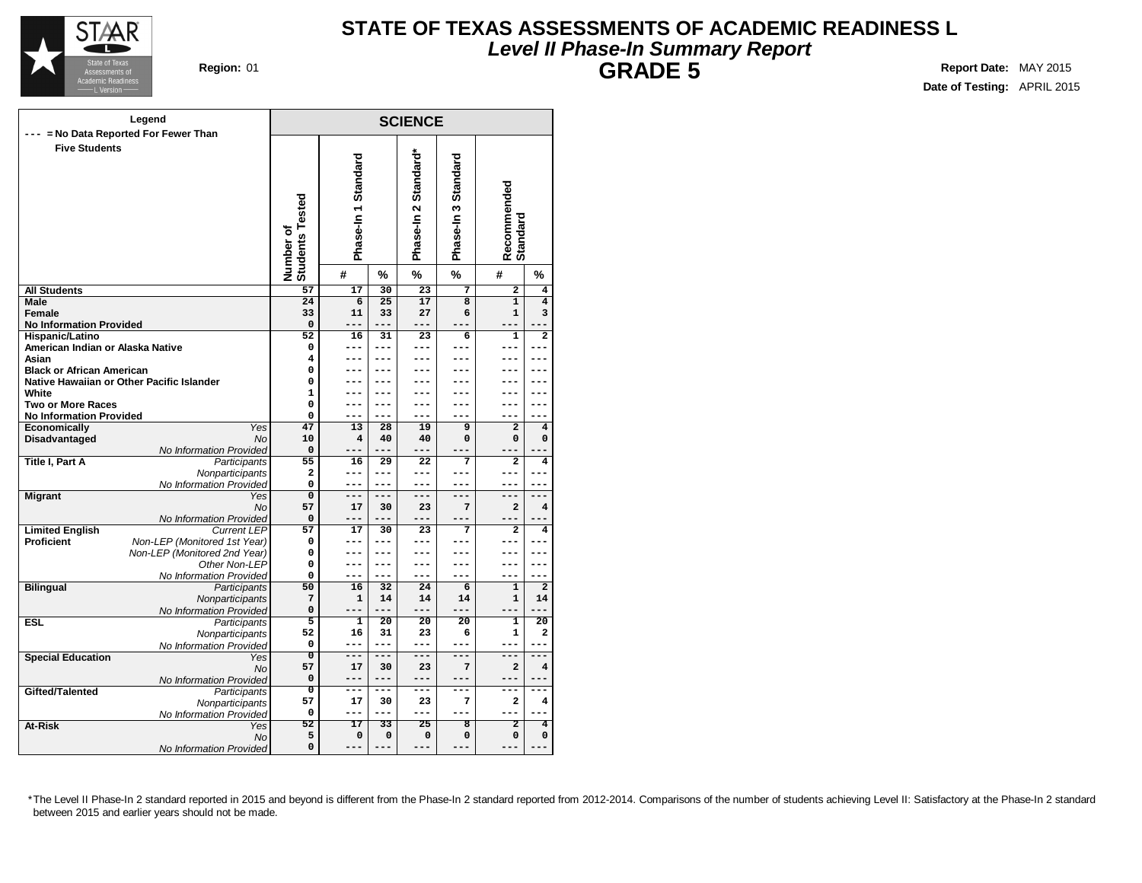

### **STATE OF TEXAS ASSESSMENTS OF ACADEMIC READINESS L Level II Phase-In Summary Report GRADE 5 Region:** 01 **Report Date:** MAY 2015

**SCIENCE Phase-In 1 Standard Phase-In 2 Standard\* Phase-In Recom mended Standard Number of Students Tested # % % % # % Legend --- = No Data Reported For Fewer Than Five Students All Students Male Female No Information Provided Hispanic/Latino American Indian or Alaska Native Asian Black or African American Native Hawaiian or Other Pacific Islander White Two or More Races No Information Provided Economically** Yes **Disadvantaged** No No Information Provided **Title I, Part A** Participants **Nonparticipants** No Information Provided **Migrant** Yes No No Information Provided **Limited English Proficient** Non-LEP (Monitored 1st Year) Non-LEP (Monitored 2nd Year) Other Non-LEP No Information Provided **Bilingual** Participants **Nonparticipants** No Information Provided **ESL** Participants **Nonparticipants** No Information Provided **Special Education** Yes No No Information Provided<br>Participants **Gifted/Talented Nonparticipants** No Information Provided **At-Risk** No No Information Provided **57 17 30 23 7 2 4 24 6 25 17 8 1 4 33 11 33 27 6 1 3 0 --- --- --- --- --- --- 52 16 31 23 6 1 2 0 --- --- --- --- --- --- 4 --- --- --- --- --- --- 0 --- --- --- --- --- --- 0 --- --- --- --- --- --- 1 --- --- --- --- --- --- 0 --- --- --- --- --- --- 0 --- --- --- --- --- --- 47 13 28 19 9 2 4 10 4 40 40 0 0 0 0 --- --- --- --- --- --- 55 16 29 22 7 2 4 2 --- --- --- --- --- --- 0 --- --- --- --- --- --- 0 --- --- --- --- --- --- 57 17 30 23 7 2 4 0 --- --- --- --- --- --- 57 17 30 23 7 2 4 0 --- --- --- --- --- --- 0 --- --- --- --- --- --- 0 --- --- --- --- --- --- 0 --- --- --- --- --- --- 50 16 32 24 6 1 2 7 1 14 14 14 1 14 0 --- --- --- --- --- --- 5 1 20 20 20 1 20 52 16 31 23 6 1 2 0 --- --- --- --- --- --- 0 --- --- --- --- --- --- 57 17 30 23 7 2 4 0 --- --- --- --- --- --- 0 --- --- --- --- --- --- 57 17 30 23 7 2 4 0 --- --- --- --- --- --- 52 17 33 25 8 2 4 5 0 0 0 0 0 0 0 --- --- --- --- --- ---**

**Date of Testing:** APRIL 2015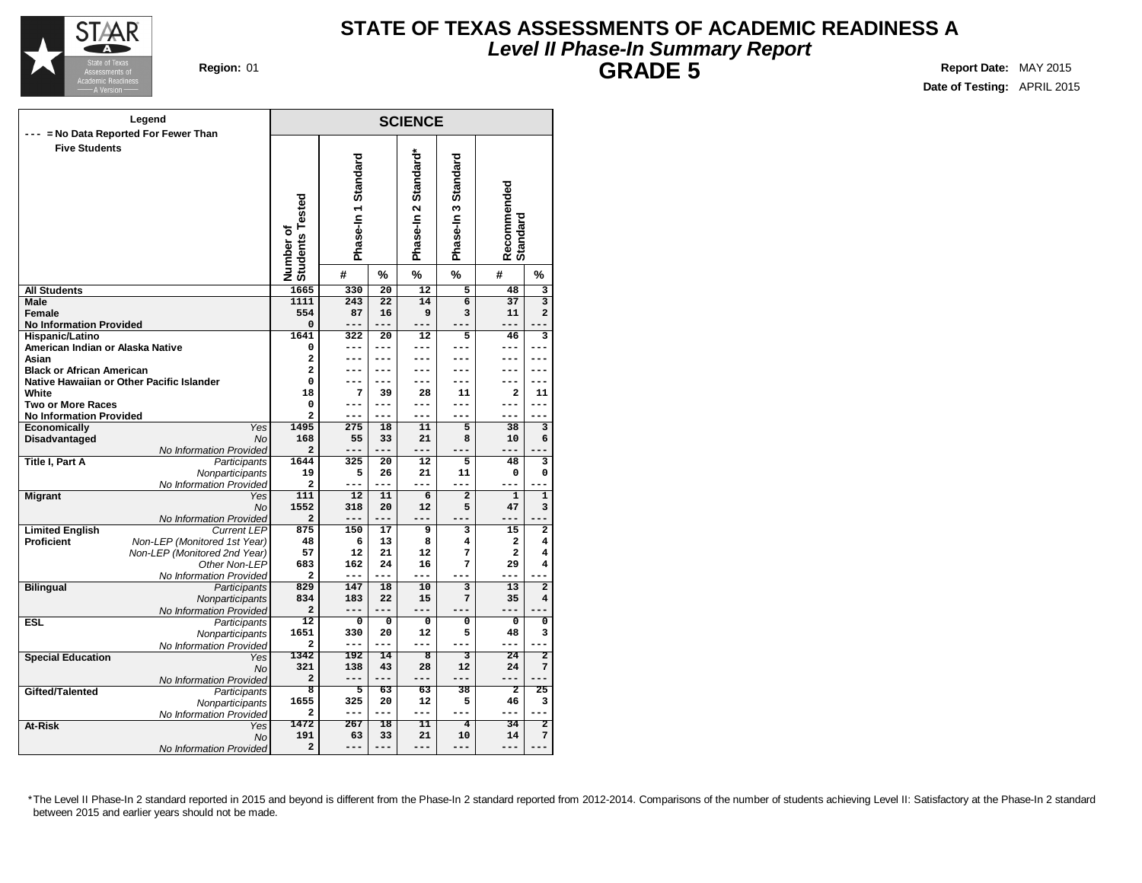

## **STATE OF TEXAS ASSESSMENTS OF ACADEMIC READINESS A Level II Phase-In Summary Report GRADE 5 Region:** 01 **Report** Date: MAY 2015

**Date of Testing:** APRIL 2015

|                                           | Legend                            |                                     |                         |                 | <b>SCIENCE</b>       |                         |                               |                                                                                                                                                                                                  |  |  |  |
|-------------------------------------------|-----------------------------------|-------------------------------------|-------------------------|-----------------|----------------------|-------------------------|-------------------------------|--------------------------------------------------------------------------------------------------------------------------------------------------------------------------------------------------|--|--|--|
|                                           | = No Data Reported For Fewer Than |                                     |                         |                 |                      |                         |                               |                                                                                                                                                                                                  |  |  |  |
| <b>Five Students</b>                      |                                   | <b>Students Tested</b><br>Number of | Phase-In 1 Standard     |                 | Phase-In 2 Standard* | Phase-In 3 Standard     | Recommended<br>Standard       |                                                                                                                                                                                                  |  |  |  |
|                                           |                                   |                                     | #                       | %               | %                    | $\%$                    | #                             |                                                                                                                                                                                                  |  |  |  |
| <b>All Students</b>                       |                                   | 1665                                | 330                     | 20              | $\overline{12}$      | 5                       | 48                            | 3                                                                                                                                                                                                |  |  |  |
| Male                                      |                                   | 1111                                | 243                     | 22              | 14                   | $\overline{6}$          | 37                            | $\overline{\mathbf{3}}$                                                                                                                                                                          |  |  |  |
| <b>Female</b>                             |                                   | 554                                 | 87                      | 16              | 9                    | 3                       | 11                            | $\overline{a}$                                                                                                                                                                                   |  |  |  |
| <b>No Information Provided</b>            |                                   | $\mathbf 0$                         | $- - -$                 | $- - -$         | ---                  |                         | $- - -$                       |                                                                                                                                                                                                  |  |  |  |
| <b>Hispanic/Latino</b>                    |                                   | 1641                                | 322                     | 20              | 12                   | 5                       | 46                            | 3                                                                                                                                                                                                |  |  |  |
| American Indian or Alaska Native          |                                   | 0                                   | ---                     | ---             |                      | ---                     | ---                           |                                                                                                                                                                                                  |  |  |  |
| Asian                                     |                                   | 2                                   | ---                     | ---             |                      |                         | ---                           |                                                                                                                                                                                                  |  |  |  |
| <b>Black or African American</b>          |                                   | $\overline{a}$                      | $ -$                    | ---             |                      |                         | ---                           |                                                                                                                                                                                                  |  |  |  |
| Native Hawaiian or Other Pacific Islander |                                   | 0                                   | ---                     | ---             | ---                  | ---                     | ---                           |                                                                                                                                                                                                  |  |  |  |
| White                                     |                                   | 18                                  | 7                       | 39              | 28                   | 11                      | $\mathbf{2}$                  |                                                                                                                                                                                                  |  |  |  |
| <b>Two or More Races</b>                  |                                   | 0                                   | ---                     | ---             |                      | ---                     | ---                           |                                                                                                                                                                                                  |  |  |  |
| <b>No Information Provided</b>            | Yes                               | 2<br>1495                           | ---<br>275              | 18              | ---                  | ---<br>5                | ---<br>38                     |                                                                                                                                                                                                  |  |  |  |
| <b>Economically</b><br>Disadvantaged      | <b>No</b>                         | 168                                 | 55                      | 33              | 11<br>21             | 8                       | 10                            |                                                                                                                                                                                                  |  |  |  |
|                                           | No Information Provided           | 2                                   | ---                     | ---             | ---                  | ---                     | ---                           |                                                                                                                                                                                                  |  |  |  |
| <b>Title I, Part A</b>                    | Participants                      | 1644                                | 325                     | 20              | 12                   | 5                       | 48                            |                                                                                                                                                                                                  |  |  |  |
|                                           | Nonparticipants                   | 19                                  | 5                       | 26              | 21                   | 11                      | 0                             |                                                                                                                                                                                                  |  |  |  |
|                                           | No Information Provided           | 2                                   | ---                     | ---             | ---                  | $---$                   |                               | %<br>11<br>3<br>6<br>3<br>0<br>$\mathbf{1}$<br>3<br>--<br>$\overline{\mathbf{c}}$<br>4<br>4<br>4<br>$\overline{2}$<br>4<br>0<br>3<br>۵.<br>2<br>7<br>25<br>3<br>--<br>$\overline{2}$<br>7<br>--- |  |  |  |
| <b>Migrant</b>                            | Yes                               | 111                                 | 12                      | 11              | 6                    | $\overline{a}$          | $\mathbf{1}$                  |                                                                                                                                                                                                  |  |  |  |
|                                           | <b>No</b>                         | 1552                                | 318                     | 20              | 12                   | 5                       | 47                            |                                                                                                                                                                                                  |  |  |  |
|                                           | No Information Provided           | $\overline{\mathbf{2}}$             | ---                     | ---             | ---                  | ---                     | ---                           |                                                                                                                                                                                                  |  |  |  |
| <b>Limited English</b>                    | <b>Current LEP</b>                | 875                                 | 150                     | 17              | 9                    | 3                       | 15                            |                                                                                                                                                                                                  |  |  |  |
| <b>Proficient</b>                         | Non-LEP (Monitored 1st Year)      | 48                                  | 6                       | 13              | 8                    | 4                       | 2                             |                                                                                                                                                                                                  |  |  |  |
|                                           | Non-LEP (Monitored 2nd Year)      | 57                                  | 12                      | 21              | 12                   | 7                       | $\overline{\mathbf{2}}$       |                                                                                                                                                                                                  |  |  |  |
|                                           | Other Non-LEP                     | 683                                 | 162                     | 24              | 16                   | 7                       | 29                            |                                                                                                                                                                                                  |  |  |  |
|                                           | No Information Provided           | $\mathbf{2}$                        | $---$                   | ---             | ---                  | ---                     | ---                           |                                                                                                                                                                                                  |  |  |  |
| <b>Bilingual</b>                          | Participants                      | 829                                 | 147                     | 18              | 10                   | $\overline{\mathbf{3}}$ | 13                            |                                                                                                                                                                                                  |  |  |  |
|                                           | Nonparticipants                   | 834                                 | 183                     | 22              | 15                   | 7                       | 35                            |                                                                                                                                                                                                  |  |  |  |
|                                           | No Information Provided           | $\overline{a}$                      | ---                     | ---             | ---                  | $---$                   | ---                           |                                                                                                                                                                                                  |  |  |  |
| <b>ESL</b>                                | Participants                      | 12                                  | $\overline{\mathbf{0}}$ | 0               | $\mathbf 0$          | 0                       | $\overline{\mathbf{0}}$       |                                                                                                                                                                                                  |  |  |  |
|                                           | Nonparticipants                   | 1651                                | 330                     | 20              | 12                   | 5                       | 48                            |                                                                                                                                                                                                  |  |  |  |
|                                           | No Information Provided           | $\overline{\mathbf{c}}$             | ---                     | ---             | ---                  | ---                     | ---                           |                                                                                                                                                                                                  |  |  |  |
| <b>Special Education</b>                  | Yes                               | 1342                                | 192                     | 14              | 8                    | 3                       | 24                            |                                                                                                                                                                                                  |  |  |  |
|                                           | No                                | 321                                 | 138                     | 43<br>---       | 28                   | 12<br>$---$             | 24<br>---                     |                                                                                                                                                                                                  |  |  |  |
|                                           | No Information Provided           | $\overline{\mathbf{2}}$             | ---                     |                 | ---                  |                         |                               |                                                                                                                                                                                                  |  |  |  |
| Gifted/Talented                           | Participants                      | 8<br>1655                           | 5<br>325                | 63<br>20        | 63<br>12             | 38<br>5                 | $\overline{\mathbf{2}}$<br>46 |                                                                                                                                                                                                  |  |  |  |
|                                           | Nonparticipants                   | $\overline{\mathbf{2}}$             | ---                     | ---             | ---                  | ---                     | ---                           |                                                                                                                                                                                                  |  |  |  |
| At-Risk                                   | No Information Provided           | 1472                                | 267                     | $\overline{18}$ | 11                   | 4                       | 34                            |                                                                                                                                                                                                  |  |  |  |
|                                           | Yes<br>No                         | 191                                 | 63                      | 33              | 21                   | 10                      | 14                            |                                                                                                                                                                                                  |  |  |  |
|                                           | No Information Provided           | $\overline{\mathbf{2}}$             | ---                     | ---             | ---                  | ---                     | ---                           |                                                                                                                                                                                                  |  |  |  |
|                                           |                                   |                                     |                         |                 |                      |                         |                               |                                                                                                                                                                                                  |  |  |  |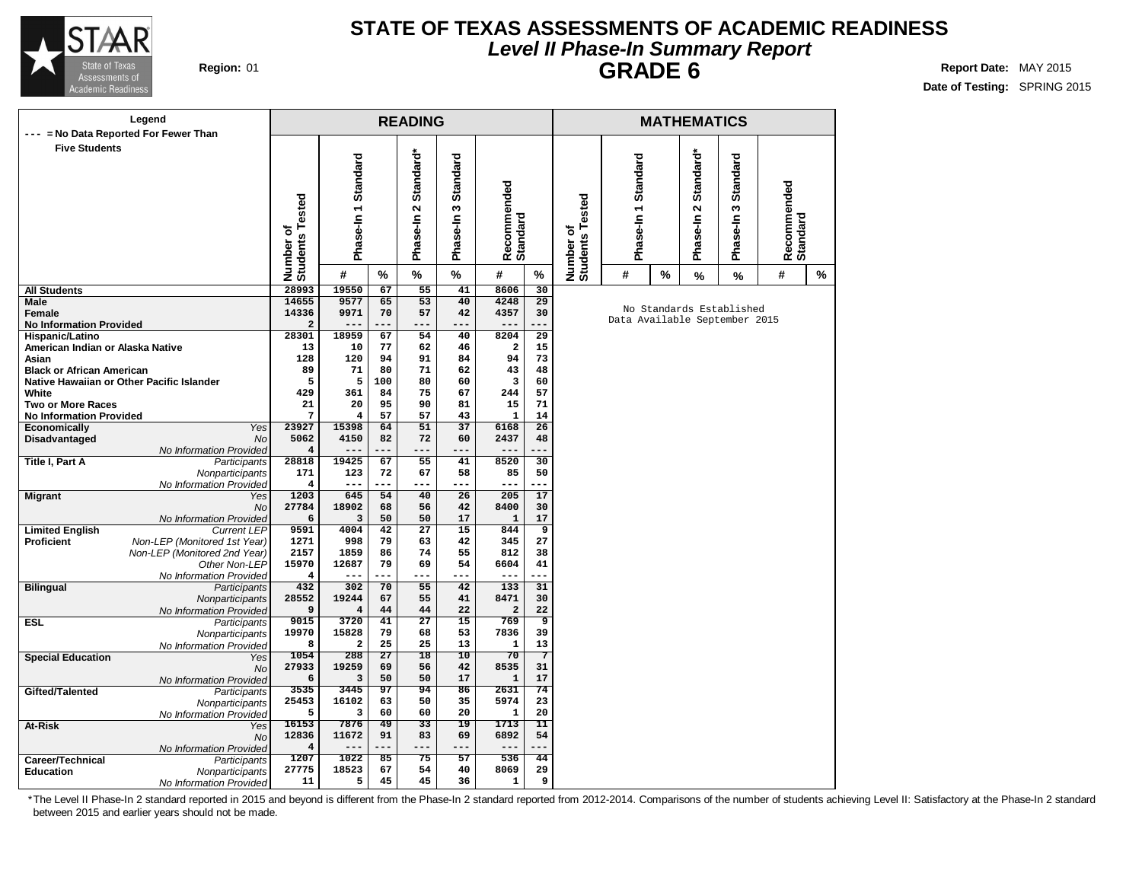

### **STATE OF TEXAS ASSESSMENTS OF ACADEMIC READINESS Level II Phase-In Summary Report GRADE 6 Region:** 01 **Report** Date: MAY 2015

**Date of Testing:** SPRING 2015

|                                             | Legend                                                       |                              |                         |                 | <b>READING</b>                             |                                  |                         |                      |                              |                               |   | <b>MATHEMATICS</b>                            |                           |                         |   |  |
|---------------------------------------------|--------------------------------------------------------------|------------------------------|-------------------------|-----------------|--------------------------------------------|----------------------------------|-------------------------|----------------------|------------------------------|-------------------------------|---|-----------------------------------------------|---------------------------|-------------------------|---|--|
| $---$                                       | = No Data Reported For Fewer Than                            |                              |                         |                 |                                            |                                  |                         |                      |                              |                               |   |                                               |                           |                         |   |  |
| <b>Five Students</b>                        |                                                              | Number of<br>Students Tested | 1 Standard<br>Phase-In  |                 | Standard*<br>$\mathbf{\Omega}$<br>Phase-In | <b>Standard</b><br>w<br>Phase-In | Recommended<br>Standard |                      | Number of<br>Students Tested | Phase-In 1 Standard           |   | Standard*<br>$\mathbf{\tilde{c}}$<br>Phase-In | Standard<br>S<br>Phase-In | Recommended<br>Standard |   |  |
|                                             |                                                              |                              | #                       | %               | %                                          | %                                | #                       | %                    |                              | #                             | % | %                                             | %                         | #                       | % |  |
| <b>All Students</b>                         |                                                              | 28993                        | 19550                   | 67              | 55                                         | 41                               | 8606                    | 30                   |                              |                               |   |                                               |                           |                         |   |  |
| <b>Male</b>                                 |                                                              | 14655                        | 9577                    | 65              | 53                                         | 40                               | 4248                    | 29                   |                              |                               |   |                                               | No Standards Established  |                         |   |  |
| Female<br><b>No Information Provided</b>    |                                                              | 14336<br>$\overline{a}$      | 9971<br>---             | 70<br>---       | 57<br>---                                  | 42<br>---                        | 4357<br>$---$           | 30<br>---            |                              | Data Available September 2015 |   |                                               |                           |                         |   |  |
| Hispanic/Latino                             |                                                              | 28301                        | 18959                   | 67              | 54                                         | 40                               | 8204                    | $\overline{29}$      |                              |                               |   |                                               |                           |                         |   |  |
| American Indian or Alaska Native            |                                                              | 13                           | 10                      | 77              | 62                                         | 46                               | $\overline{\mathbf{2}}$ | 15                   |                              |                               |   |                                               |                           |                         |   |  |
| Asian                                       |                                                              | 128                          | 120                     | 94              | 91                                         | 84                               | 94                      | 73                   |                              |                               |   |                                               |                           |                         |   |  |
| <b>Black or African American</b>            |                                                              | 89                           | 71                      | 80              | 71                                         | 62                               | 43                      | 48                   |                              |                               |   |                                               |                           |                         |   |  |
|                                             | Native Hawaiian or Other Pacific Islander                    | 5                            | 5                       | 100             | 80                                         | 60                               | 3                       | 60                   |                              |                               |   |                                               |                           |                         |   |  |
| White                                       |                                                              | 429                          | 361                     | 84              | 75                                         | 67                               | 244                     | 57                   |                              |                               |   |                                               |                           |                         |   |  |
| <b>Two or More Races</b>                    |                                                              | 21                           | 20                      | 95              | 90                                         | 81                               | 15                      | 71                   |                              |                               |   |                                               |                           |                         |   |  |
| <b>No Information Provided</b>              | <b>Yes</b>                                                   | 7<br>23927                   | $\overline{4}$<br>15398 | 57<br>64        | 57<br>$\overline{51}$                      | 43<br>$\overline{37}$            | $\mathbf{1}$<br>6168    | 14<br>26             |                              |                               |   |                                               |                           |                         |   |  |
| <b>Economically</b><br>Disadvantaged        | <b>No</b>                                                    | 5062                         | 4150                    | 82              | 72                                         | 60                               | 2437                    | 48                   |                              |                               |   |                                               |                           |                         |   |  |
|                                             | No Information Provided                                      | $\overline{\mathbf{4}}$      | $- -$                   |                 |                                            | ---                              | $--$                    |                      |                              |                               |   |                                               |                           |                         |   |  |
| <b>Title I, Part A</b>                      | <b>Participants</b>                                          | 28818                        | 19425                   | 67              | 55                                         | 41                               | 8520                    | 30                   |                              |                               |   |                                               |                           |                         |   |  |
|                                             | Nonparticipants                                              | 171                          | 123                     | 72              | 67                                         | 58                               | 85                      | 50                   |                              |                               |   |                                               |                           |                         |   |  |
|                                             | No Information Provided                                      | 4                            | ---                     |                 | ---                                        | ---                              | $---$                   | ---                  |                              |                               |   |                                               |                           |                         |   |  |
| <b>Migrant</b>                              | Yes                                                          | 1203                         | 645                     | 54              | 40                                         | 26                               | 205                     | 17                   |                              |                               |   |                                               |                           |                         |   |  |
|                                             | <b>No</b>                                                    | 27784                        | 18902                   | 68              | 56                                         | 42                               | 8400                    | 30                   |                              |                               |   |                                               |                           |                         |   |  |
|                                             | No Information Provided                                      | 6                            | 3                       | 50              | 50                                         | 17                               | $\mathbf{1}$            | 17                   |                              |                               |   |                                               |                           |                         |   |  |
| <b>Limited English</b><br><b>Proficient</b> | <b>Current LEP</b>                                           | 9591<br>1271                 | 4004<br>998             | 42<br>79        | $\overline{27}$<br>63                      | $\overline{15}$<br>42            | 844<br>345              | $\overline{9}$<br>27 |                              |                               |   |                                               |                           |                         |   |  |
|                                             | Non-LEP (Monitored 1st Year)<br>Non-LEP (Monitored 2nd Year) | 2157                         | 1859                    | 86              | 74                                         | 55                               | 812                     | 38                   |                              |                               |   |                                               |                           |                         |   |  |
|                                             | Other Non-LEP                                                | 15970                        | 12687                   | 79              | 69                                         | 54                               | 6604                    | 41                   |                              |                               |   |                                               |                           |                         |   |  |
|                                             | No Information Provided                                      | 4                            | ---                     | ---             | ---                                        | ---                              | $---$                   | ---                  |                              |                               |   |                                               |                           |                         |   |  |
| <b>Bilingual</b>                            | Participants                                                 | 432                          | 302                     | 70              | $\overline{55}$                            | 42                               | 133                     | 31                   |                              |                               |   |                                               |                           |                         |   |  |
|                                             | Nonparticipants                                              | 28552                        | 19244                   | 67              | 55                                         | 41                               | 8471                    | 30                   |                              |                               |   |                                               |                           |                         |   |  |
|                                             | No Information Provided                                      | 9                            | $\bf{4}$                | 44              | 44                                         | 22                               | $\mathbf 2$             | 22                   |                              |                               |   |                                               |                           |                         |   |  |
| <b>ESL</b>                                  | <b>Participants</b>                                          | 9015                         | 3720                    | 41              | $\overline{27}$                            | $\overline{15}$                  | 769                     | ॿ                    |                              |                               |   |                                               |                           |                         |   |  |
|                                             | Nonparticipants                                              | 19970<br>8                   | 15828                   | 79<br>25        | 68<br>25                                   | 53<br>13                         | 7836<br>$\mathbf{1}$    | 39<br>13             |                              |                               |   |                                               |                           |                         |   |  |
|                                             | No Information Provided                                      | 1054                         | $\mathbf{2}$<br>288     | $\overline{27}$ | 18                                         | 10                               | 70                      | 7                    |                              |                               |   |                                               |                           |                         |   |  |
| <b>Special Education</b>                    | Yes<br><b>No</b>                                             | 27933                        | 19259                   | 69              | 56                                         | 42                               | 8535                    | 31                   |                              |                               |   |                                               |                           |                         |   |  |
|                                             | No Information Provided                                      | 6                            | 3                       | 50              | 50                                         | 17                               | $\mathbf 1$             | 17                   |                              |                               |   |                                               |                           |                         |   |  |
| Gifted/Talented                             | Participants                                                 | 3535                         | 3445                    | 97              | 94                                         | 86                               | 2631                    | 74                   |                              |                               |   |                                               |                           |                         |   |  |
|                                             | Nonparticipants                                              | 25453                        | 16102                   | 63              | 50                                         | 35                               | 5974                    | 23                   |                              |                               |   |                                               |                           |                         |   |  |
|                                             | No Information Provided                                      | 5                            | 3                       | 60              | 60                                         | 20                               | $\mathbf{1}$            | 20                   |                              |                               |   |                                               |                           |                         |   |  |
| At-Risk                                     | Yes                                                          | 16153                        | 7876                    | 49              | $\overline{33}$                            | $\overline{19}$                  | 1713                    | $\overline{11}$      |                              |                               |   |                                               |                           |                         |   |  |
|                                             | <b>No</b>                                                    | 12836                        | 11672                   | 91              | 83                                         | 69                               | 6892                    | 54                   |                              |                               |   |                                               |                           |                         |   |  |
|                                             | No Information Provided                                      | 4                            | $---$                   | ---             | ---                                        | ---                              | $---$                   | ---                  |                              |                               |   |                                               |                           |                         |   |  |
| Career/Technical                            | Participants                                                 | 1207<br>27775                | 1022<br>18523           | 85<br>67        | 75<br>54                                   | 57<br>40                         | 536<br>8069             | 44<br>29             |                              |                               |   |                                               |                           |                         |   |  |
| <b>Education</b>                            | Nonparticipants                                              | 11                           | 5                       | 45              | 45                                         | 36                               | $\mathbf{1}$            | 9                    |                              |                               |   |                                               |                           |                         |   |  |
|                                             | No Information Provided                                      |                              |                         |                 |                                            |                                  |                         |                      |                              |                               |   |                                               |                           |                         |   |  |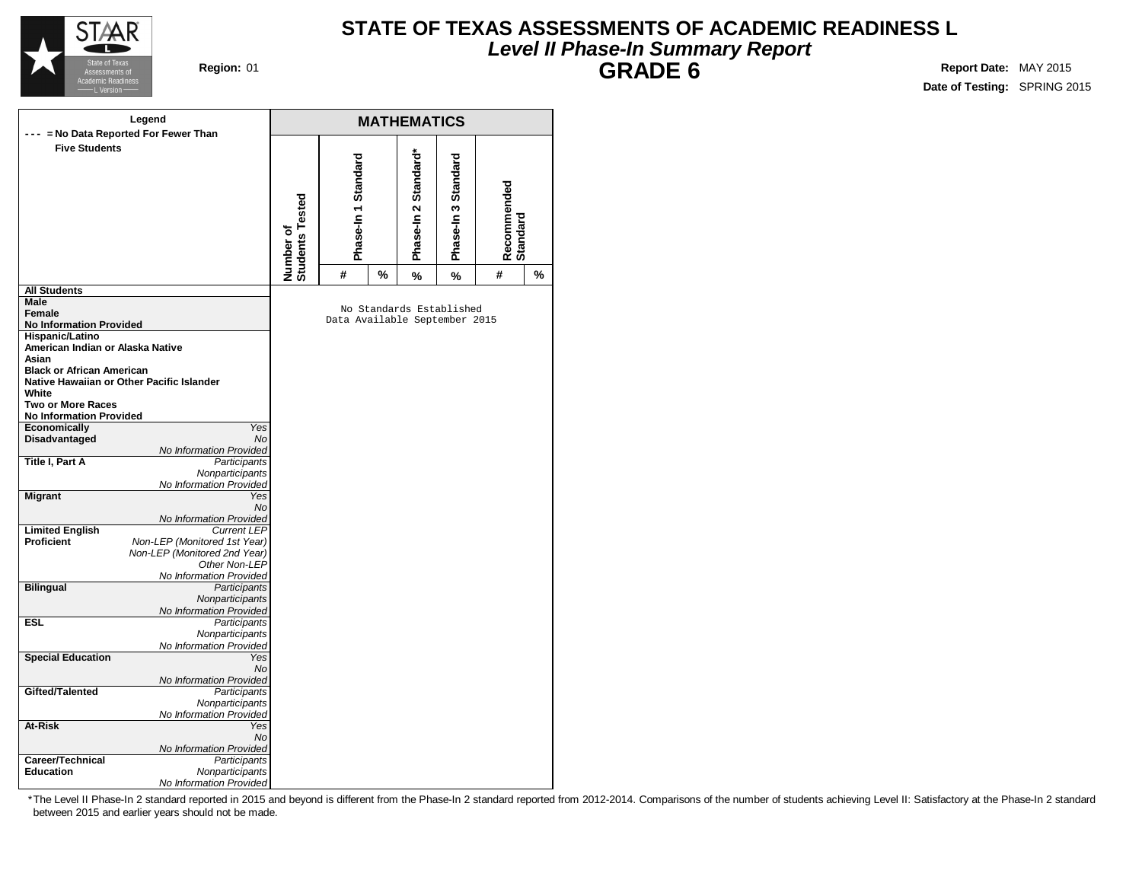

### **STATE OF TEXAS ASSESSMENTS OF ACADEMIC READINESS L Level II Phase-In Summary Report GRADE 6 Region:** 01 **Report** Date: MAY 2015

**Date of Testing:** SPRING 2015

|                                                          | Legend                                        |                              |                               |   | <b>MATHEMATICS</b>       |                     |                         |   |
|----------------------------------------------------------|-----------------------------------------------|------------------------------|-------------------------------|---|--------------------------|---------------------|-------------------------|---|
|                                                          | = No Data Reported For Fewer Than             |                              |                               |   |                          |                     |                         |   |
| <b>Five Students</b>                                     |                                               | Number of<br>Students Tested | Phase-In 1 Standard           |   | Phase-In 2 Standard*     | Phase-In 3 Standard | Recommended<br>Standard |   |
|                                                          |                                               |                              | #                             | % | %                        | %                   | #                       | % |
| <b>All Students</b>                                      |                                               |                              |                               |   |                          |                     |                         |   |
| Male                                                     |                                               |                              |                               |   | No Standards Established |                     |                         |   |
| Female                                                   |                                               |                              | Data Available September 2015 |   |                          |                     |                         |   |
| <b>No Information Provided</b><br><b>Hispanic/Latino</b> |                                               |                              |                               |   |                          |                     |                         |   |
| American Indian or Alaska Native                         |                                               |                              |                               |   |                          |                     |                         |   |
| Asian                                                    |                                               |                              |                               |   |                          |                     |                         |   |
| <b>Black or African American</b>                         |                                               |                              |                               |   |                          |                     |                         |   |
|                                                          | Native Hawaiian or Other Pacific Islander     |                              |                               |   |                          |                     |                         |   |
| White                                                    |                                               |                              |                               |   |                          |                     |                         |   |
| <b>Two or More Races</b>                                 |                                               |                              |                               |   |                          |                     |                         |   |
| <b>No Information Provided</b>                           | Yes                                           |                              |                               |   |                          |                     |                         |   |
| Economically<br>Disadvantaged                            | <b>No</b>                                     |                              |                               |   |                          |                     |                         |   |
|                                                          | No Information Provided                       |                              |                               |   |                          |                     |                         |   |
| Title I, Part A                                          | Participants                                  |                              |                               |   |                          |                     |                         |   |
|                                                          | Nonparticipants                               |                              |                               |   |                          |                     |                         |   |
|                                                          | No Information Provided                       |                              |                               |   |                          |                     |                         |   |
| <b>Migrant</b>                                           | Yes                                           |                              |                               |   |                          |                     |                         |   |
|                                                          | No                                            |                              |                               |   |                          |                     |                         |   |
| <b>Limited English</b>                                   | No Information Provided<br><b>Current LEP</b> |                              |                               |   |                          |                     |                         |   |
| <b>Proficient</b>                                        | Non-LEP (Monitored 1st Year)                  |                              |                               |   |                          |                     |                         |   |
|                                                          | Non-LEP (Monitored 2nd Year)                  |                              |                               |   |                          |                     |                         |   |
|                                                          | Other Non-LEP                                 |                              |                               |   |                          |                     |                         |   |
|                                                          | No Information Provided                       |                              |                               |   |                          |                     |                         |   |
| <b>Bilingual</b>                                         | Participants                                  |                              |                               |   |                          |                     |                         |   |
|                                                          | Nonparticipants                               |                              |                               |   |                          |                     |                         |   |
| <b>ESL</b>                                               | No Information Provided                       |                              |                               |   |                          |                     |                         |   |
|                                                          | Participants<br>Nonparticipants               |                              |                               |   |                          |                     |                         |   |
|                                                          | No Information Provided                       |                              |                               |   |                          |                     |                         |   |
| <b>Special Education</b>                                 | Yes                                           |                              |                               |   |                          |                     |                         |   |
|                                                          | No                                            |                              |                               |   |                          |                     |                         |   |
|                                                          | No Information Provided                       |                              |                               |   |                          |                     |                         |   |
| Gifted/Talented                                          | Participants                                  |                              |                               |   |                          |                     |                         |   |
|                                                          | Nonparticipants                               |                              |                               |   |                          |                     |                         |   |
| At-Risk                                                  | No Information Provided<br>Yes                |                              |                               |   |                          |                     |                         |   |
|                                                          | No                                            |                              |                               |   |                          |                     |                         |   |
|                                                          | No Information Provided                       |                              |                               |   |                          |                     |                         |   |
| Career/Technical                                         | Participants                                  |                              |                               |   |                          |                     |                         |   |
| <b>Education</b>                                         | Nonparticipants                               |                              |                               |   |                          |                     |                         |   |
|                                                          | No Information Provided                       |                              |                               |   |                          |                     |                         |   |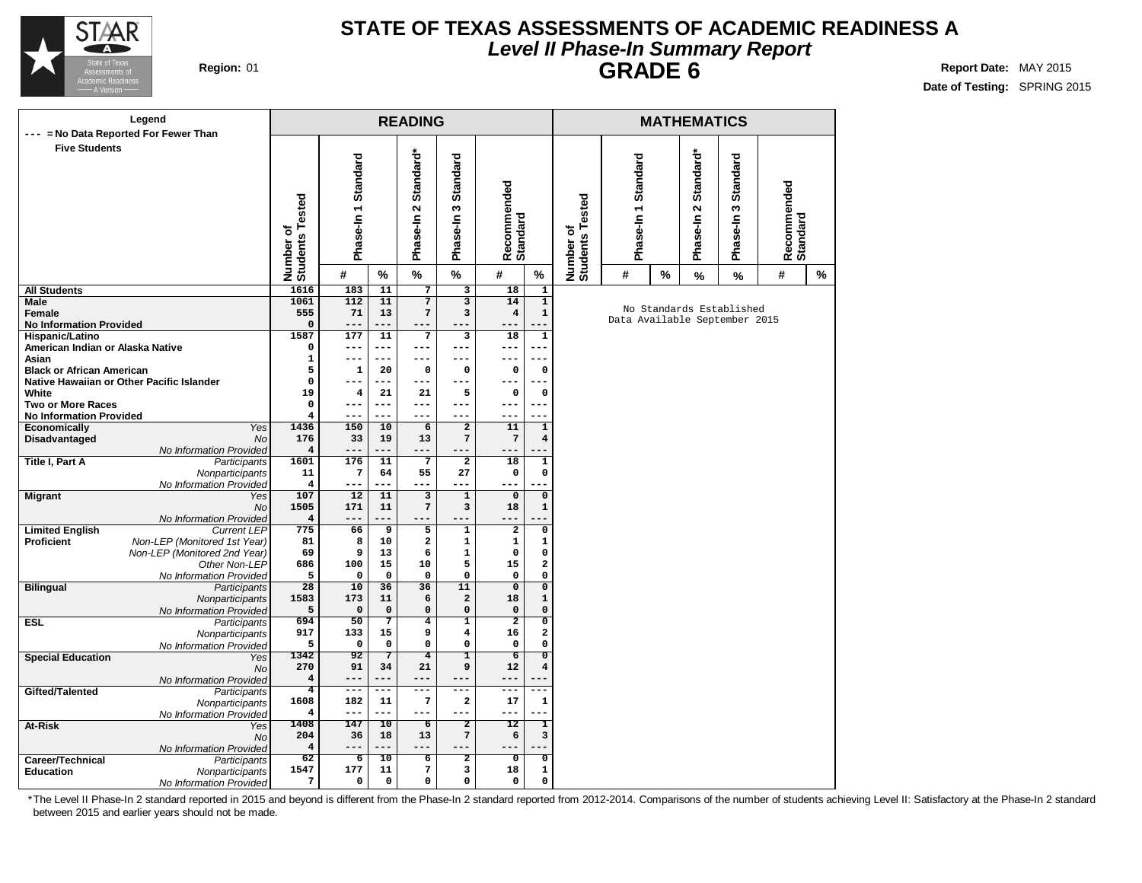

### **STATE OF TEXAS ASSESSMENTS OF ACADEMIC READINESS A Level II Phase-In Summary Report GRADE 6 Region:** 01 **Report** Date: MAY 2015

**Date of Testing:** SPRING 2015

| Legend                                                                     |                               |                     |                           | <b>READING</b>                             |                                  |                               |                                |                              |                               |   | <b>MATHEMATICS</b> |                          |                         |   |
|----------------------------------------------------------------------------|-------------------------------|---------------------|---------------------------|--------------------------------------------|----------------------------------|-------------------------------|--------------------------------|------------------------------|-------------------------------|---|--------------------|--------------------------|-------------------------|---|
| --- = No Data Reported For Fewer Than<br><b>Five Students</b>              |                               |                     |                           |                                            |                                  |                               |                                |                              |                               |   |                    |                          |                         |   |
|                                                                            |                               |                     |                           | Standard*                                  |                                  |                               |                                |                              |                               |   | Standard*          |                          |                         |   |
|                                                                            |                               | Phase-In 1 Standard |                           |                                            | <b>Standard</b>                  |                               |                                |                              | Phase-In 1 Standard           |   |                    | <b>Standard</b>          |                         |   |
|                                                                            |                               |                     |                           |                                            |                                  |                               |                                |                              |                               |   |                    |                          |                         |   |
|                                                                            |                               |                     |                           | $\sim$                                     | S                                |                               |                                |                              |                               |   | $\mathbf{\Omega}$  | w                        |                         |   |
|                                                                            |                               |                     |                           | Phase-In                                   | Phase-In                         |                               |                                |                              |                               |   | Phase-In           | Phase-In                 |                         |   |
|                                                                            |                               |                     |                           |                                            |                                  | Recommended<br>Standard       |                                |                              |                               |   |                    |                          | Recommended<br>Standard |   |
|                                                                            | Number of<br>Students Tested  | #                   | %                         | $\%$                                       | $\%$                             | #                             | %                              | Number of<br>Students Tested | #                             | % | $\%$               | $\%$                     | #                       | ℅ |
| <b>All Students</b>                                                        | 1616                          | 183                 | 11                        | $\overline{7}$                             | $\overline{\mathbf{3}}$          | 18                            | $\overline{\mathbf{1}}$        |                              |                               |   |                    |                          |                         |   |
| Male<br>Female                                                             | 1061<br>555                   | 112<br>71           | 11<br>13                  | 7<br>$\overline{7}$                        | 3<br>3                           | 14<br>$\overline{4}$          | $\mathbf{1}$<br>$\mathbf 1$    |                              |                               |   |                    | No Standards Established |                         |   |
| <b>No Information Provided</b>                                             | $\mathsf{o}\,$                | $- -$               |                           |                                            |                                  |                               |                                |                              | Data Available September 2015 |   |                    |                          |                         |   |
| Hispanic/Latino                                                            | 1587                          | 177                 | 11                        | 7                                          | з                                | 18                            | ${\bf 1}$                      |                              |                               |   |                    |                          |                         |   |
| American Indian or Alaska Native<br>Asian                                  | 0<br>1                        | ---<br>---          | ---<br>$---$              | ---<br>---                                 | ---<br>---                       | ---<br>$---$                  | ---<br>---                     |                              |                               |   |                    |                          |                         |   |
| <b>Black or African American</b>                                           | 5                             | $\mathbf{1}$        | 20                        | 0                                          | 0                                | 0                             | 0                              |                              |                               |   |                    |                          |                         |   |
| Native Hawaiian or Other Pacific Islander                                  | $\mathbf 0$                   |                     | ---                       | ---                                        | ---                              | ---                           | ---                            |                              |                               |   |                    |                          |                         |   |
| White                                                                      | 19                            | 4                   | 21                        | 21                                         | 5                                | $\mathbf 0$                   | $\mathbf 0$                    |                              |                               |   |                    |                          |                         |   |
| <b>Two or More Races</b><br><b>No Information Provided</b>                 | $\mathbf 0$<br>$\overline{4}$ | ---<br>---          | $---$<br>---              | ---<br>---                                 | ---<br>---                       | $---$<br>---                  | $---$<br>.                     |                              |                               |   |                    |                          |                         |   |
| Economically<br>Yes                                                        | 1436                          | 150                 | 10                        | 6                                          | $\overline{\mathbf{2}}$          | 11                            | $\mathbf 1$                    |                              |                               |   |                    |                          |                         |   |
| <b>No</b><br>Disadvantaged                                                 | 176                           | 33                  | 19                        | 13                                         | 7                                | 7                             | 4                              |                              |                               |   |                    |                          |                         |   |
| No Information Provided<br><b>Title I, Part A</b><br>Participants          | $\overline{4}$<br>1601        | ---<br>176          | ---<br>11                 | ---<br>$\overline{7}$                      | ---<br>$\overline{2}$            | ---<br>18                     | $\mathbf{1}$                   |                              |                               |   |                    |                          |                         |   |
| Nonparticipants                                                            | 11                            | 7                   | 64                        | 55                                         | 27                               | $\mathbf{o}$                  | 0                              |                              |                               |   |                    |                          |                         |   |
| No Information Provided                                                    | 4                             | ---                 | ---                       | ---                                        | ---                              |                               |                                |                              |                               |   |                    |                          |                         |   |
| <b>Migrant</b><br>Yes<br><b>No</b>                                         | 107<br>1505                   | 12<br>171           | 11<br>11                  | $\overline{\mathbf{3}}$<br>$7\phantom{.0}$ | $\overline{1}$<br>3              | $\mathbf 0$<br>18             | $\mathsf{o}\,$<br>$\mathbf{1}$ |                              |                               |   |                    |                          |                         |   |
| No Information Provided                                                    | $\overline{4}$                |                     |                           |                                            |                                  | ---                           |                                |                              |                               |   |                    |                          |                         |   |
| <b>Limited English</b><br><b>Current LEP</b>                               | 775                           | 66                  | 9                         | 5                                          | $\mathbf 1$                      | $\overline{2}$                | 0                              |                              |                               |   |                    |                          |                         |   |
| Proficient<br>Non-LEP (Monitored 1st Year)<br>Non-LEP (Monitored 2nd Year) | 81<br>69                      | 8                   | 10                        | $\overline{\mathbf{2}}$<br>6               | $\mathbf{1}$<br>1                | 1<br>$\mathbf 0$              | 1                              |                              |                               |   |                    |                          |                         |   |
| Other Non-LEP                                                              | 686                           | 9<br>100            | 13<br>15                  | 10                                         | 5                                | 15                            | 0<br>2                         |                              |                               |   |                    |                          |                         |   |
| No Information Provided                                                    | 5                             | $\mathbf 0$         | $\mathbf 0$               | $\mathbf 0$                                | 0                                | $\mathbf 0$                   | $\mathsf{o}\xspace$            |                              |                               |   |                    |                          |                         |   |
| <b>Bilingual</b><br>Participants                                           | $\overline{28}$               | 10                  | 36                        | 36                                         | 11                               | $\overline{0}$                | $\overline{\mathbf{0}}$        |                              |                               |   |                    |                          |                         |   |
| Nonparticipants<br>No Information Provided                                 | 1583<br>5                     | 173<br>$\mathbf 0$  | ${\bf 11}$<br>$\mathbf 0$ | 6<br>$\mathsf{o}\,$                        | $\overline{a}$<br>0              | 18<br>$\mathbf 0$             | $\mathbf{1}$<br>$\mathsf{o}\,$ |                              |                               |   |                    |                          |                         |   |
| Participants<br><b>ESL</b>                                                 | 694                           | 50                  | 7                         | $\overline{4}$                             | $\overline{\mathbf{1}}$          | $\overline{2}$                | $\overline{\mathfrak{o}}$      |                              |                               |   |                    |                          |                         |   |
| Nonparticipants                                                            | 917                           | 133                 | 15                        | 9                                          | 4                                | 16                            | 2                              |                              |                               |   |                    |                          |                         |   |
| No Information Provided                                                    | 5<br>1342                     | $\mathbf 0$<br>92   | $\mathbf 0$<br>7          | 0<br>$\overline{4}$                        | 0<br>ı                           | $\mathbf 0$<br>$\overline{6}$ | 0<br>$\overline{0}$            |                              |                               |   |                    |                          |                         |   |
| <b>Special Education</b><br>Yes<br><b>No</b>                               | 270                           | 91                  | 34                        | 21                                         | 9                                | 12                            | 4                              |                              |                               |   |                    |                          |                         |   |
| No Information Provided                                                    | $\overline{\mathbf{4}}$       | ---                 | $---$                     | ---                                        | ---                              | ---                           |                                |                              |                               |   |                    |                          |                         |   |
| Gifted/Talented<br>Participants                                            | $\overline{4}$<br>1608        | ---<br>182          | ---<br>11                 | ---<br>7                                   | $---$<br>$\overline{\mathbf{2}}$ | $-- -$<br>17                  | ---<br>$\mathbf 1$             |                              |                               |   |                    |                          |                         |   |
| Nonparticipants<br>No Information Provided                                 | 4                             | $- - -$             | ---                       | ---                                        | ---                              | $- - -$                       |                                |                              |                               |   |                    |                          |                         |   |
| At-Risk<br>Yes                                                             | 1408                          | 147                 | $\overline{10}$           | $\overline{6}$                             | $\overline{2}$                   | 12                            | $\mathbf{I}$                   |                              |                               |   |                    |                          |                         |   |
| <b>No</b>                                                                  | 204                           | 36                  | 18                        | 13                                         | 7                                | 6                             | 3                              |                              |                               |   |                    |                          |                         |   |
| No Information Provided<br>Career/Technical<br>Participants                | $\overline{\bf 4}$<br>62      | ---<br>6            | ---<br>10                 | ---<br>6                                   | ---<br>$\overline{2}$            | ०                             | $\overline{\mathfrak{o}}$      |                              |                               |   |                    |                          |                         |   |
| <b>Education</b><br>Nonparticipants                                        | 1547                          | 177                 | 11                        | 7                                          | 3                                | 18                            | $\mathbf 1$                    |                              |                               |   |                    |                          |                         |   |
| No Information Provided                                                    | 7                             | 0                   | 0                         | 0                                          | 0                                | $\mathsf{o}\,$                | 0                              |                              |                               |   |                    |                          |                         |   |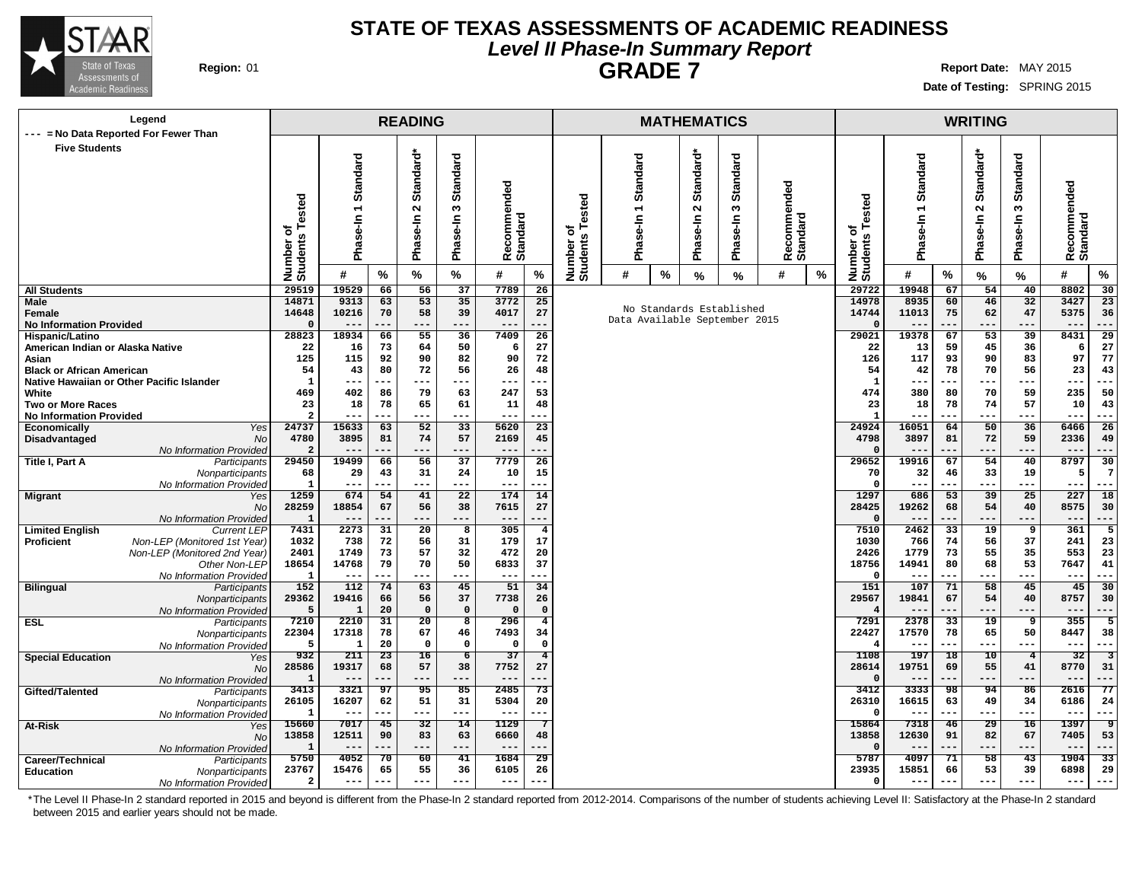

### **STATE OF TEXAS ASSESSMENTS OF ACADEMIC READINESS Level II Phase-In Summary Report GRADE 7 Region:** 01 **Report** Date: MAY 2015

**Date of Testing:** SPRING 2015

| Legend                                                                  |                                  |                      |                 | <b>READING</b>              |                                        |                         |                               |                                                                        |          |   | <b>MATHEMATICS</b> |                 |                         |                   |                              |                |                 | <b>WRITING</b>         |                        |                 |                         |
|-------------------------------------------------------------------------|----------------------------------|----------------------|-----------------|-----------------------------|----------------------------------------|-------------------------|-------------------------------|------------------------------------------------------------------------|----------|---|--------------------|-----------------|-------------------------|-------------------|------------------------------|----------------|-----------------|------------------------|------------------------|-----------------|-------------------------|
| --- = No Data Reported For Fewer Than                                   |                                  |                      |                 |                             |                                        |                         |                               |                                                                        |          |   |                    |                 |                         |                   |                              |                |                 |                        |                        |                 |                         |
| <b>Five Students</b>                                                    |                                  |                      |                 |                             |                                        |                         |                               |                                                                        |          |   |                    |                 |                         |                   |                              |                |                 |                        |                        |                 |                         |
|                                                                         |                                  | Standard             |                 | Standard*                   | <b>Standard</b>                        |                         |                               |                                                                        | Standard |   | Standard*          | <b>Standard</b> |                         |                   |                              | Standard       |                 | Standard*              | ರ                      |                 |                         |
|                                                                         |                                  |                      |                 |                             |                                        |                         |                               |                                                                        |          |   |                    |                 |                         |                   |                              |                |                 |                        | Standar                |                 |                         |
|                                                                         |                                  |                      |                 |                             |                                        | Recommended<br>Standard |                               |                                                                        |          |   |                    |                 | Recommended<br>Standard |                   |                              |                |                 |                        |                        | Recommended     |                         |
|                                                                         | ested                            |                      |                 |                             |                                        |                         |                               | ested                                                                  |          |   |                    |                 |                         |                   |                              |                |                 |                        |                        |                 |                         |
|                                                                         |                                  |                      |                 | $\sim$                      | w                                      |                         |                               |                                                                        |          |   | $\sim$             | w               |                         |                   |                              |                |                 | $\mathbf{\tilde{N}}$   | S                      |                 |                         |
|                                                                         | ৳                                |                      |                 |                             |                                        |                         |                               | ৳                                                                      | se-In    |   | Ise-In             |                 |                         |                   |                              |                |                 |                        | se-In                  |                 |                         |
|                                                                         | Ŷ,                               |                      |                 |                             |                                        |                         |                               |                                                                        |          |   |                    |                 |                         |                   |                              |                |                 |                        |                        |                 |                         |
|                                                                         |                                  | Phase-In 1           |                 | Phase-In                    | Phase-In                               |                         |                               |                                                                        | Pha      |   | Pha                | Phase-In        |                         |                   |                              | Phase-In 1     |                 | Phase-In               | Pha                    | <b>Standard</b> |                         |
|                                                                         | Number<br>Students               |                      |                 |                             |                                        |                         |                               | Number o<br>Students                                                   |          |   |                    |                 |                         |                   | Number of<br>Students Tested |                |                 |                        |                        |                 |                         |
|                                                                         |                                  | #                    | %               | %                           | $\%$                                   | #                       | $\%$                          |                                                                        | #        | % | $\%$               | %               | #                       | $\%$              |                              | #              | %               | %                      | %                      | #               | %                       |
| <b>All Students</b>                                                     | 29519                            | 19529                | 66              | 56                          | 37                                     | 7789                    |                               | 26<br>29722<br>25                                                      |          |   |                    |                 |                         |                   |                              | 19948          | 67              | 54                     | 40                     | 8802            | 30                      |
| Male                                                                    | 14871                            | 9313                 | 63              | 53                          | 35                                     | 3772                    |                               | No Standards Established<br>27<br>Data Available September 2015<br>--- |          |   |                    |                 |                         |                   | 14978                        | 8935           | 60              | 46                     | 32                     | 3427            | 23                      |
| Female<br><b>No Information Provided</b>                                | 14648<br>$\Omega$                | 10216<br>$---$       | 70<br>$-1$      | 58<br>---                   | 39<br>$---$                            | 4017<br>$---$           |                               |                                                                        |          |   |                    |                 |                         |                   | 14744                        | 11013<br>$ -$  | 75<br>---       | 62<br>---              | 47<br>$---$            | 5375<br>$---$   | 36<br>---               |
| Hispanic/Latino                                                         | 28823                            | 18934                | 66              | 55                          | 36                                     | 7409                    | 26                            |                                                                        |          |   |                    |                 |                         |                   | 29021                        | 19378          | 67              | 53                     | 39                     | 8431            | 29                      |
| American Indian or Alaska Native                                        | 22                               | 16                   | 73              | 64                          | 50                                     | 6                       | 27                            |                                                                        |          |   |                    |                 |                         |                   |                              | 13             | 59              | 45                     | 36                     | -6              | 27                      |
| Asian                                                                   | 125                              | 115                  | 92              | 90                          | 82                                     | 90                      | 72                            |                                                                        |          |   |                    |                 |                         |                   |                              | 117            | 93              | 90                     | 83                     | 97              | 77                      |
| <b>Black or African American</b>                                        | 54                               | 43                   | 80              | 72                          | 56                                     | 26                      | 48                            |                                                                        |          |   |                    |                 |                         |                   | 54                           | 42             | 78              | 70                     | 56                     | 23              | 43                      |
| Native Hawaiian or Other Pacific Islander                               | $\mathbf{1}$                     | ---                  |                 | ---                         | $---$                                  | $---$                   |                               |                                                                        |          |   | 1                  | --              | ---                     | ---               | $---$                        | $---$          | ---             |                        |                        |                 |                         |
| White                                                                   | 469                              | 402                  | 86              | 79                          | 63                                     | 247                     | 53                            |                                                                        |          |   |                    |                 |                         |                   | 474                          | 380            | 80              | 70                     | 59                     | 235             | 50                      |
| <b>Two or More Races</b>                                                | 23                               | 18                   | 78              | 65                          | 61                                     | 11                      | 48                            |                                                                        |          |   |                    |                 |                         |                   | 23                           | 18             | 78              | 74                     | 57                     | 10              | 43                      |
| <b>No Information Provided</b><br>Yes<br><b>Economically</b>            | $\overline{\mathbf{2}}$<br>24737 | ---<br>15633         | .<br>63         | ---<br>52                   | ---<br>33                              | $--$<br>5620            | $\overline{23}$               |                                                                        |          |   |                    |                 |                         |                   | $\mathbf{1}$<br>24924        | 16051          | ---<br>64       | ---<br>50              | $---$<br>36            | $---$<br>6466   | ---<br>$\overline{26}$  |
| Disadvantaged<br><b>No</b>                                              | 4780                             | 3895                 | 81              | 74                          | 57                                     | 2169                    | 45                            |                                                                        |          |   |                    |                 |                         |                   | 4798                         | 3897           | 81              | 72                     | 59                     | 2336            | 49                      |
| No Information Provided                                                 | $\overline{a}$                   | $---$                | ---             | ---                         | ---                                    | $---$                   | ---                           |                                                                        |          |   |                    |                 |                         |                   |                              | $- -$          | ---             | ---                    | $---$                  | $---$           | ---                     |
| Title I, Part A<br>Participants                                         | 29450                            | 19499                | 66              | 56                          | 37                                     | 7779                    | 26                            |                                                                        |          |   |                    |                 |                         |                   | 29652                        | 19916          | 67              | 54                     | 40                     | 8797            | 30                      |
| Nonparticipants                                                         | 68                               | 29                   | 43              | 31                          | 24                                     | 10                      | 15                            |                                                                        |          |   |                    |                 |                         |                   | 70                           | 32             | 46              | 33                     | 19                     | 5               | -7                      |
| No Information Provided                                                 | $\mathbf{1}$                     | $---$                | .               | ---                         | ---                                    | $---$                   | ---                           |                                                                        |          |   |                    |                 |                         |                   | $\Omega$                     | $- -$          | ---             | ---                    | $---$                  | $---$           | ---                     |
| <b>Migrant</b><br>Yes                                                   | 1259                             | 674                  | 54              | 41                          | $\overline{22}$                        | 174                     | 14                            |                                                                        |          |   |                    |                 |                         |                   | 1297                         | 686            | 53              | 39                     | 25                     | 227             | 18                      |
| <b>No</b>                                                               | 28259                            | 18854<br>$---$       | 67<br>---       | 56                          | 38                                     | 7615                    | 27                            |                                                                        |          |   |                    |                 |                         |                   | 28425                        | 19262<br>$- -$ | 68<br>---       | 54                     | 40                     | 8575            | 30                      |
| No Information Provided<br><b>Limited English</b><br><b>Current LEP</b> | -1<br>7431                       | 2273                 | 31              | $---$<br>20                 | ---<br>8                               | $---$<br>305            | $\overline{\mathbf{4}}$       |                                                                        |          |   |                    |                 |                         |                   | 7510                         | 2462           | 33              | ---<br>19              | $---$<br>9             | $---$<br>361    | ---<br>5                |
| Non-LEP (Monitored 1st Year)<br><b>Proficient</b>                       | 1032                             | 738                  | 72              | 56                          | 31                                     | 179                     | 17                            |                                                                        |          |   |                    |                 |                         |                   | 1030                         | 766            | 74              | 56                     | 37                     | 241             | 23                      |
| Non-LEP (Monitored 2nd Year)                                            | 2401                             | 1749                 | 73              | 57                          | 32                                     | 472                     | 20                            |                                                                        |          |   |                    |                 |                         |                   | 2426                         | 1779           | 73              | 55                     | 35                     | 553             | 23                      |
| Other Non-LEP                                                           | 18654                            | 14768                | 79              | 70                          | 50                                     | 6833                    | 37                            |                                                                        |          |   |                    |                 |                         |                   | 18756                        | 14941          | 80              | 68                     | 53                     | 7647            | 41                      |
| No Information Provided                                                 | 1                                | $---$                |                 | ---                         | ---                                    | ---                     |                               |                                                                        |          |   |                    |                 |                         |                   |                              |                | ---             |                        | $--$                   | $---$           | ---                     |
| <b>Bilingual</b><br>Participants                                        | 152                              | 112                  | 74              | 63                          | 45                                     | 51                      | 34                            |                                                                        |          |   |                    |                 |                         |                   | 151                          | 107            | 71              | 58                     | 45                     | 45              | 30                      |
| Nonparticipants                                                         | 29362                            | 19416                | 66              | 56                          | 37                                     | 7738                    | 26                            |                                                                        |          |   |                    |                 |                         |                   | 29567                        | 19841          | 67              | 54                     | 40                     | 8757            | 30                      |
| No Information Provided                                                 | 5<br>7210                        | $\mathbf{1}$<br>2210 | 20<br>31        | $\Omega$<br>$\overline{20}$ | $\mathbf 0$<br>$\overline{\mathbf{8}}$ | $\Omega$<br>296         | $\mathbf 0$<br>$\overline{4}$ |                                                                        |          |   |                    |                 |                         |                   | 7291                         | 2378           | $\overline{33}$ | 19                     |                        | $--$<br>355     | 5                       |
| <b>ESL</b><br>Participants<br>Nonparticipants                           | 22304                            | 17318                | 78              | 67                          | 46                                     | 7493                    | 34                            |                                                                        |          |   |                    |                 |                         |                   | 22427                        | 17570          | 78              | 65                     | 9<br>50                | 8447            | 38                      |
| No Information Provided                                                 | 5                                | 1                    | 20              | $\Omega$                    | $\Omega$                               | $\Omega$                | $\Omega$                      |                                                                        |          |   |                    |                 |                         |                   | 4                            | $- -$          | ---             | ---                    | $--$                   | $---$           | $- -$                   |
| <b>Special Education</b><br>Yes                                         | 932                              | 211                  | 23              | 16                          | $\overline{6}$                         | 37                      | $\overline{4}$                |                                                                        |          |   |                    |                 |                         |                   | 1108                         | 197            | 18              | 10                     | $\overline{4}$         | 32              | $\overline{\mathbf{3}}$ |
| <b>No</b>                                                               | 28586                            | 19317                | 68              | 57                          | 38                                     | 7752                    | 27                            |                                                                        |          |   |                    |                 |                         |                   | 28614                        | 19751          | 69              | 55                     | 41                     | 8770            | 31                      |
| No Information Provided                                                 | 1                                |                      |                 | ---                         | ---                                    |                         |                               |                                                                        |          |   |                    |                 |                         |                   |                              |                | ---             | ---                    | ---                    | $--$            | ---                     |
| Gifted/Talented<br>Participants                                         | 3413                             | 3321                 | 97              | 95                          | 85                                     | 2485                    | 73                            |                                                                        |          |   |                    |                 |                         |                   | 3412                         | 3333           | 98              | 94                     | 86                     | 2616            | 77                      |
| Nonparticipants                                                         | 26105                            | 16207                | 62<br>---       | 51<br>$---$                 | 31<br>$---$                            | 5304                    | 20                            |                                                                        |          |   |                    |                 |                         | 26310<br>$\Omega$ | 16615                        | 63             | 49              | 34                     | 6186                   | 24<br>$---$     |                         |
| No Information Provided                                                 | $\mathbf{1}$<br>15660            | $--$<br>7017         | $\overline{45}$ | 32                          | 14                                     | $---$<br>1129           | 7                             |                                                                        |          |   |                    |                 |                         |                   | 15864                        | $- -$<br>7318  | ---<br>46       | ---<br>$\overline{29}$ | ---<br>$\overline{16}$ | $--$<br>1397    | ヮ                       |
| At-Risk<br>Yes<br><b>No</b>                                             | 13858                            | 12511                | 90              | 83                          | 63                                     | 6660                    | 48                            |                                                                        |          |   |                    |                 |                         |                   | 13858                        | 12630          | 91              | 82                     | 67                     | 7405            | 53                      |
| No Information Provided                                                 | $\mathbf{1}$                     | $---$                | ---             | $---$                       | ---                                    | $---$                   |                               |                                                                        |          |   |                    |                 |                         |                   |                              |                | ---             | ---                    | ---                    | $- -$           |                         |
| Career/Technical<br>Participants                                        | 5750                             | 4052                 | 70              | 60                          | 41                                     | 1684                    | 29                            |                                                                        |          |   |                    |                 |                         |                   | 5787                         | 4097           | 71              | 58                     | 43                     | 1904            | 33                      |
| <b>Education</b><br>Nonparticipants                                     | 23767                            | 15476                | 65              | 55                          | 36                                     | 6105                    | 26                            |                                                                        |          |   |                    |                 |                         |                   | 23935                        | 15851          | 66              | 53                     | 39                     | 6898            | 29                      |
| No Information Provided                                                 | $\overline{a}$                   | $---$                | ---             | ---                         | $---$                                  | $---$                   |                               |                                                                        |          |   |                    |                 |                         |                   | $\Omega$                     | $- -$          |                 | ---                    | $---$                  | $---$           |                         |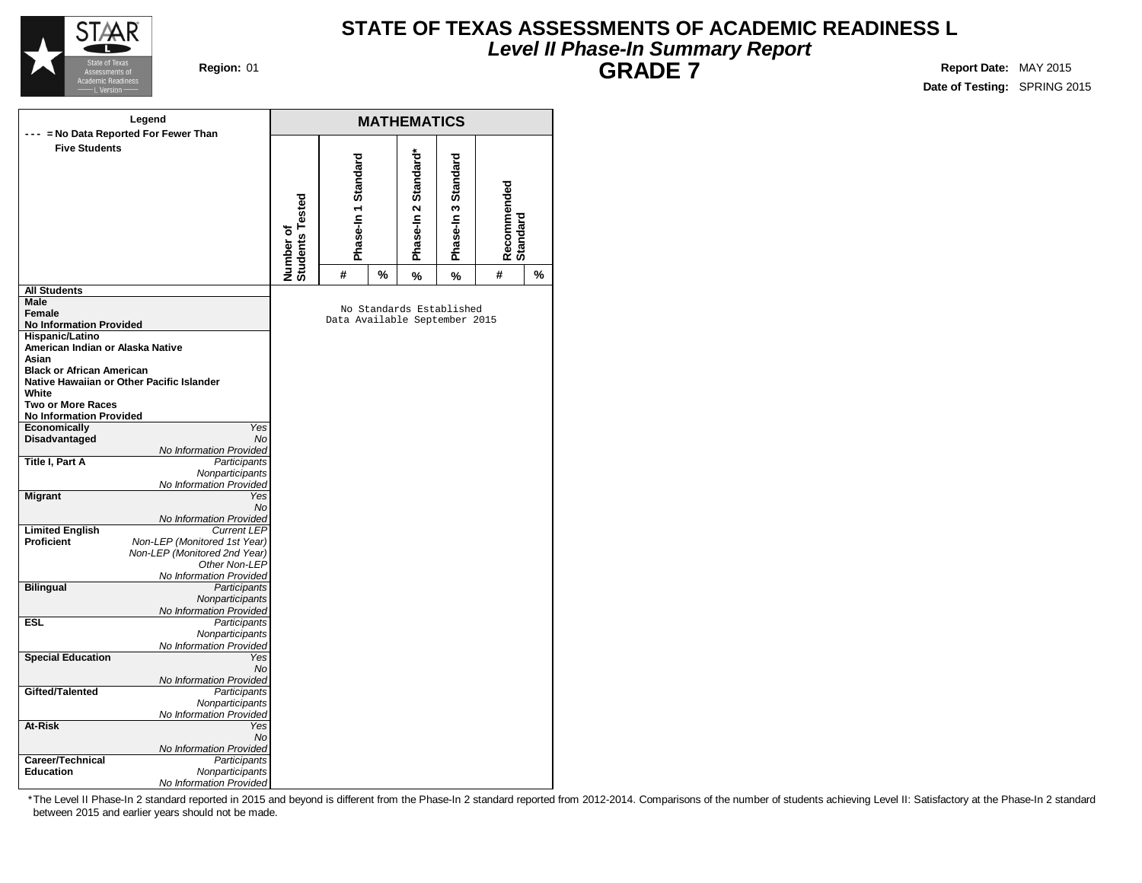

### **STATE OF TEXAS ASSESSMENTS OF ACADEMIC READINESS L Level II Phase-In Summary Report GRADE 7 Region:** 01 **Report** Date: MAY 2015

**Date of Testing:** SPRING 2015

|                                          | Legend                                        |                              |                               |   | <b>MATHEMATICS</b>       |                         |   |   |
|------------------------------------------|-----------------------------------------------|------------------------------|-------------------------------|---|--------------------------|-------------------------|---|---|
| <b>Five Students</b>                     | --- = No Data Reported For Fewer Than         | Number of<br>Students Tested | Phase-In 1 Standard           |   | Phase-In 3 Standard      | Recommended<br>Standard |   |   |
|                                          |                                               |                              | #                             | % | %                        | %                       | # | % |
| <b>All Students</b>                      |                                               |                              |                               |   |                          |                         |   |   |
| Male                                     |                                               |                              |                               |   | No Standards Established |                         |   |   |
| Female<br><b>No Information Provided</b> |                                               |                              | Data Available September 2015 |   |                          |                         |   |   |
| Hispanic/Latino                          |                                               |                              |                               |   |                          |                         |   |   |
| American Indian or Alaska Native         |                                               |                              |                               |   |                          |                         |   |   |
| Asian                                    |                                               |                              |                               |   |                          |                         |   |   |
| <b>Black or African American</b>         |                                               |                              |                               |   |                          |                         |   |   |
|                                          | Native Hawaiian or Other Pacific Islander     |                              |                               |   |                          |                         |   |   |
| White                                    |                                               |                              |                               |   |                          |                         |   |   |
| <b>Two or More Races</b>                 |                                               |                              |                               |   |                          |                         |   |   |
| <b>No Information Provided</b>           |                                               |                              |                               |   |                          |                         |   |   |
| <b>Economically</b>                      | Yes<br><b>No</b>                              |                              |                               |   |                          |                         |   |   |
| Disadvantaged                            | No Information Provided                       |                              |                               |   |                          |                         |   |   |
| Title I, Part A                          | Participants                                  |                              |                               |   |                          |                         |   |   |
|                                          | Nonparticipants<br>No Information Provided    |                              |                               |   |                          |                         |   |   |
| <b>Migrant</b>                           | Yes                                           |                              |                               |   |                          |                         |   |   |
|                                          | <b>No</b>                                     |                              |                               |   |                          |                         |   |   |
|                                          | No Information Provided                       |                              |                               |   |                          |                         |   |   |
| <b>Limited English</b>                   | <b>Current LEP</b>                            |                              |                               |   |                          |                         |   |   |
| <b>Proficient</b>                        | Non-LEP (Monitored 1st Year)                  |                              |                               |   |                          |                         |   |   |
|                                          | Non-LEP (Monitored 2nd Year)<br>Other Non-LEP |                              |                               |   |                          |                         |   |   |
|                                          | No Information Provided                       |                              |                               |   |                          |                         |   |   |
| <b>Bilingual</b>                         | <b>Participants</b>                           |                              |                               |   |                          |                         |   |   |
|                                          | Nonparticipants                               |                              |                               |   |                          |                         |   |   |
|                                          | No Information Provided                       |                              |                               |   |                          |                         |   |   |
| <b>ESL</b>                               | Participants                                  |                              |                               |   |                          |                         |   |   |
|                                          | Nonparticipants                               |                              |                               |   |                          |                         |   |   |
|                                          | No Information Provided                       |                              |                               |   |                          |                         |   |   |
| <b>Special Education</b>                 | Yes<br><b>No</b>                              |                              |                               |   |                          |                         |   |   |
|                                          | No Information Provided                       |                              |                               |   |                          |                         |   |   |
| Gifted/Talented                          | Participants                                  |                              |                               |   |                          |                         |   |   |
|                                          | Nonparticipants                               |                              |                               |   |                          |                         |   |   |
|                                          | No Information Provided                       |                              |                               |   |                          |                         |   |   |
| At-Risk                                  | Yes                                           |                              |                               |   |                          |                         |   |   |
|                                          | <b>No</b>                                     |                              |                               |   |                          |                         |   |   |
|                                          | No Information Provided                       |                              |                               |   |                          |                         |   |   |
| Career/Technical<br><b>Education</b>     | Participants<br>Nonparticipants               |                              |                               |   |                          |                         |   |   |
|                                          | No Information Provided                       |                              |                               |   |                          |                         |   |   |
|                                          |                                               |                              |                               |   |                          |                         |   |   |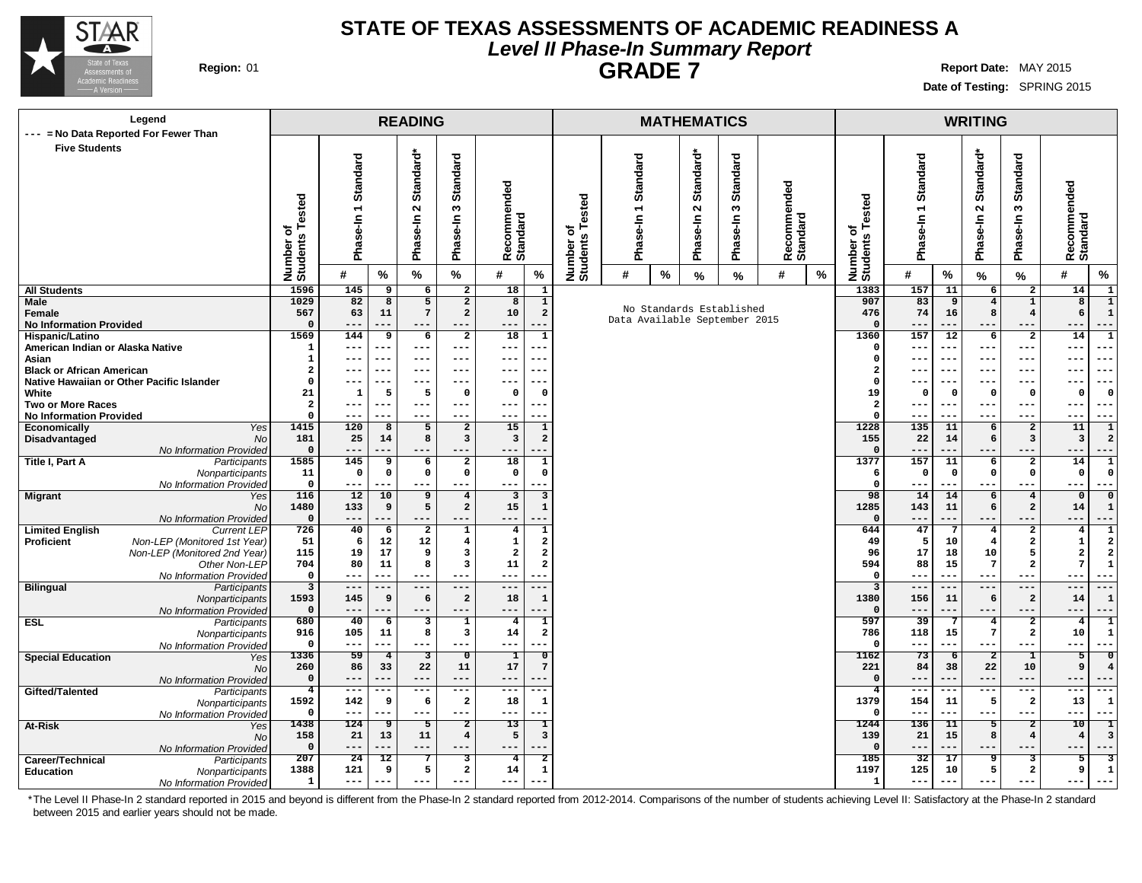

### **STATE OF TEXAS ASSESSMENTS OF ACADEMIC READINESS A Level II Phase-In Summary Report GRADE 7 Region:** 01 **Report** Date: MAY 2015

**Date of Testing:** SPRING 2015

| Legend                                                                  |                                        |                            |                         | <b>READING</b>                    |                                  |                              | <b>MATHEMATICS</b>                         |                      |          |   |                            |                               |                         |            |                              |                                |                      | <b>WRITING</b>          |                                  |                                                                |
|-------------------------------------------------------------------------|----------------------------------------|----------------------------|-------------------------|-----------------------------------|----------------------------------|------------------------------|--------------------------------------------|----------------------|----------|---|----------------------------|-------------------------------|-------------------------|------------|------------------------------|--------------------------------|----------------------|-------------------------|----------------------------------|----------------------------------------------------------------|
| --- = No Data Reported For Fewer Than<br><b>Five Students</b>           |                                        |                            |                         |                                   |                                  |                              |                                            |                      |          |   |                            |                               |                         |            |                              |                                |                      |                         |                                  |                                                                |
|                                                                         |                                        |                            |                         |                                   |                                  |                              |                                            |                      |          |   |                            | ত                             |                         |            |                              |                                |                      |                         |                                  |                                                                |
|                                                                         |                                        | Standard                   |                         | Standard*                         | <b>Standard</b>                  |                              |                                            |                      | Standard |   | Standard*                  | <b>Standar</b>                |                         |            |                              | Standard                       |                      | Standard*               | <b>Standard</b>                  |                                                                |
|                                                                         |                                        |                            |                         |                                   |                                  | Recommended<br>Standard      |                                            |                      |          |   |                            |                               | Recommended<br>Standard |            |                              |                                |                      |                         |                                  | Recommended<br>Standard                                        |
|                                                                         | Tested                                 | $\overline{\phantom{0}}$   |                         | $\mathbf{\Omega}$                 | $\boldsymbol{\omega}$            |                              |                                            | ested                |          |   | $\mathbf{\tilde{N}}$       | $\boldsymbol{\omega}$         |                         |            |                              |                                |                      | $\sim$                  | S                                |                                                                |
|                                                                         | ৳                                      |                            |                         |                                   |                                  |                              |                                            | ⊢<br>৳               | 두        |   |                            |                               |                         |            |                              |                                |                      |                         |                                  |                                                                |
|                                                                         |                                        | Phase-In                   |                         | Phase-In                          | Phase-In                         |                              |                                            |                      | ဖွံ့     |   | Phase-In                   | Phase-In                      |                         |            |                              | Phase-In 1                     |                      | Phase-In                | Phase-In                         |                                                                |
|                                                                         |                                        |                            |                         |                                   |                                  |                              |                                            |                      | Pha      |   |                            |                               |                         |            |                              |                                |                      |                         |                                  |                                                                |
|                                                                         | Number o<br>Students                   | #                          | %                       | %                                 | $\%$                             | #                            | $\%$                                       | Number o<br>Students | #        | % | %                          | %                             | #                       | $\%$       | Number of<br>Students Tested | #                              | %                    | %                       | $\%$                             | #<br>$\%$                                                      |
| <b>All Students</b>                                                     | 1596                                   | 145                        | $\overline{\mathbf{g}}$ | $6\overline{6}$                   | $\overline{2}$                   | 18                           | $\mathbf{1}$                               |                      |          |   |                            |                               |                         |            | 1383                         | 157                            | 11                   | $6\overline{}$          | $\overline{2}$                   | 14<br>$\overline{1}$                                           |
| Male<br>Female                                                          | 1029<br>567                            | 82<br>63                   | $\overline{8}$<br>11    | $5\overline{5}$<br>$\overline{7}$ | $\overline{2}$<br>$\overline{a}$ | $\overline{8}$<br>10         | $\overline{1}$<br>$\mathbf{2}$             |                      |          |   |                            | No Standards Established      |                         |            | 907<br>476                   | 83<br>74                       | 9<br>16              | $\overline{4}$<br>8     | $\overline{1}$<br>$\overline{4}$ | $\overline{\mathbf{8}}$<br>$\overline{1}$<br>6<br>$\mathbf{1}$ |
| <b>No Information Provided</b>                                          | $\mathbf 0$                            | $---$                      |                         |                                   | ---                              |                              |                                            |                      |          |   |                            | Data Available September 2015 |                         |            | $\Omega$                     |                                | .                    |                         |                                  | $- -$                                                          |
| Hispanic/Latino                                                         | 1569                                   | 144                        | 9                       | 6                                 | $\overline{a}$                   | 18                           | $\mathbf{1}$                               |                      |          |   |                            |                               |                         |            | 1360                         | 157                            | 12                   | 6                       | $\overline{a}$                   | 14<br>$\mathbf{1}$                                             |
| American Indian or Alaska Native                                        | 1                                      | $---$                      | ---                     | $---$                             | ---                              | ---                          |                                            |                      |          |   |                            |                               |                         |            | $\Omega$<br>$\Omega$         | $- -$                          | $---$                | ---                     | $--$                             | $---$<br>---                                                   |
| Asian<br><b>Black or African American</b>                               | 1<br>$\overline{2}$                    | $---$<br>---               | $--$<br>---             | $---$<br>$---$                    | ---<br>---                       | $---$<br>---                 | ---                                        |                      |          |   |                            |                               |                         |            | $\overline{\mathbf{2}}$      | $- - -$<br>$ -$                | $--$<br>$--$         | ---<br>---              | $--$<br>---                      | $---$<br>---<br>$--$<br>---                                    |
| Native Hawaiian or Other Pacific Islander                               | $\Omega$                               | $---$                      | ---                     | $---$                             | ---                              | ---                          | ---                                        |                      |          |   |                            |                               |                         |            | $\Omega$                     | $- -$                          | $--$                 | ---                     | ---                              | $---$<br>---                                                   |
| White                                                                   | 21                                     | $\mathbf{1}$               | 5                       | 5                                 | $\Omega$                         | $\mathbf 0$                  | $\Omega$                                   |                      |          |   |                            |                               |                         |            | 19                           | $\Omega$                       | - 0                  | $\mathbf{o}$            | $\mathbf{o}$                     | $^{\circ}$<br>- 0                                              |
| <b>Two or More Races</b><br><b>No Information Provided</b>              | $\overline{\mathbf{2}}$<br>$\mathbf 0$ | $---$<br>$--$              | $--$                    | $---$<br>$- - -$                  | ---<br>---                       | $---$<br>---                 | ---                                        |                      |          |   | $\overline{a}$<br>$\Omega$ | $- - -$<br>$- -$              | $- - -$                 | ---<br>--- | $- - -$<br>$- - -$           | $- - -$<br>---<br>$---$<br>--- |                      |                         |                                  |                                                                |
| Economically<br>Yes                                                     | 1415                                   | 120                        | 8                       | 5                                 | $\overline{a}$                   | 15                           | $\mathbf{1}$                               |                      |          |   | 1228                       | 135                           | 11                      | 6          | $\overline{\mathbf{2}}$      | 11<br>$\mathbf{1}$             |                      |                         |                                  |                                                                |
| Disadvantaged<br><b>No</b>                                              | 181                                    | 25                         | 14                      | 8                                 | $\overline{\mathbf{3}}$          | $\mathbf{3}$                 | $\overline{a}$<br>155                      |                      |          |   |                            |                               |                         |            |                              | 22                             | 14                   | 6                       | 3                                | $\overline{\mathbf{3}}$<br>$\overline{2}$                      |
| No Information Provided<br>Title I, Part A<br>Participants              | $\mathbf 0$<br>1585                    | $\qquad \qquad - -$<br>145 | ---<br>9                | $---$<br>6                        | ---<br>$\overline{a}$            | $---$<br>18                  | $\mathbf{1}$                               |                      |          |   |                            |                               |                         |            | $\mathbf 0$<br>1377          | $--$<br>157                    | ---<br>11            | 6                       | $---$<br>$\overline{a}$          | $---$<br>$---$<br>14                                           |
| Nonparticipants                                                         | 11                                     | $\mathbf 0$                | $\mathbf 0$             | $\mathbf 0$                       | $\mathbf 0$                      | $\mathbf 0$                  | $\mathbf 0$                                |                      |          |   |                            |                               |                         |            | 6                            | $\mathbf 0$                    | $\mathbf 0$          | $\mathbf 0$             | $\mathsf{o}\,$                   | $\mathbf 0$<br>$\mathbf{o}$                                    |
| No Information Provided                                                 | $\mathbf 0$                            | $---$                      | ---                     | $---$                             | ---                              | $---$                        |                                            |                      |          |   |                            |                               |                         |            | $\Omega$                     | $- - -$                        |                      | ---                     | $- - -$                          | $- - -$<br>---                                                 |
| <b>Migrant</b><br>Yes                                                   | 116                                    | 12                         | 10                      | 9                                 | $\overline{\mathbf{4}}$          | 3                            | $\overline{\mathbf{3}}$                    |                      |          |   |                            |                               |                         |            | 98                           | 14                             | 14                   | 6                       | $\overline{\mathbf{4}}$          | $\mathbf 0$<br>$\mathbf 0$                                     |
| <b>No</b><br>No Information Provided                                    | 1480<br>$\mathbf 0$                    | 133<br>$---$               | 9                       | 5<br>$---$                        | $\overline{2}$<br>---            | 15<br>---                    | $\mathbf 1$                                |                      |          |   |                            |                               |                         |            | 1285<br>$\Omega$             | 143<br>$- -$                   | 11<br>---            | 6                       | $\overline{\mathbf{2}}$<br>$---$ | 14<br>$---$                                                    |
| <b>Limited English</b><br><b>Current LEP</b>                            | 726                                    | 40                         | 6                       | $\overline{\mathbf{2}}$           | $\mathbf{1}$                     | 4                            | $\overline{1}$                             |                      |          |   |                            |                               |                         |            | 644                          | 47                             | $\overline{7}$       | $\overline{\mathbf{4}}$ | $\overline{\mathbf{2}}$          | $\overline{\bf 4}$<br>$\mathbf{1}$                             |
| Non-LEP (Monitored 1st Year)<br><b>Proficient</b>                       | 51                                     | 6                          | 12                      | 12                                | $\overline{\mathbf{4}}$          | $\mathbf{1}$                 | $\mathbf{2}$                               |                      |          |   |                            |                               |                         |            | 49                           | -5                             | 10                   | $\overline{\mathbf{4}}$ | $\overline{\mathbf{2}}$          | $\mathbf{1}$<br>$\overline{2}$                                 |
| Non-LEP (Monitored 2nd Year)<br>Other Non-LEP                           | 115<br>704                             | 19<br>80                   | 17<br>11                | 9<br>8                            | 3<br>$\overline{\mathbf{3}}$     | $\overline{a}$<br>${\bf 11}$ | $\mathbf{2}$<br>$\mathbf{2}$               |                      |          |   |                            |                               |                         |            | 96<br>594                    | 17<br>88                       | 18<br>15             | 10<br>$7\phantom{.0}$   | 5<br>$\overline{\mathbf{2}}$     | $\overline{a}$<br>2<br>$7\phantom{.0}$<br>-1                   |
| No Information Provided                                                 | $\mathbf{o}$                           | $---$                      | $--$                    | $---$                             |                                  | $---$                        |                                            |                      |          |   |                            |                               |                         |            | $\Omega$                     | ---                            | $--$                 | ---                     | $--$                             | $---$<br>---                                                   |
| <b>Bilingual</b><br>Participants                                        | $\overline{\mathbf{3}}$                | $---$                      | ---                     | $---$                             | ---                              | $---$                        |                                            |                      |          |   |                            |                               |                         |            | 3                            | $- -$                          | $---$                | ---                     | $--$                             | $---$<br>$- -$                                                 |
| Nonparticipants<br>No Information Provided                              | 1593<br>0                              | 145<br>$---$               | 9<br>.                  | 6<br>$---$                        | $\overline{a}$<br>---            | 18<br>$---$                  | 1                                          |                      |          |   |                            |                               |                         |            | 1380<br>$\Omega$             | 156<br>$- -$                   | 11<br>---            | 6<br>---                | $\mathbf{2}$<br>$---$            | 14<br>-1<br>$---$<br>---                                       |
| <b>ESL</b><br>Participants                                              | 680                                    | 40                         | 6                       | 3                                 | $\mathbf{1}$                     | $\overline{4}$               | $\mathbf{1}$                               |                      |          |   |                            |                               |                         |            | 597                          | 39                             | 7                    | $\overline{\mathbf{4}}$ | $\overline{2}$                   | $\overline{4}$<br>$\mathbf{1}$                                 |
| Nonparticipants                                                         | 916                                    | 105                        | 11                      | 8                                 | 3                                | 14                           | $\overline{a}$                             |                      |          |   |                            |                               |                         |            | 786                          | 118                            | 15                   | $7\overline{ }$         | $\overline{\mathbf{2}}$          | 10<br>$\mathbf{1}$                                             |
| No Information Provided                                                 | 0                                      | $\qquad \qquad - -$        | ---                     | $---$                             | ---                              | $---$                        | ---                                        |                      |          |   |                            |                               |                         |            | $\Omega$                     | $---$                          | $---$                | $---$                   | $---$                            | $\frac{1}{2}$<br>$--$                                          |
| <b>Special Education</b><br>Yes<br><b>No</b>                            | 1336<br>260                            | 59<br>86                   | $\overline{4}$<br>33    | $\overline{\mathbf{3}}$<br>22     | ಾ<br>11                          | I<br>17                      | $\overline{\mathbf{o}}$<br>$7\phantom{.0}$ |                      |          |   |                            |                               |                         |            | 1162<br>221                  | 73<br>84                       | $\overline{6}$<br>38 | $\overline{2}$<br>22    | 1<br>10                          | 5<br>$\overline{\mathfrak{o}}$<br>9                            |
| No Information Provided                                                 | $\mathbf 0$                            | $---$                      | ---                     | $---$                             | ---                              | $--$                         |                                            |                      |          |   |                            |                               |                         |            | $\Omega$                     | --                             | ---                  | ---                     | ---                              | $- -$                                                          |
| Gifted/Talented<br>Participants                                         | $\overline{4}$                         | $---$                      | $---$                   | $---$                             | $---$                            | $---$                        | ---                                        |                      |          |   |                            |                               |                         |            | 4                            | $- - -$                        | $---$                | $---$                   | $--$                             | $---$<br>---                                                   |
| Nonparticipants                                                         | 1592<br>0                              | 142<br>$---$               | 9<br>---                | 6<br>$---$                        | $\overline{\mathbf{2}}$<br>---   | 18<br>---                    | $\mathbf{1}$                               |                      |          |   |                            |                               |                         |            | 1379<br>$\Omega$             | 154<br>$- -$                   | 11<br>---            | 5<br>---                | $\overline{\mathbf{2}}$<br>$--$  | 13<br>1<br>$---$<br>$- - -$                                    |
| No Information Provided<br>At-Risk<br>Yes                               | 1438                                   | 124                        | 9                       | 5                                 | $\overline{2}$                   | $\overline{13}$              | $\mathbf{1}$                               |                      |          |   |                            |                               |                         |            | 1244                         | 136                            | $\overline{11}$      | 5                       | $\overline{2}$                   | 10<br>$\mathbf{1}$                                             |
| <b>No</b>                                                               | 158                                    | 21                         | 13                      | 11                                | $\overline{\mathbf{4}}$          | 5                            | 3                                          |                      |          |   |                            |                               |                         |            | 139                          | 21                             | 15                   | 8                       | $\overline{4}$                   | $\overline{\mathbf{3}}$<br>$\overline{4}$                      |
| No Information Provided                                                 | $\mathbf{o}$                           | $---$                      | ---                     | $---$                             | ---                              | $---$                        |                                            |                      |          |   |                            |                               |                         |            | $\Omega$                     | ---                            | $---$                | ---                     |                                  | ---                                                            |
| Career/Technical<br>Participants<br><b>Education</b><br>Nonparticipants | 207<br>1388                            | 24<br>121                  | 12<br>9                 | 5                                 | 3<br>$\overline{2}$              | 4<br>14                      | $\overline{2}$<br>1                        |                      |          |   |                            |                               |                         |            | 185<br>1197                  | 32<br>125                      | 17<br>10             | 9<br>5                  | 3<br>$\overline{\mathbf{2}}$     | -5<br>3<br>9<br>$\mathbf{1}$                                   |
| No Information Provided                                                 | $\mathbf{1}$                           | $---$                      | ---                     | $---$                             | $---$                            | $---$                        |                                            |                      |          |   |                            |                               |                         |            | $\mathbf{1}$                 | $- -$                          | ---                  | ---                     | $---$                            | $---$                                                          |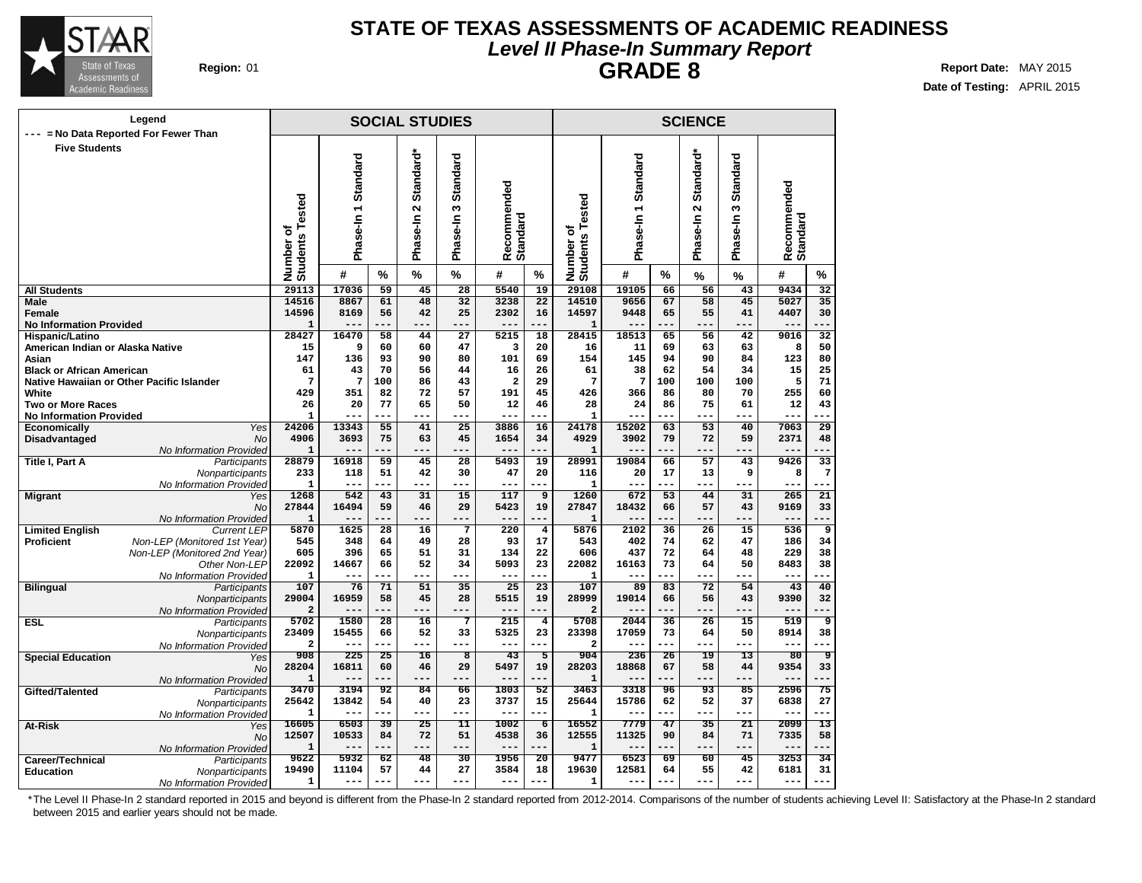

### **STATE OF TEXAS ASSESSMENTS OF ACADEMIC READINESS Level II Phase-In Summary Report GRADE 8 Region:** 01 **Report** Date: MAY 2015

**Date of Testing:** APRIL 2015

|                                                   | Legend                                     |                              |                     |                       | <b>SOCIAL STUDIES</b> |                         |                                |                      |                       |                       |           | <b>SCIENCE</b>        |                       |                         |                       |
|---------------------------------------------------|--------------------------------------------|------------------------------|---------------------|-----------------------|-----------------------|-------------------------|--------------------------------|----------------------|-----------------------|-----------------------|-----------|-----------------------|-----------------------|-------------------------|-----------------------|
| --- = No Data Reported For Fewer Than             |                                            |                              |                     |                       |                       |                         |                                |                      |                       |                       |           |                       |                       |                         |                       |
| <b>Five Students</b>                              |                                            |                              |                     |                       |                       |                         |                                |                      |                       |                       |           |                       |                       |                         |                       |
|                                                   |                                            |                              | Phase-In 1 Standard |                       | Standard*             | Standard                |                                |                      |                       | Standard              |           | Standard*             | <b>Standard</b>       |                         |                       |
|                                                   |                                            |                              |                     |                       |                       |                         |                                |                      |                       |                       |           |                       |                       |                         |                       |
|                                                   |                                            |                              |                     |                       |                       |                         | Recommended<br>Standard        |                      | ested                 |                       |           |                       |                       | Recommended<br>Standard |                       |
|                                                   |                                            |                              |                     |                       | $\sim$                | S                       |                                |                      |                       |                       |           | $\mathbf{\Omega}$     | S                     |                         |                       |
|                                                   |                                            |                              |                     |                       | Ise-In                | se-In                   |                                |                      | ۴<br>৳                |                       |           |                       | se-In                 |                         |                       |
|                                                   |                                            |                              |                     |                       |                       |                         |                                |                      |                       | Phase-In1             |           | Phase-In              |                       |                         |                       |
|                                                   |                                            |                              |                     |                       | Pha                   | Pha                     |                                |                      |                       |                       |           |                       | ma<br>E               |                         |                       |
|                                                   |                                            | Number of<br>Students Tested | #                   | %                     | $\frac{9}{6}$         | $\frac{9}{6}$           | #                              | %                    | Number of<br>Students | #                     | %         | %                     | %                     | #                       | %                     |
| <b>All Students</b>                               |                                            | 29113                        | 17036               | 59                    | 45                    | 28                      | 5540                           | 19                   | 29108                 | 19105                 | 66        | 56                    | 43                    | 9434                    | 32                    |
| Male                                              |                                            | 14516                        | 8867                | 61                    | 48                    | 32                      | 3238                           | 22                   | 14510                 | 9656                  | 67        | 58                    | 45                    | 5027                    | $\overline{35}$       |
| Female                                            |                                            | 14596<br>$\mathbf{1}$        | 8169<br>$- -$       | 56<br>.               | 42<br>$- - -$         | 25<br>---               | 2302<br>$- - -$                | 16<br>---            | 14597                 | 9448<br>---           | 65<br>--- | 55<br>---             | 41<br>---             | 4407<br>$- - -$         | 30<br>---             |
| <b>No Information Provided</b><br>Hispanic/Latino |                                            | 28427                        | 16470               | 58                    | 44                    | 27                      | 5215                           | 18                   | $\mathbf{1}$<br>28415 | 18513                 | 65        | 56                    | 42                    | 9016                    | $\overline{32}$       |
| American Indian or Alaska Native                  |                                            | 15                           | 9                   | 60                    | 60                    | 47                      | 3                              | 20                   | 16                    | 11                    | 69        | 63                    | 63                    | 8                       | 50                    |
| Asian                                             |                                            | 147                          | 136                 | 93                    | 90                    | 80                      | 101                            | 69                   | 154                   | 145                   | 94        | 90                    | 84                    | 123                     | 80                    |
| <b>Black or African American</b>                  |                                            | 61                           | 43                  | 70                    | 56                    | 44                      | 16                             | 26                   | 61                    | 38                    | 62        | 54                    | 34                    | 15                      | 25                    |
| White                                             | Native Hawaiian or Other Pacific Islander  | 7<br>429                     | 7<br>351            | 100<br>82             | 86<br>72              | 43<br>57                | $\overline{\mathbf{2}}$<br>191 | 29<br>45             | 7<br>426              | $\overline{7}$<br>366 | 100<br>86 | 100<br>80             | 100<br>70             | 5<br>255                | 71<br>60              |
| <b>Two or More Races</b>                          |                                            | 26                           | 20                  | 77                    | 65                    | 50                      | 12                             | 46                   | 28                    | 24                    | 86        | 75                    | 61                    | 12                      | 43                    |
| <b>No Information Provided</b>                    |                                            | $\mathbf{1}$                 | --                  |                       | ---                   | ---                     | $- -$                          |                      | $\mathbf{1}$          | --                    |           |                       |                       | ---                     |                       |
| Economically                                      | Yes                                        | 24206                        | 13343               | 55                    | 41                    | $\overline{25}$         | 3886                           | 16                   | 24178                 | 15202                 | 63        | $\overline{53}$       | 40                    | 7063                    | $\overline{29}$       |
| Disadvantaged                                     | <b>No</b><br>No Information Provided       | 4906<br>$\mathbf{1}$         | 3693                | 75                    | 63<br>---             | 45                      | 1654                           | 34<br>.              | 4929<br>$\mathbf{1}$  | 3902                  | 79        | 72                    | 59                    | 2371                    | 48                    |
| <b>Title I, Part A</b>                            | Participants                               | 28879                        | 16918               | 59                    | 45                    | 28                      | 5493                           | 19                   | 28991                 | 19084                 | 66        | 57                    | 43                    | 9426                    | 33                    |
|                                                   | Nonparticipants                            | 233                          | 118                 | 51                    | 42                    | 30                      | 47                             | 20                   | 116                   | 20                    | 17        | 13                    | 9                     | 8                       | 7                     |
|                                                   | No Information Provided                    | $\mathbf{1}$                 |                     | $- - -$               | ---                   | ---                     | $- -$                          |                      | 1                     |                       |           | ---                   | ---                   | $-$                     |                       |
| <b>Migrant</b>                                    | Yes                                        | 1268<br>27844                | 542<br>16494        | 43<br>59              | 31<br>46              | 15<br>29                | 117<br>5423                    | 9<br>19              | 1260<br>27847         | 672<br>18432          | 53<br>66  | 44<br>57              | 31<br>43              | 265<br>9169             | $\overline{21}$<br>33 |
|                                                   | No<br>No Information Provided              | $\mathbf{1}$                 |                     |                       |                       | ---                     | $---$                          | ---                  | $\mathbf{1}$          | $- -$                 |           |                       |                       | $---$                   | ---                   |
| <b>Limited English</b>                            | <b>Current LEP</b>                         | 5870                         | 1625                | 28                    | 16                    | $7\phantom{.0}$         | 220                            | $\overline{\bf 4}$   | 5876                  | 2102                  | 36        | 26                    | 15                    | 536                     | 9                     |
| <b>Proficient</b>                                 | Non-LEP (Monitored 1st Year)               | 545                          | 348                 | 64                    | 49                    | 28                      | 93                             | 17                   | 543                   | 402                   | 74        | 62                    | 47                    | 186                     | 34                    |
|                                                   | Non-LEP (Monitored 2nd Year)               | 605                          | 396                 | 65                    | 51                    | 31                      | 134                            | 22                   | 606                   | 437                   | 72        | 64                    | 48                    | 229                     | 38                    |
|                                                   | Other Non-LEP<br>No Information Provided   | 22092<br>$\mathbf{1}$        | 14667               | 66                    | 52<br>---             | 34<br>---               | 5093<br>$- - -$                | 23<br>.              | 22082<br>1            | 16163                 | 73        | 64<br>---             | 50                    | 8483<br>---             | 38                    |
| <b>Bilingual</b>                                  | Participants                               | 107                          | 76                  | 71                    | 51                    | 35                      | $\overline{25}$                | $\overline{23}$      | 107                   | 89                    | 83        | 72                    | 54                    | 43                      | 40                    |
|                                                   | Nonparticipants                            | 29004                        | 16959               | 58                    | 45                    | 28                      | 5515                           | 19                   | 28999                 | 19014                 | 66        | 56                    | 43                    | 9390                    | 32                    |
|                                                   | No Information Provided                    | $\overline{a}$               | ---                 | ---                   | ---                   | ---                     | $---$                          | ---                  | $\overline{a}$        | ---                   |           | ---                   | ---                   | $---$                   |                       |
| <b>ESL</b>                                        | Participants                               | 5702<br>23409                | 1580<br>15455       | $\overline{28}$<br>66 | 16<br>52              | $\overline{7}$<br>33    | 215<br>5325                    | $\overline{4}$<br>23 | 5708<br>23398         | 2044<br>17059         | 36<br>73  | $\overline{26}$<br>64 | $\overline{15}$<br>50 | 519<br>8914             | ॿ<br>38               |
|                                                   | Nonparticipants<br>No Information Provided | $\overline{a}$               | ---                 | ---                   | ---                   | ---                     | $---$                          | ---                  | $\overline{a}$        | ---                   | $---$     |                       | $---$                 | ---                     | ---                   |
| <b>Special Education</b>                          | Yes                                        | 908                          | 225                 | 25                    | 16                    | $\overline{\mathbf{8}}$ | 43                             | 5                    | 904                   | 236                   | 26        | 19                    | 13                    | 80                      | 9                     |
|                                                   | <b>No</b>                                  | 28204                        | 16811               | 60                    | 46                    | 29                      | 5497                           | 19                   | 28203                 | 18868                 | 67        | 58                    | 44                    | 9354                    | 33                    |
|                                                   | No Information Provided                    | $\mathbf{1}$<br>3470         |                     |                       | ---                   | ---                     | $- -$                          | ---<br>52            | $\mathbf{1}$<br>3463  | ---<br>3318           |           | 93                    |                       | $- -$                   |                       |
| Gifted/Talented                                   | Participants<br>Nonparticipants            | 25642                        | 3194<br>13842       | 92<br>54              | 84<br>40              | 66<br>23                | 1803<br>3737                   | 15                   | 25644                 | 15786                 | 96<br>62  | 52                    | 85<br>37              | 2596<br>6838            | 75<br>27              |
|                                                   | No Information Provided                    | 1                            | ---                 | ---                   | ---                   | ---                     | $---$                          | ---                  | 1                     | ---                   | $---$     | ---                   | $---$                 | $---$                   | ---                   |
| At-Risk                                           | Yes                                        | 16605                        | 6503                | 39                    | $\overline{25}$       | $\overline{11}$         | 1002                           | $\overline{6}$       | 16552                 | 7779                  | 47        | $\overline{35}$       | $\overline{21}$       | 2099                    | $\overline{13}$       |
|                                                   | <b>No</b>                                  | 12507                        | 10533               | 84                    | 72<br>---             | 51                      | 4538                           | 36                   | 12555                 | 11325                 | 90        | 84                    | 71                    | 7335                    | 58                    |
| Career/Technical                                  | No Information Provided<br>Participants    | $\mathbf{1}$<br>9622         | $- -$<br>5932       | ---<br>62             | 48                    | ---<br>30               | $---$<br>1956                  | ---<br>20            | 1<br>9477             | ---<br>6523           | 69        | ---<br>60             | ---<br>45             | $---$<br>3253           | 34                    |
| <b>Education</b>                                  | Nonparticipants                            | 19490                        | 11104               | 57                    | 44                    | 27                      | 3584                           | 18                   | 19630                 | 12581                 | 64        | 55                    | 42                    | 6181                    | 31                    |
|                                                   | No Information Provided                    | 1                            | $---$               | ---                   | $---$                 | ---                     | $- - -$                        | ---                  | 1                     | $---$                 | $---$     | $- - -$               | $---$                 | $---$                   | $---$                 |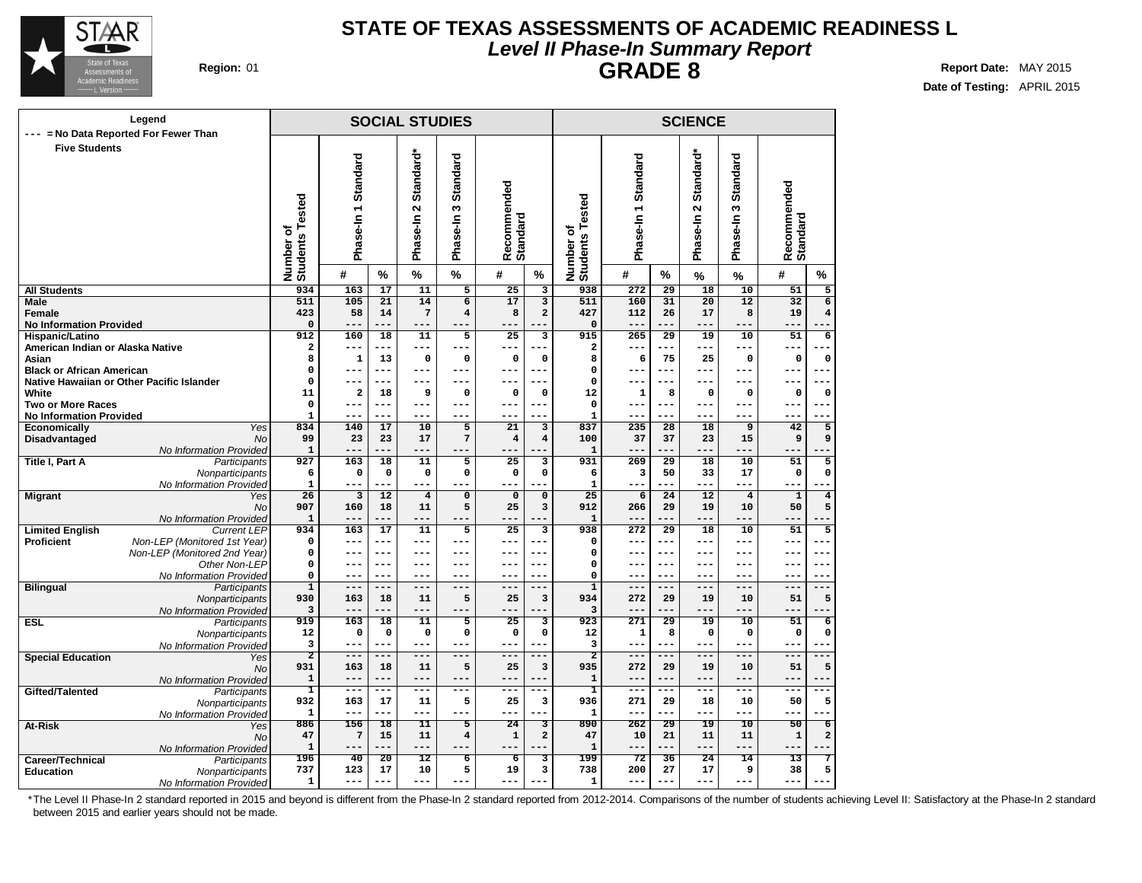

### **STATE OF TEXAS ASSESSMENTS OF ACADEMIC READINESS L Level II Phase-In Summary Report GRADE 8 Region:** 01 **Report** Date: MAY 2015

**Date of Testing:** APRIL 2015

|                                          | Legend                                        |                              |                                  |                       | <b>SOCIAL STUDIES</b>                         |                           |                                |                         |                              |                     |                       | <b>SCIENCE</b>                               |                           |                                                       |  |
|------------------------------------------|-----------------------------------------------|------------------------------|----------------------------------|-----------------------|-----------------------------------------------|---------------------------|--------------------------------|-------------------------|------------------------------|---------------------|-----------------------|----------------------------------------------|---------------------------|-------------------------------------------------------|--|
| <b>Five Students</b>                     | --- = No Data Reported For Fewer Than         | Number of<br>Students Tested | Phase-In 1 Standard              |                       | Standard*<br>$\mathbf{\tilde{z}}$<br>Phase-In | Standard<br>S<br>Phase-In | Recommended<br>Standard        |                         | Number of<br>Students Tested | Phase-In 1 Standard |                       | Standard*<br>$\boldsymbol{\sim}$<br>Phase-In | Standard<br>S<br>Phase-In | Recommended<br>Standard                               |  |
|                                          |                                               |                              | #                                | $\frac{0}{0}$         | $\%$                                          | $\%$                      | #                              | %                       |                              | #                   | %                     | %                                            | %                         | #<br>%                                                |  |
| <b>All Students</b>                      |                                               | 934                          | 163                              | 17                    | 11                                            | 5                         | 25                             | $\overline{\mathbf{3}}$ | 938                          | 272                 | $\overline{29}$       | 18                                           | 10                        | 51<br>5                                               |  |
| Male                                     |                                               | 511                          | 105                              | 21                    | 14                                            | $\overline{6}$            | 17                             | $\overline{\mathbf{3}}$ | 511                          | 160                 | 31                    | 20                                           | 12                        | $\overline{6}$<br>32                                  |  |
| Female<br><b>No Information Provided</b> |                                               | 423<br>$\mathbf 0$           | 58<br>$---$                      | 14                    | 7<br>---                                      | $\overline{\mathbf{4}}$   | 8                              | $\overline{a}$          | 427<br>0                     | 112<br>$---$        | 26                    | 17                                           | 8<br>---                  | 19<br>$\overline{\mathbf{4}}$                         |  |
| Hispanic/Latino                          |                                               | 912                          | 160                              | 18                    | 11                                            | 5                         | 25                             | 3                       | 915                          | 265                 | $\overline{29}$       | $\overline{19}$                              | 10                        | $\overline{6}$<br>51                                  |  |
| American Indian or Alaska Native         |                                               | $\overline{a}$               | $--$                             |                       | ---                                           | ---                       |                                |                         | 2                            | --                  |                       |                                              | ---                       | --                                                    |  |
| Asian                                    |                                               | 8                            | $\mathbf{1}$                     | 13                    | $\mathbf 0$                                   | $\mathbf 0$               | $\Omega$                       | $\Omega$                | 8                            | 6                   | 75                    | 25                                           | $\mathbf 0$               | $\mathbf 0$<br>$\mathbf 0$                            |  |
| <b>Black or African American</b>         |                                               | 0                            | $---$                            | ---                   | ---                                           | ---                       | $\sim$ $\sim$                  | $--$                    | $\Omega$                     | --                  | ---                   | $---$                                        | ---                       | $ -$<br>$ -$                                          |  |
|                                          | Native Hawaiian or Other Pacific Islander     | 0                            | $---$                            | ---                   | ---                                           | ---                       | ---                            | ---                     | $\mathbf 0$                  | ---                 | $---$                 | $---$                                        | ---                       | ---                                                   |  |
| White<br><b>Two or More Races</b>        |                                               | 11<br>0                      | $\overline{\mathbf{2}}$<br>$---$ | 18<br>---             | 9<br>---                                      | $\mathbf 0$<br>---        | $\mathbf 0$<br>$---$           | $\mathbf 0$<br>$---$    | 12<br>$\pmb{0}$              | 1<br>---            | 8<br>$---$            | 0<br>$---$                                   | 0<br>---                  | 0<br>$\mathbf 0$<br>$---$<br>$-- -$                   |  |
| <b>No Information Provided</b>           |                                               | $\mathbf{1}$                 |                                  | ---                   | ---                                           | ---                       |                                |                         | $\mathbf{1}$                 |                     |                       |                                              |                           |                                                       |  |
| Economically                             | Yes                                           | 834                          | 140                              | 17                    | 10                                            | 5                         | 21                             | 3                       | 837                          | 235                 | 28                    | 18                                           | 9                         | 42<br>5                                               |  |
| Disadvantaged                            | <b>No</b>                                     | 99                           | 23                               | 23                    | 17                                            | 7                         | $\overline{4}$                 | $\overline{4}$          | 100                          | 37                  | 37                    | 23                                           | 15                        | 9<br>9                                                |  |
|                                          | No Information Provided                       | $\mathbf{1}$                 | $---$                            | ---                   | ---                                           | ---                       |                                |                         | $\mathbf{1}$                 | $---$               |                       | ---                                          | ---                       |                                                       |  |
| Title I, Part A                          | Participants                                  | 927                          | 163                              | 18                    | 11                                            | 5                         | 25                             | 3                       | 931                          | 269                 | 29                    | 18                                           | 10                        | 51<br>5                                               |  |
|                                          | Nonparticipants<br>No Information Provided    | 6<br>1                       | 0<br>$- - -$                     | $\mathbf 0$           | $\mathbf 0$<br>---                            | 0                         | $\mathbf 0$                    | $\mathbf 0$             | 6<br>1                       | 3<br>---            | 50                    | 33<br>---                                    | 17<br>---                 | $\mathbf 0$<br>0                                      |  |
| <b>Migrant</b>                           | Yes                                           | $\overline{26}$              | $\overline{3}$                   | 12                    | $\overline{\mathbf{4}}$                       | $\mathbf 0$               | $\mathbf 0$                    | $\mathbf 0$             | $\overline{25}$              | 6                   | $\overline{24}$       | 12                                           | $\bf{4}$                  | $\overline{4}$<br>$\mathbf{1}$                        |  |
|                                          | No                                            | 907                          | 160                              | 18                    | 11                                            | 5                         | 25                             | 3                       | 912                          | 266                 | 29                    | 19                                           | 10                        | 5<br>50                                               |  |
|                                          | No Information Provided                       | $\mathbf{1}$                 | $---$                            | ---                   | ---                                           | ---                       | ---                            | ---                     | $\mathbf{1}$                 | $---$               |                       | ---                                          | ---                       | $---$<br>$-$                                          |  |
| <b>Limited English</b>                   | <b>Current LEP</b>                            | 934                          | 163                              | 17                    | 11                                            | $\overline{5}$            | 25                             | $\overline{\mathbf{3}}$ | 938                          | 272                 | $\overline{29}$       | 18                                           | 10                        | 51<br>$\overline{5}$                                  |  |
| Proficient                               | Non-LEP (Monitored 1st Year)                  | 0                            | $---$                            | ---                   | ---                                           | $---$                     | $---$                          | $---$                   | 0                            | ---                 | $---$                 | $---$                                        | ---                       | ---<br>$---$                                          |  |
|                                          | Non-LEP (Monitored 2nd Year)<br>Other Non-LEP | 0<br>0                       | $---$<br>$- -$                   | ---<br>---            | ---<br>---                                    | ---<br>---                | ---                            | ---<br>---              | $\mathbf 0$<br>0             | ---                 | $---$                 | ---                                          | ---                       | $---$<br>---<br>$-1$                                  |  |
|                                          | No Information Provided                       | 0                            | $- -$                            | ---                   | ---                                           | ---                       |                                | ---                     | 0                            |                     |                       |                                              |                           | $- -$                                                 |  |
| <b>Bilingual</b>                         | Participants                                  | $\overline{1}$               | $---$                            | ---                   | ---                                           | $---$                     | $- -$                          | ---                     | $\overline{1}$               | $---$               | $---$                 | $---$                                        | ---                       | $---$<br>---                                          |  |
|                                          | Nonparticipants                               | 930                          | 163                              | 18                    | 11                                            | 5                         | 25                             | $\overline{\mathbf{3}}$ | 934                          | 272                 | 29                    | 19                                           | 10                        | 5<br>51                                               |  |
|                                          | No Information Provided                       | 3                            | $- -$                            |                       | ---                                           |                           |                                |                         | 3                            | --                  |                       |                                              |                           | --                                                    |  |
| <b>ESL</b>                               | Participants                                  | 919                          | 163                              | 18                    | 11                                            | 5                         | 25                             | 3                       | 923                          | 271                 | 29                    | 19                                           | 10                        | 51<br>6                                               |  |
|                                          | Nonparticipants                               | 12<br>3                      | $\mathbf 0$<br>$---$             | 0<br>---              | 0<br>---                                      | 0<br>---                  | $\mathbf 0$<br>$---$           | 0<br>---                | 12<br>3                      | 1<br>---            | 8<br>---              | 0<br>$---$                                   | 0<br>---                  | $\mathbf 0$<br>0<br>$---$<br>$--$                     |  |
| <b>Special Education</b>                 | No Information Provided<br>Yes                | $\overline{2}$               | $---$                            | ---                   | ---                                           | $---$                     | $---$                          | ---                     | $\overline{2}$               | ===                 |                       | $---$                                        | ---                       | ---                                                   |  |
|                                          | No                                            | 931                          | 163                              | 18                    | 11                                            | 5                         | 25                             | $\overline{\mathbf{3}}$ | 935                          | 272                 | 29                    | 19                                           | 10                        | 51<br>5                                               |  |
|                                          | No Information Provided                       | ${\bf 1}$                    | $---$                            | $- -$                 | ---                                           | ---                       |                                | ---                     | 1                            | --                  |                       |                                              | $- -$                     | $- -$<br><b>.</b>                                     |  |
| Gifted/Talented                          | Participants                                  | T                            | $---$                            | ---                   | ---                                           | $---$                     | $---$                          | ---                     | ī                            | $- - -$             | ---                   | $---$                                        | ---                       | $---$<br>---                                          |  |
|                                          | Nonparticipants                               | 932                          | 163                              | 17                    | 11                                            | 5                         | 25                             | 3                       | 936                          | 271                 | 29                    | 18                                           | 10                        | 50<br>5                                               |  |
|                                          | No Information Provided                       | $\mathbf{1}$                 | $- - -$                          | ---                   | ---                                           | ---                       | $- - -$                        | ---                     | $\mathbf{1}$                 | ---                 | $- - -$               | $- - -$                                      | ---                       | $- - -$<br>$ -$                                       |  |
| At-Risk                                  | Yes                                           | 886<br>47                    | 156<br>7                         | $\overline{18}$<br>15 | 11<br>11                                      | 丂<br>4                    | $\overline{24}$<br>$\mathbf 1$ | 3<br>$\mathbf 2$        | 890<br>47                    | 262<br>10           | $\overline{29}$<br>21 | $\overline{19}$<br>11                        | $\overline{10}$<br>11     | $\overline{50}$<br>$\overline{6}$<br>2<br>$\mathbf 1$ |  |
|                                          | No<br>No Information Provided                 | $\mathbf{1}$                 | $---$                            | ---                   | ---                                           |                           |                                |                         | $\mathbf{1}$                 | ---                 |                       | $---$                                        | ---                       |                                                       |  |
| Career/Technical                         | Participants                                  | 196                          | 40                               | 20                    | $\overline{12}$                               | ъ                         | $\overline{6}$                 | 3                       | 199                          | $\overline{72}$     | 36                    | 24                                           | 14                        | 13<br>7                                               |  |
| <b>Education</b>                         | Nonparticipants                               | 737                          | 123                              | 17                    | 10                                            | 5                         | 19                             | 3                       | 738                          | 200                 | 27                    | 17                                           | 9                         | 5<br>38                                               |  |
|                                          | No Information Provided                       | $\mathbf{1}$                 | $---$                            |                       | ---                                           |                           |                                |                         | $\mathbf{1}$                 | ---                 |                       |                                              |                           |                                                       |  |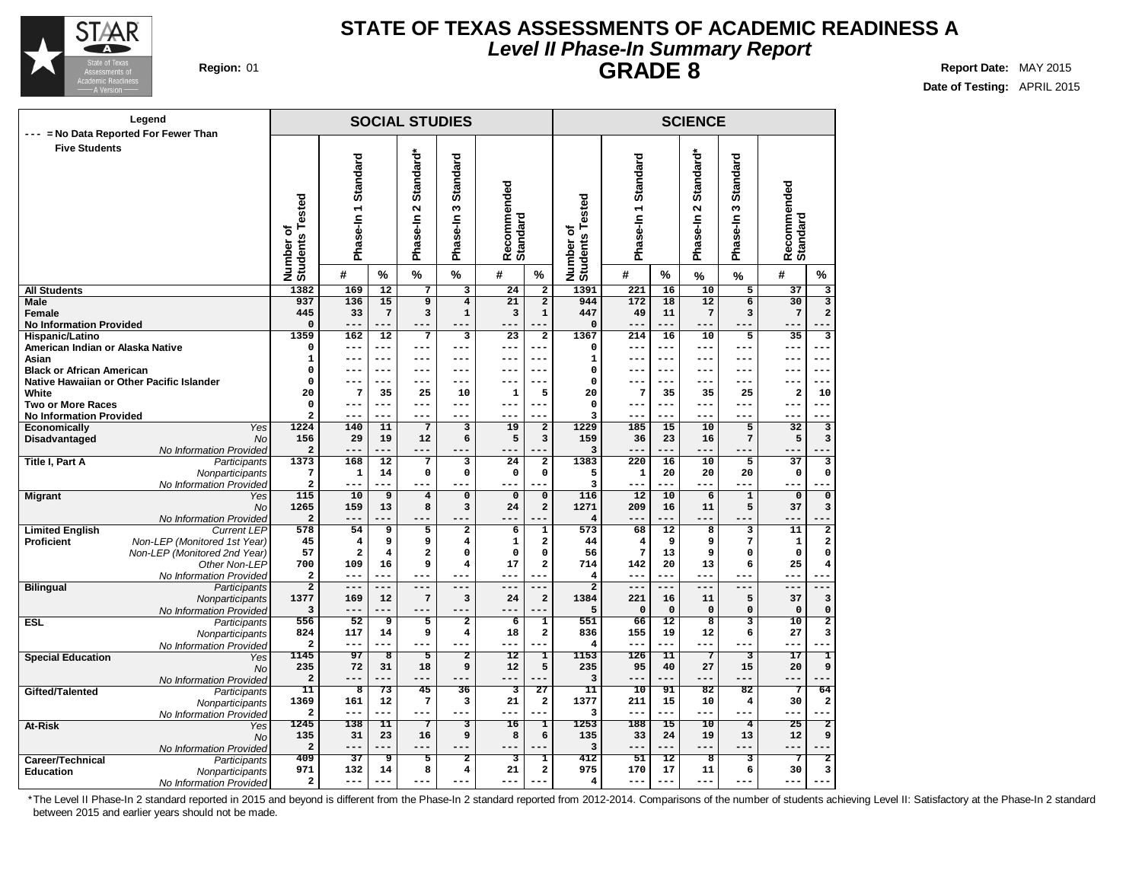

### **STATE OF TEXAS ASSESSMENTS OF ACADEMIC READINESS A Level II Phase-In Summary Report GRADE 8 Region:** 01 **Report Date:** MAY 2015

**Date of Testing:** APRIL 2015

### **SOCIAL STUDIES Phase-In 1 Standard Phase-In 2 Standard\* Phase-In Recom mended Standard Number of Students Tested # % % % # % Legend --- = No Data Reported For Fewer Than Five Students SCIENCE Number of Students Tested Phase-In 1 Standard Phase-In 3 Standard Phase-In 2 Standard\* Recom mended Standard # % % % # % 1391 221 16 10 5 37 3 944 172 18 12 6 30 3 447 49 11 7 3 7 2 0 --- --- --- --- --- --- 1367 214 16 10 5 35 3 0 --- --- --- --- --- --- 1 --- --- --- --- --- --- 0 --- --- --- --- --- --- 0 --- --- --- --- --- --- 20 7 35 35 25 2 10 0 --- --- --- --- --- --- 3 --- --- --- --- --- --- 1229 185 15 10 5 32 3 159 36 23 16 7 5 3 3 --- --- --- --- --- --- 1383 220 16 10 5 37 3 5 1 20 20 20 0 0 3 --- --- --- --- --- --- 116 12 10 6 1 0 0 1271 209 16 11 5 37 3 4 --- --- --- --- --- --- 573 68 12 8 3 11 2 44 4 9 9 7 1 2 56 7 13 9 0 0 0 714 142 20 13 6 25 4 4 --- --- --- --- --- --- 2 --- --- --- --- --- --- 1384 221 16 11 5 37 3 5 0 0 0 0 0 0 551 66 12 8 3 10 2 836 155 19 12 6 27 3 4 --- --- --- --- --- --- 1153 126 11 7 3 17 1 235 95 40 27 15 20 9 3 --- --- --- --- --- --- 11 10 91 82 82 7 64 1377 211 15 10 4 30 2 3 --- --- --- --- --- --- 1253 188 15 10 4 25 2 135 33 24 19 13 12 9 3 --- --- --- --- --- --- 412 51 12 8 3 7 2 975 170 17 11 6 30 3 4 --- --- --- --- --- --- All Students Male Female No Information Provided Hispanic/Latino American Indian or Alaska Native Asian Black or African American Native Hawaiian or Other Pacific Islander White Two or More Races No Information Provided Economically** Yes **Disadvantaged** No No Information Provided **Title I, Part A** Participants **Nonparticipants** No Information Provided **Migrant** Yes No No Information Provided **Limited English Proficient Non-LEP** (Monitored 1st Year) Non-LEP (Monitored 2nd Year) Other Non-LEP No Information Provided **Bilingual** Participants **Nonparticipants** No Information Provided **ESL** Participants **Nonparticipants** No Information Provided **Special Education** Yes N<sub>c</sub> No Information Provided **Gifted/Talented Nonparticipants** No Information Provided **At-Risk** Yes No No Information Provided **Career/Technical** Participants<br> **Education** Monparticipants **Education** Nonparticipants No Information Provided **1382 169 12 7 3 24 2 937 136 15 9 4 21 2 445 33 7 3 1 3 1 0 --- --- --- --- --- --- 1359 162 12 7 3 23 2 0 --- --- --- --- --- --- 1 --- --- --- --- --- --- 0 --- --- --- --- --- --- 0 --- --- --- --- --- --- 20 7 35 25 10 1 5 0 --- --- --- --- --- --- 2 --- --- --- --- --- --- 1224 140 11 7 3 19 2 156 29 19 12 6 5 3 2 --- --- --- --- --- --- 1373 168 12 7 3 24 2 7 1 14 0 0 0 0 2 --- --- --- --- --- --- 115 10 9 4 0 0 0 1265 159 13 8 3 24 2 2 --- --- --- --- --- --- 578 54 9 5 2 6 1 45 4 9 9 4 1 2 57 2 4 2 0 0 0 700 109 16 9 4 17 2 2 --- --- --- --- --- --- 2 --- --- --- --- --- --- 1377 169 12 7 3 24 2 3 --- --- --- --- --- --- 556 52 9 5 2 6 1 824 117 14 9 4 18 2 2 --- --- --- --- --- --- 1145 97 8 5 2 12 1 235 72 31 18 9 12 5 2 --- --- --- --- --- --- 11 8 73 45 36 3 27 1369 161 12 7 3 21 2 2 --- --- --- --- --- --- 1245 138 11 7 3 16 1 135 31 23 16 9 8 6 2 --- --- --- --- --- --- 409 37 9 5 2 3 1 971 132 14 8 4 21 2 2 --- --- --- --- --- ---**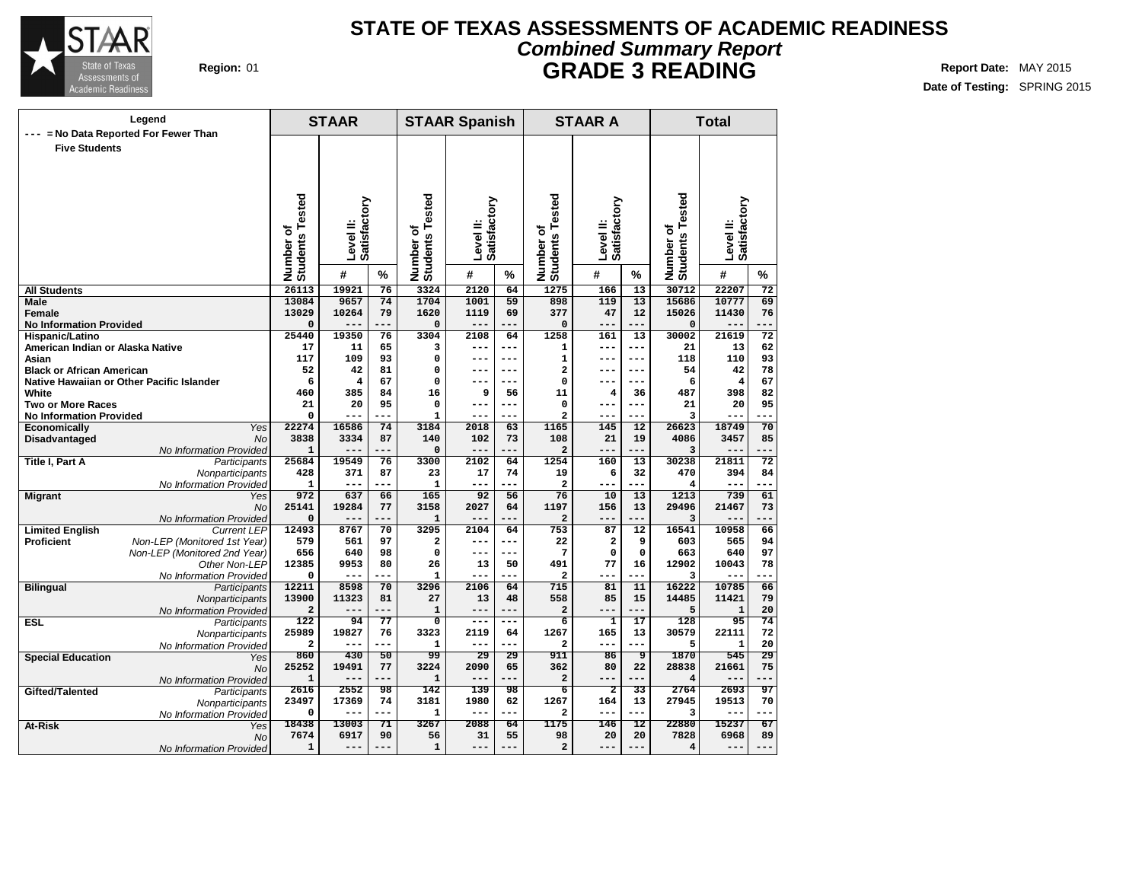

## **Region:** 01 **Report Date:** MAY 2015 **Report Date:** MAY 2015 **STATE OF TEXAS ASSESSMENTS OF ACADEMIC READINESS Combined Summary Report GRADE 3 READING**

| Legend<br>= No Data Reported For Fewer Than |                                                              |                                  | <b>STAAR</b> |           | <b>STAAR Spanish</b>        |                 |            | <b>STAAR A</b>                  |                                        | <b>Total</b>    |                              |                           |                 |
|---------------------------------------------|--------------------------------------------------------------|----------------------------------|--------------|-----------|-----------------------------|-----------------|------------|---------------------------------|----------------------------------------|-----------------|------------------------------|---------------------------|-----------------|
| <b>Five Students</b>                        |                                                              |                                  |              |           |                             |                 |            |                                 |                                        |                 |                              |                           |                 |
|                                             |                                                              |                                  |              |           |                             |                 |            |                                 |                                        |                 |                              |                           |                 |
|                                             |                                                              |                                  |              |           |                             |                 |            |                                 |                                        |                 |                              |                           |                 |
|                                             |                                                              |                                  |              |           |                             |                 |            | sted                            |                                        |                 | Number of<br>Students Tested | Level II:<br>Satisfactory |                 |
|                                             |                                                              |                                  | Satisfactory |           | Tested                      | Satisfactory    |            | ق                               |                                        |                 |                              |                           |                 |
|                                             |                                                              | ৳                                | Level II:    |           | ō                           | Level II:       |            |                                 | Satisfactory<br><b>Level</b>           |                 |                              |                           |                 |
|                                             |                                                              | <b>Students Tested</b><br>Number |              |           | Number of<br>Students       |                 |            |                                 |                                        |                 |                              |                           |                 |
|                                             |                                                              |                                  | #            | %         |                             | #               | %          | Number of<br>Students To        | #<br>%                                 |                 |                              | #                         | %               |
| <b>All Students</b>                         |                                                              | 26113                            | 19921        | 76        | 3324                        | 2120            | 64         | 1275                            | 166                                    | 13              | 30712                        | 22207                     | 72              |
| <b>Male</b>                                 |                                                              | 13084                            | 9657         | 74        | 1704                        | 1001            | 59         | 898                             | 119                                    | 13              | 15686                        | 10777                     | 69              |
| Female<br><b>No Information Provided</b>    |                                                              | 13029<br>0                       | 10264        | 79<br>--- | 1620<br>$\mathbf 0$         | 1119<br>$- - -$ | 69         | 377<br>$\mathbf 0$              | 47<br>$- - -$                          | 12<br>---       | 15026<br>0                   | 11430                     | 76<br>---       |
| Hispanic/Latino                             |                                                              | 25440                            | 19350        | 76        | 3304                        | 2108            | 64         | 1258                            | 161                                    | 13              | 30002                        | 21619                     | $\overline{72}$ |
| American Indian or Alaska Native            |                                                              | 17                               | 11           | 65        | 3                           | $---$           | ---        | 1                               | $---$                                  | ---             | 21                           | 13                        | 62              |
| Asian                                       |                                                              | 117                              | 109          | 93        | 0                           | $---$           | $---$      | $\mathbf{1}$                    | $---$                                  | $---$           | 118                          | 110                       | 93              |
| <b>Black or African American</b>            |                                                              | 52                               | 42           | 81        | 0                           | $- - -$         | ---        | $\overline{\mathbf{2}}$         | $---$                                  | ---             | 54                           | 42                        | 78              |
| Native Hawaiian or Other Pacific Islander   |                                                              | 6                                | 4            | 67        | $\Omega$                    |                 | ---        | 0                               |                                        | $---$           | 6                            | $\overline{4}$            | 67              |
| White                                       |                                                              | 460                              | 385          | 84        | 16                          | 9               | 56         | 11                              | $\overline{\mathbf{4}}$                | 36              | 487                          | 398                       | 82              |
| <b>Two or More Races</b>                    |                                                              | 21                               | 20           | 95        | 0                           | $- - -$         | ---        | 0                               | $---$                                  | ---             | 21                           | 20                        | 95              |
| <b>No Information Provided</b>              | Yes                                                          | 0<br>22274                       | ---<br>16586 | ---<br>74 | $\mathbf{1}$<br>3184        | $---$<br>2018   | ---<br>63  | $\overline{\mathbf{2}}$<br>1165 | ---<br>145                             | ---<br>12       | 3<br>26623                   | 18749                     | 70              |
| Economically<br>Disadvantaged               | <b>No</b>                                                    | 3838                             | 3334         | 87        | 140                         | 102             | 73         | 108                             | 21                                     | 19              | 4086                         | 3457                      | 85              |
|                                             | No Information Provided                                      | 1                                | $- - -$      | ---       | $\mathbf 0$                 | $---$           | ---        | $\overline{\mathbf{2}}$         | $---$                                  | ---             | 3                            |                           | ---             |
| Title I, Part A                             | Participants                                                 | 25684                            | 19549        | 76        | 3300                        | 2102            | 64         | 1254                            | 160                                    | 13              | 30238                        | 21811                     | $\overline{72}$ |
|                                             | Nonparticipants                                              | 428                              | 371          | 87        | 23                          | 17              | 74         | 19                              | 6                                      | 32              | 470                          | 394                       | 84              |
|                                             | No Information Provided                                      | $\mathbf 1$                      | ---          | ---       | 1                           | $---$           | $- -$      | 2                               | $---$                                  | ---             | 4                            | ---                       | ---             |
| <b>Migrant</b>                              | Yes                                                          | 972                              | 637          | 66        | 165                         | 92              | 56         | 76                              | 10                                     | 13              | 1213                         | 739                       | 61              |
|                                             | <b>No</b>                                                    | 25141                            | 19284        | 77        | 3158                        | 2027            | 64         | 1197                            | 156                                    | 13              | 29496                        | 21467                     | 73              |
|                                             | No Information Provided                                      | 0                                |              | .         | $\mathbf{1}$                | $---$           | .          | $\mathbf{2}$                    | ---                                    | ---             | 3                            | $- -$                     |                 |
| <b>Limited English</b>                      | <b>Current LEP</b>                                           | 12493                            | 8767         | 70        | 3295                        | 2104            | 64         | 753                             | 87                                     | 12              | 16541                        | 10958                     | 66              |
| <b>Proficient</b>                           | Non-LEP (Monitored 1st Year)<br>Non-LEP (Monitored 2nd Year) | 579<br>656                       | 561<br>640   | 97<br>98  | $\mathbf{2}$<br>$\mathbf 0$ | $---$<br>$---$  | ---<br>--- | 22<br>7                         | $\overline{\mathbf{2}}$<br>$\mathbf 0$ | 9<br>$\Omega$   | 603<br>663                   | 565<br>640                | 94<br>97        |
|                                             | Other Non-LEP                                                | 12385                            | 9953         | 80        | 26                          | 13              | 50         | 491                             | 77                                     | 16              | 12902                        | 10043                     | 78              |
|                                             | No Information Provided                                      | 0                                | ---          | ---       | $\mathbf{1}$                | $- - -$         | ---        | $\overline{a}$                  | $---$                                  | ---             | 3                            | $- -$                     | ---             |
| <b>Bilingual</b>                            | Participants                                                 | 12211                            | 8598         | 70        | 3296                        | 2106            | 64         | 715                             | 81                                     | 11              | 16222                        | 10785                     | 66              |
|                                             | Nonparticipants                                              | 13900                            | 11323        | 81        | 27                          | 13              | 48         | 558                             | 85                                     | 15              | 14485                        | 11421                     | 79              |
|                                             | No Information Provided                                      | $\overline{a}$                   |              | ---       | $\mathbf{1}$                | ---             |            | $\overline{a}$                  |                                        | ---             | 5                            | $\mathbf{1}$              | 20              |
| <b>ESL</b>                                  | Participants                                                 | 122                              | 94           | 77        | $\overline{\mathfrak{o}}$   | $---$           | ---        | 6                               | $\mathbf{1}$                           | 17              | 128                          | $\overline{95}$           | 74              |
|                                             | Nonparticipants                                              | 25989                            | 19827        | 76        | 3323                        | 2119            | 64         | 1267                            | 165                                    | 13              | 30579                        | 22111                     | 72              |
|                                             | No Information Provided                                      | $\overline{a}$                   | ---          | ---       | $\mathbf{1}$                | ---             | ---        | $\overline{\mathbf{2}}$         | $---$                                  | ---             | 5                            | $\mathbf{1}$              | 20              |
| <b>Special Education</b>                    | Yes                                                          | 860<br>25252                     | 430<br>19491 | 50<br>77  | 99<br>3224                  | 29<br>2090      | 29<br>65   | 911<br>362                      | 86<br>80                               | 9<br>22         | 1870<br>28838                | 545<br>21661              | 29<br>75        |
|                                             | <b>No</b><br>No Information Provided                         | $\mathbf 1$                      | $---$        | ---       | 1                           | $---$           | ---        | $\mathbf{2}$                    | $--$                                   | ---             | 4                            | --                        | $--$            |
| Gifted/Talented                             | Participants                                                 | 2616                             | 2552         | 98        | 142                         | 139             | 98         | $\overline{6}$                  | $\overline{2}$                         | $\overline{33}$ | 2764                         | 2693                      | 97              |
|                                             | Nonparticipants                                              | 23497                            | 17369        | 74        | 3181                        | 1980            | 62         | 1267                            | 164                                    | 13              | 27945                        | 19513                     | 70              |
|                                             | No Information Provided                                      | 0                                | ---          | ---       | 1                           | $---$           | ---        | $\mathbf{2}$                    | $---$                                  | ---             | 3                            | ---                       | $--$            |
| At-Risk                                     | Yes                                                          | 18438                            | 13003        | 71        | 3267                        | 2088            | 64         | 1175                            | 146                                    | 12              | 22880                        | 15237                     | 67              |
|                                             | No                                                           | 7674                             | 6917         | 90        | 56                          | 31              | 55         | 98                              | 20                                     | 20              | 7828                         | 6968                      | 89              |
|                                             | No Information Provided                                      | 1                                | ---          | $---$     | 1                           | $---$           | $---$      | $\overline{\mathbf{2}}$         | $---$                                  | ---             | 4                            | --                        | ---             |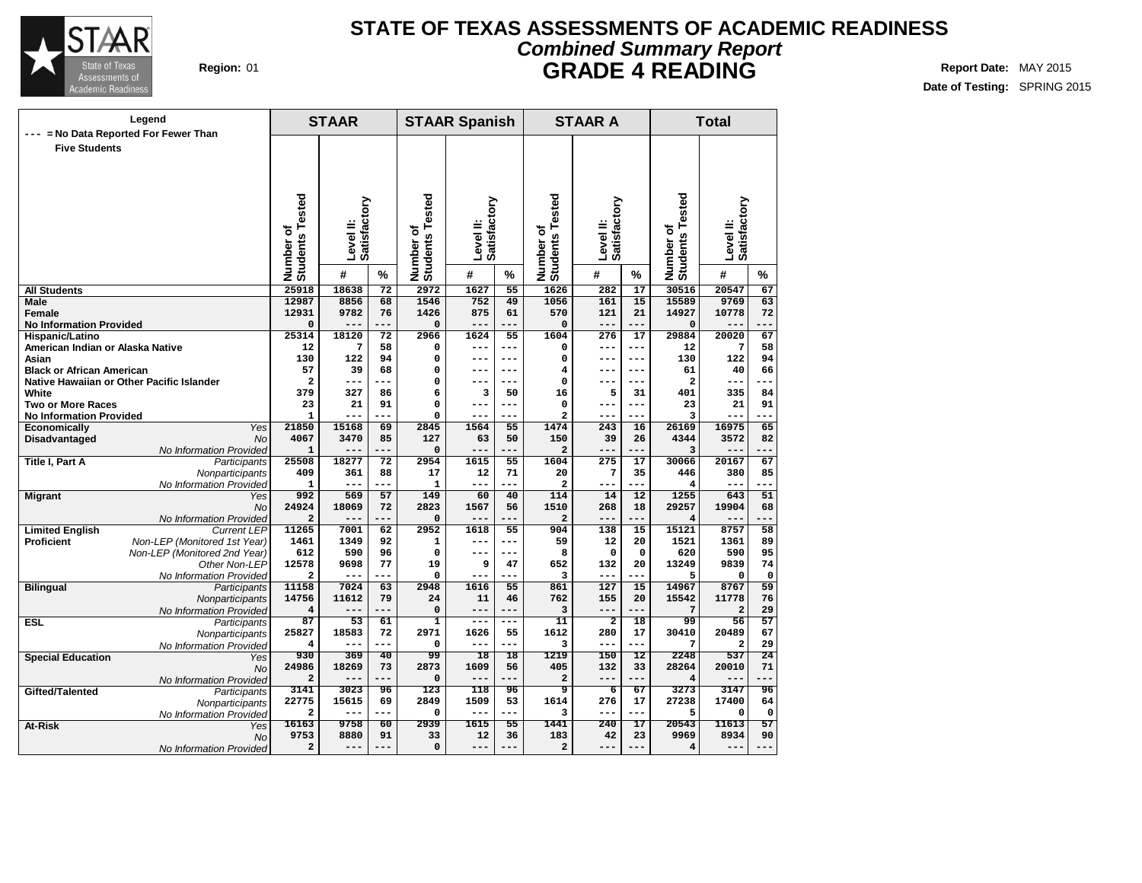

## **Region:** 01 **Report Date:** MAY 2015 **Report Date:** MAY 2015 **STATE OF TEXAS ASSESSMENTS OF ACADEMIC READINESS Combined Summary Report GRADE 4 READING**

| Legend<br>= No Data Reported For Fewer Than |                                           |                                          | <b>STAAR</b> |                       | <b>STAAR Spanish</b>      |                          |                 | <b>STAAR A</b>                        |                         | <b>Total</b>                 |                                      |                         |                 |
|---------------------------------------------|-------------------------------------------|------------------------------------------|--------------|-----------------------|---------------------------|--------------------------|-----------------|---------------------------------------|-------------------------|------------------------------|--------------------------------------|-------------------------|-----------------|
| <b>Five Students</b>                        |                                           | Tested<br>Satisfactory<br>Level II:<br>৳ |              | Tested<br>٥           | Satisfactory<br>Level II: |                          | sted<br>٥       | Satisfactory<br>Level <sup>II</sup> : |                         | Number of<br>Students Tested | Satisfactory<br>Level <sup>II:</sup> |                         |                 |
|                                             |                                           | Number of<br>Students                    |              | Number o'<br>Students |                           | Number of<br>Students To |                 |                                       |                         |                              |                                      |                         |                 |
|                                             |                                           |                                          | #            | $\frac{9}{6}$         |                           | #                        | %               |                                       | #                       | $\%$                         |                                      | #                       | $\%$            |
| <b>All Students</b>                         |                                           | 25918                                    | 18638        | $\overline{72}$       | 2972                      | 1627                     | $\overline{55}$ | 1626                                  | 282                     | $\overline{17}$              | 30516                                | 20547                   | 67              |
| Male                                        |                                           | 12987                                    | 8856         | 68                    | 1546                      | 752                      | 49              | 1056                                  | 161                     | $\overline{15}$              | 15589                                | 9769                    | 63              |
| Female                                      |                                           | 12931                                    | 9782         | 76                    | 1426                      | 875                      | 61              | 570                                   | 121                     | 21                           | 14927                                | 10778                   | 72              |
| <b>No Information Provided</b>              |                                           | 0                                        | ---          | ---                   | $\mathbf 0$               | $---$                    | ---             | $\mathbf 0$                           | $---$                   | ---                          | 0                                    | $- -$                   | ---             |
| Hispanic/Latino                             |                                           | 25314                                    | 18120        | 72                    | 2966                      | 1624                     | 55<br>---       | 1604                                  | 276                     | 17                           | 29884                                | 20020                   | 67              |
| American Indian or Alaska Native<br>Asian   |                                           | 12<br>130                                | 7<br>122     | 58<br>94              | 0<br>0                    | $---$<br>$---$           | $---$           | 0<br>0                                | $---$<br>$---$          | $---$<br>$---$               | 12<br>130                            | 7<br>122                | 58<br>94        |
| <b>Black or African American</b>            |                                           | 57                                       | 39           | 68                    | $\Omega$                  | $---$                    | ---             | 4                                     | $---$                   | $- - -$                      | 61                                   | 40                      | 66              |
|                                             | Native Hawaiian or Other Pacific Islander | $\overline{\mathbf{c}}$                  | ---          | ---                   | $\Omega$                  | $---$                    | ---             | 0                                     | $---$                   | $---$                        | $\overline{\mathbf{c}}$              | ---                     | ---             |
| White                                       |                                           | 379                                      | 327          | 86                    | 6                         | з                        | 50              | 16                                    | 5                       | 31                           | 401                                  | 335                     | 84              |
| <b>Two or More Races</b>                    |                                           | 23                                       | 21           | 91                    | 0                         | $---$                    | ---             | 0                                     | $---$                   | ---                          | 23                                   | 21                      | 91              |
| <b>No Information Provided</b>              |                                           | $\mathbf{1}$                             | ---          |                       | $\Omega$                  | $---$                    | ---             | $\overline{\mathbf{2}}$               | $---$                   | ---                          | 3                                    | ---                     | ---             |
| Economically                                | Yes                                       | 21850                                    | 15168        | 69                    | 2845                      | 1564                     | 55              | 1474                                  | 243                     | 16                           | 26169                                | 16975                   | 65              |
| Disadvantaged                               | <b>No</b>                                 | 4067                                     | 3470         | 85                    | 127                       | 63                       | 50              | 150                                   | 39                      | 26                           | 4344                                 | 3572                    | 82              |
|                                             | No Information Provided                   | 1                                        |              | ---                   | $\mathbf 0$               |                          |                 | $\overline{a}$                        | ---                     |                              | 3                                    |                         |                 |
| Title I, Part A                             | Participants                              | 25508                                    | 18277        | 72                    | 2954                      | 1615                     | 55              | 1604                                  | 275                     | 17                           | 30066                                | 20167                   | 67              |
|                                             | Nonparticipants                           | 409                                      | 361          | 88                    | 17                        | 12                       | 71              | 20                                    | 7                       | 35                           | 446                                  | 380                     | 85              |
|                                             | No Information Provided                   | 1                                        | ---          | ---                   | $\mathbf{1}$              | $---$                    | ---             | 2                                     | $---$                   | ---                          | 4                                    | ---                     | ---             |
| <b>Migrant</b>                              | Yes                                       | 992                                      | 569          | 57                    | 149                       | 60                       | 40              | 114                                   | 14                      | 12                           | 1255                                 | 643                     | 51              |
|                                             | <b>No</b>                                 | 24924                                    | 18069        | 72                    | 2823                      | 1567                     | 56              | 1510                                  | 268                     | 18                           | 29257                                | 19904                   | 68              |
|                                             | No Information Provided                   | $\overline{a}$                           |              | ---                   | $\mathbf 0$               | ---                      |                 | $\overline{a}$                        | ---                     | ---                          | 4                                    |                         | ---             |
| <b>Limited English</b>                      | <b>Current LEP</b>                        | 11265                                    | 7001         | 62                    | 2952                      | 1618                     | 55              | 904                                   | 138                     | 15                           | 15121                                | 8757                    | $\overline{58}$ |
| <b>Proficient</b>                           | Non-LEP (Monitored 1st Year)              | 1461                                     | 1349         | 92                    | $\mathbf{1}$              | $---$                    | ---             | 59                                    | 12                      | 20                           | 1521                                 | 1361                    | 89              |
|                                             | Non-LEP (Monitored 2nd Year)              | 612                                      | 590          | 96                    | 0                         | $- - -$                  | ---             | 8                                     | $\mathbf 0$             | $\mathbf 0$                  | 620                                  | 590                     | 95              |
|                                             | Other Non-LEP                             | 12578                                    | 9698         | 77                    | 19                        | 9                        | 47              | 652                                   | 132                     | 20                           | 13249                                | 9839                    | 74              |
|                                             | No Information Provided                   | $\overline{a}$                           | $---$        | ---                   | $\Omega$                  | $---$                    | ---             | 3                                     | $---$                   | ---                          | 5                                    | $\Omega$                | $\mathsf{o}\,$  |
| <b>Bilingual</b>                            | Participants                              | 11158                                    | 7024         | 63                    | 2948                      | 1616                     | 55              | 861                                   | 127                     | 15                           | 14967                                | 8767                    | 59              |
|                                             | Nonparticipants                           | 14756                                    | 11612        | 79                    | 24                        | 11                       | 46              | 762                                   | 155                     | 20                           | 15542                                | 11778                   | 76              |
|                                             | No Information Provided                   | 4                                        | ---          | ---                   | $\mathbf 0$               | $---$                    | ---             | з                                     | $---$                   | ---                          | 7                                    | $\overline{\mathbf{2}}$ | 29              |
| <b>ESL</b>                                  | Participants                              | 87                                       | 53           | 61                    | $\mathbf 1$               | $- - -$                  | ---             | 11                                    | $\overline{\mathbf{2}}$ | 18                           | 99                                   | 56                      | 57<br>67        |
|                                             | Nonparticipants                           | 25827<br>4                               | 18583        | 72<br>---             | 2971<br>$\Omega$          | 1626                     | 55<br>---       | 1612                                  | 280<br>$---$            | 17<br>---                    | 30410<br>7                           | 20489                   |                 |
|                                             | No Information Provided                   | 930                                      | $---$<br>369 | 40                    | 99                        | $---$<br>18              | 18              | 3<br>1219                             | 150                     | 12                           | 2248                                 | $\overline{a}$<br>537   | 29<br>24        |
| <b>Special Education</b>                    | Yes                                       | 24986                                    | 18269        | 73                    | 2873                      | 1609                     | 56              | 405                                   | 132                     | 33                           | 28264                                | 20010                   | 71              |
|                                             | <b>No</b>                                 | $\overline{a}$                           |              | ---                   | $\Omega$                  | $---$                    |                 | $\overline{a}$                        | $---$                   | ---                          | 4                                    |                         |                 |
| Gifted/Talented                             | No Information Provided                   | 3141                                     | 3023         | 96                    | 123                       | 118                      | 96              | ब्र                                   | $\overline{6}$          | 67                           | 3273                                 | 3147                    | 96              |
|                                             | Participants                              | 22775                                    | 15615        | 69                    | 2849                      | 1509                     | 53              | 1614                                  | 276                     | 17                           | 27238                                | 17400                   | 64              |
|                                             | Nonparticipants                           | $\overline{a}$                           | ---          | ---                   | $\mathbf 0$               | $---$                    | ---             | 3                                     | ---                     | ---                          | 5                                    | 0                       | $\mathbf 0$     |
| At-Risk                                     | No Information Provided                   | 16163                                    | 9758         | $\overline{60}$       | 2939                      | 1615                     | $\overline{55}$ | 1441                                  | 240                     | $\overline{17}$              | 20543                                | 11613                   | $\overline{57}$ |
|                                             | Yes<br>No                                 | 9753                                     | 8880         | 91                    | 33                        | 12                       | 36              | 183                                   | 42                      | 23                           | 9969                                 | 8934                    | 90              |
|                                             | No Information Provided                   | 2                                        | ---          | $---$                 | $\mathbf 0$               | ---                      | ---             | $\mathbf{2}$                          | ---                     | ---                          | 4                                    | ---                     | ---             |
|                                             |                                           |                                          |              |                       |                           |                          |                 |                                       |                         |                              |                                      |                         |                 |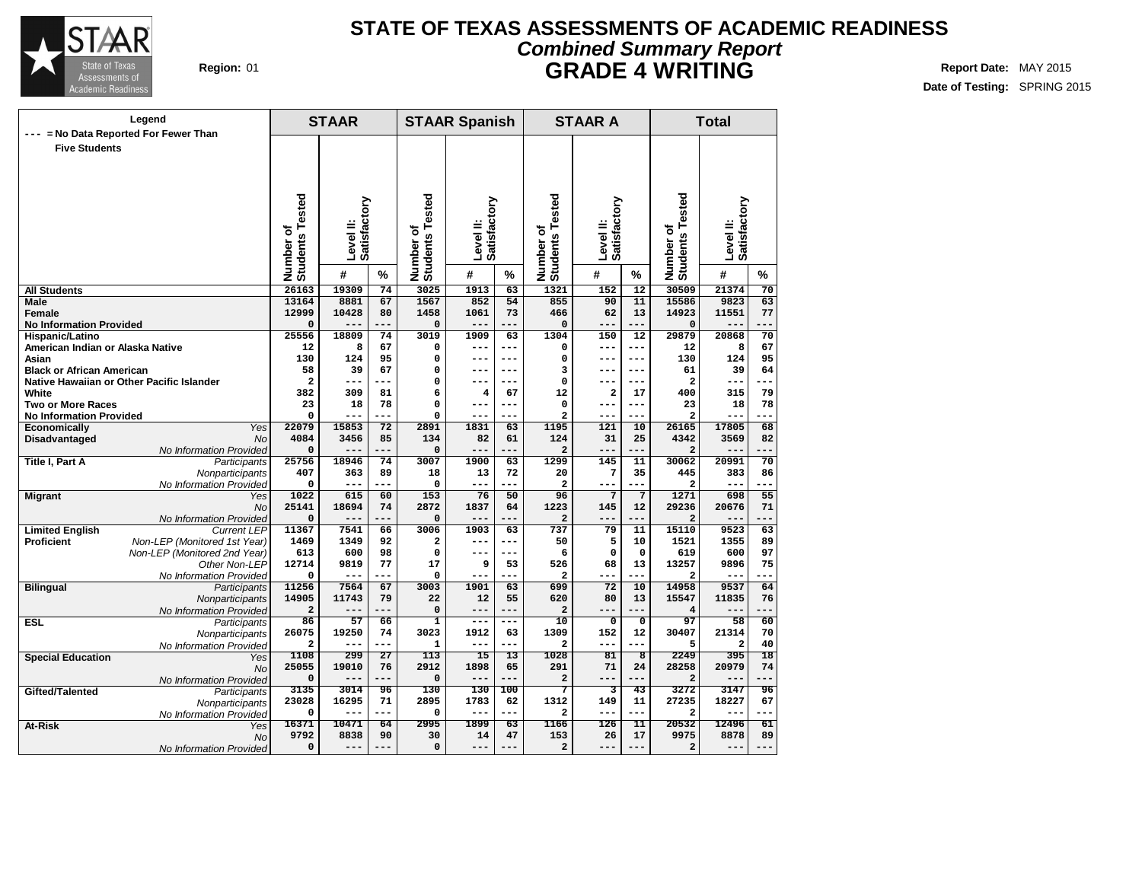

## **Region:** 01 **Report Date:** MAY 2015 **Report Date:** MAY 2015 **Report Date:** MAY 2015 **STATE OF TEXAS ASSESSMENTS OF ACADEMIC READINESS Combined Summary Report GRADE 4 WRITING**

| Legend                                             |                                 | <b>STAAR</b>                     |               | <b>STAAR Spanish</b> |                                        |                     | <b>STAAR A</b>  |                                | <b>Total</b>           |                         |                                 |                |                 |
|----------------------------------------------------|---------------------------------|----------------------------------|---------------|----------------------|----------------------------------------|---------------------|-----------------|--------------------------------|------------------------|-------------------------|---------------------------------|----------------|-----------------|
| --- = No Data Reported For Fewer Than              |                                 |                                  |               |                      |                                        |                     |                 |                                |                        |                         |                                 |                |                 |
| <b>Five Students</b>                               |                                 |                                  |               |                      |                                        |                     |                 |                                |                        |                         |                                 |                |                 |
|                                                    |                                 |                                  |               |                      |                                        |                     |                 |                                |                        |                         |                                 |                |                 |
|                                                    |                                 |                                  |               |                      |                                        |                     |                 |                                |                        |                         |                                 |                |                 |
|                                                    |                                 |                                  |               |                      |                                        |                     |                 |                                |                        |                         |                                 |                |                 |
|                                                    |                                 |                                  |               |                      |                                        |                     |                 |                                |                        |                         |                                 |                |                 |
|                                                    |                                 |                                  | Satisfactory  |                      |                                        |                     |                 | sted                           |                        |                         |                                 | Satisfactory   |                 |
|                                                    |                                 |                                  |               |                      |                                        | Satisfactory        |                 | Φ<br>۴                         | Satisfactory           |                         |                                 |                |                 |
|                                                    |                                 | ئ                                |               |                      |                                        |                     |                 | ৳                              |                        |                         |                                 |                |                 |
|                                                    |                                 |                                  | Level II:     |                      |                                        | Level II:           |                 |                                | Level <sup>II</sup> :  |                         |                                 | Level II:      |                 |
|                                                    |                                 |                                  |               |                      |                                        |                     |                 |                                |                        |                         |                                 |                |                 |
|                                                    |                                 | <b>Students Tested</b><br>Number | #             | %                    | Number of<br>Students Tested           | #                   | $\%$            | Number o<br>Students           | #                      | %                       | Number of<br>Students Tested    | #              | $\frac{9}{6}$   |
| <b>All Students</b>                                |                                 | 26163                            | 19309         | 74                   | 3025                                   | 1913                | 63              | 1321                           | 152                    | $\overline{12}$         | 30509                           | 21374          | $\overline{70}$ |
| <b>Male</b>                                        |                                 | 13164                            | 8881          | 67                   | 1567                                   | 852                 | 54              | 855                            | 90                     | 11                      | 15586                           | 9823           | 63              |
| Female                                             |                                 | 12999                            | 10428         | 80                   | 1458                                   | 1061                | 73              | 466                            | 62                     | 13                      | 14923                           | 11551          | 77              |
| <b>No Information Provided</b>                     |                                 | $\Omega$                         | $---$         | ---                  | $\mathbf 0$                            | $---$               | ---             | $\mathbf 0$                    | ---                    | ---                     | $\mathbf 0$                     | ---            | .               |
| Hispanic/Latino                                    |                                 | 25556                            | 18809         | $\overline{74}$      | 3019                                   | 1909                | 63              | 1304                           | 150                    | $\overline{12}$         | 29879                           | 20868          | 70              |
| American Indian or Alaska Native                   |                                 | 12                               | 8             | 67                   | 0                                      | ---                 | ---             | 0                              | ---                    | ---                     | 12                              | 8              | 67              |
| Asian                                              |                                 | 130                              | 124           | 95                   | 0                                      | ---                 | ---             | 0                              | $---$                  | $---$                   | 130                             | 124            | 95              |
| <b>Black or African American</b>                   |                                 | 58<br>$\mathbf{2}$               | 39<br>---     | 67<br>$ -$           | 0<br>0                                 | ---                 | ---             | 3<br>$\mathbf 0$               | ---                    | ---<br>---              | 61<br>$\overline{\mathbf{2}}$   | 39<br>$- -$    | 64              |
| Native Hawaiian or Other Pacific Islander<br>White |                                 | 382                              | 309           | 81                   | 6                                      | $\overline{4}$      | 67              | 12                             | 2                      | 17                      | 400                             | 315            | 79              |
| <b>Two or More Races</b>                           |                                 | 23                               | 18            | 78                   | 0                                      | ---                 | ---             | $\mathbf 0$                    | ---                    | $---$                   | 23                              | 18             | 78              |
| <b>No Information Provided</b>                     |                                 | 0                                | ---           | $-$                  | 0                                      | ---                 | ---             | $\overline{\mathbf{c}}$        | ---                    | ---                     | $\overline{\mathbf{2}}$         | $- -$          |                 |
| <b>Economically</b>                                | Yes                             | 22079                            | 15853         | 72                   | 2891                                   | 1831                | 63              | 1195                           | 121                    | 10                      | 26165                           | 17805          | 68              |
| Disadvantaged                                      | <b>No</b>                       | 4084                             | 3456          | 85                   | 134                                    | 82                  | 61              | 124                            | 31                     | 25                      | 4342                            | 3569           | 82              |
|                                                    | No Information Provided         | $\Omega$                         | $---$         | ---                  | 0                                      | $---$               | ---             | $\overline{a}$                 | ---                    | ---                     | $\overline{a}$                  | $- -$          | $- -$           |
| <b>Title I, Part A</b>                             | Participants                    | 25756                            | 18946         | 74                   | 3007                                   | 1900                | 63              | 1299                           | 145                    | 11                      | 30062                           | 20991          | $\overline{70}$ |
|                                                    | Nonparticipants                 | 407                              | 363           | 89                   | 18                                     | 13                  | 72<br>---       | 20                             | 7                      | 35                      | 445                             | 383            | 86              |
|                                                    | No Information Provided         | 0<br>1022                        | $---$<br>615  | ---<br>60            | $\Omega$<br>153                        | $---$<br>76         | 50              | $\overline{\mathbf{2}}$<br>96  | ---<br>$7\phantom{.0}$ | ---<br>$\overline{7}$   | $\overline{\mathbf{2}}$<br>1271 | ---<br>698     | ---<br>55       |
| <b>Migrant</b>                                     | Yes<br><b>No</b>                | 25141                            | 18694         | 74                   | 2872                                   | 1837                | 64              | 1223                           | 145                    | 12                      | 29236                           | 20676          | 71              |
|                                                    | No Information Provided         | 0                                | $---$         | ---                  | 0                                      | $---$               | ---             | $\overline{a}$                 | ---                    | ---                     | $\overline{a}$                  | ---            | ---             |
| <b>Limited English</b>                             | <b>Current LEP</b>              | 11367                            | 7541          | 66                   | 3006                                   | 1903                | 63              | 737                            | 79                     | 11                      | 15110                           | 9523           | 63              |
| Proficient                                         | Non-LEP (Monitored 1st Year)    | 1469                             | 1349          | 92                   | $\overline{\mathbf{2}}$                | ---                 | ---             | 50                             | 5                      | 10                      | 1521                            | 1355           | 89              |
|                                                    | Non-LEP (Monitored 2nd Year)    | 613                              | 600           | 98                   | 0                                      | $---$               | $---$           | 6                              | 0                      | $\mathbf 0$             | 619                             | 600            | 97              |
|                                                    | Other Non-LEP                   | 12714                            | 9819          | 77                   | 17                                     | 9                   | 53              | 526                            | 68                     | 13                      | 13257                           | 9896           | 75              |
|                                                    | No Information Provided         | 0                                | $---$         | ---                  | $\mathbf 0$                            | $---$               | ---             | $\overline{\mathbf{2}}$        | --                     | ---                     | $\mathbf{2}$                    | ---            |                 |
| <b>Bilingual</b>                                   | Participants                    | 11256                            | 7564          | 67                   | 3003                                   | 1901                | 63              | 699                            | 72                     | 10                      | 14958                           | 9537           | 64              |
|                                                    | Nonparticipants                 | 14905                            | 11743<br>---  | 79<br>---            | 22                                     | 12                  | 55<br>---       | 620                            | 80<br>$- -$            | 13                      | 15547                           | 11835<br>$-$   | 76              |
| <b>ESL</b>                                         | No Information Provided         | $\overline{a}$<br>86             | 57            | 66                   | $\mathbf 0$<br>$\overline{\mathbf{1}}$ | ---<br>---          | ---             | $\overline{a}$<br>10           | 0                      | $\overline{\mathbf{0}}$ | $\overline{\mathbf{4}}$<br>97   | 58             | 60              |
|                                                    | Participants<br>Nonparticipants | 26075                            | 19250         | 74                   | 3023                                   | 1912                | 63              | 1309                           | 152                    | 12                      | 30407                           | 21314          | 70              |
|                                                    | No Information Provided         | $\mathbf{2}$                     | $---$         | ---                  | $\mathbf{1}$                           | $---$               | ---             | $\overline{a}$                 | ---                    | ---                     | 5                               | $\overline{a}$ | 40              |
| <b>Special Education</b>                           | Yes                             | 1108                             | 299           | $\overline{27}$      | 113                                    | $\overline{15}$     | $\overline{13}$ | 1028                           | 81                     | $\overline{8}$          | 2249                            | 395            | $\overline{18}$ |
|                                                    | <b>No</b>                       | 25055                            | 19010         | 76                   | 2912                                   | 1898                | 65              | 291                            | 71                     | 24                      | 28258                           | 20979          | 74              |
|                                                    | No Information Provided         | $\mathbf 0$                      | $---$         | ---                  | $\Omega$                               | $---$               | $---$           | $\overline{a}$                 | ---                    | ---                     | $\overline{a}$                  | ---            | ---             |
| Gifted/Talented                                    | Participants                    | 3135                             | 3014          | 96                   | 130                                    | 130                 | 100             | 7                              | з                      | 43                      | 3272                            | 3147           | 96              |
|                                                    | Nonparticipants                 | 23028                            | 16295         | 71                   | 2895                                   | 1783                | 62              | 1312                           | 149                    | 11                      | 27235                           | 18227          | 67              |
|                                                    | No Information Provided         | 0                                | $---$         | ---                  | $\mathbf 0$                            | $\qquad \qquad - -$ | ---             | $\overline{a}$                 | ---                    | ---                     | $\overline{\mathbf{2}}$         | ---            | ---             |
| At-Risk                                            | Yes                             | 16371                            | 10471         | 64                   | 2995                                   | 1899                | $\overline{63}$ | 1166                           | 126                    | $\overline{11}$         | 20532                           | 12496          | 61              |
|                                                    | No                              | 9792<br>0                        | 8838<br>$---$ | 90<br>$---$          | 30<br>$\mathbf 0$                      | 14<br>---           | 47<br>$---$     | 153<br>$\overline{\mathbf{2}}$ | 26<br>---              | 17<br>---               | 9975<br>$\mathbf{2}$            | 8878<br>$---$  | 89<br>$--$      |
|                                                    | No Information Provided         |                                  |               |                      |                                        |                     |                 |                                |                        |                         |                                 |                |                 |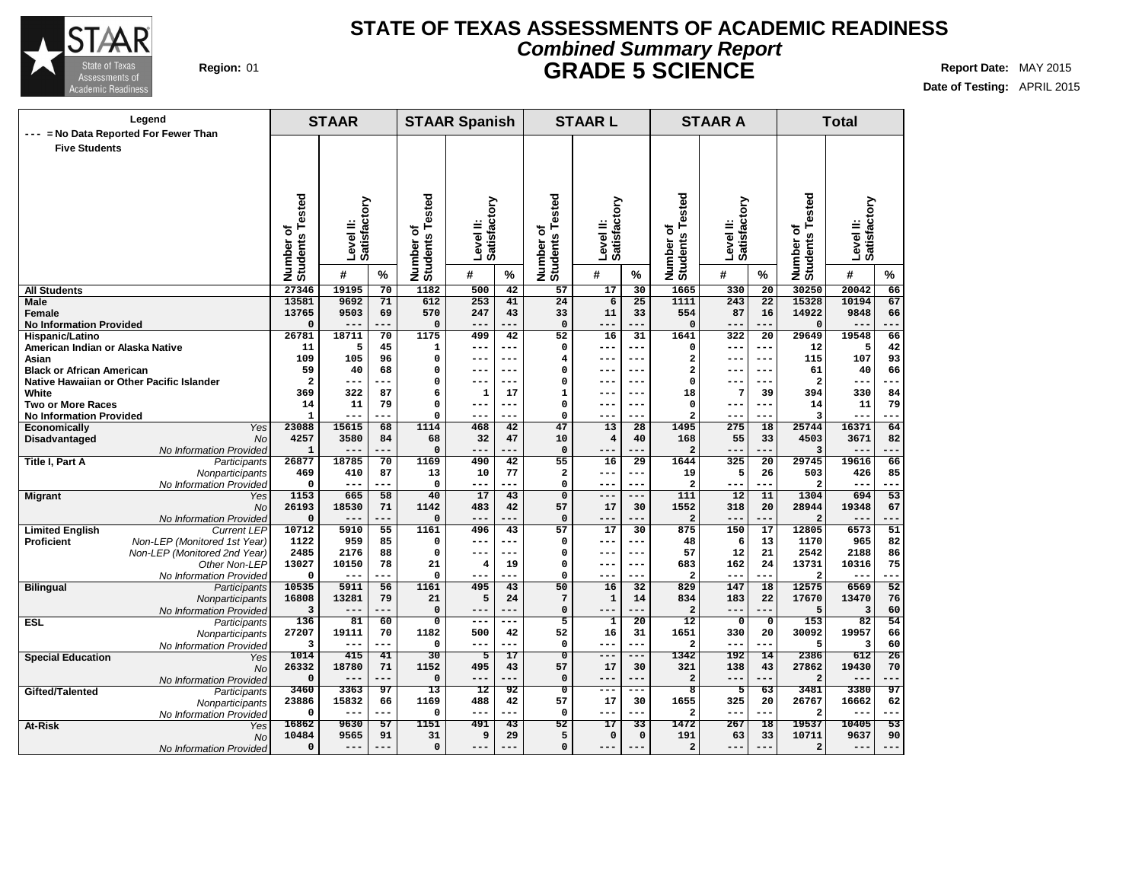

### **Region:** 01 **Report Date:** MAY 2015 **Report Date:** MAY 2015 **STATE OF TEXAS ASSESSMENTS OF ACADEMIC READINESS Combined Summary Report GRADE 5 SCIENCE**

**Date of Testing:** APRIL 2015

|                                           | Legend                                     |                          | <b>STAAR</b>   |                 |                                | <b>STAAR Spanish</b>     |                 |                                | <b>STAARL</b>           |                 |                              | <b>STAAR A</b>            |                 |                              | <b>Total</b>              |                 |
|-------------------------------------------|--------------------------------------------|--------------------------|----------------|-----------------|--------------------------------|--------------------------|-----------------|--------------------------------|-------------------------|-----------------|------------------------------|---------------------------|-----------------|------------------------------|---------------------------|-----------------|
| ---<br><b>Five Students</b>               | = No Data Reported For Fewer Than          |                          |                |                 |                                |                          |                 |                                |                         |                 |                              |                           |                 |                              |                           |                 |
|                                           |                                            |                          |                |                 |                                |                          |                 |                                |                         |                 |                              |                           |                 |                              |                           |                 |
|                                           |                                            |                          |                |                 |                                |                          |                 |                                |                         |                 |                              |                           |                 |                              |                           |                 |
|                                           |                                            |                          |                |                 |                                |                          |                 |                                |                         |                 |                              |                           |                 |                              |                           |                 |
|                                           |                                            |                          |                |                 |                                |                          |                 |                                |                         |                 |                              |                           |                 |                              |                           |                 |
|                                           |                                            | ested                    | Satisfactory   |                 | ested                          | Satisfactory             |                 |                                | Satisfactory            |                 |                              | Level II:<br>Satisfactory |                 |                              | Level II:<br>Satisfactory |                 |
|                                           |                                            |                          |                |                 |                                | ≝                        |                 |                                |                         |                 |                              |                           |                 |                              |                           |                 |
|                                           |                                            |                          |                |                 | ৳                              | $\overline{\Phi}$        |                 |                                |                         |                 |                              |                           |                 |                              |                           |                 |
|                                           |                                            |                          | Level II:      |                 |                                | š                        |                 |                                | Level II:               |                 |                              |                           |                 |                              |                           |                 |
|                                           |                                            |                          |                |                 |                                |                          |                 |                                |                         |                 |                              |                           |                 |                              |                           |                 |
|                                           |                                            | Number of<br>Students Te | #              | $\%$            | Number of<br>Students          | #                        | %               | Number of<br>Students Tested   | #                       | $\%$            | Number of<br>Students Tested | #                         | $\%$            | Number of<br>Students Tested | #                         | %               |
| All Students                              |                                            | 27346                    | 19195          | $\overline{70}$ | 1182                           | 500                      | 42              | 57                             | 17                      | 30              | 1665                         | 330                       | $\overline{20}$ | 30250                        | 20042                     | 66              |
| Male                                      |                                            | 13581                    | 9692           | 71              | 612                            | 253                      | 41              | 24                             | 6                       | 25              | 1111                         | 243                       | $\overline{22}$ | 15328                        | 10194                     | 67              |
| Female                                    |                                            | 13765                    | 9503           | 69              | 570                            | 247                      | 43              | 33                             | 11                      | 33              | 554                          | 87                        | 16              | 14922                        | 9848                      | 66              |
| <b>No Information Provided</b>            |                                            | $\Omega$                 | ---            | $- -$           | $\Omega$                       | $- - -$                  | ---             | 0                              | $---$                   | ---             | O                            | ---                       | ---             |                              | $- -$                     | .               |
| Hispanic/Latino                           |                                            | 26781                    | 18711          | $\overline{70}$ | 1175                           | 499                      | 42              | $\overline{52}$                | 16                      | $\overline{31}$ | 1641                         | 322                       | $\overline{20}$ | 29649                        | 19548                     | 66              |
| American Indian or Alaska Native          |                                            | 11<br>109                | 5<br>105       | 45<br>96        | $\mathbf 1$<br>0               | $--$<br>---              | ---<br>---      | $\mathbf 0$                    | $---$<br>$---$          | ---             | 0<br>2                       | $--$                      | --<br>$---$     | 12                           | 5                         | 42<br>93        |
| Asian<br><b>Black or African American</b> |                                            | 59                       | 40             | 68              | 0                              | ---                      | ---             | 4<br>0                         | ---                     |                 | $\overline{\mathbf{2}}$      | $- -$                     | $--$            | 115<br>61                    | 107<br>40                 | 66              |
|                                           | Native Hawaiian or Other Pacific Islander  | $\overline{a}$           | ---            | $-1$            | 0                              | $--$                     | ---             | 0                              | $---$                   | ---             | 0                            |                           | $- -$           | $\overline{\mathbf{2}}$      | ---                       |                 |
| White                                     |                                            | 369                      | 322            | 87              | 6                              | $\mathbf{1}$             | 17              | $\mathbf{1}$                   | $---$                   |                 | 18                           | 7                         | 39              | 394                          | 330                       | 84              |
| Two or More Races                         |                                            | 14                       | 11             | 79              | 0                              | $---$                    | $---$           | 0                              | $--$                    | ---             | 0                            | $- -$                     | $---$           | 14                           | 11                        | 79              |
| <b>No Information Provided</b>            |                                            | $\mathbf{1}$             | ---            | ---             | 0                              | $--$                     | ---             | 0                              | $---$                   | ---             | 2                            | $--$                      | $- -$           | 3                            | ---                       | ---             |
| Economically                              | Yes                                        | 23088                    | 15615          | 68              | 1114                           | 468                      | 42              | 47                             | 13                      | 28              | 1495                         | 275                       | 18              | 25744                        | 16371                     | 64              |
| Disadvantaged                             | <b>No</b>                                  | 4257                     | 3580           | 84              | 68                             | 32                       | 47              | 10                             | $\overline{\mathbf{4}}$ | 40              | 168                          | 55                        | 33              | 4503                         | 3671                      | 82              |
|                                           | No Information Provided                    | $\mathbf{1}$             | $---$          | ---             | $\Omega$                       | $- - -$                  | ---             | $\mathbf 0$                    | $---$                   | $- - -$         | $\overline{a}$               | $---$                     | $- -$           | 3                            | $- -$                     | $- - -$         |
| Title I, Part A                           | Participants                               | 26877                    | 18785<br>410   | 70<br>87        | 1169                           | 490                      | 42<br>77        | 55                             | 16<br>$---$             | 29<br>---       | 1644                         | 325<br>5                  | 20              | 29745                        | 19616                     | 66<br>85        |
|                                           | Nonparticipants<br>No Information Provided | 469<br>$\Omega$          | $- - -$        | $- -$           | 13<br>$\mathbf 0$              | 10<br>$---$              | ---             | $\mathbf{2}$<br>0              | $---$                   | ---             | 19<br>$\overline{a}$         |                           | 26<br>---       | 503<br>2                     | 426<br>$---$              | ---             |
| Migrant                                   | Yes                                        | 1153                     | 665            | 58              | 40                             | 17                       | 43              | $\overline{0}$                 | $---$                   | ---             | 111                          | 12                        | 11              | 1304                         | 694                       | 53              |
|                                           | <b>No</b>                                  | 26193                    | 18530          | 71              | 1142                           | 483                      | 42              | 57                             | 17                      | 30              | 1552                         | 318                       | 20              | 28944                        | 19348                     | 67              |
|                                           | No Information Provided                    | $\Omega$                 | $- -$          | $- -$           | 0                              | $---$                    | ---             | 0                              | $---$                   | ---             | $\overline{a}$               | $---$                     | ---             | $\mathbf{2}$                 | ---                       | ---             |
| <b>Limited English</b>                    | <b>Current LEP</b>                         | 10712                    | 5910           | 55              | 1161                           | 496                      | 43              | 57                             | 17                      | 30              | 875                          | 150                       | 17              | 12805                        | 6573                      | 51              |
| Proficient                                | Non-LEP (Monitored 1st Year)               | 1122                     | 959            | 85              | 0                              | ---                      | ---             | 0                              | $---$                   | ---             | 48                           | 6                         | 13              | 1170                         | 965                       | 82              |
|                                           | Non-LEP (Monitored 2nd Year)               | 2485                     | 2176           | 88              | $\Omega$                       | $---$                    | ---             | $\mathbf 0$                    | $---$                   | $---$           | 57                           | 12                        | 21              | 2542                         | 2188                      | 86              |
|                                           | Other Non-LEP                              | 13027<br>$\Omega$        | 10150<br>$- -$ | 78<br>.  .      | 21<br>$\mathbf 0$              | 4<br>$---$               | 19<br>---       | $\mathbf 0$<br>0               | $---$<br>$---$          | $- - -$<br>---  | 683<br>$\overline{a}$        | 162<br>$- -$              | 24<br>--        | 13731<br>2                   | 10316<br>$- -$            | 75<br>---       |
| <b>Bilingual</b>                          | No Information Provided<br>Participants    | 10535                    | 5911           | 56              | 1161                           | 495                      | 43              | 50                             | 16                      | 32              | 829                          | 147                       | 18              | 12575                        | 6569                      | $\overline{52}$ |
|                                           | Nonparticipants                            | 16808                    | 13281          | 79              | 21                             | 5                        | 24              | $\overline{7}$                 | $\mathbf{1}$            | 14              | 834                          | 183                       | 22              | 17670                        | 13470                     | 76              |
|                                           | No Information Provided                    | 3                        |                |                 | $\mathbf 0$                    |                          |                 | 0                              | $---$                   |                 | 2                            |                           | $-$             | 5                            | 3                         | 60              |
| <b>ESL</b>                                | Participants                               | 136                      | 81             | 60              | 0                              | $---$                    | ---             | 5                              | $\mathbf{1}$            | $\overline{20}$ | $\overline{12}$              | $\mathbf 0$               | $\mathbf 0$     | 153                          | 82                        | 54              |
|                                           | Nonparticipants                            | 27207                    | 19111          | 70              | 1182                           | 500                      | 42              | 52                             | 16                      | 31              | 1651                         | 330                       | 20              | 30092                        | 19957                     | 66              |
|                                           | No Information Provided                    | 3                        | ---            | .               | $\Omega$                       | $--$                     | ---             | $\mathbf{0}$                   | $---$                   | ---             | $\overline{a}$               | $--$                      | ---             | 5                            | 3                         | 60              |
| <b>Special Education</b>                  | Yes                                        | 1014                     | 415            | 41              | 30                             | 5                        | $\overline{17}$ | $\overline{0}$                 | $---$                   | ---             | 1342                         | 192                       | 14              | 2386                         | 612                       | $\overline{26}$ |
|                                           | <b>No</b>                                  | 26332<br>$\Omega$        | 18780          | 71<br>.         | 1152                           | 495                      | 43<br>---       | 57                             | 17                      | 30<br>---       | 321                          | 138                       | 43<br>---       | 27862                        | 19430                     | 70<br>---       |
|                                           | No Information Provided                    | 3460                     | $---$<br>3363  | 97              | $\mathbf 0$<br>$\overline{13}$ | $---$<br>$\overline{12}$ | 92              | 0<br>$\overline{\mathfrak{o}}$ | $---$<br>$---$          | ---             | $\overline{\mathbf{c}}$<br>8 | $---$<br>5                | 63              | $\overline{a}$<br>3481       | $- -$<br>3380             | 97              |
| Gifted/Talented                           | Participants                               | 23886                    | 15832          | 66              | 1169                           | 488                      | 42              | 57                             | 17                      | 30              | 1655                         | 325                       | 20              | 26767                        | 16662                     | 62              |
|                                           | Nonparticipants<br>No Information Provideo | $\Omega$                 | $---$          | ---             | 0                              | ---                      | ---             | 0                              | $---$                   | ---             | $\overline{\mathbf{2}}$      | $- -$                     | ---             | 2                            | $- -$                     | ---             |
| At-Risk                                   | Yes                                        | 16862                    | 9630           | 57              | 1151                           | 491                      | $\overline{43}$ | $\overline{52}$                | $\overline{17}$         | $\overline{33}$ | 1472                         | 267                       | $\overline{18}$ | 19537                        | 10405                     | 53              |
|                                           | <b>No</b>                                  | 10484                    | 9565           | 91              | 31                             | 9                        | 29              | 5                              | 0                       | $\mathbf 0$     | 191                          | 63                        | 33              | 10711                        | 9637                      | 90              |
|                                           | No Information Provided                    | $\Omega$                 | $---$          | ---             | $\mathbf 0$                    | $---$                    | ---             | 0                              | $---$                   |                 | $\overline{a}$               | $--$                      | $---$           | $\mathbf{2}$                 | $--$                      |                 |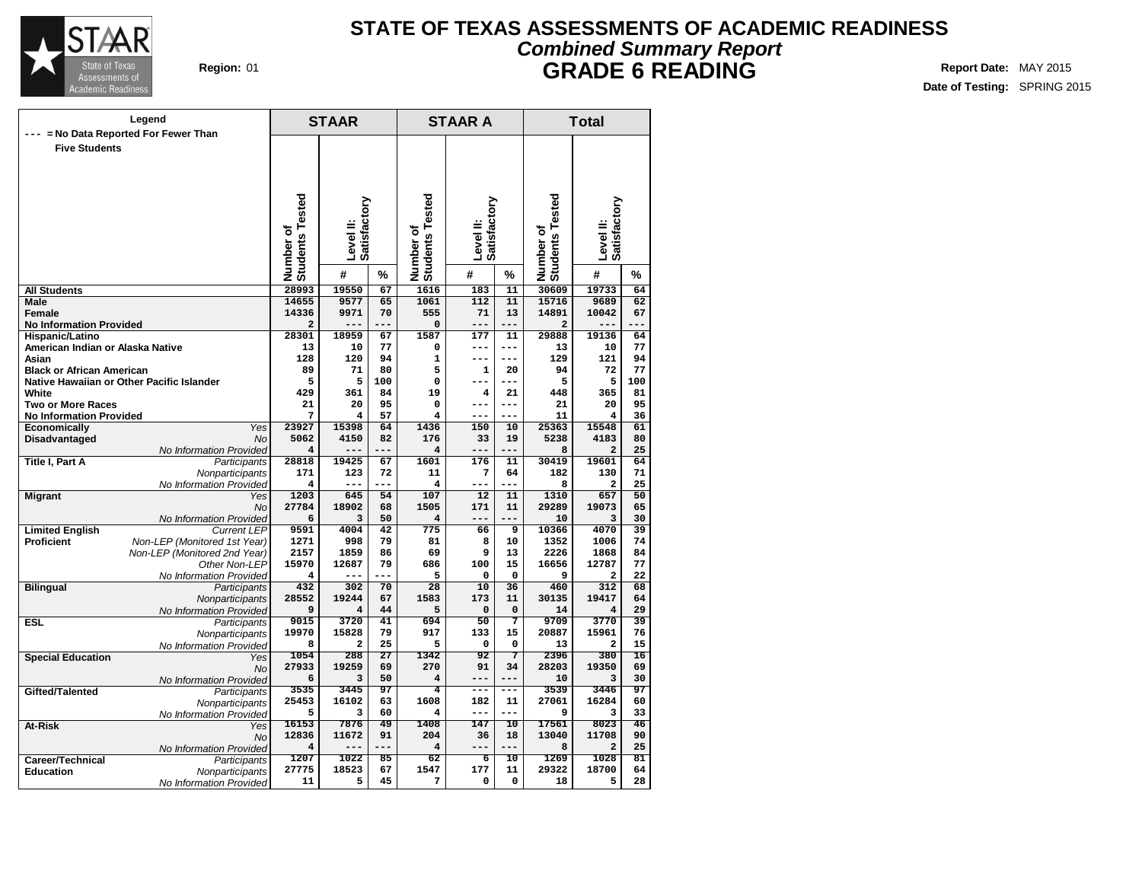

## **Region:** 01 **Report Date:** MAY 2015 **Report Date:** MAY 2015 **STATE OF TEXAS ASSESSMENTS OF ACADEMIC READINESS Combined Summary Report GRADE 6 READING**

|                                                     | Legend                                  |                                  | STAAR        |                 |                                | <b>STAAR A</b>       |                   | <b>Total</b>                     |                                |                 |  |  |
|-----------------------------------------------------|-----------------------------------------|----------------------------------|--------------|-----------------|--------------------------------|----------------------|-------------------|----------------------------------|--------------------------------|-----------------|--|--|
|                                                     | = No Data Reported For Fewer Than       |                                  |              |                 |                                |                      |                   |                                  |                                |                 |  |  |
| <b>Five Students</b>                                |                                         |                                  |              |                 |                                |                      |                   |                                  |                                |                 |  |  |
|                                                     |                                         |                                  |              |                 |                                |                      |                   |                                  |                                |                 |  |  |
|                                                     |                                         |                                  |              |                 |                                |                      |                   |                                  |                                |                 |  |  |
|                                                     |                                         |                                  |              |                 |                                |                      |                   |                                  |                                |                 |  |  |
|                                                     |                                         |                                  |              |                 |                                |                      |                   |                                  |                                |                 |  |  |
|                                                     |                                         |                                  | Satisfactory |                 |                                | Satisfactory         |                   |                                  | Satisfactory                   |                 |  |  |
|                                                     |                                         |                                  |              |                 |                                |                      |                   |                                  |                                |                 |  |  |
|                                                     |                                         |                                  | Level II:    |                 |                                | Level II:            |                   |                                  | Level II:                      |                 |  |  |
|                                                     |                                         |                                  |              |                 |                                |                      |                   |                                  |                                |                 |  |  |
|                                                     |                                         | Number of<br>Students Tested     | #            | %               | Number of<br>Students Tested   | #                    | %                 | Number of<br>Students Tested     | #                              | %               |  |  |
| All Students                                        |                                         | 28993                            | 19550        | 67              | 1616                           | 183                  | $\overline{11}$   | 30609                            | 19733                          | 64              |  |  |
| Male                                                |                                         | 14655                            | 9577         | 65              | 1061                           | 112                  | $\overline{11}$   | 15716                            | 9689                           | 62              |  |  |
| <b>Female</b>                                       |                                         | 14336                            | 9971         | 70              | 555                            | 71                   | 13                | 14891                            | 10042                          | 67              |  |  |
| <b>No Information Provided</b>                      |                                         | $\overline{\mathbf{2}}$<br>28301 | 18959        | ---<br>67       | $\mathbf 0$<br>1587            | $---$<br>177         | ---<br>11         | $\overline{\mathbf{2}}$<br>29888 | 19136                          | 64              |  |  |
| Hispanic/Latino<br>American Indian or Alaska Native |                                         | 13                               | 10           | 77              | $\mathbf 0$                    | ---                  | ---               | 13                               | 10                             | 77              |  |  |
| Asian                                               |                                         | 128                              | 120          | 94              | $\mathbf{1}$                   | ---                  | ---               | 129                              | 121                            | 94              |  |  |
| <b>Black or African American</b>                    |                                         | 89                               | 71           | 80              | 5                              | 1                    | 20                | 94                               | 72                             | 77              |  |  |
| Native Hawaiian or Other Pacific Islander           |                                         | 5                                | 5            | 100             | $\mathbf 0$                    |                      | ---               | 5                                | 5                              | 100             |  |  |
| White                                               |                                         | 429                              | 361          | 84              | 19                             | 4                    | 21                | 448                              | 365                            | 81              |  |  |
| <b>Two or More Races</b>                            |                                         | 21                               | 20           | 95              | $\mathbf 0$                    | ---<br>---           | ---<br>---        | 21                               | 20                             | 95              |  |  |
| <b>No Information Provided</b><br>Economically      | Yes                                     | 7<br>23927                       | 4<br>15398   | 57<br>64        | 4<br>1436                      | 150                  | 10                | 11<br>25363                      | 4<br>15548                     | 36<br>61        |  |  |
| Disadvantaged                                       | No                                      | 5062                             | 4150         | 82              | 176                            | 33                   | 19                | 5238                             | 4183                           | 80              |  |  |
|                                                     | No Information Provided                 | 4                                |              | ---             | 4                              | $---$                | ---               | 8                                | $\mathbf{2}$                   | 25              |  |  |
| Title I, Part A                                     | Participants                            | 28818                            | 19425        | 67              | 1601                           | 176                  | 11                | 30419                            | 19601                          | 64              |  |  |
|                                                     | Nonparticipants                         | 171                              | 123          | 72              | 11                             | 7                    | 64                | 182                              | 130                            | 71              |  |  |
|                                                     | No Information Provided                 | 4                                | ---          | ---             | 4                              | ---                  | ---               | 8                                | $\overline{\mathbf{2}}$        | 25<br>50        |  |  |
| <b>Migrant</b>                                      | Yes<br><b>No</b>                        | 1203<br>27784                    | 645<br>18902 | 54<br>68        | 107<br>1505                    | 12<br>171            | 11<br>11          | 1310<br>29289                    | 657<br>19073                   | 65              |  |  |
|                                                     | No Information Provided                 | 6                                | 3            | 50              | 4                              | ---                  | .                 | 10                               | 3                              | 30              |  |  |
| <b>Limited English</b>                              | <b>Current LEP</b>                      | 9591                             | 4004         | $\overline{42}$ | 775                            | 66                   | 9                 | 10366                            | 4070                           | 39              |  |  |
| <b>Proficient</b>                                   | Non-LEP (Monitored 1st Year)            | 1271                             | 998          | 79              | 81                             | 8                    | 10                | 1352                             | 1006                           | 74              |  |  |
|                                                     | Non-LEP (Monitored 2nd Year)            | 2157                             | 1859         | 86              | 69                             | 9                    | 13                | 2226                             | 1868                           | 84              |  |  |
|                                                     | Other Non-LEP                           | 15970                            | 12687        | 79<br>---       | 686<br>5                       | 100                  | 15                | 16656                            | 12787                          | 77<br>22        |  |  |
| <b>Bilingual</b>                                    | No Information Provided<br>Participants | 4<br>432                         | 302          | 70              | 28                             | 0<br>$\overline{10}$ | $\mathbf 0$<br>36 | 9<br>460                         | $\overline{\mathbf{2}}$<br>312 | 68              |  |  |
|                                                     | Nonparticipants                         | 28552                            | 19244        | 67              | 1583                           | 173                  | 11                | 30135                            | 19417                          | 64              |  |  |
|                                                     | No Information Provided                 | 9                                | 4            | 44              | 5                              | 0                    | 0                 | 14                               | $\overline{\mathbf{4}}$        | 29              |  |  |
| <b>ESL</b>                                          | Participants                            | 9015                             | 3720         | 41              | 694                            | 50                   | 7                 | 9709                             | 3770                           | 39              |  |  |
|                                                     | Nonparticipants                         | 19970                            | 15828        | 79              | 917                            | 133                  | 15                | 20887                            | 15961                          | 76              |  |  |
|                                                     | No Information Provided                 | 8                                | 2            | 25              | 5                              | 0                    | 0<br>7            | 13                               | $\overline{\mathbf{2}}$        | 15              |  |  |
| <b>Special Education</b>                            | Yes<br>No                               | 1054<br>27933                    | 288<br>19259 | 27<br>69        | 1342<br>270                    | 92<br>91             | 34                | 2396<br>28203                    | 380<br>19350                   | 16<br>69        |  |  |
|                                                     | No Information Provided                 | 6                                | 3            | 50              | 4                              | $---$                |                   | 10                               | 3                              | 30              |  |  |
| Gifted/Talented                                     | Participants                            | 3535                             | 3445         | 97              | $\overline{4}$                 | $- - -$              | ---               | 3539                             | 3446                           | 97              |  |  |
|                                                     | Nonparticipants                         | 25453                            | 16102        | 63              | 1608                           | 182                  | 11                | 27061                            | 16284                          | 60              |  |  |
|                                                     | No Information Provided                 | 5                                | 3            | 60              | 4                              | $---$                | ---               | 9                                | з                              | 33              |  |  |
| At-Risk                                             | Yes                                     | 16153                            | 7876         | 49              | 1408                           | 147                  | $\overline{10}$   | 17561                            | 8023                           | $\overline{46}$ |  |  |
|                                                     | No                                      | 12836<br>4                       | 11672<br>--- | 91<br>---       | 204<br>$\overline{\mathbf{4}}$ | 36<br>---            | 18<br>---         | 13040<br>8                       | 11708<br>$\overline{a}$        | 90<br>25        |  |  |
| Career/Technical                                    | No Information Provided<br>Participants | 1207                             | 1022         | 85              | 62                             | б                    | 10                | 1269                             | 1028                           | 81              |  |  |
| <b>Education</b>                                    | Nonparticipants                         | 27775                            | 18523        | 67              | 1547                           | 177                  | 11                | 29322                            | 18700                          | 64              |  |  |
|                                                     | No Information Provided                 | 11                               | 5            | 45              | 7                              | 0                    | 0                 | 18                               | 5                              | 28              |  |  |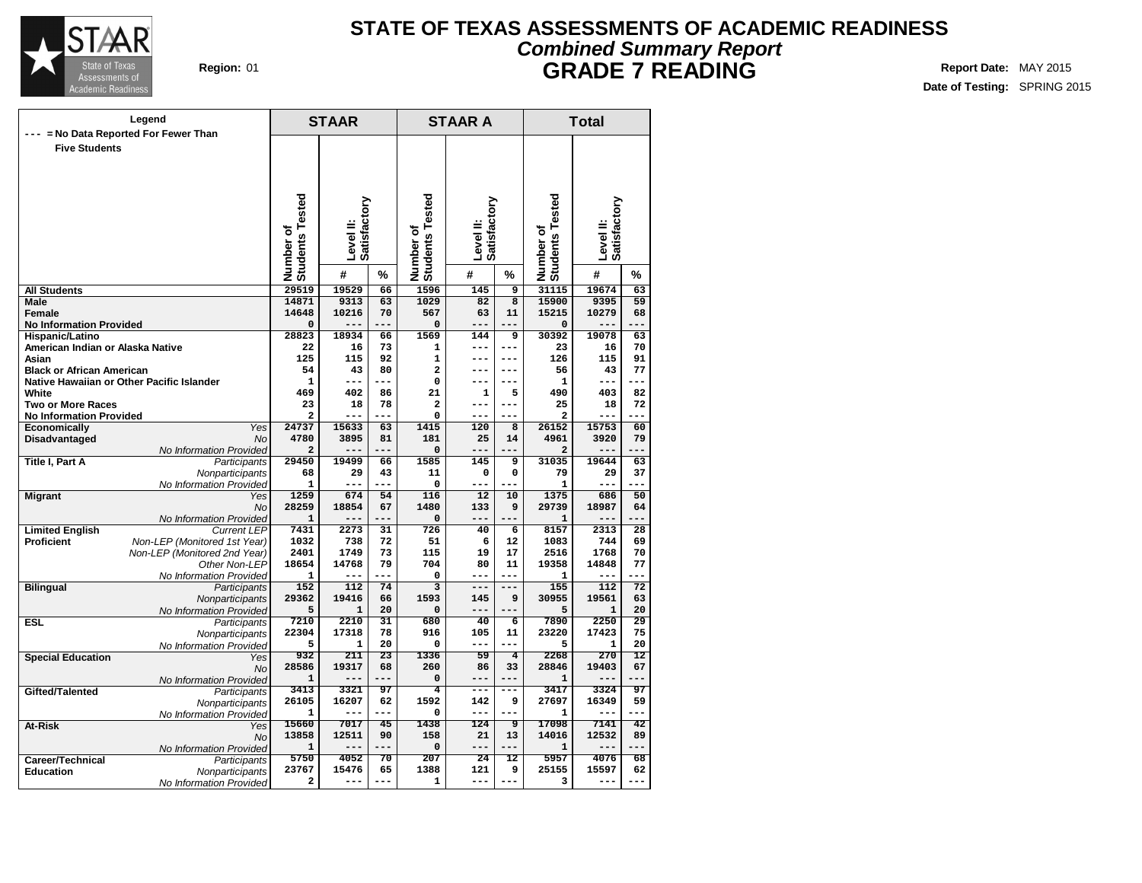

## **Region:** 01 **Report Date:** MAY 2015 **Report Date:** MAY 2015 **STATE OF TEXAS ASSESSMENTS OF ACADEMIC READINESS Combined Summary Report GRADE 7 READING**

|                                                            |                                          | <b>STAAR</b>                 |              |                        | <b>STAAR A</b>               |                           | <b>Total</b>   |                              |                           |                            |  |
|------------------------------------------------------------|------------------------------------------|------------------------------|--------------|------------------------|------------------------------|---------------------------|----------------|------------------------------|---------------------------|----------------------------|--|
|                                                            | = No Data Reported For Fewer Than        |                              |              |                        |                              |                           |                |                              |                           |                            |  |
| <b>Five Students</b>                                       |                                          |                              |              |                        |                              |                           |                |                              |                           |                            |  |
|                                                            |                                          |                              |              |                        |                              |                           |                |                              |                           |                            |  |
|                                                            |                                          |                              |              |                        |                              |                           |                |                              |                           |                            |  |
|                                                            |                                          |                              |              |                        |                              |                           |                |                              |                           |                            |  |
|                                                            |                                          |                              |              |                        |                              |                           |                |                              |                           |                            |  |
|                                                            |                                          |                              | Satisfactory |                        |                              | Satisfactory              |                |                              | Level II:<br>Satisfactory |                            |  |
|                                                            |                                          |                              |              |                        |                              |                           |                |                              |                           |                            |  |
|                                                            |                                          |                              | Level II:    |                        |                              | Level II:                 |                |                              |                           |                            |  |
|                                                            |                                          |                              |              |                        |                              |                           |                |                              |                           |                            |  |
|                                                            |                                          | Number of<br>Students Tested | #            | %                      | Number of<br>Students Tested | #                         | %              | Number of<br>Students Tested | #                         | %                          |  |
| <b>All Students</b>                                        |                                          | 29519                        | 19529        | 66                     | 1596                         | 145                       | 9              | 31115                        | 19674                     | 63                         |  |
| Male                                                       |                                          | 14871                        | 9313         | 63                     | 1029                         | 82                        | $\overline{8}$ | 15900                        | 9395                      | 59                         |  |
| Female                                                     |                                          | 14648                        | 10216        | 70                     | 567                          | 63                        | 11             | 15215                        | 10279                     | 68                         |  |
| <b>No Information Provided</b><br>Hispanic/Latino          |                                          | 0<br>28823                   | 18934        | 66                     | $\mathbf 0$<br>1569          | 144                       | 9              | 0<br>30392                   | 19078                     | 63                         |  |
| American Indian or Alaska Native                           |                                          | 22                           | 16           | 73                     | 1                            | $---$                     | $---$          | 23                           | 16                        | 70                         |  |
| Asian                                                      |                                          | 125                          | 115          | 92                     | $\mathbf{1}$                 | $---$                     | $---$          | 126                          | 115                       | 91                         |  |
| <b>Black or African American</b>                           |                                          | 54                           | 43           | 80                     | $\overline{\mathbf{2}}$      | ---                       | ---            | 56                           | 43                        | 77                         |  |
| Native Hawaiian or Other Pacific Islander                  |                                          | $\mathbf{1}$                 | ---          | ---                    | 0                            | ---                       | ---            | 1                            | ---                       | ---                        |  |
| White                                                      |                                          | 469                          | 402          | 86                     | 21                           | 1                         | 5              | 490                          | 403                       | 82                         |  |
| <b>Two or More Races</b><br><b>No Information Provided</b> |                                          | 23<br>$\overline{a}$         | 18           | 78                     | $\overline{a}$<br>0          | ---<br>---                | ---<br>---     | 25<br>$\overline{a}$         | 18                        | 72<br>---                  |  |
| Economically                                               | <b>Yes</b>                               | 24737                        | 15633        | 63                     | 1415                         | 120                       | 8              | 26152                        | 15753                     | 60                         |  |
| Disadvantaged                                              | <b>No</b>                                | 4780                         | 3895         | 81                     | 181                          | 25                        | 14             | 4961                         | 3920                      | 79                         |  |
|                                                            | No Information Provided                  | 2                            | ---          | ---                    | $\mathbf 0$                  | ---                       | ---            | $\overline{a}$               | ---                       | ---                        |  |
| <b>Title I, Part A</b>                                     | Participants                             | 29450                        | 19499        | 66                     | 1585                         | 145                       | 9              | 31035                        | 19644                     | 63                         |  |
|                                                            | Nonparticipants                          | 68                           | 29           | 43<br>---              | 11                           | 0                         | 0<br>---       | 79                           | 29<br>---                 | 37<br>---                  |  |
| <b>Migrant</b>                                             | No Information Provided<br>Yes           | 1<br>1259                    | ---<br>674   | 54                     | 0<br>116                     | ---<br>12                 | 10             | 1<br>1375                    | 686                       | 50                         |  |
|                                                            | <b>No</b>                                | 28259                        | 18854        | 67                     | 1480                         | 133                       | 9              | 29739                        | 18987                     | 64                         |  |
|                                                            | No Information Provided                  | $\mathbf{1}$                 | ---          |                        | $\mathbf 0$                  | ---                       |                | $\mathbf{1}$                 | ---                       |                            |  |
| <b>Limited English</b>                                     | <b>Current LEP</b>                       | 7431                         | 2273         | $\overline{31}$        | 726                          | 40                        | $\overline{6}$ | 8157                         | 2313                      | 28                         |  |
| <b>Proficient</b>                                          | Non-LEP (Monitored 1st Year)             | 1032                         | 738          | 72                     | 51                           | 6                         | 12             | 1083                         | 744                       | 69                         |  |
|                                                            | Non-LEP (Monitored 2nd Year)             | 2401                         | 1749         | 73                     | 115                          | 19                        | 17             | 2516                         | 1768                      | 70                         |  |
|                                                            | Other Non-LEP<br>No Information Provided | 18654<br>1                   | 14768        | 79<br>---              | 704<br>$\mathbf 0$           | 80<br>---                 | 11<br>---      | 19358<br>1                   | 14848<br>---              | 77<br>---                  |  |
| <b>Bilingual</b>                                           | Participants                             | 152                          | 112          | 74                     | $\overline{3}$               | $---$                     | ---            | 155                          | 112                       | 72                         |  |
|                                                            | Nonparticipants                          | 29362                        | 19416        | 66                     | 1593                         | 145                       | 9              | 30955                        | 19561                     | 63                         |  |
|                                                            | No Information Provided                  | 5                            | 1            | 20                     | $\mathbf 0$                  | ---                       |                | 5                            | 1                         | 20                         |  |
| <b>ESL</b>                                                 | Participants                             | 7210                         | 2210         | 31                     | 680                          | 40                        | 6              | 7890                         | 2250                      | 29                         |  |
|                                                            | Nonparticipants                          | 22304<br>5                   | 17318<br>1   | 78<br>20               | 916<br>$\Omega$              | 105<br>$---$              | 11<br>---      | 23220<br>5                   | 17423<br>$\mathbf{1}$     | 75<br>20                   |  |
| <b>Special Education</b>                                   | No Information Provided                  | 932                          | 211          | $\overline{23}$        | 1336                         | 59                        | $\overline{4}$ | 2268                         | 270                       | 12                         |  |
|                                                            | Yes<br>No                                | 28586                        | 19317        | 68                     | 260                          | 86                        | 33             | 28846                        | 19403                     | 67                         |  |
|                                                            | No Information Provided                  | $\mathbf{1}$                 |              |                        | $\mathbf 0$                  |                           |                | $\mathbf{1}$                 |                           | ---                        |  |
| Gifted/Talented                                            | Participants                             | 3413                         | 3321         | 97                     | 4                            | $- - -$                   | ---            | 3417                         | 3324                      | 97                         |  |
|                                                            | Nonparticipants                          | 26105                        | 16207        | 62                     | 1592                         | 142                       | 9              | 27697                        | 16349                     | 59                         |  |
|                                                            | No Information Provided                  | 1<br>15660                   | ---<br>7017  | ---<br>$\overline{45}$ | $\Omega$<br>1438             | $---$<br>$\overline{124}$ | ---<br>ॿ       | 1<br>17098                   | ---<br>7141               | $- - -$<br>$\overline{42}$ |  |
| At-Risk                                                    | Yes<br><b>No</b>                         | 13858                        | 12511        | 90                     | 158                          | 21                        | 13             | 14016                        | 12532                     | 89                         |  |
|                                                            | No Information Provided                  | $\mathbf{1}$                 | ---          | ---                    | $\mathbf 0$                  | ---                       | ---            | 1                            | ---                       | ---                        |  |
| Career/Technical                                           | Participants                             | 5750                         | 4052         | 70                     | 207                          | 24                        | 12             | 5957                         | 4076                      | 68                         |  |
| <b>Education</b>                                           | Nonparticipants                          | 23767                        | 15476        | 65                     | 1388                         | 121                       | 9              | 25155                        | 15597                     | 62                         |  |
|                                                            | No Information Provided                  | $\mathbf{2}$                 | $---$        | ---                    | 1                            | $---$                     | ---            | з                            | ---                       |                            |  |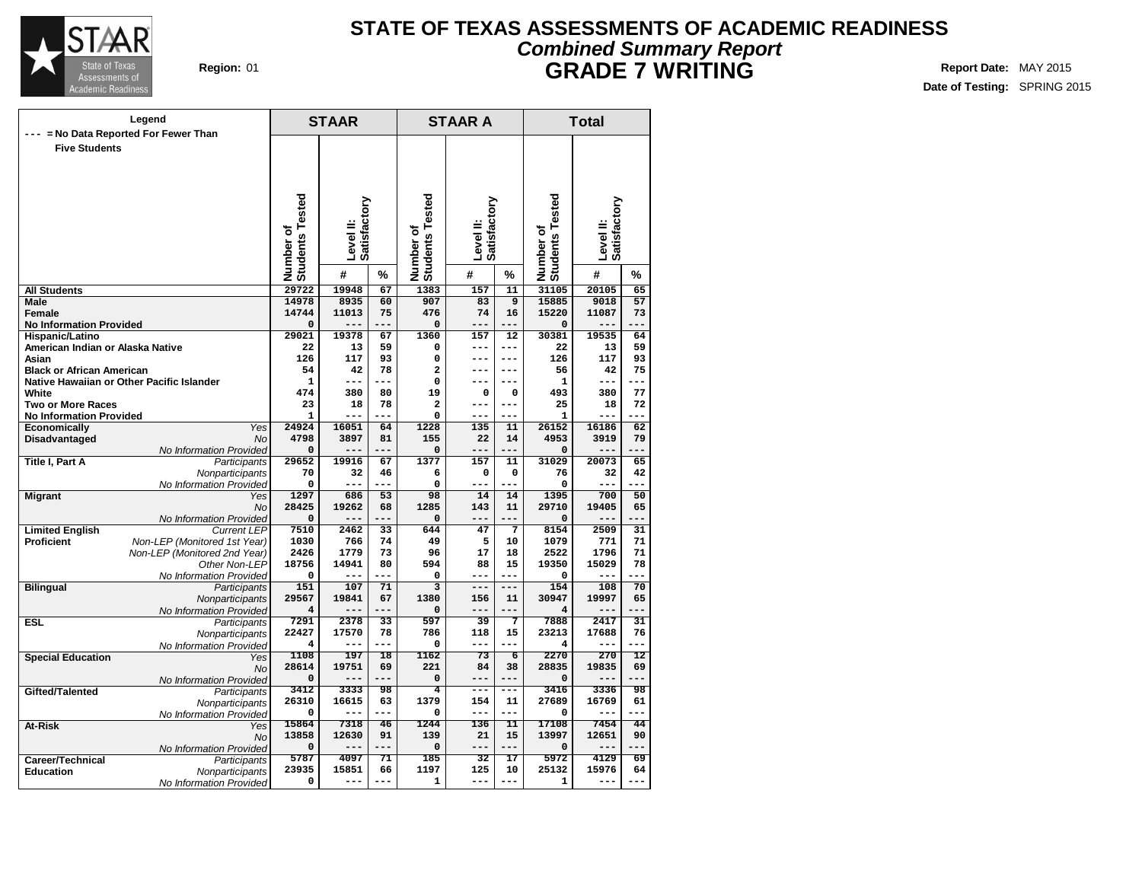

## **Region:** 01 **Report Date:** MAY 2015 **Report Date:** MAY 2015 **STATE OF TEXAS ASSESSMENTS OF ACADEMIC READINESS Combined Summary Report GRADE 7 WRITING**

|                                           | Legend                                  |                              |               |                 |                              | <b>STAAR A</b>            |                      | <b>Total</b>                 |                           |                 |  |  |
|-------------------------------------------|-----------------------------------------|------------------------------|---------------|-----------------|------------------------------|---------------------------|----------------------|------------------------------|---------------------------|-----------------|--|--|
| --- = No Data Reported For Fewer Than     |                                         |                              | <b>STAAR</b>  |                 |                              |                           |                      |                              |                           |                 |  |  |
| <b>Five Students</b>                      |                                         |                              |               |                 |                              |                           |                      |                              |                           |                 |  |  |
|                                           |                                         |                              |               |                 |                              |                           |                      |                              |                           |                 |  |  |
|                                           |                                         |                              |               |                 |                              |                           |                      |                              |                           |                 |  |  |
|                                           |                                         |                              |               |                 |                              |                           |                      |                              |                           |                 |  |  |
|                                           |                                         |                              |               |                 |                              |                           |                      |                              |                           |                 |  |  |
|                                           |                                         |                              | Satisfactory  |                 |                              | Level II:<br>Satisfactory |                      |                              |                           |                 |  |  |
|                                           |                                         |                              |               |                 |                              |                           |                      |                              |                           |                 |  |  |
|                                           |                                         |                              | Level II:     |                 |                              |                           |                      |                              | Satisfactory<br>Level II: |                 |  |  |
|                                           |                                         |                              |               |                 |                              |                           |                      |                              |                           |                 |  |  |
|                                           |                                         | Number of<br>Students Tested | #             | %               | Number of<br>Students Tested | #                         | %                    | Number of<br>Students Tested | #                         | %               |  |  |
| <b>All Students</b>                       |                                         | 29722                        | 19948         | 67              | 1383                         | 157                       | 11                   | 31105                        | 20105                     | 65              |  |  |
| <b>Male</b>                               |                                         | 14978                        | 8935          | 60              | 907                          | 83                        | $\overline{9}$       | 15885                        | 9018                      | 57              |  |  |
| <b>Female</b>                             |                                         | 14744                        | 11013         | 75              | 476                          | 74                        | 16                   | 15220                        | 11087                     | 73              |  |  |
| <b>No Information Provided</b>            |                                         | $\mathbf 0$                  |               | ---             | $\mathbf 0$                  |                           |                      | 0                            |                           | $- - -$         |  |  |
| Hispanic/Latino                           |                                         | 29021                        | 19378         | 67              | 1360                         | 157                       | 12                   | 30381                        | 19535                     | 64              |  |  |
| American Indian or Alaska Native<br>Asian |                                         | 22<br>126                    | 13<br>117     | 59<br>93        | $\mathbf 0$<br>0             | ---<br>---                | $---$<br>$---$       | 22<br>126                    | 13<br>117                 | 59<br>93        |  |  |
| <b>Black or African American</b>          |                                         | 54                           | 42            | 78              | $\overline{\mathbf{2}}$      | ---                       | $---$                | 56                           | 42                        | 75              |  |  |
| Native Hawaiian or Other Pacific Islander |                                         | $\mathbf{1}$                 | ---           | ---             | 0                            | ---                       | ---                  | 1                            | ---                       | $ -$            |  |  |
| White                                     |                                         | 474                          | 380           | 80              | 19                           | $\mathbf 0$               | $\mathbf 0$          | 493                          | 380                       | 77              |  |  |
| <b>Two or More Races</b>                  |                                         | 23                           | 18            | 78              | $\overline{\mathbf{2}}$      | ---                       | $---$                | 25                           | 18                        | 72              |  |  |
| <b>No Information Provided</b>            |                                         | $\mathbf{1}$                 |               |                 | 0                            |                           |                      | $\mathbf{1}$                 |                           |                 |  |  |
| Economically                              | Yes<br><b>No</b>                        | 24924<br>4798                | 16051<br>3897 | 64<br>81        | 1228<br>155                  | 135<br>22                 | 11<br>14             | 26152<br>4953                | 16186<br>3919             | 62<br>79        |  |  |
| Disadvantaged                             | No Information Provided                 | $\mathbf 0$                  |               | ---             | $\mathbf 0$                  | ---                       |                      | $\mathbf 0$                  | ---                       | $ -$            |  |  |
| <b>Title I, Part A</b>                    | Participants                            | 29652                        | 19916         | 67              | 1377                         | 157                       | 11                   | 31029                        | 20073                     | 65              |  |  |
|                                           | Nonparticipants                         | 70                           | 32            | 46              | 6                            | $\mathbf 0$               | $\mathbf 0$          | 76                           | 32                        | 42              |  |  |
|                                           | No Information Provided                 | 0                            |               | ---             | $\mathbf 0$                  | ---                       | ---                  | 0                            |                           | ---             |  |  |
| <b>Migrant</b>                            | Yes                                     | 1297                         | 686           | 53              | 98                           | 14                        | 14                   | 1395                         | 700                       | 50              |  |  |
|                                           | <b>No</b><br>No Information Provided    | 28425<br>$\Omega$            | 19262<br>---  | 68              | 1285<br>$\mathbf 0$          | 143                       | 11                   | 29710<br>0                   | 19405<br>$---$            | 65              |  |  |
| <b>Limited English</b>                    | <b>Current LEP</b>                      | 7510                         | 2462          | $\overline{33}$ | 644                          | 47                        | 7                    | 8154                         | 2509                      | $\overline{31}$ |  |  |
| <b>Proficient</b>                         | Non-LEP (Monitored 1st Year)            | 1030                         | 766           | 74              | 49                           | 5                         | 10                   | 1079                         | 771                       | 71              |  |  |
|                                           | Non-LEP (Monitored 2nd Year)            | 2426                         | 1779          | 73              | 96                           | 17                        | 18                   | 2522                         | 1796                      | 71              |  |  |
|                                           | Other Non-LEP                           | 18756                        | 14941         | 80              | 594                          | 88                        | 15                   | 19350                        | 15029                     | 78              |  |  |
|                                           | No Information Provided                 | 0<br>151                     | 107           | ---<br>71       | $\Omega$<br>$\overline{3}$   | $---$<br>$- - -$          | ---<br>---           | 0<br>154                     | ---<br>108                | ---<br>70       |  |  |
| <b>Bilingual</b>                          | Participants<br>Nonparticipants         | 29567                        | 19841         | 67              | 1380                         | 156                       | 11                   | 30947                        | 19997                     | 65              |  |  |
|                                           | No Information Provided                 | 4                            | ---           | ---             | $\mathbf 0$                  | ---                       |                      | 4                            | ---                       | ---             |  |  |
| <b>ESL</b>                                | Participants                            | 7291                         | 2378          | 33              | 597                          | 39                        | 7                    | 7888                         | 2417                      | $\overline{31}$ |  |  |
|                                           | Nonparticipants                         | 22427                        | 17570         | 78              | 786                          | 118                       | 15                   | 23213                        | 17688                     | 76              |  |  |
|                                           | No Information Provided                 | 4                            | $---$         | ---             | $\Omega$                     | $\qquad \qquad - -$       |                      | 4                            | ---                       | ---             |  |  |
| <b>Special Education</b>                  | Yes                                     | 1108<br>28614                | 197<br>19751  | 18<br>69        | 1162<br>221                  | 73<br>84                  | $\overline{6}$<br>38 | 2270<br>28835                | 270<br>19835              | 12<br>69        |  |  |
|                                           | No                                      | $\mathbf 0$                  |               |                 | $\mathbf 0$                  |                           | $- - -$              | $\mathbf 0$                  |                           | ---             |  |  |
| Gifted/Talented                           | No Information Provided<br>Participants | 3412                         | 3333          | 98              | 4                            | $---$                     | ---                  | 3416                         | 3336                      | 98              |  |  |
|                                           | Nonparticipants                         | 26310                        | 16615         | 63              | 1379                         | 154                       | 11                   | 27689                        | 16769                     | 61              |  |  |
|                                           | No Information Provided                 | 0                            | $---$         | ---             | 0                            | ---                       | ---                  | 0                            | ---                       | ---             |  |  |
| At-Risk                                   | Yes                                     | 15864                        | 7318          | 46              | 1244                         | 136                       | 11                   | 17108                        | 7454                      | 44              |  |  |
|                                           | No                                      | 13858                        | 12630<br>---  | 91<br>---       | 139                          | 21<br>---                 | 15<br>---            | 13997                        | 12651<br>---              | 90<br>---       |  |  |
| Career/Technical                          | No Information Provided<br>Participants | $\mathbf 0$<br>5787          | 4097          | 71              | $\mathbf 0$<br>185           | 32                        | 17                   | 0<br>5972                    | 4129                      | 69              |  |  |
| <b>Education</b>                          | Nonparticipants                         | 23935                        | 15851         | 66              | 1197                         | 125                       | 10                   | 25132                        | 15976                     | 64              |  |  |
|                                           | No Information Provided                 | 0                            | $---$         | ---             | 1                            | ---                       | ---                  | 1                            | ---                       |                 |  |  |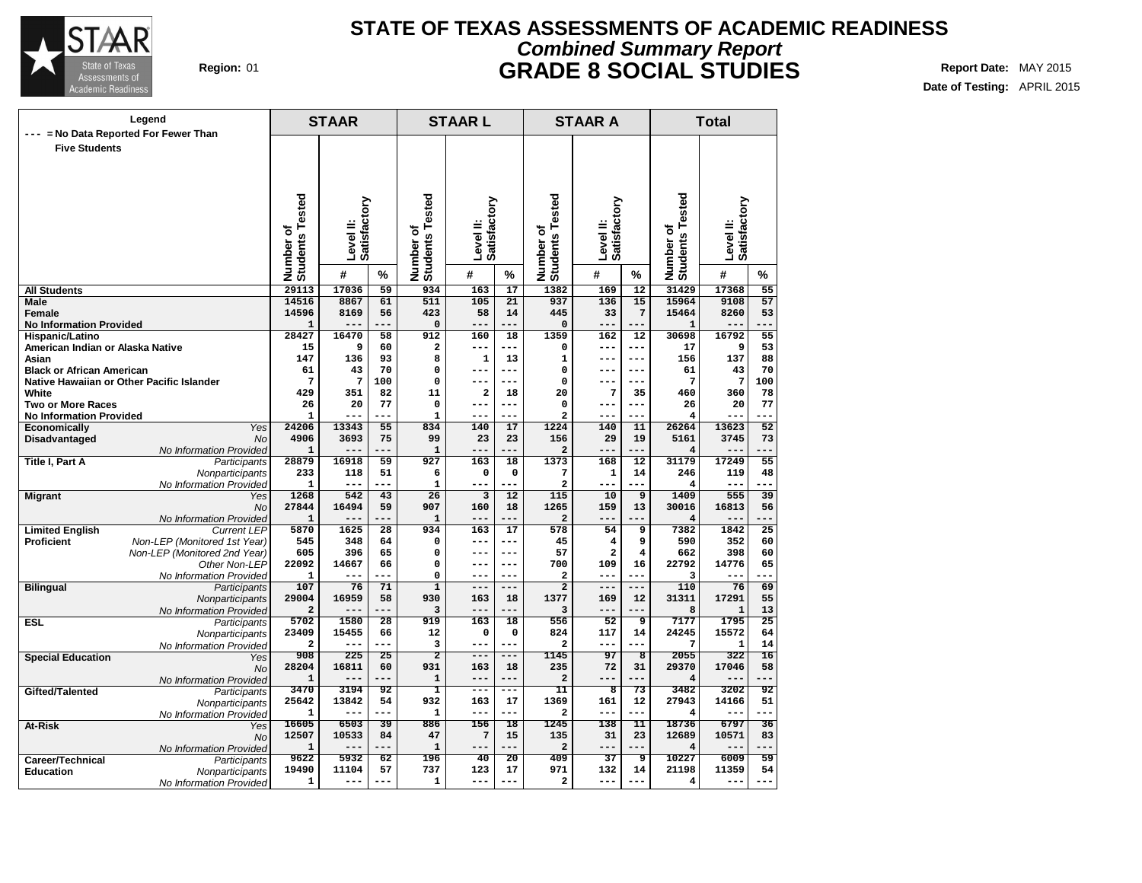

# **Region:** 01 **Report Date:** MAY 2015 **Report Date:** MAY 2015 **Report Date:** MAY 2015 **STATE OF TEXAS ASSESSMENTS OF ACADEMIC READINESS Combined Summary Report GRADE 8 SOCIAL STUDIES**

**Date of Testing:** APRIL 2015

| --- = No Data Reported For Fewer Than<br><b>Five Students</b><br>Number of<br>Students Tested<br>Number of<br>Students Tested<br>Tested<br>Tested<br>Level II:<br>Satisfactory<br>Level II:<br>Satisfactory<br>Level II:<br>Satisfactory<br>Level II:<br>Satisfactory<br>٥<br>٥<br>Number o'<br>Students<br>Number of<br>Students<br>#<br>#<br>#<br>#<br>%<br>%<br>%<br>%<br>29113<br>17036<br>59<br>$\overline{17}$<br>1382<br>169<br>$\overline{12}$<br>31429<br>17368<br>$\overline{55}$<br><b>All Students</b><br>934<br>163<br>14516<br>8867<br>61<br>511<br>105<br>21<br>937<br>136<br>15<br>15964<br>9108<br>57<br><b>Male</b><br>$7\phantom{.0}$<br>Female<br>14596<br>8169<br>56<br>423<br>58<br>14<br>445<br>33<br>15464<br>8260<br>53<br><b>No Information Provided</b><br>$\mathbf{1}$<br>0<br>$\mathbf 0$<br>$---$<br>---<br>$---$<br>---<br>$---$<br>---<br>$\mathbf{1}$<br>---<br>28427<br>16470<br>912<br>$\overline{18}$<br>1359<br>162<br>$\overline{12}$<br>30698<br>16792<br>$\overline{55}$<br>Hispanic/Latino<br>58<br>160<br>American Indian or Alaska Native<br>$\overline{\mathbf{c}}$<br>9<br>53<br>15<br>9<br>60<br>17<br>$---$<br>---<br>0<br>$---$<br>---<br>137<br>147<br>93<br>8<br>$\mathbf 1$<br>13<br>88<br>Asian<br>136<br>$---$<br>156<br>1<br>$---$<br>70<br>61<br>70<br>0<br>43<br><b>Black or African American</b><br>43<br>0<br>61<br>---<br>---<br>---<br>$---$<br>7<br>7<br>$\mathbf 0$<br>7<br>100<br>Native Hawaiian or Other Pacific Islander<br>100<br>---<br>0<br>7<br>$---$<br>---<br>---<br>2<br>360<br>78<br>White<br>429<br>351<br>82<br>11<br>18<br>20<br>7<br>460<br>35<br>77<br>77<br>20<br><b>Two or More Races</b><br>26<br>20<br>$\Omega$<br>---<br>$\Omega$<br>26<br>$---$<br>$---$<br>$---$<br><b>No Information Provided</b><br>$\mathbf{1}$<br>$\mathbf{1}$<br>---<br>$\mathbf{2}$<br>---<br>4<br>$---$<br>$---$<br>---<br>---<br>24206<br>$\overline{52}$<br>Yes<br>55<br>834<br>17<br>1224<br>140<br>11<br>26264<br>13623<br><b>Economically</b><br>13343<br>140<br>4906<br>Disadvantaged<br><b>No</b><br>3693<br>75<br>99<br>23<br>23<br>156<br>29<br>19<br>5161<br>3745<br>73<br>No Information Provided<br>$\mathbf{1}$<br>$\mathbf{1}$<br>---<br>$---$<br>---<br>2<br>$---$<br>---<br>4<br>---<br>$--$<br>1373<br>Title I, Part A<br>28879<br>59<br>927<br>18<br>168<br>12<br>31179<br>17249<br>55<br>Participants<br>16918<br>163<br>233<br>118<br>51<br>6<br>$\mathbf 0$<br>0<br>7<br>1<br>14<br>246<br>119<br>48<br>Nonparticipants<br>No Information Provided<br>1<br>$\mathbf{2}$<br>1<br>$---$<br>---<br>$---$<br>---<br>---<br>---<br>4<br>$- -$<br>---<br>1268<br>542<br>43<br>26<br>12<br>115<br>10<br>9<br>1409<br>555<br>39<br><b>Migrant</b><br>Yes<br>3<br>27844<br>16494<br>59<br>907<br>160<br>18<br>1265<br>159<br>13<br>30016<br>16813<br>56<br>No<br>No Information Provided<br>$\mathbf 1$<br>$\mathbf{1}$<br>$\overline{2}$<br>4<br>$---$<br>---<br>$---$<br>$--$<br>$--$<br>---<br>---<br>---<br><b>Limited English</b><br>5870<br>1625<br>$\overline{28}$<br>934<br>$\overline{17}$<br>54<br>$\overline{9}$<br>7382<br>1842<br>$\overline{25}$<br><b>Current LEP</b><br>163<br>578<br><b>Proficient</b><br>Non-LEP (Monitored 1st Year)<br>545<br>348<br>64<br>$\mathbf 0$<br>45<br>4<br>9<br>590<br>352<br>60<br>$---$<br>---<br>Non-LEP (Monitored 2nd Year)<br>605<br>396<br>65<br>$\mathbf 0$<br>57<br>2<br>$\overline{\mathbf{4}}$<br>662<br>398<br>60<br>$---$<br>$---$<br>22092<br>14667<br>66<br>$\mathbf 0$<br>700<br>109<br>16<br>22792<br>14776<br>65<br>Other Non-LEP<br>$---$<br>$---$<br>$\mathbf{1}$<br>0<br>2<br>3<br>No Information Provided<br>---<br>---<br>---<br>$---$<br>---<br>---<br>---<br>$---$<br>$\overline{1}$<br>107<br>76<br>71<br>$\overline{2}$<br>$---$<br>110<br>76<br>69<br><b>Bilingual</b><br>Participants<br>---<br>$---$<br>$---$<br>1377<br>55<br>Nonparticipants<br>29004<br>58<br>930<br>12<br>31311<br>17291<br>16959<br>18<br>169<br>163<br>13<br>No Information Provided<br>$\overline{a}$<br>3<br>8<br>$\mathbf{1}$<br>3<br>$---$<br>---<br>$---$<br>---<br>$---$<br>---<br>5702<br>919<br>556<br>ॿ<br>7177<br>1795<br>$\overline{25}$<br><b>ESL</b><br>1580<br>28<br>163<br>18<br>52<br>Participants<br>23409<br>15455<br>0<br>24245<br>15572<br>64<br>66<br>12<br>0<br>824<br>117<br>14<br>Nonparticipants<br>$\overline{a}$<br>14<br>3<br>$\overline{a}$<br>7<br>$\mathbf{1}$<br>---<br>No Information Provided<br>---<br>$\overline{2}$<br>908<br>225<br>1145<br>97<br>2055<br>322<br>16<br>25<br>$\overline{\mathbf{g}}$<br><b>Special Education</b><br>$---$<br>---<br>Yes<br>28204<br>931<br>235<br>72<br>58<br>16811<br>60<br>18<br>31<br>29370<br>17046<br>163<br><b>No</b><br>$\mathbf{1}$<br>$\mathbf{1}$<br>$\overline{a}$<br>4<br>No Information Provided<br>$- - -$<br>$- - -$<br>$---$<br>3470<br>3194<br>ī<br>$\overline{11}$<br>$\overline{73}$<br>3482<br>3202<br>92<br>8<br>92<br>Gifted/Talented<br>Participants<br>$---$<br>25642<br>13842<br>54<br>932<br>17<br>1369<br>161<br>12<br>27943<br>14166<br>51<br>163<br>Nonparticipants<br>$\mathbf{1}$<br>1<br>$---$<br>---<br>$---$<br>---<br>$\mathbf{2}$<br>$---$<br>---<br>4<br>---<br>No Information Provided<br>---<br>16605<br>39<br>886<br>$\overline{18}$<br>1245<br>138<br>$\overline{11}$<br>18736<br>$\overline{36}$<br>6503<br>156<br>6797<br>At-Risk<br>Yes<br>12507<br>10533<br>47<br>7<br>15<br>135<br>31<br>23<br>12689<br>10571<br>83<br>84<br><b>No</b><br>$\mathbf{1}$<br>$\overline{a}$<br>$\mathbf{1}$<br>---<br>4<br>No Information Provided<br>$---$<br>---<br>---<br>---<br>---<br>---<br>9622<br>196<br>20<br>ज़<br>6009<br>59<br>5932<br>62<br>40<br>409<br>37<br>10227<br>Career/Technical<br>Participants<br>19490<br>11104<br>57<br>737<br>17<br>971<br>21198<br>11359<br>54<br>123<br>132<br>14<br><b>Education</b><br>Nonparticipants<br>$\mathbf{1}$<br>$\mathbf{1}$<br>$\overline{a}$<br>4<br>---<br>$---$<br>---<br>$---$<br>---<br>---<br>$---$<br>$---$ | Legend |                         | <b>STAAR</b> |  | <b>STAARL</b> |  | <b>STAAR A</b> | <b>Total</b> |  |  |  |
|---------------------------------------------------------------------------------------------------------------------------------------------------------------------------------------------------------------------------------------------------------------------------------------------------------------------------------------------------------------------------------------------------------------------------------------------------------------------------------------------------------------------------------------------------------------------------------------------------------------------------------------------------------------------------------------------------------------------------------------------------------------------------------------------------------------------------------------------------------------------------------------------------------------------------------------------------------------------------------------------------------------------------------------------------------------------------------------------------------------------------------------------------------------------------------------------------------------------------------------------------------------------------------------------------------------------------------------------------------------------------------------------------------------------------------------------------------------------------------------------------------------------------------------------------------------------------------------------------------------------------------------------------------------------------------------------------------------------------------------------------------------------------------------------------------------------------------------------------------------------------------------------------------------------------------------------------------------------------------------------------------------------------------------------------------------------------------------------------------------------------------------------------------------------------------------------------------------------------------------------------------------------------------------------------------------------------------------------------------------------------------------------------------------------------------------------------------------------------------------------------------------------------------------------------------------------------------------------------------------------------------------------------------------------------------------------------------------------------------------------------------------------------------------------------------------------------------------------------------------------------------------------------------------------------------------------------------------------------------------------------------------------------------------------------------------------------------------------------------------------------------------------------------------------------------------------------------------------------------------------------------------------------------------------------------------------------------------------------------------------------------------------------------------------------------------------------------------------------------------------------------------------------------------------------------------------------------------------------------------------------------------------------------------------------------------------------------------------------------------------------------------------------------------------------------------------------------------------------------------------------------------------------------------------------------------------------------------------------------------------------------------------------------------------------------------------------------------------------------------------------------------------------------------------------------------------------------------------------------------------------------------------------------------------------------------------------------------------------------------------------------------------------------------------------------------------------------------------------------------------------------------------------------------------------------------------------------------------------------------------------------------------------------------------------------------------------------------------------------------------------------------------------------------------------------------------------------------------------------------------------------------------------------------------------------------------------------------------------------------------------------------------------------------------------------------------------------------------------------------------------------------------------------------------------------------------------------------------------------------------------------------------------------------------------------------------------------------------------------------------------------------------------------------------------------------------------------------------------------------------------------------------------------------------------------------------------------------------------------------------------------------------------------------------------------------------------------------------------------------------------------------------------------------------------------------------------------------------------------------------------------------------------------------------------------------------------------------------------------------------------------|--------|-------------------------|--------------|--|---------------|--|----------------|--------------|--|--|--|
|                                                                                                                                                                                                                                                                                                                                                                                                                                                                                                                                                                                                                                                                                                                                                                                                                                                                                                                                                                                                                                                                                                                                                                                                                                                                                                                                                                                                                                                                                                                                                                                                                                                                                                                                                                                                                                                                                                                                                                                                                                                                                                                                                                                                                                                                                                                                                                                                                                                                                                                                                                                                                                                                                                                                                                                                                                                                                                                                                                                                                                                                                                                                                                                                                                                                                                                                                                                                                                                                                                                                                                                                                                                                                                                                                                                                                                                                                                                                                                                                                                                                                                                                                                                                                                                                                                                                                                                                                                                                                                                                                                                                                                                                                                                                                                                                                                                                                                                                                                                                                                                                                                                                                                                                                                                                                                                                                                                                                                                                                                                                                                                                                                                                                                                                                                                                                                                                                                                                                                                                         |        |                         |              |  |               |  |                |              |  |  |  |
|                                                                                                                                                                                                                                                                                                                                                                                                                                                                                                                                                                                                                                                                                                                                                                                                                                                                                                                                                                                                                                                                                                                                                                                                                                                                                                                                                                                                                                                                                                                                                                                                                                                                                                                                                                                                                                                                                                                                                                                                                                                                                                                                                                                                                                                                                                                                                                                                                                                                                                                                                                                                                                                                                                                                                                                                                                                                                                                                                                                                                                                                                                                                                                                                                                                                                                                                                                                                                                                                                                                                                                                                                                                                                                                                                                                                                                                                                                                                                                                                                                                                                                                                                                                                                                                                                                                                                                                                                                                                                                                                                                                                                                                                                                                                                                                                                                                                                                                                                                                                                                                                                                                                                                                                                                                                                                                                                                                                                                                                                                                                                                                                                                                                                                                                                                                                                                                                                                                                                                                                         |        |                         |              |  |               |  |                |              |  |  |  |
|                                                                                                                                                                                                                                                                                                                                                                                                                                                                                                                                                                                                                                                                                                                                                                                                                                                                                                                                                                                                                                                                                                                                                                                                                                                                                                                                                                                                                                                                                                                                                                                                                                                                                                                                                                                                                                                                                                                                                                                                                                                                                                                                                                                                                                                                                                                                                                                                                                                                                                                                                                                                                                                                                                                                                                                                                                                                                                                                                                                                                                                                                                                                                                                                                                                                                                                                                                                                                                                                                                                                                                                                                                                                                                                                                                                                                                                                                                                                                                                                                                                                                                                                                                                                                                                                                                                                                                                                                                                                                                                                                                                                                                                                                                                                                                                                                                                                                                                                                                                                                                                                                                                                                                                                                                                                                                                                                                                                                                                                                                                                                                                                                                                                                                                                                                                                                                                                                                                                                                                                         |        |                         |              |  |               |  |                |              |  |  |  |
|                                                                                                                                                                                                                                                                                                                                                                                                                                                                                                                                                                                                                                                                                                                                                                                                                                                                                                                                                                                                                                                                                                                                                                                                                                                                                                                                                                                                                                                                                                                                                                                                                                                                                                                                                                                                                                                                                                                                                                                                                                                                                                                                                                                                                                                                                                                                                                                                                                                                                                                                                                                                                                                                                                                                                                                                                                                                                                                                                                                                                                                                                                                                                                                                                                                                                                                                                                                                                                                                                                                                                                                                                                                                                                                                                                                                                                                                                                                                                                                                                                                                                                                                                                                                                                                                                                                                                                                                                                                                                                                                                                                                                                                                                                                                                                                                                                                                                                                                                                                                                                                                                                                                                                                                                                                                                                                                                                                                                                                                                                                                                                                                                                                                                                                                                                                                                                                                                                                                                                                                         |        |                         |              |  |               |  |                |              |  |  |  |
|                                                                                                                                                                                                                                                                                                                                                                                                                                                                                                                                                                                                                                                                                                                                                                                                                                                                                                                                                                                                                                                                                                                                                                                                                                                                                                                                                                                                                                                                                                                                                                                                                                                                                                                                                                                                                                                                                                                                                                                                                                                                                                                                                                                                                                                                                                                                                                                                                                                                                                                                                                                                                                                                                                                                                                                                                                                                                                                                                                                                                                                                                                                                                                                                                                                                                                                                                                                                                                                                                                                                                                                                                                                                                                                                                                                                                                                                                                                                                                                                                                                                                                                                                                                                                                                                                                                                                                                                                                                                                                                                                                                                                                                                                                                                                                                                                                                                                                                                                                                                                                                                                                                                                                                                                                                                                                                                                                                                                                                                                                                                                                                                                                                                                                                                                                                                                                                                                                                                                                                                         |        |                         |              |  |               |  |                |              |  |  |  |
|                                                                                                                                                                                                                                                                                                                                                                                                                                                                                                                                                                                                                                                                                                                                                                                                                                                                                                                                                                                                                                                                                                                                                                                                                                                                                                                                                                                                                                                                                                                                                                                                                                                                                                                                                                                                                                                                                                                                                                                                                                                                                                                                                                                                                                                                                                                                                                                                                                                                                                                                                                                                                                                                                                                                                                                                                                                                                                                                                                                                                                                                                                                                                                                                                                                                                                                                                                                                                                                                                                                                                                                                                                                                                                                                                                                                                                                                                                                                                                                                                                                                                                                                                                                                                                                                                                                                                                                                                                                                                                                                                                                                                                                                                                                                                                                                                                                                                                                                                                                                                                                                                                                                                                                                                                                                                                                                                                                                                                                                                                                                                                                                                                                                                                                                                                                                                                                                                                                                                                                                         |        |                         |              |  |               |  |                |              |  |  |  |
|                                                                                                                                                                                                                                                                                                                                                                                                                                                                                                                                                                                                                                                                                                                                                                                                                                                                                                                                                                                                                                                                                                                                                                                                                                                                                                                                                                                                                                                                                                                                                                                                                                                                                                                                                                                                                                                                                                                                                                                                                                                                                                                                                                                                                                                                                                                                                                                                                                                                                                                                                                                                                                                                                                                                                                                                                                                                                                                                                                                                                                                                                                                                                                                                                                                                                                                                                                                                                                                                                                                                                                                                                                                                                                                                                                                                                                                                                                                                                                                                                                                                                                                                                                                                                                                                                                                                                                                                                                                                                                                                                                                                                                                                                                                                                                                                                                                                                                                                                                                                                                                                                                                                                                                                                                                                                                                                                                                                                                                                                                                                                                                                                                                                                                                                                                                                                                                                                                                                                                                                         |        |                         |              |  |               |  |                |              |  |  |  |
|                                                                                                                                                                                                                                                                                                                                                                                                                                                                                                                                                                                                                                                                                                                                                                                                                                                                                                                                                                                                                                                                                                                                                                                                                                                                                                                                                                                                                                                                                                                                                                                                                                                                                                                                                                                                                                                                                                                                                                                                                                                                                                                                                                                                                                                                                                                                                                                                                                                                                                                                                                                                                                                                                                                                                                                                                                                                                                                                                                                                                                                                                                                                                                                                                                                                                                                                                                                                                                                                                                                                                                                                                                                                                                                                                                                                                                                                                                                                                                                                                                                                                                                                                                                                                                                                                                                                                                                                                                                                                                                                                                                                                                                                                                                                                                                                                                                                                                                                                                                                                                                                                                                                                                                                                                                                                                                                                                                                                                                                                                                                                                                                                                                                                                                                                                                                                                                                                                                                                                                                         |        |                         |              |  |               |  |                |              |  |  |  |
|                                                                                                                                                                                                                                                                                                                                                                                                                                                                                                                                                                                                                                                                                                                                                                                                                                                                                                                                                                                                                                                                                                                                                                                                                                                                                                                                                                                                                                                                                                                                                                                                                                                                                                                                                                                                                                                                                                                                                                                                                                                                                                                                                                                                                                                                                                                                                                                                                                                                                                                                                                                                                                                                                                                                                                                                                                                                                                                                                                                                                                                                                                                                                                                                                                                                                                                                                                                                                                                                                                                                                                                                                                                                                                                                                                                                                                                                                                                                                                                                                                                                                                                                                                                                                                                                                                                                                                                                                                                                                                                                                                                                                                                                                                                                                                                                                                                                                                                                                                                                                                                                                                                                                                                                                                                                                                                                                                                                                                                                                                                                                                                                                                                                                                                                                                                                                                                                                                                                                                                                         |        |                         |              |  |               |  |                |              |  |  |  |
|                                                                                                                                                                                                                                                                                                                                                                                                                                                                                                                                                                                                                                                                                                                                                                                                                                                                                                                                                                                                                                                                                                                                                                                                                                                                                                                                                                                                                                                                                                                                                                                                                                                                                                                                                                                                                                                                                                                                                                                                                                                                                                                                                                                                                                                                                                                                                                                                                                                                                                                                                                                                                                                                                                                                                                                                                                                                                                                                                                                                                                                                                                                                                                                                                                                                                                                                                                                                                                                                                                                                                                                                                                                                                                                                                                                                                                                                                                                                                                                                                                                                                                                                                                                                                                                                                                                                                                                                                                                                                                                                                                                                                                                                                                                                                                                                                                                                                                                                                                                                                                                                                                                                                                                                                                                                                                                                                                                                                                                                                                                                                                                                                                                                                                                                                                                                                                                                                                                                                                                                         |        |                         |              |  |               |  |                |              |  |  |  |
|                                                                                                                                                                                                                                                                                                                                                                                                                                                                                                                                                                                                                                                                                                                                                                                                                                                                                                                                                                                                                                                                                                                                                                                                                                                                                                                                                                                                                                                                                                                                                                                                                                                                                                                                                                                                                                                                                                                                                                                                                                                                                                                                                                                                                                                                                                                                                                                                                                                                                                                                                                                                                                                                                                                                                                                                                                                                                                                                                                                                                                                                                                                                                                                                                                                                                                                                                                                                                                                                                                                                                                                                                                                                                                                                                                                                                                                                                                                                                                                                                                                                                                                                                                                                                                                                                                                                                                                                                                                                                                                                                                                                                                                                                                                                                                                                                                                                                                                                                                                                                                                                                                                                                                                                                                                                                                                                                                                                                                                                                                                                                                                                                                                                                                                                                                                                                                                                                                                                                                                                         |        |                         |              |  |               |  |                |              |  |  |  |
|                                                                                                                                                                                                                                                                                                                                                                                                                                                                                                                                                                                                                                                                                                                                                                                                                                                                                                                                                                                                                                                                                                                                                                                                                                                                                                                                                                                                                                                                                                                                                                                                                                                                                                                                                                                                                                                                                                                                                                                                                                                                                                                                                                                                                                                                                                                                                                                                                                                                                                                                                                                                                                                                                                                                                                                                                                                                                                                                                                                                                                                                                                                                                                                                                                                                                                                                                                                                                                                                                                                                                                                                                                                                                                                                                                                                                                                                                                                                                                                                                                                                                                                                                                                                                                                                                                                                                                                                                                                                                                                                                                                                                                                                                                                                                                                                                                                                                                                                                                                                                                                                                                                                                                                                                                                                                                                                                                                                                                                                                                                                                                                                                                                                                                                                                                                                                                                                                                                                                                                                         |        |                         |              |  |               |  |                |              |  |  |  |
|                                                                                                                                                                                                                                                                                                                                                                                                                                                                                                                                                                                                                                                                                                                                                                                                                                                                                                                                                                                                                                                                                                                                                                                                                                                                                                                                                                                                                                                                                                                                                                                                                                                                                                                                                                                                                                                                                                                                                                                                                                                                                                                                                                                                                                                                                                                                                                                                                                                                                                                                                                                                                                                                                                                                                                                                                                                                                                                                                                                                                                                                                                                                                                                                                                                                                                                                                                                                                                                                                                                                                                                                                                                                                                                                                                                                                                                                                                                                                                                                                                                                                                                                                                                                                                                                                                                                                                                                                                                                                                                                                                                                                                                                                                                                                                                                                                                                                                                                                                                                                                                                                                                                                                                                                                                                                                                                                                                                                                                                                                                                                                                                                                                                                                                                                                                                                                                                                                                                                                                                         |        |                         |              |  |               |  |                |              |  |  |  |
|                                                                                                                                                                                                                                                                                                                                                                                                                                                                                                                                                                                                                                                                                                                                                                                                                                                                                                                                                                                                                                                                                                                                                                                                                                                                                                                                                                                                                                                                                                                                                                                                                                                                                                                                                                                                                                                                                                                                                                                                                                                                                                                                                                                                                                                                                                                                                                                                                                                                                                                                                                                                                                                                                                                                                                                                                                                                                                                                                                                                                                                                                                                                                                                                                                                                                                                                                                                                                                                                                                                                                                                                                                                                                                                                                                                                                                                                                                                                                                                                                                                                                                                                                                                                                                                                                                                                                                                                                                                                                                                                                                                                                                                                                                                                                                                                                                                                                                                                                                                                                                                                                                                                                                                                                                                                                                                                                                                                                                                                                                                                                                                                                                                                                                                                                                                                                                                                                                                                                                                                         |        |                         |              |  |               |  |                |              |  |  |  |
|                                                                                                                                                                                                                                                                                                                                                                                                                                                                                                                                                                                                                                                                                                                                                                                                                                                                                                                                                                                                                                                                                                                                                                                                                                                                                                                                                                                                                                                                                                                                                                                                                                                                                                                                                                                                                                                                                                                                                                                                                                                                                                                                                                                                                                                                                                                                                                                                                                                                                                                                                                                                                                                                                                                                                                                                                                                                                                                                                                                                                                                                                                                                                                                                                                                                                                                                                                                                                                                                                                                                                                                                                                                                                                                                                                                                                                                                                                                                                                                                                                                                                                                                                                                                                                                                                                                                                                                                                                                                                                                                                                                                                                                                                                                                                                                                                                                                                                                                                                                                                                                                                                                                                                                                                                                                                                                                                                                                                                                                                                                                                                                                                                                                                                                                                                                                                                                                                                                                                                                                         |        |                         |              |  |               |  |                |              |  |  |  |
|                                                                                                                                                                                                                                                                                                                                                                                                                                                                                                                                                                                                                                                                                                                                                                                                                                                                                                                                                                                                                                                                                                                                                                                                                                                                                                                                                                                                                                                                                                                                                                                                                                                                                                                                                                                                                                                                                                                                                                                                                                                                                                                                                                                                                                                                                                                                                                                                                                                                                                                                                                                                                                                                                                                                                                                                                                                                                                                                                                                                                                                                                                                                                                                                                                                                                                                                                                                                                                                                                                                                                                                                                                                                                                                                                                                                                                                                                                                                                                                                                                                                                                                                                                                                                                                                                                                                                                                                                                                                                                                                                                                                                                                                                                                                                                                                                                                                                                                                                                                                                                                                                                                                                                                                                                                                                                                                                                                                                                                                                                                                                                                                                                                                                                                                                                                                                                                                                                                                                                                                         |        |                         |              |  |               |  |                |              |  |  |  |
|                                                                                                                                                                                                                                                                                                                                                                                                                                                                                                                                                                                                                                                                                                                                                                                                                                                                                                                                                                                                                                                                                                                                                                                                                                                                                                                                                                                                                                                                                                                                                                                                                                                                                                                                                                                                                                                                                                                                                                                                                                                                                                                                                                                                                                                                                                                                                                                                                                                                                                                                                                                                                                                                                                                                                                                                                                                                                                                                                                                                                                                                                                                                                                                                                                                                                                                                                                                                                                                                                                                                                                                                                                                                                                                                                                                                                                                                                                                                                                                                                                                                                                                                                                                                                                                                                                                                                                                                                                                                                                                                                                                                                                                                                                                                                                                                                                                                                                                                                                                                                                                                                                                                                                                                                                                                                                                                                                                                                                                                                                                                                                                                                                                                                                                                                                                                                                                                                                                                                                                                         |        |                         |              |  |               |  |                |              |  |  |  |
|                                                                                                                                                                                                                                                                                                                                                                                                                                                                                                                                                                                                                                                                                                                                                                                                                                                                                                                                                                                                                                                                                                                                                                                                                                                                                                                                                                                                                                                                                                                                                                                                                                                                                                                                                                                                                                                                                                                                                                                                                                                                                                                                                                                                                                                                                                                                                                                                                                                                                                                                                                                                                                                                                                                                                                                                                                                                                                                                                                                                                                                                                                                                                                                                                                                                                                                                                                                                                                                                                                                                                                                                                                                                                                                                                                                                                                                                                                                                                                                                                                                                                                                                                                                                                                                                                                                                                                                                                                                                                                                                                                                                                                                                                                                                                                                                                                                                                                                                                                                                                                                                                                                                                                                                                                                                                                                                                                                                                                                                                                                                                                                                                                                                                                                                                                                                                                                                                                                                                                                                         |        |                         |              |  |               |  |                |              |  |  |  |
|                                                                                                                                                                                                                                                                                                                                                                                                                                                                                                                                                                                                                                                                                                                                                                                                                                                                                                                                                                                                                                                                                                                                                                                                                                                                                                                                                                                                                                                                                                                                                                                                                                                                                                                                                                                                                                                                                                                                                                                                                                                                                                                                                                                                                                                                                                                                                                                                                                                                                                                                                                                                                                                                                                                                                                                                                                                                                                                                                                                                                                                                                                                                                                                                                                                                                                                                                                                                                                                                                                                                                                                                                                                                                                                                                                                                                                                                                                                                                                                                                                                                                                                                                                                                                                                                                                                                                                                                                                                                                                                                                                                                                                                                                                                                                                                                                                                                                                                                                                                                                                                                                                                                                                                                                                                                                                                                                                                                                                                                                                                                                                                                                                                                                                                                                                                                                                                                                                                                                                                                         |        |                         |              |  |               |  |                |              |  |  |  |
|                                                                                                                                                                                                                                                                                                                                                                                                                                                                                                                                                                                                                                                                                                                                                                                                                                                                                                                                                                                                                                                                                                                                                                                                                                                                                                                                                                                                                                                                                                                                                                                                                                                                                                                                                                                                                                                                                                                                                                                                                                                                                                                                                                                                                                                                                                                                                                                                                                                                                                                                                                                                                                                                                                                                                                                                                                                                                                                                                                                                                                                                                                                                                                                                                                                                                                                                                                                                                                                                                                                                                                                                                                                                                                                                                                                                                                                                                                                                                                                                                                                                                                                                                                                                                                                                                                                                                                                                                                                                                                                                                                                                                                                                                                                                                                                                                                                                                                                                                                                                                                                                                                                                                                                                                                                                                                                                                                                                                                                                                                                                                                                                                                                                                                                                                                                                                                                                                                                                                                                                         |        |                         |              |  |               |  |                |              |  |  |  |
|                                                                                                                                                                                                                                                                                                                                                                                                                                                                                                                                                                                                                                                                                                                                                                                                                                                                                                                                                                                                                                                                                                                                                                                                                                                                                                                                                                                                                                                                                                                                                                                                                                                                                                                                                                                                                                                                                                                                                                                                                                                                                                                                                                                                                                                                                                                                                                                                                                                                                                                                                                                                                                                                                                                                                                                                                                                                                                                                                                                                                                                                                                                                                                                                                                                                                                                                                                                                                                                                                                                                                                                                                                                                                                                                                                                                                                                                                                                                                                                                                                                                                                                                                                                                                                                                                                                                                                                                                                                                                                                                                                                                                                                                                                                                                                                                                                                                                                                                                                                                                                                                                                                                                                                                                                                                                                                                                                                                                                                                                                                                                                                                                                                                                                                                                                                                                                                                                                                                                                                                         |        |                         |              |  |               |  |                |              |  |  |  |
|                                                                                                                                                                                                                                                                                                                                                                                                                                                                                                                                                                                                                                                                                                                                                                                                                                                                                                                                                                                                                                                                                                                                                                                                                                                                                                                                                                                                                                                                                                                                                                                                                                                                                                                                                                                                                                                                                                                                                                                                                                                                                                                                                                                                                                                                                                                                                                                                                                                                                                                                                                                                                                                                                                                                                                                                                                                                                                                                                                                                                                                                                                                                                                                                                                                                                                                                                                                                                                                                                                                                                                                                                                                                                                                                                                                                                                                                                                                                                                                                                                                                                                                                                                                                                                                                                                                                                                                                                                                                                                                                                                                                                                                                                                                                                                                                                                                                                                                                                                                                                                                                                                                                                                                                                                                                                                                                                                                                                                                                                                                                                                                                                                                                                                                                                                                                                                                                                                                                                                                                         |        |                         |              |  |               |  |                |              |  |  |  |
|                                                                                                                                                                                                                                                                                                                                                                                                                                                                                                                                                                                                                                                                                                                                                                                                                                                                                                                                                                                                                                                                                                                                                                                                                                                                                                                                                                                                                                                                                                                                                                                                                                                                                                                                                                                                                                                                                                                                                                                                                                                                                                                                                                                                                                                                                                                                                                                                                                                                                                                                                                                                                                                                                                                                                                                                                                                                                                                                                                                                                                                                                                                                                                                                                                                                                                                                                                                                                                                                                                                                                                                                                                                                                                                                                                                                                                                                                                                                                                                                                                                                                                                                                                                                                                                                                                                                                                                                                                                                                                                                                                                                                                                                                                                                                                                                                                                                                                                                                                                                                                                                                                                                                                                                                                                                                                                                                                                                                                                                                                                                                                                                                                                                                                                                                                                                                                                                                                                                                                                                         |        |                         |              |  |               |  |                |              |  |  |  |
|                                                                                                                                                                                                                                                                                                                                                                                                                                                                                                                                                                                                                                                                                                                                                                                                                                                                                                                                                                                                                                                                                                                                                                                                                                                                                                                                                                                                                                                                                                                                                                                                                                                                                                                                                                                                                                                                                                                                                                                                                                                                                                                                                                                                                                                                                                                                                                                                                                                                                                                                                                                                                                                                                                                                                                                                                                                                                                                                                                                                                                                                                                                                                                                                                                                                                                                                                                                                                                                                                                                                                                                                                                                                                                                                                                                                                                                                                                                                                                                                                                                                                                                                                                                                                                                                                                                                                                                                                                                                                                                                                                                                                                                                                                                                                                                                                                                                                                                                                                                                                                                                                                                                                                                                                                                                                                                                                                                                                                                                                                                                                                                                                                                                                                                                                                                                                                                                                                                                                                                                         |        |                         |              |  |               |  |                |              |  |  |  |
|                                                                                                                                                                                                                                                                                                                                                                                                                                                                                                                                                                                                                                                                                                                                                                                                                                                                                                                                                                                                                                                                                                                                                                                                                                                                                                                                                                                                                                                                                                                                                                                                                                                                                                                                                                                                                                                                                                                                                                                                                                                                                                                                                                                                                                                                                                                                                                                                                                                                                                                                                                                                                                                                                                                                                                                                                                                                                                                                                                                                                                                                                                                                                                                                                                                                                                                                                                                                                                                                                                                                                                                                                                                                                                                                                                                                                                                                                                                                                                                                                                                                                                                                                                                                                                                                                                                                                                                                                                                                                                                                                                                                                                                                                                                                                                                                                                                                                                                                                                                                                                                                                                                                                                                                                                                                                                                                                                                                                                                                                                                                                                                                                                                                                                                                                                                                                                                                                                                                                                                                         |        |                         |              |  |               |  |                |              |  |  |  |
|                                                                                                                                                                                                                                                                                                                                                                                                                                                                                                                                                                                                                                                                                                                                                                                                                                                                                                                                                                                                                                                                                                                                                                                                                                                                                                                                                                                                                                                                                                                                                                                                                                                                                                                                                                                                                                                                                                                                                                                                                                                                                                                                                                                                                                                                                                                                                                                                                                                                                                                                                                                                                                                                                                                                                                                                                                                                                                                                                                                                                                                                                                                                                                                                                                                                                                                                                                                                                                                                                                                                                                                                                                                                                                                                                                                                                                                                                                                                                                                                                                                                                                                                                                                                                                                                                                                                                                                                                                                                                                                                                                                                                                                                                                                                                                                                                                                                                                                                                                                                                                                                                                                                                                                                                                                                                                                                                                                                                                                                                                                                                                                                                                                                                                                                                                                                                                                                                                                                                                                                         |        |                         |              |  |               |  |                |              |  |  |  |
|                                                                                                                                                                                                                                                                                                                                                                                                                                                                                                                                                                                                                                                                                                                                                                                                                                                                                                                                                                                                                                                                                                                                                                                                                                                                                                                                                                                                                                                                                                                                                                                                                                                                                                                                                                                                                                                                                                                                                                                                                                                                                                                                                                                                                                                                                                                                                                                                                                                                                                                                                                                                                                                                                                                                                                                                                                                                                                                                                                                                                                                                                                                                                                                                                                                                                                                                                                                                                                                                                                                                                                                                                                                                                                                                                                                                                                                                                                                                                                                                                                                                                                                                                                                                                                                                                                                                                                                                                                                                                                                                                                                                                                                                                                                                                                                                                                                                                                                                                                                                                                                                                                                                                                                                                                                                                                                                                                                                                                                                                                                                                                                                                                                                                                                                                                                                                                                                                                                                                                                                         |        |                         |              |  |               |  |                |              |  |  |  |
|                                                                                                                                                                                                                                                                                                                                                                                                                                                                                                                                                                                                                                                                                                                                                                                                                                                                                                                                                                                                                                                                                                                                                                                                                                                                                                                                                                                                                                                                                                                                                                                                                                                                                                                                                                                                                                                                                                                                                                                                                                                                                                                                                                                                                                                                                                                                                                                                                                                                                                                                                                                                                                                                                                                                                                                                                                                                                                                                                                                                                                                                                                                                                                                                                                                                                                                                                                                                                                                                                                                                                                                                                                                                                                                                                                                                                                                                                                                                                                                                                                                                                                                                                                                                                                                                                                                                                                                                                                                                                                                                                                                                                                                                                                                                                                                                                                                                                                                                                                                                                                                                                                                                                                                                                                                                                                                                                                                                                                                                                                                                                                                                                                                                                                                                                                                                                                                                                                                                                                                                         |        |                         |              |  |               |  |                |              |  |  |  |
|                                                                                                                                                                                                                                                                                                                                                                                                                                                                                                                                                                                                                                                                                                                                                                                                                                                                                                                                                                                                                                                                                                                                                                                                                                                                                                                                                                                                                                                                                                                                                                                                                                                                                                                                                                                                                                                                                                                                                                                                                                                                                                                                                                                                                                                                                                                                                                                                                                                                                                                                                                                                                                                                                                                                                                                                                                                                                                                                                                                                                                                                                                                                                                                                                                                                                                                                                                                                                                                                                                                                                                                                                                                                                                                                                                                                                                                                                                                                                                                                                                                                                                                                                                                                                                                                                                                                                                                                                                                                                                                                                                                                                                                                                                                                                                                                                                                                                                                                                                                                                                                                                                                                                                                                                                                                                                                                                                                                                                                                                                                                                                                                                                                                                                                                                                                                                                                                                                                                                                                                         |        |                         |              |  |               |  |                |              |  |  |  |
|                                                                                                                                                                                                                                                                                                                                                                                                                                                                                                                                                                                                                                                                                                                                                                                                                                                                                                                                                                                                                                                                                                                                                                                                                                                                                                                                                                                                                                                                                                                                                                                                                                                                                                                                                                                                                                                                                                                                                                                                                                                                                                                                                                                                                                                                                                                                                                                                                                                                                                                                                                                                                                                                                                                                                                                                                                                                                                                                                                                                                                                                                                                                                                                                                                                                                                                                                                                                                                                                                                                                                                                                                                                                                                                                                                                                                                                                                                                                                                                                                                                                                                                                                                                                                                                                                                                                                                                                                                                                                                                                                                                                                                                                                                                                                                                                                                                                                                                                                                                                                                                                                                                                                                                                                                                                                                                                                                                                                                                                                                                                                                                                                                                                                                                                                                                                                                                                                                                                                                                                         |        |                         |              |  |               |  |                |              |  |  |  |
|                                                                                                                                                                                                                                                                                                                                                                                                                                                                                                                                                                                                                                                                                                                                                                                                                                                                                                                                                                                                                                                                                                                                                                                                                                                                                                                                                                                                                                                                                                                                                                                                                                                                                                                                                                                                                                                                                                                                                                                                                                                                                                                                                                                                                                                                                                                                                                                                                                                                                                                                                                                                                                                                                                                                                                                                                                                                                                                                                                                                                                                                                                                                                                                                                                                                                                                                                                                                                                                                                                                                                                                                                                                                                                                                                                                                                                                                                                                                                                                                                                                                                                                                                                                                                                                                                                                                                                                                                                                                                                                                                                                                                                                                                                                                                                                                                                                                                                                                                                                                                                                                                                                                                                                                                                                                                                                                                                                                                                                                                                                                                                                                                                                                                                                                                                                                                                                                                                                                                                                                         |        |                         |              |  |               |  |                |              |  |  |  |
|                                                                                                                                                                                                                                                                                                                                                                                                                                                                                                                                                                                                                                                                                                                                                                                                                                                                                                                                                                                                                                                                                                                                                                                                                                                                                                                                                                                                                                                                                                                                                                                                                                                                                                                                                                                                                                                                                                                                                                                                                                                                                                                                                                                                                                                                                                                                                                                                                                                                                                                                                                                                                                                                                                                                                                                                                                                                                                                                                                                                                                                                                                                                                                                                                                                                                                                                                                                                                                                                                                                                                                                                                                                                                                                                                                                                                                                                                                                                                                                                                                                                                                                                                                                                                                                                                                                                                                                                                                                                                                                                                                                                                                                                                                                                                                                                                                                                                                                                                                                                                                                                                                                                                                                                                                                                                                                                                                                                                                                                                                                                                                                                                                                                                                                                                                                                                                                                                                                                                                                                         |        |                         |              |  |               |  |                |              |  |  |  |
|                                                                                                                                                                                                                                                                                                                                                                                                                                                                                                                                                                                                                                                                                                                                                                                                                                                                                                                                                                                                                                                                                                                                                                                                                                                                                                                                                                                                                                                                                                                                                                                                                                                                                                                                                                                                                                                                                                                                                                                                                                                                                                                                                                                                                                                                                                                                                                                                                                                                                                                                                                                                                                                                                                                                                                                                                                                                                                                                                                                                                                                                                                                                                                                                                                                                                                                                                                                                                                                                                                                                                                                                                                                                                                                                                                                                                                                                                                                                                                                                                                                                                                                                                                                                                                                                                                                                                                                                                                                                                                                                                                                                                                                                                                                                                                                                                                                                                                                                                                                                                                                                                                                                                                                                                                                                                                                                                                                                                                                                                                                                                                                                                                                                                                                                                                                                                                                                                                                                                                                                         |        |                         |              |  |               |  |                |              |  |  |  |
|                                                                                                                                                                                                                                                                                                                                                                                                                                                                                                                                                                                                                                                                                                                                                                                                                                                                                                                                                                                                                                                                                                                                                                                                                                                                                                                                                                                                                                                                                                                                                                                                                                                                                                                                                                                                                                                                                                                                                                                                                                                                                                                                                                                                                                                                                                                                                                                                                                                                                                                                                                                                                                                                                                                                                                                                                                                                                                                                                                                                                                                                                                                                                                                                                                                                                                                                                                                                                                                                                                                                                                                                                                                                                                                                                                                                                                                                                                                                                                                                                                                                                                                                                                                                                                                                                                                                                                                                                                                                                                                                                                                                                                                                                                                                                                                                                                                                                                                                                                                                                                                                                                                                                                                                                                                                                                                                                                                                                                                                                                                                                                                                                                                                                                                                                                                                                                                                                                                                                                                                         |        |                         |              |  |               |  |                |              |  |  |  |
|                                                                                                                                                                                                                                                                                                                                                                                                                                                                                                                                                                                                                                                                                                                                                                                                                                                                                                                                                                                                                                                                                                                                                                                                                                                                                                                                                                                                                                                                                                                                                                                                                                                                                                                                                                                                                                                                                                                                                                                                                                                                                                                                                                                                                                                                                                                                                                                                                                                                                                                                                                                                                                                                                                                                                                                                                                                                                                                                                                                                                                                                                                                                                                                                                                                                                                                                                                                                                                                                                                                                                                                                                                                                                                                                                                                                                                                                                                                                                                                                                                                                                                                                                                                                                                                                                                                                                                                                                                                                                                                                                                                                                                                                                                                                                                                                                                                                                                                                                                                                                                                                                                                                                                                                                                                                                                                                                                                                                                                                                                                                                                                                                                                                                                                                                                                                                                                                                                                                                                                                         |        |                         |              |  |               |  |                |              |  |  |  |
|                                                                                                                                                                                                                                                                                                                                                                                                                                                                                                                                                                                                                                                                                                                                                                                                                                                                                                                                                                                                                                                                                                                                                                                                                                                                                                                                                                                                                                                                                                                                                                                                                                                                                                                                                                                                                                                                                                                                                                                                                                                                                                                                                                                                                                                                                                                                                                                                                                                                                                                                                                                                                                                                                                                                                                                                                                                                                                                                                                                                                                                                                                                                                                                                                                                                                                                                                                                                                                                                                                                                                                                                                                                                                                                                                                                                                                                                                                                                                                                                                                                                                                                                                                                                                                                                                                                                                                                                                                                                                                                                                                                                                                                                                                                                                                                                                                                                                                                                                                                                                                                                                                                                                                                                                                                                                                                                                                                                                                                                                                                                                                                                                                                                                                                                                                                                                                                                                                                                                                                                         |        |                         |              |  |               |  |                |              |  |  |  |
|                                                                                                                                                                                                                                                                                                                                                                                                                                                                                                                                                                                                                                                                                                                                                                                                                                                                                                                                                                                                                                                                                                                                                                                                                                                                                                                                                                                                                                                                                                                                                                                                                                                                                                                                                                                                                                                                                                                                                                                                                                                                                                                                                                                                                                                                                                                                                                                                                                                                                                                                                                                                                                                                                                                                                                                                                                                                                                                                                                                                                                                                                                                                                                                                                                                                                                                                                                                                                                                                                                                                                                                                                                                                                                                                                                                                                                                                                                                                                                                                                                                                                                                                                                                                                                                                                                                                                                                                                                                                                                                                                                                                                                                                                                                                                                                                                                                                                                                                                                                                                                                                                                                                                                                                                                                                                                                                                                                                                                                                                                                                                                                                                                                                                                                                                                                                                                                                                                                                                                                                         |        |                         |              |  |               |  |                |              |  |  |  |
|                                                                                                                                                                                                                                                                                                                                                                                                                                                                                                                                                                                                                                                                                                                                                                                                                                                                                                                                                                                                                                                                                                                                                                                                                                                                                                                                                                                                                                                                                                                                                                                                                                                                                                                                                                                                                                                                                                                                                                                                                                                                                                                                                                                                                                                                                                                                                                                                                                                                                                                                                                                                                                                                                                                                                                                                                                                                                                                                                                                                                                                                                                                                                                                                                                                                                                                                                                                                                                                                                                                                                                                                                                                                                                                                                                                                                                                                                                                                                                                                                                                                                                                                                                                                                                                                                                                                                                                                                                                                                                                                                                                                                                                                                                                                                                                                                                                                                                                                                                                                                                                                                                                                                                                                                                                                                                                                                                                                                                                                                                                                                                                                                                                                                                                                                                                                                                                                                                                                                                                                         |        |                         |              |  |               |  |                |              |  |  |  |
|                                                                                                                                                                                                                                                                                                                                                                                                                                                                                                                                                                                                                                                                                                                                                                                                                                                                                                                                                                                                                                                                                                                                                                                                                                                                                                                                                                                                                                                                                                                                                                                                                                                                                                                                                                                                                                                                                                                                                                                                                                                                                                                                                                                                                                                                                                                                                                                                                                                                                                                                                                                                                                                                                                                                                                                                                                                                                                                                                                                                                                                                                                                                                                                                                                                                                                                                                                                                                                                                                                                                                                                                                                                                                                                                                                                                                                                                                                                                                                                                                                                                                                                                                                                                                                                                                                                                                                                                                                                                                                                                                                                                                                                                                                                                                                                                                                                                                                                                                                                                                                                                                                                                                                                                                                                                                                                                                                                                                                                                                                                                                                                                                                                                                                                                                                                                                                                                                                                                                                                                         |        |                         |              |  |               |  |                |              |  |  |  |
|                                                                                                                                                                                                                                                                                                                                                                                                                                                                                                                                                                                                                                                                                                                                                                                                                                                                                                                                                                                                                                                                                                                                                                                                                                                                                                                                                                                                                                                                                                                                                                                                                                                                                                                                                                                                                                                                                                                                                                                                                                                                                                                                                                                                                                                                                                                                                                                                                                                                                                                                                                                                                                                                                                                                                                                                                                                                                                                                                                                                                                                                                                                                                                                                                                                                                                                                                                                                                                                                                                                                                                                                                                                                                                                                                                                                                                                                                                                                                                                                                                                                                                                                                                                                                                                                                                                                                                                                                                                                                                                                                                                                                                                                                                                                                                                                                                                                                                                                                                                                                                                                                                                                                                                                                                                                                                                                                                                                                                                                                                                                                                                                                                                                                                                                                                                                                                                                                                                                                                                                         |        |                         |              |  |               |  |                |              |  |  |  |
|                                                                                                                                                                                                                                                                                                                                                                                                                                                                                                                                                                                                                                                                                                                                                                                                                                                                                                                                                                                                                                                                                                                                                                                                                                                                                                                                                                                                                                                                                                                                                                                                                                                                                                                                                                                                                                                                                                                                                                                                                                                                                                                                                                                                                                                                                                                                                                                                                                                                                                                                                                                                                                                                                                                                                                                                                                                                                                                                                                                                                                                                                                                                                                                                                                                                                                                                                                                                                                                                                                                                                                                                                                                                                                                                                                                                                                                                                                                                                                                                                                                                                                                                                                                                                                                                                                                                                                                                                                                                                                                                                                                                                                                                                                                                                                                                                                                                                                                                                                                                                                                                                                                                                                                                                                                                                                                                                                                                                                                                                                                                                                                                                                                                                                                                                                                                                                                                                                                                                                                                         |        |                         |              |  |               |  |                |              |  |  |  |
|                                                                                                                                                                                                                                                                                                                                                                                                                                                                                                                                                                                                                                                                                                                                                                                                                                                                                                                                                                                                                                                                                                                                                                                                                                                                                                                                                                                                                                                                                                                                                                                                                                                                                                                                                                                                                                                                                                                                                                                                                                                                                                                                                                                                                                                                                                                                                                                                                                                                                                                                                                                                                                                                                                                                                                                                                                                                                                                                                                                                                                                                                                                                                                                                                                                                                                                                                                                                                                                                                                                                                                                                                                                                                                                                                                                                                                                                                                                                                                                                                                                                                                                                                                                                                                                                                                                                                                                                                                                                                                                                                                                                                                                                                                                                                                                                                                                                                                                                                                                                                                                                                                                                                                                                                                                                                                                                                                                                                                                                                                                                                                                                                                                                                                                                                                                                                                                                                                                                                                                                         |        |                         |              |  |               |  |                |              |  |  |  |
|                                                                                                                                                                                                                                                                                                                                                                                                                                                                                                                                                                                                                                                                                                                                                                                                                                                                                                                                                                                                                                                                                                                                                                                                                                                                                                                                                                                                                                                                                                                                                                                                                                                                                                                                                                                                                                                                                                                                                                                                                                                                                                                                                                                                                                                                                                                                                                                                                                                                                                                                                                                                                                                                                                                                                                                                                                                                                                                                                                                                                                                                                                                                                                                                                                                                                                                                                                                                                                                                                                                                                                                                                                                                                                                                                                                                                                                                                                                                                                                                                                                                                                                                                                                                                                                                                                                                                                                                                                                                                                                                                                                                                                                                                                                                                                                                                                                                                                                                                                                                                                                                                                                                                                                                                                                                                                                                                                                                                                                                                                                                                                                                                                                                                                                                                                                                                                                                                                                                                                                                         |        |                         |              |  |               |  |                |              |  |  |  |
|                                                                                                                                                                                                                                                                                                                                                                                                                                                                                                                                                                                                                                                                                                                                                                                                                                                                                                                                                                                                                                                                                                                                                                                                                                                                                                                                                                                                                                                                                                                                                                                                                                                                                                                                                                                                                                                                                                                                                                                                                                                                                                                                                                                                                                                                                                                                                                                                                                                                                                                                                                                                                                                                                                                                                                                                                                                                                                                                                                                                                                                                                                                                                                                                                                                                                                                                                                                                                                                                                                                                                                                                                                                                                                                                                                                                                                                                                                                                                                                                                                                                                                                                                                                                                                                                                                                                                                                                                                                                                                                                                                                                                                                                                                                                                                                                                                                                                                                                                                                                                                                                                                                                                                                                                                                                                                                                                                                                                                                                                                                                                                                                                                                                                                                                                                                                                                                                                                                                                                                                         |        |                         |              |  |               |  |                |              |  |  |  |
|                                                                                                                                                                                                                                                                                                                                                                                                                                                                                                                                                                                                                                                                                                                                                                                                                                                                                                                                                                                                                                                                                                                                                                                                                                                                                                                                                                                                                                                                                                                                                                                                                                                                                                                                                                                                                                                                                                                                                                                                                                                                                                                                                                                                                                                                                                                                                                                                                                                                                                                                                                                                                                                                                                                                                                                                                                                                                                                                                                                                                                                                                                                                                                                                                                                                                                                                                                                                                                                                                                                                                                                                                                                                                                                                                                                                                                                                                                                                                                                                                                                                                                                                                                                                                                                                                                                                                                                                                                                                                                                                                                                                                                                                                                                                                                                                                                                                                                                                                                                                                                                                                                                                                                                                                                                                                                                                                                                                                                                                                                                                                                                                                                                                                                                                                                                                                                                                                                                                                                                                         |        |                         |              |  |               |  |                |              |  |  |  |
|                                                                                                                                                                                                                                                                                                                                                                                                                                                                                                                                                                                                                                                                                                                                                                                                                                                                                                                                                                                                                                                                                                                                                                                                                                                                                                                                                                                                                                                                                                                                                                                                                                                                                                                                                                                                                                                                                                                                                                                                                                                                                                                                                                                                                                                                                                                                                                                                                                                                                                                                                                                                                                                                                                                                                                                                                                                                                                                                                                                                                                                                                                                                                                                                                                                                                                                                                                                                                                                                                                                                                                                                                                                                                                                                                                                                                                                                                                                                                                                                                                                                                                                                                                                                                                                                                                                                                                                                                                                                                                                                                                                                                                                                                                                                                                                                                                                                                                                                                                                                                                                                                                                                                                                                                                                                                                                                                                                                                                                                                                                                                                                                                                                                                                                                                                                                                                                                                                                                                                                                         |        |                         |              |  |               |  |                |              |  |  |  |
|                                                                                                                                                                                                                                                                                                                                                                                                                                                                                                                                                                                                                                                                                                                                                                                                                                                                                                                                                                                                                                                                                                                                                                                                                                                                                                                                                                                                                                                                                                                                                                                                                                                                                                                                                                                                                                                                                                                                                                                                                                                                                                                                                                                                                                                                                                                                                                                                                                                                                                                                                                                                                                                                                                                                                                                                                                                                                                                                                                                                                                                                                                                                                                                                                                                                                                                                                                                                                                                                                                                                                                                                                                                                                                                                                                                                                                                                                                                                                                                                                                                                                                                                                                                                                                                                                                                                                                                                                                                                                                                                                                                                                                                                                                                                                                                                                                                                                                                                                                                                                                                                                                                                                                                                                                                                                                                                                                                                                                                                                                                                                                                                                                                                                                                                                                                                                                                                                                                                                                                                         |        | No Information Provided |              |  |               |  |                |              |  |  |  |